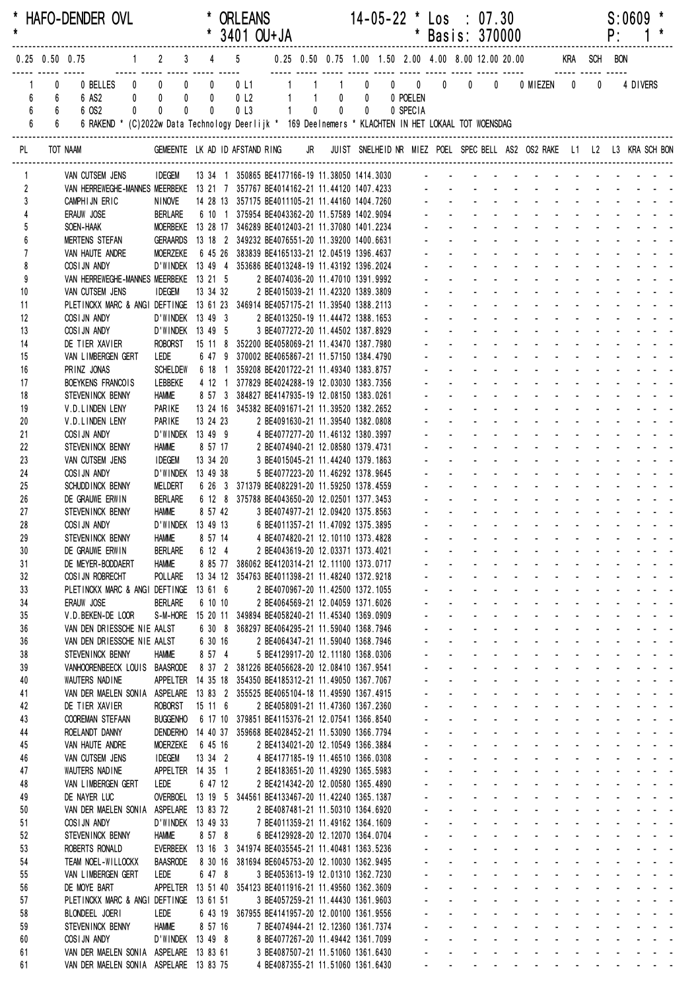| $\star$                               |                                        | * HAFO-DENDER OVL                                                                                                                                 |                                                                                                             |                          |              | <b>ORLEANS</b><br>* 3401 OU+JA                           |                      |                                                                                                              |                      | $14-05-22$ * Los : 07.30                               | * Basis: 370000                                        |                                                          |                                              |                             |                                                                                                                                                                                                                                |                             |                                                      | P:                | S:0609                                                                                                                                                                                                                                                                                                                                                                                                                            |                                   |
|---------------------------------------|----------------------------------------|---------------------------------------------------------------------------------------------------------------------------------------------------|-------------------------------------------------------------------------------------------------------------|--------------------------|--------------|----------------------------------------------------------|----------------------|--------------------------------------------------------------------------------------------------------------|----------------------|--------------------------------------------------------|--------------------------------------------------------|----------------------------------------------------------|----------------------------------------------|-----------------------------|--------------------------------------------------------------------------------------------------------------------------------------------------------------------------------------------------------------------------------|-----------------------------|------------------------------------------------------|-------------------|-----------------------------------------------------------------------------------------------------------------------------------------------------------------------------------------------------------------------------------------------------------------------------------------------------------------------------------------------------------------------------------------------------------------------------------|-----------------------------------|
|                                       | $0.25$ 0.50 0.75                       |                                                                                                                                                   | $1 \qquad 2 \qquad 3 \qquad 4 \qquad 5$                                                                     |                          |              |                                                          |                      |                                                                                                              |                      |                                                        |                                                        |                                                          |                                              |                             | 0.25 0.50 0.75 1.00 1.50 2.00 4.00 8.00 12.00 20.00 KRA SCH BON                                                                                                                                                                |                             |                                                      |                   |                                                                                                                                                                                                                                                                                                                                                                                                                                   |                                   |
| 6<br>$6\phantom{a}$<br>$6\phantom{a}$ | 0<br>6<br>6 <sup>1</sup><br>$6\degree$ | 0 BELLES<br>6 AS2<br>6 OS2<br>$\mathbf{0}$<br>6 RAKEND * (C)2022w Data Technology Deerlijk * 169 Deelnemers * KLACHTEN IN HET LOKAAL TOT WOENSDAG | <br>$\begin{matrix} 0 & 0 \end{matrix}$<br>$\mathbf 0$<br>$0$ 0<br>$\pmb{0}$<br>$\mathbf 0$<br>$\mathbf{0}$ | $\pmb{0}$<br>$\mathbf 0$ | $\mathbf{0}$ | $0 \t11$ 1<br>0 L2 1<br>0 <sub>l</sub><br>0 <sub>l</sub> | $1 \quad 1$<br>$1 -$ | $\overline{1}$<br>$\mathbf{0}$                                                                               | $0\qquad 0$<br>$0$ 0 | $0 \qquad 0 \qquad 0 \qquad 0$<br>0 POELEN<br>0 SPECIA |                                                        | $\mathbf{0}$                                             |                                              | $\overline{0}$              | 0 MIEZEN 0                                                                                                                                                                                                                     |                             | $\pmb{0}$                                            |                   | 4 DIVERS                                                                                                                                                                                                                                                                                                                                                                                                                          |                                   |
| PL                                    |                                        | TOT NAAM                                                                                                                                          | GEMEENTE LK AD ID AFSTAND RING                                                                              |                          |              |                                                          |                      |                                                                                                              |                      |                                                        |                                                        |                                                          |                                              |                             | JR JUIST SNELHEID NR MIEZ POEL SPEC BELL AS2 OS2 RAKE L1 L2 L3 KRA SCH BON                                                                                                                                                     |                             |                                                      |                   |                                                                                                                                                                                                                                                                                                                                                                                                                                   |                                   |
|                                       |                                        | VAN CUTSEM JENS                                                                                                                                   | <b>IDEGEM</b>                                                                                               |                          |              |                                                          |                      | 13 34 1 350865 BE4177166-19 11.38050 1414.3030                                                               |                      |                                                        |                                                        |                                                          |                                              |                             |                                                                                                                                                                                                                                |                             |                                                      |                   |                                                                                                                                                                                                                                                                                                                                                                                                                                   |                                   |
| $\overline{2}$                        |                                        | VAN HERREWEGHE-MANNES MEERBEKE 13 21 7 357767 BE4014162-21 11.44120 1407.4233                                                                     |                                                                                                             |                          |              |                                                          |                      |                                                                                                              |                      |                                                        |                                                        |                                                          |                                              |                             |                                                                                                                                                                                                                                |                             |                                                      |                   |                                                                                                                                                                                                                                                                                                                                                                                                                                   |                                   |
| $\overline{3}$                        |                                        | CAMPHIJN ERIC                                                                                                                                     | <b>NINOVE</b>                                                                                               |                          |              |                                                          |                      | 14 28 13 357175 BE4011105-21 11.44160 1404.7260 - - - - - -<br>6 10 1 375954 BE4043362-20 11.57589 1402.9094 |                      |                                                        |                                                        |                                                          |                                              |                             |                                                                                                                                                                                                                                |                             |                                                      |                   |                                                                                                                                                                                                                                                                                                                                                                                                                                   |                                   |
| 5                                     |                                        | ERAUW JOSE<br>SOEN-HAAK                                                                                                                           | <b>BERLARE</b><br>MOERBEKE 13 28 17 346289 BE4012403-21 11.37080 1401.2234                                  |                          |              |                                                          |                      |                                                                                                              |                      |                                                        |                                                        |                                                          |                                              |                             |                                                                                                                                                                                                                                |                             |                                                      |                   |                                                                                                                                                                                                                                                                                                                                                                                                                                   |                                   |
| 6                                     |                                        | MERTENS STEFAN GERAARDS 13 18 2 349232 BE4076551-20 11.39200 1400.6631                                                                            |                                                                                                             |                          |              |                                                          |                      |                                                                                                              |                      |                                                        |                                                        |                                                          |                                              |                             |                                                                                                                                                                                                                                |                             |                                                      |                   |                                                                                                                                                                                                                                                                                                                                                                                                                                   |                                   |
| $\overline{1}$<br>8                   |                                        | VAN HAUTE ANDRE<br>COSI JN ANDY                                                                                                                   | MOERZEKE<br>D'WINDEK 13 49 4 353686 BE4013248-19 11.43192 1396.2024                                         |                          |              |                                                          |                      | 6 45 26 383839 BE4165133-21 12.04519 1396.4637                                                               |                      |                                                        |                                                        |                                                          |                                              |                             |                                                                                                                                                                                                                                |                             |                                                      |                   |                                                                                                                                                                                                                                                                                                                                                                                                                                   |                                   |
| 9                                     |                                        | VAN HERREWEGHE-MANNES MEERBEKE 13 21 5                                                                                                            |                                                                                                             |                          |              |                                                          |                      | 2 BE4074036-20 11.47010 1391.9992                                                                            |                      |                                                        |                                                        |                                                          |                                              |                             |                                                                                                                                                                                                                                |                             |                                                      |                   |                                                                                                                                                                                                                                                                                                                                                                                                                                   |                                   |
| 10                                    |                                        | VAN CUTSEM JENS                                                                                                                                   | <b>IDEGEM</b>                                                                                               |                          | 13 34 32     |                                                          |                      | 2 BE4015039-21 11.42320 1389.3809                                                                            |                      |                                                        |                                                        |                                                          |                                              |                             |                                                                                                                                                                                                                                |                             |                                                      |                   |                                                                                                                                                                                                                                                                                                                                                                                                                                   |                                   |
| 11<br>12                              |                                        | PLETINCKX MARC & ANGI DEFTINGE 13 61 23 346914 BE4057175-21 11.39540 1388.2113<br>COSIJN ANDY                                                     | D'WINDEK 13 49 3                                                                                            |                          |              |                                                          |                      | 2 BE4013250-19 11.44472 1388.1653                                                                            |                      |                                                        |                                                        |                                                          |                                              |                             |                                                                                                                                                                                                                                |                             |                                                      |                   |                                                                                                                                                                                                                                                                                                                                                                                                                                   |                                   |
| 13                                    |                                        | COSIJN ANDY                                                                                                                                       | D'WINDEK 13 49 5                                                                                            |                          |              |                                                          |                      | 3 BE4077272-20 11.44502 1387.8929                                                                            |                      |                                                        |                                                        |                                                          |                                              |                             |                                                                                                                                                                                                                                |                             |                                                      |                   |                                                                                                                                                                                                                                                                                                                                                                                                                                   |                                   |
| 14                                    |                                        | DE TIER XAVIER                                                                                                                                    | <b>ROBORST</b>                                                                                              |                          |              |                                                          |                      | 15 11 8 352200 BE4058069-21 11.43470 1387.7980                                                               |                      |                                                        |                                                        |                                                          |                                              |                             |                                                                                                                                                                                                                                |                             |                                                      |                   |                                                                                                                                                                                                                                                                                                                                                                                                                                   |                                   |
| 15<br>16                              |                                        | VAN LIMBERGEN GERT<br>PRINZ JONAS                                                                                                                 | LEDE<br><b>SCHELDEW</b>                                                                                     |                          |              |                                                          |                      | 6 47 9 370002 BE4065867-21 11.57150 1384.4790<br>6 18 1 359208 BE4201722-21 11.49340 1383.8757               |                      |                                                        |                                                        |                                                          |                                              |                             |                                                                                                                                                                                                                                |                             |                                                      |                   |                                                                                                                                                                                                                                                                                                                                                                                                                                   |                                   |
| 17                                    |                                        | BOEYKENS FRANCOIS                                                                                                                                 | LEBBEKE                                                                                                     |                          |              |                                                          |                      | 4 12 1 377829 BE4024288-19 12.03030 1383.7356                                                                |                      |                                                        |                                                        |                                                          |                                              |                             |                                                                                                                                                                                                                                |                             |                                                      |                   |                                                                                                                                                                                                                                                                                                                                                                                                                                   |                                   |
| 18                                    |                                        | STEVENINCK BENNY                                                                                                                                  | <b>HAMME</b>                                                                                                |                          |              |                                                          |                      | 8 57 3 384827 BE4147935-19 12.08150 1383.0261                                                                |                      |                                                        |                                                        |                                                          |                                              |                             |                                                                                                                                                                                                                                |                             |                                                      |                   |                                                                                                                                                                                                                                                                                                                                                                                                                                   |                                   |
| 19<br>20                              |                                        | V.D.LINDEN LENY<br>V.D.LINDEN LENY                                                                                                                | PARIKE<br>PARIKE                                                                                            |                          | 13 24 23     |                                                          |                      | 13 24 16 345382 BE4091671-21 11.39520 1382.2652<br>2 BE4091630-21 11.39540 1382.0808                         |                      |                                                        |                                                        |                                                          |                                              |                             |                                                                                                                                                                                                                                |                             |                                                      |                   |                                                                                                                                                                                                                                                                                                                                                                                                                                   |                                   |
| 21                                    |                                        | COSIJN ANDY                                                                                                                                       | D'WINDEK 13 49 9                                                                                            |                          |              |                                                          |                      | 4 BE4077277-20 11.46132 1380.3997                                                                            |                      |                                                        |                                                        |                                                          |                                              |                             |                                                                                                                                                                                                                                |                             |                                                      |                   |                                                                                                                                                                                                                                                                                                                                                                                                                                   |                                   |
| 22                                    |                                        | STEVEN INCK BENNY                                                                                                                                 | <b>HAMME</b>                                                                                                |                          | 8 57 17      |                                                          |                      | 2 BE4074940-21 12.08580 1379.4731                                                                            |                      |                                                        |                                                        |                                                          |                                              |                             |                                                                                                                                                                                                                                |                             |                                                      |                   |                                                                                                                                                                                                                                                                                                                                                                                                                                   |                                   |
| 23<br>24                              |                                        | VAN CUTSEM JENS<br>COSIJN ANDY                                                                                                                    | <b>IDEGEM</b><br>D'WINDEK 13 49 38                                                                          |                          | 13 34 20     |                                                          |                      | 3 BE4015045-21 11.44240 1379.1863<br>5 BE4077223-20 11.46292 1378.9645                                       |                      |                                                        |                                                        |                                                          |                                              |                             |                                                                                                                                                                                                                                |                             |                                                      |                   |                                                                                                                                                                                                                                                                                                                                                                                                                                   |                                   |
| 25                                    |                                        | SCHUDD INCK BENNY                                                                                                                                 | MELDERT                                                                                                     |                          |              |                                                          |                      | 6 26 3 371379 BE4082291-20 11.59250 1378.4559                                                                |                      |                                                        |                                                        |                                                          |                                              |                             |                                                                                                                                                                                                                                |                             |                                                      |                   |                                                                                                                                                                                                                                                                                                                                                                                                                                   |                                   |
| 26                                    |                                        | DE GRAUWE ERWIN                                                                                                                                   | BERLARE                                                                                                     |                          |              |                                                          |                      | 6 12 8 375788 BE4043650-20 12.02501 1377.3453                                                                |                      |                                                        |                                                        |                                                          |                                              |                             |                                                                                                                                                                                                                                |                             |                                                      |                   |                                                                                                                                                                                                                                                                                                                                                                                                                                   |                                   |
| 27<br>28                              |                                        | STEVENINCK BENNY<br>COSIJN ANDY                                                                                                                   | <b>HAMME</b><br>D'WINDEK 13 49 13                                                                           |                          | 8 57 42      |                                                          |                      | 3 BE4074977-21 12.09420 1375.8563<br>6 BE4011357-21 11.47092 1375.3895                                       |                      |                                                        |                                                        |                                                          |                                              |                             |                                                                                                                                                                                                                                |                             |                                                      |                   |                                                                                                                                                                                                                                                                                                                                                                                                                                   |                                   |
| 29                                    |                                        | STEVEN INCK BENNY HAMME                                                                                                                           |                                                                                                             |                          | 8 57 14      |                                                          |                      | 4 BE4074820-21 12.10110 1373.4828                                                                            |                      |                                                        |                                                        |                                                          |                                              |                             | المنابعات والمعارض والمحاربة                                                                                                                                                                                                   |                             |                                                      |                   | and the company of the company of                                                                                                                                                                                                                                                                                                                                                                                                 |                                   |
| 30                                    |                                        | DE GRAUWE ERWIN                                                                                                                                   | BERLARE                                                                                                     |                          | 6 12 4       |                                                          |                      | 2 BE4043619-20 12.03371 1373.4021                                                                            |                      |                                                        |                                                        |                                                          |                                              |                             | a construction of the construction of the construction of the construction of the construction of the construction of the construction of the construction of the construction of the construction of the construction of the  |                             |                                                      |                   |                                                                                                                                                                                                                                                                                                                                                                                                                                   |                                   |
| 31<br>32                              |                                        | DE MEYER-BODDAERT<br>COSI JN ROBRECHT                                                                                                             | <b>HAMME</b><br>POLLARE                                                                                     |                          |              |                                                          |                      | 8 85 77 386062 BE4120314-21 12.11100 1373.0717<br>13 34 12 354763 BE4011398-21 11.48240 1372.9218            |                      |                                                        | $\mathbf{r} = \mathbf{r}$                              | $\omega_{\rm{max}}$                                      |                                              |                             | designed the state of the state of<br>and the company of the company of                                                                                                                                                        |                             |                                                      |                   | and a strain and a<br>$\mathbf{L} = \mathbf{L} \times \mathbf{L} = \mathbf{L} \times \mathbf{L}$                                                                                                                                                                                                                                                                                                                                  |                                   |
| 33                                    |                                        | PLETINCKX MARC & ANGI DEFTINGE                                                                                                                    |                                                                                                             |                          | 13 61 6      |                                                          |                      | 2 BE4070967-20 11.42500 1372.1055                                                                            |                      |                                                        |                                                        | and the state of the                                     |                                              |                             | $\Delta \phi = 0.000$ and $\Delta \phi = 0.000$                                                                                                                                                                                |                             |                                                      |                   |                                                                                                                                                                                                                                                                                                                                                                                                                                   |                                   |
| 34                                    |                                        | ERAUW JOSE                                                                                                                                        | <b>BERLARE</b>                                                                                              |                          | 6 10 10      |                                                          |                      | 2 BE4064569-21 12.04059 1371.6026                                                                            |                      |                                                        |                                                        | and the state of the state                               |                                              |                             | <b>All States</b>                                                                                                                                                                                                              |                             |                                                      |                   |                                                                                                                                                                                                                                                                                                                                                                                                                                   |                                   |
| 35<br>36                              |                                        | V.D.BEKEN-DE LOOR<br>VAN DEN DRIESSCHE NIE AALST                                                                                                  | S-M-HORE                                                                                                    |                          |              |                                                          |                      | 15 20 11 349894 BE4058240-21 11.45340 1369.0909<br>6 30 8 368297 BE4064295-21 11.59040 1368.7946             |                      |                                                        |                                                        | $\mathcal{L}^{\text{max}}$<br>$\mathcal{L}^{\text{max}}$ |                                              |                             | designed the state of the state of the<br>design and a state of the state of the                                                                                                                                               |                             |                                                      |                   |                                                                                                                                                                                                                                                                                                                                                                                                                                   |                                   |
| 36                                    |                                        | VAN DEN DRIESSCHE NIE AALST                                                                                                                       |                                                                                                             |                          | 6 30 16      |                                                          |                      | 2 BE4064347-21 11.59040 1368.7946                                                                            |                      |                                                        | $\mathcal{L}_{\mathcal{A}}$                            | $\omega_{\rm{max}}$                                      |                                              |                             | design and a state of the state of the                                                                                                                                                                                         |                             |                                                      |                   |                                                                                                                                                                                                                                                                                                                                                                                                                                   |                                   |
| 38                                    |                                        | STEVENINCK BENNY                                                                                                                                  | <b>HAMME</b>                                                                                                |                          | 8 57 4       |                                                          |                      | 5 BE4129917-20 12.11180 1368.0306                                                                            |                      |                                                        | and the                                                | $\omega_{\rm{max}}$                                      | and a state                                  |                             | design and a state of the state of the state of the state of the state of the state of the state of the state of the state of the state of the state of the state of the state of the state of the state of the state of the s |                             |                                                      |                   |                                                                                                                                                                                                                                                                                                                                                                                                                                   |                                   |
| 39<br>40                              |                                        | VANHOORENBEECK LOUIS BAASRODE<br>WAUTERS NADINE                                                                                                   | <b>APPELTER</b>                                                                                             |                          |              |                                                          |                      | 8 37 2 381226 BE4056628-20 12.08410 1367.9541<br>14 35 18 354350 BE4185312-21 11.49050 1367.7067             |                      |                                                        |                                                        | $\mathbf{L}^{\text{max}}$<br>$\mathbf{L}^{\text{max}}$   | <b>Service</b> State<br><b>Service</b> State |                             | <b>All Cards</b><br><b>All Cards</b><br>$\sim$                                                                                                                                                                                 | <b>Service</b> State        |                                                      |                   | and a straight and<br>and a strain and a                                                                                                                                                                                                                                                                                                                                                                                          |                                   |
| 41                                    |                                        | VAN DER MAELEN SONIA ASPELARE                                                                                                                     |                                                                                                             |                          |              |                                                          |                      | 13 83 2 355525 BE4065104-18 11.49590 1367.4915                                                               |                      |                                                        |                                                        | $\mathcal{L}^{\text{max}}$                               |                                              |                             | and a straight and                                                                                                                                                                                                             |                             |                                                      |                   | $\label{eq:2.1} \begin{array}{cccccccccc} \mathbf{1} & \mathbf{1} & \mathbf{1} & \mathbf{1} & \mathbf{1} & \mathbf{1} & \mathbf{1} & \mathbf{1} & \mathbf{1} & \mathbf{1} & \mathbf{1} & \mathbf{1} & \mathbf{1} & \mathbf{1} & \mathbf{1} & \mathbf{1} & \mathbf{1} & \mathbf{1} & \mathbf{1} & \mathbf{1} & \mathbf{1} & \mathbf{1} & \mathbf{1} & \mathbf{1} & \mathbf{1} & \mathbf{1} & \mathbf{1} & \mathbf{1} & \mathbf{1}$ |                                   |
| 42                                    |                                        | DE TIER XAVIER                                                                                                                                    | <b>ROBORST</b>                                                                                              |                          | 15 11 6      |                                                          |                      | 2 BE4058091-21 11.47360 1367.2360                                                                            |                      |                                                        |                                                        | $\Delta \sim 100$                                        |                                              |                             | and a straight and straight                                                                                                                                                                                                    | $\sim 100$                  |                                                      |                   | $\mathbf{L}^{\text{max}} = \mathbf{L}^{\text{max}} = \mathbf{L}^{\text{max}}$                                                                                                                                                                                                                                                                                                                                                     |                                   |
| 43                                    |                                        | <b>COOREMAN STEFAAN</b>                                                                                                                           | <b>BUGGENHO</b>                                                                                             |                          |              |                                                          |                      | 6 17 10 379851 BE4115376-21 12.07541 1366.8540                                                               |                      |                                                        | $\mathcal{L}_{\mathcal{A}}$                            | $\omega_{\rm{max}}$<br>$\Delta \sim 100$                 |                                              |                             | and a straightful and a straight<br>design and a state of the state of                                                                                                                                                         |                             | $\sim$<br>$\Delta \sim 10^4$                         |                   | and the state of the<br>$\mathbf{1}^{\prime}$ , $\mathbf{1}^{\prime}$ , $\mathbf{1}^{\prime}$ , $\mathbf{1}^{\prime}$ , $\mathbf{1}^{\prime}$                                                                                                                                                                                                                                                                                     |                                   |
| 44<br>45                              |                                        | ROELANDT DANNY<br>VAN HAUTE ANDRE                                                                                                                 | <b>DENDERHO</b><br><b>MOERZEKE</b>                                                                          |                          | 6 45 16      |                                                          |                      | 14 40 37 359668 BE4028452-21 11.53090 1366.7794<br>2 BE4134021-20 12.10549 1366.3884                         |                      |                                                        | $\mathbf{L}^{\text{max}}$<br>$\mathbf{r} = \mathbf{r}$ |                                                          |                                              |                             | and the state of the state of the state                                                                                                                                                                                        |                             |                                                      |                   |                                                                                                                                                                                                                                                                                                                                                                                                                                   |                                   |
| 46                                    |                                        | VAN CUTSEM JENS                                                                                                                                   | <b>IDEGEM</b>                                                                                               |                          | 13 34 2      |                                                          |                      | 4 BE4177185-19 11.46510 1366.0308                                                                            |                      |                                                        |                                                        |                                                          |                                              |                             | and the company of the company of                                                                                                                                                                                              |                             |                                                      |                   | and a straight and                                                                                                                                                                                                                                                                                                                                                                                                                |                                   |
| 47                                    |                                        | WAUTERS NADINE                                                                                                                                    | APPELTER 14 35 1                                                                                            |                          |              |                                                          |                      | 2 BE4183651-20 11.49290 1365.5983                                                                            |                      |                                                        |                                                        | $\Delta \sim 100$                                        |                                              |                             | designed the control of the state of                                                                                                                                                                                           |                             |                                                      |                   | <b>Carl Carl Carl Carl</b>                                                                                                                                                                                                                                                                                                                                                                                                        |                                   |
| 48<br>49                              |                                        | VAN LIMBERGEN GERT<br>DE NAYER LUC                                                                                                                | LEDE<br>OVERBOEL 13 19 5 344561 BE4133467-20 11.42240 1365.1387                                             |                          | 6 47 12      |                                                          |                      | 2 BE4214342-20 12.00580 1365.4890                                                                            |                      |                                                        | ¥.                                                     | $\Delta \sim 100$<br>$\mathcal{L}^{\text{max}}$          | $\Delta \sim 100$                            | $\Delta \phi = 0.01$        | and a state of the state of the state of<br>and the company of the company of                                                                                                                                                  |                             |                                                      |                   | and a strain and a                                                                                                                                                                                                                                                                                                                                                                                                                |                                   |
| 50                                    |                                        | VAN DER MAELEN SONIA ASPELARE 13 83 72                                                                                                            |                                                                                                             |                          |              |                                                          |                      | 2 BE4087481-21 11.50310 1364.6920                                                                            |                      |                                                        |                                                        | $\mathbf{L}^{\text{max}}$                                |                                              |                             | a construction of the construction of the construction of the construction of the construction of the construction of the construction of the construction of the construction of the construction of the construction of the  |                             |                                                      |                   |                                                                                                                                                                                                                                                                                                                                                                                                                                   |                                   |
| 51                                    |                                        | COSIJN ANDY                                                                                                                                       | D'WINDEK 13 49 33                                                                                           |                          |              |                                                          |                      | 7 BE4011359-21 11.49162 1364.1609                                                                            |                      |                                                        |                                                        | $\mathbf{z} = \mathbf{z}$ .                              | <b>Service</b> State                         |                             | and a straight and                                                                                                                                                                                                             |                             |                                                      |                   | and a strain and a                                                                                                                                                                                                                                                                                                                                                                                                                |                                   |
| 52<br>53                              |                                        | STEVENINCK BENNY<br>ROBERTS RONALD                                                                                                                | <b>HAMME</b><br>EVERBEEK 13 16 3 341974 BE4035545-21 11.40481 1363.5236                                     |                          | 8 57 8       |                                                          |                      | 6 BE4129928-20 12.12070 1364.0704                                                                            |                      |                                                        |                                                        | $\mathbf{a} = \mathbf{a}$<br>$\mathcal{L}^{\text{max}}$  | <b>Service</b> State<br><b>All States</b>    | $\mathcal{L}$               | $\Delta \sim 100$<br>$\mathbf{r}$<br>$\Delta \phi = 0.01$                                                                                                                                                                      | $\Delta \sim 100$<br>$\sim$ |                                                      |                   | $\mathbf{z} = \mathbf{z} + \mathbf{z} + \mathbf{z} + \mathbf{z}$<br>and a state of                                                                                                                                                                                                                                                                                                                                                |                                   |
| 54                                    |                                        | TEAM NOEL-WILLOCKX                                                                                                                                | <b>BAASRODE</b>                                                                                             |                          |              |                                                          |                      | 8 30 16 381694 BE6045753-20 12.10030 1362.9495                                                               |                      |                                                        |                                                        | $\Delta \sim 100$                                        |                                              |                             | and a straight and                                                                                                                                                                                                             | $\sim 100$                  |                                                      |                   |                                                                                                                                                                                                                                                                                                                                                                                                                                   |                                   |
| 55                                    |                                        | VAN LIMBERGEN GERT                                                                                                                                | LEDE                                                                                                        |                          | 6 47 8       |                                                          |                      | 3 BE4053613-19 12.01310 1362.7230                                                                            |                      |                                                        | ¥.                                                     | $\omega_{\rm{max}}$                                      | $\mathbf{z} = \mathbf{z}$                    | $\Delta \sim 100$<br>$\sim$ | <b>Contact Contact</b>                                                                                                                                                                                                         | $\Delta \phi = 0.01$        | $\sim$                                               |                   | <b>Contract Contract</b>                                                                                                                                                                                                                                                                                                                                                                                                          |                                   |
| 56<br>57                              |                                        | DE MOYE BART<br>PLETINCKX MARC & ANGI DEFTINGE 13 61 51                                                                                           | APPELTER 13 51 40 354123 BE4011916-21 11.49560 1362.3609                                                    |                          |              |                                                          |                      | 3 BE4057259-21 11.44430 1361.9603                                                                            |                      |                                                        |                                                        | $\mathbf{L}^{\text{max}}$<br>and the state of            |                                              |                             | and a straight and a straight<br>and a state of                                                                                                                                                                                |                             | $\Delta \sim 10^{-1}$<br>$\mathcal{L}^{\mathcal{A}}$ | $\Delta \sim 100$ |                                                                                                                                                                                                                                                                                                                                                                                                                                   | $\Delta \phi = \Delta \phi = 0.1$ |
| 58                                    |                                        | BLONDEEL JOERI                                                                                                                                    | LEDE                                                                                                        |                          |              |                                                          |                      | 6 43 19 367955 BE4141957-20 12.00100 1361.9556                                                               |                      |                                                        |                                                        | $\mathbf{a} = \mathbf{a}$                                | <b>Service</b> State                         |                             | and a straight of                                                                                                                                                                                                              |                             |                                                      |                   | $\mathbf{z} = \mathbf{z} + \mathbf{z} + \mathbf{z} + \mathbf{z}$                                                                                                                                                                                                                                                                                                                                                                  |                                   |
| 59                                    |                                        | STEVENINCK BENNY                                                                                                                                  | <b>HAMME</b>                                                                                                |                          | 8 57 16      |                                                          |                      | 7 BE4074944-21 12.12360 1361.7374                                                                            |                      |                                                        |                                                        | $\mathcal{L}^{\text{max}}$                               | <b>Service</b> State                         |                             | and a series of the series of the series of the series of the series of the series of the series of the series                                                                                                                 |                             |                                                      |                   |                                                                                                                                                                                                                                                                                                                                                                                                                                   |                                   |
| 60<br>61                              |                                        | COSIJN ANDY<br>VAN DER MAELEN SONIA ASPELARE 13 83 61                                                                                             | D'WINDEK 13 49 8                                                                                            |                          |              |                                                          |                      | 8 BE4077267-20 11.49442 1361.7099<br>3 BE4087507-21 11.51060 1361.6430                                       |                      |                                                        | and a state<br>$\mathbf{L}^{\text{max}}$               |                                                          | <b>Service</b> State                         |                             | and a state of the state of the<br><u>.</u>                                                                                                                                                                                    |                             |                                                      |                   |                                                                                                                                                                                                                                                                                                                                                                                                                                   |                                   |
| 61                                    |                                        | VAN DER MAELEN SONIA ASPELARE 13 83 75                                                                                                            |                                                                                                             |                          |              |                                                          |                      | 4 BE4087355-21 11.51060 1361.6430                                                                            |                      |                                                        |                                                        |                                                          |                                              |                             | والمتعاط المتابعات والمتابعات والمتابعات والمتابع                                                                                                                                                                              |                             |                                                      |                   |                                                                                                                                                                                                                                                                                                                                                                                                                                   |                                   |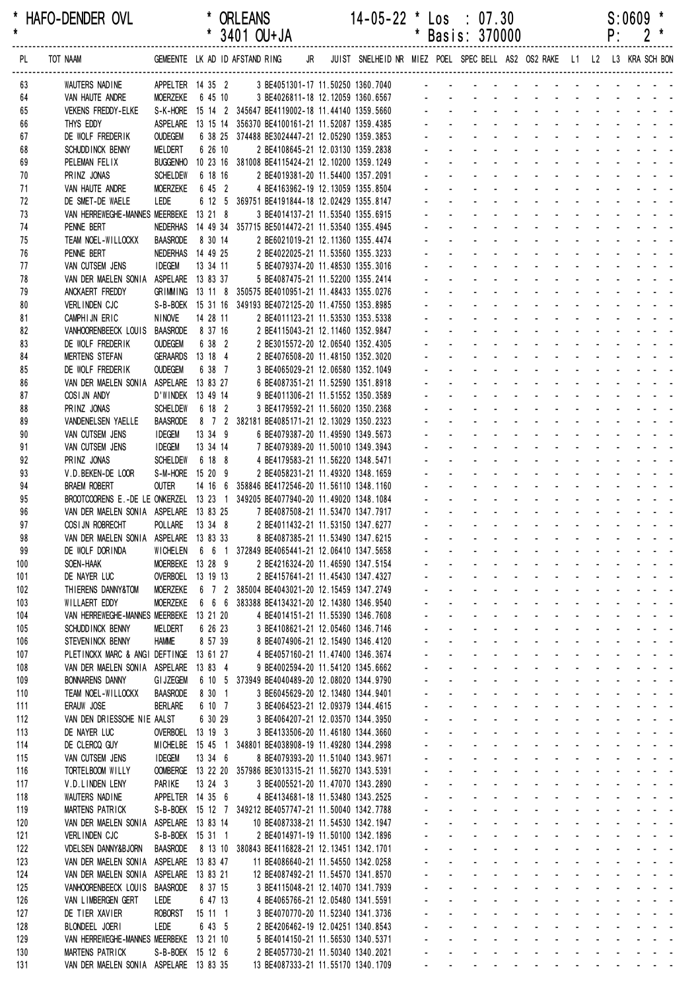| *<br>$\star$ | HAFO-DENDER OVL                                                               |                                    |                    | <b>ORLEANS</b><br>* 3401 OU+JA                                                                             |  | $14 - 05 - 22$ * $\text{Los}$ : 07.30 |              |                                            | * Basis: 370000                                                                                                                                                                                                                |                                                                      |                                       |                                         |                                                  |                       | P:                                            | $S:0609$ *                                                                                                                                                                                                                     |                                                                 |
|--------------|-------------------------------------------------------------------------------|------------------------------------|--------------------|------------------------------------------------------------------------------------------------------------|--|---------------------------------------|--------------|--------------------------------------------|--------------------------------------------------------------------------------------------------------------------------------------------------------------------------------------------------------------------------------|----------------------------------------------------------------------|---------------------------------------|-----------------------------------------|--------------------------------------------------|-----------------------|-----------------------------------------------|--------------------------------------------------------------------------------------------------------------------------------------------------------------------------------------------------------------------------------|-----------------------------------------------------------------|
| PL           | TOT NAAM                                                                      |                                    |                    | GEMEENTE LK AD ID AFSTAND RING JR JUIST SNELHEID NR MIEZ POEL SPEC BELL AS2 OS2 RAKE L1 L2 L3 KRA SCH BON  |  |                                       |              |                                            |                                                                                                                                                                                                                                |                                                                      |                                       |                                         |                                                  |                       |                                               |                                                                                                                                                                                                                                |                                                                 |
| 63           | WAUTERS NADINE                                                                |                                    |                    | APPELTER  14 35  2  3 BE4051301-17 11.50250 1360.7040                                                      |  |                                       |              |                                            | <u>.</u>                                                                                                                                                                                                                       |                                                                      |                                       |                                         |                                                  |                       |                                               |                                                                                                                                                                                                                                |                                                                 |
| 64           | VAN HAUTE ANDRE                                                               |                                    | MOERZEKE 6 45 10   |                                                                                                            |  | 3 BE4026811-18 12.12059 1360.6567     |              |                                            |                                                                                                                                                                                                                                |                                                                      |                                       |                                         |                                                  |                       |                                               |                                                                                                                                                                                                                                |                                                                 |
| 65           | <b>VEKENS FREDDY-ELKE</b>                                                     |                                    |                    | S-K-HORE 15 14 2 345647 BE4119002-18 11.44140 1359.5660                                                    |  |                                       |              |                                            |                                                                                                                                                                                                                                |                                                                      |                                       |                                         |                                                  |                       |                                               |                                                                                                                                                                                                                                |                                                                 |
| 66<br>67     | THYS EDDY<br>DE WOLF FREDERIK                                                 | <b>OUDEGEM</b>                     |                    | ASPELARE 13 15 14 356370 BE4100161-21 11.52087 1359.4385<br>6 38 25 374488 BE3024447-21 12.05290 1359.3853 |  |                                       |              |                                            |                                                                                                                                                                                                                                |                                                                      |                                       |                                         |                                                  |                       |                                               |                                                                                                                                                                                                                                |                                                                 |
| 68           | SCHUDD INCK BENNY                                                             | MELDERT                            | 6 26 10            | 2 BE4108645-21 12.03130 1359.2838                                                                          |  |                                       |              |                                            |                                                                                                                                                                                                                                |                                                                      |                                       |                                         |                                                  |                       |                                               | die de la construcción de la construcción de la construcción de la construcción de la construcción de la construcción de la construcción de la construcción de la construcción de la construcción de la construcción de la con |                                                                 |
| 69           | PELEMAN FELIX                                                                 | <b>BUGGENHO</b>                    |                    | 10 23 16 381008 BE4115424-21 12.10200 1359.1249                                                            |  |                                       |              |                                            |                                                                                                                                                                                                                                |                                                                      |                                       |                                         |                                                  |                       |                                               |                                                                                                                                                                                                                                |                                                                 |
| 70           | PRINZ JONAS                                                                   | <b>SCHELDEW</b>                    | 6 18 16            | 2 BE4019381-20 11.54400 1357.2091                                                                          |  |                                       |              |                                            |                                                                                                                                                                                                                                |                                                                      |                                       |                                         |                                                  |                       |                                               |                                                                                                                                                                                                                                |                                                                 |
| 71           | VAN HAUTE ANDRE                                                               | MOERZEKE                           | 6 45 2             | 4 BE4163962-19 12.13059 1355.8504                                                                          |  |                                       |              |                                            |                                                                                                                                                                                                                                |                                                                      |                                       |                                         |                                                  |                       |                                               |                                                                                                                                                                                                                                |                                                                 |
| 72           | DE SMET-DE WAELE                                                              | LEDE                               |                    | 6 12 5 369751 BE4191844-18 12.02429 1355.8147                                                              |  |                                       |              |                                            | design and the state of the state of the state of the state of the state of the state of the state of the state of the state of the state of the state of the state of the state of the state of the state of the state of the |                                                                      |                                       |                                         |                                                  |                       |                                               |                                                                                                                                                                                                                                |                                                                 |
| 73<br>74     | VAN HERREWEGHE-MANNES MEERBEKE 13 21 8<br>PENNE BERT                          |                                    |                    | 3 BE4014137-21 11.53540 1355.6915<br>NEDERHAS  14  49  34  357715  BE5014472-21  11.53540  1355.4945       |  |                                       |              |                                            |                                                                                                                                                                                                                                | $\mathbf{r} = \mathbf{r} \cdot \mathbf{r}$ . The set of $\mathbf{r}$ |                                       |                                         |                                                  |                       |                                               | in the state of the state of the state of the state of the state of the state of the state of the state of the                                                                                                                 |                                                                 |
| 75           | TEAM NOEL-WILLOCKX                                                            | <b>BAASRODE</b>                    | 8 30 14            | 2 BE6021019-21 12.11360 1355.4474                                                                          |  |                                       |              |                                            |                                                                                                                                                                                                                                |                                                                      |                                       |                                         |                                                  |                       |                                               | a na mana na mana na mana na sa                                                                                                                                                                                                |                                                                 |
| 76           | PENNE BERT                                                                    |                                    | NEDERHAS 14 49 25  | 2 BE4022025-21 11.53560 1355.3233                                                                          |  |                                       |              |                                            |                                                                                                                                                                                                                                |                                                                      |                                       |                                         |                                                  |                       |                                               | $\mathbf{r} = \mathbf{r} + \mathbf{r} + \mathbf{r} + \mathbf{r}$                                                                                                                                                               |                                                                 |
| 77           | VAN CUTSEM JENS                                                               | <b>IDEGEM</b>                      | 13 34 11           | 5 BE4079374-20 11.48530 1355.3016                                                                          |  |                                       |              |                                            |                                                                                                                                                                                                                                |                                                                      |                                       |                                         |                                                  |                       |                                               |                                                                                                                                                                                                                                |                                                                 |
| 78           | VAN DER MAELEN SONIA                                                          |                                    | ASPELARE 13 83 37  | 5 BE4087475-21 11.52200 1355.2414                                                                          |  |                                       |              |                                            |                                                                                                                                                                                                                                |                                                                      |                                       |                                         |                                                  |                       |                                               |                                                                                                                                                                                                                                |                                                                 |
| 79           | ANCKAERT FREDDY                                                               |                                    |                    | GRIMMING 13 11 8 350575 BE4010951-21 11.48433 1355.0276                                                    |  |                                       |              |                                            |                                                                                                                                                                                                                                |                                                                      |                                       |                                         |                                                  |                       |                                               |                                                                                                                                                                                                                                |                                                                 |
| 80<br>81     | VERLINDEN CJC<br>CAMPHIJN ERIC                                                | <b>NINOVE</b>                      | 14 28 11           | S-B-BOEK 15 31 16 349193 BE4072125-20 11.47550 1353.8985<br>2 BE4011123-21 11.53530 1353.5338              |  |                                       |              |                                            |                                                                                                                                                                                                                                |                                                                      | <b>Contract Contract</b>              |                                         | $\mathbf{r} = \mathbf{r}$                        |                       |                                               |                                                                                                                                                                                                                                |                                                                 |
| 82           | VANHOORENBEECK LOUIS BAASRODE                                                 |                                    | 8 37 16            | 2 BE4115043-21 12.11460 1352.9847                                                                          |  |                                       |              |                                            |                                                                                                                                                                                                                                |                                                                      |                                       |                                         |                                                  |                       |                                               |                                                                                                                                                                                                                                |                                                                 |
| 83           | DE WOLF FREDERIK                                                              | <b>OUDEGEM</b>                     | 6 38 2             | 2 BE3015572-20 12.06540 1352.4305                                                                          |  |                                       |              |                                            |                                                                                                                                                                                                                                |                                                                      |                                       |                                         |                                                  |                       |                                               |                                                                                                                                                                                                                                |                                                                 |
| 84           | <b>MERTENS STEFAN</b>                                                         |                                    | GERAARDS 13 18 4   | 2 BE4076508-20 11.48150 1352.3020                                                                          |  |                                       |              |                                            |                                                                                                                                                                                                                                |                                                                      |                                       |                                         |                                                  |                       |                                               |                                                                                                                                                                                                                                |                                                                 |
| 85           | DE WOLF FREDERIK                                                              | <b>OUDEGEM</b>                     | 6 38 7             | 3 BE4065029-21 12.06580 1352.1049                                                                          |  |                                       |              |                                            |                                                                                                                                                                                                                                |                                                                      |                                       |                                         |                                                  |                       |                                               |                                                                                                                                                                                                                                |                                                                 |
| 86           | VAN DER MAELEN SONIA ASPELARE 13 83 27                                        |                                    |                    | 6 BE4087351-21 11.52590 1351.8918                                                                          |  |                                       |              |                                            |                                                                                                                                                                                                                                | $\mathbf{r} = \mathbf{r}$ , and $\mathbf{r} = \mathbf{r}$            |                                       |                                         |                                                  |                       |                                               | in the state of the state of the state of the state of the state of the state of the state of the state of the                                                                                                                 |                                                                 |
| 87           | COSIJN ANDY                                                                   |                                    | D'WINDEK 13 49 14  | 9 BE4011306-21 11.51552 1350.3589                                                                          |  |                                       |              |                                            |                                                                                                                                                                                                                                |                                                                      |                                       |                                         |                                                  |                       |                                               |                                                                                                                                                                                                                                |                                                                 |
| 88<br>89     | PRINZ JONAS<br>VANDENELSEN YAELLE                                             | <b>SCHELDEW</b><br><b>BAASRODE</b> | 6 18 2             | 3 BE4179592-21 11.56020 1350.2368<br>8 7 2 382181 BE4085171-21 12.13029 1350.2323                          |  |                                       |              |                                            |                                                                                                                                                                                                                                |                                                                      |                                       |                                         |                                                  |                       |                                               | and a straight                                                                                                                                                                                                                 |                                                                 |
| 90           | VAN CUTSEM JENS                                                               | <b>IDEGEM</b>                      | 13 34 9            | 6 BE4079387-20 11.49590 1349.5673                                                                          |  |                                       |              |                                            |                                                                                                                                                                                                                                |                                                                      |                                       |                                         |                                                  |                       |                                               |                                                                                                                                                                                                                                |                                                                 |
| 91           | VAN CUTSEM JENS                                                               | <b>IDEGEM</b>                      | 13 34 14           | 7 BE4079389-20 11.50010 1349.3943                                                                          |  |                                       |              |                                            |                                                                                                                                                                                                                                |                                                                      |                                       |                                         |                                                  |                       |                                               |                                                                                                                                                                                                                                |                                                                 |
| 92           | PRINZ JONAS                                                                   | <b>SCHELDEW</b>                    | 6 18 8             | 4 BE4179583-21 11.56220 1348.5471                                                                          |  |                                       |              |                                            | $\sim$                                                                                                                                                                                                                         |                                                                      | <b>Contract Contract</b>              | $\sim 100$                              | $\mathbf{r} = \mathbf{r}$                        | $\sim$                | $\sim$ 100 $\pm$                              |                                                                                                                                                                                                                                |                                                                 |
| 93           | V.D.BEKEN-DE LOOR                                                             |                                    | S-M-HORE 15 20 9   | 2 BE4058231-21 11.49320 1348.1659                                                                          |  |                                       |              |                                            |                                                                                                                                                                                                                                |                                                                      |                                       |                                         | $\Delta \sim 10^{-11}$                           |                       |                                               |                                                                                                                                                                                                                                |                                                                 |
| 94           | <b>BRAEM ROBERT</b>                                                           | <b>OUTER</b>                       |                    | 14 16 6 358846 BE4172546-20 11.56110 1348.1160                                                             |  |                                       |              |                                            |                                                                                                                                                                                                                                | and a state                                                          | $\sim 100$                            | <b>All Cards</b>                        | $\sim 100$                                       |                       | and a state                                   | $\omega_{\rm{max}}$ , and $\omega_{\rm{max}}$                                                                                                                                                                                  |                                                                 |
| 95           | BROOTCOORENS E.-DE LE ONKERZEL 13 23 1 349205 BE4077940-20 11.49020 1348.1084 |                                    |                    |                                                                                                            |  |                                       |              |                                            |                                                                                                                                                                                                                                | designed the control of the control of                               |                                       |                                         |                                                  |                       |                                               | and a strain and a                                                                                                                                                                                                             |                                                                 |
| 96<br>97     | VAN DER MAELEN SONIA ASPELARE 13 83 25<br>COSI JN ROBRECHT                    | POLLARE                            | 13 34 8            | 7 BE4087508-21 11.53470 1347.7917                                                                          |  |                                       |              |                                            |                                                                                                                                                                                                                                |                                                                      |                                       |                                         |                                                  |                       |                                               |                                                                                                                                                                                                                                |                                                                 |
| 98           | VAN DER MAELEN SONIA ASPELARE 13 83 33                                        |                                    |                    | 2 BE4011432-21 11.53150 1347.6277<br>8 BE4087385-21 11.53490 1347.6215                                     |  |                                       |              |                                            |                                                                                                                                                                                                                                |                                                                      |                                       |                                         |                                                  |                       |                                               |                                                                                                                                                                                                                                |                                                                 |
| 99           | DE WOLF DORINDA                                                               |                                    |                    | WICHELEN   6   6   1   372849 BE4065441-21   12.06410   1347.5658                                          |  |                                       |              | <b>All Contracts</b>                       |                                                                                                                                                                                                                                | and a strain and a strain and                                        |                                       |                                         |                                                  |                       |                                               |                                                                                                                                                                                                                                |                                                                 |
| 100          | SOEN-HAAK                                                                     |                                    | MOERBEKE 13 28 9   | 2 BE4216324-20 11.46590 1347.5154                                                                          |  |                                       |              |                                            | and a straightful and a straight and                                                                                                                                                                                           |                                                                      |                                       |                                         |                                                  |                       |                                               | and a strain and a                                                                                                                                                                                                             |                                                                 |
| 101          | DE NAYER LUC                                                                  |                                    | OVERBOEL 13 19 13  | 2 BE4157641-21 11.45430 1347.4327                                                                          |  |                                       |              |                                            | $\sim 100$                                                                                                                                                                                                                     | and a straightful control of the                                     |                                       |                                         |                                                  |                       |                                               |                                                                                                                                                                                                                                |                                                                 |
| 102          | THIERENS DANNY&TOM                                                            | MOERZEKE                           |                    | 6 7 2 385004 BE4043021-20 12.15459 1347.2749                                                               |  |                                       |              |                                            |                                                                                                                                                                                                                                |                                                                      |                                       |                                         |                                                  |                       |                                               |                                                                                                                                                                                                                                |                                                                 |
| 103          | WILLAERT EDDY                                                                 | <b>MOERZEKE</b>                    | 6 6 6              | 383388 BE4134321-20 12.14380 1346.9540                                                                     |  |                                       | ÷.           | $\sim$                                     | $\Delta \sim 100$<br>$\omega_{\rm{max}}$<br>$\Delta \sim 100$                                                                                                                                                                  | $\Delta\phi$ and $\Delta\phi$ and $\Delta\phi$<br>$\sim$             | <b>Contract Contract</b>              | <b>Contract Contract</b>                | $\sim$<br>$\Delta \sim 100$                      |                       |                                               | and the state of the state of<br><b>Carl America</b>                                                                                                                                                                           |                                                                 |
| 104<br>105   | VAN HERREWEGHE-MANNES MEERBEKE 13 21 20<br>SCHUDD INCK BENNY                  | <b>MELDERT</b>                     | 6 26 23            | 4 BE4014151-21 11.55390 1346.7608<br>3 BE4108621-21 12.05460 1346.7146                                     |  |                                       |              |                                            | $\mathbf{L}^{\text{max}}$<br>$\Delta \sim 10^{-1}$                                                                                                                                                                             | and a straight and a straight                                        |                                       |                                         |                                                  |                       |                                               | and a strain and                                                                                                                                                                                                               |                                                                 |
| 106          | STEVENINCK BENNY                                                              | <b>HAMME</b>                       | 8 57 39            | 8 BE4074906-21 12.15490 1346.4120                                                                          |  |                                       |              | $\mathbf{L}^{\text{max}}$                  | $\mathcal{L}^{\text{max}}$<br>$\omega_{\rm{max}}$                                                                                                                                                                              | $\Delta \phi = \Delta \phi = 0.01$                                   |                                       | and a straight                          |                                                  |                       |                                               | and a straight and                                                                                                                                                                                                             |                                                                 |
| 107          | PLETINCKX MARC & ANGI DEFTINGE 13 61 27                                       |                                    |                    | 4 BE4057160-21 11.47400 1346.3674                                                                          |  |                                       |              | $\sim$                                     |                                                                                                                                                                                                                                | and a straight of                                                    | $\mathbf{r}$                          | <b>Contractor</b>                       | $\omega_{\rm{max}}$                              |                       |                                               | and a straight and                                                                                                                                                                                                             |                                                                 |
| 108          | VAN DER MAELEN SONIA                                                          |                                    | ASPELARE 13 83 4   | 9 BE4002594-20 11.54120 1345.6662                                                                          |  |                                       |              |                                            |                                                                                                                                                                                                                                | <b>All States</b>                                                    | $\omega$                              |                                         | $\sim$                                           |                       |                                               | and a state of the state                                                                                                                                                                                                       |                                                                 |
| 109          | <b>BONNARENS DANNY</b>                                                        | <b>GI JZEGEM</b>                   |                    | 6 10 5 373949 BE4040489-20 12.08020 1344.9790                                                              |  |                                       |              | $\sim$                                     | $\omega_{\rm{max}}$                                                                                                                                                                                                            | and a strategies                                                     |                                       |                                         | $\sim$                                           |                       |                                               | <b>Contract Contract Contract</b>                                                                                                                                                                                              | $\omega_{\rm{max}}$                                             |
| 110          | TEAM NOEL-WILLOCKX                                                            | <b>BAASRODE</b>                    | 8 30 1             | 3 BE6045629-20 12.13480 1344.9401                                                                          |  |                                       | $\mathbf{r}$ | $\sim$<br>$\Delta \phi$                    | $\Delta \sim 100$<br>$\mathbf{L}^{\text{max}}$                                                                                                                                                                                 | $\sim$<br>and a straight and a straight                              | <b>Contract Contract</b>              | <b>Contract Contract</b>                | $\Delta \sim 100$                                | $\mathcal{L}$<br>÷.   | <b>Contract Contract</b><br>$\Delta \sim 100$ | $\omega_{\rm{max}}$ , and $\omega_{\rm{max}}$<br>$\omega_{\rm{max}}$ and $\omega_{\rm{max}}$                                                                                                                                   |                                                                 |
| 111<br>112   | ERAUW JOSE<br>VAN DEN DRIESSCHE NIE AALST                                     | <b>BERLARE</b>                     | 6 10 7<br>6 30 29  | 3 BE4064523-21 12.09379 1344.4615<br>3 BE4064207-21 12.03570 1344.3950                                     |  |                                       |              | $\omega_{\rm{max}}$<br>$\omega_{\rm{max}}$ | $\Delta \sim 100$<br>$\omega_{\rm{max}}$                                                                                                                                                                                       | and a state                                                          |                                       | <b>Service Control</b>                  | $\mathcal{L}^{\text{max}}$                       | $\Delta \sim 10^{-1}$ | $\sim 100$                                    | $\sim 100$                                                                                                                                                                                                                     | $\mathbf{r} = \mathbf{r}$                                       |
| 113          | DE NAYER LUC                                                                  |                                    | OVERBOEL 13 19 3   | 3 BE4133506-20 11.46180 1344.3660                                                                          |  |                                       |              |                                            | $\Delta \sim 100$                                                                                                                                                                                                              | and a straight of                                                    |                                       | <b>Service Control</b>                  | $\mathbf{L}^{\text{max}}$                        |                       |                                               | $\mathbf{a} = \mathbf{a} + \mathbf{a} + \mathbf{a}$ .                                                                                                                                                                          |                                                                 |
| 114          | DE CLERCQ GUY                                                                 |                                    |                    | MICHELBE 15 45 1 348801 BE4038908-19 11.49280 1344.2998                                                    |  |                                       |              |                                            | $\mathcal{L}^{\text{max}}$                                                                                                                                                                                                     | and a straight and a straight                                        |                                       |                                         |                                                  |                       |                                               | and a state of the state                                                                                                                                                                                                       |                                                                 |
| 115          | VAN CUTSEM JENS                                                               | <b>IDEGEM</b>                      | 13 34 6            | 8 BE4079393-20 11.51040 1343.9671                                                                          |  |                                       |              |                                            | $\mathcal{L}^{\text{max}}$<br>$\omega_{\rm{max}}$                                                                                                                                                                              | $\mathbf{u} = \mathbf{u} + \mathbf{u} + \mathbf{u}$ .                |                                       |                                         | $\Delta \sim 100$                                |                       |                                               | and the company                                                                                                                                                                                                                | $\omega_{\rm{max}}$                                             |
| 116          | TORTELBOOM WILLY                                                              |                                    |                    | OOMBERGE 13 22 20 357986 BE3013315-21 11.56270 1343.5391                                                   |  |                                       | ÷.           | $\sim$                                     | $\Delta \sim 100$                                                                                                                                                                                                              | $\sim$                                                               | <b>Contract Contract</b>              | <b>Contract Contract</b>                | $\Delta \phi = 0.01$                             |                       |                                               | and the state of the state of                                                                                                                                                                                                  |                                                                 |
| 117          | V.D.LINDEN LENY                                                               | PARIKE                             | 13 24 3            | 3 BE4005521-20 11.47070 1343.2890                                                                          |  |                                       |              |                                            | $\mathbf{L}^{\text{max}}$<br>$\Delta \sim 10^{-1}$                                                                                                                                                                             | and a straight and a straight                                        |                                       |                                         |                                                  |                       |                                               | and a strain and                                                                                                                                                                                                               |                                                                 |
| 118          | WAUTERS NADINE                                                                |                                    | APPELTER 14 35 6   | 4 BE4134681-18 11.53480 1343.2525                                                                          |  |                                       |              | $\mathbf{L}^{\text{max}}$<br>$\sim$        | $\mathcal{L}^{\text{max}}$<br>$\omega_{\rm{max}}$                                                                                                                                                                              | and a state<br>and a straight of                                     | $\Delta \sim 10^{-1}$<br>$\mathbf{r}$ | $\mathbf{L}^{\text{max}}$<br>$\sim 100$ | $\omega_{\rm{max}}$<br>$\mathbf{L}^{\text{max}}$ |                       |                                               | and a straight and<br>and a straight and                                                                                                                                                                                       |                                                                 |
| 119<br>120   | MARTENS PATRICK<br>VAN DER MAELEN SONIA                                       |                                    | ASPELARE 13 83 14  | S-B-BOEK 15 12 7 349212 BE4057747-21 11.50040 1342.7788<br>10 BE4087338-21 11.54530 1342.1947              |  |                                       |              |                                            |                                                                                                                                                                                                                                | الموارد والمتوارد والمواردة                                          |                                       |                                         | $\omega_{\rm{max}}$                              |                       |                                               | and a straight and                                                                                                                                                                                                             |                                                                 |
| 121          | VERLINDEN CJC                                                                 |                                    | S-B-BOEK 15 31 1   | 2 BE4014971-19 11.50100 1342.1896                                                                          |  |                                       |              |                                            | $\Delta \sim 100$<br>$\omega_{\rm{max}}$                                                                                                                                                                                       | and a strategic                                                      |                                       |                                         | $\mathcal{L}^{\text{max}}$                       |                       |                                               | and the company                                                                                                                                                                                                                | $\omega_{\rm{max}}$                                             |
| 122          | <b>VDELSEN DANNY&amp;BJORN</b>                                                | BAASRODE                           |                    | 8 13 10 380843 BE4116828-21 12.13451 1342.1701                                                             |  |                                       | $\sim$       | $\sim$                                     | $\Delta \sim 100$                                                                                                                                                                                                              | and a strategies                                                     |                                       | and the state of the state of           |                                                  |                       |                                               | and the state of the state of                                                                                                                                                                                                  |                                                                 |
| 123          | VAN DER MAELEN SONIA ASPELARE 13 83 47                                        |                                    |                    | 11 BE4086640-21 11.54550 1342.0258                                                                         |  |                                       |              | $\omega_{\rm{max}}$                        | $\Delta \sim 100$<br>$\mathbf{L}$                                                                                                                                                                                              | and a straight and a straight                                        |                                       |                                         |                                                  | $\mathbf{r}$          | $\Delta \sim 10^4$                            | $\omega_{\rm{max}}$ and $\omega_{\rm{max}}$                                                                                                                                                                                    |                                                                 |
| 124          | VAN DER MAELEN SONIA ASPELARE 13 83 21                                        |                                    |                    | 12 BE4087492-21 11.54570 1341.8570                                                                         |  |                                       |              | $\omega_{\rm{max}}$                        | $\Delta \sim 100$<br>$\omega_{\rm{max}}$                                                                                                                                                                                       | and a strategic and                                                  |                                       |                                         | $\sim 10$                                        |                       | $\sim 100$                                    | $\Delta \phi = \Delta \phi = 0.01$                                                                                                                                                                                             |                                                                 |
| 125          | VANHOORENBEECK LOUIS                                                          | BAASRODE                           | 8 37 15            | 3 BE4115048-21 12.14070 1341.7939                                                                          |  |                                       |              |                                            | $\Delta \sim 100$                                                                                                                                                                                                              | and a straightful and state                                          |                                       |                                         | $\sim$                                           |                       |                                               | $\mathbf{z} = \mathbf{z} + \mathbf{z} + \mathbf{z}$                                                                                                                                                                            |                                                                 |
| 126<br>127   | VAN LIMBERGEN GERT<br>DE TIER XAVIER                                          | LEDE<br><b>ROBORST</b>             | 6 47 13<br>15 11 1 | 4 BE4065766-21 12.05480 1341.5591<br>3 BE4070770-20 11.52340 1341.3736                                     |  |                                       |              | $\mathbf{L}^{\text{max}}$                  | $\mathcal{L}^{\text{max}}$<br>$\omega_{\rm{max}}$                                                                                                                                                                              | and a straight and a straight<br>and a straight                      |                                       |                                         | $\mathcal{L}^{\text{max}}$                       |                       |                                               | and the state of the<br>and a strain and a                                                                                                                                                                                     |                                                                 |
| 128          | BLONDEEL JOERI                                                                | LEDE                               | 6 43 5             | 2 BE4206462-19 12.04251 1340.8543                                                                          |  |                                       | $\sim$       |                                            | $\Delta \sim 100$<br>$\Delta \sim 100$                                                                                                                                                                                         | $\sim$                                                               | <b>Contract Contract</b>              | and the state of the state of the       |                                                  |                       |                                               | and the state of the state of                                                                                                                                                                                                  |                                                                 |
| 129          | VAN HERREWEGHE-MANNES MEERBEKE 13 21 10                                       |                                    |                    | 5 BE4014150-21 11.56530 1340.5371                                                                          |  |                                       |              |                                            | $\Delta \sim 100$                                                                                                                                                                                                              |                                                                      |                                       |                                         |                                                  |                       |                                               | and a straightful and a straight and                                                                                                                                                                                           |                                                                 |
| 130          | MARTENS PATRICK                                                               |                                    | S-B-BOEK 15 12 6   | 2 BE4057730-21 11.50340 1340.2021                                                                          |  |                                       |              | $\mathbf{L}^{\text{max}}$                  | $\mathbf{L}^{\text{max}}$<br>$\omega_{\rm{max}}$                                                                                                                                                                               | and a state                                                          |                                       | $\Delta \phi = 0.000$ .                 | $\omega_{\rm{max}}$                              |                       | $\Delta \phi = \Delta \phi = 0.01$            |                                                                                                                                                                                                                                | $\omega_{\rm{eff}}=2.0\pm0.02$                                  |
| 131          | VAN DER MAELEN SONIA ASPELARE 13 83 35                                        |                                    |                    | 13 BE4087333-21 11.55170 1340.1709                                                                         |  |                                       |              | $\sim 100$                                 | $\mathbf{a} = \mathbf{a}$                                                                                                                                                                                                      | and a straightful and state                                          |                                       |                                         | $\Delta \sim 100$                                |                       | $\mathbf{a} = \mathbf{a} + \mathbf{a}$ .      |                                                                                                                                                                                                                                | $\omega_{\rm{eff}}$ , $\omega_{\rm{eff}}$ , $\omega_{\rm{eff}}$ |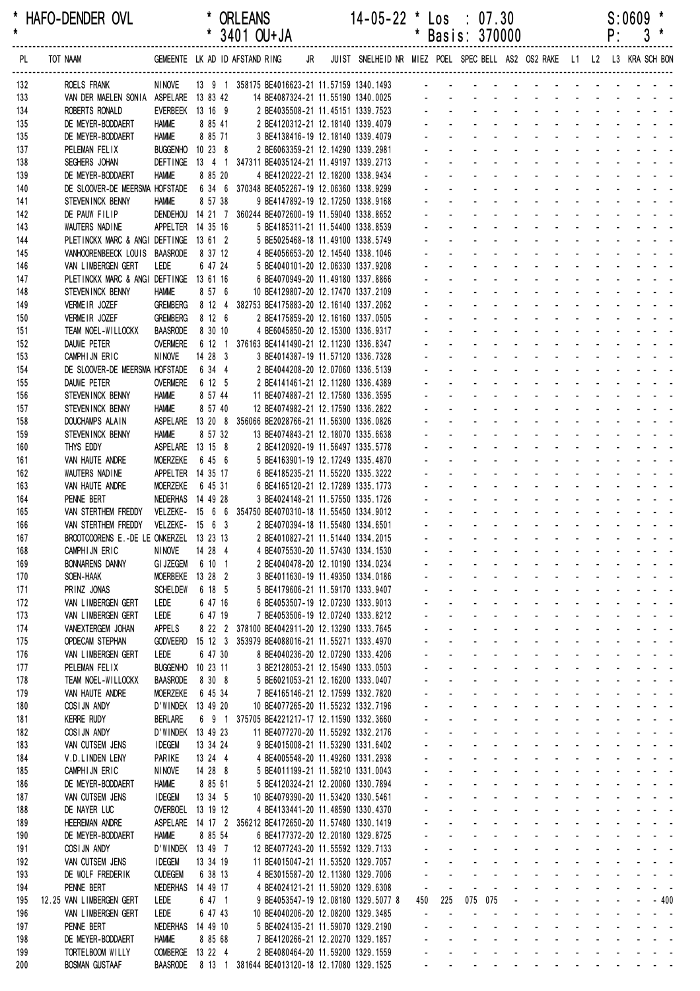| *<br>$\pmb{\star}$ | HAFO-DENDER OVL                                                                                                    |                                    |                     | * ORLEANS<br>$*$ 3401 OU+JA                                                                                                                                                            |  | $14 - 05 - 22$                      | $\ddot{\phantom{1}}$ |                                        | $\textsf{Los} \div 07.30$<br>* Basis: 370000                                                                                                                                                                                                                                                |  |                                                                                                                 |  | P: | $S:0609$ $*$ | $3*$ |
|--------------------|--------------------------------------------------------------------------------------------------------------------|------------------------------------|---------------------|----------------------------------------------------------------------------------------------------------------------------------------------------------------------------------------|--|-------------------------------------|----------------------|----------------------------------------|---------------------------------------------------------------------------------------------------------------------------------------------------------------------------------------------------------------------------------------------------------------------------------------------|--|-----------------------------------------------------------------------------------------------------------------|--|----|--------------|------|
| PL                 | TOT NAAM GEMEENTE LK AD ID AFSTAND RING JR JUIST SNELHEID NR MIEZ POEL SPEC BELL AS2 OS2 RAKE L1 L2 L3 KRA SCH BON |                                    |                     |                                                                                                                                                                                        |  |                                     |                      |                                        |                                                                                                                                                                                                                                                                                             |  |                                                                                                                 |  |    |              |      |
| 132                | ROELS FRANK                                                                                                        | <b>NINOVE</b>                      |                     |                                                                                                                                                                                        |  |                                     |                      |                                        |                                                                                                                                                                                                                                                                                             |  |                                                                                                                 |  |    |              |      |
| 133                | VAN DER MAELEN SONIA ASPELARE 13 83 42                                                                             |                                    |                     |                                                                                                                                                                                        |  |                                     |                      |                                        |                                                                                                                                                                                                                                                                                             |  |                                                                                                                 |  |    |              |      |
| 134<br>135         | ROBERTS RONALD<br>DE MEYER-BODDAERT                                                                                | EVERBEEK 13 16 9<br><b>HAMME</b>   | 8 85 41             | 14 BE4087324-21 11.55190 1340.0025<br>2 BE4035508-21 11.55190 1340.0025<br>2 BE4035508-21 11.45151 1339.7523<br>2 BE4120312-21 12.18140 1339.4079<br>2 BE4120312-21 12.18140 1339.4079 |  |                                     |                      |                                        |                                                                                                                                                                                                                                                                                             |  |                                                                                                                 |  |    |              |      |
| 135                | DE MEYER-BODDAERT                                                                                                  | <b>HAMME</b>                       | 8 85 71             | 3 BE4138416-19 12.18140 1339.4079                                                                                                                                                      |  |                                     |                      |                                        | and a strain and a strain and a strain                                                                                                                                                                                                                                                      |  |                                                                                                                 |  |    |              |      |
| 137                | PELEMAN FELIX                                                                                                      | BUGGENHO 10 23 8                   |                     | 2 BE6063359-21 12.14290 1339.2981                                                                                                                                                      |  |                                     |                      |                                        | and a series of the contract of the series                                                                                                                                                                                                                                                  |  |                                                                                                                 |  |    |              |      |
| 138                | SEGHERS JOHAN                                                                                                      |                                    |                     | DEFTINGE 13 4 1 347311 BE4035124-21 11.49197 1339.2713                                                                                                                                 |  |                                     |                      |                                        | and a series of the contract of the                                                                                                                                                                                                                                                         |  |                                                                                                                 |  |    |              |      |
| 139                | DE MEYER-BODDAERT                                                                                                  | <b>HAMME</b>                       | 8 85 20             | 4 BE4120222-21 12.18200 1338.9434                                                                                                                                                      |  |                                     |                      |                                        | and a construction of the construction of the construction of the construction of the construction of the construction of the construction of the construction of the construction of the construction of the construction of                                                               |  |                                                                                                                 |  |    |              |      |
| 140                | DE SLOOVER-DE MEERSMA HOFSTADE 6 34 6 370348 BE4052267-19 12.06360 1338.9299                                       |                                    |                     |                                                                                                                                                                                        |  |                                     |                      | $\mathcal{L}^{\text{max}}$             | a construction of the construction of the construction of the construction of the construction of the construction of the construction of the construction of the construction of the construction of the construction of the                                                               |  |                                                                                                                 |  |    |              |      |
| 141                | STEVENINCK BENNY                                                                                                   | <b>HAMME</b>                       | 8 57 38             | 9 BE4147892-19 12.17250 1338.9168                                                                                                                                                      |  |                                     |                      |                                        | and a straightful and a straight and<br>a construction of the construction of the construction of the construction of the construction of the construction of the construction of the construction of the construction of the construction of the construction of the                       |  |                                                                                                                 |  |    |              |      |
| 142<br>143         | DE PAUW FILIP<br>WAUTERS NADINE                                                                                    | APPELTER 14 35 16                  |                     | DENDEHOU 14 21 7 360244 BE4072600-19 11.59040 1338.8652<br>5 BE4185311-21 11.54400 1338.8539                                                                                           |  |                                     |                      |                                        | and a series of the contract of the series of                                                                                                                                                                                                                                               |  |                                                                                                                 |  |    |              |      |
| 144                | PLETINCKX MARC & ANGI DEFTINGE 13 61 2                                                                             |                                    |                     | 5 BE5025468-18 11.49100 1338.5749                                                                                                                                                      |  |                                     |                      |                                        | and a series of the contract of the series                                                                                                                                                                                                                                                  |  |                                                                                                                 |  |    |              |      |
| 145                | VANHOORENBEECK LOUIS BAASRODE                                                                                      |                                    | 8 37 12             | 4 BE4056653-20 12.14540 1338.1046                                                                                                                                                      |  |                                     |                      |                                        | and a straightful and a straight and                                                                                                                                                                                                                                                        |  |                                                                                                                 |  |    |              |      |
| 146                | VAN LIMBERGEN GERT                                                                                                 | LEDE                               | 6 47 24             | 5 BE4040101-20 12.06330 1337.9208                                                                                                                                                      |  |                                     |                      |                                        | <u>.</u>                                                                                                                                                                                                                                                                                    |  |                                                                                                                 |  |    |              |      |
| 147                | PLETINCKX MARC & ANGI DEFTINGE 13 61 16                                                                            |                                    |                     | 6 BE4070949-20 11.49180 1337.8866                                                                                                                                                      |  |                                     |                      |                                        | $\Delta \sim 10^{-11}$                                                                                                                                                                                                                                                                      |  | and a state of the state of the state                                                                           |  |    |              |      |
| 148                | STEVENINCK BENNY                                                                                                   | <b>HAMME</b>                       | 8 57 6              | 10 BE4129807-20 12.17470 1337.2109                                                                                                                                                     |  |                                     |                      |                                        |                                                                                                                                                                                                                                                                                             |  | and a state of the state of the state                                                                           |  |    |              |      |
| 149                | VERMEIR JOZEF                                                                                                      | <b>GREMBERG</b>                    |                     | 8 12 4 382753 BE4175883-20 12.16140 1337.2062                                                                                                                                          |  |                                     |                      |                                        | and a series of the contract of the series<br>and a series of the contract of the series                                                                                                                                                                                                    |  |                                                                                                                 |  |    |              |      |
| 150<br>151         | VERMEIR JOZEF<br>TEAM NOEL-WILLOCKX                                                                                | <b>GREMBERG</b><br><b>BAASRODE</b> | 8 12 6<br>8 30 10   | 2 BE4175859-20 12.16160 1337.0505<br>4 BE6045850-20 12.15300 1336.9317                                                                                                                 |  |                                     |                      |                                        | a construction of the construction of the construction of the construction of the construction of the construction of the construction of the construction of the construction of the construction of the construction of the                                                               |  |                                                                                                                 |  |    |              |      |
| 152                | DAUWE PETER                                                                                                        | <b>OVERMERE</b>                    |                     | 6 12 1 376163 BE4141490-21 12.11230 1336.8347                                                                                                                                          |  |                                     |                      |                                        | <u>.</u>                                                                                                                                                                                                                                                                                    |  |                                                                                                                 |  |    |              |      |
| 153                | CAMPHIJN ERIC                                                                                                      | <b>NINOVE</b>                      | 14 28 3             | 3 BE4014387-19 11.57120 1336.7328                                                                                                                                                      |  |                                     |                      | $\omega_{\rm{max}}$                    | $\mathbf{L}^{\text{max}}$                                                                                                                                                                                                                                                                   |  | <u>.</u>                                                                                                        |  |    |              |      |
| 154                | DE SLOOVER-DE MEERSMA HOFSTADE                                                                                     |                                    | 6 34 4              | 2 BE4044208-20 12.07060 1336.5139                                                                                                                                                      |  |                                     |                      |                                        | <u>.</u>                                                                                                                                                                                                                                                                                    |  |                                                                                                                 |  |    |              |      |
| 155                | DAUWE PETER                                                                                                        | <b>OVERMERE</b>                    | 6 12 5              | 2 BE4141461-21 12.11280 1336.4389                                                                                                                                                      |  |                                     |                      |                                        | and a series of the contract of the series of                                                                                                                                                                                                                                               |  |                                                                                                                 |  |    |              |      |
| 156                | STEVENINCK BENNY                                                                                                   | <b>HAMME</b>                       | 8 57 44             | 11 BE4074887-21 12.17580 1336.3595                                                                                                                                                     |  |                                     |                      |                                        | and a series of the contract of the series                                                                                                                                                                                                                                                  |  |                                                                                                                 |  |    |              |      |
| 157                | STEVENINCK BENNY                                                                                                   | <b>HAMME</b>                       | 8 57 40             | 12 BE4074982-21 12.17590 1336.2822                                                                                                                                                     |  |                                     |                      |                                        | and a straightful and a straight and                                                                                                                                                                                                                                                        |  |                                                                                                                 |  |    |              |      |
| 158                | DOUCHAMPS ALAIN                                                                                                    |                                    |                     | ASPELARE  13 20 8 356066 BE2028766-21 11.56300 1336.0826                                                                                                                               |  |                                     |                      |                                        | <u>.</u>                                                                                                                                                                                                                                                                                    |  | and the state of the state of the state of                                                                      |  |    |              |      |
| 159<br>160         | STEVENINCK BENNY<br>THYS EDDY                                                                                      | <b>HAMME</b><br>ASPELARE 13 15 8   | 8 57 32             | 13 BE4074843-21 12.18070 1335.6638<br>2 BE4120920-19 11.56497 1335.5778                                                                                                                |  |                                     |                      |                                        | <u>.</u>                                                                                                                                                                                                                                                                                    |  |                                                                                                                 |  |    |              |      |
| 161                | VAN HAUTE ANDRE                                                                                                    | <b>MOERZEKE</b>                    | 6 45 6              | 5 BE4163901-19 12.17249 1335.4870                                                                                                                                                      |  |                                     |                      |                                        | and a series of the contract of the series of                                                                                                                                                                                                                                               |  |                                                                                                                 |  |    |              |      |
| 162                | WAUTERS NADINE                                                                                                     | APPELTER 14 35 17                  |                     | 6 BE4185235-21 11.55220 1335.3222                                                                                                                                                      |  |                                     |                      |                                        | and a series of the contract of the series                                                                                                                                                                                                                                                  |  |                                                                                                                 |  |    |              |      |
| 163                | VAN HAUTE ANDRE                                                                                                    | <b>MOERZEKE</b>                    | 6 45 31             | 6 BE4165120-21 12.17289 1335.1773                                                                                                                                                      |  |                                     |                      |                                        | and a straightful and a straight and                                                                                                                                                                                                                                                        |  |                                                                                                                 |  |    |              |      |
| 164                | PENNE BERT                                                                                                         | NEDERHAS 14 49 28                  |                     | 3 BE4024148-21 11.57550 1335.1726                                                                                                                                                      |  |                                     |                      |                                        | <u>.</u>                                                                                                                                                                                                                                                                                    |  |                                                                                                                 |  |    |              |      |
| 165                | VAN STERTHEM FREDDY                                                                                                |                                    |                     | VELZEKE- 15 6 6 354750 BE4070310-18 11.55450 1334.9012                                                                                                                                 |  |                                     |                      | $\Delta \sim 10^{-11}$                 | $\mathcal{L}^{\text{max}}$                                                                                                                                                                                                                                                                  |  | de la provincia de la provincia de                                                                              |  |    |              |      |
| 166                | VAN STERTHEM FREDDY                                                                                                | VELZEKE- 15 6 3                    |                     | 2 BE4070394-18 11.55480 1334.6501                                                                                                                                                      |  |                                     |                      | $\Delta \sim 100$                      | $\Delta \sim 10^{-11}$                                                                                                                                                                                                                                                                      |  | and a state of the state of the state                                                                           |  |    |              |      |
| 167                | BROOTCOORENS E.-DE LE ONKERZEL 13 23 13 22 BE4010827-21 11.51440 1334.2015                                         |                                    | 14 28 4             |                                                                                                                                                                                        |  |                                     |                      |                                        | and the company of the company of the company of the company of the company of the company of the company of the company of the company of the company of the company of the company of the company of the company of the comp<br>المناصب والمتناول والمتناول والمتناول والمتناول والمتناول |  |                                                                                                                 |  |    |              |      |
| 168<br>169         | CAMPHIJN ERIC<br><b>BONNARENS DANNY</b>                                                                            | NINOVE<br>GIJZEGEM 6 10 1          |                     | 4 BE4075530-20 11.57430 1334.1530<br>2 BE4040478-20 12.10190 1334.0234                                                                                                                 |  |                                     |                      |                                        | المنافذ والمنافر والمنافر والمنافر والمنافر والمنافر                                                                                                                                                                                                                                        |  |                                                                                                                 |  |    |              |      |
| 170                | SOEN-HAAK                                                                                                          | <b>MOERBEKE</b>                    | 13 28 2             | 3 BE4011630-19 11.49350 1334.0186                                                                                                                                                      |  |                                     |                      |                                        | and a series of the contract of the series of                                                                                                                                                                                                                                               |  |                                                                                                                 |  |    |              |      |
| 171                | PRINZ JONAS                                                                                                        | <b>SCHELDEW</b>                    | 6 18 5              | 5 BE4179606-21 11.59170 1333.9407                                                                                                                                                      |  |                                     |                      |                                        | and a straightful and a straight and                                                                                                                                                                                                                                                        |  |                                                                                                                 |  |    |              |      |
| 172                | VAN LIMBERGEN GERT                                                                                                 | LEDE                               | 6 47 16             | 6 BE4053507-19 12.07230 1333.9013                                                                                                                                                      |  |                                     |                      |                                        | de la provincia de la provincia de la provincia de                                                                                                                                                                                                                                          |  |                                                                                                                 |  |    |              |      |
| 173                | VAN LIMBERGEN GERT                                                                                                 | LEDE                               | 6 47 19             | 7 BE4053506-19 12.07240 1333.8212                                                                                                                                                      |  |                                     |                      | $\omega_{\rm{max}}$                    | and a series of the contract of the series of                                                                                                                                                                                                                                               |  |                                                                                                                 |  |    |              |      |
| 174                | VANEXTERGEM JOHAN                                                                                                  | <b>APPELS</b>                      |                     | 8 22 2 378100 BE4042911-20 12.13290 1333.7645                                                                                                                                          |  |                                     |                      | $\omega_{\rm{max}}$                    | and a series of the contract of the series of                                                                                                                                                                                                                                               |  |                                                                                                                 |  |    |              |      |
| 175                | <b>OPDECAM STEPHAN</b>                                                                                             | <b>GODVEERD</b>                    |                     | 15 12 3 353979 BE4088016-21 11.55271 1333.4970                                                                                                                                         |  |                                     |                      |                                        | المنافذ والمنافي والمنافي والمنافي والمنافي والمنافي<br>and a series and a series and a series of                                                                                                                                                                                           |  |                                                                                                                 |  |    |              |      |
| 176<br>177         | VAN LIMBERGEN GERT<br>PELEMAN FELIX                                                                                | LEDE<br>BUGGENHO 10 23 11          | 6 47 30             | 8 BE4040236-20 12.07290 1333.4206<br>3 BE2128053-21 12.15490 1333.0503                                                                                                                 |  |                                     |                      |                                        | and a straightful and a straight and                                                                                                                                                                                                                                                        |  |                                                                                                                 |  |    |              |      |
| 178                | TEAM NOEL-WILLOCKX                                                                                                 | <b>BAASRODE</b>                    | 8 30 8              | 5 BE6021053-21 12.16200 1333.0407                                                                                                                                                      |  |                                     |                      |                                        | de la provincia de la provincia de la provincia de                                                                                                                                                                                                                                          |  |                                                                                                                 |  |    |              |      |
| 179                | VAN HAUTE ANDRE                                                                                                    | <b>MOERZEKE</b>                    | 6 45 34             | 7 BE4165146-21 12.17599 1332.7820                                                                                                                                                      |  |                                     |                      |                                        | فالقاط القاربة القاربة القاربة القاربة القاربة                                                                                                                                                                                                                                              |  |                                                                                                                 |  |    |              |      |
| 180                | COSIJN ANDY                                                                                                        | D'WINDEK 13 49 20                  |                     | 10 BE4077265-20 11.55232 1332.7196                                                                                                                                                     |  |                                     |                      | $\omega_{\rm{max}}$                    | المناطق والمناطق والمناطق والمناطق والمناطق                                                                                                                                                                                                                                                 |  |                                                                                                                 |  |    |              |      |
| 181                | <b>KERRE RUDY</b>                                                                                                  | <b>BERLARE</b>                     |                     | 6 9 1 375705 BE4221217-17 12.11590 1332.3660                                                                                                                                           |  |                                     |                      |                                        | المتعاطي والمتعاطي والمتعاط والمتعاط والمتعاط                                                                                                                                                                                                                                               |  |                                                                                                                 |  |    |              |      |
| 182                | COSIJN ANDY                                                                                                        | D'WINDEK 13 49 23                  |                     | 11 BE4077270-20 11.55292 1332.2176                                                                                                                                                     |  |                                     |                      |                                        | a construction of the construction of the construction of the construction of the construction of the construction of the construction of the construction of the construction of the construction of the construction of the                                                               |  |                                                                                                                 |  |    |              |      |
| 183                | VAN CUTSEM JENS                                                                                                    | <b>IDEGEM</b>                      | 13 34 24            | 9 BE4015008-21 11.53290 1331.6402                                                                                                                                                      |  |                                     |                      |                                        | a construction of the construction of the construction of the construction of the construction of the construction of the construction of the construction of the construction of the construction of the construction of the                                                               |  |                                                                                                                 |  |    |              |      |
| 184                | V.D.LINDEN LENY                                                                                                    | PARIKE                             | 13 24 4             | 4 BE4005548-20 11.49260 1331.2938                                                                                                                                                      |  |                                     |                      | $\omega_{\rm{max}}$                    | and a series and a series and a series<br>and a series of the contract of the series of                                                                                                                                                                                                     |  |                                                                                                                 |  |    |              |      |
| 185<br>186         | CAMPHIJN ERIC<br>DE MEYER-BODDAERT                                                                                 | <b>NINOVE</b><br><b>HAMME</b>      | 14 28 8<br>8 85 61  | 5 BE4011199-21 11.58210 1331.0043<br>5 BE4120324-21 12.20060 1330.7894                                                                                                                 |  |                                     |                      | $\omega_{\rm{max}}$                    | المناطق والمناطق والمناطق والمناطق والمناطق                                                                                                                                                                                                                                                 |  |                                                                                                                 |  |    |              |      |
| 187                | VAN CUTSEM JENS                                                                                                    | <b>IDEGEM</b>                      | 13 34 5             | 10 BE4079390-20 11.53420 1330.5461                                                                                                                                                     |  |                                     |                      |                                        | فالمنافذ والمنافر والمنافر والمنافر والمنافر                                                                                                                                                                                                                                                |  |                                                                                                                 |  |    |              |      |
| 188                | DE NAYER LUC                                                                                                       | OVERBOEL 13 19 12                  |                     | 4 BE4133441-20 11.48590 1330.4370                                                                                                                                                      |  |                                     |                      |                                        | and a series of the contract of the series of                                                                                                                                                                                                                                               |  |                                                                                                                 |  |    |              |      |
| 189                | <b>HEEREMAN ANDRE</b>                                                                                              |                                    |                     | ASPELARE 14 17 2 356212 BE4172650-20 11.57480 1330.1419                                                                                                                                |  |                                     |                      |                                        | and a construction of the construction                                                                                                                                                                                                                                                      |  |                                                                                                                 |  |    |              |      |
| 190                | DE MEYER-BODDAERT                                                                                                  | <b>HAMME</b>                       | 8 85 54             | 6 BE4177372-20 12.20180 1329.8725                                                                                                                                                      |  |                                     |                      |                                        | and a series of the contract of the series of                                                                                                                                                                                                                                               |  |                                                                                                                 |  |    |              |      |
| 191                | COSIJN ANDY                                                                                                        | D'WINDEK 13 49 7                   |                     | 12 BE4077243-20 11.55592 1329.7133                                                                                                                                                     |  |                                     |                      |                                        | فالقاط القاربة القاربة القاربة القاربة القاربة                                                                                                                                                                                                                                              |  |                                                                                                                 |  |    |              |      |
| 192                | VAN CUTSEM JENS                                                                                                    | <b>IDEGEM</b>                      | 13 34 19            | 11 BE4015047-21 11.53520 1329.7057                                                                                                                                                     |  |                                     |                      | $\omega_{\rm{max}}$                    | and a series of the contract of the series of                                                                                                                                                                                                                                               |  |                                                                                                                 |  |    |              |      |
| 193<br>194         | DE WOLF FREDERIK<br>PENNE BERT                                                                                     | <b>OUDEGEM</b><br>NEDERHAS         | 6 38 13<br>14 49 17 | 4 BE3015587-20 12.11380 1329.7006<br>4 BE4024121-21 11.59020 1329.6308                                                                                                                 |  |                                     | $\blacksquare$       | $\mathbf{z} = \mathbf{z}$              | والمتعاون والمتعاون والمتعاون والمتعاونات<br>÷.                                                                                                                                                                                                                                             |  | the contract of the contract of the contract of the contract of the contract of the contract of the contract of |  |    |              |      |
| 195                | 12.25 VAN LIMBERGEN GERT                                                                                           | LEDE                               | 6 47 1              |                                                                                                                                                                                        |  | 9 BE4053547-19 12.08180 1329.5077 8 |                      | 450 225                                | 075 075                                                                                                                                                                                                                                                                                     |  |                                                                                                                 |  |    |              |      |
| 196                | VAN LIMBERGEN GERT                                                                                                 | LEDE                               | 6 47 43             | 10 BE4040206-20 12.08200 1329.3485                                                                                                                                                     |  |                                     | $\Delta \sim 10^4$   | $\sim$                                 | ÷.                                                                                                                                                                                                                                                                                          |  | and the state of the state of the state of                                                                      |  |    |              |      |
| 197                | PENNE BERT                                                                                                         | NEDERHAS 14 49 10                  |                     | 5 BE4024135-21 11.59070 1329.2190                                                                                                                                                      |  |                                     |                      | $\Delta \sim 100$<br>$\Delta \sim 100$ |                                                                                                                                                                                                                                                                                             |  | <u>.</u>                                                                                                        |  |    |              |      |
| 198                | DE MEYER-BODDAERT                                                                                                  | <b>HAMME</b>                       | 8 85 68             | 7 BE4120266-21 12.20270 1329.1857                                                                                                                                                      |  |                                     |                      |                                        | and a series of the contract of the series of                                                                                                                                                                                                                                               |  |                                                                                                                 |  |    |              |      |
| 199                | TORTELBOOM WILLY                                                                                                   | OOMBERGE 13 22 4                   |                     | 2 BE4080464-20 11.59200 1329.1559                                                                                                                                                      |  |                                     |                      |                                        | فالمنافذ والمنافر والمنافر والمنافر والمنافر                                                                                                                                                                                                                                                |  |                                                                                                                 |  |    |              |      |
| 200                | <b>BOSMAN GUSTAAF</b>                                                                                              | <b>BAASRODE</b>                    |                     | 8 13 1 381644 BE4013120-18 12.17080 1329.1525                                                                                                                                          |  |                                     |                      |                                        | and the contract of the contract of the contract of                                                                                                                                                                                                                                         |  |                                                                                                                 |  |    |              |      |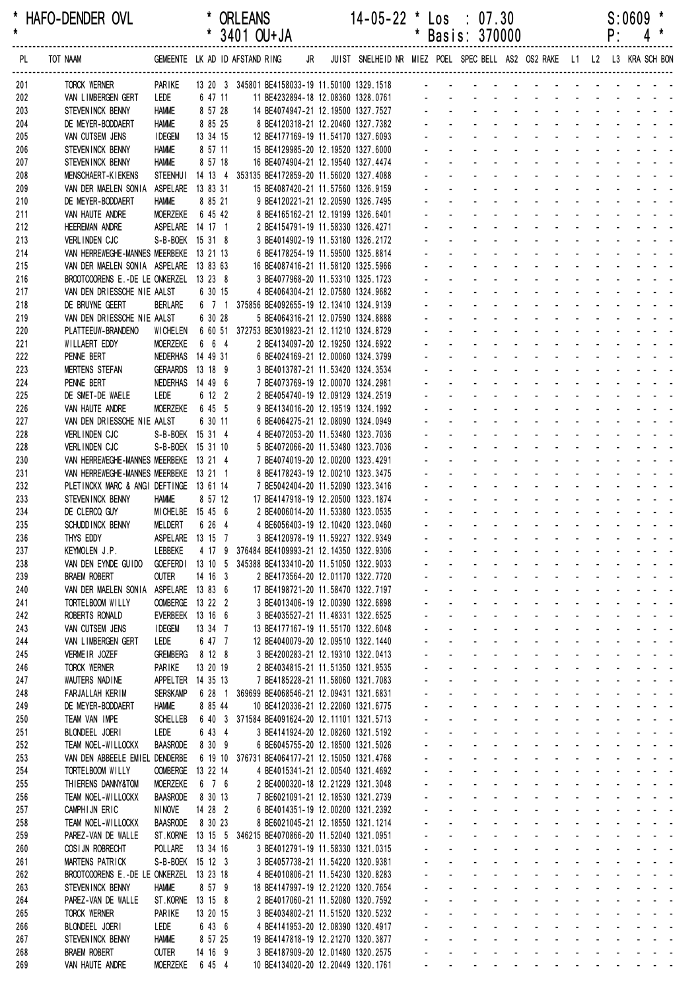| *<br>$\pmb{\star}$ | HAFO-DENDER OVL                                              |                                 |                               | * ORLEANS<br>$*$ 3401 OU+JA                                                                                                                             |  | $14 - 05 - 22$ * |                        | $\textsf{Los} \div 07.30$<br>* Basis: 370000                                                                                                                                                                                                                         |                                          |  |  | P: | S:0609 | *<br>$4 *$ |
|--------------------|--------------------------------------------------------------|---------------------------------|-------------------------------|---------------------------------------------------------------------------------------------------------------------------------------------------------|--|------------------|------------------------|----------------------------------------------------------------------------------------------------------------------------------------------------------------------------------------------------------------------------------------------------------------------|------------------------------------------|--|--|----|--------|------------|
| PL                 | TOT NAAM                                                     |                                 |                               | GEMEENTE LK AD ID AFSTAND RING JR JUIST SNELHEID NR MIEZ POEL SPEC BELL AS2 OS2 RAKE L1 L2 L3 KRA SCH BON                                               |  |                  |                        |                                                                                                                                                                                                                                                                      |                                          |  |  |    |        |            |
| 201                | TORCK WERNER                                                 | PARIKE                          |                               | 13 20 3 345801 BE4158033-19 11.50100 1329.1518 - - - - - - - - - - - - - - - - - -                                                                      |  |                  |                        |                                                                                                                                                                                                                                                                      |                                          |  |  |    |        |            |
| 202<br>203         | VAN LIMBERGEN GERT<br>STEVENINCK BENNY                       | Lede<br><b>HAMME</b>            | 6 47 11<br>8 57 28            |                                                                                                                                                         |  |                  |                        |                                                                                                                                                                                                                                                                      |                                          |  |  |    |        |            |
| 204                | DE MEYER-BODDAERT                                            | <b>HAMME</b>                    | 8 85 25                       | 11 BE4232894-18 12.08360 1328.0761<br>14 BE4074947-21 12.19500 1327.7527<br>8 BE4120318-21 12.20460 1327.7532<br>2<br>8 BE4120318-21 12.20460 1327.7382 |  |                  |                        |                                                                                                                                                                                                                                                                      |                                          |  |  |    |        |            |
| 205                | VAN CUTSEM JENS                                              | <b>IDEGEM</b>                   | 13 34 15                      | 12 BE4177169-19 11.54170 1327.6093                                                                                                                      |  |                  |                        | and the contract of the contract of the contract of the contract of the contract of the contract of the contract of the contract of the contract of the contract of the contract of the contract of the contract of the contra                                       |                                          |  |  |    |        |            |
| 206                | STEVENINCK BENNY                                             | <b>HAMME</b>                    | 8 57 11                       | 15 BE4129985-20 12.19520 1327.6000                                                                                                                      |  |                  |                        | and a straightful and a straight and                                                                                                                                                                                                                                 |                                          |  |  |    |        |            |
| 207                | STEVENINCK BENNY                                             | <b>HAMME</b>                    | 8 57 18                       | 16 BE4074904-21 12.19540 1327.4474                                                                                                                      |  |                  |                        | and a straightful and a straight and                                                                                                                                                                                                                                 |                                          |  |  |    |        |            |
| 208                | MENSCHAERT-KIEKENS                                           |                                 |                               | STEENHUI 14 13 4 353135 BE4172859-20 11.56020 1327.4088                                                                                                 |  |                  |                        | and a series of the contract of the series                                                                                                                                                                                                                           |                                          |  |  |    |        |            |
| 209                | VAN DER MAELEN SONIA ASPELARE 13 83 31                       |                                 |                               | 15 BE4087420-21 11.57560 1326.9159                                                                                                                      |  |                  |                        | and the state of the state of the state of<br>and a straightful and a straight and                                                                                                                                                                                   |                                          |  |  |    |        |            |
| 210<br>211         | DE MEYER-BODDAERT<br>VAN HAUTE ANDRE                         | <b>HAMME</b><br><b>MOERZEKE</b> | 8 85 21<br>6 45 42            | 9 BE4120221-21 12.20590 1326.7495<br>8 BE4165162-21 12.19199 1326.6401                                                                                  |  |                  |                        | and a series of the contract of the series of                                                                                                                                                                                                                        |                                          |  |  |    |        |            |
| 212                | <b>HEEREMAN ANDRE</b>                                        |                                 | ASPELARE 14 17 1              | 2 BE4154791-19 11.58330 1326.4271                                                                                                                       |  |                  |                        |                                                                                                                                                                                                                                                                      | design and a state of the state of the   |  |  |    |        |            |
| 213                | VERLINDEN CJC                                                |                                 | S-B-BOEK 15 31 8              | 3 BE4014902-19 11.53180 1326.2172                                                                                                                       |  |                  |                        | and a series of the contract of the                                                                                                                                                                                                                                  |                                          |  |  |    |        |            |
| 214                | VAN HERREWEGHE-MANNES MEERBEKE 13 21 13                      |                                 |                               | 6 BE4178254-19 11.59500 1325.8814                                                                                                                       |  |                  |                        | and a straightful and a straight and                                                                                                                                                                                                                                 |                                          |  |  |    |        |            |
| 215                | VAN DER MAELEN SONIA ASPELARE 13 83 63                       |                                 |                               | 16 BE4087416-21 11.58120 1325.5966                                                                                                                      |  |                  |                        | <u>.</u>                                                                                                                                                                                                                                                             |                                          |  |  |    |        |            |
| 216                | BROOTCOORENS E.-DE LE ONKERZEL 13 23 8                       |                                 |                               | 3 BE4077968-20 11.53310 1325.1723                                                                                                                       |  |                  |                        | and a straightful and a straight and a<br>and a straightful and a straight and                                                                                                                                                                                       |                                          |  |  |    |        |            |
| 217<br>218         | VAN DEN DRIESSCHE NIE AALST<br>DE BRUYNE GEERT               | <b>BERLARE</b>                  | 6 30 15                       | 4 BE4064304-21 12.07580 1324.9682<br>6 7 1 375856 BE4092655-19 12.13410 1324.9139                                                                       |  |                  |                        | and a series of the contract of the series of                                                                                                                                                                                                                        |                                          |  |  |    |        |            |
| 219                | VAN DEN DRIESSCHE NIE AALST                                  |                                 | 6 30 28                       | 5 BE4064316-21 12.07590 1324.8888                                                                                                                       |  |                  |                        | and a series of the contract of the series                                                                                                                                                                                                                           |                                          |  |  |    |        |            |
| 220                | PLATTEEUW-BRANDENO                                           | WICHELEN                        |                               | 6 60 51 372753 BE3019823-21 12.11210 1324.8729                                                                                                          |  |                  |                        | and a construction of the construction of                                                                                                                                                                                                                            |                                          |  |  |    |        |            |
| 221                | WILLAERT EDDY                                                | <b>MOERZEKE</b>                 | 6 6 4                         | 2 BE4134097-20 12.19250 1324.6922                                                                                                                       |  |                  |                        | design and the state of the state of the                                                                                                                                                                                                                             |                                          |  |  |    |        |            |
| 222                | PENNE BERT                                                   |                                 | NEDERHAS 14 49 31             | 6 BE4024169-21 12.00060 1324.3799                                                                                                                       |  |                  | $\omega_{\rm{max}}$    | and a straightful and a straight and a                                                                                                                                                                                                                               |                                          |  |  |    |        |            |
| 223                | <b>MERTENS STEFAN</b>                                        |                                 | GERAARDS 13 18 9              | 3 BE4013787-21 11.53420 1324.3534                                                                                                                       |  |                  |                        | and a straightful and a straight and                                                                                                                                                                                                                                 |                                          |  |  |    |        |            |
| 224                | PENNE BERT                                                   |                                 | NEDERHAS 14 49 6              | 7 BE4073769-19 12.00070 1324.2981                                                                                                                       |  |                  |                        | and a series of the contract of the series                                                                                                                                                                                                                           | and a state of the state of the state of |  |  |    |        |            |
| 225<br>226         | DE SMET-DE WAELE<br>VAN HAUTE ANDRE                          | LEDE<br><b>MOERZEKE</b>         | 6 12 2<br>6 45 5              | 2 BE4054740-19 12.09129 1324.2519<br>9 BE4134016-20 12.19519 1324.1992                                                                                  |  |                  |                        | and a straightful and a straight and                                                                                                                                                                                                                                 |                                          |  |  |    |        |            |
| 227                | VAN DEN DRIESSCHE NIE AALST                                  |                                 | 6 30 11                       | 6 BE4064275-21 12.08090 1324.0949                                                                                                                       |  |                  |                        | a construction of the construction of the construction of the construction of the construction of the construction of the construction of the construction of the construction of the construction of the construction of the                                        |                                          |  |  |    |        |            |
| 228                | VERLINDEN CJC                                                |                                 | S-B-BOEK 15 31 4              | 4 BE4072053-20 11.53480 1323.7036                                                                                                                       |  |                  |                        |                                                                                                                                                                                                                                                                      | de la provincia de la provincia de       |  |  |    |        |            |
| 228                | <b>VERLINDEN CJC</b>                                         |                                 | S-B-BOEK 15 31 10             | 5 BE4072066-20 11.53480 1323.7036                                                                                                                       |  |                  |                        |                                                                                                                                                                                                                                                                      | design and a state of the state of       |  |  |    |        |            |
| 230                | VAN HERREWEGHE-MANNES MEERBEKE 13 21 4                       |                                 |                               | 7 BE4074019-20 12.00200 1323.4291                                                                                                                       |  |                  |                        | and a series of the series of the series of                                                                                                                                                                                                                          |                                          |  |  |    |        |            |
| 231                | VAN HERREWEGHE-MANNES MEERBEKE 13 21 1                       |                                 |                               | 8 BE4178243-19 12.00210 1323.3475                                                                                                                       |  |                  |                        | and a series of the contract of the<br>a construction of the construction of the construction of the construction of the construction of the construction of the construction of the construction of the construction of the construction of the construction of the |                                          |  |  |    |        |            |
| 232<br>233         | PLETINCKX MARC & ANGI DEFTINGE 13 61 14<br>STEVENINCK BENNY  | <b>HAMME</b>                    | 8 57 12                       | 7 BE5042404-20 11.52090 1323.3416<br>17 BE4147918-19 12.20500 1323.1874                                                                                 |  |                  |                        | <u>.</u>                                                                                                                                                                                                                                                             |                                          |  |  |    |        |            |
| 234                | DE CLERCQ GUY                                                |                                 | MICHELBE 15 45 6              | 2 BE4006014-20 11.53380 1323.0535                                                                                                                       |  |                  |                        | de la provincia de la provincia de la provincia de                                                                                                                                                                                                                   |                                          |  |  |    |        |            |
| 235                | SCHUDD INCK BENNY                                            | MELDERT                         | 6 26 4                        | 4 BE6056403-19 12.10420 1323.0460                                                                                                                       |  |                  | $\Delta \sim 10^{-11}$ | and a straightful and a straight and                                                                                                                                                                                                                                 |                                          |  |  |    |        |            |
| 236                | THYS EDDY                                                    |                                 | ASPELARE 13 15 7              | 3 BE4120978-19 11.59227 1322.9349                                                                                                                       |  |                  |                        |                                                                                                                                                                                                                                                                      |                                          |  |  |    |        |            |
| 237                | KEYMOLEN J.P.                                                | LEBBEKE                         |                               | 4 17 9 376484 BE4109993-21 12.14350 1322.9306                                                                                                           |  |                  |                        | والمناور والمناور والمناور والمناور والمناور والمناور                                                                                                                                                                                                                |                                          |  |  |    |        |            |
| 238                | VAN DEN EYNDE GUIDO                                          |                                 |                               | GOEFERD1 13 10 5 345388 BE4133410-20 11.51050 1322.9033                                                                                                 |  |                  |                        | a construction of the construction of the construction of the construction of the construction of the construction of the construction of the construction of the construction of the construction of the construction of the                                        | and a state of the state of the state    |  |  |    |        |            |
| 239<br>240         | <b>BRAEM ROBERT</b><br>VAN DER MAELEN SONIA ASPELARE 13 83 6 | <b>OUTER</b>                    | 14 16 3                       | 2 BE4173564-20 12.01170 1322.7720<br>17 BE4198721-20 11.58470 1322.7197                                                                                 |  |                  | $\Delta \sim 100$      | $\Delta \sim 100$<br>a na manana na kanana na kara                                                                                                                                                                                                                   |                                          |  |  |    |        |            |
| 241                | TORTELBOOM WILLY                                             |                                 | OOMBERGE 13 22 2              | 3 BE4013406-19 12.00390 1322.6898                                                                                                                       |  |                  |                        | <u>.</u>                                                                                                                                                                                                                                                             |                                          |  |  |    |        |            |
| 242                | ROBERTS RONALD                                               |                                 | EVERBEEK 13 16 6              | 3 BE4035527-21 11.48331 1322.6525                                                                                                                       |  |                  | $\omega_{\rm{max}}$    | $\Delta \sim 100$                                                                                                                                                                                                                                                    | and a state of the state of the state of |  |  |    |        |            |
| 243                | VAN CUTSEM JENS                                              | <b>IDEGEM</b>                   | 13 34 7                       | 13 BE4177167-19 11.55170 1322.6048                                                                                                                      |  |                  | $\omega_{\rm{max}}$    | $\Delta \sim 100$                                                                                                                                                                                                                                                    | فالقائق والقاربة القاربة القاربة القاربة |  |  |    |        |            |
| 244                | VAN LIMBERGEN GERT                                           | LEDE                            | 6 47 7                        | 12 BE4040079-20 12.09510 1322.1440                                                                                                                      |  |                  | $\omega_{\rm{max}}$    | and a series of the contract of the series of                                                                                                                                                                                                                        |                                          |  |  |    |        |            |
| 245                | VERMEIR JOZEF                                                | <b>GREMBERG</b>                 | 8 12 8                        | 3 BE4200283-21 12.19310 1322.0413                                                                                                                       |  |                  | $\Delta \sim 100$      | and a strain and a strain and a strain a                                                                                                                                                                                                                             |                                          |  |  |    |        |            |
| 246                | TORCK WERNER<br>WAUTERS NADINE                               | PARIKE                          | 13 20 19<br>APPELTER 14 35 13 | 2 BE4034815-21 11.51350 1321.9535                                                                                                                       |  |                  |                        | and a series and a series and a series<br>and a series and a series and a series of                                                                                                                                                                                  |                                          |  |  |    |        |            |
| 247<br>248         | FARJALLAH KERIM                                              | <b>SERSKAMP</b>                 |                               | 7 BE4185228-21 11.58060 1321.7083<br>6 28 1 369699 BE4068546-21 12.09431 1321.6831                                                                      |  |                  |                        | المتعاطف والمستحدث والمستحدث والمستحدث والمستحدث                                                                                                                                                                                                                     |                                          |  |  |    |        |            |
| 249                | DE MEYER-BODDAERT                                            | <b>HAMME</b>                    | 8 85 44                       | 10 BE4120336-21 12.22060 1321.6775                                                                                                                      |  |                  |                        | المناطق والمناطق والمناطق والمناطق والمناطق                                                                                                                                                                                                                          |                                          |  |  |    |        |            |
| 250                | TEAM VAN IMPE                                                | <b>SCHELLEB</b>                 |                               | 6 40 3 371584 BE4091624-20 12.11101 1321.5713                                                                                                           |  |                  |                        | and a series of the contract of the series of                                                                                                                                                                                                                        |                                          |  |  |    |        |            |
| 251                | BLONDEEL JOERI                                               | LEDE                            | 6 43 4                        | 3 BE4141924-20 12.08260 1321.5192                                                                                                                       |  |                  |                        | and a series and a series and a series                                                                                                                                                                                                                               |                                          |  |  |    |        |            |
| 252                | TEAM NOEL-WILLOCKX                                           | <b>BAASRODE</b>                 | 8 30 9                        | 6 BE6045755-20 12.18500 1321.5026                                                                                                                       |  |                  |                        | a construction of the construction of the construction of the construction of the construction of the construction of the construction of the construction of the construction of the construction of the construction of the                                        |                                          |  |  |    |        |            |
| 253                | VAN DEN ABBEELE EMIEL DENDERBE<br>TORTELBOOM WILLY           |                                 |                               | 6 19 10 376731 BE4064177-21 12.15050 1321.4768                                                                                                          |  |                  |                        | and a series and a series and a series<br>and a series of the contract of the series of                                                                                                                                                                              |                                          |  |  |    |        |            |
| 254<br>255         | THIERENS DANNY&TOM                                           | <b>MOERZEKE</b>                 | OOMBERGE 13 22 14<br>6 7 6    | 4 BE4015341-21 12.00540 1321.4692<br>2 BE4000320-18 12.21229 1321.3048                                                                                  |  |                  |                        | فالقاط القارف القارف القارف القارف القاربة                                                                                                                                                                                                                           |                                          |  |  |    |        |            |
| 256                | TEAM NOEL-WILLOCKX                                           | <b>BAASRODE</b>                 | 8 30 13                       | 7 BE6021091-21 12.18530 1321.2739                                                                                                                       |  |                  |                        | and a series of the series of the series of the                                                                                                                                                                                                                      |                                          |  |  |    |        |            |
| 257                | CAMPHIJN ERIC                                                | NINOVE                          | 14 28 2                       | 6 BE4014351-19 12.00200 1321.2392                                                                                                                       |  |                  |                        | and a series of the contract of the series of                                                                                                                                                                                                                        |                                          |  |  |    |        |            |
| 258                | TEAM NOEL-WILLOCKX                                           | <b>BAASRODE</b>                 | 8 30 23                       | 8 BE6021045-21 12.18550 1321.1214                                                                                                                       |  |                  |                        | and a series of the contract of the series of                                                                                                                                                                                                                        |                                          |  |  |    |        |            |
| 259                | PAREZ-VAN DE WALLE                                           |                                 |                               | ST.KORNE 13 15 5 346215 BE4070866-20 11.52040 1321.0951                                                                                                 |  |                  |                        | and a series and a series and a series of                                                                                                                                                                                                                            |                                          |  |  |    |        |            |
| 260                | COSI JN ROBRECHT                                             | POLLARE                         | 13 34 16                      | 3 BE4012791-19 11.58330 1321.0315                                                                                                                       |  |                  |                        | and a series of the contract of the contract of<br>فالمنافذ والمنافر والمنافر والمنافر والمنافر                                                                                                                                                                      |                                          |  |  |    |        |            |
| 261<br>262         | MARTENS PATRICK<br>BROOTCOORENS E.-DE LE ONKERZEL 13 23 18   |                                 | S-B-BOEK 15 12 3              | 3 BE4057738-21 11.54220 1320.9381<br>4 BE4010806-21 11.54230 1320.8283                                                                                  |  |                  |                        | and a series of the contract of the series of                                                                                                                                                                                                                        |                                          |  |  |    |        |            |
| 263                | STEVEN INCK BENNY                                            | <b>HAMME</b>                    | 8 57 9                        | 18 BE4147997-19 12.21220 1320.7654                                                                                                                      |  |                  |                        | and a series and a series and a series                                                                                                                                                                                                                               |                                          |  |  |    |        |            |
| 264                | PAREZ-VAN DE WALLE                                           |                                 | ST.KORNE 13 15 8              | 2 BE4017060-21 11.52080 1320.7592                                                                                                                       |  |                  |                        | and a series and a series and a series                                                                                                                                                                                                                               |                                          |  |  |    |        |            |
| 265                | TORCK WERNER                                                 | PARIKE                          | 13 20 15                      | 3 BE4034802-21 11.51520 1320.5232                                                                                                                       |  |                  |                        | and a series and a series and a series                                                                                                                                                                                                                               |                                          |  |  |    |        |            |
| 266                | BLONDEEL JOERI                                               | LEDE                            | 6 43 6                        | 4 BE4141953-20 12.08390 1320.4917                                                                                                                       |  |                  |                        | and a series of the contract of the series of                                                                                                                                                                                                                        |                                          |  |  |    |        |            |
| 267                | STEVEN INCK BENNY                                            | <b>HAMME</b>                    | 8 57 25                       | 19 BE4147818-19 12.21270 1320.3877                                                                                                                      |  |                  |                        | فالمستحيل والمستحدث والمستحدث والمستحدث والمستحدث<br>فالقائم والمنافر والمنافر والمراقب والمراقب والمنافر                                                                                                                                                            |                                          |  |  |    |        |            |
| 268<br>269         | <b>BRAEM ROBERT</b><br>VAN HAUTE ANDRE                       | <b>OUTER</b><br><b>MOERZEKE</b> | 14 16 9<br>6 45 4             | 3 BE4187909-20 12.01480 1320.2575<br>10 BE4134020-20 12.20449 1320.1761                                                                                 |  |                  |                        | and the contract of the contract of the contract of                                                                                                                                                                                                                  |                                          |  |  |    |        |            |
|                    |                                                              |                                 |                               |                                                                                                                                                         |  |                  |                        |                                                                                                                                                                                                                                                                      |                                          |  |  |    |        |            |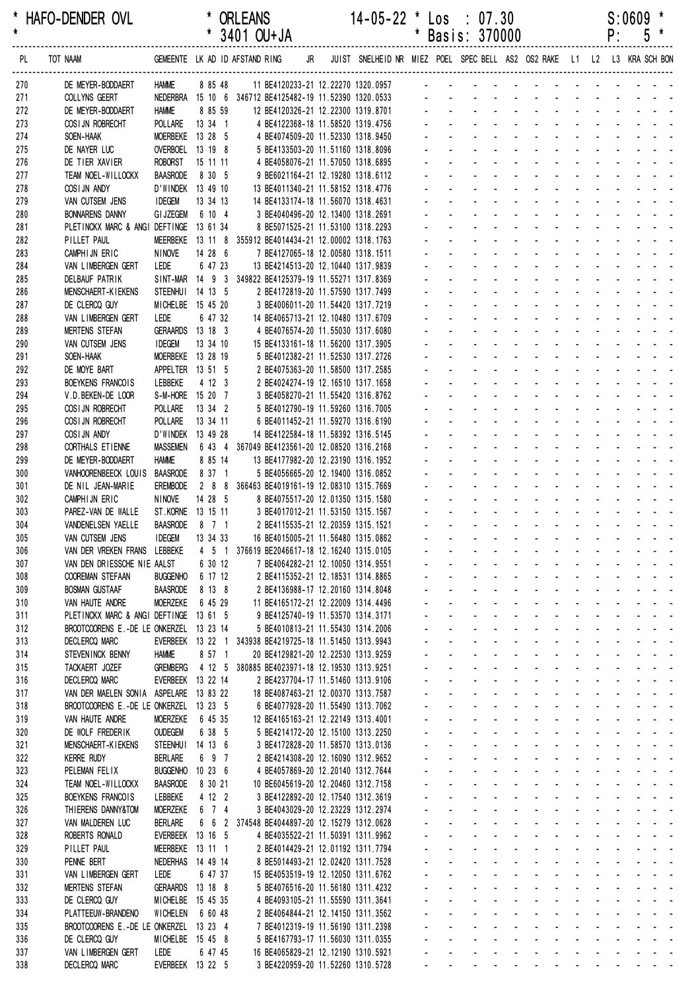| *<br>$\star$ | HAFO-DENDER OVL                                           |                                    |         |                   | <b>ORLEANS</b><br>3401 OU+JA |                                                                                              |  | $14 - 05 - 22$ * Los : 07.30                             |                     | Basis: 370000        |                                                   |                                                          |                                                                      |                                            |                                             |                                                                 |                              | P:                          | S:0609<br>5                                                                                                           |                                                                                                   |
|--------------|-----------------------------------------------------------|------------------------------------|---------|-------------------|------------------------------|----------------------------------------------------------------------------------------------|--|----------------------------------------------------------|---------------------|----------------------|---------------------------------------------------|----------------------------------------------------------|----------------------------------------------------------------------|--------------------------------------------|---------------------------------------------|-----------------------------------------------------------------|------------------------------|-----------------------------|-----------------------------------------------------------------------------------------------------------------------|---------------------------------------------------------------------------------------------------|
| PL.          | TOT NAAM                                                  | GEMEENTE LK AD ID AFSTAND RING     |         |                   |                              | JR                                                                                           |  | JUIST SNELHEID NR MIEZ POEL SPEC BELL AS2 OS2 RAKE L1 L2 |                     |                      |                                                   |                                                          |                                                                      |                                            |                                             |                                                                 |                              |                             | L3 KRA SCH BON                                                                                                        |                                                                                                   |
| 270          | DE MEYER-BODDAERT                                         | <b>HAMME</b>                       |         | 8 85 48           |                              | 11 BE4120233-21 12.22270 1320.0957                                                           |  |                                                          |                     |                      |                                                   |                                                          |                                                                      |                                            |                                             |                                                                 |                              |                             |                                                                                                                       |                                                                                                   |
| 271          | COLLYNS GEERT                                             |                                    |         |                   |                              | NEDERBRA 15 10 6 346712 BE4125482-19 11.52390 1320.0533                                      |  |                                                          |                     |                      |                                                   |                                                          |                                                                      |                                            |                                             |                                                                 |                              |                             |                                                                                                                       |                                                                                                   |
| 272          | DE MEYER-BODDAERT                                         | <b>HAMME</b>                       |         | 8 85 59           |                              | 12 BE4120326-21 12.22300 1319.8701                                                           |  |                                                          |                     |                      |                                                   |                                                          |                                                                      |                                            |                                             |                                                                 |                              |                             |                                                                                                                       |                                                                                                   |
| 273<br>274   | COSI JN ROBRECHT<br>SOEN-HAAK                             | POLLARE<br>MOERBEKE 13 28 5        |         | 13 34 1           |                              | 4 BE4122368-18 11.58520 1319.4756<br>4 BE4074509-20 11.52330 1318.9450                       |  |                                                          |                     |                      |                                                   |                                                          |                                                                      |                                            |                                             |                                                                 |                              |                             |                                                                                                                       |                                                                                                   |
| 275          | DE NAYER LUC                                              | OVERBOEL 13 19 8                   |         |                   |                              | 5 BE4133503-20 11.51160 1318.8096                                                            |  |                                                          |                     |                      |                                                   |                                                          |                                                                      |                                            |                                             |                                                                 |                              |                             |                                                                                                                       |                                                                                                   |
| 276          | DE TIER XAVIER                                            | <b>ROBORST</b>                     |         | 15 11 11          |                              | 4 BE4058076-21 11.57050 1318.6895                                                            |  |                                                          |                     |                      |                                                   |                                                          |                                                                      |                                            |                                             |                                                                 |                              |                             |                                                                                                                       |                                                                                                   |
| 277          | TEAM NOEL-WILLOCKX                                        | <b>BAASRODE</b>                    |         | 8 30 5            |                              | 9 BE6021164-21 12.19280 1318.6112                                                            |  |                                                          |                     |                      |                                                   |                                                          |                                                                      |                                            |                                             |                                                                 |                              |                             |                                                                                                                       |                                                                                                   |
| 278          | COSIJN ANDY                                               | D'WINDEK 13 49 10                  |         |                   |                              | 13 BE4011340-21 11.58152 1318.4776                                                           |  |                                                          |                     |                      |                                                   |                                                          |                                                                      |                                            |                                             |                                                                 |                              |                             |                                                                                                                       |                                                                                                   |
| 279          | VAN CUTSEM JENS                                           | <b>IDEGEM</b>                      |         | 13 34 13          |                              | 14 BE4133174-18 11.56070 1318.4631                                                           |  |                                                          |                     |                      |                                                   |                                                          |                                                                      |                                            |                                             |                                                                 |                              |                             |                                                                                                                       |                                                                                                   |
| 280          | <b>BONNARENS DANNY</b>                                    | <b>GI JZEGEM</b>                   |         | 6 10 4            |                              | 3 BE4040496-20 12.13400 1318.2691                                                            |  |                                                          |                     |                      |                                                   |                                                          |                                                                      |                                            |                                             |                                                                 |                              |                             |                                                                                                                       |                                                                                                   |
| 281          | PLETINCKX MARC & ANGI DEFTINGE 13 61 34                   |                                    |         |                   |                              | 8 BE5071525-21 11.53100 1318.2293                                                            |  |                                                          |                     |                      |                                                   |                                                          |                                                                      |                                            |                                             |                                                                 |                              |                             |                                                                                                                       |                                                                                                   |
| 282<br>283   | PILLET PAUL<br>CAMPHIJN ERIC                              | <b>NINOVE</b>                      |         | 14 28 6           |                              | MEERBEKE 13 11 8 355912 BE4014434-21 12.00002 1318.1763<br>7 BE4127065-18 12.00580 1318.1511 |  |                                                          |                     |                      |                                                   |                                                          |                                                                      |                                            |                                             |                                                                 |                              |                             |                                                                                                                       |                                                                                                   |
| 284          | VAN LIMBERGEN GERT                                        | LEDE                               |         | 6 47 23           |                              | 13 BE4214513-20 12.10440 1317.9839                                                           |  |                                                          |                     |                      |                                                   |                                                          |                                                                      |                                            |                                             |                                                                 |                              |                             |                                                                                                                       |                                                                                                   |
| 285          | <b>DELBAUF PATRIK</b>                                     |                                    |         |                   |                              | SINT-MAR 14 9 3 349822 BE4125379-19 11.55271 1317.8369                                       |  |                                                          |                     |                      |                                                   |                                                          |                                                                      |                                            |                                             |                                                                 |                              |                             |                                                                                                                       |                                                                                                   |
| 286          | <b>MENSCHAERT-KIEKENS</b>                                 | STEENHUI 14 13 5                   |         |                   |                              | 2 BE4172819-20 11.57590 1317.7499                                                            |  |                                                          |                     |                      |                                                   |                                                          |                                                                      |                                            |                                             |                                                                 |                              |                             |                                                                                                                       |                                                                                                   |
| 287          | DE CLERCQ GUY                                             | MICHELBE 15 45 20                  |         |                   |                              | 3 BE4006011-20 11.54420 1317.7219                                                            |  |                                                          |                     |                      |                                                   |                                                          |                                                                      |                                            |                                             |                                                                 |                              |                             |                                                                                                                       |                                                                                                   |
| 288          | VAN LIMBERGEN GERT                                        | LEDE                               |         | 6 47 32           |                              | 14 BE4065713-21 12.10480 1317.6709                                                           |  |                                                          |                     |                      |                                                   |                                                          |                                                                      |                                            |                                             |                                                                 |                              |                             |                                                                                                                       |                                                                                                   |
| 289          | <b>MERTENS STEFAN</b>                                     | <b>GERAARDS</b>                    | 13 18 3 |                   |                              | 4 BE4076574-20 11.55030 1317.6080                                                            |  |                                                          |                     |                      |                                                   |                                                          |                                                                      |                                            |                                             |                                                                 |                              |                             |                                                                                                                       |                                                                                                   |
| 290          | VAN CUTSEM JENS                                           | <b>IDEGEM</b>                      |         | 13 34 10          |                              | 15 BE4133161-18 11.56200 1317.3905                                                           |  |                                                          |                     |                      |                                                   |                                                          |                                                                      |                                            |                                             |                                                                 |                              |                             |                                                                                                                       |                                                                                                   |
| 291          | SOEN-HAAK                                                 | MOERBEKE 13 28 19                  |         |                   |                              | 5 BE4012382-21 11.52530 1317.2726                                                            |  |                                                          |                     |                      |                                                   |                                                          |                                                                      |                                            |                                             |                                                                 |                              |                             |                                                                                                                       |                                                                                                   |
| 292<br>293   | DE MOYE BART<br>BOEYKENS FRANCOIS                         | APPELTER 13 51 5<br>LEBBEKE        |         | 4 12 3            |                              | 2 BE4075363-20 11.58500 1317.2585<br>2 BE4024274-19 12.16510 1317.1658                       |  |                                                          |                     |                      |                                                   |                                                          |                                                                      |                                            |                                             |                                                                 |                              |                             |                                                                                                                       |                                                                                                   |
| 294          | V.D. BEKEN-DE LOOR                                        | S-M-HORE 15 20 7                   |         |                   |                              | 3 BE4058270-21 11.55420 1316.8762                                                            |  |                                                          |                     |                      |                                                   |                                                          |                                                                      |                                            |                                             |                                                                 |                              |                             |                                                                                                                       |                                                                                                   |
| 295          | COSI JN ROBRECHT                                          | POLLARE                            |         | 13 34 2           |                              | 5 BE4012790-19 11.59260 1316.7005                                                            |  |                                                          |                     |                      |                                                   |                                                          |                                                                      |                                            |                                             |                                                                 |                              |                             |                                                                                                                       |                                                                                                   |
| 296          | COSI JN ROBRECHT                                          | <b>POLLARE</b>                     |         | 13 34 11          |                              | 6 BE4011452-21 11.59270 1316.6190                                                            |  |                                                          |                     |                      |                                                   |                                                          |                                                                      |                                            |                                             |                                                                 |                              |                             |                                                                                                                       |                                                                                                   |
| 297          | COSIJN ANDY                                               | D'WINDEK 13 49 28                  |         |                   |                              | 14 BE4122584-18 11.58392 1316.5145                                                           |  |                                                          |                     |                      |                                                   |                                                          |                                                                      |                                            |                                             |                                                                 |                              |                             |                                                                                                                       |                                                                                                   |
| 298          | CORTHALS ETIENNE                                          | <b>MASSEMEN</b>                    |         | 6 43 4            |                              | 367049 BE4123561-20 12.08520 1316.2168                                                       |  |                                                          |                     |                      |                                                   |                                                          |                                                                      |                                            |                                             |                                                                 |                              |                             |                                                                                                                       |                                                                                                   |
| 299          | DE MEYER-BODDAERT                                         | <b>HAMME</b>                       |         | 8 85 14           |                              | 13 BE4177982-20 12.23190 1316.1952                                                           |  |                                                          |                     |                      |                                                   |                                                          |                                                                      |                                            |                                             |                                                                 |                              |                             |                                                                                                                       |                                                                                                   |
| 300          | VANHOORENBEECK LOUIS                                      | <b>BAASRODE</b>                    |         | 8 37 1            |                              | 5 BE4056665-20 12.19400 1316.0852                                                            |  |                                                          |                     |                      |                                                   |                                                          |                                                                      |                                            |                                             |                                                                 |                              |                             |                                                                                                                       |                                                                                                   |
| 301<br>302   | DE NIL JEAN-MARIE<br>CAMPHIJN ERIC                        | <b>EREMBODE</b><br><b>NINOVE</b>   |         | 288<br>14 28 5    |                              | 366463 BE4019161-19 12.08310 1315.7669<br>8 BE4075517-20 12.01350 1315.1580                  |  |                                                          |                     |                      |                                                   |                                                          |                                                                      |                                            |                                             |                                                                 |                              |                             |                                                                                                                       |                                                                                                   |
| 303          | PAREZ-VAN DE WALLE                                        | ST. KORNE 13 15 11                 |         |                   |                              | 3 BE4017012-21 11.53150 1315.1567                                                            |  |                                                          |                     |                      |                                                   |                                                          |                                                                      |                                            |                                             |                                                                 |                              |                             |                                                                                                                       |                                                                                                   |
| 304          | VANDENELSEN YAELLE                                        | <b>BAASRODE</b>                    |         | 8 7 1             |                              | 2 BE4115535-21 12.20359 1315.1521                                                            |  |                                                          |                     |                      |                                                   |                                                          |                                                                      |                                            |                                             |                                                                 |                              |                             |                                                                                                                       |                                                                                                   |
| 305          | VAN CUTSEM JENS                                           | <b>IDEGEM</b>                      |         | 13 34 33          |                              | 16 BE4015005-21 11.56480 1315.0862                                                           |  |                                                          |                     |                      |                                                   |                                                          |                                                                      | and a straight and                         | $\sim 100$                                  |                                                                 |                              |                             |                                                                                                                       | $\sim$ 10 $\sim$ 10 $\sim$                                                                        |
| 306          | VAN DER VREKEN FRANS                                      | LEBBEKE                            |         |                   |                              | 4 5 1 376619 BE2046617-18 12.16240 1315.0105                                                 |  |                                                          |                     |                      |                                                   | <b>All Service</b>                                       |                                                                      | <b>All States</b>                          |                                             |                                                                 |                              |                             |                                                                                                                       | بالمستحدث                                                                                         |
| 307          | VAN DEN DRIESSCHE NIE AALST                               |                                    |         | 6 30 12           |                              | 7 BE4064282-21 12.10050 1314.9551                                                            |  |                                                          |                     |                      |                                                   | and a strategies                                         |                                                                      |                                            |                                             |                                                                 |                              |                             |                                                                                                                       |                                                                                                   |
| 308          | <b>COOREMAN STEFAAN</b>                                   | <b>BUGGENHO</b>                    |         | 6 17 12           |                              | 2 BE4115352-21 12.18531 1314.8865                                                            |  |                                                          |                     | $\mathbf{r}$         |                                                   |                                                          | and the company                                                      | $\sim$                                     | $\sim$                                      |                                                                 |                              |                             |                                                                                                                       |                                                                                                   |
| 309          | <b>BOSMAN GUSTAAF</b>                                     | <b>BAASRODE</b>                    |         | 8 13 8            |                              | 2 BE4136988-17 12.20160 1314.8048                                                            |  |                                                          |                     | $\blacksquare$<br>ä, |                                                   | $\sim 100$<br>$\omega_{\rm{max}}$<br>$\omega_{\rm{max}}$ | $\omega_{\rm{max}}=0.1$                                              | $\sim 100$<br>and a state                  | $\omega_{\rm{max}}$<br>$\omega_{\rm{max}}$  | $\mathbf{r}$<br>$\mathcal{L}^{\mathcal{A}}$                     |                              | ÷.                          |                                                                                                                       | <b>Contract Contract</b>                                                                          |
| 310<br>311   | VAN HAUTE ANDRE<br>PLETINCKX MARC & ANGI DEFTINGE 13 61 5 | MOERZEKE                           |         | 6 45 29           |                              | 11 BE4165172-21 12.22009 1314.4496<br>9 BE4125740-19 11.53570 1314.3171                      |  |                                                          |                     |                      | $\mathbf{r} = \mathbf{r}$<br>$\Delta \sim 100$    |                                                          |                                                                      | and a straight                             | $\mathbf{a}$                                |                                                                 | $\mathbf{r}$                 |                             |                                                                                                                       | $\sim 100$<br>$\sim 100$ $\sim$                                                                   |
| 312          | BROOTCOORENS E.-DE LE ONKERZEL 13 23 14                   |                                    |         |                   |                              | 5 BE4010813-21 11.55430 1314.2006                                                            |  |                                                          |                     |                      | $\omega_{\rm{max}}$                               | <b>Service</b> State                                     |                                                                      | <b>All Cards</b>                           | $\omega_{\rm{max}}$                         |                                                                 |                              |                             | $\omega_{\rm{eff}}=0.01$ , and $\omega_{\rm{eff}}=0.01$                                                               |                                                                                                   |
| 313          | DECLERCQ MARC                                             |                                    |         |                   |                              | EVERBEEK 13 22 1 343938 BE4219725-18 11.51450 1313.9943                                      |  |                                                          |                     |                      |                                                   | $\Delta \phi = \Delta \phi = 0.1$ and                    |                                                                      |                                            | $\Delta \sim 100$                           |                                                                 |                              |                             |                                                                                                                       |                                                                                                   |
| 314          | STEVEN INCK BENNY                                         | <b>HAMME</b>                       |         | 8 57 1            |                              | 20 BE4129821-20 12.22530 1313.9259                                                           |  |                                                          |                     | $\Delta \sim 100$    |                                                   | $\Delta \phi = \Delta \phi = 0.01$ and                   |                                                                      | $\sim$ $-$                                 | $\Delta \phi = 0.01$                        |                                                                 |                              |                             | and a state of                                                                                                        |                                                                                                   |
| 315          | TACKAERT JOZEF                                            | <b>GREMBERG</b>                    |         |                   |                              | 4 12 5 380885 BE4023971-18 12.19530 1313.9251                                                |  |                                                          | $\mathbf{r}$        | ä,                   | $\Delta \sim 100$                                 |                                                          | $\Delta \phi = 0.01$                                                 | <b>Contractor</b>                          | $\omega_{\rm{max}}$                         |                                                                 |                              |                             | and a strain and                                                                                                      |                                                                                                   |
| 316          | <b>DECLERCQ MARC</b>                                      | EVERBEEK 13 22 14                  |         |                   |                              | 2 BE4237704-17 11.51460 1313.9106                                                            |  |                                                          |                     | ä,                   |                                                   |                                                          |                                                                      | and a straight and straight                |                                             | and a state                                                     | $\Delta \sim 10^4$           |                             |                                                                                                                       | $\omega_{\rm{eff}}$ , $\omega_{\rm{eff}}$ , $\omega_{\rm{eff}}$                                   |
| 317          | VAN DER MAELEN SONIA ASPELARE 13 83 22                    |                                    |         |                   |                              | 18 BE4087463-21 12.00370 1313.7587                                                           |  |                                                          | $\blacksquare$      | ¥.                   | $\Delta \sim 100$                                 | $\omega_{\rm{max}}$                                      | $\Delta \sim 100$                                                    | $\Delta \sim 10^4$                         | $\omega_{\rm{max}}$                         | $\mathcal{L}^{\text{max}}$                                      | $\sim 100$                   |                             | $\omega_{\rm{eff}}=2.0\pm0.00$ km $^{-1}$                                                                             |                                                                                                   |
| 318          | BROOTCOORENS E.-DE LE ONKERZEL 13 23 5                    |                                    |         |                   |                              | 6 BE4077928-20 11.55490 1313.7062                                                            |  |                                                          |                     |                      | $\Delta \sim 100$                                 | $\Delta \sim 100$                                        | $\mathcal{L}_{\mathcal{A}}$                                          | $\sim$                                     | $\omega_{\rm{max}}$                         |                                                                 | $\sim$                       |                             | $\omega_{\rm{eff}}=0.01$ , and $\omega_{\rm{eff}}=0.01$                                                               | $\omega_{\rm{eff}}=2.0\pm0.05$                                                                    |
| 319<br>320   | VAN HAUTE ANDRE<br>DE WOLF FREDERIK                       | MOERZEKE<br><b>OUDEGEM</b>         |         | 6 45 35<br>6 38 5 |                              | 12 BE4165163-21 12.22149 1313.4001<br>5 BE4214172-20 12.15100 1313.2250                      |  |                                                          |                     | $\mathbf{r}$         |                                                   | <b>All Service</b><br>and a strategies                   | $\blacksquare$                                                       |                                            | $\mathcal{L}^{\mathcal{L}}$                 |                                                                 |                              |                             | an na Santa                                                                                                           |                                                                                                   |
| 321          | <b>MENSCHAERT-KIEKENS</b>                                 | STEENHUI 14 13 6                   |         |                   |                              | 3 BE4172828-20 11.58570 1313.0136                                                            |  |                                                          |                     | $\mathbf{r}$         | $\Delta \sim 100$                                 |                                                          | $\Delta \phi = 0.01$                                                 | <b>Contractor</b>                          | $\mathcal{L}^{\text{max}}$                  | $\sim$                                                          | $\mathbf{r}$                 | $\mathcal{L}$               | and a state of                                                                                                        |                                                                                                   |
| 322          | <b>KERRE RUDY</b>                                         | <b>BERLARE</b>                     |         | 6 9 7             |                              | 2 BE4214308-20 12.16090 1312.9652                                                            |  |                                                          |                     | L.                   |                                                   | $\Delta \sim 100$<br>$\omega_{\rm{max}}$                 | $\Delta \sim 10^{-1}$                                                | $\Delta \sim 10^4$                         | $\omega_{\rm{max}}$                         | $\mathcal{L}^{\mathcal{A}}$                                     |                              |                             |                                                                                                                       | $\sim$ 10 $\sim$ 10 $\sim$                                                                        |
| 323          | PELEMAN FELIX                                             | BUGGENHO 10 23 6                   |         |                   |                              | 4 BE4057869-20 12.20140 1312.7644                                                            |  |                                                          | $\mathcal{L}^{\pm}$ |                      | $\mathbf{r} = \mathbf{r}$                         |                                                          |                                                                      | and the company of the com-                | $\sim$                                      |                                                                 |                              |                             |                                                                                                                       | $\sim$ 100 $\sim$ 100 $\sim$                                                                      |
| 324          | TEAM NOEL-WILLOCKX                                        | <b>BAASRODE</b>                    |         | 8 30 21           |                              | 10 BE6045619-20 12.20460 1312.7158                                                           |  |                                                          |                     |                      | $\mathbf{L}^{\text{max}}$                         |                                                          |                                                                      | and the company of the com-                | $\blacksquare$                              |                                                                 |                              |                             | $\mathbf{u} = \mathbf{u} + \mathbf{u} + \mathbf{u} + \mathbf{u}$                                                      |                                                                                                   |
| 325          | BOEYKENS FRANCOIS                                         | LEBBEKE                            |         | 4 12 2            |                              | 3 BE4122892-20 12.17540 1312.3619                                                            |  |                                                          |                     |                      |                                                   | <b>All Service</b>                                       | $\mathbf{u}$                                                         |                                            |                                             |                                                                 |                              |                             |                                                                                                                       |                                                                                                   |
| 326          | THIERENS DANNY&TOM                                        | MOERZEKE                           |         | 6 7 4             |                              | 3 BE4043029-20 12.23229 1312.2974                                                            |  |                                                          |                     | $\sim$               |                                                   | $\Delta\phi$ and $\Delta\phi$ and $\Delta\phi$           |                                                                      |                                            | $\omega_{\rm{max}}$ and $\omega_{\rm{max}}$ |                                                                 |                              |                             | $\mathbf{1}^{\prime}$ , $\mathbf{1}^{\prime}$ , $\mathbf{1}^{\prime}$ , $\mathbf{1}^{\prime}$ , $\mathbf{1}^{\prime}$ |                                                                                                   |
| 327<br>328   | VAN MALDEREN LUC<br>ROBERTS RONALD                        | <b>BERLARE</b><br>EVERBEEK 13 16 5 |         |                   |                              | 6 6 2 374548 BE4044897-20 12.15279 1312.0628                                                 |  |                                                          |                     | $\mathbf{r}$<br>L.   | $\Delta \sim 100$<br>$\mathbf{L}^{\text{max}}$    | $\Delta \sim 10^{-1}$                                    | $\omega_{\rm{max}}$ and $\omega_{\rm{max}}$<br>$\Delta \sim 10^{-1}$ | $\Delta \sim 100$<br>$\Delta \sim 10^{-1}$ | $\omega_{\rm{max}}$                         | $\omega_{\rm{max}}$ , $\omega_{\rm{max}}$<br>$\Delta \sim 10^4$ | $\sim$<br>$\Delta \sim 10^4$ |                             |                                                                                                                       | $\omega_{\rm{eff}}=2.0\pm0.02$<br>$\omega_{\rm{eff}}$ , $\omega_{\rm{eff}}$ , $\omega_{\rm{eff}}$ |
| 329          | PILLET PAUL                                               | MEERBEKE 13 11 1                   |         |                   |                              | 4 BE4035522-21 11.50391 1311.9962<br>2 BE4014429-21 12.01192 1311.7794                       |  |                                                          |                     | $\blacksquare$       | $\Delta \sim 100$                                 | $\omega_{\rm{max}}$                                      | $\Delta \sim 10^{-1}$                                                | $\Delta \sim 10^4$                         | $\mathcal{L}_{\text{max}}$                  | $\mathcal{L}^{\text{max}}$                                      | $\Delta \sim 10^{-1}$        |                             | والوالوالي                                                                                                            |                                                                                                   |
| 330          | PENNE BERT                                                | NEDERHAS 14 49 14                  |         |                   |                              | 8 BE5014493-21 12.02420 1311.7528                                                            |  |                                                          |                     | $\blacksquare$       | $\Delta \sim 100$                                 | $\Delta \sim 100$                                        | $\mathcal{L}_{\mathcal{A}}$                                          | $\sim$                                     | $\mathbf{r}$                                |                                                                 | $\sim$                       |                             | $\omega_{\rm{eff}}=2.0\pm0.00$ km $^{-1}$                                                                             |                                                                                                   |
| 331          | VAN LIMBERGEN GERT                                        | LEDE                               |         | 6 47 37           |                              | 15 BE4053519-19 12.12050 1311.6762                                                           |  |                                                          |                     |                      |                                                   | <b>All Service</b>                                       | $\omega$                                                             |                                            |                                             |                                                                 |                              |                             | $\omega_{\rm{eff}}=2.0\pm0.05$                                                                                        |                                                                                                   |
| 332          | <b>MERTENS STEFAN</b>                                     | GERAARDS 13 18 8                   |         |                   |                              | 5 BE4076516-20 11.56180 1311.4232                                                            |  |                                                          |                     | $\mathbf{r}$         |                                                   | and a strategies                                         |                                                                      |                                            | $\mathbf{r}$                                |                                                                 |                              |                             | an an anns                                                                                                            |                                                                                                   |
| 333          | DE CLERCQ GUY                                             | MICHELBE 15 45 35                  |         |                   |                              | 4 BE4093105-21 11.55590 1311.3641                                                            |  |                                                          | $\mathbf{r}$        | $\mathbf{r}$         |                                                   | $\Delta \sim 100$                                        | $\Delta \phi = 0.01$                                                 | $\sim 100$                                 | $\Delta \sim 100$                           | $\mathcal{L}^{\mathcal{A}}$                                     | $\mathbf{r}$                 | $\mathcal{L}^{\mathcal{A}}$ |                                                                                                                       | and a state of                                                                                    |
| 334          | PLATTEEUW-BRANDENO                                        | WICHELEN 6 60 48                   |         |                   |                              | 2 BE4064844-21 12.14150 1311.3562                                                            |  |                                                          |                     | ä,                   |                                                   | $\omega_{\rm{max}}$<br>$\Delta \sim 100$                 | $\mathcal{L}_{\mathcal{A}}$                                          | $\Delta \sim 10^{-1}$                      | $\mathcal{L}^{\text{max}}$                  |                                                                 |                              |                             |                                                                                                                       |                                                                                                   |
| 335          | BROOTCOORENS E.-DE LE ONKERZEL 13 23 4                    |                                    |         |                   |                              | 7 BE4012319-19 11.56190 1311.2398                                                            |  |                                                          | $\sim$              |                      | $\omega_{\rm{max}}$<br>$\Delta \sim 100$          | $\omega_{\rm{max}}$                                      | $\Delta \sim 100$                                                    | $\Delta \sim 10^4$                         | $\sim$                                      |                                                                 |                              |                             |                                                                                                                       | $\sim$ 100 $\sim$ 100 $\sim$                                                                      |
| 336<br>337   | DE CLERCQ GUY<br>VAN LIMBERGEN GERT                       | MICHELBE 15 45 8<br>LEDE           |         | 6 47 45           |                              | 5 BE4167793-17 11.56030 1311.0355<br>16 BE4065829-21 12.12190 1310.5921                      |  |                                                          |                     |                      | $\sim 100$<br>$\sim 100$                          | $\Delta \sim 100$                                        |                                                                      | <b>All States</b>                          | $\omega_{\rm{max}}$                         |                                                                 | $\sim$                       | $\sim 100$                  |                                                                                                                       | $\Delta \phi = \Delta \phi = 0.5$                                                                 |
| 338          | DECLERCQ MARC                                             | EVERBEEK 13 22 5                   |         |                   |                              | 3 BE4220959-20 11.52260 1310.5728                                                            |  |                                                          |                     |                      | $\omega_{\rm{max}}$<br>$\mathcal{L}^{\text{max}}$ |                                                          |                                                                      | and a straight                             |                                             |                                                                 |                              |                             | .                                                                                                                     |                                                                                                   |
|              |                                                           |                                    |         |                   |                              |                                                                                              |  |                                                          |                     |                      |                                                   |                                                          |                                                                      |                                            |                                             |                                                                 |                              |                             |                                                                                                                       |                                                                                                   |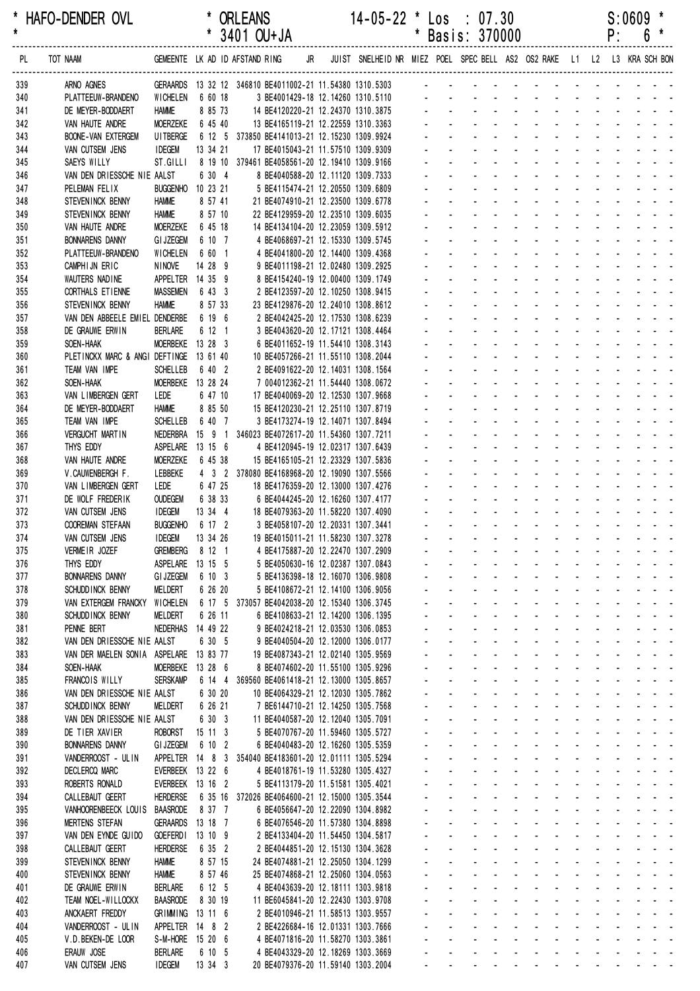| $\star$    | HAFO-DENDER OVL                                    |                                 |                             | * ORLEANS<br>* 3401 OU+JA                                                                               | $14 - 05 - 22$ * Los : 07.30      |    |                                            | * Basis: 370000                                                                                                                                      |                                                                                                                                                                                                                                |                          |             | P: | $S:0609$ *<br>$6\phantom{1}6$                                    |  |
|------------|----------------------------------------------------|---------------------------------|-----------------------------|---------------------------------------------------------------------------------------------------------|-----------------------------------|----|--------------------------------------------|------------------------------------------------------------------------------------------------------------------------------------------------------|--------------------------------------------------------------------------------------------------------------------------------------------------------------------------------------------------------------------------------|--------------------------|-------------|----|------------------------------------------------------------------|--|
|            |                                                    |                                 |                             |                                                                                                         |                                   |    |                                            |                                                                                                                                                      |                                                                                                                                                                                                                                |                          |             |    |                                                                  |  |
| PL.        | TOT NAAM                                           |                                 |                             | GEMEENTE LK AD ID AFSTAND RING JR JUIST SNELHEID NR MIEZ POEL SPECBELL AS2 OS2 RAKE L1 L2 L3 KRA SCHBON |                                   |    |                                            |                                                                                                                                                      |                                                                                                                                                                                                                                |                          |             |    |                                                                  |  |
| 339        | ARNO AGNES                                         |                                 |                             | GERAARDS 13 32 12 346810 BE4011002-21 11.54380 1310.5303                                                |                                   |    |                                            | and a series of the contract of the contract of                                                                                                      |                                                                                                                                                                                                                                |                          |             |    |                                                                  |  |
| 340<br>341 | PLATTEEUW-BRANDENO<br>DE MEYER-BODDAERT            | WICHELEN<br><b>HAMME</b>        | 6 60 18<br>8 85 73          | 14 BE4120220-21 12.24370 1310.3875                                                                      | 3 BE4001429-18 12.14260 1310.5110 |    |                                            | and the second contract of the second                                                                                                                |                                                                                                                                                                                                                                |                          |             |    |                                                                  |  |
| 342        | VAN HAUTE ANDRE                                    | MOERZEKE                        | 6 45 40                     | 13 BE4165119-21 12.22559 1310.3363                                                                      |                                   |    |                                            | and the state of the state of the state                                                                                                              |                                                                                                                                                                                                                                |                          |             |    |                                                                  |  |
| 343        | <b>BOONE-VAN EXTERGEM</b>                          | UI TBERGE                       |                             | 6 12 5 373850 BE4141013-21 12.15230 1309.9924                                                           |                                   |    |                                            | and a construction of the construction of                                                                                                            |                                                                                                                                                                                                                                |                          |             |    |                                                                  |  |
| 344        | VAN CUTSEM JENS                                    | <b>IDEGEM</b>                   | 13 34 21                    | 17 BE4015043-21 11.57510 1309.9309                                                                      |                                   |    | $\Delta \sim 100$                          |                                                                                                                                                      | design and a state of the state of the state of the state of the state of the state of the state of the state of the state of the state of the state of the state of the state of the state of the state of the state of the s |                          |             |    |                                                                  |  |
| 345        | SAEYS WILLY                                        | ST.GILLI                        |                             | 8 19 10 379461 BE4058561-20 12.19410 1309.9166                                                          |                                   |    |                                            |                                                                                                                                                      | and a series of the series of the series of                                                                                                                                                                                    |                          |             |    |                                                                  |  |
| 346        | VAN DEN DRIESSCHE NIE AALST                        |                                 | 6 30 4                      | 8 BE4040588-20 12.11120 1309.7333                                                                       |                                   |    |                                            |                                                                                                                                                      | and a series of the series of the series of                                                                                                                                                                                    |                          |             |    |                                                                  |  |
| 347        | PELEMAN FELIX                                      | <b>BUGGENHO</b>                 | 10 23 21                    | 5 BE4115474-21 12.20550 1309.6809                                                                       |                                   |    |                                            | de la provincia de la provincia de la provincia de                                                                                                   |                                                                                                                                                                                                                                |                          |             |    |                                                                  |  |
| 348<br>349 | STEVEN INCK BENNY<br>STEVEN INCK BENNY             | <b>HAMME</b><br><b>HAMME</b>    | 8 57 41<br>8 57 10          | 21 BE4074910-21 12.23500 1309.6778<br>22 BE4129959-20 12.23510 1309.6035                                |                                   |    |                                            | de la participat de la participat de                                                                                                                 |                                                                                                                                                                                                                                |                          |             |    |                                                                  |  |
| 350        | VAN HAUTE ANDRE                                    | <b>MOERZEKE</b>                 | 6 45 18                     | 14 BE4134104-20 12.23059 1309.5912                                                                      |                                   |    |                                            |                                                                                                                                                      | and a strain and a strain and a                                                                                                                                                                                                |                          |             |    |                                                                  |  |
| 351        | <b>BONNARENS DANNY</b>                             | <b>GI JZEGEM</b>                | 6 10 7                      | 4 BE4068697-21 12.15330 1309.5745                                                                       |                                   |    |                                            |                                                                                                                                                      |                                                                                                                                                                                                                                |                          |             |    |                                                                  |  |
| 352        | PLATTEEUW-BRANDENO                                 | <b>WICHELEN</b>                 | 6 60 1                      | 4 BE4041800-20 12.14400 1309.4368                                                                       |                                   |    |                                            | and a straight and                                                                                                                                   |                                                                                                                                                                                                                                |                          |             |    | and the state of the state of the state of                       |  |
| 353        | CAMPHIJN ERIC                                      | <b>NINOVE</b>                   | 14 28 9                     | 9 BE4011198-21 12.02480 1309.2925                                                                       |                                   |    |                                            |                                                                                                                                                      | and a state of the state of the state                                                                                                                                                                                          |                          |             |    |                                                                  |  |
| 354        | WAUTERS NADINE                                     |                                 | APPELTER 14 35 9            | 8 BE4154240-19 12.00400 1309.1749                                                                       |                                   |    |                                            |                                                                                                                                                      | design and a state of the state of the state of the state of the state of the state of the state of the state of the state of the state of the state of the state of the state of the state of the state of the state of the s |                          |             |    |                                                                  |  |
| 355        | CORTHALS ET IENNE                                  | <b>MASSEMEN</b>                 | 6 43 3                      | 2 BE4123597-20 12.10250 1308.9415                                                                       |                                   |    |                                            |                                                                                                                                                      | de la provincia de la provincia de<br>and a straight and a straight                                                                                                                                                            |                          |             |    | $\mathbf{r} = \mathbf{r} + \mathbf{r} + \mathbf{r} + \mathbf{r}$ |  |
| 356<br>357 | STEVENINCK BENNY<br>VAN DEN ABBEELE EMIEL DENDERBE | <b>HAMME</b>                    | 8 57 33<br>6 19 6           | 23 BE4129876-20 12.24010 1308.8612<br>2 BE4042425-20 12.17530 1308.6239                                 |                                   |    |                                            |                                                                                                                                                      |                                                                                                                                                                                                                                |                          |             |    |                                                                  |  |
| 358        | DE GRAUWE ERWIN                                    | <b>BERLARE</b>                  | 6 12 1                      | 3 BE4043620-20 12.17121 1308.4464                                                                       |                                   |    |                                            | and a series of the contract of the                                                                                                                  |                                                                                                                                                                                                                                |                          |             |    |                                                                  |  |
| 359        | SOEN-HAAK                                          |                                 | MOERBEKE 13 28 3            | 6 BE4011652-19 11.54410 1308.3143                                                                       |                                   |    |                                            |                                                                                                                                                      | design and a state of the state of                                                                                                                                                                                             |                          |             |    |                                                                  |  |
| 360        | PLETINCKX MARC & ANGI DEFTINGE 13 61 40            |                                 |                             | 10 BE4057266-21 11.55110 1308.2044                                                                      |                                   |    |                                            | de la provincia de la provincia de la provincia de                                                                                                   |                                                                                                                                                                                                                                |                          |             |    |                                                                  |  |
| 361        | TEAM VAN IMPE                                      | <b>SCHELLEB</b>                 | 6 40 2                      | 2 BE4091622-20 12.14031 1308.1564                                                                       |                                   |    |                                            | and a straightful and a straight and a                                                                                                               |                                                                                                                                                                                                                                |                          |             |    |                                                                  |  |
| 362        | SOEN-HAAK                                          |                                 | MOERBEKE 13 28 24           | 7 004012362-21 11.54440 1308.0672                                                                       |                                   |    |                                            |                                                                                                                                                      | and a straight and a straight                                                                                                                                                                                                  |                          |             |    | and a strain and a                                               |  |
| 363        | VAN LIMBERGEN GERT                                 | LEDE                            | 6 47 10                     | 17 BE4040069-20 12.12530 1307.9668                                                                      |                                   |    |                                            |                                                                                                                                                      |                                                                                                                                                                                                                                |                          |             |    |                                                                  |  |
| 364<br>365 | DE MEYER-BODDAERT<br>TEAM VAN IMPE                 | <b>HAMME</b><br><b>SCHELLEB</b> | 8 85 50<br>6 40 7           | 15 BE4120230-21 12.25110 1307.8719<br>3 BE4173274-19 12.14071 1307.8494                                 |                                   |    |                                            | and a straight and                                                                                                                                   | and a straight and a straight                                                                                                                                                                                                  |                          |             |    | and a straight and a<br>and a straight and a                     |  |
| 366        | <b>VERGUCHT MARTIN</b>                             |                                 |                             | NEDERBRA 15 9 1 346023 BE4072617-20 11.54360 1307.7211                                                  |                                   |    |                                            |                                                                                                                                                      | design and a state of the state of the state of the state of the state of the state of the state of the state of the state of the state of the state of the state of the state of the state of the state of the state of the s |                          |             |    |                                                                  |  |
| 367        | THYS EDDY                                          |                                 | ASPELARE 13 15 6            | 4 BE4120945-19 12.02317 1307.6439                                                                       |                                   |    |                                            |                                                                                                                                                      | and a strain                                                                                                                                                                                                                   |                          |             |    | and a strain and a                                               |  |
| 368        | VAN HAUTE ANDRE                                    | <b>MOERZEKE</b>                 | 6 45 38                     | 15 BE4165105-21 12.23329 1307.5836                                                                      |                                   |    |                                            |                                                                                                                                                      | $\Delta \sim 10^4$                                                                                                                                                                                                             |                          | and a strip |    | $\omega_{\rm{max}}$ , $\omega_{\rm{max}}$                        |  |
| 369        | V.CAUWENBERGH F.                                   | LEBBEKE                         |                             | 4 3 2 378080 BE4168968-20 12.19090 1307.5566                                                            |                                   |    |                                            |                                                                                                                                                      |                                                                                                                                                                                                                                | $\sim 100$<br>$\sim 100$ |             |    |                                                                  |  |
| 370        | VAN LIMBERGEN GERT                                 | LEDE                            | 6 47 25                     | 18 BE4176359-20 12.13000 1307.4276                                                                      |                                   |    |                                            |                                                                                                                                                      | design and a state of the state of the                                                                                                                                                                                         |                          |             |    |                                                                  |  |
| 371        | DE WOLF FREDERIK                                   | <b>OUDEGEM</b>                  | 6 38 33                     | 6 BE4044245-20 12.16260 1307.4177                                                                       |                                   |    |                                            | and a series of the contract of the<br>di sebagai di sebagai di sebagai di sebagai di sebagai di sebagai di sebagai di sebagai di sebagai di sebagai |                                                                                                                                                                                                                                |                          |             |    |                                                                  |  |
| 372<br>373 | VAN CUTSEM JENS<br><b>COOREMAN STEFAAN</b>         | <b>IDEGEM</b>                   | 13 34 4<br>BUGGENHO 6 17 2  | 18 BE4079363-20 11.58220 1307.4090<br>3 BE4058107-20 12.20331 1307.3441                                 |                                   |    |                                            | $\Delta \phi = \Delta \phi$ . The $\phi$                                                                                                             | and a state of the state of the                                                                                                                                                                                                |                          |             |    |                                                                  |  |
| 374        | VAN CUTSEM JENS                                    | <b>IDEGEM</b>                   | 13 34 26                    | 19 BE4015011-21 11.58230 1307.3278                                                                      |                                   |    |                                            | .                                                                                                                                                    |                                                                                                                                                                                                                                |                          |             |    |                                                                  |  |
| 375        | VERMEIR JOZEF                                      |                                 | GREMBERG 8 12 1             | 4 BE4175887-20 12.22470 1307.2909                                                                       |                                   |    | <b>All Contracts</b>                       |                                                                                                                                                      | and a series of the contract and a series of                                                                                                                                                                                   |                          |             |    |                                                                  |  |
| 376        | THYS EDDY                                          |                                 | ASPELARE 13 15 5            | 5 BE4050630-16 12.02387 1307.0843                                                                       |                                   |    |                                            | and a series of the contract of the series of                                                                                                        |                                                                                                                                                                                                                                |                          |             |    |                                                                  |  |
| 377        | <b>BONNARENS DANNY</b>                             | <b>GI JZEGEM</b>                | 6 10 3                      | 5 BE4136398-18 12.16070 1306.9808                                                                       |                                   |    |                                            |                                                                                                                                                      | فالقائد والقارف والقارف والقارف                                                                                                                                                                                                |                          |             |    |                                                                  |  |
| 378        | SCHUDD INCK BENNY                                  | <b>MELDERT</b>                  | 6 26 20                     | 5 BE4108672-21 12.14100 1306.9056                                                                       |                                   |    | $\omega_{\rm{max}}$                        | $\Delta \sim 100$                                                                                                                                    | and a state of the state of the state of                                                                                                                                                                                       |                          |             |    |                                                                  |  |
| 379        | VAN EXTERGEM FRANCKY                               | <b>WICHELEN</b>                 |                             | 6 17 5 373057 BE4042038-20 12.15340 1306.3745                                                           |                                   | ÷. |                                            | $\Delta \sim 100$<br>$\omega_{\rm{max}}$                                                                                                             | and a series and a series and<br>and a state of the state of the state                                                                                                                                                         |                          |             |    |                                                                  |  |
| 380<br>381 | SCHUDD INCK BENNY<br>PENNE BERT                    | MELDERT<br><b>NEDERHAS</b>      | 6 26 11<br>14 49 22         | 6 BE4108633-21 12.14200 1306.1395<br>9 BE4024218-21 12.03530 1306.0853                                  |                                   |    | $\omega_{\rm{max}}$<br>$\omega_{\rm{max}}$ | $\omega_{\rm{max}}$                                                                                                                                  | and a state of the state of the state                                                                                                                                                                                          |                          |             |    |                                                                  |  |
| 382        | VAN DEN DRIESSCHE NIE AALST                        |                                 | 6 30 5                      | 9 BE4040504-20 12.12000 1306.0177                                                                       |                                   |    | $\omega_{\rm{max}}$                        | $\Delta \sim 100$                                                                                                                                    | and a series of the series of the series of                                                                                                                                                                                    |                          |             |    |                                                                  |  |
| 383        | VAN DER MAELEN SONIA ASPELARE 13 83 77             |                                 |                             | 19 BE4087343-21 12.02140 1305.9569                                                                      |                                   |    | $\omega_{\rm{max}}$                        |                                                                                                                                                      | والمناور والمناور والمناور والمناور والمناور                                                                                                                                                                                   |                          |             |    |                                                                  |  |
| 384        | SOEN-HAAK                                          | <b>MOERBEKE</b>                 | 13 28 6                     | 8 BE4074602-20 11.55100 1305.9296                                                                       |                                   |    | $\omega_{\rm{max}}$                        | $\mathbf{L}^{\text{max}}$                                                                                                                            | and a series of the contract of the                                                                                                                                                                                            |                          |             |    |                                                                  |  |
| 385        | <b>FRANCOIS WILLY</b>                              | <b>SERSKAMP</b>                 |                             | 6 14 4 369560 BE4061418-21 12.13000 1305.8657                                                           |                                   |    | $\omega_{\rm{max}}$                        | $\Delta \sim 100$                                                                                                                                    | and a series and a series and                                                                                                                                                                                                  |                          |             |    |                                                                  |  |
| 386        | VAN DEN DRIESSCHE NIE AALST                        |                                 | 6 30 20                     | 10 BE4064329-21 12.12030 1305.7862                                                                      |                                   |    | $\omega_{\rm{max}}$                        | $\Delta \sim 100$                                                                                                                                    | and a state of the state of the state of                                                                                                                                                                                       |                          |             |    |                                                                  |  |
| 387        | SCHUDD INCK BENNY                                  | <b>MELDERT</b>                  | 6 26 21                     | 7 BE6144710-21 12.14250 1305.7568                                                                       |                                   |    | and a state<br>$\omega_{\rm{max}}$         |                                                                                                                                                      | and a series of the series of the series of<br>and a series of the series of the series of                                                                                                                                     |                          |             |    |                                                                  |  |
| 388<br>389 | VAN DEN DRIESSCHE NIE AALST<br>DE TIER XAVIER      | ROBORST                         | 6 30 3<br>$15 \t11 \t3$     | 11 BE4040587-20 12.12040 1305.7091<br>5 BE4070767-20 11.59460 1305.5727                                 |                                   |    |                                            | $\Delta \sim 100$<br>$\mathcal{L}^{\text{max}}$                                                                                                      | and a series of the series of the series of                                                                                                                                                                                    |                          |             |    |                                                                  |  |
| 390        | <b>BONNARENS DANNY</b>                             | <b>GI JZEGEM</b>                | 6 10 2                      | 6 BE4040483-20 12.16260 1305.5359                                                                       |                                   |    |                                            | المنافذ والمستنقل والمستنقل والمستنقل والمستنقل والمستنقل                                                                                            |                                                                                                                                                                                                                                |                          |             |    |                                                                  |  |
| 391        | VANDERROOST - UL IN                                |                                 |                             | APPELTER  14  8  3  354040 BE4183601-20  12.01111  1305.5294                                            |                                   |    | $\omega_{\rm{max}}$                        | and a strain and a strain and a strain                                                                                                               |                                                                                                                                                                                                                                |                          |             |    |                                                                  |  |
| 392        | DECLERCQ MARC                                      |                                 | EVERBEEK 13 22 6            | 4 BE4018761-19 11.53280 1305.4327                                                                       |                                   |    | $\omega_{\rm{max}}$                        | $\Delta \sim 100$                                                                                                                                    | and a state of the state of the state                                                                                                                                                                                          |                          |             |    |                                                                  |  |
| 393        | ROBERTS RONALD                                     |                                 | EVERBEEK 13 16 2            | 5 BE4113179-20 11.51581 1305.4021                                                                       |                                   |    | and a state                                |                                                                                                                                                      | and a state of the state of the state of                                                                                                                                                                                       |                          |             |    |                                                                  |  |
| 394        | CALLEBAUT GEERT                                    | HERDERSE                        |                             | 6 35 16 372026 BE4064600-21 12.15000 1305.3544                                                          |                                   |    | $\omega_{\rm{max}}$                        | $\Delta \sim 100$                                                                                                                                    | and a series of the series of the series of                                                                                                                                                                                    |                          |             |    |                                                                  |  |
| 395<br>396 | VANHOORENBEECK LOUIS<br><b>MERTENS STEFAN</b>      | <b>BAASRODE</b>                 | 8 37 7<br>GERAARDS 13 18 7  | 6 BE4056647-20 12.22090 1304.8982<br>6 BE4076546-20 11.57380 1304.8898                                  |                                   |    | $\omega_{\rm{max}}$                        | $\Delta \sim 100$                                                                                                                                    | فالقائق والقاريف والقاربة القاربة والمنافر<br>and a series of the contract of the                                                                                                                                              |                          |             |    |                                                                  |  |
| 397        | VAN DEN EYNDE GUIDO                                | <b>GOEFERDI</b>                 | 13 10 9                     | 2 BE4133404-20 11.54450 1304.5817                                                                       |                                   |    | $\omega_{\rm{max}}$                        | and a strain and a strain and a strain a                                                                                                             |                                                                                                                                                                                                                                |                          |             |    |                                                                  |  |
| 398        | CALLEBAUT GEERT                                    | <b>HERDERSE</b>                 | 6 35 2                      | 2 BE4044851-20 12.15130 1304.3628                                                                       |                                   |    | and a state                                |                                                                                                                                                      | and a state of the state of the state of                                                                                                                                                                                       |                          |             |    |                                                                  |  |
| 399        | STEVEN INCK BENNY                                  | <b>HAMME</b>                    | 8 57 15                     | 24 BE4074881-21 12.25050 1304.1299                                                                      |                                   |    |                                            | and a series of the series of the series of the                                                                                                      |                                                                                                                                                                                                                                |                          |             |    |                                                                  |  |
| 400        | STEVEN INCK BENNY                                  | <b>HAMME</b>                    | 8 57 46                     | 25 BE4074868-21 12.25060 1304.0563                                                                      |                                   |    |                                            | المناطق والمناطر المناطر المناطر المناطر المناطر                                                                                                     |                                                                                                                                                                                                                                |                          |             |    |                                                                  |  |
| 401        | DE GRAUWE ERWIN                                    | <b>BERLARE</b>                  | 6 12 5                      | 4 BE4043639-20 12.18111 1303.9818                                                                       |                                   |    |                                            | والمناور والوالد المناور والمناور والمناور والمناور                                                                                                  |                                                                                                                                                                                                                                |                          |             |    |                                                                  |  |
| 402<br>403 | TEAM NOEL-WILLOCKX<br>ANCKAERT FREDDY              | <b>BAASRODE</b>                 | 8 30 19<br>GRIMMING 13 11 6 | 11 BE6045841-20 12.22430 1303.9708<br>2 BE4010946-21 11.58513 1303.9557                                 |                                   |    | $\omega_{\rm{max}}$                        | المنافذ والمستنقل والمستنقل والمستنقل والمستنقل والمستنقل<br>and a strain and a strain and a strain                                                  |                                                                                                                                                                                                                                |                          |             |    |                                                                  |  |
| 404        | VANDERROOST - ULIN                                 |                                 | APPELTER 14 8 2             | 2 BE4226684-16 12.01331 1303.7666                                                                       |                                   |    | and a strip                                |                                                                                                                                                      | design and a state of the state of                                                                                                                                                                                             |                          |             |    |                                                                  |  |
| 405        | V.D. BEKEN-DE LOOR                                 |                                 | S-M-HORE 15 20 6            | 4 BE4071816-20 11.58270 1303.3861                                                                       |                                   |    |                                            | and a series of the series of the series of the                                                                                                      |                                                                                                                                                                                                                                |                          |             |    |                                                                  |  |
| 406        | ERAUW JOSE                                         | <b>BERLARE</b>                  | 6 10 5                      | 4 BE4043329-20 12.18269 1303.3669                                                                       |                                   |    |                                            | and the contract of the contract of the contract of the                                                                                              |                                                                                                                                                                                                                                |                          |             |    |                                                                  |  |
| 407        | VAN CUTSEM JENS                                    | <b>IDEGEM</b>                   | 13 34 3                     | 20 BE4079376-20 11.59140 1303.2004                                                                      |                                   |    |                                            | فالقاط القارف القاربة القاربة القاربة القاربة                                                                                                        |                                                                                                                                                                                                                                |                          |             |    |                                                                  |  |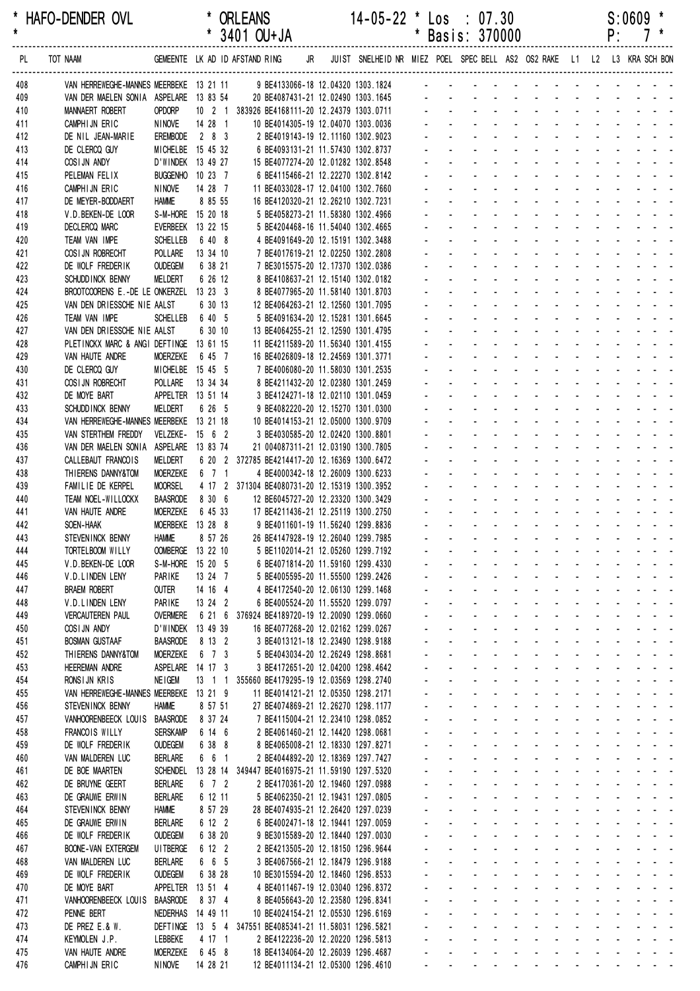| *<br>$\star$ | HAFO-DENDER OVL                                               |                                    |                      | <b>ORLEANS</b><br>* 3401 OU+JA                                                               |    | $14 - 05 - 22$ * Los : 07.30                                            | $\star$        |                             | Basis: 370000                                                                                  |                  |                                                                                              |                                             |                                 |                            |                             | P:                     | $S:0609$ *   |                                                                                  |
|--------------|---------------------------------------------------------------|------------------------------------|----------------------|----------------------------------------------------------------------------------------------|----|-------------------------------------------------------------------------|----------------|-----------------------------|------------------------------------------------------------------------------------------------|------------------|----------------------------------------------------------------------------------------------|---------------------------------------------|---------------------------------|----------------------------|-----------------------------|------------------------|--------------|----------------------------------------------------------------------------------|
| PL.          | TOT NAAM                                                      |                                    |                      | GEMEENTE LK AD ID AFSTAND RING                                                               | JR | JUIST SNELHEID NR MIEZ POEL SPEC BELL AS2 OS2 RAKE L1 L2 L3 KRA SCH BON |                |                             |                                                                                                |                  |                                                                                              |                                             |                                 |                            |                             |                        |              |                                                                                  |
| 408          | VAN HERREWEGHE-MANNES MEERBEKE 13 21 11                       |                                    |                      | 9 BE4133066-18 12.04320 1303.1824                                                            |    |                                                                         |                |                             |                                                                                                |                  |                                                                                              |                                             |                                 |                            |                             |                        |              |                                                                                  |
| 409          | VAN DER MAELEN SONIA ASPELARE 13 83 54                        |                                    |                      | 20 BE4087431-21 12.02490 1303.1645                                                           |    |                                                                         |                |                             |                                                                                                |                  |                                                                                              |                                             |                                 |                            |                             |                        |              |                                                                                  |
| 410          | MANNAERT ROBERT                                               | OPDORP                             |                      | 10 2 1 383926 BE4168111-20 12.24379 1303.0711                                                |    |                                                                         |                |                             |                                                                                                |                  |                                                                                              |                                             |                                 |                            |                             |                        |              |                                                                                  |
| 411<br>412   | CAMPHIJN ERIC<br>DE NIL JEAN-MARIE                            | <b>NINOVE</b><br>EREMBODE          | 14 28 1<br>283       | 10 BE4014305-19 12.04070 1303.0036<br>2 BE4019143-19 12.11160 1302.9023                      |    |                                                                         |                |                             |                                                                                                |                  |                                                                                              |                                             |                                 |                            |                             |                        |              |                                                                                  |
| 413          | DE CLERCQ GUY                                                 | MICHELBE 15 45 32                  |                      | 6 BE4093131-21 11.57430 1302.8737                                                            |    |                                                                         |                |                             |                                                                                                |                  |                                                                                              |                                             |                                 |                            |                             |                        |              |                                                                                  |
| 414          | COSIJN ANDY                                                   | D'WINDEK 13 49 27                  |                      | 15 BE4077274-20 12.01282 1302.8548                                                           |    |                                                                         |                |                             |                                                                                                |                  |                                                                                              |                                             |                                 |                            |                             |                        |              |                                                                                  |
| 415          | PELEMAN FELIX                                                 | BUGGENHO 10 23 7                   |                      | 6 BE4115466-21 12.22270 1302.8142                                                            |    |                                                                         |                |                             |                                                                                                |                  |                                                                                              |                                             |                                 |                            |                             |                        |              |                                                                                  |
| 416          | CAMPHIJN ERIC                                                 | <b>NINOVE</b>                      | 14 28 7              | 11 BE4033028-17 12.04100 1302.7660                                                           |    |                                                                         |                |                             |                                                                                                |                  |                                                                                              |                                             |                                 |                            |                             |                        |              |                                                                                  |
| 417          | DE MEYER-BODDAERT<br>V.D. BEKEN-DE LOOR                       | <b>HAMME</b><br>S-M-HORE 15 20 18  | 8 85 55              | 16 BE4120320-21 12.26210 1302.7231<br>5 BE4058273-21 11.58380 1302.4966                      |    |                                                                         |                |                             |                                                                                                |                  |                                                                                              |                                             |                                 |                            |                             |                        |              |                                                                                  |
| 418<br>419   | <b>DECLERCQ MARC</b>                                          | EVERBEEK 13 22 15                  |                      | 5 BE4204468-16 11.54040 1302.4665                                                            |    |                                                                         |                |                             |                                                                                                |                  |                                                                                              |                                             |                                 |                            |                             |                        |              |                                                                                  |
| 420          | TEAM VAN IMPE                                                 | <b>SCHELLEB</b>                    | 6 40 8               | 4 BE4091649-20 12.15191 1302.3488                                                            |    |                                                                         |                |                             |                                                                                                |                  |                                                                                              |                                             |                                 |                            |                             |                        |              |                                                                                  |
| 421          | COSI JN ROBRECHT                                              | POLLARE                            | 13 34 10             | 7 BE4017619-21 12.02250 1302.2808                                                            |    |                                                                         |                |                             |                                                                                                |                  |                                                                                              |                                             |                                 |                            |                             |                        |              |                                                                                  |
| 422          | DE WOLF FREDERIK                                              | <b>OUDEGEM</b>                     | 6 38 21              | 7 BE3015575-20 12.17370 1302.0386                                                            |    |                                                                         |                |                             |                                                                                                |                  |                                                                                              |                                             |                                 |                            |                             |                        |              |                                                                                  |
| 423          | SCHUDD INCK BENNY                                             | <b>MELDERT</b>                     | 6 26 12              | 8 BE4108637-21 12.15140 1302.0182                                                            |    |                                                                         |                |                             |                                                                                                |                  |                                                                                              |                                             |                                 |                            |                             |                        |              |                                                                                  |
| 424<br>425   | BROOTCOORENS E.-DE LE ONKERZEL<br>VAN DEN DRIESSCHE NIE AALST |                                    | 13233<br>6 30 13     | 8 BE4077965-20 11.58140 1301.8703<br>12 BE4064263-21 12.12560 1301.7095                      |    |                                                                         |                |                             |                                                                                                |                  |                                                                                              |                                             |                                 |                            |                             |                        |              |                                                                                  |
| 426          | TEAM VAN IMPE                                                 | <b>SCHELLEB</b>                    | 6 40 5               | 5 BE4091634-20 12.15281 1301.6645                                                            |    |                                                                         |                |                             |                                                                                                |                  |                                                                                              |                                             |                                 |                            |                             |                        |              |                                                                                  |
| 427          | VAN DEN DRIESSCHE NIE AALST                                   |                                    | 6 30 10              | 13 BE4064255-21 12.12590 1301.4795                                                           |    |                                                                         |                |                             |                                                                                                |                  |                                                                                              |                                             |                                 |                            |                             |                        |              |                                                                                  |
| 428          | PLETINCKX MARC & ANGI DEFTINGE 13 61 15                       |                                    |                      | 11 BE4211589-20 11.56340 1301.4155                                                           |    |                                                                         |                |                             |                                                                                                |                  |                                                                                              |                                             |                                 |                            |                             |                        |              |                                                                                  |
| 429          | VAN HAUTE ANDRE                                               | MOERZEKE                           | 6 45 7               | 16 BE4026809-18 12.24569 1301.3771                                                           |    |                                                                         |                |                             |                                                                                                |                  |                                                                                              |                                             |                                 |                            |                             |                        |              |                                                                                  |
| 430          | DE CLERCQ GUY                                                 | MICHELBE 15 45 5                   |                      | 7 BE4006080-20 11.58030 1301.2535                                                            |    |                                                                         |                |                             |                                                                                                |                  |                                                                                              |                                             |                                 |                            |                             |                        |              |                                                                                  |
| 431<br>432   | COSI JN ROBRECHT<br>DE MOYE BART                              | POLLARE<br>APPELTER 13 51 14       | 13 34 34             | 8 BE4211432-20 12.02380 1301.2459<br>3 BE4124271-18 12.02110 1301.0459                       |    |                                                                         |                |                             |                                                                                                |                  |                                                                                              |                                             |                                 |                            |                             |                        |              |                                                                                  |
| 433          | SCHUDD INCK BENNY                                             | <b>MELDERT</b>                     | 6 26 5               | 9 BE4082220-20 12.15270 1301.0300                                                            |    |                                                                         |                |                             |                                                                                                |                  |                                                                                              |                                             |                                 |                            |                             |                        |              |                                                                                  |
| 434          | VAN HERREWEGHE-MANNES MEERBEKE 13 21 18                       |                                    |                      | 10 BE4014153-21 12.05000 1300.9709                                                           |    |                                                                         |                |                             |                                                                                                |                  |                                                                                              |                                             |                                 |                            |                             |                        |              |                                                                                  |
| 435          | VAN STERTHEM FREDDY                                           | <b>VELZEKE-</b>                    | $15 \quad 6 \quad 2$ | 3 BE4030585-20 12.02420 1300.8801                                                            |    |                                                                         |                |                             |                                                                                                |                  |                                                                                              |                                             |                                 |                            |                             |                        |              |                                                                                  |
| 436          | VAN DER MAELEN SONIA                                          | ASPELARE 13 83 74                  |                      | 21 004087311-21 12.03190 1300.7805                                                           |    |                                                                         |                |                             |                                                                                                |                  |                                                                                              |                                             |                                 |                            |                             |                        |              |                                                                                  |
| 437          | CALLEBAUT FRANCOIS                                            | MELDERT                            |                      | 6 20 2 372785 BE4214417-20 12.16369 1300.6472                                                |    |                                                                         |                |                             |                                                                                                |                  |                                                                                              |                                             |                                 |                            |                             |                        |              |                                                                                  |
| 438<br>439   | THIERENS DANNY&TOM<br>FAMILIE DE KERPEL                       | <b>MOERZEKE</b><br><b>MOORSEL</b>  | 6 7 1                | 4 BE4000342-18 12.26009 1300.6233<br>4 17 2 371304 BE4080731-20 12.15319 1300.3952           |    |                                                                         |                |                             |                                                                                                |                  |                                                                                              |                                             |                                 |                            |                             |                        |              |                                                                                  |
| 440          | TEAM NOEL-WILLOCKX                                            | <b>BAASRODE</b>                    | 8 30 6               | 12 BE6045727-20 12.23320 1300.3429                                                           |    |                                                                         |                |                             |                                                                                                |                  |                                                                                              |                                             |                                 |                            |                             |                        |              |                                                                                  |
| 441          | VAN HAUTE ANDRE                                               | <b>MOERZEKE</b>                    | 6 45 33              | 17 BE4211436-21 12.25119 1300.2750                                                           |    |                                                                         |                |                             |                                                                                                |                  |                                                                                              |                                             |                                 |                            |                             |                        |              |                                                                                  |
| 442          | SOEN-HAAK                                                     | MOERBEKE 13 28 8                   |                      | 9 BE4011601-19 11.56240 1299.8836                                                            |    |                                                                         |                |                             |                                                                                                |                  |                                                                                              |                                             |                                 |                            |                             |                        |              |                                                                                  |
| 443          | STEVEN INCK BENNY                                             | <b>HAMME</b>                       | 8 57 26              | 26 BE4147928-19 12.26040 1299.7985                                                           |    |                                                                         |                | $\blacksquare$              |                                                                                                |                  | $\omega_{\rm{max}}=0.01$                                                                     | <b>Contract Contract</b>                    |                                 | $\sim$                     | $\blacksquare$              | $\sim 100$             | $\sim$       | $\sim 100$                                                                       |
| 444          | TORTELBOOM WILLY<br>V.D. BEKEN-DE LOOR                        | OOMBERGE 13 22 10                  |                      | 5 BE1102014-21 12.05260 1299.7192                                                            |    |                                                                         |                |                             |                                                                                                |                  | <b>Contact Contact</b>                                                                       |                                             |                                 | $\sim$                     |                             |                        |              | $\omega_{\rm{max}}$                                                              |
| 445<br>446   | V.D.LINDEN LENY                                               | S-M-HORE 15 20 5<br>PARIKE         | 13 24 7              | 6 BE4071814-20 11.59160 1299.4330<br>5 BE4005595-20 11.55500 1299.2426                       |    |                                                                         |                | ¥.                          | $\Delta \sim 100$                                                                              | $\mathbf{r}$     | <b>Contact Card</b>                                                                          | and a straight and                          | <b>Contractor</b>               | $\mathbf{L}^{\text{max}}$  | $\mathcal{L}$               | $\sim$                 | $\mathbf{r}$ | $\sim$ $ \sim$                                                                   |
| 447          | <b>BRAEM ROBERT</b>                                           | OUTER                              | 14 16 4              | 4 BE4172540-20 12.06130 1299.1468                                                            |    |                                                                         |                | $\mathbf{r} = \mathbf{r}$   | $\Delta \sim 100$<br>$\Delta \sim 100$                                                         |                  |                                                                                              | and a strategies and                        |                                 | $\sim 100$                 | $\mathcal{L}^{\mathcal{A}}$ |                        |              | $\omega_{\rm{max}}$                                                              |
| 448          | V.D.LINDEN LENY                                               | PARIKE                             | 13 24 2              | 6 BE4005524-20 11.55520 1299.0797                                                            |    |                                                                         |                | $\mathbf{r} = \mathbf{r}$   | $\omega_{\rm{max}}$<br>$\mathbf{z}$ and $\mathbf{z}$                                           |                  |                                                                                              | and a straight and state                    |                                 | $\sim$                     |                             |                        |              | $\sim 100$ km s $^{-1}$                                                          |
| 449          | <b>VERCAUTEREN PAUL</b>                                       | <b>OVERMERE</b>                    |                      | 6 21 6 376924 BE4189720-19 12.20090 1299.0660                                                |    |                                                                         |                |                             | $\Delta \sim 100$                                                                              |                  |                                                                                              | and a straightful and state                 |                                 | $\sim$                     |                             |                        |              | $\omega_{\rm{eff}}=0.01$ and $\omega_{\rm{eff}}=0.01$                            |
| 450          | COSIJN ANDY                                                   | D'WINDEK 13 49 39                  |                      | 16 BE4077268-20 12.02162 1299.0267                                                           |    |                                                                         |                |                             | $\mathcal{L}^{\text{max}}$<br>$\Delta \sim 100$                                                |                  | and a strategies                                                                             |                                             | <b>Contract Contract</b>        |                            |                             |                        |              | <b>Contract Contract</b>                                                         |
| 451          | <b>BOSMAN GUSTAAF</b><br>THIERENS DANNY&TOM                   | <b>BAASRODE</b><br><b>MOERZEKE</b> | 8 13 2<br>6 7 3      | 3 BE4013121-18 12.23490 1298.9188                                                            |    |                                                                         | ÷.<br>÷.       |                             | $\Delta \sim 100$<br>$\Delta \sim 10^{-1}$<br>$\Delta \sim 100$                                | $\sim$           | <b>Contract Contract</b>                                                                     | and a series of the series of the series of | <b>Contract Contract</b>        |                            | $\mathcal{L}$               |                        |              | and the state of the state                                                       |
| 452<br>453   | <b>HEEREMAN ANDRE</b>                                         | ASPELARE 14 17 3                   |                      | 5 BE4043034-20 12.26249 1298.8681<br>3 BE4172651-20 12.04200 1298.4642                       |    |                                                                         |                | $\mathbf{r} = \mathbf{r}$   | $\omega_{\rm{max}}$<br>$\omega_{\rm{max}}$                                                     |                  |                                                                                              |                                             |                                 |                            |                             |                        |              | and a strain and a strain and a                                                  |
| 454          | RONSIJN KRIS                                                  | <b>NEIGEM</b>                      | $13 \quad 1 \quad 1$ | 355660 BE4179295-19 12.03569 1298.2740                                                       |    |                                                                         |                | $\mathbf{r} = \mathbf{r}$   | $\Delta \sim 100$                                                                              |                  |                                                                                              | المستحدث والمستحدث والمستحدث                |                                 |                            |                             | and a state            |              | $\Delta \phi = \Delta \phi = \Delta \phi$                                        |
| 455          | VAN HERREWEGHE-MANNES MEERBEKE 13 21 9                        |                                    |                      | 11 BE4014121-21 12.05350 1298.2171                                                           |    |                                                                         |                | $\sim$                      |                                                                                                |                  |                                                                                              | and a straight and a straight               |                                 | $\sim$                     |                             |                        |              | المناسب المناسبات                                                                |
| 456          | STEVENINCK BENNY                                              | <b>HAMME</b>                       | 8 57 51              | 27 BE4074869-21 12.26270 1298.1177                                                           |    |                                                                         |                |                             |                                                                                                |                  |                                                                                              | المنابذ والمستنقذ والمستنقذ                 |                                 | $\sim 100$                 |                             |                        |              | and the state of the                                                             |
| 457          | VANHOORENBEECK LOUIS BAASRODE                                 |                                    | 8 37 24              | 7 BE4115004-21 12.23410 1298.0852                                                            |    |                                                                         | $\mathbf{r}$   |                             | $\Delta \sim 10^{-1}$<br>$\Delta \sim 100$                                                     |                  |                                                                                              | and a straight and                          |                                 | $\sim$                     |                             |                        |              | $\mathbf{u} = \mathbf{u} + \mathbf{u} + \mathbf{u}$ . Then                       |
| 458<br>459   | FRANCOIS WILLY<br>DE WOLF FREDERIK                            | <b>SERSKAMP</b><br><b>OUDEGEM</b>  | 6 14 6<br>6 38 8     | 2 BE4061460-21 12.14420 1298.0681<br>8 BE4065008-21 12.18330 1297.8271                       |    |                                                                         | $\mathbf{r}$   | $\Delta \sim 100$           | $\omega_{\rm{max}}$<br>$\mathbf{L}^{\text{max}}$<br>$\Delta \sim 10^{-1}$<br>$\Delta \sim 100$ |                  | and a strategies                                                                             | and a straight and a straight               | <b>Contract Contract</b>        |                            | $\mathcal{L}$<br>÷.         | <b>Contractor</b>      |              | $\omega_{\rm{max}}$ and $\omega_{\rm{max}}$                                      |
| 460          | VAN MALDEREN LUC                                              | <b>BERLARE</b>                     | 6 6 1                | 2 BE4044892-20 12.18369 1297.7427                                                            |    |                                                                         |                | $\mathbf{r} = \mathbf{r}$   | $\Delta \sim 100$                                                                              |                  |                                                                                              | and a straightful and state                 |                                 | $\sim$                     |                             |                        |              | $\mathbf{r} = \mathbf{r} + \mathbf{r}$ .                                         |
| 461          | DE BOE MAARTEN                                                | <b>SCHENDEL</b>                    |                      | 13 28 14 349447 BE4016975-21 11.59190 1297.5320                                              |    |                                                                         |                |                             | $\Delta \sim 100$                                                                              |                  |                                                                                              | and a straightful and state                 |                                 | $\blacksquare$             |                             |                        |              | $\mathbf{z} = \mathbf{z} + \mathbf{z}$ .                                         |
| 462          | DE BRUYNE GEERT                                               | <b>BERLARE</b>                     | 6 7 2                | 2 BE4170361-20 12.19460 1297.0988                                                            |    |                                                                         |                |                             |                                                                                                | and a strain and |                                                                                              |                                             |                                 |                            |                             |                        |              | <b>Contract Contract</b>                                                         |
| 463          | DE GRAUWE ERWIN                                               | <b>BERLARE</b>                     | 6 12 11              | 5 BE4062350-21 12.19431 1297.0805                                                            |    |                                                                         |                |                             | $\omega_{\rm{max}}$<br>$\Delta \sim 100$                                                       |                  | and a strategies                                                                             |                                             | <b>Service</b>                  |                            |                             |                        |              | and the state of the                                                             |
| 464          | STEVENINCK BENNY                                              | <b>HAMME</b>                       | 8 57 29              | 28 BE4074935-21 12.26420 1297.0239                                                           |    |                                                                         |                | $\mathcal{L}^{\mathcal{A}}$ | $\Delta \sim 100$                                                                              | $\sim$           | <b>Contract Contract</b>                                                                     |                                             | <b>Contractor</b>               | $\Delta \sim 100$          | $\mathcal{L}$               |                        |              | المناسب المناسبات                                                                |
| 465<br>466   | DE GRAUWE ERWIN<br>DE WOLF FREDERIK                           | BERLARE<br><b>OUDEGEM</b>          | 6 12 2<br>6 38 20    | 6 BE4002471-18 12.19441 1297.0059<br>9 BE3015589-20 12.18440 1297.0030                       |    |                                                                         | ÷.             |                             | $\Delta \sim 10^{-1}$<br>$\Delta \sim 100$<br>$\omega_{\rm{max}}$<br>$\omega_{\rm{max}}$       |                  | $\omega_{\rm{max}}$ , $\omega_{\rm{max}}$<br>$\Delta \phi = 0.000$ and $\Delta \phi = 0.000$ | $\Delta \sim 10^{-1}$                       | and a straight<br>$\sim 100$    | $\mathcal{L}^{\text{max}}$ |                             | <b>All Cards</b>       |              | and a strain and<br>$\omega_{\rm{max}}$ and $\omega_{\rm{max}}$                  |
| 467          | <b>BOONE-VAN EXTERGEM</b>                                     | UI TBERGE                          | 6 12 2               | 2 BE4213505-20 12.18150 1296.9644                                                            |    |                                                                         |                | $\mathcal{L}^{\pm}$         | $\Delta \sim 100$                                                                              |                  | <b>All Cards</b>                                                                             | $\mathbf{r}$                                | $\sim 100$                      | $\blacksquare$             | $\blacksquare$              |                        |              | <b>Contract Contract Contract</b>                                                |
| 468          | VAN MALDEREN LUC                                              | <b>BERLARE</b>                     | 6 6 5                | 3 BE4067566-21 12.18479 1296.9188                                                            |    |                                                                         |                |                             | $\omega_{\rm{max}}$                                                                            |                  | and a state                                                                                  |                                             |                                 | $\sim$                     |                             |                        |              | $\omega_{\rm{max}}$                                                              |
| 469          | DE WOLF FREDERIK                                              | <b>OUDEGEM</b>                     | 6 38 28              | 10 BE3015594-20 12.18460 1296.8533                                                           |    |                                                                         |                | a.                          | $\mathcal{L}^{\text{max}}$                                                                     |                  | $\Delta \phi = 0.01$ .                                                                       | $\sim$                                      |                                 | $\sim$                     |                             |                        |              | $\omega_{\rm{max}}$                                                              |
| 470          | DE MOYE BART                                                  | APPELTER 13 51 4                   |                      | 4 BE4011467-19 12.03040 1296.8372                                                            |    |                                                                         | $\blacksquare$ | ¥.                          | $\mathbf{L}^{\text{max}}$                                                                      | $\mathbf{r}$     | <b>Contract Contract</b>                                                                     |                                             | $\sim 100$                      | $\mathcal{L}^{\text{max}}$ | $\mathcal{L}$               | $\sim$                 | ä,           | $\omega_{\rm{max}}$                                                              |
| 471          | VANHOORENBEECK LOUIS                                          | BAASRODE                           | 8 37 4               | 8 BE4056643-20 12.23580 1296.8341                                                            |    |                                                                         |                | a.                          | $\mathcal{L}^{\text{max}}$                                                                     |                  | and a state                                                                                  | $\omega_{\rm{max}}$                         | $\Delta \sim 100$               | $\mathcal{L}^{\pm}$        | ÷.                          |                        |              |                                                                                  |
| 472<br>473   | PENNE BERT<br>DE PREZ E.& W.                                  | NEDERHAS 14 49 11                  |                      | 10 BE4024154-21 12.05530 1296.6169<br>DEFTINGE 13 5 4 347551 BE4085341-21 11.58031 1296.5821 |    |                                                                         | $\sim$         | $\mathcal{L}^{\pm}$         | $\omega_{\rm{max}}$<br>$\omega_{\rm{max}}$<br>$\omega_{\rm{max}}$                              | $\mathbf{r}$     | $\Delta \phi = 0.000$ and $\Delta \phi = 0.000$<br>$\sim$                                    | $\Delta \sim 100$<br>$\mathbf{r}$           | $\sim 100$<br><b>Contractor</b> | $\sim$<br>$\blacksquare$   | ÷.                          | $\mathbf{r}$<br>$\sim$ |              | $\sim 100$ km s $^{-1}$<br>$\omega_{\rm{eff}}=0.01$ and $\omega_{\rm{eff}}=0.01$ |
| 474          | KEYMOLEN J.P.                                                 | LEBBEKE                            | 4 17 1               | 2 BE4122236-20 12.20220 1296.5813                                                            |    |                                                                         |                |                             |                                                                                                | $\mathbf{r}$     | $\sim$                                                                                       | $\omega$                                    |                                 | $\mathcal{L}^{\pm}$        |                             |                        |              | $\omega_{\rm{max}}$ and $\omega_{\rm{max}}$                                      |
| 475          | VAN HAUTE ANDRE                                               | <b>MOERZEKE</b>                    | 6 45 8               | 18 BE4134064-20 12.26039 1296.4687                                                           |    |                                                                         |                |                             |                                                                                                |                  |                                                                                              |                                             |                                 |                            |                             |                        |              | $\omega_{\rm{max}}$ and $\omega_{\rm{max}}$                                      |
| 476          | CAMPHIJN ERIC                                                 | <b>NINOVE</b>                      | 14 28 21             | 12 BE4011134-21 12.05300 1296.4610                                                           |    |                                                                         |                | $\mathbf{L}^{\text{max}}$   | $\omega_{\rm{max}}$<br>$\mathcal{L}^{\text{max}}$                                              |                  |                                                                                              | and a strategic and                         |                                 |                            |                             | and a straight         |              | $\omega_{\rm{eff}}$ , $\omega_{\rm{eff}}$ , $\omega_{\rm{eff}}$                  |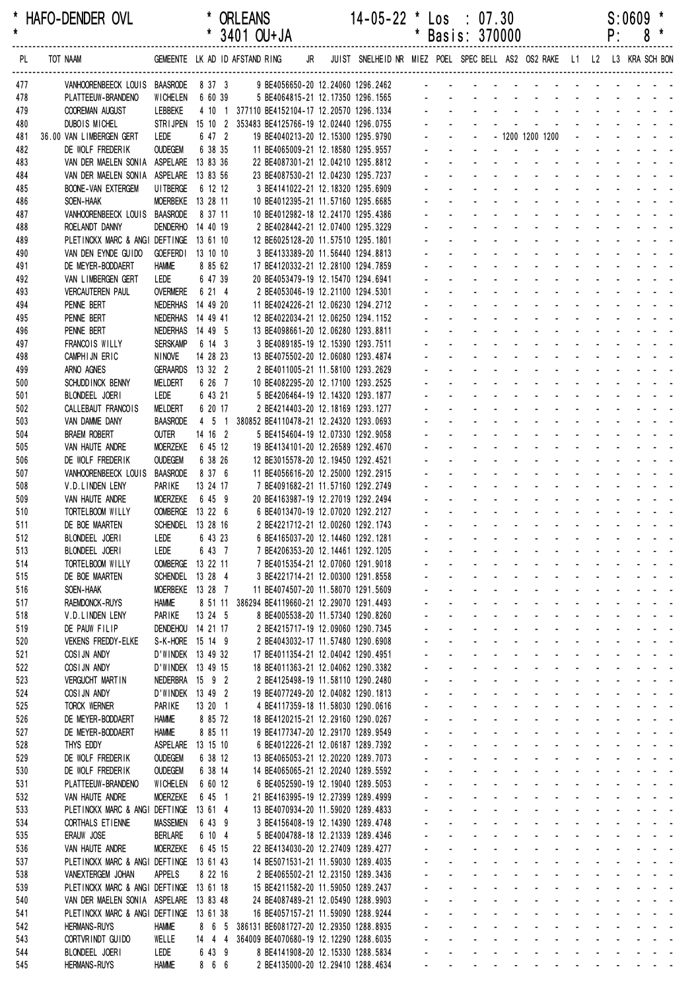| *<br>$\star$ | HAFO-DENDER OVL                                              |                                       |                              | <b>ORLEANS</b><br>* 3401 OU+JA                                                       |    | 14-05-22 * Los : 07.30                                                  |                                            | * Basis: 370000                                                                                                                                                                                                                                                                                                                                 |        |                             |                                                                                                                                                                                                                               |                     |                                                              | P:     | S:0609                     | *<br>$8*$ |  |
|--------------|--------------------------------------------------------------|---------------------------------------|------------------------------|--------------------------------------------------------------------------------------|----|-------------------------------------------------------------------------|--------------------------------------------|-------------------------------------------------------------------------------------------------------------------------------------------------------------------------------------------------------------------------------------------------------------------------------------------------------------------------------------------------|--------|-----------------------------|-------------------------------------------------------------------------------------------------------------------------------------------------------------------------------------------------------------------------------|---------------------|--------------------------------------------------------------|--------|----------------------------|-----------|--|
| PL           | TOT NAAM                                                     |                                       |                              | GEMEENTE LK AD ID AFSTAND RING                                                       | JR | JUIST SNELHEID NR MIEZ POEL SPEC BELL AS2 OS2 RAKE L1 L2 L3 KRA SCH BON |                                            |                                                                                                                                                                                                                                                                                                                                                 |        |                             |                                                                                                                                                                                                                               |                     |                                                              |        |                            |           |  |
| 477          | VANHOORENBEECK LOUIS BAASRODE 8 37 3                         |                                       |                              | 9 BE4056650-20 12.24060 1296.2462                                                    |    |                                                                         |                                            |                                                                                                                                                                                                                                                                                                                                                 |        |                             |                                                                                                                                                                                                                               |                     |                                                              |        |                            |           |  |
| 478          | PLATTEEUW-BRANDENO                                           | <b>WICHELEN</b>                       | 6 60 39                      |                                                                                      |    | 5 BE4064815-21 12.17350 1296.1565                                       |                                            |                                                                                                                                                                                                                                                                                                                                                 |        |                             |                                                                                                                                                                                                                               |                     |                                                              |        |                            |           |  |
| 479          | COOREMAN AUGUST                                              | LEBBEKE                               |                              | 4 10 1 377110 BE4152104-17 12.20570 1296.1334                                        |    |                                                                         |                                            |                                                                                                                                                                                                                                                                                                                                                 |        |                             |                                                                                                                                                                                                                               |                     |                                                              |        |                            |           |  |
| 480<br>481   | DUBOIS MICHEL<br>36.00 VAN LIMBERGEN GERT                    | STRI JPEN<br>LEDE                     | 6 47 2                       | 15 10 2 353483 BE4125766-19 12.02440 1296.0755<br>19 BE4040213-20 12.15300 1295.9790 |    |                                                                         |                                            |                                                                                                                                                                                                                                                                                                                                                 |        |                             | - 1200 1200 1200                                                                                                                                                                                                              |                     |                                                              |        |                            |           |  |
| 482          | DE WOLF FREDERIK                                             | <b>OUDEGEM</b>                        | 6 38 35                      | 11 BE4065009-21 12.18580 1295.9557                                                   |    |                                                                         |                                            |                                                                                                                                                                                                                                                                                                                                                 | $\sim$ |                             |                                                                                                                                                                                                                               |                     |                                                              |        |                            |           |  |
| 483          | VAN DER MAELEN SONIA ASPELARE                                |                                       | 13 83 36                     | 22 BE4087301-21 12.04210 1295.8812                                                   |    |                                                                         |                                            |                                                                                                                                                                                                                                                                                                                                                 |        |                             |                                                                                                                                                                                                                               |                     |                                                              |        |                            |           |  |
| 484          | VAN DER MAELEN SONIA ASPELARE 13 83 56                       |                                       |                              | 23 BE4087530-21 12.04230 1295.7237                                                   |    |                                                                         |                                            |                                                                                                                                                                                                                                                                                                                                                 |        | $\mathbf{r}$                |                                                                                                                                                                                                                               |                     |                                                              |        |                            |           |  |
| 485          | <b>BOONE-VAN EXTERGEM</b>                                    | UI TBERGE                             | 6 12 12                      |                                                                                      |    | 3 BE4141022-21 12.18320 1295.6909                                       |                                            |                                                                                                                                                                                                                                                                                                                                                 |        |                             |                                                                                                                                                                                                                               |                     |                                                              |        |                            |           |  |
| 486<br>487   | SOEN-HAAK<br>VANHOORENBEECK LOUIS                            | MOERBEKE 13 28 11<br><b>BAASRODE</b>  | 8 37 11                      | 10 BE4012395-21 11.57160 1295.6685<br>10 BE4012982-18 12.24170 1295.4386             |    |                                                                         |                                            |                                                                                                                                                                                                                                                                                                                                                 |        |                             |                                                                                                                                                                                                                               |                     |                                                              |        |                            |           |  |
| 488          | ROELANDT DANNY                                               | DENDERHO 14 40 19                     |                              |                                                                                      |    | 2 BE4028442-21 12.07400 1295.3229                                       |                                            |                                                                                                                                                                                                                                                                                                                                                 |        |                             |                                                                                                                                                                                                                               |                     | $\mathbf{L} = \mathbf{L} \mathbf{L} + \mathbf{L} \mathbf{L}$ |        |                            |           |  |
| 489          | PLETINCKX MARC & ANGI DEFTINGE 13 61 10                      |                                       |                              | 12 BE6025128-20 11.57510 1295.1801                                                   |    |                                                                         |                                            |                                                                                                                                                                                                                                                                                                                                                 |        |                             |                                                                                                                                                                                                                               |                     |                                                              |        |                            |           |  |
| 490          | VAN DEN EYNDE GUIDO                                          | <b>GOEFERD</b>                        | 13 10 10                     |                                                                                      |    | 3 BE4133389-20 11.56440 1294.8813                                       |                                            |                                                                                                                                                                                                                                                                                                                                                 |        |                             |                                                                                                                                                                                                                               |                     |                                                              |        |                            |           |  |
| 491          | DE MEYER-BODDAERT<br>VAN LIMBERGEN GERT                      | <b>HAMME</b><br>LEDE                  | 8 85 62<br>6 47 39           | 17 BE4120332-21 12.28100 1294.7859<br>20 BE4053479-19 12.15470 1294.6941             |    |                                                                         |                                            |                                                                                                                                                                                                                                                                                                                                                 |        |                             |                                                                                                                                                                                                                               |                     |                                                              |        |                            |           |  |
| 492<br>493   | <b>VERCAUTEREN PAUL</b>                                      | <b>OVERMERE</b>                       | 6 21 4                       |                                                                                      |    | 2 BE4053046-19 12.21100 1294.5301                                       |                                            |                                                                                                                                                                                                                                                                                                                                                 |        |                             |                                                                                                                                                                                                                               |                     |                                                              |        |                            |           |  |
| 494          | PENNE BERT                                                   | NEDERHAS                              | 14 49 20                     | 11 BE4024226-21 12.06230 1294.2712                                                   |    |                                                                         |                                            |                                                                                                                                                                                                                                                                                                                                                 |        |                             |                                                                                                                                                                                                                               |                     |                                                              |        |                            |           |  |
| 495          | PENNE BERT                                                   | NEDERHAS                              | 14 49 41                     | 12 BE4022034-21 12.06250 1294.1152                                                   |    |                                                                         |                                            |                                                                                                                                                                                                                                                                                                                                                 |        |                             |                                                                                                                                                                                                                               |                     |                                                              |        |                            |           |  |
| 496          | PENNE BERT                                                   | NEDERHAS                              | 14 49 5                      | 13 BE4098661-20 12.06280 1293.8811                                                   |    |                                                                         |                                            |                                                                                                                                                                                                                                                                                                                                                 |        |                             |                                                                                                                                                                                                                               |                     |                                                              |        |                            |           |  |
| 497          | FRANCOIS WILLY<br>CAMPHIJN ERIC                              | <b>SERSKAMP</b><br><b>NINOVE</b>      | 6 14 3<br>14 28 23           | 13 BE4075502-20 12.06080 1293.4874                                                   |    | 3 BE4089185-19 12.15390 1293.7511                                       |                                            |                                                                                                                                                                                                                                                                                                                                                 |        |                             |                                                                                                                                                                                                                               |                     |                                                              |        |                            |           |  |
| 498<br>499   | ARNO AGNES                                                   | <b>GERAARDS</b>                       | 13 32 2                      |                                                                                      |    | 2 BE4011005-21 11.58100 1293.2629                                       |                                            |                                                                                                                                                                                                                                                                                                                                                 |        |                             |                                                                                                                                                                                                                               |                     |                                                              |        |                            |           |  |
| 500          | SCHUDD INCK BENNY                                            | <b>MELDERT</b>                        | 6 26 7                       | 10 BE4082295-20 12.17100 1293.2525                                                   |    |                                                                         |                                            |                                                                                                                                                                                                                                                                                                                                                 |        |                             |                                                                                                                                                                                                                               |                     | $\mathbf{L} = \mathbf{L} \mathbf{L} + \mathbf{L} \mathbf{L}$ |        |                            |           |  |
| 501          | BLONDEEL JOERI                                               | LEDE                                  | 6 43 21                      |                                                                                      |    | 5 BE4206464-19 12.14320 1293.1877                                       |                                            |                                                                                                                                                                                                                                                                                                                                                 |        |                             |                                                                                                                                                                                                                               |                     |                                                              |        |                            |           |  |
| 502          | CALLEBAUT FRANCOIS                                           | MELDERT                               | 6 20 17                      |                                                                                      |    | 2 BE4214403-20 12.18169 1293.1277                                       |                                            |                                                                                                                                                                                                                                                                                                                                                 |        |                             |                                                                                                                                                                                                                               |                     |                                                              |        |                            |           |  |
| 503<br>504   | VAN DAMME DANY<br><b>BRAEM ROBERT</b>                        | <b>BAASRODE</b><br><b>OUTER</b>       | $4\quad 5\quad 1$<br>14 16 2 | 380852 BE4110478-21 12.24320 1293.0693                                               |    | 5 BE4154604-19 12.07330 1292.9058                                       |                                            |                                                                                                                                                                                                                                                                                                                                                 |        |                             |                                                                                                                                                                                                                               |                     |                                                              |        |                            |           |  |
| 505          | VAN HAUTE ANDRE                                              | <b>MOERZEKE</b>                       | 6 45 12                      | 19 BE4134101-20 12.26589 1292.4670                                                   |    |                                                                         |                                            |                                                                                                                                                                                                                                                                                                                                                 |        |                             |                                                                                                                                                                                                                               | $\mathcal{L}^{\pm}$ |                                                              |        |                            |           |  |
| 506          | DE WOLF FREDERIK                                             | <b>OUDEGEM</b>                        | 6 38 26                      | 12 BE3015578-20 12.19450 1292.4521                                                   |    |                                                                         |                                            |                                                                                                                                                                                                                                                                                                                                                 |        |                             |                                                                                                                                                                                                                               | ÷.                  | $\sim 100$                                                   |        |                            |           |  |
| 507          | VANHOORENBEECK LOUIS                                         | <b>BAASRODE</b>                       | 8 37 6                       | 11 BE4056616-20 12.25000 1292.2915                                                   |    |                                                                         |                                            |                                                                                                                                                                                                                                                                                                                                                 |        |                             |                                                                                                                                                                                                                               |                     |                                                              |        |                            |           |  |
| 508          | V.D.LINDEN LENY                                              | PARIKE                                | 13 24 17                     | 7 BE4091682-21 11.57160 1292.2749                                                    |    |                                                                         |                                            |                                                                                                                                                                                                                                                                                                                                                 | $\sim$ | $\mathcal{L}^{\mathcal{A}}$ |                                                                                                                                                                                                                               | $\mathbf{r}$        | ÷.                                                           | $\sim$ |                            |           |  |
| 509<br>510   | VAN HAUTE ANDRE<br>TORTELBOOM WILLY                          | MOERZEKE<br>OOMBERGE 13 22 6          | 6 45 9                       | 20 BE4163987-19 12.27019 1292.2494                                                   |    | 6 BE4013470-19 12.07020 1292.2127                                       |                                            |                                                                                                                                                                                                                                                                                                                                                 | $\sim$ | $\mathbf{r}$                | $\sim$                                                                                                                                                                                                                        | $\mathcal{L}^{\pm}$ |                                                              |        |                            |           |  |
| 511          | DE BOE MAARTEN                                               | SCHENDEL 13 28 16                     |                              | 2 BE4221712-21 12.00260 1292.1743                                                    |    |                                                                         |                                            |                                                                                                                                                                                                                                                                                                                                                 |        |                             |                                                                                                                                                                                                                               |                     |                                                              |        |                            |           |  |
| 512          | BLONDEEL JOERI                                               | LEDE 6 43 23                          |                              |                                                                                      |    | 6 BE4165037-20 12.14460 1292.1281                                       |                                            |                                                                                                                                                                                                                                                                                                                                                 |        |                             |                                                                                                                                                                                                                               |                     |                                                              |        |                            |           |  |
| 513          | BLONDEEL JOERI                                               | LEDE                                  | 6 43 7                       |                                                                                      |    | 7 BE4206353-20 12.14461 1292.1205                                       | and the control                            |                                                                                                                                                                                                                                                                                                                                                 |        |                             | a construction of the construction of the construction of the construction of the construction of the construction of the construction of the construction of the construction of the construction of the construction of the |                     |                                                              |        |                            |           |  |
| 514          | TORTELBOOM WILLY                                             | OOMBERGE 13 22 11                     |                              |                                                                                      |    | 7 BE4015354-21 12.07060 1291.9018                                       | and a state                                | <u>.</u>                                                                                                                                                                                                                                                                                                                                        |        |                             |                                                                                                                                                                                                                               |                     |                                                              |        |                            |           |  |
| 515<br>516   | DE BOE MAARTEN<br>SOEN-HAAK                                  | SCHENDEL 13 28 4<br>MOERBEKE 13 28 7  |                              | 11 BE4074507-20 11.58070 1291.5609                                                   |    | 3 BE4221714-21 12.00300 1291.8558                                       |                                            |                                                                                                                                                                                                                                                                                                                                                 |        |                             | and a series of the series of the series of<br>and a straightful and a straight                                                                                                                                               |                     |                                                              |        | and the state of the state |           |  |
| 517          | <b>RAEMDONCK-RUYS</b>                                        | <b>HAMME</b>                          |                              | 8 51 11 386294 BE4119660-21 12.29070 1291.4493                                       |    |                                                                         |                                            | and a series of the series of the series of                                                                                                                                                                                                                                                                                                     |        |                             |                                                                                                                                                                                                                               |                     |                                                              |        |                            |           |  |
| 518          | V.D.LINDEN LENY                                              | PARIKE                                | 13 24 5                      |                                                                                      |    | 8 BE4005538-20 11.57340 1290.8260                                       | $\mathbf{L}^{\text{max}}$                  | <b>Service</b>                                                                                                                                                                                                                                                                                                                                  |        |                             | and a strain and a strain and a strain                                                                                                                                                                                        |                     |                                                              |        |                            |           |  |
| 519          | DE PAUW FILIP                                                | DENDEHOU 14 21 17                     |                              |                                                                                      |    | 2 BE4215717-19 12.09060 1290.7345                                       | $\omega_{\rm{max}}$                        | and a series of the contract of the series of                                                                                                                                                                                                                                                                                                   |        |                             |                                                                                                                                                                                                                               |                     |                                                              |        |                            |           |  |
| 520<br>521   | <b>VEKENS FREDDY-ELKE</b><br>COSIJN ANDY                     | S-K-HORE 15 14 9<br>D'WINDEK 13 49 32 |                              | 17 BE4011354-21 12.04042 1290.4951                                                   |    | 2 BE4043032-17 11.57480 1290.6908                                       | $\omega_{\rm{max}}$                        | <u>.</u><br>$\Delta \sim 100$                                                                                                                                                                                                                                                                                                                   |        |                             | and a series of the series of the series of                                                                                                                                                                                   |                     |                                                              |        |                            |           |  |
| 522          | COSIJN ANDY                                                  | D'WINDEK 13 49 15                     |                              | 18 BE4011363-21 12.04062 1290.3382                                                   |    |                                                                         |                                            |                                                                                                                                                                                                                                                                                                                                                 |        |                             | المنافذ والمستنقذ والمستنقذ والمستنقذ والمستنقذ والمستنقذ                                                                                                                                                                     |                     |                                                              |        |                            |           |  |
| 523          | <b>VERGUCHT MARTIN</b>                                       | NEDERBRA 15 9 2                       |                              |                                                                                      |    | 2 BE4125498-19 11.58110 1290.2480                                       |                                            | $\Delta \sim 10^{-11}$                                                                                                                                                                                                                                                                                                                          |        |                             | and a series of the series of the series of                                                                                                                                                                                   |                     |                                                              |        |                            |           |  |
| 524          | COSIJN ANDY                                                  | D'WINDEK 13 49 2                      |                              | 19 BE4077249-20 12.04082 1290.1813                                                   |    |                                                                         | $\mathcal{L}^{\text{max}}$                 | $\Delta \sim 100$                                                                                                                                                                                                                                                                                                                               |        |                             | and a series of the series of the series of                                                                                                                                                                                   |                     |                                                              |        |                            |           |  |
| 525          | <b>TORCK WERNER</b>                                          | PARIKE                                | 13 20 1                      |                                                                                      |    | 4 BE4117359-18 11.58030 1290.0616                                       | $\omega_{\rm{max}}$                        | $\Delta \sim 100$                                                                                                                                                                                                                                                                                                                               |        |                             | design and a state of the state of                                                                                                                                                                                            |                     |                                                              |        |                            |           |  |
| 526<br>527   | DE MEYER-BODDAERT<br>DE MEYER-BODDAERT                       | <b>HAMME</b><br><b>HAMME</b>          | 8 85 72<br>8 85 11           | 18 BE4120215-21 12.29160 1290.0267<br>19 BE4177347-20 12.29170 1289.9549             |    |                                                                         | $\omega_{\rm{max}}$                        | design and a state of the state of the state of the state of the state of the state of the state of the state of the state of the state of the state of the state of the state of the state of the state of the state of the s<br>$\Delta \sim 100$                                                                                             |        |                             | and a straightful and a straight                                                                                                                                                                                              |                     |                                                              |        | and a straight and a       |           |  |
| 528          | THYS EDDY                                                    | ASPELARE 13 15 10                     |                              |                                                                                      |    | 6 BE4012226-21 12.06187 1289.7392                                       |                                            | $\Delta \sim 100$                                                                                                                                                                                                                                                                                                                               |        |                             | and a series of the series of the series of                                                                                                                                                                                   |                     |                                                              |        |                            |           |  |
| 529          | DE WOLF FREDERIK                                             | <b>OUDEGEM</b>                        | 6 38 12                      | 13 BE4065053-21 12.20220 1289.7073                                                   |    |                                                                         |                                            | and a series of the series of the series of                                                                                                                                                                                                                                                                                                     |        |                             |                                                                                                                                                                                                                               |                     |                                                              |        |                            |           |  |
| 530          | DE WOLF FREDERIK                                             | <b>OUDEGEM</b>                        | 6 38 14                      | 14 BE4065065-21 12.20240 1289.5592                                                   |    |                                                                         | $\Delta \sim 10^{-11}$                     | <b>Service</b>                                                                                                                                                                                                                                                                                                                                  |        |                             | and a strain and a strain and a strain                                                                                                                                                                                        |                     |                                                              |        |                            |           |  |
| 531          | PLATTEEUW-BRANDENO                                           | WICHELEN                              | 6 60 12                      |                                                                                      |    | 6 BE4052590-19 12.19040 1289.5053                                       | $\omega_{\rm{max}}$                        | design and a state of the state of the<br>and a series of the series of the series of                                                                                                                                                                                                                                                           |        |                             |                                                                                                                                                                                                                               |                     |                                                              |        |                            |           |  |
| 532<br>533   | VAN HAUTE ANDRE<br>PLETINCKX MARC & ANGI DEFTINGE 13 61 4    | <b>MOERZEKE</b>                       | 6 45 1                       | 21 BE4163995-19 12.27399 1289.4999<br>13 BE4070934-20 11.59020 1289.4833             |    |                                                                         | $\omega_{\rm{max}}$                        | $\sim 100$                                                                                                                                                                                                                                                                                                                                      |        |                             | and a series of the series of the series of                                                                                                                                                                                   |                     |                                                              |        |                            |           |  |
| 534          | CORTHALS ET IENNE                                            | <b>MASSEMEN</b>                       | 6 43 9                       |                                                                                      |    | 3 BE4156408-19 12.14390 1289.4748                                       |                                            | $\Delta \sim 100$                                                                                                                                                                                                                                                                                                                               |        |                             | and a series of the contract of the series of                                                                                                                                                                                 |                     |                                                              |        |                            |           |  |
| 535          | ERAUW JOSE                                                   | BERLARE                               | 6 10 4                       |                                                                                      |    | 5 BE4004788-18 12.21339 1289.4346                                       |                                            | $\Delta \sim 100$                                                                                                                                                                                                                                                                                                                               |        |                             | design and a state of the state of the                                                                                                                                                                                        |                     |                                                              |        |                            |           |  |
| 536          | VAN HAUTE ANDRE                                              | <b>MOERZEKE</b>                       | 6 45 15                      | 22 BE4134030-20 12.27409 1289.4277                                                   |    |                                                                         | $\omega_{\rm{max}}$                        | $\Delta \sim 100$                                                                                                                                                                                                                                                                                                                               |        |                             | and a series of the series of the series of                                                                                                                                                                                   |                     |                                                              |        |                            |           |  |
| 537          | PLETINCKX MARC & ANGI DEFTINGE 13 61 43                      |                                       |                              | 14 BE5071531-21 11.59030 1289.4035                                                   |    |                                                                         | $\omega_{\rm{max}}$<br>$\omega_{\rm{max}}$ | $\Delta \sim 100$<br>design and a state of the state of the state of the state of the state of the state of the state of the state of the state of the state of the state of the state of the state of the state of the state of the state of the s                                                                                             |        |                             | design and a state of the state of                                                                                                                                                                                            |                     |                                                              |        |                            |           |  |
| 538<br>539   | VANEXTERGEM JOHAN<br>PLETINCKX MARC & ANGI DEFTINGE 13 61 18 | <b>APPELS</b>                         | 8 22 16                      | 15 BE4211582-20 11.59050 1289.2437                                                   |    | 2 BE4065502-21 12.23150 1289.3436                                       |                                            | $\Delta \sim 100$                                                                                                                                                                                                                                                                                                                               |        |                             | and a straightful and a straight                                                                                                                                                                                              |                     |                                                              |        | and a state of the state   |           |  |
| 540          | VAN DER MAELEN SONIA ASPELARE 13 83 48                       |                                       |                              | 24 BE4087489-21 12.05490 1288.9903                                                   |    |                                                                         |                                            | $\Delta \sim 100$                                                                                                                                                                                                                                                                                                                               |        |                             | and a series of the series of the series of                                                                                                                                                                                   |                     |                                                              |        |                            |           |  |
| 541          | PLETINCKX MARC & ANGI DEFTINGE 13 61 38                      |                                       |                              | 16 BE4057157-21 11.59090 1288.9244                                                   |    |                                                                         |                                            | and the state of the state of the state of the state of the state of the state of the state of the state of the                                                                                                                                                                                                                                 |        |                             |                                                                                                                                                                                                                               |                     |                                                              |        |                            |           |  |
| 542          | <b>HERMANS-RUYS</b>                                          | <b>HAMME</b>                          |                              | 8 6 5 386131 BE6081727-20 12.29350 1288.8935                                         |    |                                                                         | $\Delta \sim 10^{-11}$                     | <b>Service</b>                                                                                                                                                                                                                                                                                                                                  |        |                             | and a state of the state of the state of                                                                                                                                                                                      |                     |                                                              |        |                            |           |  |
| 543<br>544   | CORTVRINDT GUIDO<br>BLONDEEL JOERI                           | WELLE<br>Lede                         | 6 43 9                       | 14 4 4 364009 BE4070680-19 12.12290 1288.6035                                        |    | 8 BE4141908-20 12.15330 1288.5834                                       |                                            | die staat die kanaal van die kanaal van die kanaal van die kanaal van die kanaal van die kanaal van die kanaal<br>a construction of the construction of the construction of the construction of the construction of the construction of the construction of the construction of the construction of the construction of the construction of the |        |                             |                                                                                                                                                                                                                               |                     |                                                              |        |                            |           |  |
| 545          | <b>HERMANS-RUYS</b>                                          | <b>HAMME</b>                          | 8 6 6                        |                                                                                      |    | 2 BE4135000-20 12.29410 1288.4634                                       |                                            | the contract of the contract of the contract of the con-                                                                                                                                                                                                                                                                                        |        |                             |                                                                                                                                                                                                                               |                     |                                                              |        |                            |           |  |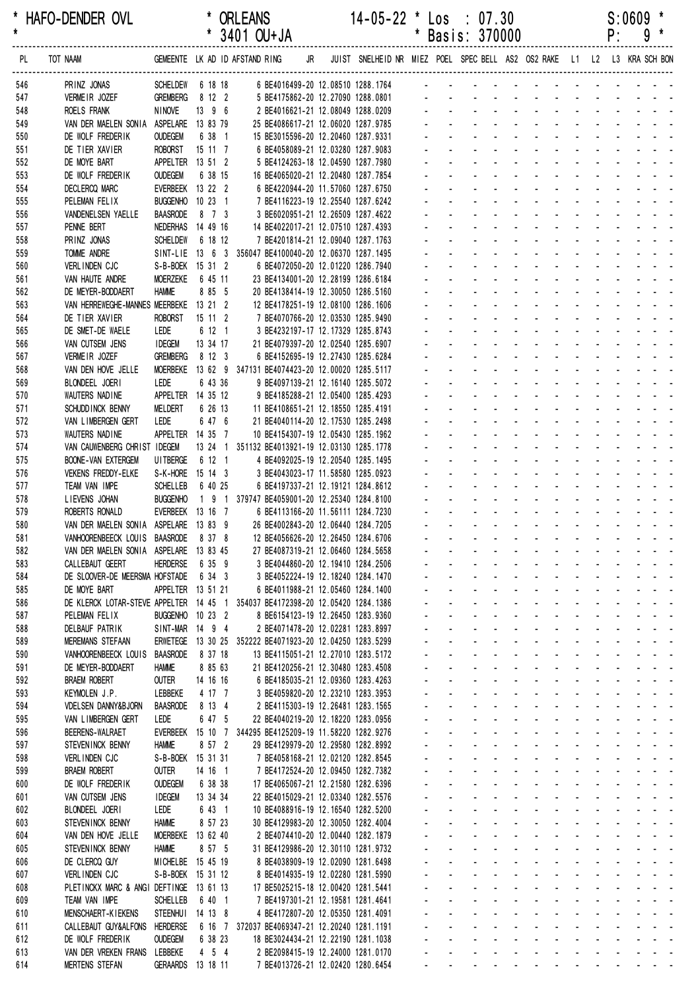| *<br>$\star$ | HAFO-DENDER OVL                                                               |                                    |                     | <b>ORLEANS</b><br>3401 OU+JA                                             |    | $14 - 05 - 22$ *                                                        | *            |                                     | $\textsf{Los} : 07.30$<br>Basis: 370000                                        |                                                |                                          |                                         |                                 |                                                     | P:                                     | S:0609<br>9 |                                                                                          |  |
|--------------|-------------------------------------------------------------------------------|------------------------------------|---------------------|--------------------------------------------------------------------------|----|-------------------------------------------------------------------------|--------------|-------------------------------------|--------------------------------------------------------------------------------|------------------------------------------------|------------------------------------------|-----------------------------------------|---------------------------------|-----------------------------------------------------|----------------------------------------|-------------|------------------------------------------------------------------------------------------|--|
| PL.          | TOT NAAM                                                                      |                                    |                     | GEMEENTE LK AD ID AFSTAND RING                                           | JR | JUIST SNELHEID NR MIEZ POEL SPEC BELL AS2 OS2 RAKE L1 L2 L3 KRA SCH BON |              |                                     |                                                                                |                                                |                                          |                                         |                                 |                                                     |                                        |             |                                                                                          |  |
| 546          | PRINZ JONAS                                                                   | SCHELDEW 6 18 18                   |                     |                                                                          |    | 6 BE4016499-20 12.08510 1288.1764                                       |              |                                     |                                                                                |                                                |                                          |                                         |                                 |                                                     |                                        |             |                                                                                          |  |
| 547          | VERMEIR JOZEF                                                                 | <b>GREMBERG</b>                    | 8 12 2              |                                                                          |    | 5 BE4175862-20 12.27090 1288.0801                                       |              |                                     |                                                                                |                                                |                                          |                                         |                                 |                                                     |                                        |             |                                                                                          |  |
| 548          | ROELS FRANK                                                                   | <b>NINOVE</b>                      | 13 9 6              |                                                                          |    | 2 BE4016621-21 12.08049 1288.0209                                       |              |                                     |                                                                                |                                                |                                          |                                         |                                 |                                                     |                                        |             |                                                                                          |  |
| 549          | VAN DER MAELEN SONIA                                                          | ASPELARE                           | 13 83 79            | 25 BE4086617-21 12.06020 1287.9785                                       |    |                                                                         |              |                                     |                                                                                |                                                |                                          |                                         |                                 |                                                     |                                        |             |                                                                                          |  |
| 550<br>551   | DE WOLF FREDERIK<br>DE TIER XAVIER                                            | <b>OUDEGEM</b><br><b>ROBORST</b>   | 6 38 1<br>15 11 7   | 15 BE3015596-20 12.20460 1287.9331                                       |    | 6 BE4058089-21 12.03280 1287.9083                                       |              |                                     |                                                                                |                                                |                                          |                                         |                                 |                                                     |                                        |             |                                                                                          |  |
| 552          | DE MOYE BART                                                                  | <b>APPELTER</b>                    | 13 51 2             |                                                                          |    | 5 BE4124263-18 12.04590 1287.7980                                       |              |                                     |                                                                                |                                                |                                          |                                         |                                 |                                                     |                                        |             |                                                                                          |  |
| 553          | DE WOLF FREDERIK                                                              | <b>OUDEGEM</b>                     | 6 38 15             | 16 BE4065020-21 12.20480 1287.7854                                       |    |                                                                         |              |                                     |                                                                                |                                                |                                          |                                         |                                 |                                                     |                                        |             |                                                                                          |  |
| 554          | <b>DECLERCQ MARC</b>                                                          | EVERBEEK 13 22 2                   |                     |                                                                          |    | 6 BE4220944-20 11.57060 1287.6750                                       |              |                                     |                                                                                |                                                |                                          |                                         |                                 |                                                     |                                        |             |                                                                                          |  |
| 555          | PELEMAN FELIX                                                                 | <b>BUGGENHO</b>                    | $1023$ 1            |                                                                          |    | 7 BE4116223-19 12.25540 1287.6242                                       |              |                                     |                                                                                |                                                |                                          |                                         |                                 |                                                     |                                        |             |                                                                                          |  |
| 556          | VANDENELSEN YAELLE                                                            | <b>BAASRODE</b>                    | 8 7 3               |                                                                          |    | 3 BE6020951-21 12.26509 1287.4622                                       |              |                                     |                                                                                |                                                |                                          |                                         |                                 |                                                     |                                        |             |                                                                                          |  |
| 557          | PENNE BERT                                                                    | NEDERHAS                           | 14 49 16            | 14 BE4022017-21 12.07510 1287.4393                                       |    |                                                                         |              |                                     |                                                                                |                                                |                                          |                                         |                                 |                                                     |                                        |             |                                                                                          |  |
| 558<br>559   | PRINZ JONAS<br><b>TOMME ANDRE</b>                                             | <b>SCHELDEW</b><br>SINT-LIE 13 6 3 | 6 18 12             | 356047 BE4100040-20 12.06370 1287.1495                                   |    | 7 BE4201814-21 12.09040 1287.1763                                       |              |                                     |                                                                                |                                                |                                          |                                         |                                 |                                                     |                                        |             |                                                                                          |  |
| 560          | VERLINDEN CJC                                                                 | S-B-BOEK 15 31 2                   |                     |                                                                          |    | 6 BE4072050-20 12.01220 1286.7940                                       |              |                                     |                                                                                |                                                |                                          |                                         |                                 |                                                     |                                        |             |                                                                                          |  |
| 561          | VAN HAUTE ANDRE                                                               | <b>MOERZEKE</b>                    | 6 45 11             | 23 BE4134001-20 12.28199 1286.6184                                       |    |                                                                         |              |                                     |                                                                                |                                                |                                          |                                         |                                 |                                                     |                                        |             |                                                                                          |  |
| 562          | DE MEYER-BODDAERT                                                             | <b>HAMME</b>                       | 8 85 5              | 20 BE4138414-19 12.30050 1286.5160                                       |    |                                                                         |              |                                     |                                                                                |                                                |                                          |                                         |                                 |                                                     |                                        |             |                                                                                          |  |
| 563          | VAN HERREWEGHE-MANNES MEERBEKE                                                |                                    | 13 21 2             | 12 BE4178251-19 12.08100 1286.1606                                       |    |                                                                         |              |                                     |                                                                                |                                                |                                          |                                         |                                 |                                                     |                                        |             |                                                                                          |  |
| 564          | DE TIER XAVIER                                                                | <b>ROBORST</b>                     | 15 11 2             |                                                                          |    | 7 BE4070766-20 12.03530 1285.9490                                       |              |                                     |                                                                                |                                                |                                          |                                         |                                 |                                                     |                                        |             |                                                                                          |  |
| 565          | DE SMET-DE WAELE                                                              | LEDE                               | 6 12 1              |                                                                          |    | 3 BE4232197-17 12.17329 1285.8743                                       |              |                                     |                                                                                |                                                |                                          |                                         |                                 |                                                     |                                        |             |                                                                                          |  |
| 566          | VAN CUTSEM JENS                                                               | <b>IDEGEM</b>                      | 13 34 17            | 21 BE4079397-20 12.02540 1285.6907                                       |    |                                                                         |              |                                     |                                                                                |                                                |                                          |                                         |                                 |                                                     |                                        |             |                                                                                          |  |
| 567          | VERMEIR JOZEF                                                                 | <b>GREMBERG</b><br><b>MOERBEKE</b> | 8 12 3              |                                                                          |    | 6 BE4152695-19 12.27430 1285.6284                                       |              |                                     |                                                                                |                                                |                                          |                                         |                                 |                                                     |                                        |             |                                                                                          |  |
| 568<br>569   | VAN DEN HOVE JELLE<br>BLONDEEL JOERI                                          | LEDE                               | 6 43 36             | 13 62 9 347131 BE4074423-20 12.00020 1285.5117                           |    | 9 BE4097139-21 12.16140 1285.5072                                       |              |                                     |                                                                                |                                                |                                          |                                         |                                 |                                                     |                                        |             |                                                                                          |  |
| 570          | WAUTERS NADINE                                                                | APPELTER 14 35 12                  |                     |                                                                          |    | 9 BE4185288-21 12.05400 1285.4293                                       |              |                                     |                                                                                |                                                |                                          |                                         |                                 |                                                     |                                        |             |                                                                                          |  |
| 571          | SCHUDD INCK BENNY                                                             | <b>MELDERT</b>                     | 6 26 13             | 11 BE4108651-21 12.18550 1285.4191                                       |    |                                                                         |              |                                     |                                                                                |                                                |                                          |                                         |                                 |                                                     |                                        |             |                                                                                          |  |
| 572          | VAN LIMBERGEN GERT                                                            | LEDE                               | 6 47 6              | 21 BE4040114-20 12.17530 1285.2498                                       |    |                                                                         |              |                                     |                                                                                |                                                |                                          |                                         |                                 |                                                     |                                        |             |                                                                                          |  |
| 573          | WAUTERS NADINE                                                                | APPELTER                           | 14 35 7             | 10 BE4154307-19 12.05430 1285.1962                                       |    |                                                                         |              |                                     |                                                                                |                                                |                                          |                                         |                                 |                                                     |                                        |             |                                                                                          |  |
| 574          | VAN CAUWENBERG CHRIST IDEGEM                                                  |                                    |                     | 13 24 1 351132 BE4013921-19 12.03130 1285.1778                           |    |                                                                         |              |                                     |                                                                                |                                                |                                          |                                         |                                 |                                                     |                                        |             |                                                                                          |  |
| 575          | <b>BOONE-VAN EXTERGEM</b>                                                     | UI TBERGE                          | 6 12 1              |                                                                          |    | 4 BE4092025-19 12.20540 1285.1495                                       |              |                                     |                                                                                |                                                |                                          |                                         |                                 |                                                     |                                        |             |                                                                                          |  |
| 576<br>577   | <b>VEKENS FREDDY-ELKE</b><br>TEAM VAN IMPE                                    | S-K-HORE<br><b>SCHELLEB</b>        | 15 14 3<br>6 40 25  |                                                                          |    | 3 BE4043023-17 11.58580 1285.0923<br>6 BE4197337-21 12.19121 1284.8612  |              |                                     |                                                                                |                                                |                                          |                                         |                                 |                                                     |                                        |             |                                                                                          |  |
| 578          | LIEVENS JOHAN                                                                 | <b>BUGGENHO</b>                    |                     | 1 9 1 379747 BE4059001-20 12.25340 1284.8100                             |    |                                                                         |              |                                     |                                                                                |                                                |                                          |                                         |                                 |                                                     |                                        |             |                                                                                          |  |
| 579          | ROBERTS RONALD                                                                | EVERBEEK 13 16 7                   |                     |                                                                          |    | 6 BE4113166-20 11.56111 1284.7230                                       |              |                                     |                                                                                |                                                |                                          |                                         |                                 |                                                     |                                        |             |                                                                                          |  |
| 580          | VAN DER MAELEN SONIA                                                          | ASPELARE 13 83 9                   |                     | 26 BE4002843-20 12.06440 1284.7205                                       |    |                                                                         |              |                                     |                                                                                |                                                |                                          |                                         |                                 |                                                     |                                        |             |                                                                                          |  |
| 581          | VANHOORENBEECK LOUIS                                                          | BAASRODE                           | 8 37 8              | 12 BE4056626-20 12.26450 1284.6706                                       |    |                                                                         |              |                                     |                                                                                | $\sim 100$ m $^{-1}$                           |                                          | and the state of the state              |                                 |                                                     |                                        |             |                                                                                          |  |
| 582          | VAN DER MAELEN SONIA ASPELARE 13 83 45                                        |                                    |                     | 27 BE4087319-21 12.06460 1284.5658                                       |    |                                                                         |              |                                     |                                                                                |                                                |                                          |                                         |                                 |                                                     |                                        |             |                                                                                          |  |
| 583<br>584   | CALLEBAUT GEERT<br>DE SLOOVER-DE MEERSMA HOFSTADE                             | <b>HERDERSE</b>                    | 6 35 9<br>6 34 3    |                                                                          |    | 3 BE4044860-20 12.19410 1284.2506<br>3 BE4052224-19 12.18240 1284.1470  |              |                                     |                                                                                | $\sim$<br>$\mathbf{L} = \mathbf{L} \mathbf{L}$ | <b>Contract Contract</b>                 | <b>Contract Contract</b><br>and a state | $\mathcal{L}^{\text{max}}$      | $\omega_{\rm{max}}$ , $\omega_{\rm{max}}$<br>$\sim$ |                                        |             | and the state of the state of the                                                        |  |
| 585          | DE MOYE BART                                                                  | APPELTER 13 51 21                  |                     |                                                                          |    | 6 BE4011988-21 12.05460 1284.1400                                       |              |                                     | $\mathcal{L}^{\text{max}}$<br>$\mathbf{L}^{\text{max}}$                        | <b>All Cards</b>                               |                                          | <b>All States</b>                       | $\mathbf{r}$                    |                                                     |                                        |             |                                                                                          |  |
| 586          | DE KLERCK LOTAR-STEVE APPELTER 14 45 1 354037 BE4172398-20 12.05420 1284.1386 |                                    |                     |                                                                          |    |                                                                         |              | $\sim$                              | $\mathbf{L} = \mathbf{L}$                                                      |                                                | $\Delta \sim 100$                        | $\sim 100$                              |                                 |                                                     |                                        |             |                                                                                          |  |
| 587          | PELEMAN FELIX                                                                 | BUGGENHO 10 23 2                   |                     |                                                                          |    | 8 BE6154123-19 12.26450 1283.9360                                       |              |                                     |                                                                                |                                                |                                          |                                         |                                 |                                                     |                                        |             |                                                                                          |  |
| 588          | DELBAUF PATRIK                                                                | SINT-MAR 14 9 4                    |                     |                                                                          |    | 2 BE4071478-20 12.02281 1283.8997                                       |              |                                     |                                                                                |                                                |                                          |                                         |                                 |                                                     |                                        |             | $\omega_{\rm{eff}}=2.0\pm0.02$                                                           |  |
| 589          | <b>MEREMANS STEFAAN</b>                                                       |                                    |                     | ERWETEGE 13 30 25 352222 BE4071923-20 12.04250 1283.5299                 |    |                                                                         | ä,           | $\sim$                              | $\Delta \sim 100$                                                              | $\sim$                                         | $\Delta \sim 100$<br>$\sim$              | $\sim 100$                              |                                 | $\omega_{\rm{max}}$ , $\omega_{\rm{max}}$           |                                        |             | $\mathbf{r}$ , $\mathbf{r}$ , $\mathbf{r}$ , $\mathbf{r}$                                |  |
| 590          | VANHOORENBEECK LOUIS                                                          | <b>BAASRODE</b>                    | 8 37 18             | 13 BE4115051-21 12.27010 1283.5172                                       |    |                                                                         | ä,           |                                     | $\omega_{\rm{max}}$                                                            | $\omega_{\rm{max}}$ , and $\omega_{\rm{max}}$  | $\Delta \sim 10^4$                       | $\Delta \sim 10^{-11}$                  | $\Delta \sim 100$               | $\mathcal{L}^{\text{max}}$                          | $\Delta \sim 10^{-11}$                 |             |                                                                                          |  |
| 591          | DE MEYER-BODDAERT<br><b>BRAEM ROBERT</b>                                      | <b>HAMME</b><br><b>OUTER</b>       | 8 85 63<br>14 16 16 | 21 BE4120256-21 12.30480 1283.4508                                       |    | 6 BE4185035-21 12.09360 1283.4263                                       |              | $\mathbf{L}^{\text{max}}$<br>$\sim$ | $\mathcal{L}^{\text{max}}$<br>$\mathbf{L}^{\text{max}}$                        | <b>All States</b><br>$\mathbf{u}$<br>$\sim$    | $\sim 100$                               | $\sim 100$<br>$\sim$                    | $\sim 100$                      |                                                     | $\Delta \sim 10^{-11}$                 |             | $\omega_{\rm{max}}$ , and $\omega_{\rm{max}}$                                            |  |
| 592<br>593   | KEYMOLEN J.P.                                                                 | LEBBEKE                            | 4 17 7              |                                                                          |    | 3 BE4059820-20 12.23210 1283.3953                                       |              |                                     |                                                                                |                                                | $\omega$                                 |                                         |                                 |                                                     |                                        |             |                                                                                          |  |
| 594          | <b>VDELSEN DANNY&amp;BJORN</b>                                                | <b>BAASRODE</b>                    | 8 13 4              |                                                                          |    | 2 BE4115303-19 12.26481 1283.1565                                       |              |                                     | $\mathcal{L}^{\text{max}}$                                                     | $\sim$                                         | $\mathbf{r}$                             |                                         | ¥.                              |                                                     |                                        |             | $\Delta \phi = \Delta \phi = 0.1$                                                        |  |
| 595          | VAN LIMBERGEN GERT                                                            | LEDE                               | 6 47 5              | 22 BE4040219-20 12.18220 1283.0956                                       |    |                                                                         | $\mathbf{r}$ | $\sim$                              | $\mathcal{L}$                                                                  | <b>Contractor</b><br>$\sim$                    | $\sim$                                   | $\sim 100$                              | $\Delta \sim 100$               | $\sim$                                              | $\sim$                                 |             | $\sim$ $\sim$ $\sim$                                                                     |  |
| 596          | <b>BEERENS-WALRAET</b>                                                        |                                    |                     | EVERBEEK 15 10 7 344295 BE4125209-19 11.58220 1282.9276                  |    |                                                                         |              |                                     | $\omega_{\rm{max}}$                                                            | and a state                                    |                                          | and a state                             | $\Delta \sim 10^{-1}$           |                                                     |                                        |             |                                                                                          |  |
| 597          | STEVENINCK BENNY                                                              | <b>HAMME</b>                       | 8 57 2              | 29 BE4129979-20 12.29580 1282.8992                                       |    |                                                                         |              | $\omega_{\rm{max}}$                 | $\mathbf{L}^{\text{max}}$<br>$\mathbf{L}^{\text{max}}$                         | <b>All Cards</b>                               |                                          | <b>All States</b>                       | $\mathcal{L}^{\text{max}}$      |                                                     |                                        |             | المستنقص والمنابذ                                                                        |  |
| 598          | <b>VERLINDEN CJC</b>                                                          | S-B-BOEK 15 31 31                  |                     |                                                                          |    | 7 BE4058168-21 12.02120 1282.8545                                       |              | $\sim$                              | $\mathbf{r} = \mathbf{r} \cdot \mathbf{r}$                                     | <b>Contractor</b>                              |                                          | <b>All States</b>                       |                                 |                                                     |                                        |             |                                                                                          |  |
| 599          | <b>BRAEM ROBERT</b>                                                           | <b>OUTER</b>                       | 14 16 1             |                                                                          |    | 7 BE4172524-20 12.09450 1282.7382                                       |              |                                     | $\mathcal{L}^{\text{max}}$                                                     |                                                | $\mathbf{u}$                             |                                         |                                 |                                                     |                                        |             |                                                                                          |  |
| 600<br>601   | DE WOLF FREDERIK<br>VAN CUTSEM JENS                                           | <b>OUDEGEM</b><br><b>IDEGEM</b>    | 6 38 38<br>13 34 34 | 17 BE4065067-21 12.21580 1282.6396<br>22 BE4015029-21 12.03340 1282.5576 |    |                                                                         |              | $\sim$                              | $\overline{a}$                                                                 | $\sim$<br>$\sim$<br>$\sim$                     | $\mathbf{r}$<br>$\mathcal{L}$            | $\sim$                                  | $\mathcal{L}^{\mathcal{L}}$     | $\omega_{\rm{max}}$ , $\omega_{\rm{max}}$           | $\mathbf{u}$ .                         |             | $\Delta\phi=0.01$ and $\Delta\phi=0.01$<br>$\omega_{\rm{max}}$ , and $\omega_{\rm{max}}$ |  |
| 602          | BLONDEEL JOERI                                                                | LEDE                               | 6 43 1              | 10 BE4088916-19 12.16540 1282.5200                                       |    |                                                                         |              |                                     | $\mathcal{L}^{\text{max}}$                                                     | $\omega_{\rm{max}}$ , and $\omega_{\rm{max}}$  |                                          | and a state                             |                                 |                                                     | and a straight                         |             | $\omega_{\rm{eff}}=2.0\pm0.02$                                                           |  |
| 603          | STEVENINCK BENNY                                                              | <b>HAMME</b>                       | 8 57 23             | 30 BE4129983-20 12.30050 1282.4004                                       |    |                                                                         |              | $\mathbf{L}^{\text{max}}$           | $\mathbf{L}^{\text{max}}$<br>$\mathbf{L}^{\text{max}}$                         | $\mathcal{L}^{\text{max}}$                     | $\Delta \sim 100$<br>$\omega_{\rm{max}}$ | $\sim 100$                              | $\mathcal{L}^{\text{max}}$      |                                                     | and a state                            |             | $\Delta \phi = \Delta \phi = 0.1$                                                        |  |
| 604          | VAN DEN HOVE JELLE                                                            | <b>MOERBEKE</b>                    | 13 62 40            |                                                                          |    | 2 BE4074410-20 12.00440 1282.1879                                       |              | $\sim$                              |                                                                                | $\sim$<br>$\sim$                               | $\blacksquare$                           | $\sim$                                  |                                 |                                                     | $\sim 100$                             |             |                                                                                          |  |
| 605          | STEVENINCK BENNY                                                              | <b>HAMME</b>                       | 8 57 5              | 31 BE4129986-20 12.30110 1281.9732                                       |    |                                                                         |              |                                     |                                                                                |                                                | $\omega$                                 |                                         |                                 |                                                     |                                        |             |                                                                                          |  |
| 606          | DE CLERCQ GUY                                                                 | MICHELBE 15 45 19                  |                     |                                                                          |    | 8 BE4038909-19 12.02090 1281.6498                                       |              |                                     | ÷.                                                                             | $\sim$                                         | $\omega$                                 |                                         | $\mathbf{r}$                    |                                                     |                                        |             | $\omega_{\rm{max}}$                                                                      |  |
| 607          | VERLINDEN CJC                                                                 | S-B-BOEK 15 31 12                  |                     |                                                                          |    | 8 BE4014935-19 12.02280 1281.5990                                       |              | $\sim$                              | $\mathcal{L}$                                                                  | $\mathbf{r}$<br>$\sim$                         | $\sim$                                   | $\sim$ 100 $\mu$                        | $\omega_{\rm{max}}$             | $\sim$                                              |                                        |             | $\sim 10^{-1}$ $\sim$                                                                    |  |
| 608<br>609   | PLETINCKX MARC & ANGI DEFTINGE 13 61 13<br>TEAM VAN IMPE                      | <b>SCHELLEB</b>                    | 6 40 1              | 17 BE5025215-18 12.00420 1281.5441                                       |    | 7 BE4197301-21 12.19581 1281.4641                                       |              |                                     | $\omega_{\rm{max}}$<br>$\mathcal{L}^{\text{max}}$<br>$\mathbf{L}^{\text{max}}$ | and a state<br>$\mathbf{L}^{\text{max}}$       | $\Delta \sim 10^{-1}$                    | and a state<br>and a state              | $\Delta \sim 10^{-1}$<br>$\sim$ |                                                     |                                        |             | $\sim 100$ km s $^{-1}$                                                                  |  |
| 610          | MENSCHAERT-KIEKENS                                                            | STEENHUI 14 13 8                   |                     |                                                                          |    | 4 BE4172807-20 12.05350 1281.4091                                       |              | $\sim$                              | $\mathbf{L}^{\text{max}}$                                                      | $\sim$<br>$\sim$                               | $\blacksquare$                           | $\sim 100$                              | $\blacksquare$                  |                                                     |                                        |             |                                                                                          |  |
| 611          | CALLEBAUT GUY&ALFONS                                                          | HERDERSE                           |                     | 6 16 7 372037 BE4069347-21 12.20240 1281.1191                            |    |                                                                         |              |                                     |                                                                                |                                                | $\omega$                                 |                                         |                                 |                                                     |                                        |             |                                                                                          |  |
| 612          | DE WOLF FREDERIK                                                              | <b>OUDEGEM</b>                     | 6 38 23             | 18 BE3024434-21 12.22190 1281.1038                                       |    |                                                                         | $\mathbf{r}$ |                                     | $\Delta \sim 100$<br>$\omega_{\rm{max}}$                                       | $\sim$                                         | $\omega$                                 |                                         | $\mathcal{L}^{\mathcal{L}}$     |                                                     |                                        |             | $\omega_{\rm{eff}}$ , $\omega_{\rm{eff}}$ , $\omega_{\rm{eff}}$                          |  |
| 613          | VAN DER VREKEN FRANS LEBBEKE                                                  |                                    | $4\quad 5\quad 4$   |                                                                          |    | 2 BE2098415-19 12.24000 1281.0170                                       |              | $\Delta \sim 100$                   | $\Delta \sim 100$<br>$\Delta \sim 100$                                         | $\Delta \sim 100$                              | and a straight and                       |                                         |                                 |                                                     | $\mathbf{r} = \mathbf{r} + \mathbf{r}$ |             | $\omega_{\rm{max}}$ and $\omega_{\rm{max}}$                                              |  |
| 614          | MERTENS STEFAN                                                                | GERAARDS 13 18 11                  |                     | 7 BE4013726-21 12.02420 1280.6454                                        |    |                                                                         |              |                                     | and a series of the contract of the series of                                  |                                                |                                          |                                         |                                 |                                                     |                                        |             |                                                                                          |  |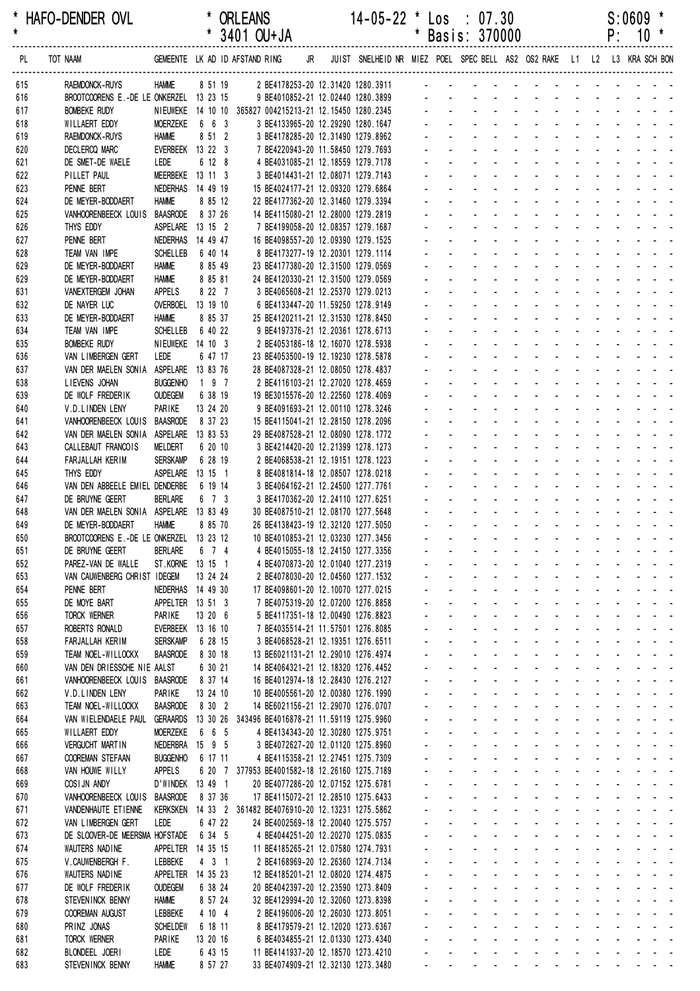| *<br>$\star$ | HAFO-DENDER OVL                                              |                            |          |                     | <b>ORLEANS</b><br>3401 OU+JA                             |    | $14-05-22$ * Los : 07.30                                                 | * |                | Basis: 370000              |                                                         |                                        |                             |                             |                             |                | P:                          | S:0609 | $10*$                                                                                                                                                                                                                                                                                                                                                                                                                             |
|--------------|--------------------------------------------------------------|----------------------------|----------|---------------------|----------------------------------------------------------|----|--------------------------------------------------------------------------|---|----------------|----------------------------|---------------------------------------------------------|----------------------------------------|-----------------------------|-----------------------------|-----------------------------|----------------|-----------------------------|--------|-----------------------------------------------------------------------------------------------------------------------------------------------------------------------------------------------------------------------------------------------------------------------------------------------------------------------------------------------------------------------------------------------------------------------------------|
| PL.          | TOT NAAM                                                     |                            |          |                     | GEMEENTE LK AD ID AFSTAND RING                           | JR | JUIST SNELHEID NR MIEZ POEL SPEC BELL AS2 OS2 RAKE L1 L2 L3 KRA SCH BON  |   |                |                            |                                                         |                                        |                             |                             |                             |                |                             |        |                                                                                                                                                                                                                                                                                                                                                                                                                                   |
| 615          | RAEMDONCK-RUYS                                               | <b>HAMME</b>               |          | 8 51 19             |                                                          |    | 2 BE4178253-20 12.31420 1280.3911                                        |   |                |                            |                                                         |                                        |                             |                             |                             |                |                             |        |                                                                                                                                                                                                                                                                                                                                                                                                                                   |
| 616          | BROOTCOORENS E.-DE LE ONKERZEL 13 23 15                      |                            |          |                     |                                                          |    | 9 BE4010852-21 12.02440 1280.3899                                        |   |                |                            |                                                         |                                        |                             |                             |                             |                |                             |        |                                                                                                                                                                                                                                                                                                                                                                                                                                   |
| 617          | <b>BOMBEKE RUDY</b>                                          |                            |          |                     | NIEUWEKE 14 10 10 365827 004215213-21 12.15450 1280.2345 |    |                                                                          |   |                |                            |                                                         |                                        |                             |                             |                             |                |                             |        |                                                                                                                                                                                                                                                                                                                                                                                                                                   |
| 618          | WILLAERT EDDY                                                | <b>MOERZEKE</b>            |          | 6 6 3               |                                                          |    | 3 BE4133965-20 12.29290 1280.1647                                        |   |                |                            |                                                         |                                        |                             |                             |                             |                |                             |        |                                                                                                                                                                                                                                                                                                                                                                                                                                   |
| 619          | RAEMDONCK-RUYS                                               | <b>HAMME</b>               |          | 8 51 2              |                                                          |    | 3 BE4178285-20 12.31490 1279.8962                                        |   |                |                            |                                                         |                                        |                             |                             |                             |                |                             |        |                                                                                                                                                                                                                                                                                                                                                                                                                                   |
| 620<br>621   | <b>DECLERCQ MARC</b><br>DE SMET-DE WAELE                     | EVERBEEK 13 22 3<br>LEDE   |          | 6 12 8              |                                                          |    | 7 BE4220943-20 11.58450 1279.7693<br>4 BE4031085-21 12.18559 1279.7178   |   |                |                            |                                                         |                                        |                             |                             |                             |                |                             |        |                                                                                                                                                                                                                                                                                                                                                                                                                                   |
| 622          | PILLET PAUL                                                  | MEERBEKE                   | 13 11 3  |                     |                                                          |    | 3 BE4014431-21 12.08071 1279.7143                                        |   |                |                            |                                                         |                                        |                             |                             |                             |                |                             |        |                                                                                                                                                                                                                                                                                                                                                                                                                                   |
| 623          | PENNE BERT                                                   | NEDERHAS 14 49 19          |          |                     |                                                          |    | 15 BE4024177-21 12.09320 1279.6864                                       |   |                |                            |                                                         |                                        |                             |                             |                             |                |                             |        |                                                                                                                                                                                                                                                                                                                                                                                                                                   |
| 624          | DE MEYER-BODDAERT                                            | <b>HAMME</b>               |          | 8 85 12             |                                                          |    | 22 BE4177362-20 12.31460 1279.3394                                       |   |                |                            |                                                         |                                        |                             |                             |                             |                |                             |        |                                                                                                                                                                                                                                                                                                                                                                                                                                   |
| 625          | VANHOORENBEECK LOUIS                                         | <b>BAASRODE</b>            |          | 8 37 26             |                                                          |    | 14 BE4115080-21 12.28000 1279.2819                                       |   |                |                            |                                                         |                                        |                             |                             |                             |                |                             |        |                                                                                                                                                                                                                                                                                                                                                                                                                                   |
| 626          | THYS EDDY                                                    | ASPELARE 13 15 2           |          |                     |                                                          |    | 7 BE4199058-20 12.08357 1279.1687                                        |   |                |                            |                                                         |                                        |                             |                             |                             |                |                             |        |                                                                                                                                                                                                                                                                                                                                                                                                                                   |
| 627          | PENNE BERT                                                   | NEDERHAS                   | 14 49 47 |                     |                                                          |    | 16 BE4098557-20 12.09390 1279.1525                                       |   |                |                            |                                                         |                                        |                             |                             |                             |                |                             |        |                                                                                                                                                                                                                                                                                                                                                                                                                                   |
| 628          | TEAM VAN IMPE                                                | <b>SCHELLEB</b>            |          | 6 40 14             |                                                          |    | 8 BE4173277-19 12.20301 1279.1114                                        |   |                |                            |                                                         |                                        |                             |                             |                             |                |                             |        |                                                                                                                                                                                                                                                                                                                                                                                                                                   |
| 629          | DE MEYER-BODDAERT                                            | <b>HAMME</b>               |          | 8 85 49             |                                                          |    | 23 BE4177380-20 12.31500 1279.0569                                       |   |                |                            |                                                         |                                        |                             |                             |                             |                |                             |        |                                                                                                                                                                                                                                                                                                                                                                                                                                   |
| 629          | DE MEYER-BODDAERT                                            | <b>HAMME</b>               |          | 8 85 81             |                                                          |    | 24 BE4120330-21 12.31500 1279.0569                                       |   |                |                            |                                                         |                                        |                             |                             |                             |                |                             |        |                                                                                                                                                                                                                                                                                                                                                                                                                                   |
| 631          | VANEXTERGEM JOHAN                                            | <b>APPELS</b>              |          | 8 22 7              |                                                          |    | 3 BE4065608-21 12.25370 1279.0213                                        |   |                |                            |                                                         |                                        |                             |                             |                             |                |                             |        |                                                                                                                                                                                                                                                                                                                                                                                                                                   |
| 632          | DE NAYER LUC                                                 | OVERBOEL<br><b>HAMME</b>   | 13 19 10 | 8 85 37             |                                                          |    | 6 BE4133447-20 11.59250 1278.9149                                        |   |                |                            |                                                         |                                        |                             |                             |                             |                |                             |        |                                                                                                                                                                                                                                                                                                                                                                                                                                   |
| 633<br>634   | DE MEYER-BODDAERT<br>TEAM VAN IMPE                           | <b>SCHELLEB</b>            |          | 6 40 22             |                                                          |    | 25 BE4120211-21 12.31530 1278.8450<br>9 BE4197376-21 12.20361 1278.6713  |   |                |                            |                                                         |                                        |                             |                             |                             |                |                             |        |                                                                                                                                                                                                                                                                                                                                                                                                                                   |
| 635          | <b>BOMBEKE RUDY</b>                                          | NIEUWEKE 14 10 3           |          |                     |                                                          |    | 2 BE4053186-18 12.16070 1278.5938                                        |   |                |                            |                                                         |                                        |                             |                             |                             |                |                             |        |                                                                                                                                                                                                                                                                                                                                                                                                                                   |
| 636          | VAN LIMBERGEN GERT                                           | LEDE                       |          | 6 47 17             |                                                          |    | 23 BE4053500-19 12.19230 1278.5878                                       |   |                |                            |                                                         |                                        |                             |                             |                             |                |                             |        |                                                                                                                                                                                                                                                                                                                                                                                                                                   |
| 637          | VAN DER MAELEN SONIA ASPELARE 13 83 76                       |                            |          |                     |                                                          |    | 28 BE4087328-21 12.08050 1278.4837                                       |   |                |                            |                                                         |                                        |                             |                             |                             |                |                             |        |                                                                                                                                                                                                                                                                                                                                                                                                                                   |
| 638          | LIEVENS JOHAN                                                | <b>BUGGENHO</b>            |          | 197                 |                                                          |    | 2 BE4116103-21 12.27020 1278.4659                                        |   |                |                            |                                                         |                                        |                             |                             |                             |                |                             |        |                                                                                                                                                                                                                                                                                                                                                                                                                                   |
| 639          | DE WOLF FREDERIK                                             | <b>OUDEGEM</b>             |          | 6 38 19             |                                                          |    | 19 BE3015576-20 12.22560 1278.4069                                       |   |                |                            |                                                         |                                        |                             |                             |                             |                |                             |        |                                                                                                                                                                                                                                                                                                                                                                                                                                   |
| 640          | V.D.LINDEN LENY                                              | PARIKE                     | 13 24 20 |                     |                                                          |    | 9 BE4091693-21 12.00110 1278.3246                                        |   |                |                            |                                                         |                                        |                             |                             |                             |                |                             |        |                                                                                                                                                                                                                                                                                                                                                                                                                                   |
| 641          | VANHOORENBEECK LOUIS BAASRODE                                |                            |          | 8 37 23             |                                                          |    | 15 BE4115041-21 12.28150 1278.2096                                       |   |                |                            |                                                         |                                        |                             |                             |                             |                |                             |        |                                                                                                                                                                                                                                                                                                                                                                                                                                   |
| 642          | VAN DER MAELEN SONIA ASPELARE 13 83 53                       |                            |          |                     |                                                          |    | 29 BE4087528-21 12.08090 1278.1772                                       |   |                |                            |                                                         |                                        |                             |                             |                             |                |                             |        |                                                                                                                                                                                                                                                                                                                                                                                                                                   |
| 643          | CALLEBAUT FRANCOIS                                           | MELDERT                    |          | 6 20 10             |                                                          |    | 3 BE4214420-20 12.21399 1278.1273                                        |   |                |                            |                                                         |                                        |                             |                             |                             |                |                             |        |                                                                                                                                                                                                                                                                                                                                                                                                                                   |
| 644          | FARJALLAH KERIM                                              | <b>SERSKAMP</b>            |          | 6 28 19             |                                                          |    | 2 BE4068538-21 12.19151 1278.1223                                        |   |                |                            |                                                         |                                        |                             |                             |                             |                |                             |        |                                                                                                                                                                                                                                                                                                                                                                                                                                   |
| 645          | THYS EDDY                                                    | <b>ASPELARE</b>            | 13 15 1  |                     |                                                          |    | 8 BE4081814-18 12.08507 1278.0218                                        |   |                |                            |                                                         |                                        |                             |                             |                             |                |                             |        |                                                                                                                                                                                                                                                                                                                                                                                                                                   |
| 646          | VAN DEN ABBEELE EMIEL DENDERBE                               |                            |          | 6 19 14             |                                                          |    | 3 BE4064162-21 12.24500 1277.7761                                        |   |                |                            |                                                         |                                        |                             |                             |                             |                |                             |        |                                                                                                                                                                                                                                                                                                                                                                                                                                   |
| 647          | DE BRUYNE GEERT                                              | <b>BERLARE</b>             |          | 6 7 3               |                                                          |    | 3 BE4170362-20 12.24110 1277.6251                                        |   |                |                            |                                                         |                                        |                             |                             |                             |                |                             |        |                                                                                                                                                                                                                                                                                                                                                                                                                                   |
| 648          | VAN DER MAELEN SONIA ASPELARE 13 83 49                       |                            |          |                     |                                                          |    | 30 BE4087510-21 12.08170 1277.5648                                       |   |                |                            |                                                         |                                        |                             |                             |                             |                |                             |        |                                                                                                                                                                                                                                                                                                                                                                                                                                   |
| 649<br>650   | DE MEYER-BODDAERT<br>BROOTCOORENS E.-DE LE ONKERZEL 13 23 12 | <b>HAMME</b>               |          | 8 85 70             |                                                          |    | 26 BE4138423-19 12.32120 1277.5050<br>10 BE4010853-21 12.03230 1277.3456 |   |                |                            | $\mathcal{L}_{\mathcal{A}}$                             | $\mathbb{Z}^2$                         | $\sim$                      |                             |                             |                |                             |        | $\sim$ $ \sim$ $-$                                                                                                                                                                                                                                                                                                                                                                                                                |
| 651          | DE BRUYNE GEERT                                              | <b>BERLARE</b>             |          | 6 7 4               |                                                          |    | 4 BE4015055-18 12.24150 1277.3356                                        |   |                |                            |                                                         |                                        |                             |                             |                             |                |                             |        | $\sim$ 100 $\sim$ 100 $\sim$                                                                                                                                                                                                                                                                                                                                                                                                      |
| 652          | PAREZ-VAN DE WALLE                                           | ST.KORNE 13 15 1           |          |                     |                                                          |    | 4 BE4070873-20 12.01040 1277.2319                                        |   |                |                            | $\sim$                                                  |                                        |                             |                             |                             |                |                             |        |                                                                                                                                                                                                                                                                                                                                                                                                                                   |
| 653          | VAN CAUWENBERG CHRIST IDEGEM                                 |                            | 13 24 24 |                     |                                                          |    | 2 BE4078030-20 12.04560 1277.1532                                        |   |                |                            | $\mathbf{L}^{\text{max}}$                               |                                        |                             |                             |                             |                |                             |        |                                                                                                                                                                                                                                                                                                                                                                                                                                   |
| 654          | PENNE BERT                                                   | NEDERHAS 14 49 30          |          |                     |                                                          |    | 17 BE4098601-20 12.10070 1277.0215                                       |   |                |                            | $\mathbf{L}^{\text{max}}$                               | $\omega$                               | $\sim$                      | ä,                          |                             |                |                             |        | $\sim 10$                                                                                                                                                                                                                                                                                                                                                                                                                         |
| 655          | DE MOYE BART                                                 | APPELTER 13 51 3           |          |                     |                                                          |    | 7 BE4075319-20 12.07200 1276.8858                                        |   | ä,             | $\mathbf{L}^{\text{max}}$  | $\mathcal{L}^{\text{max}}$                              | $\Delta \sim 10^{-1}$                  | $\Delta \sim 10^{-1}$       | $\mathcal{L}^{\text{max}}$  |                             |                |                             |        | $\sim 100$ $\sim$                                                                                                                                                                                                                                                                                                                                                                                                                 |
| 656          | <b>TORCK WERNER</b>                                          | PARIKE                     | 13 20 6  |                     |                                                          |    | 5 BE4117351-18 12.00490 1276.8823                                        |   | $\blacksquare$ | $\Delta \sim 10^4$         | $\sim$                                                  | $\sim$                                 | $\sim$                      | $\blacksquare$              |                             |                |                             |        | $\sim$ $ \sim$                                                                                                                                                                                                                                                                                                                                                                                                                    |
| 657          | ROBERTS RONALD                                               | EVERBEEK 13 16 10          |          |                     |                                                          |    | 7 BE4035514-21 11.57501 1276.8085                                        |   |                |                            | <b>All Service</b>                                      |                                        |                             |                             |                             |                |                             |        |                                                                                                                                                                                                                                                                                                                                                                                                                                   |
| 658          | FARJALLAH KERIM                                              | <b>SERSKAMP</b>            |          | 6 28 15             |                                                          |    | 3 BE4068528-21 12.19351 1276.6511                                        |   |                |                            | $\omega_{\rm{max}}$ , and $\omega_{\rm{max}}$           | $\omega$                               |                             |                             |                             |                |                             |        |                                                                                                                                                                                                                                                                                                                                                                                                                                   |
| 659          | TEAM NOEL-WILLOCKX                                           | <b>BAASRODE</b>            |          | 8 30 18             |                                                          |    | 13 BE6021131-21 12.29010 1276.4974                                       |   |                |                            | $\Delta \sim 100$                                       | $\mathcal{L}$                          |                             | $\sim 100$                  |                             |                |                             |        |                                                                                                                                                                                                                                                                                                                                                                                                                                   |
| 660          | VAN DEN DRIESSCHE NIE AALST                                  |                            |          | 6 30 21             |                                                          |    | 14 BE4064321-21 12.18320 1276.4452                                       |   | ä,             | $\mathbf{L}^{\text{max}}$  | $\Delta \sim 100$                                       | $\mathbf{r}$                           | $\Delta \sim 100$           | $\omega_{\rm{max}}$         | $\sim$                      |                |                             |        | and a state of                                                                                                                                                                                                                                                                                                                                                                                                                    |
| 661          | VANHOORENBEECK LOUIS BAASRODE                                |                            |          | 8 37 14             |                                                          |    | 16 BE4012974-18 12.28430 1276.2127                                       |   | ä,             | $\omega_{\rm{max}}$        | $\mathbf{L}^{\text{max}}$                               | $\Delta \sim 10^{-1}$                  | $\Delta \sim 10^{-1}$       | $\mathbf{L}^{\text{max}}$   | $\Delta \sim 100$           | $\sim$         | $\omega_{\rm{max}}$         |        | $\omega_{\rm{eff}}$ , $\omega_{\rm{eff}}$ , $\omega_{\rm{eff}}$                                                                                                                                                                                                                                                                                                                                                                   |
| 662          | V.D.LINDEN LENY                                              | PARIKE                     |          | 13 24 10            |                                                          |    | 10 BE4005561-20 12.00380 1276.1990                                       |   | $\blacksquare$ | $\omega_{\rm{max}}$        | $\sim$                                                  | $\mathbf{r}$                           | $\blacksquare$              | $\blacksquare$              |                             | $\blacksquare$ |                             |        | $\sim$ $ \sim$                                                                                                                                                                                                                                                                                                                                                                                                                    |
| 663          | TEAM NOEL-WILLOCKX<br>VAN WIELENDAELE PAUL                   | <b>BAASRODE</b>            |          | 8 30 2              |                                                          |    | 14 BE6021156-21 12.29070 1276.0707                                       |   |                | $\sim$                     | $\mathcal{L}_{\mathcal{A}}$<br>$\sim$                   | $\blacksquare$<br>$\omega$             | $\sim$                      | $\blacksquare$<br>$\omega$  |                             |                | $\blacksquare$              |        | $\omega_{\rm{eff}}=2.00$ km $^{-1}$                                                                                                                                                                                                                                                                                                                                                                                               |
| 664<br>665   | WILLAERT EDDY                                                | MOERZEKE                   |          | 6 6 5               | GERAARDS 13 30 26 343496 BE4016878-21 11.59119 1275.9960 |    | 4 BE4134343-20 12.30280 1275.9751                                        |   |                |                            | $\omega_{\rm{max}}$ , $\omega_{\rm{max}}$               |                                        |                             | $\mathcal{L}^{\mathcal{L}}$ | $\mathbf{r}$                |                |                             |        |                                                                                                                                                                                                                                                                                                                                                                                                                                   |
| 666          | <b>VERGUCHT MARTIN</b>                                       | NEDERBRA 15 9 5            |          |                     |                                                          |    | 3 BE4072627-20 12.01120 1275.8960                                        |   | ä,             | $\mathbf{L}^{\text{max}}$  | $\mathbf{L}^{\text{max}}$                               | $\mathbf{r}$                           | $\sim$                      | $\omega_{\rm{max}}$         | $\mathcal{L}^{\mathcal{A}}$ |                |                             |        | $\sim$ $ \sim$                                                                                                                                                                                                                                                                                                                                                                                                                    |
| 667          | <b>COOREMAN STEFAAN</b>                                      | <b>BUGGENHO</b>            |          | 6 17 11             |                                                          |    | 4 BE4115358-21 12.27451 1275.7309                                        |   | $\mathbf{r}$   | $\mathbf{L}^{\text{max}}$  | <b>All States</b>                                       |                                        | $\sim 100$                  | $\mathcal{L}^{\text{max}}$  |                             |                |                             |        | $\sim 100$                                                                                                                                                                                                                                                                                                                                                                                                                        |
| 668          | VAN HOUWE WILLY                                              | <b>APPELS</b>              |          |                     | 6 20 7 377953 BE4001582-18 12.26160 1275.7189            |    |                                                                          |   | $\sim$         | $\Delta \sim 100$          | $\mathbf{r}$                                            | $\Delta \sim 100$                      | $\sim$                      | $\blacksquare$              |                             |                |                             |        | $\sim$ $ \sim$                                                                                                                                                                                                                                                                                                                                                                                                                    |
| 669          | COSIJN ANDY                                                  | D'WINDEK 13 49 1           |          |                     |                                                          |    | 20 BE4077286-20 12.07152 1275.6781                                       |   | $\blacksquare$ | $\sim 100$                 | $\Delta \sim 100$                                       | $\mathbf{r}$                           | $\sim$                      | $\blacksquare$              |                             |                |                             |        |                                                                                                                                                                                                                                                                                                                                                                                                                                   |
| 670          | VANHOORENBEECK LOUIS                                         | <b>BAASRODE</b>            |          | 8 37 36             |                                                          |    | 17 BE4115072-21 12.28510 1275.6433                                       |   |                |                            | and the state                                           | $\omega$                               |                             | $\mathcal{L}^{\mathcal{L}}$ |                             |                |                             |        |                                                                                                                                                                                                                                                                                                                                                                                                                                   |
| 671          | VANDENHAUTE ET I ENNE                                        |                            |          |                     | KERKSKEN 14 33 2 361482 BE4076910-20 12.13231 1275.5862  |    |                                                                          |   |                |                            | $\Delta \sim 100$                                       | $\mathcal{L}$                          |                             | $\mathbf{L}^{\text{max}}$   | $\Delta$                    |                |                             |        | $\label{eq:2.1} \begin{array}{cccccccccc} \mathbf{1} & \mathbf{1} & \mathbf{1} & \mathbf{1} & \mathbf{1} & \mathbf{1} & \mathbf{1} & \mathbf{1} & \mathbf{1} & \mathbf{1} & \mathbf{1} & \mathbf{1} & \mathbf{1} & \mathbf{1} & \mathbf{1} & \mathbf{1} & \mathbf{1} & \mathbf{1} & \mathbf{1} & \mathbf{1} & \mathbf{1} & \mathbf{1} & \mathbf{1} & \mathbf{1} & \mathbf{1} & \mathbf{1} & \mathbf{1} & \mathbf{1} & \mathbf{1}$ |
| 672          | VAN LIMBERGEN GERT                                           | LEDE                       |          | 6 47 22             |                                                          |    | 24 BE4002569-18 12.20040 1275.5757                                       |   | ä,             | $\mathbf{L}^{\text{max}}$  | $\mathcal{L}^{\text{max}}$                              | $\mathbf{r}$                           | $\sim$                      | $\omega_{\rm{max}}$         | $\mathcal{L}^{\mathcal{A}}$ | $\mathcal{L}$  | $\mathcal{L}$               |        | and a state of                                                                                                                                                                                                                                                                                                                                                                                                                    |
| 673          | DE SLOOVER-DE MEERSMA HOFSTADE                               |                            |          | 6 34 5              |                                                          |    | 4 BE4044251-20 12.20270 1275.0835                                        |   | ä,             | $\mathcal{L}^{\text{max}}$ | $\mathbf{L}^{\text{max}}$                               | $\Delta \sim 100$                      | $\Delta \sim 10^{-1}$       | $\omega_{\rm{max}}$         | $\Delta \sim 10^4$          | $\sim$         | $\mathcal{L}^{\mathcal{A}}$ |        | $\sim 10$                                                                                                                                                                                                                                                                                                                                                                                                                         |
| 674          | WAUTERS NADINE                                               | APPELTER 14 35 15          |          |                     |                                                          |    | 11 BE4185265-21 12.07580 1274.7931                                       |   | $\blacksquare$ | $\Delta \sim 100$          | $\mathcal{L}_{\mathcal{A}}$                             | $\omega$                               | $\mathbf{r}$                |                             |                             | $\mathbf{r}$   |                             |        | $\sim 100$ $\sim$                                                                                                                                                                                                                                                                                                                                                                                                                 |
| 675          | V.CAUWENBERGH F.                                             | LEBBEKE                    |          | $4 \quad 3 \quad 1$ |                                                          |    | 2 BE4168969-20 12.26360 1274.7134                                        |   |                | $\Delta \sim 100$          | $\Delta \sim 100$                                       | $\mathcal{L}$                          | $\sim$                      | ä,                          |                             |                | $\omega$                    |        | $\sim 10^{-1}$ $\sim$                                                                                                                                                                                                                                                                                                                                                                                                             |
| 676          | WAUTERS NADINE                                               | APPELTER 14 35 23          |          |                     |                                                          |    | 12 BE4185201-21 12.08020 1274.4875                                       |   |                |                            | and a state                                             | $\omega$                               |                             |                             |                             |                |                             |        |                                                                                                                                                                                                                                                                                                                                                                                                                                   |
| 677          | DE WOLF FREDERIK                                             | <b>OUDEGEM</b>             |          | 6 38 24             |                                                          |    | 20 BE4042397-20 12.23590 1273.8409                                       |   |                |                            | $\sim 100$                                              | $\mathcal{L}$                          |                             |                             |                             |                |                             |        |                                                                                                                                                                                                                                                                                                                                                                                                                                   |
| 678          | STEVENINCK BENNY                                             | <b>HAMME</b>               |          | 8 57 24             |                                                          |    | 32 BE4129994-20 12.32060 1273.8398                                       |   | ä,<br>ä,       | ¥.                         | $\mathbf{L}^{\text{max}}$<br>$\mathcal{L}^{\text{max}}$ | $\mathbf{r}$<br>$\Delta \sim 10^{-11}$ | $\sim$<br>$\sim$            | ä,<br>$\omega$              | $\mathbf{r}$                |                |                             |        |                                                                                                                                                                                                                                                                                                                                                                                                                                   |
| 679<br>680   | COOREMAN AUGUST<br>PRINZ JONAS                               | LEBBEKE<br><b>SCHELDEW</b> |          | 4 10 4<br>6 18 11   |                                                          |    | 2 BE4196006-20 12.26030 1273.8051<br>8 BE4179579-21 12.12020 1273.6367   |   | $\blacksquare$ | $\sim 100$                 | $\sim$                                                  | $\blacksquare$                         | $\mathcal{L}_{\mathcal{A}}$ | $\blacksquare$              |                             |                |                             |        | $\sim$ $ \sim$<br>$\sim$ $ \sim$                                                                                                                                                                                                                                                                                                                                                                                                  |
| 681          | <b>TORCK WERNER</b>                                          | <b>PARIKE</b>              | 13 20 16 |                     |                                                          |    | 6 BE4034855-21 12.01330 1273.4340                                        |   | $\blacksquare$ | $\sim$                     | $\blacksquare$                                          | $\blacksquare$                         | $\sim$                      | $\blacksquare$              |                             |                |                             |        | $\omega_{\rm{eff}}=2.00$ km $^{-1}$                                                                                                                                                                                                                                                                                                                                                                                               |
| 682          | BLONDEEL JOERI                                               | LEDE                       |          | 6 43 15             |                                                          |    | 11 BE4141937-20 12.18570 1273.4210                                       |   |                |                            |                                                         |                                        |                             |                             |                             |                |                             |        |                                                                                                                                                                                                                                                                                                                                                                                                                                   |
| 683          | STEVENINCK BENNY                                             | <b>HAMME</b>               |          | 8 57 27             |                                                          |    | 33 BE4074909-21 12.32130 1273.3480                                       |   | ÷.             | $\Delta \sim 100$          |                                                         |                                        | and a straight              |                             | and a straight and          |                |                             |        | <b>San America</b>                                                                                                                                                                                                                                                                                                                                                                                                                |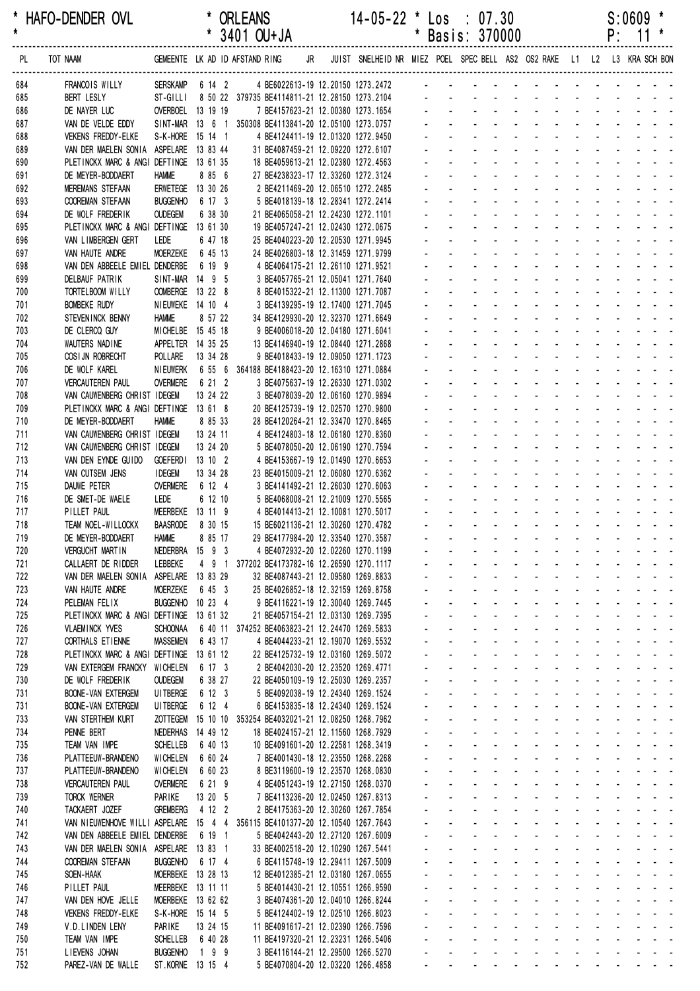\* HAFO-DENDER OVL \* ORLEANS 14-05-22 \* Los : 07.30 S:0609 \*

|            |                                                                              |                                        |                     | 3401 OU+JA                                                               |    |                                                                         |                | Basis: 3/0000                             |                                 |                           |                                                |                                                     |                | ۲.                 |                             |                                   |
|------------|------------------------------------------------------------------------------|----------------------------------------|---------------------|--------------------------------------------------------------------------|----|-------------------------------------------------------------------------|----------------|-------------------------------------------|---------------------------------|---------------------------|------------------------------------------------|-----------------------------------------------------|----------------|--------------------|-----------------------------|-----------------------------------|
| PL         | TOT NAAM                                                                     |                                        |                     | GEMEENTE LK AD ID AFSTAND RING                                           | JR | JUIST SNELHEID NR MIEZ POEL SPEC BELL AS2 OS2 RAKE L1 L2 L3 KRA SCH BON |                |                                           |                                 |                           |                                                |                                                     |                |                    |                             |                                   |
| 684        | FRANCOIS WILLY                                                               | SERSKAMP 6 14 2                        |                     | 4 BE6022613-19 12.20150 1273.2472 - - - - - - - -                        |    |                                                                         |                |                                           |                                 |                           |                                                |                                                     |                |                    |                             |                                   |
| 685        | <b>BERT LESLY</b>                                                            | ST-GILLI                               |                     | 8 50 22 379735 BE4114811-21 12.28150 1273.2104                           |    |                                                                         |                |                                           |                                 |                           |                                                |                                                     |                |                    |                             |                                   |
| 686        | DE NAYER LUC                                                                 | OVERBOEL 13 19 19                      |                     | 7 BE4157623-21 12.00380 1273.1654                                        |    |                                                                         |                |                                           |                                 |                           |                                                |                                                     |                |                    |                             |                                   |
| 687        | VAN DE VELDE EDDY                                                            |                                        |                     | SINT-MAR 13 6 1 350308 BE4113841-20 12.05100 1273.0757                   |    |                                                                         |                |                                           |                                 |                           |                                                |                                                     |                |                    |                             |                                   |
| 688<br>689 | VEKENS FREDDY-ELKE<br>VAN DER MAELEN SONIA                                   | S-K-HORE 15 14 1<br>ASPELARE 13 83 44  |                     | 4 BE4124411-19 12.01320 1272.9450<br>31 BE4087459-21 12.09220 1272.6107  |    |                                                                         |                |                                           |                                 |                           |                                                |                                                     |                |                    |                             |                                   |
| 690        | PLETINCKX MARC & ANGI DEFTINGE 13 61 35                                      |                                        |                     | 18 BE4059613-21 12.02380 1272.4563                                       |    |                                                                         |                |                                           |                                 |                           |                                                |                                                     |                |                    |                             |                                   |
| 691        | DE MEYER-BODDAERT                                                            | <b>HAMME</b>                           | 8 85 6              | 27 BE4238323-17 12.33260 1272.3124                                       |    |                                                                         |                |                                           |                                 |                           |                                                |                                                     |                |                    |                             |                                   |
| 692        | <b>MEREMANS STEFAAN</b>                                                      | ERWETEGE 13 30 26                      |                     | 2 BE4211469-20 12.06510 1272.2485                                        |    |                                                                         |                |                                           |                                 |                           |                                                |                                                     |                |                    |                             |                                   |
| 693        | COOREMAN STEFAAN                                                             | <b>BUGGENHO</b>                        | 6 17 3              | 5 BE4018139-18 12.28341 1272.2414                                        |    |                                                                         |                |                                           |                                 |                           |                                                |                                                     |                |                    |                             |                                   |
| 694        | DE WOLF FREDERIK                                                             | <b>OUDEGEM</b>                         | 6 38 30             | 21 BE4065058-21 12.24230 1272.1101                                       |    |                                                                         |                |                                           |                                 |                           |                                                |                                                     |                |                    |                             |                                   |
| 695<br>696 | PLETINCKX MARC & ANGI DEFTINGE 13 61 30<br>VAN LIMBERGEN GERT                | LEDE                                   | 6 47 18             | 19 BE4057247-21 12.02430 1272.0675<br>25 BE4040223-20 12.20530 1271.9945 |    |                                                                         |                |                                           |                                 |                           |                                                |                                                     |                |                    |                             |                                   |
| 697        | VAN HAUTE ANDRE                                                              | <b>MOERZEKE</b>                        | 6 45 13             | 24 BE4026803-18 12.31459 1271.9799                                       |    |                                                                         |                |                                           |                                 |                           |                                                |                                                     |                |                    |                             |                                   |
| 698        | VAN DEN ABBEELE EMIEL DENDERBE                                               |                                        | 6 19 9              | 4 BE4064175-21 12.26110 1271.9521                                        |    |                                                                         |                |                                           |                                 |                           |                                                |                                                     |                |                    |                             |                                   |
| 699        | <b>DELBAUF PATRIK</b>                                                        | SINT-MAR 14 9 5                        |                     | 3 BE4057765-21 12.05041 1271.7640                                        |    |                                                                         |                |                                           |                                 |                           |                                                |                                                     |                |                    |                             |                                   |
| 700        | TORTELBOOM WILLY                                                             | OOMBERGE 13 22 8                       |                     | 8 BE4015322-21 12.11300 1271.7087                                        |    |                                                                         |                |                                           |                                 |                           |                                                |                                                     |                |                    |                             |                                   |
| 701        | <b>BOMBEKE RUDY</b>                                                          | NIEUWEKE 14 10 4                       |                     | 3 BE4139295-19 12.17400 1271.7045                                        |    |                                                                         |                |                                           |                                 |                           |                                                |                                                     |                |                    |                             |                                   |
| 702        | STEVENINCK BENNY                                                             | <b>HAMME</b><br>MICHELBE 15 45 18      | 8 57 22             | 34 BE4129930-20 12.32370 1271.6649<br>9 BE4006018-20 12.04180 1271.6041  |    |                                                                         |                |                                           |                                 |                           |                                                |                                                     |                |                    |                             |                                   |
| 703<br>704 | DE CLERCQ GUY<br>WAUTERS NADINE                                              | APPELTER 14 35 25                      |                     | 13 BE4146940-19 12.08440 1271.2868                                       |    |                                                                         |                |                                           |                                 |                           |                                                |                                                     |                |                    |                             |                                   |
| 705        | COSI JN ROBRECHT                                                             | POLLARE                                | 13 34 28            | 9 BE4018433-19 12.09050 1271.1723                                        |    |                                                                         |                |                                           |                                 |                           |                                                |                                                     |                |                    |                             |                                   |
| 706        | DE WOLF KAREL                                                                | <b>NIEUWERK</b>                        |                     | 6 55 6 364188 BE4188423-20 12.16310 1271.0884                            |    |                                                                         |                |                                           |                                 |                           |                                                |                                                     |                |                    |                             |                                   |
| 707        | <b>VERCAUTEREN PAUL</b>                                                      | <b>OVERMERE</b>                        | 6 21 2              | 3 BE4075637-19 12.26330 1271.0302                                        |    |                                                                         |                |                                           |                                 |                           |                                                |                                                     |                |                    |                             |                                   |
| 708        | VAN CAUWENBERG CHRIST IDEGEM                                                 |                                        | 13 24 22            | 3 BE4078039-20 12.06160 1270.9894                                        |    |                                                                         |                |                                           |                                 |                           |                                                |                                                     |                |                    |                             |                                   |
| 709        | PLETINCKX MARC & ANGI DEFTINGE 13 61 8                                       |                                        |                     | 20 BE4125739-19 12.02570 1270.9800                                       |    |                                                                         |                |                                           |                                 |                           |                                                |                                                     |                |                    |                             |                                   |
| 710<br>711 | DE MEYER-BODDAERT<br>VAN CAUWENBERG CHRIST IDEGEM                            | <b>HAMME</b>                           | 8 85 33<br>13 24 11 | 28 BE4120264-21 12.33470 1270.8465<br>4 BE4124803-18 12.06180 1270.8360  |    |                                                                         |                |                                           |                                 |                           |                                                |                                                     |                |                    |                             |                                   |
| 712        | VAN CAUWENBERG CHRIST IDEGEM                                                 |                                        | 13 24 20            | 5 BE4078050-20 12.06190 1270.7594                                        |    |                                                                         |                |                                           |                                 |                           |                                                |                                                     |                |                    |                             |                                   |
| 713        | VAN DEN EYNDE GUIDO                                                          | <b>GOEFERD</b> I                       | 13 10 2             | 4 BE4153667-19 12.01490 1270.6653                                        |    |                                                                         |                |                                           |                                 |                           |                                                |                                                     |                |                    |                             |                                   |
| 714        | VAN CUTSEM JENS                                                              | <b>IDEGEM</b>                          | 13 34 28            | 23 BE4015009-21 12.06080 1270.6362                                       |    |                                                                         |                |                                           |                                 |                           |                                                |                                                     |                |                    |                             |                                   |
| 715        | DAUWE PETER                                                                  | <b>OVERMERE</b>                        | 6 12 4              | 3 BE4141492-21 12.26030 1270.6063                                        |    |                                                                         |                |                                           |                                 |                           |                                                |                                                     |                |                    |                             |                                   |
| 716        | DE SMET-DE WAELE                                                             | LEDE                                   | 6 12 10             | 5 BE4068008-21 12.21009 1270.5565                                        |    |                                                                         |                |                                           |                                 |                           |                                                |                                                     |                |                    |                             |                                   |
| 717<br>718 | PILLET PAUL<br>TEAM NOEL-WILLOCKX                                            | MEERBEKE 13 11 9<br><b>BAASRODE</b>    | 8 30 15             | 4 BE4014413-21 12.10081 1270.5017<br>15 BE6021136-21 12.30260 1270.4782  |    |                                                                         |                |                                           |                                 |                           |                                                | $\sim$                                              |                |                    |                             |                                   |
| 719        | DE MEYER-BODDAERT                                                            | <b>HAMME</b>                           | 8 85 17             | 29 BE4177984-20 12.33540 1270.3587                                       |    |                                                                         |                |                                           |                                 |                           |                                                |                                                     |                |                    |                             |                                   |
| 720        | <b>VERGUCHT MARTIN</b>                                                       | NEDERBRA 15 9 3                        |                     | 4 BE4072932-20 12.02260 1270.1199                                        |    |                                                                         |                | $\mathbf{L}^{\text{max}}$<br>$\sim$       | $\sim$                          | $\mathbf{r}$              | $\sim 100$                                     | $\mathbf{r}$                                        |                |                    |                             |                                   |
| 721        | CALLAERT DE RIDDER                                                           | LEBBEKE                                |                     | 4 9 1 377202 BE4173782-16 12.26590 1270.1117                             |    |                                                                         |                | $\blacksquare$                            | $\sim 100$                      | $\sim$ $-$                | $\sim 100$                                     | $\blacksquare$                                      |                |                    |                             |                                   |
| 722        | VAN DER MAELEN SONIA                                                         | ASPELARE 13 83 29                      |                     | 32 BE4087443-21 12.09580 1269.8833                                       |    |                                                                         |                |                                           |                                 |                           |                                                |                                                     |                |                    |                             |                                   |
| 723        | VAN HAUTE ANDRE                                                              | MOERZEKE                               | 6 45 3              | 25 BE4026852-18 12.32159 1269.8758                                       |    |                                                                         |                |                                           | $\sim 100$                      | $\mathbf{r}$              | $\sim$ 100 $\mu$                               | $\sim$                                              |                | $\sim$             |                             |                                   |
| 724<br>725 | PELEMAN FELIX<br>PLETINCKX MARC & ANGI DEFTINGE 13 61 32                     | BUGGENHO 10 23 4                       |                     | 9 BE4116221-19 12.30040 1269.7445<br>21 BE4057154-21 12.03130 1269.7395  |    |                                                                         |                | $\sim 100$<br>$\mathbf{r}$                | <b>Contractor</b><br>$\sim 100$ | $\sim$<br>$\omega$        | $\sim$ 100 $\pm$<br>$\mathcal{L}^{\text{max}}$ | $\mathcal{L}^{\mathcal{A}}$<br>$\sim$               |                |                    |                             |                                   |
| 726        | <b>VLAEMINCK YVES</b>                                                        | <b>SCHOONAA</b>                        |                     | 6 40 11 374252 BE4063823-21 12.24470 1269.5833                           |    |                                                                         |                | $\sim$                                    | $\sim$                          | $\blacksquare$            | $\sim$                                         |                                                     |                |                    |                             | $\sim$ $ \sim$                    |
| 727        | CORTHALS ET IENNE                                                            | <b>MASSEMEN</b>                        | 6 43 17             | 4 BE4044233-21 12.19070 1269.5532                                        |    |                                                                         |                |                                           |                                 |                           |                                                |                                                     |                |                    |                             |                                   |
| 728        | PLETINCKX MARC & ANGI DEFTINGE 13 61 12                                      |                                        |                     | 22 BE4125732-19 12.03160 1269.5072                                       |    |                                                                         |                | $\mathcal{L}^{\mathcal{L}}$               |                                 | $\mathbf{r}$              |                                                | $\mathbf{r}$                                        |                |                    |                             | $\omega_{\rm{max}}$               |
| 729        | VAN EXTERGEM FRANCKY WICHELEN                                                |                                        | 6 17 3              | 2 BE4042030-20 12.23520 1269.4771                                        |    |                                                                         |                |                                           | $\sim$                          | $\sim$                    |                                                | $\sim$                                              |                | $\sim 100$         |                             |                                   |
| 730        | DE WOLF FREDERIK                                                             | <b>OUDEGEM</b>                         | 6 38 27             | 22 BE4050109-19 12.25030 1269.2357                                       |    |                                                                         |                | $\mathbf{L}^{\text{max}}$<br>$\mathbf{r}$ | <b>Contract</b><br>$\sim 100$   | $\mathcal{L}$<br>$\omega$ |                                                | $\Delta \sim 10^{-1}$<br>$\mathcal{L}^{\text{max}}$ | $\mathbf{r}$   | $\Delta \sim 10^4$ | $\mathcal{L}^{\mathcal{L}}$ | <b>Contract Contract Contract</b> |
| 731<br>731 | BOONE-VAN EXTERGEM<br><b>BOONE-VAN EXTERGEM</b>                              | UI TBERGE<br>UI TBERGE                 | 6 12 3<br>6 12 4    | 5 BE4092038-19 12.24340 1269.1524<br>6 BE4153835-18 12.24340 1269.1524   |    |                                                                         | $\blacksquare$ | $\sim 100$<br>$\mathbf{r}$                | $\sim$                          | $\blacksquare$            |                                                | $\blacksquare$                                      |                | $\sim$             |                             | $\sim$ $ \sim$                    |
| 733        | VAN STERTHEM KURT                                                            | ZOTTEGEM                               |                     | 15 10 10 353254 BE4032021-21 12.08250 1268.7962                          |    |                                                                         |                |                                           | $\sim$                          |                           |                                                |                                                     |                |                    |                             | $\sim$ $ \sim$                    |
| 734        | PENNE BERT                                                                   | NEDERHAS                               | 14 49 12            | 18 BE4024157-21 12.11560 1268.7929                                       |    |                                                                         |                |                                           | $\sim$                          | $\mathbf{r}$              |                                                |                                                     |                |                    |                             |                                   |
| 735        | TEAM VAN IMPE                                                                | <b>SCHELLEB</b>                        | 6 40 13             | 10 BE4091601-20 12.22581 1268.3419                                       |    |                                                                         |                |                                           |                                 |                           |                                                | $\mathbf{r}$                                        |                |                    |                             |                                   |
| 736        | PLATTEEUW-BRANDENO                                                           | WICHELEN                               | 6 60 24             | 7 BE4001430-18 12.23550 1268.2268                                        |    |                                                                         |                |                                           | $\sim$                          | $\omega$                  |                                                | $\mathbf{r}$                                        |                |                    |                             |                                   |
| 737        | PLATTEEUW-BRANDENO                                                           | WICHELEN                               | 6 60 23             | 8 BE3119600-19 12.23570 1268.0830                                        |    |                                                                         |                | $\sim 100$<br>$\blacksquare$              | $\sim$                          | $\mathbf{r}$              |                                                | $\sim$                                              |                |                    |                             |                                   |
| 738<br>739 | <b>VERCAUTEREN PAUL</b><br>TORCK WERNER                                      | <b>OVERMERE</b><br>PARIKE              | 6 21 9<br>13 20 5   | 4 BE4051243-19 12.27150 1268.0370<br>7 BE4113236-20 12.02450 1267.8313   |    |                                                                         | $\blacksquare$ | $\sim$<br>$\blacksquare$                  | $\sim$                          | $\blacksquare$            |                                                |                                                     |                |                    |                             | $\sim$ $ \sim$                    |
| 740        | TACKAERT JOZEF                                                               | <b>GREMBERG</b>                        | 4 12 2              | 2 BE4175363-20 12.30260 1267.7854                                        |    |                                                                         |                |                                           |                                 |                           |                                                |                                                     |                |                    |                             |                                   |
| 741        | VAN NIEUWENHOVE WILLI ASPELARE 15 4 4 356115 BE4101377-20 12.10540 1267.7643 |                                        |                     |                                                                          |    |                                                                         |                |                                           | $\sim$                          | $\overline{\phantom{a}}$  |                                                | $\sim$                                              | $\sim$         |                    |                             | $\omega_{\rm{max}}$               |
| 742        | VAN DEN ABBEELE EMIEL DENDERBE                                               |                                        | 6 19 1              | 5 BE4042443-20 12.27120 1267.6009                                        |    |                                                                         |                |                                           | $\sim$                          | ÷,                        |                                                | $\mathbf{r}$                                        | ÷.             | $\sim$             |                             | $\mathcal{L}^{\text{max}}$        |
| 743        | VAN DER MAELEN SONIA ASPELARE 13 83 1                                        |                                        |                     | 33 BE4002518-20 12.10290 1267.5441                                       |    |                                                                         |                | $\sim 100$<br>$\blacksquare$              | $\sim$                          | $\mathbf{r}$              |                                                | $\sim$                                              | $\mathbf{r}$   | $\Delta \sim 10^4$ |                             | $\omega_{\rm{max}}$               |
| 744        | <b>COOREMAN STEFAAN</b>                                                      | <b>BUGGENHO</b>                        | 6 17 4              | 6 BE4115748-19 12.29411 1267.5009                                        |    |                                                                         | $\blacksquare$ | $\sim$<br>$\blacksquare$                  | $\sim$                          | ä,                        |                                                | $\blacksquare$                                      | $\blacksquare$ | $\sim$             |                             | $\sim$ $ \sim$                    |
| 745<br>746 | SOEN-HAAK<br>PILLET PAUL                                                     | MOERBEKE 13 28 13<br>MEERBEKE 13 11 11 |                     | 12 BE4012385-21 12.03180 1267.0655<br>5 BE4014430-21 12.10551 1266.9590  |    |                                                                         |                | $\blacksquare$                            | $\sim$                          | ä,                        |                                                | $\blacksquare$                                      |                |                    |                             | $\sim 100$ km s $^{-1}$           |
| 747        | VAN DEN HOVE JELLE                                                           | MOERBEKE 13 62 62                      |                     | 3 BE4074361-20 12.04010 1266.8244                                        |    |                                                                         |                |                                           |                                 | $\overline{\phantom{a}}$  |                                                | $\sim$                                              |                |                    |                             |                                   |
| 748        | <b>VEKENS FREDDY-ELKE</b>                                                    | S-K-HORE 15 14 5                       |                     | 5 BE4124402-19 12.02510 1266.8023                                        |    |                                                                         |                |                                           | $\sim$                          | $\Box$                    |                                                | $\sim$                                              |                |                    |                             |                                   |
| 749        | V.D.LINDEN LENY                                                              | PARIKE                                 | 13 24 15            | 11 BE4091617-21 12.02390 1266.7596                                       |    |                                                                         |                | $\sim 100$<br>$\mathbf{r}$                | $\sim$ $^{-1}$                  | $\mathbf{r}$              |                                                | $\mathbf{r}$                                        |                |                    |                             |                                   |
| 750        | TEAM VAN IMPE                                                                | <b>SCHELLEB</b>                        | 6 40 28             | 11 BE4197320-21 12.23231 1266.5406                                       |    |                                                                         | $\sim$         | $\sim 100$<br>$\blacksquare$              | $\sim$                          | $\mathbf{r}$              | $\sim$                                         | $\blacksquare$                                      |                | $\sim$             |                             |                                   |
| 751        | LIEVENS JOHAN                                                                | <b>BUGGENHO</b>                        | 199                 | 3 BE4116144-21 12.29500 1266.5270                                        |    |                                                                         |                |                                           |                                 |                           |                                                |                                                     |                |                    |                             |                                   |
| 752        | PAREZ-VAN DE WALLE                                                           | ST.KORNE 13 15 4                       |                     | 5 BE4070804-20 12.03220 1266.4858                                        |    |                                                                         |                | $\omega_{\rm{max}}$                       | and a strategies                |                           |                                                |                                                     | and a straight |                    |                             |                                   |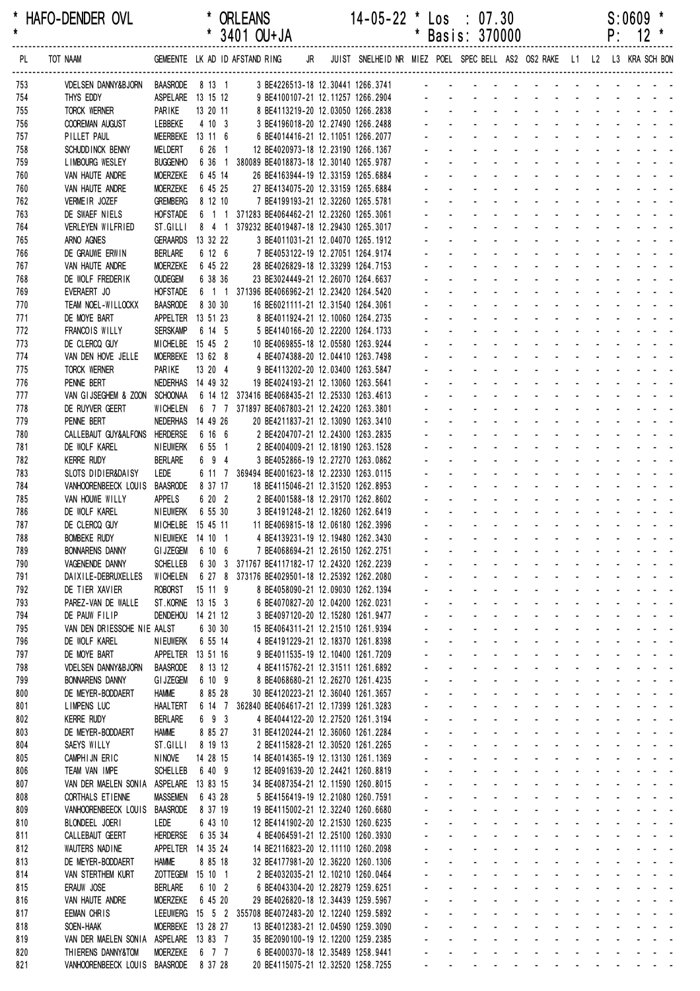| *<br>$\pmb{\star}$ | HAFO-DENDER OVL                             |                                  |                            | <b>ORLEANS</b><br>* 3401 OU+JA                                                                           |  | $14-05-22$ * $\text{Los}$ : 07.30 |                                                  | * Basis: 370000                                                                                                                                                                                                               |                            |                                                    |                                                                                                                                                                                                                                |                                           |                                                     | S:0609<br>$P: 12$ *                                                                                                                 | $\star$ |
|--------------------|---------------------------------------------|----------------------------------|----------------------------|----------------------------------------------------------------------------------------------------------|--|-----------------------------------|--------------------------------------------------|-------------------------------------------------------------------------------------------------------------------------------------------------------------------------------------------------------------------------------|----------------------------|----------------------------------------------------|--------------------------------------------------------------------------------------------------------------------------------------------------------------------------------------------------------------------------------|-------------------------------------------|-----------------------------------------------------|-------------------------------------------------------------------------------------------------------------------------------------|---------|
| PL                 | TOT NAAM                                    |                                  |                            | GEMEENTE LK AD ID AFSTAND RING JR JUIST SNELHEID NR MIEZ POEL SPECBELL AS2 OS2 RAKE L1 L2 L3 KRA SCH-BON |  |                                   |                                                  |                                                                                                                                                                                                                               |                            |                                                    |                                                                                                                                                                                                                                |                                           |                                                     |                                                                                                                                     |         |
|                    |                                             |                                  |                            |                                                                                                          |  |                                   |                                                  |                                                                                                                                                                                                                               |                            |                                                    |                                                                                                                                                                                                                                |                                           |                                                     |                                                                                                                                     |         |
| 753                | VDELSEN DANNY&BJORN                         |                                  | ASPELARE 13 15 12          | BAASRODE 8 13 1 3 BE4226513-18 12.30441 1266.3741 - - - - - - -                                          |  | 9 BE4100107-21 12.11257 1266.2904 |                                                  |                                                                                                                                                                                                                               |                            |                                                    |                                                                                                                                                                                                                                |                                           |                                                     |                                                                                                                                     |         |
| 754<br>755         | THYS EDDY<br>TORCK WERNER                   | PARIKE                           | 13 20 11                   |                                                                                                          |  | 8 BE4113219-20 12.03050 1266.2838 |                                                  | and the series of the series of the                                                                                                                                                                                           |                            |                                                    |                                                                                                                                                                                                                                |                                           |                                                     |                                                                                                                                     |         |
| 756                | COOREMAN AUGUST                             | LEBBEKE                          | 4 10 3                     |                                                                                                          |  | 3 BE4196018-20 12.27490 1266.2488 |                                                  |                                                                                                                                                                                                                               |                            |                                                    |                                                                                                                                                                                                                                |                                           | and the second second and the second                |                                                                                                                                     |         |
| 757                | PILLET PAUL                                 |                                  | MEERBEKE 13 11 6           |                                                                                                          |  | 6 BE4014416-21 12.11051 1266.2077 |                                                  |                                                                                                                                                                                                                               |                            |                                                    |                                                                                                                                                                                                                                |                                           |                                                     | $\Delta \sim 10^{-11}$                                                                                                              |         |
| 758                | SCHUDD INCK BENNY                           | MELDERT                          | 6 26 1                     | 12 BE4020973-18 12.23190 1266.1367                                                                       |  |                                   |                                                  |                                                                                                                                                                                                                               |                            |                                                    |                                                                                                                                                                                                                                |                                           | $\omega_{\rm{max}}$ , and $\omega_{\rm{max}}$       |                                                                                                                                     |         |
| 759                | LIMBOURG WESLEY                             | <b>BUGGENHO</b>                  |                            | 6 36 1 380089 BE4018873-18 12.30140 1265.9787                                                            |  |                                   |                                                  |                                                                                                                                                                                                                               |                            |                                                    |                                                                                                                                                                                                                                | $\sim 100$                                |                                                     |                                                                                                                                     |         |
| 760                | VAN HAUTE ANDRE                             | <b>MOERZEKE</b>                  | 6 45 14                    | 26 BE4163944-19 12.33159 1265.6884                                                                       |  |                                   |                                                  |                                                                                                                                                                                                                               |                            |                                                    |                                                                                                                                                                                                                                |                                           |                                                     |                                                                                                                                     |         |
| 760                | VAN HAUTE ANDRE                             | <b>MOERZEKE</b>                  | 6 45 25                    | 27 BE4134075-20 12.33159 1265.6884                                                                       |  |                                   |                                                  | and a strain and a strain and a strain                                                                                                                                                                                        |                            |                                                    |                                                                                                                                                                                                                                |                                           |                                                     |                                                                                                                                     |         |
| 762                | VERMEIR JOZEF                               | <b>GREMBERG</b>                  | 8 12 10                    | 7 BE4199193-21 12.32260 1265.5781                                                                        |  |                                   |                                                  | and a straight and                                                                                                                                                                                                            |                            | <b>Contract Street</b>                             |                                                                                                                                                                                                                                |                                           | $\mathbf{r} = \mathbf{r} + \mathbf{r} + \mathbf{r}$ | and a state of                                                                                                                      |         |
| 763<br>764         | DE SWAEF NIELS<br>VERLEYEN WILFRIED         | <b>HOFSTADE</b><br>ST.GILLI      |                            | 6 1 1 371283 BE4064462-21 12.23260 1265.3061<br>8 4 1 379232 BE4019487-18 12.29430 1265.3017             |  |                                   |                                                  |                                                                                                                                                                                                                               |                            |                                                    |                                                                                                                                                                                                                                |                                           | $\Delta \phi = \Delta \phi = 0.1$ .                 |                                                                                                                                     |         |
| 765                | ARNO AGNES                                  | <b>GERAARDS</b>                  | 13 32 22                   |                                                                                                          |  | 3 BE4011031-21 12.04070 1265.1912 |                                                  |                                                                                                                                                                                                                               |                            |                                                    |                                                                                                                                                                                                                                |                                           |                                                     | $\sim 10^{-1}$ and $\sim 10^{-1}$                                                                                                   |         |
| 766                | DE GRAUWE ERWIN                             | <b>BERLARE</b>                   | 6 12 6                     | 7 BE4053122-19 12.27051 1264.9174                                                                        |  |                                   |                                                  |                                                                                                                                                                                                                               |                            |                                                    |                                                                                                                                                                                                                                |                                           |                                                     |                                                                                                                                     |         |
| 767                | VAN HAUTE ANDRE                             | <b>MOERZEKE</b>                  | 6 45 22                    | 28 BE4026829-18 12.33299 1264.7153                                                                       |  |                                   |                                                  |                                                                                                                                                                                                                               |                            |                                                    |                                                                                                                                                                                                                                |                                           |                                                     |                                                                                                                                     |         |
| 768                | DE WOLF FREDERIK                            | <b>OUDEGEM</b>                   | 6 38 36                    | 23 BE3024449-21 12.26070 1264.6637                                                                       |  |                                   |                                                  |                                                                                                                                                                                                                               | and the state of the state |                                                    | $\sim$                                                                                                                                                                                                                         |                                           | and the state of the state of                       |                                                                                                                                     |         |
| 769                | EVERAERT JO                                 | <b>HOFSTADE</b>                  |                            | 6 1 1 371396 BE4066962-21 12.23420 1264.5420                                                             |  |                                   |                                                  |                                                                                                                                                                                                                               |                            |                                                    |                                                                                                                                                                                                                                |                                           |                                                     |                                                                                                                                     |         |
| 770                | TEAM NOEL-WILLOCKX                          | <b>BAASRODE</b>                  | 8 30 30                    | 16 BE6021111-21 12.31540 1264.3061                                                                       |  |                                   |                                                  |                                                                                                                                                                                                                               |                            |                                                    | $\Delta \sim 10^4$                                                                                                                                                                                                             |                                           | and a strategies                                    |                                                                                                                                     |         |
| 771                | DE MOYE BART                                |                                  | APPELTER 13 51 23          |                                                                                                          |  | 8 BE4011924-21 12.10060 1264.2735 |                                                  |                                                                                                                                                                                                                               |                            |                                                    |                                                                                                                                                                                                                                | $\omega_{\rm{max}}$ , $\omega_{\rm{max}}$ |                                                     |                                                                                                                                     |         |
| 772<br>773         | FRANCOIS WILLY<br>DE CLERCQ GUY             | <b>SERSKAMP</b>                  | 6 14 5<br>MICHELBE 15 45 2 | 10 BE4069855-18 12.05580 1263.9244                                                                       |  | 5 BE4140166-20 12.22200 1264.1733 |                                                  | design and a state of the state of the                                                                                                                                                                                        |                            |                                                    |                                                                                                                                                                                                                                |                                           |                                                     |                                                                                                                                     |         |
| 774                | VAN DEN HOVE JELLE                          |                                  | MOERBEKE 13 62 8           | 4 BE4074388-20 12.04410 1263.7498                                                                        |  |                                   |                                                  | $\mathbf{L} = \mathbf{L} \mathbf{L} + \mathbf{L} \mathbf{L} + \mathbf{L} \mathbf{L}$                                                                                                                                          |                            |                                                    | and the state of the state of the state of the state of the state of the state of the state of the state of the                                                                                                                |                                           |                                                     |                                                                                                                                     |         |
| 775                | TORCK WERNER                                | PARIKE                           | 13 20 4                    |                                                                                                          |  | 9 BE4113202-20 12.03400 1263.5847 |                                                  |                                                                                                                                                                                                                               |                            |                                                    | <u>.</u>                                                                                                                                                                                                                       |                                           |                                                     |                                                                                                                                     |         |
| 776                | PENNE BERT                                  |                                  | NEDERHAS 14 49 32          | 19 BE4024193-21 12.13060 1263.5641                                                                       |  |                                   |                                                  |                                                                                                                                                                                                                               |                            |                                                    |                                                                                                                                                                                                                                |                                           |                                                     | and a strain and a                                                                                                                  |         |
| 777                | VAN GIJSEGHEM & ZOON                        | SCHOONAA                         |                            | 6 14 12 373416 BE4068435-21 12.25330 1263.4613                                                           |  |                                   |                                                  |                                                                                                                                                                                                                               |                            |                                                    |                                                                                                                                                                                                                                |                                           |                                                     | <b>Contract Contract</b>                                                                                                            |         |
| 778                | DE RUYVER GEERT                             | <b>WICHELEN</b>                  |                            | 6 7 7 371897 BE4067803-21 12.24220 1263.3801                                                             |  |                                   |                                                  |                                                                                                                                                                                                                               |                            |                                                    | والوالو الوارثون والوارث                                                                                                                                                                                                       |                                           |                                                     |                                                                                                                                     |         |
| 779                | PENNE BERT                                  | NEDERHAS 14 49 26                |                            | 20 BE4211837-21 12.13090 1263.3410                                                                       |  |                                   |                                                  |                                                                                                                                                                                                                               |                            |                                                    |                                                                                                                                                                                                                                |                                           |                                                     | and the second control of the second                                                                                                |         |
| 780                | CALLEBAUT GUY&ALFONS HERDERSE               |                                  | 6 16 6                     | 2 BE4204707-21 12.24300 1263.2835                                                                        |  |                                   |                                                  |                                                                                                                                                                                                                               | and the state of the state |                                                    | $\sim 100$                                                                                                                                                                                                                     | ч.                                        | and the state of the                                | $\mathbf{L} = \mathbf{L} \mathbf{L} + \mathbf{L} \mathbf{L} + \mathbf{L} \mathbf{L}$                                                |         |
| 781                | DE WOLF KAREL<br><b>KERRE RUDY</b>          | NIEUWERK<br><b>BERLARE</b>       | 6 55 1<br>6 9 4            | 2 BE4004009-21 12.18190 1263.1528                                                                        |  |                                   |                                                  | $\Delta \sim 10^{-1}$                                                                                                                                                                                                         |                            | and a straight and a straight<br>$\Delta \sim 100$ | and a state                                                                                                                                                                                                                    | $\sim 100$                                |                                                     | $\begin{array}{cccccccccccccc} \bullet & \bullet & \bullet & \bullet & \bullet & \bullet & \bullet & \bullet & \bullet \end{array}$ |         |
| 782<br>783         | SLOTS DIDIER&DAISY                          | Lede                             |                            | 6 11 7 369494 BE4001623-18 12.22330 1263.0115                                                            |  | 3 BE4052866-19 12.27270 1263.0862 |                                                  | and a straight and                                                                                                                                                                                                            |                            |                                                    | $\sim 100$ km s $^{-1}$                                                                                                                                                                                                        |                                           |                                                     | and a straightful and a                                                                                                             |         |
| 784                | VANHOORENBEECK LOUIS                        | <b>BAASRODE</b>                  | 8 37 17                    | 18 BE4115046-21 12.31520 1262.8953                                                                       |  |                                   |                                                  |                                                                                                                                                                                                                               |                            |                                                    | design and a state of the state of the                                                                                                                                                                                         |                                           |                                                     |                                                                                                                                     |         |
| 785                | VAN HOUWE WILLY                             | APPELS                           | 6 20 2                     | 2 BE4001588-18 12.29170 1262.8602                                                                        |  |                                   |                                                  |                                                                                                                                                                                                                               |                            |                                                    | design and a state of the state of                                                                                                                                                                                             |                                           |                                                     |                                                                                                                                     |         |
| 786                | DE WOLF KAREL                               | <b>NIEUWERK</b>                  | 6 55 30                    | 3 BE4191248-21 12.18260 1262.6419                                                                        |  |                                   |                                                  | .                                                                                                                                                                                                                             |                            |                                                    |                                                                                                                                                                                                                                |                                           |                                                     |                                                                                                                                     |         |
| 787                | DE CLERCQ GUY                               |                                  | MICHELBE 15 45 11          | 11 BE4069815-18 12.06180 1262.3996                                                                       |  |                                   |                                                  |                                                                                                                                                                                                                               |                            |                                                    | and a state of the state of the                                                                                                                                                                                                |                                           |                                                     |                                                                                                                                     |         |
| 788                | <b>BOMBEKE RUDY</b>                         |                                  | NIEUWEKE 14 10 1           | 4 BE4139231-19 12.19480 1262.3430                                                                        |  |                                   |                                                  | .                                                                                                                                                                                                                             |                            |                                                    |                                                                                                                                                                                                                                |                                           |                                                     |                                                                                                                                     |         |
| 789                | <b>BONNARENS DANNY</b>                      |                                  | GIJZEGEM 6 10 6            |                                                                                                          |  | 7 BE4068694-21 12.26150 1262.2751 |                                                  | <b>Service</b>                                                                                                                                                                                                                |                            |                                                    | and a series of the series of the series of<br>and a series of the series of the series                                                                                                                                        |                                           |                                                     |                                                                                                                                     |         |
| 790<br>791         | VAGENENDE DANNY<br>DAIXILE-DEBRUXELLES      | <b>SCHELLEB</b><br>WICHELEN      |                            | 6 30 3 371767 BE4117182-17 12.24320 1262.2239<br>6 27 8 373176 BE4029501-18 12.25392 1262.2080           |  |                                   |                                                  | design and a state of the state of the                                                                                                                                                                                        |                            |                                                    |                                                                                                                                                                                                                                |                                           |                                                     |                                                                                                                                     |         |
| 792                | DE TIER XAVIER                              | <b>ROBORST</b>                   | $15 \t11 \t9$              |                                                                                                          |  | 8 BE4058090-21 12.09030 1262.1394 |                                                  | a construction of the construction of the construction of the construction of the construction of the construction of the construction of the construction of the construction of the construction of the construction of the |                            |                                                    |                                                                                                                                                                                                                                |                                           |                                                     |                                                                                                                                     |         |
| 793                | PAREZ-VAN DE WALLE                          |                                  | ST. KORNE 13 15 3          |                                                                                                          |  | 6 BE4070827-20 12.04200 1262.0231 | $\omega_{\rm{max}}$                              | $\Delta \sim 100$                                                                                                                                                                                                             |                            |                                                    | and the state of the state of the state of                                                                                                                                                                                     |                                           |                                                     |                                                                                                                                     |         |
| 794                | DE PAUW FILIP                               | DENDEHOU                         | 14 21 12                   |                                                                                                          |  | 3 BE4097120-20 12.15280 1261.9477 | $\omega_{\rm{max}}$                              | $\Delta \sim 100$                                                                                                                                                                                                             |                            |                                                    | and a state of the state of the state of                                                                                                                                                                                       |                                           |                                                     |                                                                                                                                     |         |
| 795                | VAN DEN DRIESSCHE NIE AALST                 |                                  | 6 30 30                    | 15 BE4064311-21 12.21510 1261.9394                                                                       |  |                                   | $\omega_{\rm{max}}$                              | $\Delta \sim 100$                                                                                                                                                                                                             |                            |                                                    | and a series of the series of the series of                                                                                                                                                                                    |                                           |                                                     |                                                                                                                                     |         |
| 796                | DE WOLF KAREL                               | <b>NIEUWERK</b>                  | 6 55 14                    |                                                                                                          |  | 4 BE4191229-21 12.18370 1261.8398 |                                                  |                                                                                                                                                                                                                               |                            |                                                    | فالقائق والقاربة القاربة القاربة القاربة                                                                                                                                                                                       |                                           |                                                     |                                                                                                                                     |         |
| 797                | DE MOYE BART                                |                                  | APPELTER 13 51 16          |                                                                                                          |  | 9 BE4011535-19 12.10400 1261.7209 | $\omega_{\rm{max}}$                              | $\Delta \sim 100$                                                                                                                                                                                                             |                            |                                                    | and a series of the contract of the                                                                                                                                                                                            |                                           |                                                     |                                                                                                                                     |         |
| 798                | <b>VDELSEN DANNY&amp;BJORN</b>              | <b>BAASRODE</b>                  | 8 13 12<br>6 10 9          |                                                                                                          |  | 4 BE4115762-21 12.31511 1261.6892 | $\Delta \sim 10^{-1}$<br>$\omega_{\rm{max}}$     | and a strain and a strain and a strain<br>$\Delta \sim 100$                                                                                                                                                                   |                            |                                                    | and the state of the state of the state of                                                                                                                                                                                     |                                           |                                                     |                                                                                                                                     |         |
| 799<br>800         | <b>BONNARENS DANNY</b><br>DE MEYER-BODDAERT | <b>GI JZEGEM</b><br><b>HAMME</b> | 8 85 28                    | 30 BE4120223-21 12.36040 1261.3657                                                                       |  | 8 BE4068680-21 12.26270 1261.4235 | $\Delta \sim 10^{11}$                            | $\Delta \sim 100$                                                                                                                                                                                                             |                            |                                                    | and a series of the series of the series of                                                                                                                                                                                    |                                           |                                                     |                                                                                                                                     |         |
| 801                | <b>LIMPENS LUC</b>                          | <b>HAALTERT</b>                  |                            | 6 14 7 362840 BE4064617-21 12.17399 1261.3283                                                            |  |                                   | $\omega_{\rm{max}}$                              | $\Delta \sim 100$                                                                                                                                                                                                             |                            |                                                    | and a series of the series of the series of                                                                                                                                                                                    |                                           |                                                     |                                                                                                                                     |         |
| 802                | <b>KERRE RUDY</b>                           | <b>BERLARE</b>                   | 6 9 3                      |                                                                                                          |  | 4 BE4044122-20 12.27520 1261.3194 |                                                  | $\omega_{\rm{max}}$                                                                                                                                                                                                           |                            |                                                    | فالمنافذ والمستنقذ والمستنقذ والمستنقذ والمستنقذ                                                                                                                                                                               |                                           |                                                     |                                                                                                                                     |         |
| 803                | DE MEYER-BODDAERT                           | <b>HAMME</b>                     | 8 85 27                    | 31 BE4120244-21 12.36060 1261.2284                                                                       |  |                                   | $\omega_{\rm{max}}$                              | $\mathcal{L}^{\text{max}}$                                                                                                                                                                                                    |                            |                                                    | and a state of the state of the state of                                                                                                                                                                                       |                                           |                                                     |                                                                                                                                     |         |
| 804                | SAEYS WILLY                                 | ST.GILLI                         | 8 19 13                    |                                                                                                          |  | 2 BE4115828-21 12.30520 1261.2265 | $\omega_{\rm{max}}$                              | $\Delta \sim 100$                                                                                                                                                                                                             |                            |                                                    | design and a state of the state of the state of the state of the state of the state of the state of the state of the state of the state of the state of the state of the state of the state of the state of the state of the s |                                           |                                                     |                                                                                                                                     |         |
| 805                | CAMPHIJN ERIC                               | <b>NINOVE</b>                    | 14 28 15                   | 14 BE4014365-19 12.13130 1261.1369                                                                       |  |                                   | $\omega_{\rm{max}}$                              | $\Delta \sim 100$                                                                                                                                                                                                             |                            |                                                    | and a state of the state of the state                                                                                                                                                                                          |                                           |                                                     |                                                                                                                                     |         |
| 806                | TEAM VAN IMPE                               | <b>SCHELLEB</b>                  | 6 40 9                     | 12 BE4091639-20 12.24421 1260.8819                                                                       |  |                                   | $\omega_{\rm{max}}$                              | $\Delta \sim 100$                                                                                                                                                                                                             |                            |                                                    | and a series of the contract of the                                                                                                                                                                                            |                                           |                                                     |                                                                                                                                     |         |
| 807                | VAN DER MAELEN SONIA                        | ASPELARE 13 83 15                |                            | 34 BE4087354-21 12.11590 1260.8015                                                                       |  |                                   | $\omega_{\rm{max}}$                              | $\Delta \sim 100$                                                                                                                                                                                                             |                            |                                                    | المنافذ والمستنقذ والمستنقذ والمستنقذ والمستنقذ والمستنقذ                                                                                                                                                                      |                                           |                                                     |                                                                                                                                     |         |
| 808<br>809         | CORTHALS ET IENNE<br>VANHOORENBEECK LOUIS   | <b>MASSEMEN</b><br>BAASRODE      | 6 43 28<br>8 37 19         | 19 BE4115002-21 12.32240 1260.6680                                                                       |  | 5 BE4156419-19 12.21080 1260.7591 |                                                  | $\Delta \sim 100$                                                                                                                                                                                                             |                            |                                                    | فالقائق والمتابع القاربة القاربة القاربة<br>and a series of the contract of the                                                                                                                                                |                                           |                                                     |                                                                                                                                     |         |
| 810                | BLONDEEL JOERI                              | LEDE                             | 6 43 10                    | 12 BE4141902-20 12.21530 1260.6235                                                                       |  |                                   | $\omega_{\rm{max}}$                              | $\Delta \sim 100$                                                                                                                                                                                                             |                            |                                                    | and a state of the state of the state of                                                                                                                                                                                       |                                           |                                                     |                                                                                                                                     |         |
| 811                | CALLEBAUT GEERT                             | <b>HERDERSE</b>                  | 6 35 34                    |                                                                                                          |  | 4 BE4064591-21 12.25100 1260.3930 | $\omega_{\rm{max}}$                              | $\mathcal{L}^{\text{max}}$                                                                                                                                                                                                    |                            |                                                    | and a state of the state of the state of                                                                                                                                                                                       |                                           |                                                     |                                                                                                                                     |         |
| 812                | WAUTERS NADINE                              |                                  | APPELTER 14 35 24          | 14 BE2116823-20 12.11110 1260.2098                                                                       |  |                                   | $\omega_{\rm{max}}$                              | $\mathcal{L}^{\text{max}}$                                                                                                                                                                                                    |                            |                                                    | and a series of the series of the series of                                                                                                                                                                                    |                                           |                                                     |                                                                                                                                     |         |
| 813                | DE MEYER-BODDAERT                           | <b>HAMME</b>                     | 8 85 18                    | 32 BE4177981-20 12.36220 1260.1306                                                                       |  |                                   | $\omega_{\rm{max}}$                              | $\Delta \sim 100$                                                                                                                                                                                                             |                            |                                                    | المنابعة والمستنقذ والمستنقذ والمستنقذ والمستنقذ والمستنقذ                                                                                                                                                                     |                                           |                                                     |                                                                                                                                     |         |
| 814                | VAN STERTHEM KURT                           | ZOTTEGEM                         | 15 10 1                    |                                                                                                          |  | 2 BE4032035-21 12.10210 1260.0464 |                                                  | $\Delta \sim 100$                                                                                                                                                                                                             |                            |                                                    | فالمنافذ والمستنقذ والمستنقذ والمستنقذ والمستنقذ                                                                                                                                                                               |                                           |                                                     |                                                                                                                                     |         |
| 815                | ERAUW JOSE                                  | <b>BERLARE</b>                   | 6 10 2                     |                                                                                                          |  | 6 BE4043304-20 12.28279 1259.6251 |                                                  | $\Delta \sim 100$                                                                                                                                                                                                             |                            |                                                    | and a series of the contract of the                                                                                                                                                                                            |                                           |                                                     |                                                                                                                                     |         |
| 816                | VAN HAUTE ANDRE                             | <b>MOERZEKE</b>                  | 6 45 20                    | 29 BE4026820-18 12.34439 1259.5967                                                                       |  |                                   |                                                  | $\Delta \sim 100$                                                                                                                                                                                                             |                            |                                                    | and a state of the state of the state of<br>and a state of the state of the state                                                                                                                                              |                                           |                                                     |                                                                                                                                     |         |
| 817<br>818         | EEMAN CHRIS<br>SOEN-HAAK                    |                                  | MOERBEKE 13 28 27          | LEEUWERG 15 5 2 355708 BE4072483-20 12.12240 1259.5892<br>13 BE4012383-21 12.04590 1259.3090             |  |                                   | $\omega_{\rm{max}}$<br>$\mathbf{z} = \mathbf{z}$ | $\mathcal{L}^{\text{max}}$<br>$\Delta \sim 100$                                                                                                                                                                               |                            |                                                    | and a series of the contract of the                                                                                                                                                                                            |                                           |                                                     |                                                                                                                                     |         |
| 819                | VAN DER MAELEN SONIA ASPELARE 13 83 7       |                                  |                            | 35 BE2090100-19 12.12200 1259.2385                                                                       |  |                                   | $\omega_{\rm{max}}$                              | $\Delta \sim 100$                                                                                                                                                                                                             |                            |                                                    | and a series of the series of the series of                                                                                                                                                                                    |                                           |                                                     |                                                                                                                                     |         |
| 820                | THIERENS DANNY&TOM                          | <b>MOERZEKE</b>                  | 6 7 7                      |                                                                                                          |  | 6 BE4000370-18 12.35489 1258.9441 |                                                  | and a series of the contract of the series of                                                                                                                                                                                 |                            |                                                    |                                                                                                                                                                                                                                |                                           |                                                     |                                                                                                                                     |         |
| 821                | VANHOORENBEECK LOUIS BAASRODE 8 37 28       |                                  |                            | 20 BE4115075-21 12.32520 1258.7255                                                                       |  |                                   |                                                  | the second contract of the second contract of                                                                                                                                                                                 |                            |                                                    |                                                                                                                                                                                                                                |                                           |                                                     |                                                                                                                                     |         |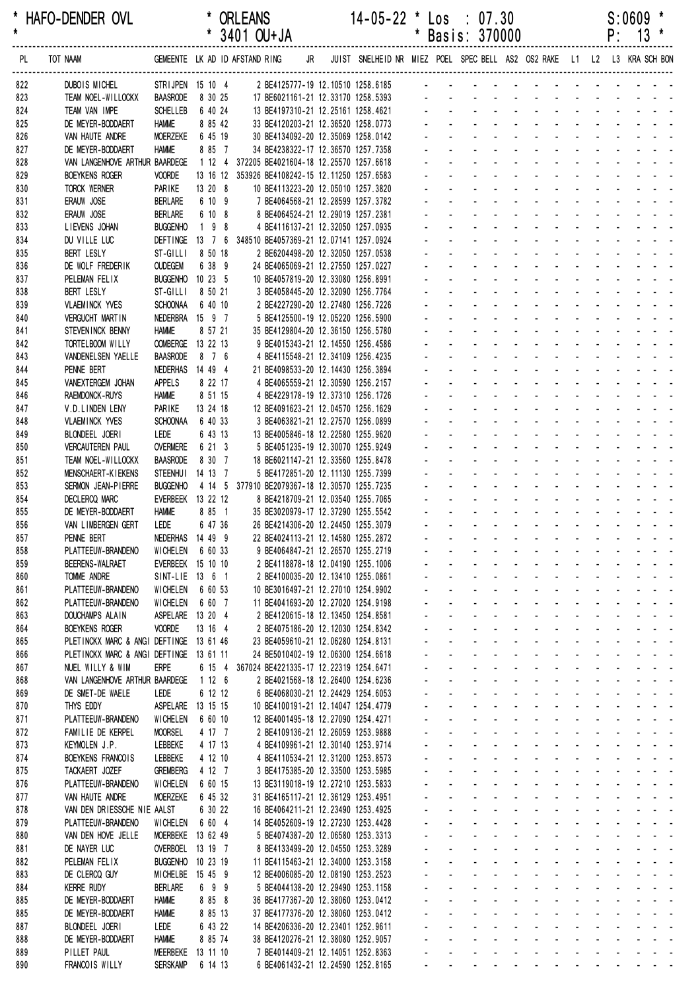| *<br>HAFO-DENDER OVL<br>$\pmb{\star}$ |                                          |                                       |                    | * ORLEANS<br>$*$ 3401 OU+JA                                              |  | 14-05-22                                                                                                       | $\boldsymbol{\ast}$ |                     | $\textsf{Los} \div 07.30$<br>* Basis: 370000 |                                               |                               |  |  | S:0609<br>$P: 13$ * |                                                                                                                                                                                                                                           |
|---------------------------------------|------------------------------------------|---------------------------------------|--------------------|--------------------------------------------------------------------------|--|----------------------------------------------------------------------------------------------------------------|---------------------|---------------------|----------------------------------------------|-----------------------------------------------|-------------------------------|--|--|---------------------|-------------------------------------------------------------------------------------------------------------------------------------------------------------------------------------------------------------------------------------------|
| PL                                    | TOT NAAM                                 |                                       |                    | GEMEENTE LK AD ID AFSTAND RING                                           |  | JR JUIST SNELHEID NR MIEZ POEL SPEC BELL AS2 OS2 RAKE L1 L2 L3 KRA SCH BON                                     |                     |                     |                                              |                                               |                               |  |  |                     |                                                                                                                                                                                                                                           |
| 822                                   | DUBOIS MICHEL                            | STRIJPEN 15 10 4                      |                    |                                                                          |  |                                                                                                                |                     |                     |                                              |                                               |                               |  |  |                     |                                                                                                                                                                                                                                           |
| 823<br>824                            | TEAM NOEL-WILLOCKX<br>TEAM VAN IMPE      | <b>BAASRODE</b><br><b>SCHELLEB</b>    | 8 30 25<br>6 40 24 |                                                                          |  |                                                                                                                |                     |                     |                                              |                                               |                               |  |  |                     |                                                                                                                                                                                                                                           |
| 825                                   | DE MEYER-BODDAERT                        | <b>HAMME</b>                          | 8 85 42            |                                                                          |  | 17 BE6021161-21 12.33170 1258.5393<br>13 BE4197310-21 12.25161 1258.4621<br>33 BE4197310-21 12.36520 1258.4621 |                     |                     |                                              |                                               |                               |  |  |                     |                                                                                                                                                                                                                                           |
| 826                                   | VAN HAUTE ANDRE                          | <b>MOERZEKE</b>                       | 6 45 19            | 30 BE4134092-20 12.35069 1258.0142                                       |  |                                                                                                                |                     |                     |                                              |                                               |                               |  |  |                     | and a series and a series and a series                                                                                                                                                                                                    |
| 827                                   | DE MEYER-BODDAERT                        | <b>HAMME</b>                          | 8 85 7             | 34 BE4238322-17 12.36570 1257.7358                                       |  |                                                                                                                |                     |                     |                                              |                                               |                               |  |  |                     | and a series of the contract of the series of                                                                                                                                                                                             |
| 828                                   | VAN LANGENHOVE ARTHUR BAARDEGE           |                                       |                    | 1 12 4 372205 BE4021604-18 12.25570 1257.6618                            |  |                                                                                                                |                     |                     |                                              |                                               |                               |  |  |                     | and a series of the contract of the series                                                                                                                                                                                                |
| 829                                   | <b>BOEYKENS ROGER</b>                    | <b>VOORDE</b>                         |                    | 13 16 12 353926 BE4108242-15 12.11250 1257.6583                          |  |                                                                                                                |                     |                     |                                              |                                               |                               |  |  |                     | and a state of the state of the state                                                                                                                                                                                                     |
| 830                                   | TORCK WERNER                             | PARIKE                                | 13 20 8            | 10 BE4113223-20 12.05010 1257.3820                                       |  |                                                                                                                |                     |                     |                                              |                                               |                               |  |  |                     | a construction of the construction of the construction of the construction of the construction of the construction of the construction of the construction of the construction of the construction of the construction of the             |
| 831                                   | ERAUW JOSE                               | <b>BERLARE</b>                        | 6 10 9             | 7 BE4064568-21 12.28599 1257.3782                                        |  |                                                                                                                |                     | $\omega_{\rm{max}}$ |                                              |                                               |                               |  |  |                     | and a straightful and a straight and a<br>and a straightful and a straight and a                                                                                                                                                          |
| 832<br>833                            | ERAUW JOSE<br>LIEVENS JOHAN              | <b>BERLARE</b><br><b>BUGGENHO</b>     | 6 10 8<br>$198$    | 8 BE4064524-21 12.29019 1257.2381<br>4 BE4116137-21 12.32050 1257.0935   |  |                                                                                                                |                     |                     |                                              |                                               |                               |  |  |                     | and a series of the series of the series                                                                                                                                                                                                  |
| 834                                   | DU VILLE LUC                             |                                       |                    | DEFTINGE 13 7 6 348510 BE4057369-21 12.07141 1257.0924                   |  |                                                                                                                |                     |                     |                                              |                                               |                               |  |  |                     | and a series of the contract of the                                                                                                                                                                                                       |
| 835                                   | BERT LESLY                               | ST-GILLI                              | 8 50 18            | 2 BE6204498-20 12.32050 1257.0538                                        |  |                                                                                                                |                     |                     |                                              |                                               |                               |  |  |                     | and a straightful and a straight and                                                                                                                                                                                                      |
| 836                                   | DE WOLF FREDERIK                         | <b>OUDEGEM</b>                        | 6 38 9             | 24 BE4065069-21 12.27550 1257.0227                                       |  |                                                                                                                |                     |                     |                                              |                                               |                               |  |  |                     | <u>.</u>                                                                                                                                                                                                                                  |
| 837                                   | PELEMAN FELIX                            | BUGGENHO 10 23 5                      |                    | 10 BE4057819-20 12.33080 1256.8991                                       |  |                                                                                                                |                     |                     |                                              |                                               |                               |  |  |                     | design and a state of the state of the state of the state of the state of the state of the state of the state of the state of the state of the state of the state of the state of the state of the state of the state of the s            |
| 838                                   | <b>BERT LESLY</b>                        | ST-GILLI                              | 8 50 21            | 3 BE4058445-20 12.32090 1256.7764                                        |  |                                                                                                                |                     |                     |                                              |                                               |                               |  |  |                     | and a state of the state of the state                                                                                                                                                                                                     |
| 839                                   | <b>VLAEMINCK YVES</b>                    | <b>SCHOONAA</b>                       | 6 40 10            | 2 BE4227290-20 12.27480 1256.7226                                        |  |                                                                                                                |                     |                     |                                              |                                               |                               |  |  |                     | and a state of the state of the state of                                                                                                                                                                                                  |
| 840                                   | <b>VERGUCHT MARTIN</b>                   | NEDERBRA 15 9 7                       |                    | 5 BE4125500-19 12.05220 1256.5900                                        |  |                                                                                                                |                     |                     |                                              |                                               |                               |  |  |                     | and a series of the contract of the                                                                                                                                                                                                       |
| 841                                   | STEVENINCK BENNY                         | <b>HAMME</b>                          | 8 57 21            | 35 BE4129804-20 12.36150 1256.5780                                       |  |                                                                                                                |                     |                     |                                              |                                               |                               |  |  |                     | and a straightful and a straight and a                                                                                                                                                                                                    |
| 842<br>843                            | TORTELBOOM WILLY<br>VANDENELSEN YAELLE   | OOMBERGE 13 22 13<br><b>BAASRODE</b>  | 8 7 6              | 9 BE4015343-21 12.14550 1256.4586<br>4 BE4115548-21 12.34109 1256.4235   |  |                                                                                                                |                     |                     |                                              |                                               |                               |  |  |                     | <u>.</u>                                                                                                                                                                                                                                  |
| 844                                   | PENNE BERT                               | NEDERHAS 14 49 4                      |                    | 21 BE4098533-20 12.14430 1256.3894                                       |  |                                                                                                                |                     |                     |                                              |                                               |                               |  |  |                     | design and a state of the state of the state of the state of the state of the state of the state of the state of the state of the state of the state of the state of the state of the state of the state of the state of the s            |
| 845                                   | VANEXTERGEM JOHAN                        | <b>APPELS</b>                         | 8 22 17            | 4 BE4065559-21 12.30590 1256.2157                                        |  |                                                                                                                |                     |                     |                                              |                                               |                               |  |  |                     | and a straight and a                                                                                                                                                                                                                      |
| 846                                   | RAEMDONCK-RUYS                           | <b>HAMME</b>                          | 8 51 15            | 4 BE4229178-19 12.37310 1256.1726                                        |  |                                                                                                                |                     |                     |                                              |                                               |                               |  |  |                     | والوالو الوالو الوالو الوال                                                                                                                                                                                                               |
| 847                                   | V.D.LINDEN LENY                          | PARIKE                                | 13 24 18           | 12 BE4091623-21 12.04570 1256.1629                                       |  |                                                                                                                |                     |                     |                                              |                                               |                               |  |  |                     | and a straightful and a straight and                                                                                                                                                                                                      |
| 848                                   | <b>VLAEMINCK YVES</b>                    | <b>SCHOONAA</b>                       | 6 40 33            | 3 BE4063821-21 12.27570 1256.0899                                        |  |                                                                                                                |                     |                     |                                              |                                               |                               |  |  |                     | design and a state of the state of                                                                                                                                                                                                        |
| 849                                   | BLONDEEL JOERI                           | Lede                                  | 6 43 13            | 13 BE4005846-18 12.22580 1255.9620                                       |  |                                                                                                                |                     |                     |                                              |                                               | and a straight and a straight |  |  |                     | and a straight and a                                                                                                                                                                                                                      |
| 850                                   | <b>VERCAUTEREN PAUL</b>                  | <b>OVERMERE</b>                       | 6 21 3             | 5 BE4051235-19 12.30070 1255.9249                                        |  |                                                                                                                |                     |                     |                                              |                                               |                               |  |  |                     | and a straightful and a straight and                                                                                                                                                                                                      |
| 851<br>852                            | TEAM NOEL-WILLOCKX<br>MENSCHAERT-KIEKENS | <b>BAASRODE</b><br>STEENHUI 14 13 7   | 8 30 7             | 18 BE6021147-21 12.33560 1255.8478<br>5 BE4172851-20 12.11130 1255.7399  |  |                                                                                                                |                     |                     |                                              |                                               |                               |  |  |                     | and a series of the series of the series of<br>والمتعاون والمتابع المتابع المتابع المتابع                                                                                                                                                 |
| 853                                   | SERMON JEAN-PIERRE                       | <b>BUGGENHO</b>                       |                    | 4 14 5 377910 BE2079367-18 12.30570 1255.7235                            |  |                                                                                                                |                     |                     |                                              |                                               |                               |  |  |                     | de la participat de la participat de                                                                                                                                                                                                      |
| 854                                   | DECLERCQ MARC                            | EVERBEEK 13 22 12                     |                    | 8 BE4218709-21 12.03540 1255.7065                                        |  |                                                                                                                |                     |                     |                                              |                                               |                               |  |  |                     | and a straightful and a straight and                                                                                                                                                                                                      |
| 855                                   | DE MEYER-BODDAERT                        | <b>HAMME</b>                          | 8 85 1             | 35 BE3020979-17 12.37290 1255.5542                                       |  |                                                                                                                |                     |                     | $\Delta \sim 10^{-11}$                       |                                               |                               |  |  |                     | de la provincia de la provincia de                                                                                                                                                                                                        |
| 856                                   | VAN LIMBERGEN GERT                       | LEDE                                  | 6 47 36            | 26 BE4214306-20 12.24450 1255.3079                                       |  |                                                                                                                |                     |                     |                                              | $\Delta \phi = \Delta \phi$ and $\Delta \phi$ |                               |  |  |                     | and a state of the state of                                                                                                                                                                                                               |
| 857                                   | PENNE BERT                               | NEDERHAS 14 49 9                      |                    | 22 BE4024113-21 12 14580 1255 2872                                       |  |                                                                                                                |                     |                     |                                              |                                               |                               |  |  |                     |                                                                                                                                                                                                                                           |
| 858                                   | PLATTEEUW-BRANDENO                       | WICHELEN 6 60 33                      |                    | 9 BE4064847-21 12.26570 1255.2719                                        |  |                                                                                                                |                     |                     |                                              |                                               |                               |  |  |                     | فالمتابع والمتابع والمتابع والمتابع والمتابع والمتابع والمتابع                                                                                                                                                                            |
| 859                                   | BEERENS-WALRAET                          | EVERBEEK 15 10 10                     |                    | 2 BE4118878-18 12.04190 1255.1006                                        |  |                                                                                                                |                     |                     |                                              |                                               |                               |  |  |                     | المناطق والمناطق والمناطق والمناطق والمناطق                                                                                                                                                                                               |
| 860                                   | TOMME ANDRE                              | SINT-LIE 13 6 1                       |                    | 2 BE4100035-20 12.13410 1255.0861                                        |  |                                                                                                                |                     |                     |                                              |                                               |                               |  |  |                     | <u>.</u><br>a construction of the construction of the construction of the construction of the construction of the construction of the construction of the construction of the construction of the construction of the construction of the |
| 861<br>862                            | PLATTEEUW-BRANDENO<br>PLATTEEUW-BRANDENO | WICHELEN<br>WICHELEN                  | 6 60 53<br>6 60 7  | 10 BE3016497-21 12.27010 1254.9902<br>11 BE4041693-20 12.27020 1254.9198 |  |                                                                                                                |                     |                     |                                              |                                               |                               |  |  |                     | and a series and a series and a series                                                                                                                                                                                                    |
| 863                                   | DOUCHAMPS ALAIN                          | ASPELARE 13 20 4                      |                    | 2 BE4120615-18 12.13450 1254.8581                                        |  |                                                                                                                |                     |                     |                                              |                                               |                               |  |  |                     | المنافذ والمنافر والمنافر والمنافر والمنافر والمنافر                                                                                                                                                                                      |
| 864                                   | <b>BOEYKENS ROGER</b>                    | <b>VOORDE</b>                         | 13 16 4            | 2 BE4075186-20 12.12030 1254.8342                                        |  |                                                                                                                |                     |                     |                                              |                                               |                               |  |  |                     | فالقاط القارف القارف القارف القارف القاربية                                                                                                                                                                                               |
| 865                                   | PLETINCKX MARC & ANGI DEFTINGE 13 61 46  |                                       |                    | 23 BE4059610-21 12.06280 1254.8131                                       |  |                                                                                                                |                     |                     |                                              |                                               |                               |  |  |                     | والمتعاد والمتعاون والمتعاون والمتعاون والمناو                                                                                                                                                                                            |
| 866                                   | PLETINCKX MARC & ANGI DEFTINGE 13 61 11  |                                       |                    | 24 BE5010402-19 12.06300 1254.6618                                       |  |                                                                                                                |                     |                     |                                              |                                               |                               |  |  |                     | and a series and a series and a series of                                                                                                                                                                                                 |
| 867                                   | NUEL WILLY & WIM                         | <b>ERPE</b>                           |                    | 6 15 4 367024 BE4221335-17 12.22319 1254.6471                            |  |                                                                                                                |                     |                     |                                              |                                               |                               |  |  |                     | and a series of the contract of the series of                                                                                                                                                                                             |
| 868                                   | VAN LANGENHOVE ARTHUR BAARDEGE           |                                       | 1126               | 2 BE4021568-18 12.26400 1254.6236                                        |  |                                                                                                                |                     |                     |                                              |                                               |                               |  |  |                     | and a series of the contract of the series of                                                                                                                                                                                             |
| 869                                   | DE SMET-DE WAELE                         | LEDE                                  | 6 12 12            | 6 BE4068030-21 12.24429 1254.6053                                        |  |                                                                                                                |                     |                     |                                              |                                               |                               |  |  |                     | and a series of the contract of the series of<br>فالمتعاط والمتعاط والمتعاط والمتعاط والمتعاط                                                                                                                                             |
| 870<br>871                            | THYS EDDY<br>PLATTEEUW-BRANDENO          | ASPELARE 13 15 15<br>WICHELEN         | 6 60 10            | 10 BE4100191-21 12.14047 1254.4779<br>12 BE4001495-18 12.27090 1254.4271 |  |                                                                                                                |                     |                     |                                              |                                               |                               |  |  |                     | and a series of the contract of the series of                                                                                                                                                                                             |
| 872                                   | FAMILIE DE KERPEL                        | <b>MOORSEL</b>                        | 4 17 7             | 2 BE4109136-21 12.26059 1253.9888                                        |  |                                                                                                                |                     |                     |                                              |                                               |                               |  |  |                     | and a series and a series and a series                                                                                                                                                                                                    |
| 873                                   | KEYMOLEN J.P.                            | LEBBEKE                               | 4 17 13            | 4 BE4109961-21 12.30140 1253.9714                                        |  |                                                                                                                |                     |                     |                                              |                                               |                               |  |  |                     | and a state of the state of the state                                                                                                                                                                                                     |
| 874                                   | BOEYKENS FRANCOIS                        | LEBBEKE                               | 4 12 10            | 4 BE4110534-21 12.31200 1253.8573                                        |  |                                                                                                                |                     |                     |                                              |                                               |                               |  |  |                     | and a series and a series and a series                                                                                                                                                                                                    |
| 875                                   | TACKAERT JOZEF                           | <b>GREMBERG</b>                       | 4 12 7             | 3 BE4175385-20 12.33500 1253.5985                                        |  |                                                                                                                |                     |                     |                                              |                                               |                               |  |  |                     | المناطق المناطق المناطق المناطق المناطق المناطق                                                                                                                                                                                           |
| 876                                   | PLATTEEUW-BRANDENO                       | <b>WICHELEN</b>                       | 6 60 15            | 13 BE3119018-19 12.27210 1253.5833                                       |  |                                                                                                                |                     |                     |                                              |                                               |                               |  |  |                     | and a series of the contract of the series of                                                                                                                                                                                             |
| 877                                   | VAN HAUTE ANDRE                          | <b>MOERZEKE</b>                       | 6 45 32            | 31 BE4165117-21 12.36129 1253.4951                                       |  |                                                                                                                |                     |                     |                                              |                                               |                               |  |  |                     | والمتعاون والمتاوين والمتاوين والمتاوين والمتاوين                                                                                                                                                                                         |
| 878                                   | VAN DEN DRIESSCHE NIE AALST              |                                       | 6 30 22            | 16 BE4064211-21 12.23490 1253.4925                                       |  |                                                                                                                |                     |                     |                                              |                                               |                               |  |  |                     | and a series of the contract of the series of<br>and a state of the state of the state of                                                                                                                                                 |
| 879                                   | PLATTEEUW-BRANDENO                       | WICHELEN                              | 6 60 4             | 14 BE4052609-19 12.27230 1253.4428                                       |  |                                                                                                                |                     |                     |                                              |                                               |                               |  |  |                     | and a series and a series and a series                                                                                                                                                                                                    |
| 880<br>881                            | VAN DEN HOVE JELLE<br>DE NAYER LUC       | MOERBEKE 13 62 49<br>OVERBOEL 13 19 7 |                    | 5 BE4074387-20 12.06580 1253.3313<br>8 BE4133499-20 12.04550 1253.3289   |  |                                                                                                                |                     |                     |                                              |                                               |                               |  |  |                     | and a series of the contract of the contract of                                                                                                                                                                                           |
| 882                                   | PELEMAN FELIX                            | BUGGENHO 10 23 19                     |                    | 11 BE4115463-21 12.34000 1253.3158                                       |  |                                                                                                                |                     |                     |                                              |                                               |                               |  |  |                     | المتعاطي والمتناول والمتناول والمتناول والمتناو                                                                                                                                                                                           |
| 883                                   | DE CLERCQ GUY                            | MICHELBE 15 45 9                      |                    | 12 BE4006085-20 12.08190 1253.2523                                       |  |                                                                                                                |                     |                     |                                              |                                               |                               |  |  |                     | and a series of the contract of the series of                                                                                                                                                                                             |
| 884                                   | <b>KERRE RUDY</b>                        | <b>BERLARE</b>                        | 6 9 9              | 5 BE4044138-20 12.29490 1253.1158                                        |  |                                                                                                                |                     |                     |                                              |                                               |                               |  |  |                     | and a straightful and a straight and                                                                                                                                                                                                      |
| 885                                   | DE MEYER-BODDAERT                        | <b>HAMME</b>                          | 8 85 8             | 36 BE4177367-20 12.38060 1253.0412                                       |  |                                                                                                                |                     |                     |                                              |                                               |                               |  |  |                     | and a construction of the construction                                                                                                                                                                                                    |
| 885                                   | DE MEYER-BODDAERT                        | <b>HAMME</b>                          | 8 85 13            | 37 BE4177376-20 12.38060 1253.0412                                       |  |                                                                                                                |                     |                     |                                              |                                               |                               |  |  |                     | and a series and a series and a series of                                                                                                                                                                                                 |
| 887                                   | BLONDEEL JOERI                           | LEDE                                  | 6 43 22            | 14 BE4206336-20 12.23401 1252.9611                                       |  |                                                                                                                |                     |                     |                                              |                                               |                               |  |  |                     | and a series of the contract of the series of                                                                                                                                                                                             |
| 888<br>889                            | DE MEYER-BODDAERT<br>PILLET PAUL         | <b>HAMME</b><br>MEERBEKE 13 11 10     | 8 85 74            | 38 BE4120276-21 12.38080 1252.9057<br>7 BE4014409-21 12.14051 1252.8363  |  |                                                                                                                |                     |                     |                                              |                                               |                               |  |  |                     | فالمستحيل والمستحدث والمستحدث والمستحدث والمستحدث<br>the contract of the contract of the contract of                                                                                                                                      |
| 890                                   | FRANCOIS WILLY                           | <b>SERSKAMP</b>                       | 6 14 13            | 6 BE4061432-21 12.24590 1252.8165                                        |  |                                                                                                                |                     |                     |                                              |                                               |                               |  |  |                     | the contract of the contract of the contract of                                                                                                                                                                                           |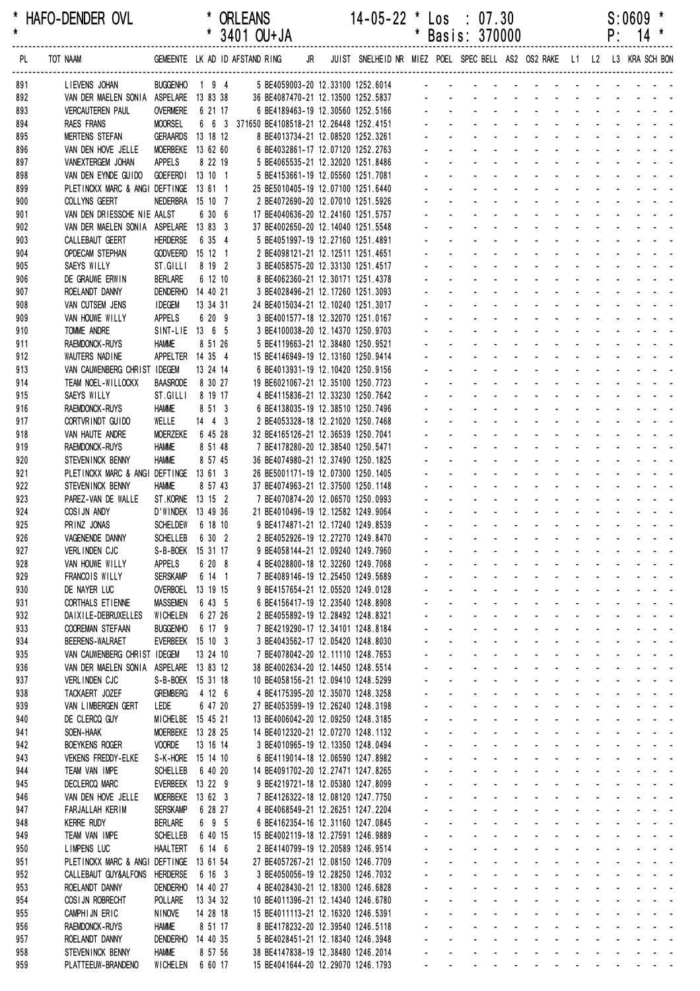\* HAFO-DENDER OVL \* ORLEANS 14-05-22 \* Los : 07.30 S:0609 \* \* \* 3401 OU+JA \* Basis: 370000 P: 14 \* ------------------------------------------------------------------------------------------------------------------------------------------------------------------ READ THAT AND THE TOT NAAM (POST OF A THE STAND OF A THE STAND OF A THE STAND OF A THE STAND RING A THE STAND RING JR JUIST SNELHEID NR MIEZ POEL SPEC BELL AS2 OS2 RAKE L1 L2 L3 KRA SCH BON (P. 14 \*

959 PLATTEEUW-BRANDENO WICHELEN 6 60 17 15 BE4041644-20 12.29070 1246.1793

| 891        | LIEVENS JOHAN                          | BUGGENHO 1 9 4                     |          | 5 BE4059003-20 12.33100 1252.6014                                      |  |  |                   |                                                                                                                                                                                                                                |                            |                                                           |                |              |                     |                |                                                                               |                                                                 |    |
|------------|----------------------------------------|------------------------------------|----------|------------------------------------------------------------------------|--|--|-------------------|--------------------------------------------------------------------------------------------------------------------------------------------------------------------------------------------------------------------------------|----------------------------|-----------------------------------------------------------|----------------|--------------|---------------------|----------------|-------------------------------------------------------------------------------|-----------------------------------------------------------------|----|
| 892        | VAN DER MAELEN SONIA ASPELARE 13 83 38 |                                    |          | 36 BE4087470-21 12.13500 1252.5837                                     |  |  |                   |                                                                                                                                                                                                                                |                            |                                                           |                |              |                     |                |                                                                               |                                                                 |    |
| 893        | <b>VERCAUTEREN PAUL</b>                | <b>OVERMERE</b>                    | 6 21 17  | 6 BE4189463-19 12.30560 1252.5166                                      |  |  |                   |                                                                                                                                                                                                                                |                            |                                                           |                |              |                     |                |                                                                               |                                                                 |    |
| 894        | <b>RAES FRANS</b>                      | <b>MOORSEL</b>                     |          | 6 6 3 371650 BE4108518-21 12.26448 1252.4151                           |  |  |                   |                                                                                                                                                                                                                                |                            |                                                           |                |              |                     |                |                                                                               |                                                                 |    |
| 895        | <b>MERTENS STEFAN</b>                  | GERAARDS 13 18 12                  |          | 8 BE4013734-21 12.08520 1252.3261                                      |  |  |                   |                                                                                                                                                                                                                                |                            |                                                           |                |              |                     |                |                                                                               |                                                                 |    |
| 896        | VAN DEN HOVE JELLE                     | MOERBEKE 13 62 60                  |          | 6 BE4032861-17 12.07120 1252.2763                                      |  |  |                   |                                                                                                                                                                                                                                |                            |                                                           |                |              |                     |                |                                                                               |                                                                 |    |
| 897        | VANEXTERGEM JOHAN                      | APPELS                             | 8 22 19  | 5 BE4065535-21 12.32020 1251.8486                                      |  |  |                   |                                                                                                                                                                                                                                |                            |                                                           |                |              |                     |                |                                                                               |                                                                 |    |
| 898        | VAN DEN EYNDE GUIDO                    | GOEFERDI 13 10 1                   |          | 5 BE4153661-19 12.05560 1251.7081                                      |  |  |                   |                                                                                                                                                                                                                                |                            |                                                           |                |              |                     |                |                                                                               |                                                                 |    |
| 899        | PLETINCKX MARC & ANGI DEFTINGE 13 61 1 |                                    |          | 25 BE5010405-19 12.07100 1251.6440                                     |  |  |                   |                                                                                                                                                                                                                                |                            |                                                           |                |              |                     |                |                                                                               |                                                                 |    |
| 900        | COLLYNS GEERT                          | NEDERBRA 15 10 7                   |          | 2 BE4072690-20 12.07010 1251.5926                                      |  |  |                   |                                                                                                                                                                                                                                |                            |                                                           |                |              |                     |                |                                                                               |                                                                 |    |
| 901        | VAN DEN DRIESSCHE NIE AALST            |                                    | 6 30 6   | 17 BE4040636-20 12.24160 1251.5757                                     |  |  |                   |                                                                                                                                                                                                                                |                            |                                                           |                |              |                     |                |                                                                               |                                                                 |    |
| 902        | VAN DER MAELEN SONIA ASPELARE          |                                    | 13 83 3  | 37 BE4002650-20 12.14040 1251.5548                                     |  |  |                   |                                                                                                                                                                                                                                |                            |                                                           |                |              |                     |                |                                                                               |                                                                 |    |
| 903        | CALLEBAUT GEERT                        | <b>HERDERSE</b>                    | 6 35 4   | 5 BE4051997-19 12.27160 1251.4891                                      |  |  |                   |                                                                                                                                                                                                                                |                            |                                                           |                |              |                     |                |                                                                               |                                                                 |    |
| 904        | <b>OPDECAM STEPHAN</b>                 | <b>GODVEERD</b>                    | 15 12 1  | 2 BE4098121-21 12.12511 1251.4651                                      |  |  |                   |                                                                                                                                                                                                                                |                            |                                                           |                |              |                     |                |                                                                               |                                                                 |    |
| 905        | SAEYS WILLY                            | ST.GILLI                           | 8 19 2   | 3 BE4058575-20 12.33130 1251.4517                                      |  |  |                   |                                                                                                                                                                                                                                |                            |                                                           |                |              |                     |                |                                                                               |                                                                 |    |
| 906        | DE GRAUWE ERWIN                        | <b>BERLARE</b>                     | 6 12 10  | 8 BE4062360-21 12.30171 1251.4378                                      |  |  |                   |                                                                                                                                                                                                                                |                            |                                                           |                |              |                     |                |                                                                               |                                                                 |    |
| 907        | ROELANDT DANNY                         | DENDERHO 14 40 21                  |          | 3 BE4028496-21 12.17260 1251.3093                                      |  |  |                   |                                                                                                                                                                                                                                |                            |                                                           |                |              |                     |                |                                                                               |                                                                 |    |
| 908        | VAN CUTSEM JENS                        | <b>IDEGEM</b>                      | 13 34 31 | 24 BE4015034-21 12.10240 1251.3017                                     |  |  |                   |                                                                                                                                                                                                                                |                            |                                                           |                |              |                     |                |                                                                               |                                                                 |    |
| 909        | VAN HOUWE WILLY                        | <b>APPELS</b>                      | 6 20 9   | 3 BE4001577-18 12.32070 1251.0167                                      |  |  |                   |                                                                                                                                                                                                                                |                            |                                                           |                |              |                     |                |                                                                               |                                                                 |    |
| 910        | TOMME ANDRE                            | SINT-LIE 13 6 5                    |          | 3 BE4100038-20 12.14370 1250.9703                                      |  |  |                   |                                                                                                                                                                                                                                |                            |                                                           |                |              |                     |                |                                                                               |                                                                 |    |
| 911        | RAEMDONCK-RUYS                         | <b>HAMME</b>                       | 8 51 26  | 5 BE4119663-21 12.38480 1250.9521                                      |  |  |                   |                                                                                                                                                                                                                                |                            |                                                           |                |              |                     |                |                                                                               |                                                                 |    |
| 912        | WAUTERS NADINE                         | APPELTER 14 35 4                   |          | 15 BE4146949-19 12.13160 1250.9414                                     |  |  |                   |                                                                                                                                                                                                                                |                            |                                                           |                |              |                     |                |                                                                               |                                                                 |    |
| 913        | VAN CAUWENBERG CHRIST IDEGEM           |                                    | 13 24 14 | 6 BE4013931-19 12.10420 1250.9156                                      |  |  |                   |                                                                                                                                                                                                                                |                            |                                                           |                |              |                     |                |                                                                               |                                                                 |    |
| 914        | TEAM NOEL-WILLOCKX                     | <b>BAASRODE</b>                    | 8 30 27  | 19 BE6021067-21 12.35100 1250.7723                                     |  |  |                   |                                                                                                                                                                                                                                |                            |                                                           |                |              |                     |                |                                                                               |                                                                 |    |
| 915        | SAEYS WILLY                            | ST.GILLI                           | 8 19 17  | 4 BE4115836-21 12.33230 1250.7642                                      |  |  |                   |                                                                                                                                                                                                                                |                            |                                                           |                |              |                     |                |                                                                               |                                                                 |    |
| 916        | RAEMDONCK-RUYS                         | <b>HAMME</b>                       | 8 51 3   | 6 BE4138035-19 12.38510 1250.7496                                      |  |  |                   |                                                                                                                                                                                                                                |                            |                                                           |                |              |                     |                |                                                                               |                                                                 |    |
| 917        | CORTVRINDT GUIDO                       | WELLE                              | $14$ 4 3 | 2 BE4053328-18 12.21020 1250.7468                                      |  |  |                   |                                                                                                                                                                                                                                |                            |                                                           |                |              |                     |                |                                                                               |                                                                 |    |
| 918        | VAN HAUTE ANDRE                        | <b>MOERZEKE</b>                    | 6 45 28  | 32 BE4165126-21 12.36539 1250.7041                                     |  |  |                   |                                                                                                                                                                                                                                |                            |                                                           |                |              |                     |                |                                                                               |                                                                 |    |
| 919        | RAEMDONCK-RUYS                         | <b>HAMME</b>                       | 8 51 48  | 7 BE4178280-20 12.38540 1250.5471                                      |  |  |                   |                                                                                                                                                                                                                                |                            |                                                           |                |              |                     |                |                                                                               |                                                                 |    |
| 920        | STEVENINCK BENNY                       | <b>HAMME</b>                       | 8 57 45  | 36 BE4074980-21 12.37490 1250.1825                                     |  |  |                   |                                                                                                                                                                                                                                |                            |                                                           |                |              |                     |                |                                                                               |                                                                 |    |
| 921        | PLETINCKX MARC & ANGI DEFTINGE 13 61 3 |                                    |          | 26 BE5001171-19 12.07300 1250.1405                                     |  |  |                   |                                                                                                                                                                                                                                |                            |                                                           |                |              |                     |                |                                                                               |                                                                 |    |
| 922        | STEVEN INCK BENNY                      | <b>HAMME</b>                       | 8 57 43  | 37 BE4074963-21 12.37500 1250.1148                                     |  |  |                   |                                                                                                                                                                                                                                |                            |                                                           |                |              |                     |                |                                                                               |                                                                 |    |
| 923        | PAREZ-VAN DE WALLE                     | ST. KORNE 13 15 2                  |          | 7 BE4070874-20 12.06570 1250.0993                                      |  |  |                   |                                                                                                                                                                                                                                |                            |                                                           |                |              |                     |                |                                                                               |                                                                 |    |
| 924        | COSIJN ANDY                            | D'WINDEK 13 49 36                  | 6 18 10  | 21 BE4010496-19 12.12582 1249.9064                                     |  |  |                   |                                                                                                                                                                                                                                |                            |                                                           |                |              |                     |                |                                                                               |                                                                 |    |
| 925<br>926 | PRINZ JONAS<br>VAGENENDE DANNY         | <b>SCHELDEW</b><br><b>SCHELLEB</b> | 6 30 2   | 9 BE4174871-21 12.17240 1249.8539<br>2 BE4052926-19 12.27270 1249.8470 |  |  |                   |                                                                                                                                                                                                                                |                            |                                                           |                |              |                     |                |                                                                               |                                                                 |    |
| 927        | VERLINDEN CJC                          | S-B-BOEK 15 31 17                  |          | 9 BE4058144-21 12.09240 1249.7960                                      |  |  |                   |                                                                                                                                                                                                                                |                            |                                                           |                |              |                     |                |                                                                               |                                                                 |    |
| 928        | VAN HOUWE WILLY                        | <b>APPELS</b>                      | 6 20 8   | 4 BE4028800-18 12.32260 1249.7068                                      |  |  |                   |                                                                                                                                                                                                                                |                            |                                                           |                |              |                     |                |                                                                               |                                                                 |    |
| 929        | FRANCOIS WILLY                         | <b>SERSKAMP</b>                    | 6 14 1   | 7 BE4089146-19 12.25450 1249.5689                                      |  |  |                   |                                                                                                                                                                                                                                |                            |                                                           |                |              |                     |                |                                                                               |                                                                 |    |
| 930        | DE NAYER LUC                           | OVERBOEL 13 19 15                  |          | 9 BE4157654-21 12.05520 1249.0128                                      |  |  |                   |                                                                                                                                                                                                                                |                            |                                                           |                |              |                     |                |                                                                               |                                                                 |    |
| 931        | CORTHALS ETIENNE                       | <b>MASSEMEN</b>                    | 6 43 5   | 6 BE4156417-19 12.23540 1248.8908                                      |  |  |                   |                                                                                                                                                                                                                                |                            |                                                           |                |              |                     |                |                                                                               |                                                                 |    |
| 932        | DAIXILE-DEBRUXELLES                    | WICHELEN                           | 6 27 26  | 2 BE4055892-19 12.28492 1248.8321                                      |  |  |                   |                                                                                                                                                                                                                                |                            |                                                           |                |              |                     |                |                                                                               | $\sim$ $ \sim$                                                  |    |
| 933        | <b>COOREMAN STEFAAN</b>                | <b>BUGGENHO</b>                    | 6 17 9   | 7 BE4219290-17 12.34101 1248.8184                                      |  |  |                   |                                                                                                                                                                                                                                |                            | $\sim$                                                    |                |              |                     |                |                                                                               | $\omega_{\rm{eff}}$ , $\omega_{\rm{eff}}$ , $\omega_{\rm{eff}}$ |    |
| 934        | <b>BEERENS-WALRAET</b>                 | EVERBEEK 15 10 3                   |          | 3 BE4043562-17 12.05420 1248.8030                                      |  |  |                   |                                                                                                                                                                                                                                |                            | $\blacksquare$                                            |                |              |                     |                |                                                                               | $\sim 10^{-11}$ .                                               |    |
| 935        | VAN CAUWENBERG CHRIST IDEGEM           |                                    | 13 24 10 | 7 BE4078042-20 12.11110 1248.7653                                      |  |  |                   |                                                                                                                                                                                                                                |                            |                                                           |                |              |                     |                |                                                                               |                                                                 |    |
| 936        | VAN DER MAELEN SONIA ASPELARE 13 83 12 |                                    |          | 38 BE4002634-20 12.14450 1248.5514                                     |  |  |                   |                                                                                                                                                                                                                                |                            |                                                           |                |              |                     |                |                                                                               |                                                                 |    |
| 937        | VERLINDEN CJC                          | S-B-BOEK 15 31 18                  |          | 10 BE4058156-21 12.09410 1248.5299                                     |  |  |                   | ä,                                                                                                                                                                                                                             | $\mathbf{r}$               | $\sim$ $^{-1}$                                            | $\sim$         | $\mathbf{r}$ | ÷.                  |                | ÷.                                                                            | $\sim$ $\sim$ $\sim$                                            |    |
| 938        | TACKAERT JOZEF                         | <b>GREMBERG</b>                    | 4 12 6   | 4 BE4175395-20 12.35070 1248.3258                                      |  |  |                   | ä,                                                                                                                                                                                                                             |                            | $\mathcal{L}^{\text{max}}$                                | $\mathbf{r}$   |              | $\mathcal{L}^{\pm}$ |                |                                                                               | $\sim 100$ $\sim$                                               |    |
| 939        | VAN LIMBERGEN GERT                     | LEDE                               | 6 47 20  | 27 BE4053599-19 12.26240 1248.3198                                     |  |  |                   |                                                                                                                                                                                                                                | $\blacksquare$             | $\sim$                                                    | $\blacksquare$ |              | $\blacksquare$      |                |                                                                               |                                                                 | ÷, |
| 940        | DE CLERCQ GUY                          | MICHELBE 15 45 21                  |          | 13 BE4006042-20 12.09250 1248.3185                                     |  |  |                   |                                                                                                                                                                                                                                |                            | $\blacksquare$                                            |                |              |                     |                |                                                                               |                                                                 |    |
| 941        | SOEN-HAAK                              | MOERBEKE 13 28 25                  |          | 14 BE4012320-21 12.07270 1248.1132                                     |  |  |                   |                                                                                                                                                                                                                                |                            |                                                           |                |              |                     |                |                                                                               |                                                                 |    |
| 942        | <b>BOEYKENS ROGER</b>                  | <b>VOORDE</b>                      | 13 16 14 | 3 BE4010965-19 12.13350 1248.0494                                      |  |  |                   |                                                                                                                                                                                                                                |                            |                                                           |                |              |                     |                | $\mathbf{1}^{\prime}$ , and $\mathbf{1}^{\prime}$ , and $\mathbf{1}^{\prime}$ |                                                                 |    |
| 943        | <b>VEKENS FREDDY-ELKE</b>              | S-K-HORE 15 14 10                  |          | 6 BE4119014-18 12.06590 1247.8982                                      |  |  |                   |                                                                                                                                                                                                                                |                            | $\sim$                                                    |                |              |                     |                | $\Delta \sim 10^{-1}$                                                         | $\omega_{\rm{eff}}=0.01$ and $\omega_{\rm{eff}}=0.01$           |    |
| 944        | TEAM VAN IMPE                          | <b>SCHELLEB</b>                    | 6 40 20  | 14 BE4091702-20 12.27471 1247.8265                                     |  |  |                   |                                                                                                                                                                                                                                |                            | $\Delta \sim 10^4$                                        | $\sim$         |              |                     | $\mathbf{r}$   | $\Delta \sim 10^4$                                                            | $\omega_{\rm{eff}}=2.00$ km s $^{-1}$                           |    |
| 945        | <b>DECLERCQ MARC</b>                   | EVERBEEK 13 22 9                   |          | 9 BE4219721-18 12.05380 1247.8099                                      |  |  |                   | $\blacksquare$                                                                                                                                                                                                                 | $\mathbf{r}$               | $\sim$                                                    | $\blacksquare$ |              |                     | $\blacksquare$ |                                                                               | $\omega_{\rm{eff}}$ , $\omega_{\rm{eff}}$ , $\omega_{\rm{eff}}$ |    |
| 946        | VAN DEN HOVE JELLE                     | <b>MOERBEKE</b>                    | 13 62 3  | 7 BE4126322-18 12.08120 1247.7750                                      |  |  |                   |                                                                                                                                                                                                                                | $\blacksquare$             | $\blacksquare$                                            |                |              |                     |                | $\omega_{\rm{max}}$                                                           | $\sim$ $ \sim$                                                  |    |
| 947        | FARJALLAH KERIM                        | <b>SERSKAMP</b>                    | 6 28 27  | 4 BE4068549-21 12.26251 1247.2204                                      |  |  |                   |                                                                                                                                                                                                                                |                            |                                                           |                |              |                     |                |                                                                               |                                                                 |    |
| 948        | <b>KERRE RUDY</b>                      | <b>BERLARE</b>                     | 6 9 5    | 6 BE4162354-16 12.31160 1247.0845                                      |  |  |                   |                                                                                                                                                                                                                                |                            |                                                           |                |              |                     |                |                                                                               | $\omega_{\rm{eff}}=0.01$ and $\omega_{\rm{eff}}=0.01$           |    |
| 949        | TEAM VAN IMPE                          | <b>SCHELLEB</b>                    | 6 40 15  | 15 BE4002119-18 12.27591 1246.9889                                     |  |  |                   |                                                                                                                                                                                                                                |                            | $\sim$                                                    | $\sim$         |              | ÷.                  |                |                                                                               | $\sim$ $\sim$ $\sim$                                            |    |
| 950        | LIMPENS LUC                            | <b>HAALTERT</b>                    | 6 14 6   | 2 BE4140799-19 12.20589 1246.9514                                      |  |  |                   | ä,                                                                                                                                                                                                                             |                            | $\mathcal{L}^{\text{max}}$                                | $\mathbf{r}$   |              | $\mathcal{L}^{\pm}$ |                |                                                                               | $\sim 100$ $\sim$                                               |    |
| 951        | PLETINCKX MARC & ANGI DEFTINGE         |                                    | 13 61 54 | 27 BE4057267-21 12.08150 1246.7709                                     |  |  |                   |                                                                                                                                                                                                                                | $\blacksquare$             | $\sim$                                                    | $\blacksquare$ |              |                     |                |                                                                               |                                                                 | ÷, |
| 952        | CALLEBAUT GUY&ALFONS                   | HERDERSE                           | 6 16 3   | 3 BE4050056-19 12.28250 1246.7032                                      |  |  |                   |                                                                                                                                                                                                                                |                            | $\blacksquare$                                            |                |              |                     |                |                                                                               |                                                                 |    |
| 953        | ROELANDT DANNY                         | DENDERHO 14 40 27                  |          | 4 BE4028430-21 12.18300 1246.6828                                      |  |  |                   |                                                                                                                                                                                                                                |                            |                                                           |                |              |                     |                |                                                                               |                                                                 |    |
| 954        | COSI JN ROBRECHT                       | POLLARE                            | 13 34 32 | 10 BE4011396-21 12.14340 1246.6780                                     |  |  |                   |                                                                                                                                                                                                                                |                            |                                                           |                |              |                     |                | an na hair a                                                                  |                                                                 |    |
| 955        | CAMPHIJN ERIC                          | <b>NINOVE</b>                      | 14 28 18 | 15 BE4011113-21 12.16320 1246.5391                                     |  |  |                   | ä,                                                                                                                                                                                                                             |                            | $\sim$                                                    | L.             |              | ÷.                  |                | $\Delta \sim 10^{-1}$                                                         | $\omega_{\rm{eff}}=0.01$ and $\omega_{\rm{eff}}=0.01$           |    |
| 956        | RAEMDONCK-RUYS                         | Hamme                              | 8 51 17  | 8 BE4178232-20 12.39540 1246.5118                                      |  |  | ÷.                |                                                                                                                                                                                                                                | $\mathcal{L}^{\text{max}}$ | $\Delta \sim 100$                                         | $\sim$         |              |                     | ÷.             | $\Delta \sim 100$                                                             | $\omega_{\rm{eff}}=2.00$ km s $^{-1}$                           |    |
| 957        | ROELANDT DANNY                         | DENDERHO 14 40 35                  |          | 5 BE4028451-21 12.18340 1246.3948                                      |  |  |                   |                                                                                                                                                                                                                                | $\sim 100$                 | $\mathcal{L}_{\text{max}}$ and $\mathcal{L}_{\text{max}}$ |                |              |                     | $\mathbf{r}$   |                                                                               | $\sim$ $ \sim$ $ -$                                             |    |
| 958        | STEVENINCK BENNY                       | <b>HAMME</b>                       | 8 57 56  | 38 BE4147838-19 12.38480 1246.2014                                     |  |  | $\Delta \sim 100$ | and the company of the company of the company of the company of the company of the company of the company of the company of the company of the company of the company of the company of the company of the company of the comp |                            |                                                           |                |              |                     |                |                                                                               |                                                                 |    |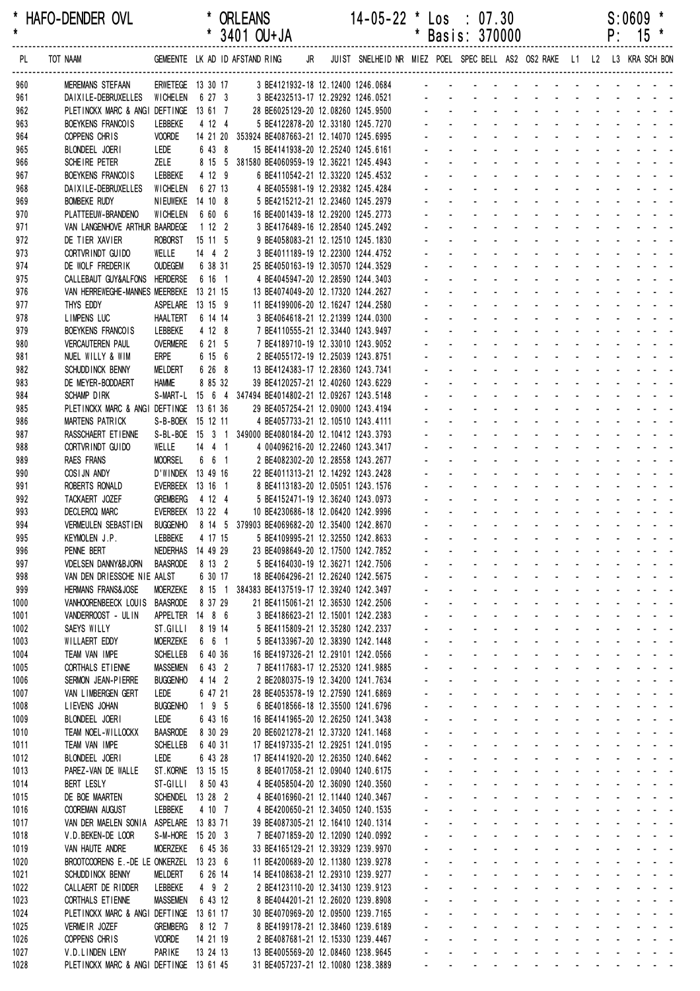| *<br>HAFO-DENDER OVL<br>$\pmb{\star}$ |                                                               |                            |                      | * ORLEANS<br>$*$ 3401 OU+JA                                                                                  |  | 14-05-22                                                               | $\cdot$ |                            | $\textsf{Los} \div 07.30$<br>* Basis: 370000                                                                                                                                                                                   |  |  |  | S:0609<br>$P: 15$ *                                                                                                                                                                                                            |  |
|---------------------------------------|---------------------------------------------------------------|----------------------------|----------------------|--------------------------------------------------------------------------------------------------------------|--|------------------------------------------------------------------------|---------|----------------------------|--------------------------------------------------------------------------------------------------------------------------------------------------------------------------------------------------------------------------------|--|--|--|--------------------------------------------------------------------------------------------------------------------------------------------------------------------------------------------------------------------------------|--|
| PL                                    | TOT NAAM                                                      |                            |                      | GEMEENTE LK AD ID AFSTAND RING JR JUIST SNELHEID NR MIEZ POEL SPECBELL AS2 OS2 RAKE L1 L2 L3 KRA SCHBON      |  |                                                                        |         |                            |                                                                                                                                                                                                                                |  |  |  |                                                                                                                                                                                                                                |  |
| 960                                   | <b>MEREMANS STEFAAN</b>                                       |                            |                      | ERWETEGE 13 30 17 3 BE4121932-18 12.12400 1246.0684 - - - - - - - - - - - - - - - -                          |  |                                                                        |         |                            |                                                                                                                                                                                                                                |  |  |  |                                                                                                                                                                                                                                |  |
| 961                                   | DAIXILE-DEBRUXELLES WICHELEN 6 27 3                           |                            |                      |                                                                                                              |  |                                                                        |         |                            |                                                                                                                                                                                                                                |  |  |  |                                                                                                                                                                                                                                |  |
| 962<br>963                            | PLETINCKX MARC & ANGI DEFTINGE 13 61 7<br>BOEYKENS FRANCOIS   | LEBBEKE                    | 4 12 4               | 3 BE4232513-17 12.29292 1246.0521<br>28 BE6025129-20 12.08260 1245.9500<br>5 BE4122878-20 12.33180 1245.7270 |  |                                                                        |         |                            |                                                                                                                                                                                                                                |  |  |  |                                                                                                                                                                                                                                |  |
| 964                                   | COPPENS CHRIS                                                 | <b>VOORDE</b>              |                      | 14 21 20 353924 BE4087663-21 12.14070 1245.6995                                                              |  |                                                                        |         |                            | and the contract of the contract of the contract of                                                                                                                                                                            |  |  |  |                                                                                                                                                                                                                                |  |
| 965                                   | BLONDEEL JOERI                                                | LEDE                       | 6 43 8               | 15 BE4141938-20 12.25240 1245.6161                                                                           |  |                                                                        |         |                            | and a series and a series and a series                                                                                                                                                                                         |  |  |  |                                                                                                                                                                                                                                |  |
| 966                                   | SCHEIRE PETER                                                 | ZELE                       |                      | 8 15 5 381580 BE4060959-19 12.36221 1245.4943                                                                |  |                                                                        |         |                            | and a straightful and a straight and                                                                                                                                                                                           |  |  |  |                                                                                                                                                                                                                                |  |
| 967                                   | BOEYKENS FRANCOIS                                             | LEBBEKE                    | 4 12 9               |                                                                                                              |  | 6 BE4110542-21 12.33220 1245.4532                                      |         |                            | and a state of the contract of the state                                                                                                                                                                                       |  |  |  |                                                                                                                                                                                                                                |  |
| 968                                   | DAIXILE-DEBRUXELLES                                           | WICHELEN                   | 6 27 13              |                                                                                                              |  | 4 BE4055981-19 12.29382 1245.4284                                      |         |                            | a construction of the construction of the construction of the construction of the construction of the construction of the construction of the construction of the construction of the construction of the construction of the  |  |  |  |                                                                                                                                                                                                                                |  |
| 969                                   | <b>BOMBEKE RUDY</b>                                           | NIEUWEKE 14 10 8           |                      |                                                                                                              |  | 5 BE4215212-21 12.23460 1245.2979                                      |         | $\mathcal{L}^{\text{max}}$ | de la participat de la participat de                                                                                                                                                                                           |  |  |  |                                                                                                                                                                                                                                |  |
| 970                                   | PLATTEEUW-BRANDENO                                            | WICHELEN                   | 6 60 6               | 16 BE4001439-18 12.29200 1245.2773                                                                           |  |                                                                        |         |                            | and a straightful and a straight and                                                                                                                                                                                           |  |  |  |                                                                                                                                                                                                                                |  |
| 971                                   | VAN LANGENHOVE ARTHUR BAARDEGE                                |                            | 1122                 |                                                                                                              |  | 3 BE4176489-16 12.28540 1245.2492                                      |         |                            |                                                                                                                                                                                                                                |  |  |  | and a state of the state of the state of                                                                                                                                                                                       |  |
| 972                                   | DE TIER XAVIER                                                | <b>ROBORST</b>             | 15 11 5              |                                                                                                              |  | 9 BE4058083-21 12.12510 1245.1830                                      |         |                            | de la participat de la participat de                                                                                                                                                                                           |  |  |  | and the contract of the contract of                                                                                                                                                                                            |  |
| 973<br>974                            | CORTVRINDT GUIDO<br>DE WOLF FREDERIK                          | WELLE<br><b>OUDEGEM</b>    | 14 4 2<br>6 38 31    | 25 BE4050163-19 12.30570 1244.3529                                                                           |  | 3 BE4011189-19 12.22300 1244.4752                                      |         |                            | and a straightful and a straight and a                                                                                                                                                                                         |  |  |  |                                                                                                                                                                                                                                |  |
| 975                                   | CALLEBAUT GUY&ALFONS HERDERSE                                 |                            | 6 16 1               |                                                                                                              |  | 4 BE4045947-20 12.28590 1244.3403                                      |         |                            |                                                                                                                                                                                                                                |  |  |  | de la provincia de la provincia de                                                                                                                                                                                             |  |
| 976                                   | VAN HERREWEGHE-MANNES MEERBEKE 13 21 15                       |                            |                      | 13 BE4074049-20 12.17320 1244.2627                                                                           |  |                                                                        |         |                            | and a straightful and a straight and                                                                                                                                                                                           |  |  |  |                                                                                                                                                                                                                                |  |
| 977                                   | THYS EDDY                                                     | ASPELARE 13 15 9           |                      | 11 BE4199006-20 12.16247 1244.2580                                                                           |  |                                                                        |         |                            | and a series of the contract of the series                                                                                                                                                                                     |  |  |  |                                                                                                                                                                                                                                |  |
| 978                                   | LIMPENS LUC                                                   | <b>HAALTERT</b>            | 6 14 14              |                                                                                                              |  | 3 BE4064618-21 12.21399 1244.0300                                      |         |                            | and a straightful and a straight and                                                                                                                                                                                           |  |  |  |                                                                                                                                                                                                                                |  |
| 979                                   | BOEYKENS FRANCOIS                                             | LEBBEKE                    | 4 12 8               |                                                                                                              |  | 7 BE4110555-21 12.33440 1243.9497                                      |         |                            |                                                                                                                                                                                                                                |  |  |  |                                                                                                                                                                                                                                |  |
| 980                                   | <b>VERCAUTEREN PAUL</b>                                       | <b>OVERMERE</b>            | 6 21 5               |                                                                                                              |  | 7 BE4189710-19 12.33010 1243.9052                                      |         |                            | a construction of the construction of the construction of the construction of the construction of the construction of the construction of the construction of the construction of the construction of the construction of the  |  |  |  |                                                                                                                                                                                                                                |  |
| 981                                   | NUEL WILLY & WIM                                              | ERPE                       | 6 15 6               |                                                                                                              |  | 2 BE4055172-19 12.25039 1243.8751                                      |         | $\omega_{\rm{max}}$        | and a straightful and a straight and a                                                                                                                                                                                         |  |  |  |                                                                                                                                                                                                                                |  |
| 982                                   | SCHUDD INCK BENNY                                             | MELDERT                    | 6 26 8               | 13 BE4124383-17 12.28360 1243.7341                                                                           |  |                                                                        |         |                            | and a straightful and a straight and a                                                                                                                                                                                         |  |  |  |                                                                                                                                                                                                                                |  |
| 983                                   | DE MEYER-BODDAERT                                             | <b>HAMME</b>               | 8 85 32              | 39 BE4120257-21 12.40260 1243.6229                                                                           |  |                                                                        |         |                            |                                                                                                                                                                                                                                |  |  |  | and a series of the contract of the<br>والوالو الوارثون والوارث                                                                                                                                                                |  |
| 984                                   | SCHAMP DIRK<br>PLETINCKX MARC & ANGI DEFTINGE 13 61 36        |                            |                      | S-MART-L 15 6 4 347494 BE4014802-21 12.09267 1243.5148<br>29 BE4057254-21 12.09000 1243.4194                 |  |                                                                        |         |                            | and a straightful and a straight and                                                                                                                                                                                           |  |  |  |                                                                                                                                                                                                                                |  |
| 985<br>986                            | MARTENS PATRICK                                               | S-B-BOEK 15 12 11          |                      |                                                                                                              |  | 4 BE4057733-21 12.10510 1243.4111                                      |         |                            |                                                                                                                                                                                                                                |  |  |  | design and a state of the state of the state of the state of the state of the state of the state of the state of the state of the state of the state of the state of the state of the state of the state of the state of the s |  |
| 987                                   | RASSCHAERT ET IENNE                                           |                            |                      | S-BL-BOE 15 3 1 349000 BE4080184-20 12.10412 1243.3793                                                       |  |                                                                        |         |                            |                                                                                                                                                                                                                                |  |  |  | and a state of the state of the state                                                                                                                                                                                          |  |
| 988                                   | CORTVRINDT GUIDO                                              | WELLE                      | $14 \quad 4 \quad 1$ |                                                                                                              |  | 4 004096216-20 12.22460 1243.3417                                      |         |                            |                                                                                                                                                                                                                                |  |  |  | and a state of the state of the state                                                                                                                                                                                          |  |
| 989                                   | <b>RAES FRANS</b>                                             | <b>MOORSEL</b>             | 6 6 1                |                                                                                                              |  | 2 BE4082302-20 12.28558 1243.2677                                      |         |                            |                                                                                                                                                                                                                                |  |  |  | design and a state of the state of the                                                                                                                                                                                         |  |
| 990                                   | COSIJN ANDY                                                   | D'WINDEK 13 49 16          |                      | 22 BE4011313-21 12.14292 1243.2428                                                                           |  |                                                                        |         |                            | والمتعارف والمتعارف والمتعارف والمتعارف                                                                                                                                                                                        |  |  |  |                                                                                                                                                                                                                                |  |
| 991                                   | ROBERTS RONALD                                                | EVERBEEK 13 16 1           |                      |                                                                                                              |  | 8 BE4113183-20 12.05051 1243.1576                                      |         |                            | a construction of the construction of the construction of the construction of the construction of the construction of the construction of the construction of the construction of the construction of the construction of the  |  |  |  |                                                                                                                                                                                                                                |  |
| 992                                   | TACKAERT JOZEF                                                | <b>GREMBERG</b>            | 4 12 4               |                                                                                                              |  | 5 BE4152471-19 12.36240 1243.0973                                      |         |                            | <u>.</u>                                                                                                                                                                                                                       |  |  |  |                                                                                                                                                                                                                                |  |
| 993                                   | <b>DECLERCQ MARC</b>                                          | EVERBEEK 13 22 4           |                      | 10 BE4230686-18 12.06420 1242.9996                                                                           |  |                                                                        |         | $\omega_{\rm{max}}$        | de la participat de la participat de                                                                                                                                                                                           |  |  |  |                                                                                                                                                                                                                                |  |
| 994                                   | VERMEULEN SEBASTIEN                                           | <b>BUGGENHO</b>            |                      | 8 14 5 379903 BE4069682-20 12.35400 1242.8670                                                                |  |                                                                        |         | $\omega_{\rm{max}}$        | and a straightful and a straight and                                                                                                                                                                                           |  |  |  |                                                                                                                                                                                                                                |  |
| 995                                   | KEYMOLEN J.P                                                  |                            |                      | LEBBEKE 4 17 15 5 BE4109995-21 12.32550 1242.8633                                                            |  |                                                                        |         |                            |                                                                                                                                                                                                                                |  |  |  |                                                                                                                                                                                                                                |  |
| 996                                   | PENNE BERT                                                    | NEDERHAS 14 49 29          |                      | 23 BE4098649-20 12.17500 1242.7852                                                                           |  |                                                                        |         |                            | والمناور والمتناور والمناور والمناور والمناور والمناور<br>والمناور والمناور والوالو الوالو الوالو والمناور                                                                                                                     |  |  |  |                                                                                                                                                                                                                                |  |
| 997<br>998                            | <b>VDELSEN DANNY&amp;BJORN</b><br>VAN DEN DRIESSCHE NIE AALST | BAASRODE                   | 8 13 2<br>6 30 17    | 18 BE4064296-21 12.26240 1242.5675                                                                           |  | 5 BE4164030-19 12.36271 1242.7506                                      |         |                            | and a series of the contract of the contract of                                                                                                                                                                                |  |  |  |                                                                                                                                                                                                                                |  |
| 999                                   | <b>HERMANS FRANS&amp;JOSE</b>                                 | MOERZEKE                   |                      | 8 15 1 384383 BE4137519-17 12.39240 1242.3497                                                                |  |                                                                        |         |                            | design and a state of the state of the state                                                                                                                                                                                   |  |  |  |                                                                                                                                                                                                                                |  |
| 1000                                  | VANHOORENBEECK LOUIS BAASRODE                                 |                            | 8 37 29              | 21 BE4115061-21 12.36530 1242.2506                                                                           |  |                                                                        |         |                            | and a series of the series of the series of                                                                                                                                                                                    |  |  |  |                                                                                                                                                                                                                                |  |
| 1001                                  | VANDERROOST - UL IN                                           | APPELTER 14 8 6            |                      |                                                                                                              |  | 3 BE4186623-21 12.15001 1242.2383                                      |         |                            | and the contract of the contract of the contract of                                                                                                                                                                            |  |  |  |                                                                                                                                                                                                                                |  |
| 1002                                  | SAEYS WILLY                                                   | ST.GILLI                   | 8 19 14              |                                                                                                              |  | 5 BE4115809-21 12.35280 1242.2337                                      |         |                            | and a series of the contract of the series of                                                                                                                                                                                  |  |  |  |                                                                                                                                                                                                                                |  |
| 1003                                  | WILLAERT EDDY                                                 | <b>MOERZEKE</b>            | 6 6 1                |                                                                                                              |  | 5 BE4133967-20 12.38390 1242.1448                                      |         |                            | and a series of the contract of the series of                                                                                                                                                                                  |  |  |  |                                                                                                                                                                                                                                |  |
| 1004                                  | TEAM VAN IMPE                                                 | <b>SCHELLEB</b>            | 6 40 36              | 16 BE4197326-21 12.29101 1242.0566                                                                           |  |                                                                        |         |                            |                                                                                                                                                                                                                                |  |  |  |                                                                                                                                                                                                                                |  |
| 1005                                  | CORTHALS ETIENNE                                              | <b>MASSEMEN</b>            | 6 43 2               |                                                                                                              |  | 7 BE4117683-17 12.25320 1241.9885                                      |         |                            |                                                                                                                                                                                                                                |  |  |  |                                                                                                                                                                                                                                |  |
| 1006                                  | SERMON JEAN-PIERRE                                            | <b>BUGGENHO</b>            | 4 14 2               |                                                                                                              |  | 2 BE2080375-19 12.34200 1241.7634                                      |         |                            | and the contract of the contract of the                                                                                                                                                                                        |  |  |  |                                                                                                                                                                                                                                |  |
| 1007                                  | VAN LIMBERGEN GERT                                            | LEDE                       | 6 47 21              | 28 BE4053578-19 12.27590 1241.6869                                                                           |  |                                                                        |         |                            | the contract of the contract of the contract of the contract of                                                                                                                                                                |  |  |  |                                                                                                                                                                                                                                |  |
| 1008                                  | LIEVENS JOHAN                                                 | <b>BUGGENHO</b>            | 195                  |                                                                                                              |  | 6 BE4018566-18 12.35500 1241.6796                                      |         |                            | فالمنافذ والمنافر والمنافر والمنافر والمنافر والمنافر                                                                                                                                                                          |  |  |  |                                                                                                                                                                                                                                |  |
| 1009<br>1010                          | BLONDEEL JOERI<br>TEAM NOEL-WILLOCKX                          | LEDE<br><b>BAASRODE</b>    | 6 43 16              | 16 BE4141965-20 12.26250 1241.3438                                                                           |  |                                                                        |         |                            | فتتحدث والمتحدث والمتحدث والمنافي                                                                                                                                                                                              |  |  |  |                                                                                                                                                                                                                                |  |
| 1011                                  | TEAM VAN IMPE                                                 | <b>SCHELLEB</b>            | 8 30 29<br>6 40 31   | 20 BE6021278-21 12.37320 1241.1468<br>17 BE4197335-21 12.29251 1241.0195                                     |  |                                                                        |         |                            |                                                                                                                                                                                                                                |  |  |  |                                                                                                                                                                                                                                |  |
| 1012                                  | BLONDEEL JOERI                                                | LEDE                       | 6 43 28              | 17 BE4141920-20 12.26350 1240.6462                                                                           |  |                                                                        |         |                            | and the second contract of the second contract of the second contract of the second contract of the second contract of the second contract of the second contract of the second contract of the second contract of the second  |  |  |  |                                                                                                                                                                                                                                |  |
| 1013                                  | PAREZ-VAN DE WALLE                                            | ST. KORNE 13 15 15         |                      |                                                                                                              |  | 8 BE4017058-21 12.09040 1240.6175                                      |         |                            | the contract of the contract of the contract of the con-                                                                                                                                                                       |  |  |  |                                                                                                                                                                                                                                |  |
| 1014                                  | <b>BERT LESLY</b>                                             | ST-GILLI                   | 8 50 43              |                                                                                                              |  | 4 BE4058504-20 12.36090 1240.3560                                      |         |                            | and a series of the contract of the series of                                                                                                                                                                                  |  |  |  |                                                                                                                                                                                                                                |  |
| 1015                                  | DE BOE MAARTEN                                                | SCHENDEL 13 28 2           |                      |                                                                                                              |  | 4 BE4016960-21 12.11440 1240.3467                                      |         |                            | the contract of the contract of the contract of                                                                                                                                                                                |  |  |  |                                                                                                                                                                                                                                |  |
| 1016                                  | COOREMAN AUGUST                                               | LEBBEKE                    | 4 10 7               |                                                                                                              |  | 4 BE4200650-21 12.34050 1240.1535                                      |         |                            |                                                                                                                                                                                                                                |  |  |  |                                                                                                                                                                                                                                |  |
| 1017                                  | VAN DER MAELEN SONIA ASPELARE 13 83 71                        |                            |                      |                                                                                                              |  | 39 BE4087305-21 12.16410 1240.1314                                     |         |                            |                                                                                                                                                                                                                                |  |  |  |                                                                                                                                                                                                                                |  |
| 1018                                  | V.D.BEKEN-DE LOOR                                             | S-M-HORE 15 20 3           |                      |                                                                                                              |  | 7 BE4071859-20 12.12090 1240.0992                                      |         |                            | and the contract of the contract of the contract of the contract of the contract of the contract of the contract of the contract of the contract of the contract of the contract of the contract of the contract of the contra |  |  |  |                                                                                                                                                                                                                                |  |
| 1019                                  | VAN HAUTE ANDRE                                               | <b>MOERZEKE</b>            | 6 45 36              | 33 BE4165129-21 12.39329 1239.9970                                                                           |  |                                                                        |         |                            | المناطق والمتناط المتناط المناط المتناط المتناط المناد                                                                                                                                                                         |  |  |  |                                                                                                                                                                                                                                |  |
| 1020                                  | BROOTCOORENS E.-DE LE ONKERZEL 13 23 6                        |                            |                      | 11 BE4200689-20 12.11380 1239.9278                                                                           |  |                                                                        |         |                            | فالقاط القارف القارف القارف والقاربة القاربة                                                                                                                                                                                   |  |  |  |                                                                                                                                                                                                                                |  |
| 1021                                  | SCHUDD INCK BENNY                                             | MELDERT                    | 6 26 14              | 14 BE4108638-21 12.29310 1239.9277                                                                           |  |                                                                        |         |                            | and a series of the contract of the series of<br>and a series of the contract of the series of                                                                                                                                 |  |  |  |                                                                                                                                                                                                                                |  |
| 1022                                  | CALLAERT DE RIDDER<br>CORTHALS ET IENNE                       | LEBBEKE<br><b>MASSEMEN</b> | 4 9 2<br>6 43 12     |                                                                                                              |  | 2 BE4123110-20 12.34130 1239.9123<br>8 BE4044201-21 12.26020 1239.8908 |         |                            | and a straightful and a straight and                                                                                                                                                                                           |  |  |  |                                                                                                                                                                                                                                |  |
| 1023<br>1024                          | PLETINCKX MARC & ANGI DEFTINGE 13 61 17                       |                            |                      | 30 BE4070969-20 12.09500 1239.7165                                                                           |  |                                                                        |         |                            | and a series of the series of the series of                                                                                                                                                                                    |  |  |  |                                                                                                                                                                                                                                |  |
| 1025                                  | VERMEIR JOZEF                                                 | <b>GREMBERG</b>            | 8 12 7               |                                                                                                              |  | 8 BE4199178-21 12.38460 1239.6189                                      |         |                            | and the contract of the contract of the contract of                                                                                                                                                                            |  |  |  |                                                                                                                                                                                                                                |  |
| 1026                                  | COPPENS CHRIS                                                 | <b>VOORDE</b>              | 14 21 19             |                                                                                                              |  | 2 BE4087681-21 12.15330 1239.4467                                      |         |                            | and a series of the series of the series of the                                                                                                                                                                                |  |  |  |                                                                                                                                                                                                                                |  |
| 1027                                  | V.D.LINDEN LENY                                               | PARIKE                     | 13 24 13             | 13 BE4005569-20 12.08460 1238.9645                                                                           |  |                                                                        |         |                            | والمناور والمناور والمناور والمناور والمناور المناور                                                                                                                                                                           |  |  |  |                                                                                                                                                                                                                                |  |
| 1028                                  | PLETINCKX MARC & ANGI DEFTINGE 13 61 45                       |                            |                      | 31 BE4057237-21 12.10080 1238.3889                                                                           |  |                                                                        |         |                            | the contract of the contract of the contract of the                                                                                                                                                                            |  |  |  |                                                                                                                                                                                                                                |  |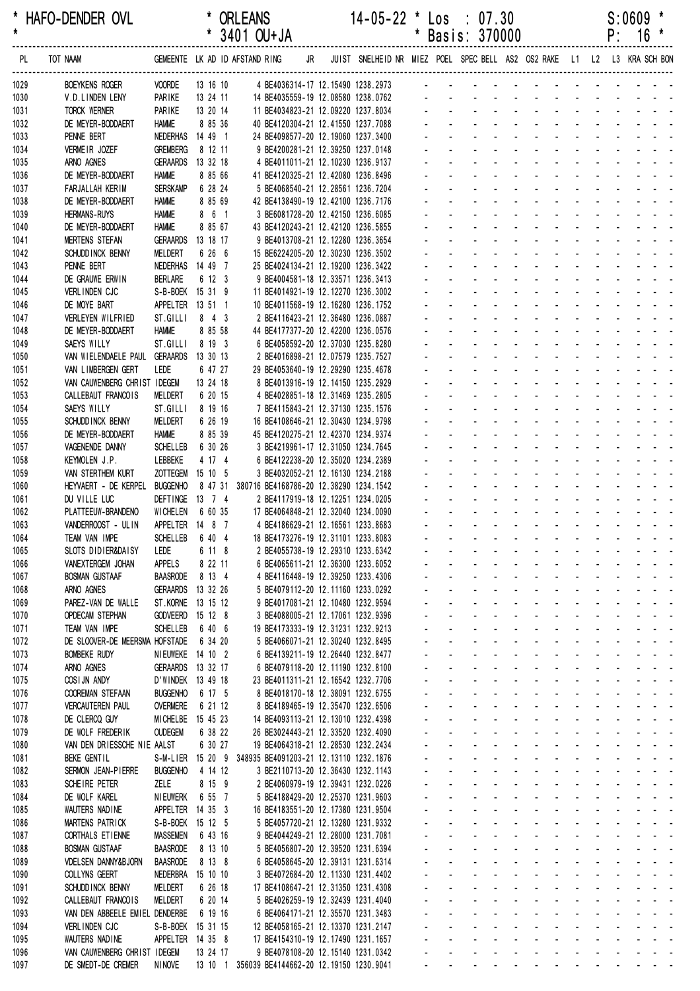| $\star$<br>* 3401 OU+JA<br>*<br>Basis: 370000<br>TOT NAAM<br>GEMEENTE LK AD ID AFSTAND RING JR JUIST SNELHEID NR MIEZ POEL SPEC BELL AS2 OS2 RAKE L1 L2 L3 KRA SCH BON<br>PL.<br><b>BOEYKENS ROGER</b><br><b>VOORDE</b><br>13 16 10<br>4 BE4036314-17 12.15490 1238.2973<br>1029<br>PARIKE<br>13 24 11<br>1030<br>V.D.LINDEN LENY<br>14 BE4035559-19 12.08580 1238.0762<br>PARIKE<br>13 20 14<br><b>TORCK WERNER</b><br>11 BE4034823-21 12.09220 1237.8034<br>1031<br><b>HAMME</b><br>8 85 36<br>1032<br>DE MEYER-BODDAERT<br>40 BE4120304-21 12.41550 1237.7088<br>NEDERHAS 14 49 1<br>1033<br>PENNE BERT<br>24 BE4098577-20 12.19060 1237.3400<br>VERMEIR JOZEF<br>8 12 11<br>1034<br><b>GREMBERG</b><br>9 BE4200281-21 12.39250 1237.0148<br><b>GERAARDS</b><br>13 32 18<br>1035<br>ARNO AGNES<br>4 BE4011011-21 12.10230 1236.9137<br>8 85 66<br>1036<br>DE MEYER-BODDAERT<br><b>HAMME</b><br>41 BE4120325-21 12.42080 1236.8496<br>6 28 24<br><b>SERSKAMP</b><br>5 BE4068540-21 12.28561 1236.7204<br>1037<br>FARJALLAH KERIM<br>8 85 69<br>1038<br><b>HAMME</b><br>42 BE4138490-19 12.42100 1236.7176<br>DE MEYER-BODDAERT<br>and the state of the state of the state of<br><b>HAMME</b><br>8 6 1<br>1039<br><b>HERMANS-RUYS</b><br>3 BE6081728-20 12.42150 1236.6085<br><b>HAMME</b><br>8 85 67<br>1040<br>43 BE4120243-21 12.42120 1236.5855<br>DE MEYER-BODDAERT<br>13 18 17<br>1041<br><b>MERTENS STEFAN</b><br><b>GERAARDS</b><br>9 BE4013708-21 12.12280 1236.3654<br><b>MELDERT</b><br>6 26 6<br>15 BE6224205-20 12.30230 1236.3502<br>1042<br>SCHUDD INCK BENNY<br>PENNE BERT<br>NEDERHAS<br>14 49 7<br>25 BE4024134-21 12.19200 1236.3422<br>1043<br>1044<br>DE GRAUWE ERWIN<br><b>BERLARE</b><br>6 12 3<br>9 BE4004581-18 12.33571 1236.3413<br>S-B-BOEK 15 31 9<br>1045<br>VERLINDEN CJC<br>11 BE4014921-19 12.12270 1236.3002<br>1046<br>DE MOYE BART<br>APPELTER 13 51 1<br>10 BE4011568-19 12.16280 1236.1752<br>$8$ 4 3<br>1047<br>VERLEYEN WILFRIED<br>ST.GILLI<br>2 BE4116423-21 12.36480 1236.0887<br><b>HAMME</b><br>8 85 58<br>1048<br>DE MEYER-BODDAERT<br>44 BE4177377-20 12.42200 1236.0576<br>ST.GILLI<br>8 19 3<br>6 BE4058592-20 12.37030 1235.8280<br>1049<br>SAEYS WILLY<br>1050<br>VAN WIELENDAELE PAUL GERAARDS<br>13 30 13<br>2 BE4016898-21 12.07579 1235.7527<br>LEDE<br>6 47 27<br>1051<br>VAN LIMBERGEN GERT<br>29 BE4053640-19 12.29290 1235.4678<br>13 24 18<br>1052<br>VAN CAUWENBERG CHRIST IDEGEM<br>8 BE4013916-19 12.14150 1235.2929<br>6 20 15<br>1053<br>CALLEBAUT FRANCOIS<br>MELDERT<br>4 BE4028851-18 12.31469 1235.2805<br>SAEYS WILLY<br>ST.GILLI<br>8 19 16<br>1054<br>7 BE4115843-21 12.37130 1235.1576<br>6 26 19<br>MELDERT<br>16 BE4108646-21 12.30430 1234.9798<br>1055<br>SCHUDD INCK BENNY<br>8 85 39<br>1056<br><b>HAMME</b><br>45 BE4120275-21 12.42370 1234.9374<br>DE MEYER-BODDAERT<br>6 30 26<br>1057<br>VAGENENDE DANNY<br><b>SCHELLEB</b><br>3 BE4219961-17 12.31050 1234.7645<br>1058<br>KEYMOLEN J.P.<br>LEBBEKE<br>4 17 4<br>6 BE4122238-20 12.35020 1234.2389<br>1059<br>VAN STERTHEM KURT<br>ZOTTEGEM 15 10 5<br>3 BE4032052-21 12.16130 1234.2188<br><b>BUGGENHO</b><br>HEYVAERT - DE KERPEL<br>8 47 31 380716 BE4168786-20 12.38290 1234.1542<br>1060<br>DEFTINGE 13 7 4<br>1061<br>DU VILLE LUC<br>2 BE4117919-18 12.12251 1234.0205<br>1062<br>PLATTEEUW-BRANDENO<br>WICHELEN<br>6 60 35<br>17 BE4064848-21 12.32040 1234.0090<br>1063<br>VANDERROOST - UL IN<br>APPELTER 14 8 7<br>4 BE4186629-21 12.16561 1233.8683<br>SCHELLEB 6 40 4<br>1064<br>TEAM VAN IMPE<br>18 BE4173276-19 12.31101 1233.8083<br>6 11 8<br>SLOTS DIDIER&DAISY<br>1065<br>Lede<br>2 BE4055738-19 12.29310 1233.6342<br><b>All Contracts</b><br>and a series of the series of the series of<br>8 22 11<br>6 BE4065611-21 12.36300 1233.6052<br>1066<br>VANEXTERGEM JOHAN<br>APPELS<br>and a state<br>and the company of the company of<br><b>BOSMAN GUSTAAF</b><br><b>BAASRODE</b><br>8 13 4<br>4 BE4116448-19 12.39250 1233.4306<br>فالقائق والقاربة القاربة القاربة القاربة<br>1067<br>1068<br>ARNO AGNES<br>GERAARDS 13 32 26<br>5 BE4079112-20 12.11160 1233.0292<br>المنابعة والمستنقذ والمستنقذ والمستنقذ والمستنقذ والمستنقذ<br>1069<br>ST.KORNE 13 15 12<br>9 BE4017081-21 12.10480 1232.9594<br>and a strain and a strain and a<br>PAREZ-VAN DE WALLE<br>1070<br><b>OPDECAM STEPHAN</b><br><b>GODVEERD</b><br>15 12 8<br>3 BE4088005-21 12.17061 1232.9396<br>and a series of the series of the series of<br>1071<br>TEAM VAN IMPE<br><b>SCHELLEB</b><br>6 40 6<br>19 BE4173333-19 12.31231 1232.9213<br>$\mathbf{L}^{\text{max}}$<br>DE SLOOVER-DE MEERSMA HOFSTADE<br>1072<br>6 34 20<br>5 BE4066071-21 12.30240 1232.8495<br>and a series of the series of the series of<br>$\mathbf{L}^{\text{max}}$<br><b>BOMBEKE RUDY</b><br>NIEUWEKE 14 10 2<br>6 BE4139211-19 12.26440 1232.8477<br>والمناور والوالد والمناور والمناور والمناور<br>1073<br>and a state of the state of the state of<br>1074<br>ARNO AGNES<br>GERAARDS 13 32 17<br>6 BE4079118-20 12.11190 1232.8100 |                             | $P: 16 *$                                |
|----------------------------------------------------------------------------------------------------------------------------------------------------------------------------------------------------------------------------------------------------------------------------------------------------------------------------------------------------------------------------------------------------------------------------------------------------------------------------------------------------------------------------------------------------------------------------------------------------------------------------------------------------------------------------------------------------------------------------------------------------------------------------------------------------------------------------------------------------------------------------------------------------------------------------------------------------------------------------------------------------------------------------------------------------------------------------------------------------------------------------------------------------------------------------------------------------------------------------------------------------------------------------------------------------------------------------------------------------------------------------------------------------------------------------------------------------------------------------------------------------------------------------------------------------------------------------------------------------------------------------------------------------------------------------------------------------------------------------------------------------------------------------------------------------------------------------------------------------------------------------------------------------------------------------------------------------------------------------------------------------------------------------------------------------------------------------------------------------------------------------------------------------------------------------------------------------------------------------------------------------------------------------------------------------------------------------------------------------------------------------------------------------------------------------------------------------------------------------------------------------------------------------------------------------------------------------------------------------------------------------------------------------------------------------------------------------------------------------------------------------------------------------------------------------------------------------------------------------------------------------------------------------------------------------------------------------------------------------------------------------------------------------------------------------------------------------------------------------------------------------------------------------------------------------------------------------------------------------------------------------------------------------------------------------------------------------------------------------------------------------------------------------------------------------------------------------------------------------------------------------------------------------------------------------------------------------------------------------------------------------------------------------------------------------------------------------------------------------------------------------------------------------------------------------------------------------------------------------------------------------------------------------------------------------------------------------------------------------------------------------------------------------------------------------------------------------------------------------------------------------------------------------------------------------------------------------------------------------------------------------------------------------------------------------------------------------------------------------------------------------------------------------------------------------------------------------------------------------------------------------------------------------------------------------------------------------------------------------------------------------------------------------------------------------------------------------------------------------------------------------------------------------------------------------------------------------------------------------------------------------------------------------------------------------------------------------------------------------------------------------------------------------------------------|-----------------------------|------------------------------------------|
|                                                                                                                                                                                                                                                                                                                                                                                                                                                                                                                                                                                                                                                                                                                                                                                                                                                                                                                                                                                                                                                                                                                                                                                                                                                                                                                                                                                                                                                                                                                                                                                                                                                                                                                                                                                                                                                                                                                                                                                                                                                                                                                                                                                                                                                                                                                                                                                                                                                                                                                                                                                                                                                                                                                                                                                                                                                                                                                                                                                                                                                                                                                                                                                                                                                                                                                                                                                                                                                                                                                                                                                                                                                                                                                                                                                                                                                                                                                                                                                                                                                                                                                                                                                                                                                                                                                                                                                                                                                                                                                                                                                                                                                                                                                                                                                                                                                                                                                                                                                                                                              |                             |                                          |
|                                                                                                                                                                                                                                                                                                                                                                                                                                                                                                                                                                                                                                                                                                                                                                                                                                                                                                                                                                                                                                                                                                                                                                                                                                                                                                                                                                                                                                                                                                                                                                                                                                                                                                                                                                                                                                                                                                                                                                                                                                                                                                                                                                                                                                                                                                                                                                                                                                                                                                                                                                                                                                                                                                                                                                                                                                                                                                                                                                                                                                                                                                                                                                                                                                                                                                                                                                                                                                                                                                                                                                                                                                                                                                                                                                                                                                                                                                                                                                                                                                                                                                                                                                                                                                                                                                                                                                                                                                                                                                                                                                                                                                                                                                                                                                                                                                                                                                                                                                                                                                              |                             |                                          |
|                                                                                                                                                                                                                                                                                                                                                                                                                                                                                                                                                                                                                                                                                                                                                                                                                                                                                                                                                                                                                                                                                                                                                                                                                                                                                                                                                                                                                                                                                                                                                                                                                                                                                                                                                                                                                                                                                                                                                                                                                                                                                                                                                                                                                                                                                                                                                                                                                                                                                                                                                                                                                                                                                                                                                                                                                                                                                                                                                                                                                                                                                                                                                                                                                                                                                                                                                                                                                                                                                                                                                                                                                                                                                                                                                                                                                                                                                                                                                                                                                                                                                                                                                                                                                                                                                                                                                                                                                                                                                                                                                                                                                                                                                                                                                                                                                                                                                                                                                                                                                                              |                             |                                          |
|                                                                                                                                                                                                                                                                                                                                                                                                                                                                                                                                                                                                                                                                                                                                                                                                                                                                                                                                                                                                                                                                                                                                                                                                                                                                                                                                                                                                                                                                                                                                                                                                                                                                                                                                                                                                                                                                                                                                                                                                                                                                                                                                                                                                                                                                                                                                                                                                                                                                                                                                                                                                                                                                                                                                                                                                                                                                                                                                                                                                                                                                                                                                                                                                                                                                                                                                                                                                                                                                                                                                                                                                                                                                                                                                                                                                                                                                                                                                                                                                                                                                                                                                                                                                                                                                                                                                                                                                                                                                                                                                                                                                                                                                                                                                                                                                                                                                                                                                                                                                                                              |                             |                                          |
|                                                                                                                                                                                                                                                                                                                                                                                                                                                                                                                                                                                                                                                                                                                                                                                                                                                                                                                                                                                                                                                                                                                                                                                                                                                                                                                                                                                                                                                                                                                                                                                                                                                                                                                                                                                                                                                                                                                                                                                                                                                                                                                                                                                                                                                                                                                                                                                                                                                                                                                                                                                                                                                                                                                                                                                                                                                                                                                                                                                                                                                                                                                                                                                                                                                                                                                                                                                                                                                                                                                                                                                                                                                                                                                                                                                                                                                                                                                                                                                                                                                                                                                                                                                                                                                                                                                                                                                                                                                                                                                                                                                                                                                                                                                                                                                                                                                                                                                                                                                                                                              |                             |                                          |
|                                                                                                                                                                                                                                                                                                                                                                                                                                                                                                                                                                                                                                                                                                                                                                                                                                                                                                                                                                                                                                                                                                                                                                                                                                                                                                                                                                                                                                                                                                                                                                                                                                                                                                                                                                                                                                                                                                                                                                                                                                                                                                                                                                                                                                                                                                                                                                                                                                                                                                                                                                                                                                                                                                                                                                                                                                                                                                                                                                                                                                                                                                                                                                                                                                                                                                                                                                                                                                                                                                                                                                                                                                                                                                                                                                                                                                                                                                                                                                                                                                                                                                                                                                                                                                                                                                                                                                                                                                                                                                                                                                                                                                                                                                                                                                                                                                                                                                                                                                                                                                              |                             |                                          |
|                                                                                                                                                                                                                                                                                                                                                                                                                                                                                                                                                                                                                                                                                                                                                                                                                                                                                                                                                                                                                                                                                                                                                                                                                                                                                                                                                                                                                                                                                                                                                                                                                                                                                                                                                                                                                                                                                                                                                                                                                                                                                                                                                                                                                                                                                                                                                                                                                                                                                                                                                                                                                                                                                                                                                                                                                                                                                                                                                                                                                                                                                                                                                                                                                                                                                                                                                                                                                                                                                                                                                                                                                                                                                                                                                                                                                                                                                                                                                                                                                                                                                                                                                                                                                                                                                                                                                                                                                                                                                                                                                                                                                                                                                                                                                                                                                                                                                                                                                                                                                                              |                             |                                          |
|                                                                                                                                                                                                                                                                                                                                                                                                                                                                                                                                                                                                                                                                                                                                                                                                                                                                                                                                                                                                                                                                                                                                                                                                                                                                                                                                                                                                                                                                                                                                                                                                                                                                                                                                                                                                                                                                                                                                                                                                                                                                                                                                                                                                                                                                                                                                                                                                                                                                                                                                                                                                                                                                                                                                                                                                                                                                                                                                                                                                                                                                                                                                                                                                                                                                                                                                                                                                                                                                                                                                                                                                                                                                                                                                                                                                                                                                                                                                                                                                                                                                                                                                                                                                                                                                                                                                                                                                                                                                                                                                                                                                                                                                                                                                                                                                                                                                                                                                                                                                                                              |                             |                                          |
|                                                                                                                                                                                                                                                                                                                                                                                                                                                                                                                                                                                                                                                                                                                                                                                                                                                                                                                                                                                                                                                                                                                                                                                                                                                                                                                                                                                                                                                                                                                                                                                                                                                                                                                                                                                                                                                                                                                                                                                                                                                                                                                                                                                                                                                                                                                                                                                                                                                                                                                                                                                                                                                                                                                                                                                                                                                                                                                                                                                                                                                                                                                                                                                                                                                                                                                                                                                                                                                                                                                                                                                                                                                                                                                                                                                                                                                                                                                                                                                                                                                                                                                                                                                                                                                                                                                                                                                                                                                                                                                                                                                                                                                                                                                                                                                                                                                                                                                                                                                                                                              |                             |                                          |
|                                                                                                                                                                                                                                                                                                                                                                                                                                                                                                                                                                                                                                                                                                                                                                                                                                                                                                                                                                                                                                                                                                                                                                                                                                                                                                                                                                                                                                                                                                                                                                                                                                                                                                                                                                                                                                                                                                                                                                                                                                                                                                                                                                                                                                                                                                                                                                                                                                                                                                                                                                                                                                                                                                                                                                                                                                                                                                                                                                                                                                                                                                                                                                                                                                                                                                                                                                                                                                                                                                                                                                                                                                                                                                                                                                                                                                                                                                                                                                                                                                                                                                                                                                                                                                                                                                                                                                                                                                                                                                                                                                                                                                                                                                                                                                                                                                                                                                                                                                                                                                              |                             |                                          |
|                                                                                                                                                                                                                                                                                                                                                                                                                                                                                                                                                                                                                                                                                                                                                                                                                                                                                                                                                                                                                                                                                                                                                                                                                                                                                                                                                                                                                                                                                                                                                                                                                                                                                                                                                                                                                                                                                                                                                                                                                                                                                                                                                                                                                                                                                                                                                                                                                                                                                                                                                                                                                                                                                                                                                                                                                                                                                                                                                                                                                                                                                                                                                                                                                                                                                                                                                                                                                                                                                                                                                                                                                                                                                                                                                                                                                                                                                                                                                                                                                                                                                                                                                                                                                                                                                                                                                                                                                                                                                                                                                                                                                                                                                                                                                                                                                                                                                                                                                                                                                                              |                             |                                          |
|                                                                                                                                                                                                                                                                                                                                                                                                                                                                                                                                                                                                                                                                                                                                                                                                                                                                                                                                                                                                                                                                                                                                                                                                                                                                                                                                                                                                                                                                                                                                                                                                                                                                                                                                                                                                                                                                                                                                                                                                                                                                                                                                                                                                                                                                                                                                                                                                                                                                                                                                                                                                                                                                                                                                                                                                                                                                                                                                                                                                                                                                                                                                                                                                                                                                                                                                                                                                                                                                                                                                                                                                                                                                                                                                                                                                                                                                                                                                                                                                                                                                                                                                                                                                                                                                                                                                                                                                                                                                                                                                                                                                                                                                                                                                                                                                                                                                                                                                                                                                                                              |                             |                                          |
|                                                                                                                                                                                                                                                                                                                                                                                                                                                                                                                                                                                                                                                                                                                                                                                                                                                                                                                                                                                                                                                                                                                                                                                                                                                                                                                                                                                                                                                                                                                                                                                                                                                                                                                                                                                                                                                                                                                                                                                                                                                                                                                                                                                                                                                                                                                                                                                                                                                                                                                                                                                                                                                                                                                                                                                                                                                                                                                                                                                                                                                                                                                                                                                                                                                                                                                                                                                                                                                                                                                                                                                                                                                                                                                                                                                                                                                                                                                                                                                                                                                                                                                                                                                                                                                                                                                                                                                                                                                                                                                                                                                                                                                                                                                                                                                                                                                                                                                                                                                                                                              |                             |                                          |
|                                                                                                                                                                                                                                                                                                                                                                                                                                                                                                                                                                                                                                                                                                                                                                                                                                                                                                                                                                                                                                                                                                                                                                                                                                                                                                                                                                                                                                                                                                                                                                                                                                                                                                                                                                                                                                                                                                                                                                                                                                                                                                                                                                                                                                                                                                                                                                                                                                                                                                                                                                                                                                                                                                                                                                                                                                                                                                                                                                                                                                                                                                                                                                                                                                                                                                                                                                                                                                                                                                                                                                                                                                                                                                                                                                                                                                                                                                                                                                                                                                                                                                                                                                                                                                                                                                                                                                                                                                                                                                                                                                                                                                                                                                                                                                                                                                                                                                                                                                                                                                              |                             |                                          |
|                                                                                                                                                                                                                                                                                                                                                                                                                                                                                                                                                                                                                                                                                                                                                                                                                                                                                                                                                                                                                                                                                                                                                                                                                                                                                                                                                                                                                                                                                                                                                                                                                                                                                                                                                                                                                                                                                                                                                                                                                                                                                                                                                                                                                                                                                                                                                                                                                                                                                                                                                                                                                                                                                                                                                                                                                                                                                                                                                                                                                                                                                                                                                                                                                                                                                                                                                                                                                                                                                                                                                                                                                                                                                                                                                                                                                                                                                                                                                                                                                                                                                                                                                                                                                                                                                                                                                                                                                                                                                                                                                                                                                                                                                                                                                                                                                                                                                                                                                                                                                                              |                             |                                          |
|                                                                                                                                                                                                                                                                                                                                                                                                                                                                                                                                                                                                                                                                                                                                                                                                                                                                                                                                                                                                                                                                                                                                                                                                                                                                                                                                                                                                                                                                                                                                                                                                                                                                                                                                                                                                                                                                                                                                                                                                                                                                                                                                                                                                                                                                                                                                                                                                                                                                                                                                                                                                                                                                                                                                                                                                                                                                                                                                                                                                                                                                                                                                                                                                                                                                                                                                                                                                                                                                                                                                                                                                                                                                                                                                                                                                                                                                                                                                                                                                                                                                                                                                                                                                                                                                                                                                                                                                                                                                                                                                                                                                                                                                                                                                                                                                                                                                                                                                                                                                                                              |                             |                                          |
|                                                                                                                                                                                                                                                                                                                                                                                                                                                                                                                                                                                                                                                                                                                                                                                                                                                                                                                                                                                                                                                                                                                                                                                                                                                                                                                                                                                                                                                                                                                                                                                                                                                                                                                                                                                                                                                                                                                                                                                                                                                                                                                                                                                                                                                                                                                                                                                                                                                                                                                                                                                                                                                                                                                                                                                                                                                                                                                                                                                                                                                                                                                                                                                                                                                                                                                                                                                                                                                                                                                                                                                                                                                                                                                                                                                                                                                                                                                                                                                                                                                                                                                                                                                                                                                                                                                                                                                                                                                                                                                                                                                                                                                                                                                                                                                                                                                                                                                                                                                                                                              |                             |                                          |
|                                                                                                                                                                                                                                                                                                                                                                                                                                                                                                                                                                                                                                                                                                                                                                                                                                                                                                                                                                                                                                                                                                                                                                                                                                                                                                                                                                                                                                                                                                                                                                                                                                                                                                                                                                                                                                                                                                                                                                                                                                                                                                                                                                                                                                                                                                                                                                                                                                                                                                                                                                                                                                                                                                                                                                                                                                                                                                                                                                                                                                                                                                                                                                                                                                                                                                                                                                                                                                                                                                                                                                                                                                                                                                                                                                                                                                                                                                                                                                                                                                                                                                                                                                                                                                                                                                                                                                                                                                                                                                                                                                                                                                                                                                                                                                                                                                                                                                                                                                                                                                              |                             |                                          |
|                                                                                                                                                                                                                                                                                                                                                                                                                                                                                                                                                                                                                                                                                                                                                                                                                                                                                                                                                                                                                                                                                                                                                                                                                                                                                                                                                                                                                                                                                                                                                                                                                                                                                                                                                                                                                                                                                                                                                                                                                                                                                                                                                                                                                                                                                                                                                                                                                                                                                                                                                                                                                                                                                                                                                                                                                                                                                                                                                                                                                                                                                                                                                                                                                                                                                                                                                                                                                                                                                                                                                                                                                                                                                                                                                                                                                                                                                                                                                                                                                                                                                                                                                                                                                                                                                                                                                                                                                                                                                                                                                                                                                                                                                                                                                                                                                                                                                                                                                                                                                                              |                             |                                          |
|                                                                                                                                                                                                                                                                                                                                                                                                                                                                                                                                                                                                                                                                                                                                                                                                                                                                                                                                                                                                                                                                                                                                                                                                                                                                                                                                                                                                                                                                                                                                                                                                                                                                                                                                                                                                                                                                                                                                                                                                                                                                                                                                                                                                                                                                                                                                                                                                                                                                                                                                                                                                                                                                                                                                                                                                                                                                                                                                                                                                                                                                                                                                                                                                                                                                                                                                                                                                                                                                                                                                                                                                                                                                                                                                                                                                                                                                                                                                                                                                                                                                                                                                                                                                                                                                                                                                                                                                                                                                                                                                                                                                                                                                                                                                                                                                                                                                                                                                                                                                                                              |                             |                                          |
|                                                                                                                                                                                                                                                                                                                                                                                                                                                                                                                                                                                                                                                                                                                                                                                                                                                                                                                                                                                                                                                                                                                                                                                                                                                                                                                                                                                                                                                                                                                                                                                                                                                                                                                                                                                                                                                                                                                                                                                                                                                                                                                                                                                                                                                                                                                                                                                                                                                                                                                                                                                                                                                                                                                                                                                                                                                                                                                                                                                                                                                                                                                                                                                                                                                                                                                                                                                                                                                                                                                                                                                                                                                                                                                                                                                                                                                                                                                                                                                                                                                                                                                                                                                                                                                                                                                                                                                                                                                                                                                                                                                                                                                                                                                                                                                                                                                                                                                                                                                                                                              |                             |                                          |
|                                                                                                                                                                                                                                                                                                                                                                                                                                                                                                                                                                                                                                                                                                                                                                                                                                                                                                                                                                                                                                                                                                                                                                                                                                                                                                                                                                                                                                                                                                                                                                                                                                                                                                                                                                                                                                                                                                                                                                                                                                                                                                                                                                                                                                                                                                                                                                                                                                                                                                                                                                                                                                                                                                                                                                                                                                                                                                                                                                                                                                                                                                                                                                                                                                                                                                                                                                                                                                                                                                                                                                                                                                                                                                                                                                                                                                                                                                                                                                                                                                                                                                                                                                                                                                                                                                                                                                                                                                                                                                                                                                                                                                                                                                                                                                                                                                                                                                                                                                                                                                              |                             |                                          |
|                                                                                                                                                                                                                                                                                                                                                                                                                                                                                                                                                                                                                                                                                                                                                                                                                                                                                                                                                                                                                                                                                                                                                                                                                                                                                                                                                                                                                                                                                                                                                                                                                                                                                                                                                                                                                                                                                                                                                                                                                                                                                                                                                                                                                                                                                                                                                                                                                                                                                                                                                                                                                                                                                                                                                                                                                                                                                                                                                                                                                                                                                                                                                                                                                                                                                                                                                                                                                                                                                                                                                                                                                                                                                                                                                                                                                                                                                                                                                                                                                                                                                                                                                                                                                                                                                                                                                                                                                                                                                                                                                                                                                                                                                                                                                                                                                                                                                                                                                                                                                                              |                             |                                          |
|                                                                                                                                                                                                                                                                                                                                                                                                                                                                                                                                                                                                                                                                                                                                                                                                                                                                                                                                                                                                                                                                                                                                                                                                                                                                                                                                                                                                                                                                                                                                                                                                                                                                                                                                                                                                                                                                                                                                                                                                                                                                                                                                                                                                                                                                                                                                                                                                                                                                                                                                                                                                                                                                                                                                                                                                                                                                                                                                                                                                                                                                                                                                                                                                                                                                                                                                                                                                                                                                                                                                                                                                                                                                                                                                                                                                                                                                                                                                                                                                                                                                                                                                                                                                                                                                                                                                                                                                                                                                                                                                                                                                                                                                                                                                                                                                                                                                                                                                                                                                                                              |                             |                                          |
|                                                                                                                                                                                                                                                                                                                                                                                                                                                                                                                                                                                                                                                                                                                                                                                                                                                                                                                                                                                                                                                                                                                                                                                                                                                                                                                                                                                                                                                                                                                                                                                                                                                                                                                                                                                                                                                                                                                                                                                                                                                                                                                                                                                                                                                                                                                                                                                                                                                                                                                                                                                                                                                                                                                                                                                                                                                                                                                                                                                                                                                                                                                                                                                                                                                                                                                                                                                                                                                                                                                                                                                                                                                                                                                                                                                                                                                                                                                                                                                                                                                                                                                                                                                                                                                                                                                                                                                                                                                                                                                                                                                                                                                                                                                                                                                                                                                                                                                                                                                                                                              |                             |                                          |
|                                                                                                                                                                                                                                                                                                                                                                                                                                                                                                                                                                                                                                                                                                                                                                                                                                                                                                                                                                                                                                                                                                                                                                                                                                                                                                                                                                                                                                                                                                                                                                                                                                                                                                                                                                                                                                                                                                                                                                                                                                                                                                                                                                                                                                                                                                                                                                                                                                                                                                                                                                                                                                                                                                                                                                                                                                                                                                                                                                                                                                                                                                                                                                                                                                                                                                                                                                                                                                                                                                                                                                                                                                                                                                                                                                                                                                                                                                                                                                                                                                                                                                                                                                                                                                                                                                                                                                                                                                                                                                                                                                                                                                                                                                                                                                                                                                                                                                                                                                                                                                              |                             |                                          |
|                                                                                                                                                                                                                                                                                                                                                                                                                                                                                                                                                                                                                                                                                                                                                                                                                                                                                                                                                                                                                                                                                                                                                                                                                                                                                                                                                                                                                                                                                                                                                                                                                                                                                                                                                                                                                                                                                                                                                                                                                                                                                                                                                                                                                                                                                                                                                                                                                                                                                                                                                                                                                                                                                                                                                                                                                                                                                                                                                                                                                                                                                                                                                                                                                                                                                                                                                                                                                                                                                                                                                                                                                                                                                                                                                                                                                                                                                                                                                                                                                                                                                                                                                                                                                                                                                                                                                                                                                                                                                                                                                                                                                                                                                                                                                                                                                                                                                                                                                                                                                                              |                             |                                          |
|                                                                                                                                                                                                                                                                                                                                                                                                                                                                                                                                                                                                                                                                                                                                                                                                                                                                                                                                                                                                                                                                                                                                                                                                                                                                                                                                                                                                                                                                                                                                                                                                                                                                                                                                                                                                                                                                                                                                                                                                                                                                                                                                                                                                                                                                                                                                                                                                                                                                                                                                                                                                                                                                                                                                                                                                                                                                                                                                                                                                                                                                                                                                                                                                                                                                                                                                                                                                                                                                                                                                                                                                                                                                                                                                                                                                                                                                                                                                                                                                                                                                                                                                                                                                                                                                                                                                                                                                                                                                                                                                                                                                                                                                                                                                                                                                                                                                                                                                                                                                                                              |                             |                                          |
|                                                                                                                                                                                                                                                                                                                                                                                                                                                                                                                                                                                                                                                                                                                                                                                                                                                                                                                                                                                                                                                                                                                                                                                                                                                                                                                                                                                                                                                                                                                                                                                                                                                                                                                                                                                                                                                                                                                                                                                                                                                                                                                                                                                                                                                                                                                                                                                                                                                                                                                                                                                                                                                                                                                                                                                                                                                                                                                                                                                                                                                                                                                                                                                                                                                                                                                                                                                                                                                                                                                                                                                                                                                                                                                                                                                                                                                                                                                                                                                                                                                                                                                                                                                                                                                                                                                                                                                                                                                                                                                                                                                                                                                                                                                                                                                                                                                                                                                                                                                                                                              |                             |                                          |
|                                                                                                                                                                                                                                                                                                                                                                                                                                                                                                                                                                                                                                                                                                                                                                                                                                                                                                                                                                                                                                                                                                                                                                                                                                                                                                                                                                                                                                                                                                                                                                                                                                                                                                                                                                                                                                                                                                                                                                                                                                                                                                                                                                                                                                                                                                                                                                                                                                                                                                                                                                                                                                                                                                                                                                                                                                                                                                                                                                                                                                                                                                                                                                                                                                                                                                                                                                                                                                                                                                                                                                                                                                                                                                                                                                                                                                                                                                                                                                                                                                                                                                                                                                                                                                                                                                                                                                                                                                                                                                                                                                                                                                                                                                                                                                                                                                                                                                                                                                                                                                              |                             |                                          |
|                                                                                                                                                                                                                                                                                                                                                                                                                                                                                                                                                                                                                                                                                                                                                                                                                                                                                                                                                                                                                                                                                                                                                                                                                                                                                                                                                                                                                                                                                                                                                                                                                                                                                                                                                                                                                                                                                                                                                                                                                                                                                                                                                                                                                                                                                                                                                                                                                                                                                                                                                                                                                                                                                                                                                                                                                                                                                                                                                                                                                                                                                                                                                                                                                                                                                                                                                                                                                                                                                                                                                                                                                                                                                                                                                                                                                                                                                                                                                                                                                                                                                                                                                                                                                                                                                                                                                                                                                                                                                                                                                                                                                                                                                                                                                                                                                                                                                                                                                                                                                                              |                             |                                          |
|                                                                                                                                                                                                                                                                                                                                                                                                                                                                                                                                                                                                                                                                                                                                                                                                                                                                                                                                                                                                                                                                                                                                                                                                                                                                                                                                                                                                                                                                                                                                                                                                                                                                                                                                                                                                                                                                                                                                                                                                                                                                                                                                                                                                                                                                                                                                                                                                                                                                                                                                                                                                                                                                                                                                                                                                                                                                                                                                                                                                                                                                                                                                                                                                                                                                                                                                                                                                                                                                                                                                                                                                                                                                                                                                                                                                                                                                                                                                                                                                                                                                                                                                                                                                                                                                                                                                                                                                                                                                                                                                                                                                                                                                                                                                                                                                                                                                                                                                                                                                                                              |                             |                                          |
|                                                                                                                                                                                                                                                                                                                                                                                                                                                                                                                                                                                                                                                                                                                                                                                                                                                                                                                                                                                                                                                                                                                                                                                                                                                                                                                                                                                                                                                                                                                                                                                                                                                                                                                                                                                                                                                                                                                                                                                                                                                                                                                                                                                                                                                                                                                                                                                                                                                                                                                                                                                                                                                                                                                                                                                                                                                                                                                                                                                                                                                                                                                                                                                                                                                                                                                                                                                                                                                                                                                                                                                                                                                                                                                                                                                                                                                                                                                                                                                                                                                                                                                                                                                                                                                                                                                                                                                                                                                                                                                                                                                                                                                                                                                                                                                                                                                                                                                                                                                                                                              |                             |                                          |
|                                                                                                                                                                                                                                                                                                                                                                                                                                                                                                                                                                                                                                                                                                                                                                                                                                                                                                                                                                                                                                                                                                                                                                                                                                                                                                                                                                                                                                                                                                                                                                                                                                                                                                                                                                                                                                                                                                                                                                                                                                                                                                                                                                                                                                                                                                                                                                                                                                                                                                                                                                                                                                                                                                                                                                                                                                                                                                                                                                                                                                                                                                                                                                                                                                                                                                                                                                                                                                                                                                                                                                                                                                                                                                                                                                                                                                                                                                                                                                                                                                                                                                                                                                                                                                                                                                                                                                                                                                                                                                                                                                                                                                                                                                                                                                                                                                                                                                                                                                                                                                              |                             |                                          |
|                                                                                                                                                                                                                                                                                                                                                                                                                                                                                                                                                                                                                                                                                                                                                                                                                                                                                                                                                                                                                                                                                                                                                                                                                                                                                                                                                                                                                                                                                                                                                                                                                                                                                                                                                                                                                                                                                                                                                                                                                                                                                                                                                                                                                                                                                                                                                                                                                                                                                                                                                                                                                                                                                                                                                                                                                                                                                                                                                                                                                                                                                                                                                                                                                                                                                                                                                                                                                                                                                                                                                                                                                                                                                                                                                                                                                                                                                                                                                                                                                                                                                                                                                                                                                                                                                                                                                                                                                                                                                                                                                                                                                                                                                                                                                                                                                                                                                                                                                                                                                                              |                             | and the company of the company           |
|                                                                                                                                                                                                                                                                                                                                                                                                                                                                                                                                                                                                                                                                                                                                                                                                                                                                                                                                                                                                                                                                                                                                                                                                                                                                                                                                                                                                                                                                                                                                                                                                                                                                                                                                                                                                                                                                                                                                                                                                                                                                                                                                                                                                                                                                                                                                                                                                                                                                                                                                                                                                                                                                                                                                                                                                                                                                                                                                                                                                                                                                                                                                                                                                                                                                                                                                                                                                                                                                                                                                                                                                                                                                                                                                                                                                                                                                                                                                                                                                                                                                                                                                                                                                                                                                                                                                                                                                                                                                                                                                                                                                                                                                                                                                                                                                                                                                                                                                                                                                                                              |                             |                                          |
|                                                                                                                                                                                                                                                                                                                                                                                                                                                                                                                                                                                                                                                                                                                                                                                                                                                                                                                                                                                                                                                                                                                                                                                                                                                                                                                                                                                                                                                                                                                                                                                                                                                                                                                                                                                                                                                                                                                                                                                                                                                                                                                                                                                                                                                                                                                                                                                                                                                                                                                                                                                                                                                                                                                                                                                                                                                                                                                                                                                                                                                                                                                                                                                                                                                                                                                                                                                                                                                                                                                                                                                                                                                                                                                                                                                                                                                                                                                                                                                                                                                                                                                                                                                                                                                                                                                                                                                                                                                                                                                                                                                                                                                                                                                                                                                                                                                                                                                                                                                                                                              |                             |                                          |
|                                                                                                                                                                                                                                                                                                                                                                                                                                                                                                                                                                                                                                                                                                                                                                                                                                                                                                                                                                                                                                                                                                                                                                                                                                                                                                                                                                                                                                                                                                                                                                                                                                                                                                                                                                                                                                                                                                                                                                                                                                                                                                                                                                                                                                                                                                                                                                                                                                                                                                                                                                                                                                                                                                                                                                                                                                                                                                                                                                                                                                                                                                                                                                                                                                                                                                                                                                                                                                                                                                                                                                                                                                                                                                                                                                                                                                                                                                                                                                                                                                                                                                                                                                                                                                                                                                                                                                                                                                                                                                                                                                                                                                                                                                                                                                                                                                                                                                                                                                                                                                              |                             | and a state of the state of the state of |
|                                                                                                                                                                                                                                                                                                                                                                                                                                                                                                                                                                                                                                                                                                                                                                                                                                                                                                                                                                                                                                                                                                                                                                                                                                                                                                                                                                                                                                                                                                                                                                                                                                                                                                                                                                                                                                                                                                                                                                                                                                                                                                                                                                                                                                                                                                                                                                                                                                                                                                                                                                                                                                                                                                                                                                                                                                                                                                                                                                                                                                                                                                                                                                                                                                                                                                                                                                                                                                                                                                                                                                                                                                                                                                                                                                                                                                                                                                                                                                                                                                                                                                                                                                                                                                                                                                                                                                                                                                                                                                                                                                                                                                                                                                                                                                                                                                                                                                                                                                                                                                              |                             |                                          |
|                                                                                                                                                                                                                                                                                                                                                                                                                                                                                                                                                                                                                                                                                                                                                                                                                                                                                                                                                                                                                                                                                                                                                                                                                                                                                                                                                                                                                                                                                                                                                                                                                                                                                                                                                                                                                                                                                                                                                                                                                                                                                                                                                                                                                                                                                                                                                                                                                                                                                                                                                                                                                                                                                                                                                                                                                                                                                                                                                                                                                                                                                                                                                                                                                                                                                                                                                                                                                                                                                                                                                                                                                                                                                                                                                                                                                                                                                                                                                                                                                                                                                                                                                                                                                                                                                                                                                                                                                                                                                                                                                                                                                                                                                                                                                                                                                                                                                                                                                                                                                                              |                             |                                          |
|                                                                                                                                                                                                                                                                                                                                                                                                                                                                                                                                                                                                                                                                                                                                                                                                                                                                                                                                                                                                                                                                                                                                                                                                                                                                                                                                                                                                                                                                                                                                                                                                                                                                                                                                                                                                                                                                                                                                                                                                                                                                                                                                                                                                                                                                                                                                                                                                                                                                                                                                                                                                                                                                                                                                                                                                                                                                                                                                                                                                                                                                                                                                                                                                                                                                                                                                                                                                                                                                                                                                                                                                                                                                                                                                                                                                                                                                                                                                                                                                                                                                                                                                                                                                                                                                                                                                                                                                                                                                                                                                                                                                                                                                                                                                                                                                                                                                                                                                                                                                                                              |                             |                                          |
| 1075<br>and a series of the series of the series of<br>COSIJN ANDY<br>D'WINDEK 13 49 18<br>23 BE4011311-21 12.16542 1232.7706                                                                                                                                                                                                                                                                                                                                                                                                                                                                                                                                                                                                                                                                                                                                                                                                                                                                                                                                                                                                                                                                                                                                                                                                                                                                                                                                                                                                                                                                                                                                                                                                                                                                                                                                                                                                                                                                                                                                                                                                                                                                                                                                                                                                                                                                                                                                                                                                                                                                                                                                                                                                                                                                                                                                                                                                                                                                                                                                                                                                                                                                                                                                                                                                                                                                                                                                                                                                                                                                                                                                                                                                                                                                                                                                                                                                                                                                                                                                                                                                                                                                                                                                                                                                                                                                                                                                                                                                                                                                                                                                                                                                                                                                                                                                                                                                                                                                                                                |                             |                                          |
| 1076<br>COOREMAN STEFAAN<br><b>BUGGENHO</b><br>6 17 5<br>8 BE4018170-18 12.38091 1232.6755                                                                                                                                                                                                                                                                                                                                                                                                                                                                                                                                                                                                                                                                                                                                                                                                                                                                                                                                                                                                                                                                                                                                                                                                                                                                                                                                                                                                                                                                                                                                                                                                                                                                                                                                                                                                                                                                                                                                                                                                                                                                                                                                                                                                                                                                                                                                                                                                                                                                                                                                                                                                                                                                                                                                                                                                                                                                                                                                                                                                                                                                                                                                                                                                                                                                                                                                                                                                                                                                                                                                                                                                                                                                                                                                                                                                                                                                                                                                                                                                                                                                                                                                                                                                                                                                                                                                                                                                                                                                                                                                                                                                                                                                                                                                                                                                                                                                                                                                                   |                             | and a series of the series of the series |
| <b>OVERMERE</b><br>$\Delta \sim 100$<br>and a straightful and a straight<br>1077<br><b>VERCAUTEREN PAUL</b><br>6 21 12<br>8 BE4189465-19 12.35470 1232.6506                                                                                                                                                                                                                                                                                                                                                                                                                                                                                                                                                                                                                                                                                                                                                                                                                                                                                                                                                                                                                                                                                                                                                                                                                                                                                                                                                                                                                                                                                                                                                                                                                                                                                                                                                                                                                                                                                                                                                                                                                                                                                                                                                                                                                                                                                                                                                                                                                                                                                                                                                                                                                                                                                                                                                                                                                                                                                                                                                                                                                                                                                                                                                                                                                                                                                                                                                                                                                                                                                                                                                                                                                                                                                                                                                                                                                                                                                                                                                                                                                                                                                                                                                                                                                                                                                                                                                                                                                                                                                                                                                                                                                                                                                                                                                                                                                                                                                  |                             |                                          |
| DE CLERCQ GUY<br>MICHELBE 15 45 23<br>1078<br>14 BE4093113-21 12.13010 1232.4398<br>and a straightful and states<br>$\Delta \sim 100$                                                                                                                                                                                                                                                                                                                                                                                                                                                                                                                                                                                                                                                                                                                                                                                                                                                                                                                                                                                                                                                                                                                                                                                                                                                                                                                                                                                                                                                                                                                                                                                                                                                                                                                                                                                                                                                                                                                                                                                                                                                                                                                                                                                                                                                                                                                                                                                                                                                                                                                                                                                                                                                                                                                                                                                                                                                                                                                                                                                                                                                                                                                                                                                                                                                                                                                                                                                                                                                                                                                                                                                                                                                                                                                                                                                                                                                                                                                                                                                                                                                                                                                                                                                                                                                                                                                                                                                                                                                                                                                                                                                                                                                                                                                                                                                                                                                                                                        |                             | and a straight and                       |
| DE WOLF FREDERIK<br><b>OUDEGEM</b><br>6 38 22<br>26 BE3024443-21 12.33520 1232.4090<br>فالقائق والقاربة القاربة القاربة القاربة<br>1079                                                                                                                                                                                                                                                                                                                                                                                                                                                                                                                                                                                                                                                                                                                                                                                                                                                                                                                                                                                                                                                                                                                                                                                                                                                                                                                                                                                                                                                                                                                                                                                                                                                                                                                                                                                                                                                                                                                                                                                                                                                                                                                                                                                                                                                                                                                                                                                                                                                                                                                                                                                                                                                                                                                                                                                                                                                                                                                                                                                                                                                                                                                                                                                                                                                                                                                                                                                                                                                                                                                                                                                                                                                                                                                                                                                                                                                                                                                                                                                                                                                                                                                                                                                                                                                                                                                                                                                                                                                                                                                                                                                                                                                                                                                                                                                                                                                                                                      |                             |                                          |
| 6 30 27<br>19 BE4064318-21 12.28530 1232.2434<br>المناصب والمستنقل والمستنقل والمستنقل والمستنقل والمستنقل<br>1080<br>VAN DEN DRIESSCHE NIE AALST<br>and a state of the state of the state of<br>$\Delta \sim 100$                                                                                                                                                                                                                                                                                                                                                                                                                                                                                                                                                                                                                                                                                                                                                                                                                                                                                                                                                                                                                                                                                                                                                                                                                                                                                                                                                                                                                                                                                                                                                                                                                                                                                                                                                                                                                                                                                                                                                                                                                                                                                                                                                                                                                                                                                                                                                                                                                                                                                                                                                                                                                                                                                                                                                                                                                                                                                                                                                                                                                                                                                                                                                                                                                                                                                                                                                                                                                                                                                                                                                                                                                                                                                                                                                                                                                                                                                                                                                                                                                                                                                                                                                                                                                                                                                                                                                                                                                                                                                                                                                                                                                                                                                                                                                                                                                           |                             |                                          |
| BEKE GENTIL<br>1081<br>S-M-LIER 15 20 9 348935 BE4091203-21 12.13110 1232.1876<br>and a state of the state of the state<br>4 14 12<br>1082<br>SERMON JEAN-PIERRE<br><b>BUGGENHO</b><br>3 BE2110713-20 12.36430 1232.1143                                                                                                                                                                                                                                                                                                                                                                                                                                                                                                                                                                                                                                                                                                                                                                                                                                                                                                                                                                                                                                                                                                                                                                                                                                                                                                                                                                                                                                                                                                                                                                                                                                                                                                                                                                                                                                                                                                                                                                                                                                                                                                                                                                                                                                                                                                                                                                                                                                                                                                                                                                                                                                                                                                                                                                                                                                                                                                                                                                                                                                                                                                                                                                                                                                                                                                                                                                                                                                                                                                                                                                                                                                                                                                                                                                                                                                                                                                                                                                                                                                                                                                                                                                                                                                                                                                                                                                                                                                                                                                                                                                                                                                                                                                                                                                                                                     |                             |                                          |
| and a state of the state of the state<br><b>ZELE</b><br>8 15 9<br>$\Delta \sim 100$<br>1083<br>SCHEIRE PETER<br>2 BE4060979-19 12.39431 1232.0226                                                                                                                                                                                                                                                                                                                                                                                                                                                                                                                                                                                                                                                                                                                                                                                                                                                                                                                                                                                                                                                                                                                                                                                                                                                                                                                                                                                                                                                                                                                                                                                                                                                                                                                                                                                                                                                                                                                                                                                                                                                                                                                                                                                                                                                                                                                                                                                                                                                                                                                                                                                                                                                                                                                                                                                                                                                                                                                                                                                                                                                                                                                                                                                                                                                                                                                                                                                                                                                                                                                                                                                                                                                                                                                                                                                                                                                                                                                                                                                                                                                                                                                                                                                                                                                                                                                                                                                                                                                                                                                                                                                                                                                                                                                                                                                                                                                                                            |                             |                                          |
| <b>NIEUWERK</b><br>6 55 7<br>1084<br>DE WOLF KAREL<br>5 BE4188429-20 12.25370 1231.9603<br>and a series of the series of the series of<br>$\mathbf{L}^{\text{max}}$                                                                                                                                                                                                                                                                                                                                                                                                                                                                                                                                                                                                                                                                                                                                                                                                                                                                                                                                                                                                                                                                                                                                                                                                                                                                                                                                                                                                                                                                                                                                                                                                                                                                                                                                                                                                                                                                                                                                                                                                                                                                                                                                                                                                                                                                                                                                                                                                                                                                                                                                                                                                                                                                                                                                                                                                                                                                                                                                                                                                                                                                                                                                                                                                                                                                                                                                                                                                                                                                                                                                                                                                                                                                                                                                                                                                                                                                                                                                                                                                                                                                                                                                                                                                                                                                                                                                                                                                                                                                                                                                                                                                                                                                                                                                                                                                                                                                          |                             |                                          |
| فالقائق والمتابع القاربة القاربة القاربة<br>WAUTERS NADINE<br>APPELTER 14 35 3<br>16 BE4183551-20 12.17380 1231.9504<br>1085                                                                                                                                                                                                                                                                                                                                                                                                                                                                                                                                                                                                                                                                                                                                                                                                                                                                                                                                                                                                                                                                                                                                                                                                                                                                                                                                                                                                                                                                                                                                                                                                                                                                                                                                                                                                                                                                                                                                                                                                                                                                                                                                                                                                                                                                                                                                                                                                                                                                                                                                                                                                                                                                                                                                                                                                                                                                                                                                                                                                                                                                                                                                                                                                                                                                                                                                                                                                                                                                                                                                                                                                                                                                                                                                                                                                                                                                                                                                                                                                                                                                                                                                                                                                                                                                                                                                                                                                                                                                                                                                                                                                                                                                                                                                                                                                                                                                                                                 |                             |                                          |
| and a series of the contract of the series of<br>1086<br>MARTENS PATRICK<br>S-B-BOEK 15 12 5<br>5 BE4057720-21 12.13280 1231.9332                                                                                                                                                                                                                                                                                                                                                                                                                                                                                                                                                                                                                                                                                                                                                                                                                                                                                                                                                                                                                                                                                                                                                                                                                                                                                                                                                                                                                                                                                                                                                                                                                                                                                                                                                                                                                                                                                                                                                                                                                                                                                                                                                                                                                                                                                                                                                                                                                                                                                                                                                                                                                                                                                                                                                                                                                                                                                                                                                                                                                                                                                                                                                                                                                                                                                                                                                                                                                                                                                                                                                                                                                                                                                                                                                                                                                                                                                                                                                                                                                                                                                                                                                                                                                                                                                                                                                                                                                                                                                                                                                                                                                                                                                                                                                                                                                                                                                                            |                             |                                          |
| 1087<br><b>MASSEMEN</b><br>and a series of the series of the series of<br>CORTHALS ET IENNE<br>6 43 16<br>9 BE4044249-21 12.28000 1231.7081<br>$\Delta \sim 100$                                                                                                                                                                                                                                                                                                                                                                                                                                                                                                                                                                                                                                                                                                                                                                                                                                                                                                                                                                                                                                                                                                                                                                                                                                                                                                                                                                                                                                                                                                                                                                                                                                                                                                                                                                                                                                                                                                                                                                                                                                                                                                                                                                                                                                                                                                                                                                                                                                                                                                                                                                                                                                                                                                                                                                                                                                                                                                                                                                                                                                                                                                                                                                                                                                                                                                                                                                                                                                                                                                                                                                                                                                                                                                                                                                                                                                                                                                                                                                                                                                                                                                                                                                                                                                                                                                                                                                                                                                                                                                                                                                                                                                                                                                                                                                                                                                                                             |                             |                                          |
| and a series of the series of the series of<br>1088<br><b>BAASRODE</b><br>8 13 10<br>5 BE4056807-20 12.39520 1231.6394<br><b>BOSMAN GUSTAAF</b><br><b>BAASRODE</b><br>$\Delta \sim 100$<br>and a straightful and a straight<br>1089<br><b>VDELSEN DANNY&amp;BJORN</b><br>8 13 8<br>6 BE4058645-20 12.39131 1231.6314                                                                                                                                                                                                                                                                                                                                                                                                                                                                                                                                                                                                                                                                                                                                                                                                                                                                                                                                                                                                                                                                                                                                                                                                                                                                                                                                                                                                                                                                                                                                                                                                                                                                                                                                                                                                                                                                                                                                                                                                                                                                                                                                                                                                                                                                                                                                                                                                                                                                                                                                                                                                                                                                                                                                                                                                                                                                                                                                                                                                                                                                                                                                                                                                                                                                                                                                                                                                                                                                                                                                                                                                                                                                                                                                                                                                                                                                                                                                                                                                                                                                                                                                                                                                                                                                                                                                                                                                                                                                                                                                                                                                                                                                                                                         |                             |                                          |
| NEDERBRA 15 10 10<br>1090<br>COLLYNS GEERT<br>3 BE4072684-20 12.11330 1231.4402<br>and a straightful and a straight<br>$\Delta \sim 100$                                                                                                                                                                                                                                                                                                                                                                                                                                                                                                                                                                                                                                                                                                                                                                                                                                                                                                                                                                                                                                                                                                                                                                                                                                                                                                                                                                                                                                                                                                                                                                                                                                                                                                                                                                                                                                                                                                                                                                                                                                                                                                                                                                                                                                                                                                                                                                                                                                                                                                                                                                                                                                                                                                                                                                                                                                                                                                                                                                                                                                                                                                                                                                                                                                                                                                                                                                                                                                                                                                                                                                                                                                                                                                                                                                                                                                                                                                                                                                                                                                                                                                                                                                                                                                                                                                                                                                                                                                                                                                                                                                                                                                                                                                                                                                                                                                                                                                     |                             | and a straight and a                     |
| SCHUDD INCK BENNY<br>MELDERT<br>6 26 18<br>17 BE4108647-21 12.31350 1231.4308<br>المنافذ والمستنقل والمستنقل والمستنقل والمستنق<br>1091                                                                                                                                                                                                                                                                                                                                                                                                                                                                                                                                                                                                                                                                                                                                                                                                                                                                                                                                                                                                                                                                                                                                                                                                                                                                                                                                                                                                                                                                                                                                                                                                                                                                                                                                                                                                                                                                                                                                                                                                                                                                                                                                                                                                                                                                                                                                                                                                                                                                                                                                                                                                                                                                                                                                                                                                                                                                                                                                                                                                                                                                                                                                                                                                                                                                                                                                                                                                                                                                                                                                                                                                                                                                                                                                                                                                                                                                                                                                                                                                                                                                                                                                                                                                                                                                                                                                                                                                                                                                                                                                                                                                                                                                                                                                                                                                                                                                                                      |                             |                                          |
| and a series of the contract of the<br>6 20 14<br>5 BE4026259-19 12.32439 1231.4040<br>1092<br>CALLEBAUT FRANCOIS<br>MELDERT                                                                                                                                                                                                                                                                                                                                                                                                                                                                                                                                                                                                                                                                                                                                                                                                                                                                                                                                                                                                                                                                                                                                                                                                                                                                                                                                                                                                                                                                                                                                                                                                                                                                                                                                                                                                                                                                                                                                                                                                                                                                                                                                                                                                                                                                                                                                                                                                                                                                                                                                                                                                                                                                                                                                                                                                                                                                                                                                                                                                                                                                                                                                                                                                                                                                                                                                                                                                                                                                                                                                                                                                                                                                                                                                                                                                                                                                                                                                                                                                                                                                                                                                                                                                                                                                                                                                                                                                                                                                                                                                                                                                                                                                                                                                                                                                                                                                                                                 |                             |                                          |
| and a strain and a strain and a strain<br>1093<br>VAN DEN ABBEELE EMIEL DENDERBE<br>$\Delta \sim 100$<br>6 19 16<br>6 BE4064171-21 12.35570 1231.3483                                                                                                                                                                                                                                                                                                                                                                                                                                                                                                                                                                                                                                                                                                                                                                                                                                                                                                                                                                                                                                                                                                                                                                                                                                                                                                                                                                                                                                                                                                                                                                                                                                                                                                                                                                                                                                                                                                                                                                                                                                                                                                                                                                                                                                                                                                                                                                                                                                                                                                                                                                                                                                                                                                                                                                                                                                                                                                                                                                                                                                                                                                                                                                                                                                                                                                                                                                                                                                                                                                                                                                                                                                                                                                                                                                                                                                                                                                                                                                                                                                                                                                                                                                                                                                                                                                                                                                                                                                                                                                                                                                                                                                                                                                                                                                                                                                                                                        |                             |                                          |
| and a straightful and a straight and<br>1094<br>VERLINDEN CJC<br>S-B-BOEK 15 31 15<br>12 BE4058165-21 12.13370 1231.2147<br>and a state of the state of the state of the state of the state of the state of the state of the state of the<br>$\Delta \sim 100$                                                                                                                                                                                                                                                                                                                                                                                                                                                                                                                                                                                                                                                                                                                                                                                                                                                                                                                                                                                                                                                                                                                                                                                                                                                                                                                                                                                                                                                                                                                                                                                                                                                                                                                                                                                                                                                                                                                                                                                                                                                                                                                                                                                                                                                                                                                                                                                                                                                                                                                                                                                                                                                                                                                                                                                                                                                                                                                                                                                                                                                                                                                                                                                                                                                                                                                                                                                                                                                                                                                                                                                                                                                                                                                                                                                                                                                                                                                                                                                                                                                                                                                                                                                                                                                                                                                                                                                                                                                                                                                                                                                                                                                                                                                                                                               |                             |                                          |
| APPELTER 14 35 8<br>1095<br>WAUTERS NADINE<br>17 BE4154310-19 12.17490 1231.1657<br>VAN CAUWENBERG CHRIST IDEGEM<br>13 24 17<br>9 BE4078108-20 12.15140 1231.0342<br>1096<br>$\Delta \sim 100$<br><b>All Service</b>                                                                                                                                                                                                                                                                                                                                                                                                                                                                                                                                                                                                                                                                                                                                                                                                                                                                                                                                                                                                                                                                                                                                                                                                                                                                                                                                                                                                                                                                                                                                                                                                                                                                                                                                                                                                                                                                                                                                                                                                                                                                                                                                                                                                                                                                                                                                                                                                                                                                                                                                                                                                                                                                                                                                                                                                                                                                                                                                                                                                                                                                                                                                                                                                                                                                                                                                                                                                                                                                                                                                                                                                                                                                                                                                                                                                                                                                                                                                                                                                                                                                                                                                                                                                                                                                                                                                                                                                                                                                                                                                                                                                                                                                                                                                                                                                                         |                             |                                          |
| DE SMEDT-DE CREMER<br><b>NINOVE</b><br>13 10 1 356039 BE4144662-20 12.19150 1230.9041<br>1097                                                                                                                                                                                                                                                                                                                                                                                                                                                                                                                                                                                                                                                                                                                                                                                                                                                                                                                                                                                                                                                                                                                                                                                                                                                                                                                                                                                                                                                                                                                                                                                                                                                                                                                                                                                                                                                                                                                                                                                                                                                                                                                                                                                                                                                                                                                                                                                                                                                                                                                                                                                                                                                                                                                                                                                                                                                                                                                                                                                                                                                                                                                                                                                                                                                                                                                                                                                                                                                                                                                                                                                                                                                                                                                                                                                                                                                                                                                                                                                                                                                                                                                                                                                                                                                                                                                                                                                                                                                                                                                                                                                                                                                                                                                                                                                                                                                                                                                                                | and a straightful and state |                                          |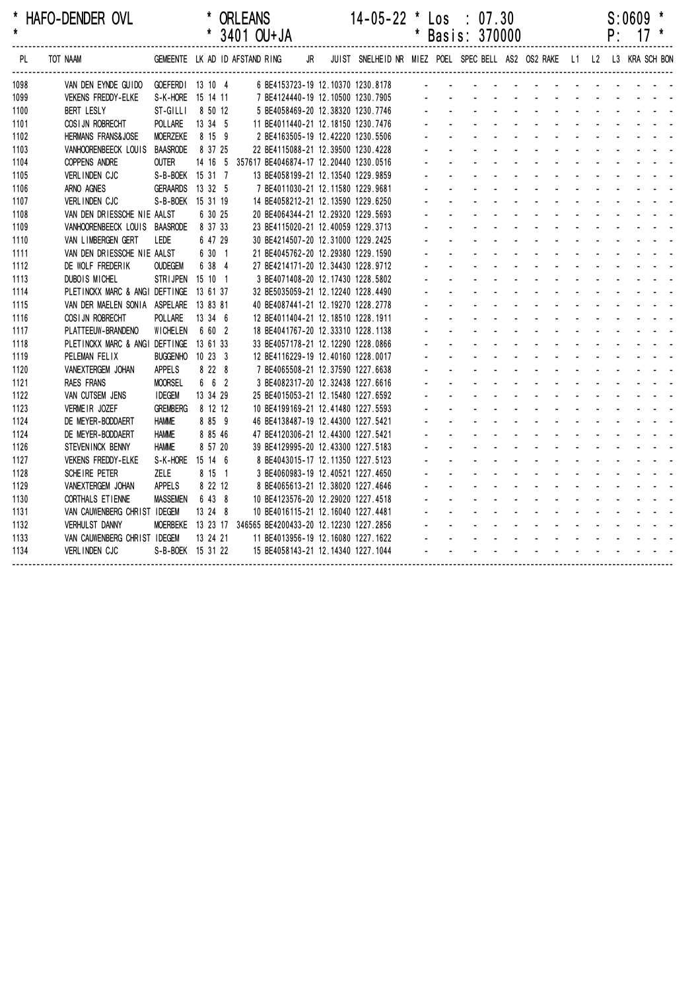| *<br>$\star$ | HAFO-DENDER OVL                |                                |          | <b>ORLEANS</b><br>* 3401 OU+JA |    |  | $14-05-22$ * Los : 07.30                                                | $^\star$ | Basis: 370000 |  |  |  | P: | S:0609 | $17 *$ |
|--------------|--------------------------------|--------------------------------|----------|--------------------------------|----|--|-------------------------------------------------------------------------|----------|---------------|--|--|--|----|--------|--------|
| PL           | TOT NAAM                       | GEMEENTE LK AD ID AFSTAND RING |          |                                | JR |  | JUIST SNELHEID NR MIEZ POEL SPEC BELL AS2 OS2 RAKE L1 L2 L3 KRA SCH BON |          |               |  |  |  |    |        |        |
| 1098         | VAN DEN EYNDE GUIDO            | GOEFERD1 13 10 4               |          |                                |    |  | 6 BE4153723-19 12.10370 1230.8178                                       |          |               |  |  |  |    |        |        |
| 1099         | <b>VEKENS FREDDY-ELKE</b>      | S-K-HORE 15 14 11              |          |                                |    |  | 7 BE4124440-19 12.10500 1230.7905                                       |          |               |  |  |  |    |        |        |
| 1100         | <b>BERT LESLY</b>              | ST-GILLI                       | 8 50 12  |                                |    |  | 5 BE4058469-20 12.38320 1230.7746                                       |          |               |  |  |  |    |        |        |
| 1101         | COSI JN ROBRECHT               | POLLARE                        | 13 34 5  |                                |    |  | 11 BE4011440-21 12.18150 1230.7476                                      |          |               |  |  |  |    |        |        |
| 1102         | <b>HERMANS FRANS&amp;JOSE</b>  | <b>MOERZEKE</b>                | 8 15 9   |                                |    |  | 2 BE4163505-19 12.42220 1230.5506                                       |          |               |  |  |  |    |        |        |
| 1103         | VANHOORENBEECK LOUIS           | BAASRODE                       | 8 37 25  |                                |    |  | 22 BE4115088-21 12.39500 1230.4228                                      |          |               |  |  |  |    |        |        |
| 1104         | <b>COPPENS ANDRE</b>           | <b>OUTER</b>                   |          |                                |    |  | 14 16 5 357617 BE4046874-17 12.20440 1230.0516                          |          |               |  |  |  |    |        |        |
| 1105         | VERLINDEN CJC                  | S-B-BOEK 15 31 7               |          |                                |    |  | 13 BE4058199-21 12.13540 1229.9859                                      |          |               |  |  |  |    |        |        |
| 1106         | ARNO AGNES                     | <b>GERAARDS</b>                | 13 32 5  |                                |    |  | 7 BE4011030-21 12.11580 1229.9681                                       |          |               |  |  |  |    |        |        |
| 1107         | <b>VERLINDEN CJC</b>           | S-B-BOEK 15 31 19              |          |                                |    |  | 14 BE4058212-21 12.13590 1229.6250                                      |          |               |  |  |  |    |        |        |
| 1108         | VAN DEN DRIESSCHE NIE AALST    |                                | 6 30 25  |                                |    |  | 20 BE4064344-21 12.29320 1229.5693                                      |          |               |  |  |  |    |        |        |
| 1109         | VANHOORENBEECK LOUIS BAASRODE  |                                | 8 37 33  |                                |    |  | 23 BE4115020-21 12.40059 1229.3713                                      |          |               |  |  |  |    |        |        |
| 1110         | VAN LIMBERGEN GERT             | LEDE                           | 6 47 29  |                                |    |  | 30 BE4214507-20 12.31000 1229.2425                                      |          |               |  |  |  |    |        |        |
| 1111         | VAN DEN DRIESSCHE NIE AALST    |                                | 6 30 1   |                                |    |  | 21 BE4045762-20 12.29380 1229.1590                                      |          |               |  |  |  |    |        |        |
| 1112         | DE WOLF FREDERIK               | <b>OUDEGEM</b>                 | 6 38 4   |                                |    |  | 27 BE4214171-20 12.34430 1228.9712                                      |          |               |  |  |  |    |        |        |
| 1113         | DUBOIS MICHEL                  | STRIJPEN 15 10 1               |          |                                |    |  | 3 BE4071408-20 12.17430 1228.5802                                       |          |               |  |  |  |    |        |        |
| 1114         | PLETINCKX MARC & ANGI DEFTINGE |                                | 13 61 37 |                                |    |  | 32 BE5035059-21 12.12240 1228.4490                                      |          |               |  |  |  |    |        |        |
| 1115         | VAN DER MAELEN SONIA ASPELARE  |                                | 13 83 81 |                                |    |  | 40 BE4087441-21 12.19270 1228.2778                                      |          |               |  |  |  |    |        |        |
| 1116         | COSI JN ROBRECHT               | POLLARE                        | 13 34 6  |                                |    |  | 12 BE4011404-21 12.18510 1228.1911                                      |          |               |  |  |  |    |        |        |
| 1117         | PLATTEEUW-BRANDENO             | <b>WICHELEN</b>                | 6 60 2   |                                |    |  | 18 BE4041767-20 12.33310 1228.1138                                      |          |               |  |  |  |    |        |        |
| 1118         | PLETINCKX MARC & ANGI DEFTINGE |                                | 13 61 33 |                                |    |  | 33 BE4057178-21 12.12290 1228.0866                                      |          |               |  |  |  |    |        |        |
| 1119         | PELEMAN FELIX                  | <b>BUGGENHO</b>                | 10233    |                                |    |  | 12 BE4116229-19 12.40160 1228.0017                                      |          |               |  |  |  |    |        |        |
| 1120         | VANEXTERGEM JOHAN              | <b>APPELS</b>                  | 8 2 2 8  |                                |    |  | 7 BE4065508-21 12.37590 1227.6638                                       |          |               |  |  |  |    |        |        |
| 1121         | <b>RAES FRANS</b>              | <b>MOORSEL</b>                 | 6 6 2    |                                |    |  | 3 BE4082317-20 12.32438 1227.6616                                       |          |               |  |  |  |    |        |        |
| 1122         | VAN CUTSEM JENS                | <b>IDEGEM</b>                  | 13 34 29 |                                |    |  | 25 BE4015053-21 12.15480 1227.6592                                      |          |               |  |  |  |    |        |        |
| 1123         | VERMEIR JOZEF                  | <b>GREMBERG</b>                | 8 12 12  |                                |    |  | 10 BE4199169-21 12.41480 1227.5593                                      |          |               |  |  |  |    |        |        |
| 1124         | DE MEYER-BODDAERT              | <b>HAMME</b>                   | 8 85 9   |                                |    |  | 46 BE4138487-19 12.44300 1227.5421                                      |          |               |  |  |  |    |        |        |
| 1124         | DE MEYER-BODDAERT              | <b>HAMME</b>                   | 8 85 46  |                                |    |  | 47 BE4120306-21 12.44300 1227.5421                                      |          |               |  |  |  |    |        |        |
| 1126         | STEVEN INCK BENNY              | <b>HAMME</b>                   | 8 57 20  |                                |    |  | 39 BE4129995-20 12.43300 1227.5183                                      |          |               |  |  |  |    |        |        |
| 1127         | <b>VEKENS FREDDY-ELKE</b>      | S-K-HORE 15 14 6               |          |                                |    |  | 8 BE4043015-17 12.11350 1227.5123                                       |          |               |  |  |  |    |        |        |
| 1128         | SCHEIRE PETER                  | <b>ZELE</b>                    | 8 15 1   |                                |    |  | 3 BE4060983-19 12.40521 1227.4650                                       |          |               |  |  |  |    |        |        |
| 1129         | VANEXTERGEM JOHAN              | <b>APPELS</b>                  | 8 22 12  |                                |    |  | 8 BE4065613-21 12.38020 1227.4646                                       |          |               |  |  |  |    |        |        |
| 1130         | CORTHALS ET IENNE              | <b>MASSEMEN</b>                | 6 43 8   |                                |    |  | 10 BE4123576-20 12.29020 1227.4518                                      |          |               |  |  |  |    |        |        |
| 1131         | VAN CAUWENBERG CHRIST IDEGEM   |                                | 13 24 8  |                                |    |  | 10 BE4016115-21 12.16040 1227.4481                                      |          |               |  |  |  |    |        |        |
| 1132         | <b>VERHULST DANNY</b>          | <b>MOERBEKE</b>                |          |                                |    |  | 13 23 17 346565 BE4200433-20 12.12230 1227.2856                         |          |               |  |  |  |    |        |        |
| 1133         | VAN CAUWENBERG CHRIST IDEGEM   |                                | 13 24 21 |                                |    |  | 11 BE4013956-19 12.16080 1227.1622                                      |          |               |  |  |  |    |        |        |
| 1134         | <b>VERLINDEN CJC</b>           | S-B-BOEK 15 31 22              |          |                                |    |  | 15 BE4058143-21 12.14340 1227.1044                                      |          |               |  |  |  |    |        |        |
|              |                                |                                |          |                                |    |  |                                                                         |          |               |  |  |  |    |        |        |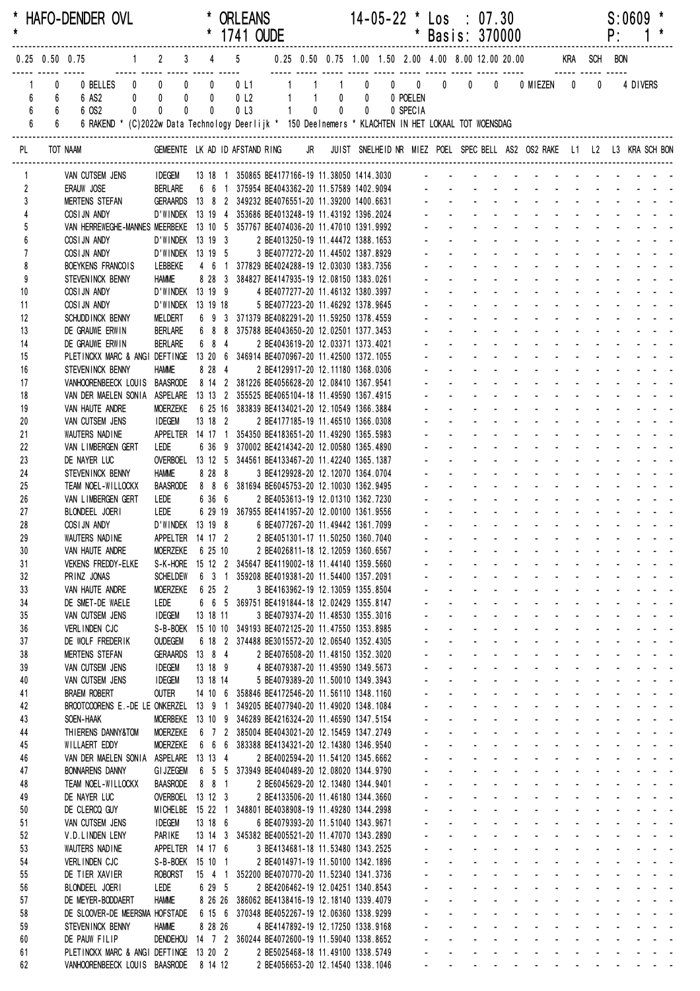| $\star$                          |                                                                                              | HAFO-DENDER OVL                                                                                                       |                                                                       |                |         | * ORLEANS                                                                                     |  |                                                                            |  | 14-05-22 * Los : 07.30 |                                             |                                          |                      | * Basis: 370000                                                                                                                                                                                                                                                                |                            | $S:0609$ *<br>$P: 1*$                    |  |
|----------------------------------|----------------------------------------------------------------------------------------------|-----------------------------------------------------------------------------------------------------------------------|-----------------------------------------------------------------------|----------------|---------|-----------------------------------------------------------------------------------------------|--|----------------------------------------------------------------------------|--|------------------------|---------------------------------------------|------------------------------------------|----------------------|--------------------------------------------------------------------------------------------------------------------------------------------------------------------------------------------------------------------------------------------------------------------------------|----------------------------|------------------------------------------|--|
|                                  |                                                                                              | 1 2 3 4 5 0.25 0.50 0.75 1.00 1.50 2.00 4.00 8.00 12.00 20.00 KRA SCH BON<br>$0.25$ 0.50 0.75                         |                                                                       |                |         |                                                                                               |  |                                                                            |  |                        |                                             |                                          |                      |                                                                                                                                                                                                                                                                                |                            |                                          |  |
| $6\phantom{a}$<br>$6\phantom{a}$ | <u>---- ----- -----</u><br>$\mathbf{0}$<br>$6\qquad 6$<br>$6\overline{6}$<br>$6\overline{6}$ | 6 AS2<br>6 OS2<br>6 RAKEND * (C)2022w Data Technology Deerlijk * 150 Deelnemers * KLACHTEN IN HET LOKAAL TOT WOENSDAG | $0$ 0<br>$0$ 0                                                        | $0$ 0<br>$0$ 0 |         | 0 <sub>l</sub><br>0 <sub>L3</sub>                                                             |  | 1 1 0 0 0 POELEN<br>$\begin{array}{ccccccccc}\n1 & 0 & 0 & 0\n\end{array}$ |  | 0 SPECIA               |                                             |                                          |                      |                                                                                                                                                                                                                                                                                | $\mathbf 0$                | 4 DIVERS                                 |  |
| PL                               |                                                                                              | TOT NAAM                                                                                                              |                                                                       |                |         |                                                                                               |  |                                                                            |  |                        |                                             |                                          |                      | GEMEENTE LK AD ID AFSTAND RING JR JUIST SNELHEID NR MIEZ POEL SPEC BELL AS2 OS2 RAKE L1 L2 L3 KRA SCH BON                                                                                                                                                                      |                            |                                          |  |
| $\mathbf{1}$                     |                                                                                              | VAN CUTSEM JENS                                                                                                       |                                                                       |                |         |                                                                                               |  |                                                                            |  |                        |                                             |                                          |                      | IDEGEM 13 18 1 350865 BE4177166-19 11.38050 1414.3030 - - - - - - - - - - - - - - - - -                                                                                                                                                                                        |                            |                                          |  |
| $\overline{2}$                   |                                                                                              | ERAUW JOSE                                                                                                            |                                                                       |                |         |                                                                                               |  |                                                                            |  |                        |                                             |                                          |                      | BERLARE 6 6 1 375954 BE4043362-20 11.57589 1402.9094 - - - - - - - - - - - - - - - - - -                                                                                                                                                                                       |                            |                                          |  |
| 3                                |                                                                                              | <b>MERTENS STEFAN</b>                                                                                                 |                                                                       |                |         |                                                                                               |  |                                                                            |  |                        |                                             |                                          |                      | GERAARDS 13 8 2 349232 BE4076551-20 11.39200 1400.6631 - - - - - - - - - - - - - - - - -<br>design and a state of the state of the                                                                                                                                             |                            |                                          |  |
| 5                                |                                                                                              | COSIJN ANDY<br>VAN HERREWEGHE-MANNES MEERBEKE 13 10 5 357767 BE4074036-20 11.47010 1391.9992                          | D'WINDEK 13 19 4 353686 BE4013248-19 11.43192 1396.2024               |                |         |                                                                                               |  |                                                                            |  |                        |                                             |                                          |                      | <u>.</u>                                                                                                                                                                                                                                                                       |                            |                                          |  |
| 6                                |                                                                                              | COSIJN ANDY                                                                                                           | D'WINDEK 13 19 3                                                      |                |         |                                                                                               |  | 2 BE4013250-19 11.44472 1388.1653                                          |  |                        | $\Delta \phi = \Delta \phi = 0.01$          |                                          |                      | design and a state of the state of the                                                                                                                                                                                                                                         |                            |                                          |  |
| $\overline{7}$                   |                                                                                              | COSIJN ANDY                                                                                                           | D'WINDEK 13 19 5                                                      |                |         |                                                                                               |  | 3 BE4077272-20 11.44502 1387.8929                                          |  |                        |                                             |                                          |                      | <u>.</u>                                                                                                                                                                                                                                                                       |                            |                                          |  |
| 8<br>9                           |                                                                                              | BOEYKENS FRANCOIS                                                                                                     | LEBBEKE<br><b>HAMME</b>                                               |                |         | 4 6 1 377829 BE4024288-19 12.03030 1383.7356<br>8 28 3 384827 BE4147935-19 12.08150 1383.0261 |  |                                                                            |  |                        |                                             |                                          |                      | and a straightful contract and a straight and                                                                                                                                                                                                                                  |                            |                                          |  |
| 10                               |                                                                                              | STEVENINCK BENNY<br>COSIJN ANDY                                                                                       | D'WINDEK 13 19 9                                                      |                |         |                                                                                               |  | 4 BE4077277-20 11.46132 1380.3997                                          |  |                        |                                             |                                          |                      | de la provincia de la provincia de la provincia de                                                                                                                                                                                                                             |                            |                                          |  |
| 11                               |                                                                                              | COSIJN ANDY                                                                                                           | D'WINDEK 13 19 18                                                     |                |         |                                                                                               |  | 5 BE4077223-20 11.46292 1378.9645                                          |  |                        |                                             |                                          |                      | <u>.</u>                                                                                                                                                                                                                                                                       |                            |                                          |  |
| 12                               |                                                                                              | SCHUDD INCK BENNY                                                                                                     | MELDERT                                                               |                |         | 6 9 3 371379 BE4082291-20 11.59250 1378.4559                                                  |  |                                                                            |  |                        |                                             |                                          |                      |                                                                                                                                                                                                                                                                                |                            |                                          |  |
| 13                               |                                                                                              | DE GRAUWE ERWIN                                                                                                       | <b>BERLARE</b>                                                        |                |         | 6 8 8 375788 BE4043650-20 12.02501 1377.3453                                                  |  |                                                                            |  |                        |                                             |                                          |                      | a construction of the construction of the construction of the construction of the construction of the construction of the construction of the construction of the construction of the construction of the construction of the                                                  |                            |                                          |  |
| 14<br>15                         |                                                                                              | DE GRAUWE ERWIN<br>PLETINCKX MARC & ANGI DEFTINGE 13 20 6 346914 BE4070967-20 11.42500 1372.1055                      | <b>BERLARE</b>                                                        |                | 6 8 4   |                                                                                               |  | 2 BE4043619-20 12.03371 1373.4021                                          |  |                        |                                             |                                          |                      |                                                                                                                                                                                                                                                                                |                            |                                          |  |
| 16                               |                                                                                              | STEVENINCK BENNY                                                                                                      | <b>HAMME</b>                                                          |                | 8 28 4  |                                                                                               |  | 2 BE4129917-20 12.11180 1368.0306                                          |  |                        |                                             |                                          |                      |                                                                                                                                                                                                                                                                                |                            |                                          |  |
| 17                               |                                                                                              | VANHOORENBEECK LOUIS BAASRODE 8 14 2 381226 BE4056628-20 12.08410 1367.9541                                           |                                                                       |                |         |                                                                                               |  |                                                                            |  |                        |                                             |                                          |                      | <u>.</u>                                                                                                                                                                                                                                                                       |                            |                                          |  |
| 18                               |                                                                                              | VAN DER MAELEN SONIA ASPELARE 13 13 2 355525 BE4065104-18 11.49590 1367.4915                                          |                                                                       |                |         |                                                                                               |  |                                                                            |  |                        |                                             | $\mathcal{L}^{\text{max}}$               |                      |                                                                                                                                                                                                                                                                                |                            | and a state of the state of the state of |  |
| 19<br>20                         |                                                                                              | VAN HAUTE ANDRE<br>VAN CUTSEM JENS                                                                                    | <b>MOERZEKE</b><br><b>IDEGEM</b>                                      | 13 18 2        |         | 6 25 16 383839 BE4134021-20 12.10549 1366.3884                                                |  | 2 BE4177185-19 11.46510 1366.0308                                          |  |                        |                                             |                                          |                      | and a strain and a strain and                                                                                                                                                                                                                                                  |                            | and a straight and a straight            |  |
| 21                               |                                                                                              | WAUTERS NADINE                                                                                                        | APPELTER 14 17 1 354350 BE4183651-20 11.49290 1365.5983               |                |         |                                                                                               |  |                                                                            |  |                        |                                             |                                          |                      |                                                                                                                                                                                                                                                                                |                            |                                          |  |
| 22                               |                                                                                              | VAN LIMBERGEN GERT                                                                                                    | LEDE                                                                  |                |         | 6 36 9 370002 BE4214342-20 12.00580 1365.4890                                                 |  |                                                                            |  |                        |                                             |                                          |                      | and a series of the contract of the                                                                                                                                                                                                                                            |                            |                                          |  |
| 23                               |                                                                                              | DE NAYER LUC                                                                                                          | OVERBOEL 13 12 5 344561 BE4133467-20 11.42240 1365.1387               |                |         |                                                                                               |  |                                                                            |  |                        |                                             | $\mathbf{L}$                             |                      | <u>.</u>                                                                                                                                                                                                                                                                       | $\mathcal{L}^{\text{max}}$ |                                          |  |
| 24<br>25                         |                                                                                              | STEVENINCK BENNY<br>TEAM NOEL-WILLOCKX                                                                                | <b>HAMME</b><br>BAASRODE 8 8 6 381694 BE6045753-20 12.10030 1362.9495 |                |         | 8 28 8                                                                                        |  | 3 BE4129928-20 12.12070 1364.0704                                          |  |                        |                                             |                                          | and a state of       | <u>.</u>                                                                                                                                                                                                                                                                       |                            |                                          |  |
| 26                               |                                                                                              | VAN LIMBERGEN GERT                                                                                                    | LEDE                                                                  |                | 6 36 6  |                                                                                               |  | 2 BE4053613-19 12.01310 1362.7230                                          |  |                        |                                             |                                          |                      | a construction of the construction of the construction of the construction of the construction of the construction of the construction of the construction of the construction of the construction of the construction of the                                                  |                            |                                          |  |
| 27                               |                                                                                              | BLONDEEL JOERI                                                                                                        | Lede                                                                  |                |         | 6 29 19 367955 BE4141957-20 12.00100 1361.9556                                                |  |                                                                            |  |                        |                                             |                                          |                      |                                                                                                                                                                                                                                                                                |                            |                                          |  |
| 28                               |                                                                                              | COSIJN ANDY                                                                                                           | D'WINDEK 13 19 8                                                      |                |         |                                                                                               |  | 6 BE4077267-20 11.49442 1361.7099                                          |  |                        |                                             |                                          |                      |                                                                                                                                                                                                                                                                                |                            |                                          |  |
| 29<br>30                         |                                                                                              | WAUTERS NADINE<br>VAN HAUTE ANDRE                                                                                     | APPELTER 14 17 2 2 BE4051301-17 11.50250 1360.7040<br>MOERZEKE        |                | 6 25 10 |                                                                                               |  | 2 BE4026811-18 12.12059 1360.6567                                          |  |                        |                                             |                                          |                      | a construction of the construction of the construction of the construction of the construction of the construction of the construction of the construction of the construction of the construction of the construction of the                                                  |                            |                                          |  |
| 31                               |                                                                                              | <b>VEKENS FREDDY-ELKE</b>                                                                                             |                                                                       |                |         | S-K-HORE 15 12 2 345647 BE4119002-18 11.44140 1359.5660                                       |  |                                                                            |  |                        |                                             |                                          |                      | de la provincia de la provincia de la partida                                                                                                                                                                                                                                  |                            |                                          |  |
| 32                               |                                                                                              | PRINZ JONAS                                                                                                           | <b>SCHELDEW</b>                                                       |                |         | 6 3 1 359208 BE4019381-20 11.54400 1357.2091                                                  |  |                                                                            |  |                        |                                             |                                          |                      | والمتعاون والمتعاون والمتعاون والمتعاون والمتعاون والمتعاون                                                                                                                                                                                                                    |                            |                                          |  |
| 33                               |                                                                                              | VAN HAUTE ANDRE                                                                                                       | <b>MOERZEKE</b>                                                       |                | 6 25 2  |                                                                                               |  | 3 BE4163962-19 12.13059 1355.8504                                          |  |                        |                                             |                                          |                      | and a series of the contract of the series of                                                                                                                                                                                                                                  |                            |                                          |  |
| 34<br>35                         |                                                                                              | DE SMET-DE WAELE<br>VAN CUTSEM JENS                                                                                   | LEDE<br><b>IDEGEM</b>                                                 | 13 18 11       |         | 6 6 5 369751 BE4191844-18 12.02429 1355.8147                                                  |  | 3 BE4079374-20 11.48530 1355.3016                                          |  |                        | $\Delta \sim 100$                           | $\Delta \sim 100$                        |                      | والمناور والمناور والمناور والمناور والمناور<br>design and a state of the state of the state of the state of the state of the state of the state of the state of the state of the state of the state of the state of the state of the state of the state of the state of the s |                            |                                          |  |
| 36                               |                                                                                              | VERLINDEN CJC                                                                                                         |                                                                       |                |         | S-B-BOEK 15 10 10 349193 BE4072125-20 11.47550 1353.8985                                      |  |                                                                            |  |                        | $\mathbf{L}^{\text{max}}$                   |                                          |                      | and a straightful and a straight and                                                                                                                                                                                                                                           |                            |                                          |  |
| 37                               |                                                                                              | DE WOLF FREDERIK                                                                                                      | <b>OUDEGEM</b>                                                        |                |         | 6 18 2 374488 BE3015572-20 12.06540 1352.4305                                                 |  |                                                                            |  |                        | $\omega_{\rm{max}}$                         |                                          |                      | and a strain and a strain and a strain a                                                                                                                                                                                                                                       |                            |                                          |  |
| 38                               |                                                                                              | <b>MERTENS STEFAN</b>                                                                                                 | GERAARDS 13 8 4                                                       |                |         |                                                                                               |  | 2 BE4076508-20 11.48150 1352.3020                                          |  |                        | $\omega_{\rm{max}}$                         |                                          |                      | والمستحيل والمستحيل والمستحيل والمستحدث والمستحدث                                                                                                                                                                                                                              |                            |                                          |  |
| 39                               |                                                                                              | VAN CUTSEM JENS                                                                                                       | <b>IDEGEM</b>                                                         | 13 18 9        |         |                                                                                               |  | 4 BE4079387-20 11.49590 1349.5673                                          |  |                        |                                             |                                          |                      | and a series of the contract of the series of<br>and a strain and a strain and a strain a                                                                                                                                                                                      |                            |                                          |  |
| 40<br>41                         |                                                                                              | VAN CUTSEM JENS<br><b>BRAEM ROBERT</b>                                                                                | <b>IDEGEM</b><br><b>OUTER</b>                                         | 13 18 14       |         | 14 10 6 358846 BE4172546-20 11.56110 1348.1160                                                |  | 5 BE4079389-20 11.50010 1349.3943                                          |  |                        |                                             | $\Delta \sim 100$                        |                      | design and a state of the state of the                                                                                                                                                                                                                                         |                            |                                          |  |
| 42                               |                                                                                              | BROOTCOORENS E.-DE LE ONKERZEL 13 9 1 349205 BE4077940-20 11.49020 1348.1084                                          |                                                                       |                |         |                                                                                               |  |                                                                            |  |                        | $\Delta \sim 100$                           |                                          |                      | and a strain and a strain and a strain a                                                                                                                                                                                                                                       |                            |                                          |  |
| 43                               |                                                                                              | SOEN-HAAK                                                                                                             |                                                                       |                |         | MOERBEKE 13 10 9 346289 BE4216324-20 11.46590 1347.5154                                       |  |                                                                            |  |                        | $\Delta \sim 100$                           |                                          |                      | and a series of the series of the series of                                                                                                                                                                                                                                    |                            |                                          |  |
| 44                               |                                                                                              | THIERENS DANNY&TOM                                                                                                    | MOERZEKE                                                              |                |         | 6 7 2 385004 BE4043021-20 12.15459 1347.2749                                                  |  |                                                                            |  |                        | $\mathbf{a} = \mathbf{a} \times \mathbf{b}$ |                                          |                      | and the contract of the contract of the contract of                                                                                                                                                                                                                            |                            |                                          |  |
| 45<br>46                         |                                                                                              | WILLAERT EDDY<br>VAN DER MAELEN SONIA ASPELARE 13 13 4                                                                | MOERZEKE                                                              |                |         | 6 6 6 383388 BE4134321-20 12.14380 1346.9540                                                  |  | 2 BE4002594-20 11.54120 1345.6662                                          |  |                        | $\mathbf{a} = \mathbf{a} \times \mathbf{b}$ |                                          |                      | and a series of the series of the series of<br>and a series of the contract of the series                                                                                                                                                                                      |                            |                                          |  |
| 47                               |                                                                                              | <b>BONNARENS DANNY</b>                                                                                                | <b>GI JZEGEM</b>                                                      |                |         | 6 5 5 373949 BE4040489-20 12.08020 1344.9790                                                  |  |                                                                            |  |                        | $\Delta \sim 100$                           | $\Delta \sim 100$                        |                      | design and a state of the state of the                                                                                                                                                                                                                                         |                            |                                          |  |
| 48                               |                                                                                              | TEAM NOEL-WILLOCKX                                                                                                    | <b>BAASRODE</b>                                                       |                | 8 8 1   |                                                                                               |  | 2 BE6045629-20 12.13480 1344.9401                                          |  |                        | $\Delta \sim 100$                           |                                          |                      | and a state of the state of the state of                                                                                                                                                                                                                                       |                            |                                          |  |
| 49                               |                                                                                              | DE NAYER LUC                                                                                                          | OVERBOEL 13 12 3                                                      |                |         |                                                                                               |  | 2 BE4133506-20 11.46180 1344.3660                                          |  |                        | $\omega_{\rm{max}}$                         |                                          |                      | a construction of the construction of the construction of the construction of the construction of the construction of the construction of the construction of the construction of the construction of the construction of the                                                  |                            |                                          |  |
| 50<br>51                         |                                                                                              | DE CLERCQ GUY<br>VAN CUTSEM JENS                                                                                      | <b>IDEGEM</b>                                                         | 13 18 6        |         | MICHELBE 15 22 1 348801 BE4038908-19 11.49280 1344.2998                                       |  | 6 BE4079393-20 11.51040 1343.9671                                          |  |                        | $\omega_{\rm{max}}$<br>$\sim$               | $\Delta \sim 100$<br>$\omega_{\rm{max}}$ | <b>Service</b> State | and a straightful contract and a<br>and a series of the contract of the series of                                                                                                                                                                                              |                            |                                          |  |
| 52                               |                                                                                              | V.D.LINDEN LENY                                                                                                       | PARIKE                                                                |                |         | 13 14 3 345382 BE4005521-20 11.47070 1343.2890                                                |  |                                                                            |  |                        |                                             | $\mathbf{L}^{\text{max}}$                |                      | and a series of the contract of the series                                                                                                                                                                                                                                     |                            |                                          |  |
| 53                               |                                                                                              | WAUTERS NADINE                                                                                                        | APPELTER 14 17 6                                                      |                |         |                                                                                               |  | 3 BE4134681-18 11.53480 1343.2525                                          |  |                        |                                             | $\Delta \sim 100$                        |                      | and a series of the series of the series of                                                                                                                                                                                                                                    |                            |                                          |  |
| 54                               |                                                                                              | VERLINDEN CJC                                                                                                         | S-B-BOEK 15 10 1                                                      |                |         |                                                                                               |  | 2 BE4014971-19 11.50100 1342.1896                                          |  |                        | $\mathbf{L}^{\text{max}}$                   | $\Delta \sim 100$                        |                      | and a state of the state of the state of                                                                                                                                                                                                                                       |                            |                                          |  |
| 55<br>56                         |                                                                                              | DE TIER XAVIER<br>BLONDEEL JOERI                                                                                      | <b>ROBORST</b><br>LEDE                                                |                |         | 15 4 1 352200 BE4070770-20 11.52340 1341.3736                                                 |  | 2 BE4206462-19 12.04251 1340.8543                                          |  |                        | $\Delta \sim 100$<br>$\Delta \sim 100$      |                                          |                      | and a straightful contract and a<br>and a series of the series of the series of the                                                                                                                                                                                            |                            | and a strain and a                       |  |
| 57                               |                                                                                              | DE MEYER-BODDAERT                                                                                                     | <b>HAMME</b>                                                          |                | 6 29 5  | 8 26 26 386062 BE4138416-19 12.18140 1339.4079                                                |  |                                                                            |  |                        | $\mathbf{a} = \mathbf{a} \times \mathbf{b}$ |                                          |                      | and a series of the contract of the series of                                                                                                                                                                                                                                  |                            |                                          |  |
| 58                               |                                                                                              | DE SLOOVER-DE MEERSMA HOFSTADE                                                                                        |                                                                       |                |         | 6 15 6 370348 BE4052267-19 12.06360 1338.9299                                                 |  |                                                                            |  |                        |                                             |                                          |                      | and a series of the series of the series of                                                                                                                                                                                                                                    |                            |                                          |  |
| 59                               |                                                                                              | STEVENINCK BENNY                                                                                                      | <b>HAMME</b>                                                          |                | 8 28 26 |                                                                                               |  | 4 BE4147892-19 12.17250 1338.9168                                          |  |                        | $\Delta \sim 100$                           |                                          |                      | and a series of the contract of the                                                                                                                                                                                                                                            |                            |                                          |  |
| 60                               |                                                                                              | DE PAUW FILIP                                                                                                         |                                                                       |                |         | DENDEHOU 14 7 2 360244 BE4072600-19 11.59040 1338.8652                                        |  |                                                                            |  |                        |                                             |                                          |                      | and a series of the contract of the series of<br>and a series of the contract of the series of                                                                                                                                                                                 |                            |                                          |  |
| 61<br>62                         |                                                                                              | PLETINCKX MARC & ANGI DEFTINGE 13 20 2<br>VANHOORENBEECK LOUIS BAASRODE 8 14 12 2 BE4056653-20 12.14540 1338.1046     |                                                                       |                |         |                                                                                               |  | 2 BE5025468-18 11.49100 1338.5749                                          |  |                        |                                             |                                          |                      | and a series of the series of the series of the                                                                                                                                                                                                                                |                            |                                          |  |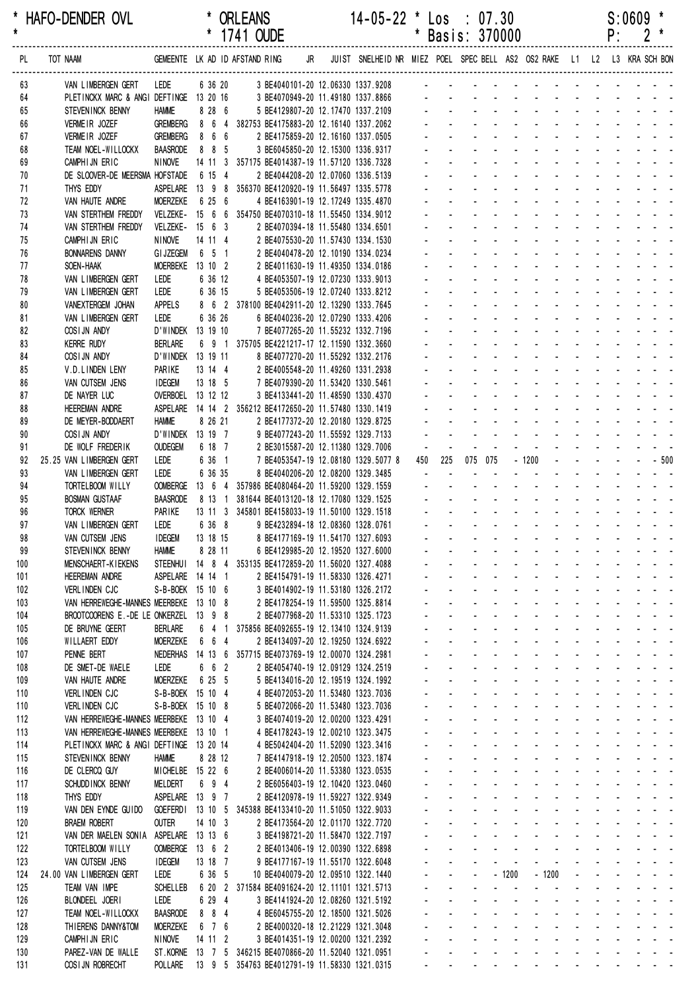| * HAFO-DENDER OVL | * ORLEANS           | $14 - 05 - 22$ * $\text{Los}$ : 07.30 | $S:0609$ * |
|-------------------|---------------------|---------------------------------------|------------|
|                   | $*$ 1741 $\cap$ IDE | $*$ Posis: 270000                     |            |

| PL         | TOT NAAM                                                    |                                     |                   | GEMEENTE LK AD ID AFSTAND RING                                                              | JR JUIST SNELHEID NR MIEZ POEL SPEC BELL AS2 OS2 RAKE L1 L2 L3 KRA SCH BON |                                  |                                                        |                                                  |                           |                                                                  |                                                                        |                                                |                            |                                               |                           |                          |                                                                                                                                                                                                                                |
|------------|-------------------------------------------------------------|-------------------------------------|-------------------|---------------------------------------------------------------------------------------------|----------------------------------------------------------------------------|----------------------------------|--------------------------------------------------------|--------------------------------------------------|---------------------------|------------------------------------------------------------------|------------------------------------------------------------------------|------------------------------------------------|----------------------------|-----------------------------------------------|---------------------------|--------------------------|--------------------------------------------------------------------------------------------------------------------------------------------------------------------------------------------------------------------------------|
| 63         | VAN LIMBERGEN GERT                                          | lede                                |                   |                                                                                             | 6 36 20 3 BE4040101-20 12.06330 1337.9208 -                                |                                  |                                                        |                                                  |                           |                                                                  |                                                                        |                                                |                            |                                               |                           |                          |                                                                                                                                                                                                                                |
| 64         | PLETINCKX MARC & ANGI DEFTINGE 13 20 16                     |                                     |                   | 3 BE4070949-20 11.49180 1337.8866                                                           |                                                                            |                                  |                                                        |                                                  |                           |                                                                  |                                                                        |                                                |                            |                                               |                           |                          |                                                                                                                                                                                                                                |
| 65         | STEVENINCK BENNY                                            | <b>HAMME</b>                        | 8 28 6            | 5 BE4129807-20 12.17470 1337.2109                                                           |                                                                            |                                  |                                                        |                                                  |                           |                                                                  |                                                                        |                                                |                            |                                               |                           |                          |                                                                                                                                                                                                                                |
| 66         | VERMEIR JOZEF                                               | <b>GREMBERG</b>                     |                   | 8 6 4 382753 BE4175883-20 12.16140 1337.2062                                                |                                                                            |                                  |                                                        |                                                  |                           |                                                                  |                                                                        |                                                |                            |                                               |                           |                          |                                                                                                                                                                                                                                |
| 67         | VERMEIR JOZEF                                               | <b>GREMBERG</b>                     | 8 6 6             | 2 BE4175859-20 12.16160 1337.0505<br>3 BE6045850-20 12.15300 1336.9317                      |                                                                            |                                  |                                                        |                                                  |                           |                                                                  |                                                                        |                                                |                            |                                               |                           |                          |                                                                                                                                                                                                                                |
| 68<br>69   | TEAM NOEL-WILLOCKX<br>CAMPHIJN ERIC                         | <b>BAASRODE</b><br>NINOVE           | 8 8 5             | 14 11 3 357175 BE4014387-19 11.57120 1336.7328                                              |                                                                            |                                  |                                                        |                                                  |                           |                                                                  |                                                                        |                                                |                            |                                               |                           |                          |                                                                                                                                                                                                                                |
| 70         | DE SLOOVER-DE MEERSMA HOFSTADE                              |                                     | 6 15 4            | 2 BE4044208-20 12.07060 1336.5139                                                           |                                                                            |                                  |                                                        |                                                  |                           |                                                                  |                                                                        |                                                |                            |                                               |                           |                          |                                                                                                                                                                                                                                |
| 71         | THYS EDDY                                                   |                                     |                   | ASPELARE  13  9  8  356370 BE4120920-19  11.56497  1335.5778                                |                                                                            |                                  |                                                        |                                                  |                           |                                                                  |                                                                        |                                                |                            |                                               |                           |                          |                                                                                                                                                                                                                                |
| 72         | VAN HAUTE ANDRE                                             | <b>MOERZEKE</b>                     | 6 25 6            | 4 BE4163901-19 12.17249 1335.4870                                                           |                                                                            |                                  |                                                        |                                                  |                           |                                                                  |                                                                        |                                                |                            |                                               |                           |                          |                                                                                                                                                                                                                                |
| 73         | VAN STERTHEM FREDDY                                         |                                     |                   | VELZEKE- 15 6 6 354750 BE4070310-18 11.55450 1334.9012                                      |                                                                            |                                  |                                                        |                                                  |                           |                                                                  |                                                                        |                                                |                            |                                               |                           |                          |                                                                                                                                                                                                                                |
| 74         | VAN STERTHEM FREDDY                                         | VELZEKE- 15 6 3                     |                   | 2 BE4070394-18 11.55480 1334.6501                                                           |                                                                            |                                  |                                                        |                                                  |                           |                                                                  |                                                                        |                                                |                            |                                               |                           |                          |                                                                                                                                                                                                                                |
| 75<br>76   | CAMPHIJN ERIC<br><b>BONNARENS DANNY</b>                     | NINOVE<br><b>GI JZEGEM</b>          | 14 11 4<br>6 5 1  | 2 BE4075530-20 11.57430 1334.1530<br>2 BE4040478-20 12.10190 1334.0234                      |                                                                            |                                  |                                                        |                                                  |                           |                                                                  |                                                                        |                                                |                            |                                               |                           |                          |                                                                                                                                                                                                                                |
| 77         | SOEN-HAAK                                                   | <b>MOERBEKE</b>                     | 13 10 2           | 2 BE4011630-19 11.49350 1334.0186                                                           |                                                                            |                                  |                                                        |                                                  |                           |                                                                  |                                                                        |                                                |                            |                                               |                           |                          |                                                                                                                                                                                                                                |
| 78         | VAN LIMBERGEN GERT                                          | LEDE                                | 6 36 12           | 4 BE4053507-19 12.07230 1333.9013                                                           |                                                                            |                                  |                                                        |                                                  |                           |                                                                  |                                                                        |                                                |                            |                                               |                           |                          |                                                                                                                                                                                                                                |
| 79         | VAN LIMBERGEN GERT                                          | LEDE                                | 6 36 15           | 5 BE4053506-19 12.07240 1333.8212                                                           |                                                                            |                                  |                                                        |                                                  |                           |                                                                  |                                                                        |                                                |                            |                                               |                           |                          |                                                                                                                                                                                                                                |
| 80         | VANEXTERGEM JOHAN                                           | <b>APPELS</b>                       |                   | 8 6 2 378100 BE4042911-20 12.13290 1333.7645                                                |                                                                            |                                  |                                                        |                                                  |                           |                                                                  |                                                                        |                                                |                            |                                               |                           |                          |                                                                                                                                                                                                                                |
| 81         | VAN LIMBERGEN GERT                                          | LEDE                                | 6 36 26           | 6 BE4040236-20 12.07290 1333.4206                                                           |                                                                            |                                  |                                                        |                                                  |                           |                                                                  |                                                                        |                                                |                            |                                               |                           |                          |                                                                                                                                                                                                                                |
| 82         | COSIJN ANDY                                                 | D'WINDEK 13 19 10                   |                   | 7 BE4077265-20 11.55232 1332.7196                                                           |                                                                            |                                  |                                                        |                                                  |                           |                                                                  |                                                                        |                                                |                            |                                               |                           |                          |                                                                                                                                                                                                                                |
| 83<br>84   | <b>KERRE RUDY</b>                                           | <b>BERLARE</b><br>D'WINDEK 13 19 11 |                   | 6 9 1 375705 BE4221217-17 12.11590 1332.3660<br>8 BE4077270-20 11.55292 1332.2176           |                                                                            |                                  |                                                        |                                                  |                           |                                                                  |                                                                        |                                                |                            |                                               |                           |                          |                                                                                                                                                                                                                                |
| 85         | COSI JN ANDY<br>V.D.LINDEN LENY                             | PARIKE                              | 13 14 4           | 2 BE4005548-20 11.49260 1331.2938                                                           |                                                                            |                                  |                                                        |                                                  |                           |                                                                  |                                                                        |                                                |                            |                                               |                           |                          |                                                                                                                                                                                                                                |
| 86         | VAN CUTSEM JENS                                             | <b>IDEGEM</b>                       | 13 18 5           | 7 BE4079390-20 11.53420 1330.5461                                                           |                                                                            |                                  |                                                        |                                                  |                           |                                                                  |                                                                        |                                                |                            |                                               |                           |                          |                                                                                                                                                                                                                                |
| 87         | DE NAYER LUC                                                | OVERBOEL 13 12 12                   |                   | 3 BE4133441-20 11.48590 1330.4370                                                           |                                                                            |                                  |                                                        |                                                  |                           |                                                                  |                                                                        |                                                |                            |                                               |                           |                          |                                                                                                                                                                                                                                |
| 88         | <b>HEEREMAN ANDRE</b>                                       |                                     |                   | ASPELARE  14  14  2  356212  BE4172650-20  11.57480  1330.1419                              |                                                                            |                                  |                                                        |                                                  |                           |                                                                  |                                                                        |                                                |                            |                                               |                           |                          |                                                                                                                                                                                                                                |
| 89         | DE MEYER-BODDAERT                                           | <b>HAMME</b>                        | 8 26 21           | 2 BE4177372-20 12.20180 1329.8725                                                           |                                                                            |                                  |                                                        |                                                  |                           |                                                                  |                                                                        |                                                |                            |                                               |                           |                          |                                                                                                                                                                                                                                |
| 90         | COSIJN ANDY                                                 | D'WINDEK 13 19 7                    |                   | 9 BE4077243-20 11.55592 1329.7133                                                           |                                                                            |                                  |                                                        |                                                  |                           |                                                                  |                                                                        |                                                |                            |                                               |                           |                          |                                                                                                                                                                                                                                |
| 91         | DE WOLF FREDERIK                                            | <b>OUDEGEM</b>                      | 6 18 7            | 2 BE3015587-20 12.11380 1329.7006                                                           |                                                                            | $\omega$                         | 225                                                    |                                                  |                           |                                                                  |                                                                        |                                                |                            |                                               |                           |                          |                                                                                                                                                                                                                                |
| 92<br>93   | 25.25 VAN LIMBERGEN GERT<br>VAN LIMBERGEN GERT              | LEDE<br>LEDE                        | 6 36 1<br>6 36 35 | 7 BE4053547-19 12.08180 1329.5077 8<br>8 BE4040206-20 12.08200 1329.3485                    |                                                                            | 450<br>$\sim$                    |                                                        | 075 075                                          |                           |                                                                  | $-1200$                                                                |                                                |                            |                                               |                           |                          | $- - 500$                                                                                                                                                                                                                      |
| 94         | TORTELBOOM WILLY                                            | <b>OOMBERGE</b>                     |                   | 13 6 4 357986 BE4080464-20 11.59200 1329.1559                                               |                                                                            |                                  |                                                        |                                                  |                           |                                                                  |                                                                        |                                                |                            |                                               |                           |                          |                                                                                                                                                                                                                                |
| 95         | <b>BOSMAN GUSTAAF</b>                                       | <b>BAASRODE</b>                     |                   | 8 13 1 381644 BE4013120-18 12.17080 1329.1525                                               |                                                                            |                                  |                                                        |                                                  |                           |                                                                  |                                                                        |                                                |                            |                                               | and the state             |                          |                                                                                                                                                                                                                                |
| 96         | TORCK WERNER                                                | PARIKE                              |                   | 13 11 3 345801 BE4158033-19 11.50100 1329.1518                                              |                                                                            |                                  |                                                        |                                                  |                           |                                                                  |                                                                        |                                                |                            | and the contract of the con-                  |                           |                          |                                                                                                                                                                                                                                |
| 97         | VAN LIMBERGEN GERT                                          | LEDE                                | 6 36 8            | 9 BE4232894-18 12.08360 1328.0761                                                           |                                                                            |                                  |                                                        |                                                  |                           |                                                                  |                                                                        |                                                |                            |                                               |                           |                          |                                                                                                                                                                                                                                |
| 98         | VAN CUTSEM JENS                                             | <b>IDEGEM</b>                       | 13 18 15          | 8 BE4177169-19 11.54170 1327.6093                                                           |                                                                            |                                  |                                                        |                                                  |                           |                                                                  |                                                                        |                                                |                            |                                               |                           |                          |                                                                                                                                                                                                                                |
| 99         | STEVEN INCK BENNY                                           | <b>HAMME</b>                        | 8 28 11           | 6 BE4129985-20 12.19520 1327.6000<br>353135 BE4172859-20 11.56020 1327.4088                 |                                                                            |                                  |                                                        |                                                  |                           |                                                                  |                                                                        |                                                | and the state of the state |                                               |                           |                          |                                                                                                                                                                                                                                |
| 100<br>101 | <b>MENSCHAERT-KIEKENS</b><br><b>HEEREMAN ANDRE</b>          | STEENHUI 14 8 4<br>ASPELARE 14 14 1 |                   | 2 BE4154791-19 11.58330 1326.4271                                                           |                                                                            |                                  |                                                        |                                                  |                           | $\mathbf{u} = \mathbf{u} + \mathbf{u} + \mathbf{u} + \mathbf{u}$ | and the state of the state                                             |                                                |                            |                                               |                           |                          | the company of the company of                                                                                                                                                                                                  |
| 102        | VERLINDEN CJC                                               | S-B-BOEK 15 10 6                    |                   | 3 BE4014902-19 11.53180 1326.2172                                                           |                                                                            |                                  |                                                        |                                                  | $\sim$                    |                                                                  | $\Delta\phi=0.01$                                                      | <b>Contract</b>                                |                            |                                               |                           |                          | $\mathbf{r}$ , and $\mathbf{r}$ , and $\mathbf{r}$                                                                                                                                                                             |
| 103        | VAN HERREWEGHE-MANNES MEERBEKE 13 10 8                      |                                     |                   | 2 BE4178254-19 11.59500 1325.8814                                                           |                                                                            | $\omega$                         | $\sim$                                                 | ä,                                               |                           |                                                                  | and a straight                                                         |                                                |                            |                                               |                           |                          | and a straight and a straight                                                                                                                                                                                                  |
| 104        | BROOTCOORENS E.-DE LE ONKERZEL 13 9 8                       |                                     |                   | 2 BE4077968-20 11.53310 1325.1723                                                           |                                                                            | $\mathbf{r}$                     | $\mathcal{L}^{\pm}$                                    | $\mathcal{L}^{\text{max}}$                       | $\mathbf{L}^{\text{max}}$ |                                                                  | $\Delta \sim 100$                                                      | and a state                                    | $\mathcal{L}^{\text{max}}$ |                                               | $\mathbf{u} = \mathbf{u}$ |                          |                                                                                                                                                                                                                                |
| 105        | DE BRUYNE GEERT                                             | <b>BERLARE</b>                      | 6 4 1             | 375856 BE4092655-19 12.13410 1324.9139                                                      |                                                                            |                                  | $\sim$                                                 | $\blacksquare$                                   | $\sim$                    |                                                                  | $\sim 100$                                                             | $\sim 100$                                     | $\mathbf{r}$               |                                               |                           |                          |                                                                                                                                                                                                                                |
| 106        | WILLAERT EDDY                                               | <b>MOERZEKE</b>                     | 6 6 4             | 2 BE4134097-20 12.19250 1324.6922                                                           |                                                                            |                                  |                                                        |                                                  |                           |                                                                  |                                                                        |                                                |                            |                                               |                           |                          | and a strain and a                                                                                                                                                                                                             |
| 107<br>108 | PENNE BERT<br>DE SMET-DE WAELE                              | NEDERHAS 14 13 6<br>LEDE            | 6 6 2             | 357715 BE4073769-19 12.00070 1324.2981<br>2 BE4054740-19 12.09129 1324.2519                 |                                                                            |                                  | $\sim$                                                 | $\blacksquare$<br>$\mathbf{r}$                   |                           | $\mathcal{L}^{\text{max}}$                                       | $\mathcal{L}$<br>$\omega_{\rm{max}}$                                   | $\mathbf{r}$                                   | $\mathbf{r}$               |                                               |                           |                          | in the contract of the contract of the contract of the contract of the contract of the contract of the contract of the contract of the contract of the contract of the contract of the contract of the contract of the contrac |
| 109        | VAN HAUTE ANDRE                                             | <b>MOERZEKE</b>                     | 6 25 5            | 5 BE4134016-20 12.19519 1324.1992                                                           |                                                                            | ä,                               | $\mathcal{L}^{\pm}$                                    | ÷.                                               | <b>Contract Contract</b>  |                                                                  | $\Delta\phi=0.01$                                                      | $\Delta \sim 10^{-1}$                          |                            |                                               |                           |                          | and a strain and a                                                                                                                                                                                                             |
| 110        | VERLINDEN CJC                                               | S-B-BOEK 15 10 4                    |                   | 4 BE4072053-20 11.53480 1323.7036                                                           |                                                                            | $\blacksquare$                   | $\mathcal{L}^{\pm}$                                    | $\mathbf{L}^{\text{max}}$                        | $\mathbf{L}^{\text{max}}$ | $\omega_{\rm{max}}$                                              | $\omega_{\rm{max}}$                                                    | $\Delta \sim 10^{-11}$                         |                            |                                               |                           |                          | and a straightful and a                                                                                                                                                                                                        |
| 110        | VERLINDEN CJC                                               | S-B-BOEK 15 10 8                    |                   | 5 BE4072066-20 11.53480 1323.7036                                                           |                                                                            | $\blacksquare$                   | $\blacksquare$                                         | $\sim 100$                                       | $\sim$                    | $\mathcal{L}^{\pm}$                                              |                                                                        | $\sim$                                         | $\sim 100$                 |                                               |                           |                          | and a strain and a                                                                                                                                                                                                             |
| 112        | VAN HERREWEGHE-MANNES MEERBEKE 13 10 4                      |                                     |                   | 3 BE4074019-20 12.00200 1323.4291                                                           |                                                                            |                                  | $\blacksquare$                                         |                                                  |                           | $\blacksquare$                                                   |                                                                        |                                                |                            |                                               |                           |                          | and a strain and a                                                                                                                                                                                                             |
| 113        | VAN HERREWEGHE-MANNES MEERBEKE 13 10 1                      |                                     |                   | 4 BE4178243-19 12.00210 1323.3475                                                           |                                                                            |                                  |                                                        |                                                  |                           | $\mathcal{L}^{\pm}$                                              |                                                                        |                                                |                            |                                               |                           |                          | and a strain and a                                                                                                                                                                                                             |
| 114<br>115 | PLETINCKX MARC & ANGI DEFTINGE 13 20 14<br>STEVENINCK BENNY | <b>HAMME</b>                        | 8 28 12           | 4 BE5042404-20 11.52090 1323.3416                                                           |                                                                            | $\blacksquare$<br>ä,             | $\mathbf{r}$                                           | ä,                                               |                           | $\mathbf{z} = \mathbf{z}$                                        | $\mathcal{L}^{\mathcal{A}}$<br>$\mathbf{z}$ and $\mathbf{z}$<br>$\sim$ | $\mathbf{u}$                                   | $\mathbf{r}$               | <b>Contract Contract</b><br><b>Contractor</b> |                           |                          | $\mathbf{L}^{\text{max}} = \mathbf{L}^{\text{max}} = \mathbf{L}^{\text{max}}$                                                                                                                                                  |
| 116        | DE CLERCQ GUY                                               | MICHELBE 15 22 6                    |                   | 7 BE4147918-19 12.20500 1323.1874<br>2 BE4006014-20 11.53380 1323.0535                      |                                                                            | $\blacksquare$                   | $\mathcal{L}^{\pm}$                                    | $\mathbf{r}$                                     |                           | $\omega_{\rm{max}}$                                              | $\mathbf{u} = \mathbf{u}$                                              | $\sim 100$                                     | $\omega_{\rm{max}}$        |                                               | $\mathbf{L}^{\text{max}}$ |                          |                                                                                                                                                                                                                                |
| 117        | SCHUDD INCK BENNY                                           | MELDERT                             | 6 9 4             | 2 BE6056403-19 12.10420 1323.0460                                                           |                                                                            | $\blacksquare$                   | $\sim$                                                 | $\sim 100$                                       | $\sim$                    | $\sim 10$                                                        | $\mathbf{r}$                                                           | $\sim$                                         | $\sim 100$                 |                                               |                           |                          |                                                                                                                                                                                                                                |
| 118        | THYS EDDY                                                   | ASPELARE 13 9 7                     |                   | 2 BE4120978-19 11.59227 1322.9349                                                           |                                                                            |                                  | $\blacksquare$                                         |                                                  |                           |                                                                  |                                                                        |                                                | $\mathbf{r}$               |                                               |                           |                          |                                                                                                                                                                                                                                |
| 119        | VAN DEN EYNDE GUIDO                                         |                                     |                   | GOEFERD1 13 10 5 345388 BE4133410-20 11.51050 1322.9033                                     |                                                                            |                                  |                                                        |                                                  |                           | $\blacksquare$                                                   |                                                                        |                                                |                            |                                               |                           |                          | the company of the company of                                                                                                                                                                                                  |
| 120        | <b>BRAEM ROBERT</b>                                         | <b>OUTER</b>                        | 14 10 3           | 2 BE4173564-20 12.01170 1322.7720                                                           |                                                                            |                                  |                                                        |                                                  |                           | $\sim$                                                           | $\mathbf{r}$                                                           |                                                |                            |                                               |                           |                          | and a straight and a                                                                                                                                                                                                           |
| 121        | VAN DER MAELEN SONIA ASPELARE 13 13 6                       |                                     |                   | 3 BE4198721-20 11.58470 1322.7197                                                           |                                                                            | $\blacksquare$                   | $\mathbf{r}$                                           | ä,                                               |                           |                                                                  | $\omega_{\rm{max}}$<br>$\mathcal{L}^{\mathcal{A}}$                     | $\sim$                                         |                            |                                               |                           |                          | and a straight and a                                                                                                                                                                                                           |
| 122<br>123 | TORTELBOOM WILLY<br>VAN CUTSEM JENS                         | OOMBERGE 13 6 2<br><b>IDEGEM</b>    | 13 18 7           | 2 BE4013406-19 12.00390 1322.6898<br>9 BE4177167-19 11.55170 1322.6048                      |                                                                            | $\blacksquare$<br>$\blacksquare$ | $\sim$<br>$\blacksquare$                               | $\omega_{\rm{max}}$<br>$\blacksquare$            |                           | $\omega_{\rm{max}}$<br>$\blacksquare$                            | $\omega_{\rm{max}}$<br>$\mathbf{r}$                                    | $\Delta \sim 10^4$<br>$\sim$                   | $\blacksquare$             |                                               |                           |                          | and a straightful and a<br>and a straight and                                                                                                                                                                                  |
| 124        | 24.00 VAN LIMBERGEN GERT                                    | LEDE                                | 6 36 5            | 10 BE4040079-20 12.09510 1322.1440                                                          |                                                                            |                                  | ä,                                                     | ÷.                                               |                           | $-1200$                                                          |                                                                        | $-1200$                                        | ä,                         | $\Delta \sim 100$                             |                           |                          | $\omega_{\rm{eff}}=2.0\pm0.00$ km $^{-1}$ and                                                                                                                                                                                  |
| 125        | TEAM VAN IMPE                                               | <b>SCHELLEB</b>                     |                   | 6 20 2 371584 BE4091624-20 12.11101 1321.5713                                               |                                                                            |                                  |                                                        |                                                  |                           | $\blacksquare$                                                   |                                                                        |                                                |                            |                                               |                           | <b>Contract Contract</b> |                                                                                                                                                                                                                                |
| 126        | BLONDEEL JOERI                                              | LEDE                                | 6 29 4            | 3 BE4141924-20 12.08260 1321.5192                                                           |                                                                            | $\blacksquare$                   |                                                        |                                                  |                           | $\sim$                                                           | $\sim$                                                                 |                                                |                            | $\mathbf{r}$                                  |                           |                          | $\begin{array}{cccccccccccccc} \bullet & \bullet & \bullet & \bullet & \bullet & \bullet & \bullet \end{array}$                                                                                                                |
| 127        | TEAM NOEL-WILLOCKX                                          | <b>BAASRODE</b>                     | 8 8 4             | 4 BE6045755-20 12.18500 1321.5026                                                           |                                                                            | ä,                               | $\mathbf{r}$                                           | $\omega$                                         | $\sim$                    |                                                                  | $\mathbf{z}$ and $\mathbf{z}$<br>$\sim$                                | $\mathbf{u}$                                   | $\blacksquare$             |                                               |                           |                          |                                                                                                                                                                                                                                |
| 128        | THIERENS DANNY&TOM                                          | <b>MOERZEKE</b>                     | 6 7 6             | 2 BE4000320-18 12.21229 1321.3048                                                           |                                                                            |                                  | $\omega_{\rm{max}}$                                    | $\sim 100$<br>$\omega_{\rm{max}}$                | $\mathbf{r} = \mathbf{r}$ | $\omega_{\rm{max}}$                                              | $\Delta \sim 100$                                                      | $\sim 100$                                     | $\blacksquare$             |                                               | $\mathbf{z} = \mathbf{z}$ |                          |                                                                                                                                                                                                                                |
| 129<br>130 | CAMPHIJN ERIC<br>PAREZ-VAN DE WALLE                         | <b>NINOVE</b>                       | 14 11 2           | 3 BE4014351-19 12.00200 1321.2392<br>ST.KORNE 13 7 5 346215 BE4070866-20 11.52040 1321.0951 |                                                                            |                                  | $\mathbf{a} = \mathbf{a}$<br>$\mathbf{a} = \mathbf{a}$ | $\sim 100$                                       | <b>All States</b>         | $\sim 100$                                                       |                                                                        | $\Delta\phi$ and $\Delta\phi$ and $\Delta\phi$ | $\blacksquare$             |                                               |                           |                          |                                                                                                                                                                                                                                |
| 131        | COSIJN ROBRECHT                                             |                                     |                   | POLLARE 13 9 5 354763 BE4012791-19 11.58330 1321.0315                                       |                                                                            |                                  |                                                        | and a series of the contract and a series of the |                           |                                                                  |                                                                        |                                                |                            |                                               |                           |                          |                                                                                                                                                                                                                                |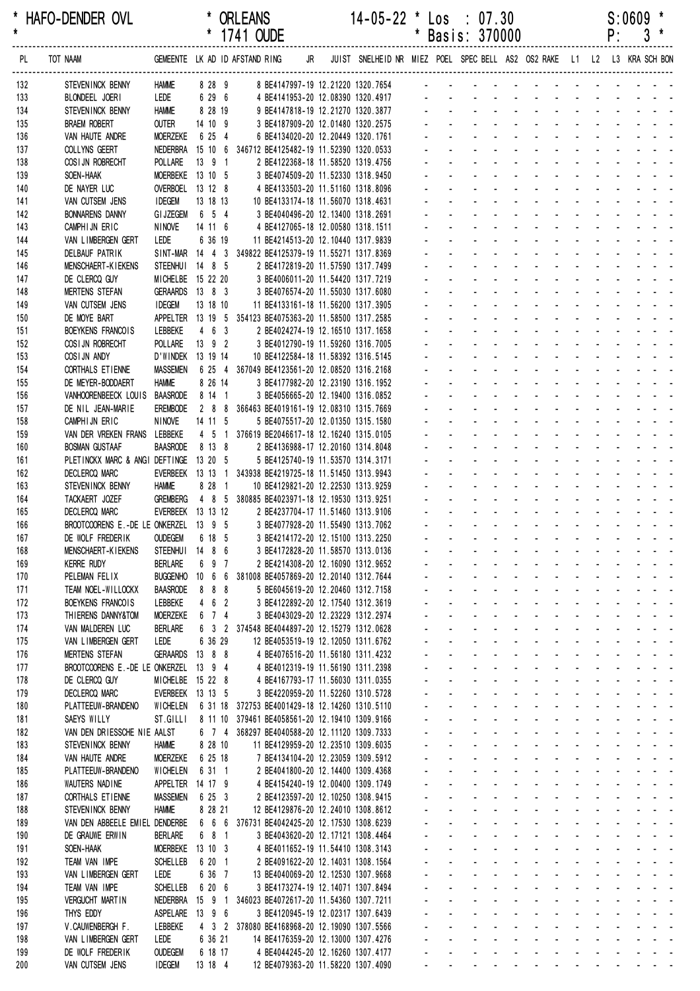| * HAFO-DENDER OVL | <b>ORLEANS</b> | 14-05-22 * Los<br>07.30   | S:0609 |
|-------------------|----------------|---------------------------|--------|
|                   | 1741 AINE      | <b>ARANTC</b><br>* Dooiou | n.     |

|            |                                                                |                                 |                     | 1/41 OUDE |                                                                                             |  |                                                                            |                |                                   | Basis: 3/0000                                   |                                         |                                                             |                                        |                             |                                                 | ۲:                       | J                                                                |
|------------|----------------------------------------------------------------|---------------------------------|---------------------|-----------|---------------------------------------------------------------------------------------------|--|----------------------------------------------------------------------------|----------------|-----------------------------------|-------------------------------------------------|-----------------------------------------|-------------------------------------------------------------|----------------------------------------|-----------------------------|-------------------------------------------------|--------------------------|------------------------------------------------------------------|
| PL         | TOT NAAM                                                       | GEMEENTE LK AD ID AFSTAND RING  |                     |           |                                                                                             |  | JR JUIST SNELHEID NR MIEZ POEL SPEC BELL AS2 OS2 RAKE L1 L2 L3 KRA SCH BON |                |                                   |                                                 |                                         |                                                             |                                        |                             |                                                 |                          |                                                                  |
| 132        | STEVENINCK BENNY                                               | <b>HAMME</b>                    |                     |           |                                                                                             |  | 8 28 9 8 BE4147997-19 12.21220 1320.7654 -                                 |                |                                   |                                                 |                                         |                                                             |                                        |                             |                                                 |                          |                                                                  |
| 133        | BLONDEEL JOERI                                                 | LEDE                            | 6 29 6              |           | 4 BE4141953-20 12.08390 1320.4917                                                           |  |                                                                            |                |                                   |                                                 |                                         |                                                             |                                        |                             |                                                 |                          |                                                                  |
| 134        | STEVENINCK BENNY                                               | <b>HAMME</b>                    | 8 28 19             |           | 9 BE4147818-19 12.21270 1320.3877                                                           |  |                                                                            |                |                                   |                                                 |                                         |                                                             |                                        |                             |                                                 |                          |                                                                  |
| 135        | <b>BRAEM ROBERT</b>                                            | <b>OUTER</b>                    | 14 10 9             |           | 3 BE4187909-20 12.01480 1320.2575                                                           |  |                                                                            |                |                                   |                                                 |                                         |                                                             |                                        |                             |                                                 |                          |                                                                  |
| 136        | VAN HAUTE ANDRE                                                | <b>MOERZEKE</b>                 | 6 25 4              |           | 6 BE4134020-20 12.20449 1320.1761                                                           |  |                                                                            |                |                                   |                                                 |                                         |                                                             |                                        |                             |                                                 |                          |                                                                  |
| 137        | COLLYNS GEERT<br>COSI JN ROBRECHT                              | NEDERBRA<br>POLLARE             | $13 \t9 \t1$        |           | 15 10 6 346712 BE4125482-19 11.52390 1320.0533<br>2 BE4122368-18 11.58520 1319.4756         |  |                                                                            |                |                                   |                                                 |                                         |                                                             |                                        |                             |                                                 |                          |                                                                  |
| 138<br>139 | SOEN-HAAK                                                      | MOERBEKE 13 10 5                |                     |           | 3 BE4074509-20 11.52330 1318.9450                                                           |  |                                                                            |                |                                   |                                                 |                                         |                                                             |                                        |                             |                                                 |                          |                                                                  |
| 140        | DE NAYER LUC                                                   | OVERBOEL 13 12 8                |                     |           | 4 BE4133503-20 11.51160 1318.8096                                                           |  |                                                                            |                |                                   |                                                 |                                         |                                                             |                                        |                             |                                                 |                          |                                                                  |
| 141        | VAN CUTSEM JENS                                                | <b>IDEGEM</b>                   | 13 18 13            |           | 10 BE4133174-18 11.56070 1318.4631                                                          |  |                                                                            |                |                                   |                                                 |                                         |                                                             |                                        |                             |                                                 |                          |                                                                  |
| 142        | <b>BONNARENS DANNY</b>                                         | <b>GI JZEGEM</b>                | 6 5 4               |           | 3 BE4040496-20 12.13400 1318.2691                                                           |  |                                                                            |                |                                   |                                                 |                                         |                                                             |                                        |                             |                                                 |                          |                                                                  |
| 143        | CAMPHIJN ERIC                                                  | NINOVE                          | 14 11 6             |           | 4 BE4127065-18 12.00580 1318.1511                                                           |  |                                                                            |                |                                   |                                                 |                                         |                                                             |                                        |                             |                                                 |                          |                                                                  |
| 144        | VAN LIMBERGEN GERT                                             | LEDE                            | 6 36 19             |           | 11 BE4214513-20 12.10440 1317.9839                                                          |  |                                                                            |                |                                   |                                                 |                                         |                                                             |                                        |                             |                                                 |                          |                                                                  |
| 145<br>146 | DELBAUF PATRIK<br>MENSCHAERT-KIEKENS                           | STEENHUI 14 8 5                 |                     |           | SINT-MAR 14 4 3 349822 BE4125379-19 11.55271 1317.8369<br>2 BE4172819-20 11.57590 1317.7499 |  |                                                                            |                |                                   |                                                 |                                         |                                                             |                                        |                             |                                                 |                          |                                                                  |
| 147        | DE CLERCQ GUY                                                  | MICHELBE 15 22 20               |                     |           | 3 BE4006011-20 11.54420 1317.7219                                                           |  |                                                                            |                |                                   |                                                 |                                         |                                                             |                                        |                             |                                                 |                          |                                                                  |
| 148        | <b>MERTENS STEFAN</b>                                          | GERAARDS 13 8 3                 |                     |           | 3 BE4076574-20 11.55030 1317.6080                                                           |  |                                                                            |                |                                   |                                                 |                                         |                                                             |                                        |                             |                                                 |                          |                                                                  |
| 149        | VAN CUTSEM JENS                                                | <b>IDEGEM</b>                   | 13 18 10            |           | 11 BE4133161-18 11.56200 1317.3905                                                          |  |                                                                            |                |                                   |                                                 |                                         |                                                             |                                        |                             |                                                 |                          |                                                                  |
| 150        | DE MOYE BART                                                   |                                 |                     |           | APPELTER 13 19 5 354123 BE4075363-20 11.58500 1317.2585                                     |  |                                                                            |                |                                   |                                                 |                                         |                                                             |                                        |                             |                                                 |                          |                                                                  |
| 151        | BOEYKENS FRANCOIS                                              | LEBBEKE                         | 463                 |           | 2 BE4024274-19 12.16510 1317.1658                                                           |  |                                                                            |                |                                   |                                                 |                                         |                                                             |                                        |                             |                                                 |                          |                                                                  |
| 152        | COSI JN ROBRECHT                                               | POLLARE<br>D'WINDEK 13 19 14    | 13 9 2              |           | 3 BE4012790-19 11.59260 1316.7005                                                           |  |                                                                            |                |                                   |                                                 |                                         |                                                             | $\sim$                                 |                             |                                                 |                          |                                                                  |
| 153<br>154 | COSI JN ANDY<br>CORTHALS ETIENNE                               | <b>MASSEMEN</b>                 |                     |           | 10 BE4122584-18 11.58392 1316.5145<br>6 25 4 367049 BE4123561-20 12.08520 1316.2168         |  |                                                                            |                |                                   |                                                 |                                         |                                                             |                                        |                             |                                                 |                          |                                                                  |
| 155        | DE MEYER-BODDAERT                                              | <b>HAMME</b>                    | 8 26 14             |           | 3 BE4177982-20 12.23190 1316.1952                                                           |  |                                                                            |                |                                   |                                                 |                                         |                                                             |                                        |                             |                                                 |                          |                                                                  |
| 156        | VANHOORENBEECK LOUIS                                           | <b>BAASRODE</b>                 | 8 14 1              |           | 3 BE4056665-20 12.19400 1316.0852                                                           |  |                                                                            |                |                                   |                                                 |                                         |                                                             |                                        |                             |                                                 |                          |                                                                  |
| 157        | DE NIL JEAN-MARIE                                              | <b>EREMBODE</b>                 |                     |           | 2 8 8 366463 BE4019161-19 12.08310 1315.7669                                                |  |                                                                            |                |                                   |                                                 |                                         |                                                             |                                        |                             |                                                 |                          |                                                                  |
| 158        | CAMPHIJN ERIC                                                  | <b>NINOVE</b>                   | 14 11 5             |           | 5 BE4075517-20 12.01350 1315.1580                                                           |  |                                                                            |                |                                   |                                                 |                                         |                                                             |                                        |                             |                                                 |                          |                                                                  |
| 159        | VAN DER VREKEN FRANS                                           | LEBBEKE                         |                     |           | 4 5 1 376619 BE2046617-18 12.16240 1315.0105                                                |  |                                                                            |                |                                   |                                                 |                                         |                                                             |                                        |                             |                                                 |                          |                                                                  |
| 160        | <b>BOSMAN GUSTAAF</b>                                          | <b>BAASRODE</b>                 | 8 13 8              |           | 2 BE4136988-17 12.20160 1314.8048                                                           |  |                                                                            |                |                                   |                                                 |                                         |                                                             |                                        |                             |                                                 |                          |                                                                  |
| 161<br>162 | PLETINCKX MARC & ANGI DEFTINGE<br><b>DECLERCQ MARC</b>         | EVERBEEK 13 13 1                | 13 20 5             |           | 5 BE4125740-19 11.53570 1314.3171<br>343938 BE4219725-18 11.51450 1313.9943                 |  |                                                                            |                |                                   |                                                 |                                         |                                                             |                                        |                             |                                                 |                          |                                                                  |
| 163        | STEVENINCK BENNY                                               | <b>HAMME</b>                    | 8 28 1              |           | 10 BE4129821-20 12.22530 1313.9259                                                          |  |                                                                            |                |                                   |                                                 |                                         |                                                             |                                        |                             |                                                 |                          |                                                                  |
| 164        | TACKAERT JOZEF                                                 | <b>GREMBERG</b>                 |                     |           | 4 8 5 380885 BE4023971-18 12.19530 1313.9251                                                |  |                                                                            |                |                                   |                                                 |                                         |                                                             |                                        |                             |                                                 |                          |                                                                  |
| 165        | DECLERCQ MARC                                                  | EVERBEEK 13 13 12               |                     |           | 2 BE4237704-17 11.51460 1313.9106                                                           |  |                                                                            |                |                                   |                                                 |                                         | $\sim 100$                                                  | $\sim$                                 | $\sim$                      |                                                 | <b>Contract Contract</b> |                                                                  |
| 166        | BROOTCOORENS E.-DE LE ONKERZEL 13 9 5                          |                                 |                     |           | 3 BE4077928-20 11.55490 1313.7062                                                           |  |                                                                            |                |                                   |                                                 |                                         |                                                             |                                        |                             |                                                 |                          |                                                                  |
| 167        | DE WOLF FREDERIK                                               | <b>OUDEGEM</b>                  | 6 18 5              |           | 3 BE4214172-20 12.15100 1313.2250                                                           |  |                                                                            |                |                                   |                                                 |                                         |                                                             | $\Delta \sim 10^{-1}$                  |                             |                                                 |                          |                                                                  |
| 168        | MENSCHAERT-KIEKENS                                             | STEENHUI 14 8 6                 |                     |           | 3 BE4172828-20 11.58570 1313.0136                                                           |  |                                                                            |                |                                   |                                                 |                                         |                                                             | $\sim 100$                             | $\sim$                      |                                                 | $\Delta \phi = 0.01$     |                                                                  |
| 169<br>170 | KERRE RUDY<br>PELEMAN FELIX                                    | BERLARE<br><b>BUGGENHO</b>      | 6<br>- 9<br>10<br>6 | -7<br>6   | 2 BE4214308-20 12.16090 1312.9652<br>381008 BE4057869-20 12.20140 1312.7644                 |  |                                                                            |                |                                   |                                                 |                                         | $\mathcal{L}_{\text{max}}$ , and $\mathcal{L}_{\text{max}}$ | <b>Service</b> State                   | and the state of the        |                                                 |                          | and the state of the                                             |
| 171        | TEAM NOEL-WILLOCKX                                             | <b>BAASRODE</b>                 | 888                 |           | 5 BE6045619-20 12.20460 1312.7158                                                           |  |                                                                            |                |                                   |                                                 |                                         | $\Delta \phi = \Delta \phi = 0.01$                          | $\Delta \sim 100$                      | $\sim$                      |                                                 |                          | in the contract of the contract of                               |
| 172        | BOEYKENS FRANCOIS                                              | LEBBEKE                         | $4\quad 6\quad 2$   |           | 3 BE4122892-20 12.17540 1312.3619                                                           |  |                                                                            |                | $\mathbb{Z}^2$                    | ÷.                                              | $\mathbf{L}^{\text{max}}$               | and a state                                                 | $\Delta \sim 100$                      |                             |                                                 |                          | and a strain and a                                               |
| 173        | THIERENS DANNY&TOM                                             | <b>MOERZEKE</b>                 | 6 7 4               |           | 3 BE4043029-20 12.23229 1312.2974                                                           |  |                                                                            |                | $\mathcal{L}^{\mathcal{L}}$       | $\mathcal{L}^{\text{max}}$                      | $\mathbf{L}^{\text{max}}$               | <b>All Service</b>                                          | $\Delta \sim 100$                      | $\Delta \sim 100$           | $\Delta \sim 100$                               |                          | and a strain and                                                 |
| 174        | VAN MALDEREN LUC                                               | <b>BERLARE</b>                  |                     |           | 6 3 2 374548 BE4044897-20 12.15279 1312.0628                                                |  |                                                                            |                | $\mathbf{r}$                      | $\mathbf{r}$                                    | $\sim$                                  | $\omega_{\rm{max}}=0.01$                                    | $\mathbf{z}$ and $\mathbf{z}$          | $\sim$                      | $\Delta \sim 100$                               |                          | $\mathbf{z} = \mathbf{z} + \mathbf{z} + \mathbf{z} + \mathbf{z}$ |
| 175        | VAN LIMBERGEN GERT                                             | LEDE                            | 6 36 29             |           | 12 BE4053519-19 12.12050 1311.6762                                                          |  |                                                                            |                |                                   |                                                 | $\omega$                                |                                                             |                                        |                             |                                                 |                          | and the state of the state of                                    |
| 176<br>177 | <b>MERTENS STEFAN</b><br>BROOTCOORENS E.-DE LE ONKERZEL 13 9 4 | GERAARDS 13 8 8                 |                     |           | 4 BE4076516-20 11.56180 1311.4232<br>4 BE4012319-19 11.56190 1311.2398                      |  |                                                                            | $\blacksquare$ | $\mathbf{r}$                      | $\mathbf{r}$                                    | $\mathbf{r}$<br>$\mathcal{L}$<br>$\sim$ | $\sim$<br>$\sim 100$                                        | $\mathbf{r}$<br>$\sim$                 | $\Delta$                    |                                                 |                          | and a straight and a straight<br>and the state of the state of   |
| 178        | DE CLERCQ GUY                                                  | MICHELBE 15 22 8                |                     |           | 4 BE4167793-17 11.56030 1311.0355                                                           |  |                                                                            | ä,             | $\mathbb{Z}^{\mathbb{Z}}$         | ÷.                                              | $\Delta \sim 100$                       | <b>Service</b> State                                        |                                        |                             |                                                 |                          | and a state of the state of the                                  |
| 179        | DECLERCQ MARC                                                  | EVERBEEK 13 13 5                |                     |           | 3 BE4220959-20 11.52260 1310.5728                                                           |  |                                                                            | $\omega$       |                                   | $\omega_{\rm{max}}$<br>$\omega_{\rm{max}}$      | $\sim 100$                              | and a state                                                 | $\Delta \sim 100$                      |                             |                                                 |                          | and a straight and a straight                                    |
| 180        | PLATTEEUW-BRANDENO                                             | WICHELEN                        |                     |           | 6 31 18 372753 BE4001429-18 12.14260 1310.5110                                              |  |                                                                            | $\blacksquare$ | $\sim$                            | $\mathcal{L}^{\text{max}}$                      | $\sim$                                  | $\omega_{\rm{max}}$                                         | $\mathbf{z} = \mathbf{z}$              | $\Delta \sim 100$           |                                                 |                          | and a strain and a                                               |
| 181        | SAEYS WILLY                                                    | ST.GILLI                        |                     |           | 8 11 10 379461 BE4058561-20 12.19410 1309.9166                                              |  |                                                                            |                |                                   |                                                 |                                         | $\Delta \phi = 0.000$                                       |                                        |                             |                                                 |                          | and the company of the company of                                |
| 182        | VAN DEN DRIESSCHE NIE AALST                                    |                                 | 6 7 4               |           | 368297 BE4040588-20 12.11120 1309.7333                                                      |  |                                                                            |                |                                   |                                                 |                                         | $\mathcal{L}^{\text{max}}$                                  | <b>Service</b>                         |                             |                                                 |                          | and a straight and a straight                                    |
| 183        | STEVENINCK BENNY                                               | <b>HAMME</b>                    | 8 28 10             |           | 11 BE4129959-20 12.23510 1309.6035                                                          |  |                                                                            |                | $\mathcal{L}_{\mathcal{A}}$<br>÷. | ÷.<br>÷.                                        | $\sim$                                  | and a state<br>and a state                                  | $\Delta \sim 100$<br>$\Delta \sim 100$ |                             |                                                 |                          | and a straight and a straight<br>and a strain and a              |
| 184<br>185 | VAN HAUTE ANDRE<br>PLATTEEUW-BRANDENO                          | MOERZEKE<br>WICHELEN            | 6 25 18<br>6 31 1   |           | 7 BE4134104-20 12.23059 1309.5912<br>2 BE4041800-20 12.14400 1309.4368                      |  |                                                                            | ÷.<br>÷.       |                                   | $\omega_{\rm{max}}$<br>$\omega_{\rm{max}}$      | $\sim$<br>$\sim 100$                    | and a straight                                              |                                        |                             | <b>All States</b>                               |                          | and a state of                                                   |
| 186        | WAUTERS NADINE                                                 | APPELTER 14 17 9                |                     |           | 4 BE4154240-19 12.00400 1309.1749                                                           |  |                                                                            | $\blacksquare$ | $\mathcal{L}^{\pm}$               | $\mathbf{L}^{\text{max}}$                       | $\sim$                                  | $\omega_{\rm{max}}$<br>$\sim 100$                           | $\mathbf{z}$ and $\mathbf{z}$          |                             | $\Delta \phi = 0.000$ and $\Delta \phi = 0.000$ |                          | and a state of                                                   |
| 187        | CORTHALS ET IENNE                                              | <b>MASSEMEN</b>                 | 6 25 3              |           | 2 BE4123597-20 12.10250 1308.9415                                                           |  |                                                                            |                | $\mathbf{r}$                      |                                                 | $\mathcal{L}_{\mathcal{A}}$             | $\sim 100$                                                  |                                        | $\omega$                    |                                                 |                          | المنابذ المنابذ المنابذة                                         |
| 188        | STEVENINCK BENNY                                               | <b>HAMME</b>                    | 8 28 21             |           | 12 BE4129876-20 12.24010 1308.8612                                                          |  |                                                                            |                |                                   |                                                 | $\omega$                                |                                                             | $\mathbf{r}$                           |                             |                                                 |                          | and a straight and a straight                                    |
| 189        | VAN DEN ABBEELE EMIEL DENDERBE                                 |                                 |                     |           | 6 6 6 376731 BE4042425-20 12.17530 1308.6239                                                |  |                                                                            |                | $\sim$                            | ÷.                                              | ÷.                                      | $\sim$                                                      | $\mathcal{L}$                          |                             |                                                 |                          | and a straight and a straight and                                |
| 190        | DE GRAUWE ERWIN                                                | BERLARE                         | 6 8 1               |           | 3 BE4043620-20 12.17121 1308.4464                                                           |  |                                                                            | $\omega$       | $\mathcal{L}^{\mathcal{A}}$       | ÷.                                              | ÷.<br>$\mathcal{L}_{\mathcal{A}}$       | <b>Contract</b>                                             | ÷.                                     |                             |                                                 |                          | and a strain and a                                               |
| 191        | SOEN-HAAK                                                      | MOERBEKE                        | 13 10 3             |           | 4 BE4011652-19 11.54410 1308.3143                                                           |  |                                                                            | ÷.             | $\mathcal{L}^{\pm}$<br>÷.         | $\mathbf{L}^{\text{max}}$                       | $\Delta \sim 100$                       | and a state                                                 | $\Delta \sim 100$                      | $\mathcal{L}_{\mathcal{A}}$ |                                                 |                          | and a straight and a straight                                    |
| 192<br>193 | TEAM VAN IMPE<br>VAN LIMBERGEN GERT                            | <b>SCHELLEB</b><br>LEDE         | 6 20 1<br>6 36 7    |           | 2 BE4091622-20 12.14031 1308.1564<br>13 BE4040069-20 12.12530 1307.9668                     |  |                                                                            | $\blacksquare$ |                                   | $\sim 100$                                      | $\sim$<br>$\omega$                      | $\mathcal{L}^{\text{max}}$<br>$\mathcal{L}^{\pm}$           | $\sim 100$                             |                             |                                                 |                          | المنابذ المنابذ المنابذة<br>and the company of the company of    |
| 194        | TEAM VAN IMPE                                                  | <b>SCHELLEB</b>                 | 6 20 6              |           | 3 BE4173274-19 12.14071 1307.8494                                                           |  |                                                                            |                |                                   |                                                 |                                         | $\mathcal{L}^{\text{max}}$<br>$\sim 10^{-10}$               | $\sim$                                 |                             |                                                 |                          | and a straight and a straight                                    |
| 195        | <b>VERGUCHT MARTIN</b>                                         |                                 |                     |           | NEDERBRA 15 9 1 346023 BE4072617-20 11.54360 1307.7211                                      |  |                                                                            |                |                                   | $\mathbf{r}$                                    |                                         | $\omega_{\rm{max}}$ and $\omega_{\rm{max}}$                 | $\Delta \sim 100$                      |                             |                                                 |                          | and a straight and a straight                                    |
| 196        | THYS EDDY                                                      | ASPELARE 13 9 6                 |                     |           | 3 BE4120945-19 12.02317 1307.6439                                                           |  |                                                                            |                | $\mathcal{L}^{\mathcal{A}}$       | $\mathcal{L}^{\mathcal{A}}$                     | ä,                                      | <b>Contractor</b>                                           | ÷.                                     | $\sim$                      | <b>Contractor</b>                               |                          | and a state of                                                   |
| 197        | V.CAUWENBERGH F.                                               | LEBBEKE                         |                     |           | 4 3 2 378080 BE4168968-20 12.19090 1307.5566                                                |  |                                                                            | $\mathbf{r}$   |                                   | $\omega_{\rm{max}}$<br>$\omega_{\rm{max}}$      | $\sim 100$                              | and a straight of                                           |                                        |                             | <b>All Cards</b>                                |                          | and a state of                                                   |
| 198        | VAN LIMBERGEN GERT                                             | LEDE                            | 6 36 21             |           | 14 BE4176359-20 12.13000 1307.4276                                                          |  |                                                                            | $\mathbf{r}$   |                                   | $\mathbf{L}^{\text{max}}$<br><b>All Service</b> |                                         | and the company of the company                              |                                        |                             |                                                 |                          | and a state of                                                   |
| 199<br>200 | DE WOLF FREDERIK<br>VAN CUTSEM JENS                            | <b>OUDEGEM</b><br><b>IDEGEM</b> | 6 18 17<br>13 18 4  |           | 4 BE4044245-20 12.16260 1307.4177<br>12 BE4079363-20 11.58220 1307.4090                     |  |                                                                            |                |                                   | $\Delta \sim 10^{-1}$<br>and a state            |                                         |                                                             |                                        |                             |                                                 |                          | design and a state of the state of the                           |
|            |                                                                |                                 |                     |           |                                                                                             |  |                                                                            |                |                                   |                                                 |                                         |                                                             |                                        |                             |                                                 |                          |                                                                  |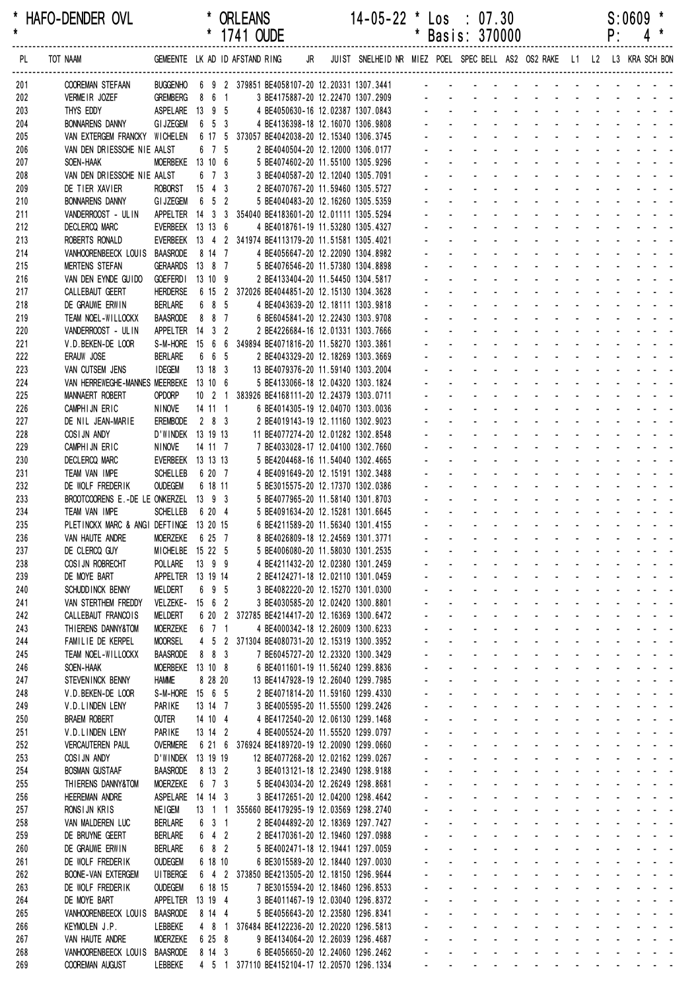| *<br>$\pmb{\star}$ | HAFO-DENDER OVL                                                                                                    |                                     |                     | * ORLEANS<br>* 1741 OUDE                                                                    |  | 14-05-22 * Los : 07.30                                                 |                                          | * Basis: 370000                                                                                                                                                                                                                                                           |  |                                                                                                                                                                                                                                                                               | P: | $S:0609$ * | $4 *$ |
|--------------------|--------------------------------------------------------------------------------------------------------------------|-------------------------------------|---------------------|---------------------------------------------------------------------------------------------|--|------------------------------------------------------------------------|------------------------------------------|---------------------------------------------------------------------------------------------------------------------------------------------------------------------------------------------------------------------------------------------------------------------------|--|-------------------------------------------------------------------------------------------------------------------------------------------------------------------------------------------------------------------------------------------------------------------------------|----|------------|-------|
| PL                 | TOT NAAM GEMEENTE LK AD ID AFSTAND RING JR JUIST SNELHEID NR MIEZ POEL SPEC BELL AS2 OS2 RAKE L1 L2 L3 KRA SCH BON |                                     |                     |                                                                                             |  |                                                                        |                                          |                                                                                                                                                                                                                                                                           |  |                                                                                                                                                                                                                                                                               |    |            |       |
| 201                | <b>COOREMAN STEFAAN</b>                                                                                            |                                     |                     | BUGGENHO 6 9 2 379851 BE4058107-20 12.20331 1307.3441 - - - - - - - - - - - - - - - - -     |  |                                                                        |                                          |                                                                                                                                                                                                                                                                           |  |                                                                                                                                                                                                                                                                               |    |            |       |
| 202                | VERMEIR JOZEF                                                                                                      | GREMBERG 8 6 1                      |                     |                                                                                             |  | 3 BE4175887-20 12.22470 1307.2909                                      |                                          |                                                                                                                                                                                                                                                                           |  |                                                                                                                                                                                                                                                                               |    |            |       |
| 203<br>204         | THYS EDDY<br><b>BONNARENS DANNY</b>                                                                                | ASPELARE 13 9 5<br>GIJZEGEM 6 5 3   |                     |                                                                                             |  | 4 BE4050630-16 12.02387 1307.0843<br>4 BE4136398-18 12.16070 1306.9808 |                                          |                                                                                                                                                                                                                                                                           |  |                                                                                                                                                                                                                                                                               |    |            |       |
| 205                | VAN EXTERGEM FRANCKY WICHELEN 6 17 5 373057 BE4042038-20 12.15340 1306.3745                                        |                                     |                     |                                                                                             |  |                                                                        | $\Delta \sim 10^4$                       |                                                                                                                                                                                                                                                                           |  | design and a state of the state of the state of the state of the state of the state of the state of the state of the state of the state of the state of the state of the state of the state of the state of the state of the s                                                |    |            |       |
| 206                | VAN DEN DRIESSCHE NIE AALST                                                                                        |                                     | 6 7 5               | 2 BE4040504-20 12.12000 1306.0177                                                           |  |                                                                        |                                          |                                                                                                                                                                                                                                                                           |  | design and a state of the state of the                                                                                                                                                                                                                                        |    |            |       |
| 207                | SOEN-HAAK                                                                                                          | MOERBEKE 13 10 6                    |                     | 5 BE4074602-20 11.55100 1305.9296                                                           |  |                                                                        |                                          |                                                                                                                                                                                                                                                                           |  | and a series of the series of the series of                                                                                                                                                                                                                                   |    |            |       |
| 208                | VAN DEN DRIESSCHE NIE AALST                                                                                        |                                     | 6 7 3               | 3 BE4040587-20 12.12040 1305.7091                                                           |  |                                                                        |                                          |                                                                                                                                                                                                                                                                           |  |                                                                                                                                                                                                                                                                               |    |            |       |
| 209                | DE TIER XAVIER                                                                                                     | ROBORST 15 4 3                      |                     | 2 BE4070767-20 11.59460 1305.5727                                                           |  |                                                                        |                                          | والمتعاون والمتعاون والمتعاون والمتعاون والمناور                                                                                                                                                                                                                          |  |                                                                                                                                                                                                                                                                               |    |            |       |
| 210                | <b>BONNARENS DANNY</b>                                                                                             | GIJZEGEM 6 5 2                      |                     | 5 BE4040483-20 12.16260 1305.5359                                                           |  |                                                                        |                                          | design and the state of the state of the                                                                                                                                                                                                                                  |  |                                                                                                                                                                                                                                                                               |    |            |       |
| 211                | VANDERROOST - ULIN                                                                                                 |                                     |                     | APPELTER  14  3  3  354040 BE4183601-20  12.01111  1305.5294                                |  |                                                                        | $\omega_{\rm{max}}$                      | and a straightful and a straight and a                                                                                                                                                                                                                                    |  |                                                                                                                                                                                                                                                                               |    |            |       |
| 212<br>213         | <b>DECLERCQ MARC</b><br>ROBERTS RONALD                                                                             | EVERBEEK 13 13 6                    |                     | 4 BE4018761-19 11.53280 1305.4327<br>EVERBEEK 13 4 2 341974 BE4113179-20 11.51581 1305.4021 |  |                                                                        |                                          |                                                                                                                                                                                                                                                                           |  | design and a state of the state of the state of the state of the state of the state of the state of the state of the state of the state of the state of the state of the state of the state of the state of the state of the s<br>and a series of the series of the series of |    |            |       |
| 214                | VANHOORENBEECK LOUIS                                                                                               | <b>BAASRODE</b>                     | 8 14 7              | 4 BE4056647-20 12.22090 1304.8982                                                           |  |                                                                        |                                          | and a series of the contract of the                                                                                                                                                                                                                                       |  |                                                                                                                                                                                                                                                                               |    |            |       |
| 215                | <b>MERTENS STEFAN</b>                                                                                              | GERAARDS 13 8 7                     |                     | 5 BE4076546-20 11.57380 1304.8898                                                           |  |                                                                        |                                          | and a straightful and a straight and                                                                                                                                                                                                                                      |  |                                                                                                                                                                                                                                                                               |    |            |       |
| 216                | VAN DEN EYNDE GUIDO                                                                                                | GOEFERDI 13 10 9                    |                     | 2 BE4133404-20 11.54450 1304.5817                                                           |  |                                                                        |                                          | a construction of the construction of the construction of the construction of the construction of the construction of the construction of the construction of the construction of the construction of the construction of the                                             |  |                                                                                                                                                                                                                                                                               |    |            |       |
| 217                | CALLEBAUT GEERT                                                                                                    |                                     |                     | HERDERSE   6  15  2  372026 BE4044851-20  12.15130  1304.3628                               |  |                                                                        |                                          | a construction of the construction of the construction of the construction of the construction of the construction of the construction of the construction of the construction of the construction of the construction of the                                             |  |                                                                                                                                                                                                                                                                               |    |            |       |
| 218                | DE GRAUWE ERWIN                                                                                                    | <b>BERLARE</b>                      | 6 8 5               | 4 BE4043639-20 12.18111 1303.9818                                                           |  |                                                                        |                                          |                                                                                                                                                                                                                                                                           |  | design and a state of the state of the                                                                                                                                                                                                                                        |    |            |       |
| 219                | TEAM NOEL-WILLOCKX                                                                                                 | BAASRODE 8 8 7                      |                     | 6 BE6045841-20 12.22430 1303.9708                                                           |  |                                                                        |                                          |                                                                                                                                                                                                                                                                           |  |                                                                                                                                                                                                                                                                               |    |            |       |
| 220                | VANDERROOST - ULIN                                                                                                 | APPELTER 14 3 2                     |                     | 2 BE4226684-16 12.01331 1303.7666                                                           |  |                                                                        |                                          | and a straightful and a straight and                                                                                                                                                                                                                                      |  |                                                                                                                                                                                                                                                                               |    |            |       |
| 221                | V.D.BEKEN-DE LOOR                                                                                                  |                                     | 6 6 5               | S-M-HORE 15 6 6 349894 BE4071816-20 11.58270 1303.3861                                      |  |                                                                        |                                          | a construction of the construction of the construction of the construction of the construction of the construction of the construction of the construction of the construction of the construction of the construction of the<br>design and the state of the state of the |  |                                                                                                                                                                                                                                                                               |    |            |       |
| 222<br>223         | ERAUW JOSE<br>VAN CUTSEM JENS                                                                                      | <b>BERLARE</b><br><b>IDEGEM</b>     | $13 \t18 \t3$       | 2 BE4043329-20 12.18269 1303.3669<br>13 BE4079376-20 11.59140 1303.2004                     |  |                                                                        |                                          | and a straightful and a straight and a                                                                                                                                                                                                                                    |  |                                                                                                                                                                                                                                                                               |    |            |       |
| 224                | VAN HERREWEGHE-MANNES MEERBEKE 13 10 6                                                                             |                                     |                     | 5 BE4133066-18 12.04320 1303.1824                                                           |  |                                                                        |                                          |                                                                                                                                                                                                                                                                           |  | design and a state of the state of the state of the state of the state of the state of the state of the state of the state of the state of the state of the state of the state of the state of the state of the state of the s                                                |    |            |       |
| 225                | <b>MANNAERT ROBERT</b>                                                                                             | <b>OPDORP</b>                       |                     | 10 2 1 383926 BE4168111-20 12.24379 1303.0711                                               |  |                                                                        |                                          |                                                                                                                                                                                                                                                                           |  | and a series of the series of the series of                                                                                                                                                                                                                                   |    |            |       |
| 226                | CAMPHIJN ERIC                                                                                                      | <b>NINOVE</b>                       | 14 11 1             | 6 BE4014305-19 12.04070 1303.0036                                                           |  |                                                                        |                                          | and a series of the contract of the                                                                                                                                                                                                                                       |  |                                                                                                                                                                                                                                                                               |    |            |       |
| 227                | DE NIL JEAN-MARIE                                                                                                  | EREMBODE                            | 2 8 3               | 2 BE4019143-19 12.11160 1302.9023                                                           |  |                                                                        |                                          | and a strain and a strain and a strain                                                                                                                                                                                                                                    |  |                                                                                                                                                                                                                                                                               |    |            |       |
| 228                | COSIJN ANDY                                                                                                        | D'WINDEK 13 19 13                   |                     | 11 BE4077274-20 12.01282 1302.8548                                                          |  |                                                                        |                                          |                                                                                                                                                                                                                                                                           |  | design and a state of the state of the state of the state of the state of the state of the state of the state of the state of the state of the state of the state of the state of the state of the state of the state of the s                                                |    |            |       |
| 229                | CAMPHIJN ERIC                                                                                                      | NINOVE                              | 14 11 7             | 7 BE4033028-17 12.04100 1302.7660                                                           |  |                                                                        |                                          |                                                                                                                                                                                                                                                                           |  | design and a state of the state of the state of the state of the state of the state of the state of the state of the state of the state of the state of the state of the state of the state of the state of the state of the s                                                |    |            |       |
| 230                | <b>DECLERCQ MARC</b>                                                                                               | EVERBEEK 13 13 13                   |                     | 5 BE4204468-16 11.54040 1302.4665                                                           |  |                                                                        |                                          |                                                                                                                                                                                                                                                                           |  | design and a state of the state of the<br>and a series of the series of the series of                                                                                                                                                                                         |    |            |       |
| 231<br>232         | TEAM VAN IMPE<br>DE WOLF FREDERIK                                                                                  | <b>SCHELLEB</b><br><b>OUDEGEM</b>   | 6 20 7<br>6 18 11   | 4 BE4091649-20 12.15191 1302.3488<br>5 BE3015575-20 12.17370 1302.0386                      |  |                                                                        |                                          | and a straightful and a straight and                                                                                                                                                                                                                                      |  |                                                                                                                                                                                                                                                                               |    |            |       |
| 233                | BROOTCOORENS E.-DE LE ONKERZEL 13 9 3                                                                              |                                     |                     | 5 BE4077965-20 11.58140 1301.8703                                                           |  |                                                                        |                                          | and a series of the contract of the series of                                                                                                                                                                                                                             |  |                                                                                                                                                                                                                                                                               |    |            |       |
| 234                | TEAM VAN IMPE                                                                                                      | <b>SCHELLEB</b>                     | 6 20 4              | 5 BE4091634-20 12.15281 1301.6645                                                           |  |                                                                        |                                          | de la provincia de la provincia de la provincia de                                                                                                                                                                                                                        |  |                                                                                                                                                                                                                                                                               |    |            |       |
| 235                | PLETINCKX MARC & ANGI DEFTINGE 13 20 15                                                                            |                                     |                     | 6 BE4211589-20 11.56340 1301.4155                                                           |  |                                                                        |                                          | .                                                                                                                                                                                                                                                                         |  |                                                                                                                                                                                                                                                                               |    |            |       |
| 236                | VAN HAUTE ANDRE                                                                                                    | MOERZEKE 6 25 7                     |                     | 8 BE4026809-18 12.24569 1301.3771                                                           |  |                                                                        |                                          | in the state of the state of the state of the state of the state of the state of the state of the state of the                                                                                                                                                            |  |                                                                                                                                                                                                                                                                               |    |            |       |
| 237                | DE CLERCQ GUY                                                                                                      | MICHELBE 15 22 5                    |                     | 5 BE4006080-20 11.58030 1301.2535                                                           |  |                                                                        | <b>All Contracts</b>                     |                                                                                                                                                                                                                                                                           |  | and a series of the contract and a series of                                                                                                                                                                                                                                  |    |            |       |
| 238                | COSI JN ROBRECHT                                                                                                   | POLLARE 13 9 9                      |                     | 4 BE4211432-20 12.02380 1301.2459                                                           |  |                                                                        |                                          | فالقاط القارب والقارب والقارب والقارب والمناور                                                                                                                                                                                                                            |  |                                                                                                                                                                                                                                                                               |    |            |       |
| 239                | DE MOYE BART<br>SCHUDD INCK BENNY                                                                                  | APPELTER 13 19 14<br><b>MELDERT</b> | 6 9 5               | 2 BE4124271-18 12.02110 1301.0459<br>3 BE4082220-20 12.15270 1301.0300                      |  |                                                                        |                                          | <u>.</u><br><u>.</u>                                                                                                                                                                                                                                                      |  |                                                                                                                                                                                                                                                                               |    |            |       |
| 240<br>241         | VAN STERTHEM FREDDY                                                                                                | VELZEKE- 15 6 2                     |                     | 3 BE4030585-20 12.02420 1300.8801                                                           |  |                                                                        | $\mathcal{L}^{(1)}$ .                    | and a strain and a strain and a strain                                                                                                                                                                                                                                    |  |                                                                                                                                                                                                                                                                               |    |            |       |
| 242                | CALLEBAUT FRANCOIS                                                                                                 | <b>MELDERT</b>                      |                     | 6 20 2 372785 BE4214417-20 12.16369 1300.6472                                               |  |                                                                        | $\omega_{\rm{max}}$                      | and a straightful and a straight and                                                                                                                                                                                                                                      |  |                                                                                                                                                                                                                                                                               |    |            |       |
| 243                | THIERENS DANNY&TOM                                                                                                 | <b>MOERZEKE</b>                     | 6 7 1               | 4 BE4000342-18 12.26009 1300.6233                                                           |  |                                                                        | $\omega_{\rm{max}}$                      | $\Delta \sim 100$                                                                                                                                                                                                                                                         |  | and a state of the state of the state of                                                                                                                                                                                                                                      |    |            |       |
| 244                | FAMILIE DE KERPEL                                                                                                  | <b>MOORSEL</b>                      |                     | 4 5 2 371304 BE4080731-20 12.15319 1300.3952                                                |  |                                                                        | $\omega_{\rm{max}}$                      | $\mathbf{a} = \mathbf{a}$                                                                                                                                                                                                                                                 |  | فالقائق والقاربة القاربة القاربة القاربة                                                                                                                                                                                                                                      |    |            |       |
| 245                | TEAM NOEL-WILLOCKX                                                                                                 | <b>BAASRODE</b>                     | 8 8 3               | 7 BE6045727-20 12.23320 1300.3429                                                           |  |                                                                        | $\mathbf{L}^{\text{max}}$                |                                                                                                                                                                                                                                                                           |  | design and a state of the state of                                                                                                                                                                                                                                            |    |            |       |
| 246                | SOEN-HAAK                                                                                                          | MOERBEKE 13 10 8                    |                     | 6 BE4011601-19 11.56240 1299.8836                                                           |  |                                                                        | $\mathbf{L}^{\text{max}}$                | $\mathcal{L}^{\text{max}}$                                                                                                                                                                                                                                                |  | design and a state of the state of the                                                                                                                                                                                                                                        |    |            |       |
| 247                | STEVENINCK BENNY                                                                                                   | <b>HAMME</b>                        | 8 28 20             | 13 BE4147928-19 12.26040 1299.7985                                                          |  |                                                                        | $\omega_{\rm{max}}$<br>$\Delta \sim 100$ | $\Delta \sim 100$<br>$\Delta \sim 100$                                                                                                                                                                                                                                    |  | design and a state of the state of<br>and a state of the state of the state of                                                                                                                                                                                                |    |            |       |
| 248<br>249         | V.D.BEKEN-DE LOOR<br>V.D.LINDEN LENY                                                                               | S-M-HORE 15 6 5<br>PARIKE           | 13 14 7             | 2 BE4071814-20 11.59160 1299.4330<br>3 BE4005595-20 11.55500 1299.2426                      |  |                                                                        |                                          | فالمتحال والمتابع المتابع المتابع المتابع المتابع                                                                                                                                                                                                                         |  |                                                                                                                                                                                                                                                                               |    |            |       |
| 250                | <b>BRAEM ROBERT</b>                                                                                                | <b>OUTER</b>                        | 14 10 4             | 4 BE4172540-20 12.06130 1299.1468                                                           |  |                                                                        | $\omega_{\rm{max}}$                      | $\Delta \sim 100$                                                                                                                                                                                                                                                         |  | فالمنافذ والمستنقذ والمستنقذ والمستنقذ والمستنقذ                                                                                                                                                                                                                              |    |            |       |
| 251                | V.D.LINDEN LENY                                                                                                    | PARIKE                              | 13 14 2             | 4 BE4005524-20 11.55520 1299.0797                                                           |  |                                                                        |                                          | المنافذ والمستنقل والمستنقل والمستنقل والمستنقل والمستنقل                                                                                                                                                                                                                 |  |                                                                                                                                                                                                                                                                               |    |            |       |
| 252                | <b>VERCAUTEREN PAUL</b>                                                                                            | <b>OVERMERE</b>                     |                     | 6 21 6 376924 BE4189720-19 12.20090 1299.0660                                               |  |                                                                        |                                          | a construction of the construction of the construction of the construction of the construction of the construction of the construction of the construction of the construction of the construction of the construction of the                                             |  |                                                                                                                                                                                                                                                                               |    |            |       |
| 253                | COSIJN ANDY                                                                                                        | D'WINDEK 13 19 19                   |                     | 12 BE4077268-20 12.02162 1299.0267                                                          |  |                                                                        | $\mathbf{L}^{(1)}$ .                     | $\mathcal{L}^{\text{max}}$                                                                                                                                                                                                                                                |  | and a state of the state of the state                                                                                                                                                                                                                                         |    |            |       |
| 254                | <b>BOSMAN GUSTAAF</b>                                                                                              | BAASRODE                            | 8 13 2              | 3 BE4013121-18 12.23490 1298.9188                                                           |  |                                                                        | $\omega_{\rm{max}}$                      | and a strain and a strain and a strain                                                                                                                                                                                                                                    |  |                                                                                                                                                                                                                                                                               |    |            |       |
| 255                | THIERENS DANNY&TOM                                                                                                 | <b>MOERZEKE</b>                     | 6 7 3               | 5 BE4043034-20 12.26249 1298.8681                                                           |  |                                                                        | $\omega_{\rm{max}}$                      | $\Delta \sim 100$                                                                                                                                                                                                                                                         |  | design and a state of the state of the                                                                                                                                                                                                                                        |    |            |       |
| 256                | <b>HEEREMAN ANDRE</b>                                                                                              | ASPELARE 14 14 3                    |                     | 3 BE4172651-20 12.04200 1298.4642                                                           |  |                                                                        | $\omega_{\rm{max}}$                      | $\Delta \sim 100$<br>and a series of the contract of the series of                                                                                                                                                                                                        |  | فالقائق والقاريف والقاربة القاربة والمنافر                                                                                                                                                                                                                                    |    |            |       |
| 257<br>258         | RONSIJN KRIS<br>VAN MALDEREN LUC                                                                                   | NE I GEM<br><b>BERLARE</b>          | 6 3 1               | 13 1 1 355660 BE4179295-19 12.03569 1298.2740<br>2 BE4044892-20 12.18369 1297.7427          |  |                                                                        | $\omega_{\rm{max}}$                      | $\Delta \sim 100$                                                                                                                                                                                                                                                         |  | and a state of the state of the state of                                                                                                                                                                                                                                      |    |            |       |
| 259                | DE BRUYNE GEERT                                                                                                    | BERLARE                             | $6 \quad 4 \quad 2$ | 2 BE4170361-20 12.19460 1297.0988                                                           |  |                                                                        | $\omega_{\rm{max}}$                      | $\Delta \sim 100$                                                                                                                                                                                                                                                         |  | and a state of the state of the state of                                                                                                                                                                                                                                      |    |            |       |
| 260                | DE GRAUWE ERWIN                                                                                                    | BERLARE                             | 6 8 2               | 5 BE4002471-18 12.19441 1297.0059                                                           |  |                                                                        | $\omega_{\rm{max}}$                      | $\Delta \sim 100$                                                                                                                                                                                                                                                         |  | design and a state of the state of the                                                                                                                                                                                                                                        |    |            |       |
| 261                | DE WOLF FREDERIK                                                                                                   | <b>OUDEGEM</b>                      | 6 18 10             | 6 BE3015589-20 12.18440 1297.0030                                                           |  |                                                                        |                                          | and a series of the series of the series of the                                                                                                                                                                                                                           |  |                                                                                                                                                                                                                                                                               |    |            |       |
| 262                | <b>BOONE-VAN EXTERGEM</b>                                                                                          | UI TBERGE                           |                     | 6 4 2 373850 BE4213505-20 12.18150 1296.9644                                                |  |                                                                        | $\omega_{\rm{eff}}=2.0\pm0.01$           |                                                                                                                                                                                                                                                                           |  | فالمنافذ والمستنقذ والمستنقذ والمستنقذ والمستنقذ                                                                                                                                                                                                                              |    |            |       |
| 263                | DE WOLF FREDERIK                                                                                                   | <b>OUDEGEM</b>                      | 6 18 15             | 7 BE3015594-20 12.18460 1296.8533                                                           |  |                                                                        |                                          | والمتعاون والمتعاون والمتعاون والمتعاون والمتعاونة                                                                                                                                                                                                                        |  |                                                                                                                                                                                                                                                                               |    |            |       |
| 264                | DE MOYE BART                                                                                                       | APPELTER 13 19 4                    |                     | 3 BE4011467-19 12.03040 1296.8372                                                           |  |                                                                        |                                          | a construction of the construction of the construction of the construction of the construction of the construction of the construction of the construction of the construction of the construction of the construction of the                                             |  |                                                                                                                                                                                                                                                                               |    |            |       |
| 265                | VANHOORENBEECK LOUIS BAASRODE<br>KEYMOLEN J.P.                                                                     |                                     | 8 14 4              | 5 BE4056643-20 12.23580 1296.8341<br>4 8 1 376484 BE4122236-20 12.20220 1296.5813           |  |                                                                        | $\omega_{\rm{max}}$                      | $\Delta \sim 100$<br><u>.</u>                                                                                                                                                                                                                                             |  | design and a state of the state of                                                                                                                                                                                                                                            |    |            |       |
| 266<br>267         | VAN HAUTE ANDRE                                                                                                    | LEBBEKE<br><b>MOERZEKE</b>          | 6 25 8              | 9 BE4134064-20 12.26039 1296.4687                                                           |  |                                                                        |                                          | المنافذ والمستنقل والمستنقل والمستنقل والمستنقل والمستنقل                                                                                                                                                                                                                 |  |                                                                                                                                                                                                                                                                               |    |            |       |
| 268                | VANHOORENBEECK LOUIS BAASRODE                                                                                      |                                     | 8 14 3              | 6 BE4056650-20 12.24060 1296.2462                                                           |  |                                                                        |                                          | فالقائم والمنافر والمنافر والمراقب والمراقب والمراقب                                                                                                                                                                                                                      |  |                                                                                                                                                                                                                                                                               |    |            |       |
| 269                | COOREMAN AUGUST                                                                                                    | LEBBEKE                             |                     | 4 5 1 377110 BE4152104-17 12.20570 1296.1334                                                |  |                                                                        |                                          | and the contract of the contract of the contract of                                                                                                                                                                                                                       |  |                                                                                                                                                                                                                                                                               |    |            |       |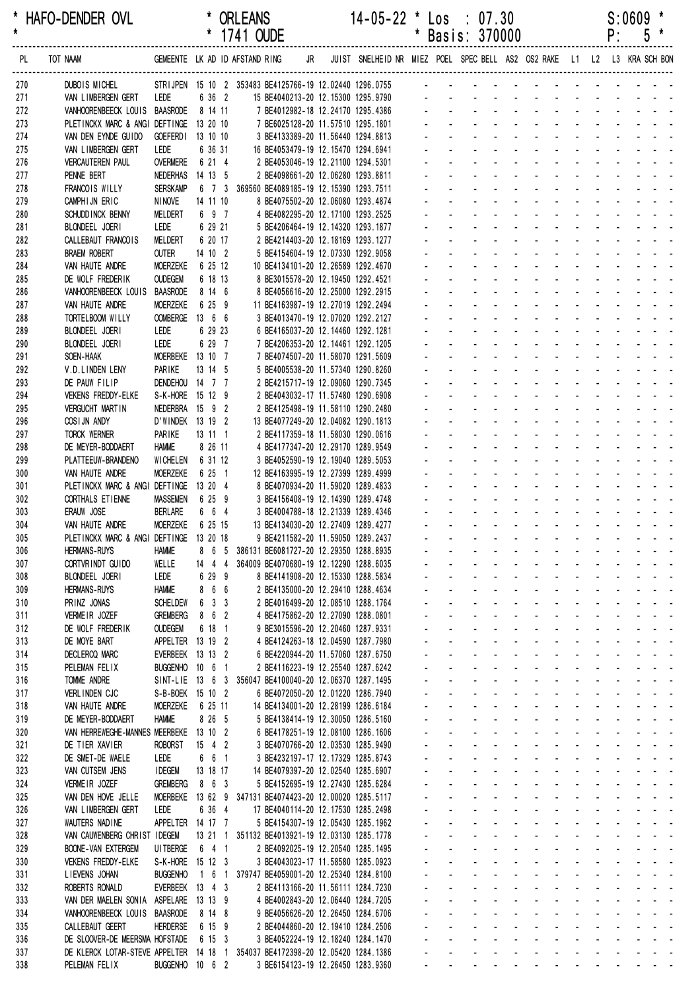| $\star$    | HAFO-DENDER OVL                                                                                                                 |                                   |                               | <b>URLEANS</b><br>* 1741 OUDE                                           | $14 - 05 - 22$ $\degree$ Los : 0/.30 |                |                                     | * Basis: 370000                                                                                                                                                                                                                                                           |                               |                                                                                   |                                         |                          |                     | <b>S:0609</b><br>$P: 5 *$                                         |                |  |
|------------|---------------------------------------------------------------------------------------------------------------------------------|-----------------------------------|-------------------------------|-------------------------------------------------------------------------|--------------------------------------|----------------|-------------------------------------|---------------------------------------------------------------------------------------------------------------------------------------------------------------------------------------------------------------------------------------------------------------------------|-------------------------------|-----------------------------------------------------------------------------------|-----------------------------------------|--------------------------|---------------------|-------------------------------------------------------------------|----------------|--|
| PL         | TOT NAAM GEMEENTE LK AD ID AFSTAND RING JR JUIST SNELHEID NR MIEZ POEL SPECBELL AS2 OS2 RAKE L1 L2 L3 KRA SCHBON                |                                   |                               |                                                                         |                                      |                |                                     |                                                                                                                                                                                                                                                                           |                               |                                                                                   |                                         |                          |                     |                                                                   |                |  |
| 270        | DUBOIS MICHEL STRIJPEN 15 10 2 353483 BE4125766-19 12.02440 1296.0755 - - - - - - - - - - - - - - - - -                         |                                   |                               |                                                                         |                                      |                |                                     |                                                                                                                                                                                                                                                                           |                               |                                                                                   |                                         |                          |                     |                                                                   |                |  |
| 271        | VAN LIMBERGEN GERT<br>VANHOORENBEECK LOUIS BAASRODE 8 14 11 7 BE4012982-18 12.24170 1295.4386 - - - - - - - - - - - - - - - - - | Lede                              | 6 36 2                        |                                                                         |                                      |                |                                     |                                                                                                                                                                                                                                                                           |                               |                                                                                   |                                         |                          |                     |                                                                   |                |  |
| 272<br>273 | PLETINCKX MARC & ANGI DEFTINGE 13 20 10                                                                                         |                                   |                               | 7 BE6025128-20 11.57510 1295.1801                                       |                                      |                |                                     | and the contract of the contract of the contract of                                                                                                                                                                                                                       |                               |                                                                                   |                                         |                          |                     |                                                                   |                |  |
| 274        | VAN DEN EYNDE GUIDO                                                                                                             |                                   | GOEFERDI 13 10 10             | 3 BE4133389-20 11.56440 1294.8813                                       |                                      |                |                                     | والمناور والمناور والمناور والمناور والمناور                                                                                                                                                                                                                              |                               |                                                                                   |                                         |                          |                     |                                                                   |                |  |
| 275        | VAN LIMBERGEN GERT                                                                                                              | LEDE                              | 6 36 31                       | 16 BE4053479-19 12.15470 1294.6941                                      |                                      |                |                                     | and the state of the state of the state                                                                                                                                                                                                                                   |                               |                                                                                   |                                         |                          |                     |                                                                   |                |  |
| 276        | <b>VERCAUTEREN PAUL</b>                                                                                                         |                                   | OVERMERE 6 21 4               | 2 BE4053046-19 12.21100 1294.5301                                       |                                      |                |                                     | and a straightful and a straight and a                                                                                                                                                                                                                                    |                               |                                                                                   |                                         |                          |                     |                                                                   |                |  |
| 277        | PENNE BERT                                                                                                                      |                                   | NEDERHAS 14 13 5              | 2 BE4098661-20 12.06280 1293.8811                                       |                                      |                |                                     | and a state of the state of the state                                                                                                                                                                                                                                     |                               |                                                                                   |                                         |                          |                     |                                                                   |                |  |
| 278        | FRANCOIS WILLY                                                                                                                  | <b>SERSKAMP</b>                   |                               | 6 7 3 369560 BE4089185-19 12.15390 1293.7511                            |                                      |                |                                     | and a straightful and a straight and                                                                                                                                                                                                                                      |                               |                                                                                   |                                         |                          |                     |                                                                   |                |  |
| 279        | CAMPHIJN ERIC                                                                                                                   | NINOVE                            | 14 11 10                      | 8 BE4075502-20 12.06080 1293.4874                                       |                                      |                |                                     | a construction of the construction of the construction of the construction of the construction of the construction of the construction of the construction of the construction of the construction of the construction of the<br>والمناور والمناور والوالو الوالو الواليو |                               |                                                                                   |                                         |                          |                     |                                                                   |                |  |
| 280<br>281 | SCHUDD INCK BENNY<br>BLONDEEL JOERI                                                                                             | MELDERT<br>LEDE                   | 6 9 7<br>6 29 21              | 4 BE4082295-20 12.17100 1293.2525<br>5 BE4206464-19 12.14320 1293.1877  |                                      |                |                                     | design and a state of the state of the                                                                                                                                                                                                                                    |                               |                                                                                   |                                         |                          |                     |                                                                   |                |  |
| 282        | CALLEBAUT FRANCOIS                                                                                                              | MELDERT                           | 6 20 17                       | 2 BE4214403-20 12.18169 1293.1277                                       |                                      |                |                                     | de la provincia de la provincia de la provincia                                                                                                                                                                                                                           |                               |                                                                                   |                                         |                          |                     |                                                                   |                |  |
| 283        | <b>BRAEM ROBERT</b>                                                                                                             | OUTER                             | 14 10 2                       | 5 BE4154604-19 12.07330 1292.9058                                       |                                      |                |                                     | and a series and a series and a series                                                                                                                                                                                                                                    |                               |                                                                                   |                                         |                          |                     |                                                                   |                |  |
| 284        | VAN HAUTE ANDRE                                                                                                                 | MOERZEKE                          | 6 25 12                       | 10 BE4134101-20 12.26589 1292.4670                                      |                                      |                |                                     | and a series of the contract of the series of                                                                                                                                                                                                                             |                               |                                                                                   |                                         |                          |                     |                                                                   |                |  |
| 285        | DE WOLF FREDERIK                                                                                                                | <b>OUDEGEM</b>                    | 6 18 13                       | 8 BE3015578-20 12.19450 1292.4521                                       |                                      |                |                                     | والمتعاط المتناول والمتناول والمتناول والمناو                                                                                                                                                                                                                             |                               |                                                                                   |                                         |                          |                     |                                                                   |                |  |
| 286        | VANHOORENBEECK LOUIS                                                                                                            | <b>BAASRODE</b>                   | 8 14 6                        | 8 BE4056616-20 12.25000 1292.2915                                       |                                      |                |                                     | والمتعاط والمتعاط والمتعاط والمتعاط والمتعاط                                                                                                                                                                                                                              |                               |                                                                                   |                                         |                          |                     |                                                                   |                |  |
| 287        | VAN HAUTE ANDRE                                                                                                                 | <b>MOERZEKE</b>                   | 6 25 9                        | 11 BE4163987-19 12.27019 1292.2494                                      |                                      |                |                                     | and a series of the contract of the series<br>de la provincia de la provincia de la                                                                                                                                                                                       |                               |                                                                                   |                                         |                          |                     |                                                                   |                |  |
| 288<br>289 | TORTELBOOM WILLY<br>BLONDEEL JOERI                                                                                              | LEDE                              | OOMBERGE 13 6 6<br>6 29 23    | 3 BE4013470-19 12.07020 1292.2127<br>6 BE4165037-20 12.14460 1292.1281  |                                      |                |                                     | and a construction of the construction of the construction of the construction of the construction of the construction of the construction of the construction of the construction of the construction of the construction of                                             |                               |                                                                                   |                                         |                          |                     |                                                                   |                |  |
| 290        | BLONDEEL JOERI                                                                                                                  | LEDE                              | 6 29 7                        | 7 BE4206353-20 12.14461 1292.1205                                       |                                      |                |                                     | and a series of the contract of the series                                                                                                                                                                                                                                |                               |                                                                                   |                                         |                          |                     |                                                                   |                |  |
| 291        | SOEN-HAAK                                                                                                                       |                                   | MOERBEKE 13 10 7              | 7 BE4074507-20 11.58070 1291.5609                                       |                                      |                |                                     | and a series of the contract of the series                                                                                                                                                                                                                                |                               |                                                                                   |                                         |                          |                     |                                                                   |                |  |
| 292        | V.D.LINDEN LENY                                                                                                                 | PARIKE                            | 13 14 5                       | 5 BE4005538-20 11.57340 1290.8260                                       |                                      |                |                                     | and a series of the contract of the series                                                                                                                                                                                                                                |                               |                                                                                   |                                         |                          |                     |                                                                   |                |  |
| 293        | DE PAUW FILIP                                                                                                                   |                                   | DENDEHOU 14 7 7               | 2 BE4215717-19 12.09060 1290.7345                                       |                                      |                |                                     | design and a state of the state of the                                                                                                                                                                                                                                    |                               |                                                                                   |                                         |                          |                     |                                                                   |                |  |
| 294        | <b>VEKENS FREDDY-ELKE</b>                                                                                                       |                                   | S-K-HORE 15 12 9              | 2 BE4043032-17 11.57480 1290.6908                                       |                                      |                |                                     | and a state of the state of the state of                                                                                                                                                                                                                                  |                               |                                                                                   |                                         |                          |                     |                                                                   |                |  |
| 295        | <b>VERGUCHT MARTIN</b>                                                                                                          |                                   | NEDERBRA 15 9 2               | 2 BE4125498-19 11.58110 1290.2480                                       |                                      |                |                                     | and a straightful and a straight and<br>and a series and a series and a series                                                                                                                                                                                            |                               |                                                                                   |                                         |                          |                     |                                                                   |                |  |
| 296<br>297 | COSIJN ANDY<br>TORCK WERNER                                                                                                     | PARIKE                            | D'WINDEK 13 19 2<br>13 11 1   | 13 BE4077249-20 12.04082 1290.1813<br>2 BE4117359-18 11.58030 1290.0616 |                                      |                |                                     | والمتعاط المتناول والمتناول والمتناول والمناو                                                                                                                                                                                                                             |                               |                                                                                   |                                         |                          |                     |                                                                   |                |  |
| 298        | DE MEYER-BODDAERT                                                                                                               | <b>HAMME</b>                      | 8 26 11                       | 4 BE4177347-20 12.29170 1289.9549                                       |                                      |                |                                     | a construction of the construction of the construction of the construction of the construction of the construction of the construction of the construction of the construction of the construction of the construction of the                                             |                               |                                                                                   |                                         |                          |                     |                                                                   |                |  |
| 299        | PLATTEEUW-BRANDENO                                                                                                              |                                   | WICHELEN 6 31 12              | 3 BE4052590-19 12.19040 1289.5053                                       |                                      |                |                                     | and a series of the contract of the series of                                                                                                                                                                                                                             |                               |                                                                                   |                                         |                          |                     |                                                                   |                |  |
| 300        | VAN HAUTE ANDRE                                                                                                                 | <b>MOERZEKE</b>                   | 6 25 1                        | 12 BE4163995-19 12.27399 1289.4999                                      |                                      |                |                                     | design and the state of the state of the                                                                                                                                                                                                                                  |                               |                                                                                   |                                         |                          |                     |                                                                   |                |  |
| 301        | PLETINCKX MARC & ANGI DEFTINGE 13 20 4                                                                                          |                                   |                               | 8 BE4070934-20 11.59020 1289.4833                                       |                                      |                |                                     | and a straightful and a straight and                                                                                                                                                                                                                                      |                               |                                                                                   |                                         |                          |                     |                                                                   |                |  |
| 302        | CORTHALS ETIENNE                                                                                                                | <b>MASSEMEN</b>                   | 6 25 9                        | 3 BE4156408-19 12.14390 1289.4748                                       |                                      |                |                                     | and a series and a series and a series<br>and a series of the contract of the                                                                                                                                                                                             |                               |                                                                                   |                                         |                          |                     |                                                                   |                |  |
| 303<br>304 | ERAUW JOSE<br>VAN HAUTE ANDRE                                                                                                   | <b>BERLARE</b><br><b>MOERZEKE</b> | 6 6 4<br>6 25 15              | 3 BE4004788-18 12.21339 1289.4346<br>13 BE4134030-20 12.27409 1289.4277 |                                      |                |                                     | and a state of the state of the state                                                                                                                                                                                                                                     |                               |                                                                                   |                                         |                          |                     |                                                                   |                |  |
| 305        | PLETINCKX MARC & ANGI DEFTINGE 13 20 18                                                                                         |                                   |                               | 9 BE4211582-20 11.59050 1289.2437                                       |                                      |                |                                     |                                                                                                                                                                                                                                                                           |                               | and a series of the contract of the                                               |                                         |                          |                     |                                                                   |                |  |
| 306        | <b>HERMANS-RUYS</b>                                                                                                             | <b>HAMME</b>                      | 865                           | 386131 BE6081727-20 12.29350 1288.8935                                  |                                      |                |                                     |                                                                                                                                                                                                                                                                           |                               | $\mathbf{u} = \mathbf{u} \cdot \mathbf{u}$                                        | $\sim 100$<br>$\mathbf{r}$              | <b>Contract Contract</b> |                     | $\mathbf{L}^{\text{max}}$                                         |                |  |
| 307        | CORTVRINDT GUIDO                                                                                                                | WELLE                             | $14 \quad 4 \quad 4$          | 364009 BE4070680-19 12.12290 1288.6035                                  |                                      |                |                                     |                                                                                                                                                                                                                                                                           |                               | $\Delta \sim 100$<br>$\mathcal{L}^{\mathcal{A}}$<br>$\mathbf{r}$                  | $\mathbf{r}$                            |                          |                     |                                                                   |                |  |
| 308        | BLONDEEL JOERI                                                                                                                  | LEDE                              | 6 29 9                        | 8 BE4141908-20 12.15330 1288.5834                                       |                                      | ÷.             | $\mathcal{L}^{\pm}$                 | $\blacksquare$                                                                                                                                                                                                                                                            | $\sim 100$                    | $\omega_{\rm{max}}$                                                               | $\sim 100$<br>$\mathbf{L}^{\text{max}}$ |                          | <b>All Cards</b>    |                                                                   |                |  |
| 309        | <b>HERMANS-RUYS</b>                                                                                                             | <b>HAMME</b>                      | 8 6 6                         | 2 BE4135000-20 12.29410 1288.4634                                       |                                      |                | $\blacksquare$                      | $\blacksquare$<br>$\blacksquare$                                                                                                                                                                                                                                          | $\sim$                        | $\sim$                                                                            | $\blacksquare$                          |                          |                     |                                                                   | $\sim$ $ \sim$ |  |
| 310        | PRINZ JONAS                                                                                                                     | <b>SCHELDEW</b>                   | 6 3 3                         | 2 BE4016499-20 12.08510 1288.1764                                       |                                      |                |                                     |                                                                                                                                                                                                                                                                           | $\blacksquare$                |                                                                                   |                                         |                          | $\sim 10^{-11}$     | and the state of the state of                                     |                |  |
| 311<br>312 | VERMEIR JOZEF<br>DE WOLF FREDERIK                                                                                               | <b>GREMBERG</b><br><b>OUDEGEM</b> | 6 <sup>2</sup><br>8<br>6 18 1 | 4 BE4175862-20 12.27090 1288.0801<br>9 BE3015596-20 12.20460 1287.9331  |                                      |                |                                     | $\mathcal{L}$                                                                                                                                                                                                                                                             | $\sim$                        | $\mathbf{z}$ and $\mathbf{z}$<br>$\sim$<br>$\sim$                                 | $\mathbf{r}$                            |                          |                     | and the state of the state of the                                 |                |  |
| 313        | DE MOYE BART                                                                                                                    |                                   | APPELTER 13 19 2              | 4 BE4124263-18 12.04590 1287.7980                                       |                                      | ä,             | ¥.                                  | ä,                                                                                                                                                                                                                                                                        |                               | $\omega_{\rm{max}}$<br>$\sim$<br>$\sim$                                           | $\mathbb{Z}^2$                          | <b>Contractor</b>        |                     | $\Delta \sim 100$                                                 |                |  |
| 314        | DECLERCQ MARC                                                                                                                   |                                   | EVERBEEK 13 13 2              | 6 BE4220944-20 11.57060 1287.6750                                       |                                      | $\blacksquare$ | $\mathcal{L}^{\pm}$                 | $\sim$ 10 $\pm$                                                                                                                                                                                                                                                           | $\omega_{\rm{max}}$           | $\Delta \sim 100$                                                                 | $\Delta \sim 10^4$<br>$\sim 100$        | $\sim 100$               | $\omega_{\rm{max}}$ |                                                                   |                |  |
| 315        | PELEMAN FELIX                                                                                                                   |                                   | BUGGENHO 10 6 1               | 2 BE4116223-19 12.25540 1287.6242                                       |                                      | $\blacksquare$ | $\sim$                              | $\blacksquare$<br>$\sim$                                                                                                                                                                                                                                                  |                               | $\sim 100$<br>$\blacksquare$<br>$\sim$                                            | $\blacksquare$                          |                          |                     |                                                                   |                |  |
| 316        | <b>TOMME ANDRE</b>                                                                                                              |                                   |                               | SINT-LIE 13 6 3 356047 BE4100040-20 12.06370 1287.1495                  |                                      |                |                                     |                                                                                                                                                                                                                                                                           | $\blacksquare$                |                                                                                   |                                         |                          |                     |                                                                   |                |  |
| 317        | VERLINDEN CJC                                                                                                                   |                                   | S-B-BOEK 15 10 2              | 6 BE4072050-20 12.01220 1286.7940                                       |                                      |                |                                     |                                                                                                                                                                                                                                                                           | $\mathcal{L}^{\mathcal{L}}$   |                                                                                   | $\sim 100$                              |                          |                     | the contract of the con-                                          |                |  |
| 318<br>319 | VAN HAUTE ANDRE<br>DE MEYER-BODDAERT                                                                                            | <b>MOERZEKE</b><br><b>HAMME</b>   | 6 25 11<br>8 26 5             | 14 BE4134001-20 12.28199 1286.6184<br>5 BE4138414-19 12.30050 1286.5160 |                                      | ä,             | $\mathbf{r}$                        | $\mathcal{L}^{\mathcal{A}}$<br>$\mathcal{L}$                                                                                                                                                                                                                              | $\sim$                        | $\mathbf{r}$<br>$\Delta \sim 100$<br>$\mathcal{L}^{\mathcal{A}}$<br>$\mathcal{L}$ |                                         |                          |                     | and a strong control of the strong strong<br>and a straight and a |                |  |
| 320        | VAN HERREWEGHE-MANNES MEERBEKE 13 10 2                                                                                          |                                   |                               | 6 BE4178251-19 12.08100 1286.1606                                       |                                      | ä,             | $\mathcal{L}^{\pm}$                 | $\mathcal{L}^{\text{max}}$                                                                                                                                                                                                                                                | $\mathbf{L}^{\text{max}}$     | $\omega_{\rm{max}}$<br>$\omega_{\rm{max}}$                                        | $\Delta \sim 10^{-11}$                  |                          |                     | فالقارب والقارب والمنافذ                                          |                |  |
| 321        | DE TIER XAVIER                                                                                                                  | <b>ROBORST</b>                    | 15 4 2                        | 3 BE4070766-20 12.03530 1285.9490                                       |                                      | $\blacksquare$ | $\blacksquare$                      | $\sim$ 10 $\pm$<br>$\blacksquare$                                                                                                                                                                                                                                         | $\sim$                        | $\sim$                                                                            | $\omega_{\rm{max}}$                     |                          |                     | and a strain and a                                                |                |  |
| 322        | DE SMET-DE WAELE                                                                                                                | LEDE                              | 6 6 1                         | 3 BE4232197-17 12.17329 1285.8743                                       |                                      |                |                                     |                                                                                                                                                                                                                                                                           | $\blacksquare$                |                                                                                   |                                         |                          |                     | بالمستنقذ والمستنقذ                                               |                |  |
| 323        | VAN CUTSEM JENS                                                                                                                 | <b>IDEGEM</b>                     | 13 18 17                      | 14 BE4079397-20 12.02540 1285.6907                                      |                                      |                |                                     |                                                                                                                                                                                                                                                                           | $\mathcal{L}_{\mathrm{max}}$  | $\mathcal{L}_{\mathcal{A}}$                                                       | $\omega$                                |                          |                     | and a strain and a                                                |                |  |
| 324        | VERMEIR JOZEF                                                                                                                   | <b>GREMBERG</b>                   | 8 6 3                         | 5 BE4152695-19 12.27430 1285.6284                                       |                                      |                |                                     |                                                                                                                                                                                                                                                                           |                               | $\sim$<br>$\omega_{\rm{max}}$                                                     |                                         |                          |                     | and a strong control of the strong strong                         |                |  |
| 325        | VAN DEN HOVE JELLE                                                                                                              |                                   |                               | MOERBEKE 13 62 9 347131 BE4074423-20 12.00020 1285.5117                 |                                      | $\omega$       | $\mathbf{r}$<br>$\mathcal{L}^{\pm}$ | $\mathcal{L}$                                                                                                                                                                                                                                                             |                               | $\omega_{\rm{max}}=0.1$<br>$\mathbf{r}$<br>$\omega_{\rm{max}}$                    | $\mathbf{r}$<br>$\sim 100$              | <b>Contractor</b>        |                     |                                                                   |                |  |
| 326<br>327 | VAN LIMBERGEN GERT<br>WAUTERS NADINE                                                                                            | LEDE                              | 6 36 4<br>APPELTER 14 17 7    | 17 BE4040114-20 12.17530 1285.2498<br>5 BE4154307-19 12.05430 1285.1962 |                                      | $\blacksquare$ | $\mathbf{L}^{\text{max}}$<br>$\sim$ | $\mathcal{L}^{\text{max}}$<br>$\omega_{\rm{eff}}$<br>$\sim$                                                                                                                                                                                                               | $\mathcal{L}_{\mathrm{max}}$  | $\omega_{\rm{max}}$<br>$\mathcal{L}_{\mathcal{A}}$<br>$\sim$                      | $\omega_{\rm{max}}$<br>$\sim$           |                          | $\omega_{\rm{max}}$ |                                                                   |                |  |
| 328        | VAN CAUWENBERG CHRIST IDEGEM                                                                                                    |                                   |                               | 13 21 1 351132 BE4013921-19 12.03130 1285.1778                          |                                      |                |                                     |                                                                                                                                                                                                                                                                           |                               | $\omega_{\rm{max}}$                                                               |                                         |                          |                     |                                                                   |                |  |
| 329        | <b>BOONE-VAN EXTERGEM</b>                                                                                                       | <b>UITBERGE</b>                   | 6 4 1                         | 2 BE4092025-19 12.20540 1285.1495                                       |                                      |                |                                     |                                                                                                                                                                                                                                                                           | $\sim$                        |                                                                                   | $\mathcal{L}^{\text{max}}$              |                          |                     | and the state of the                                              |                |  |
| 330        | <b>VEKENS FREDDY-ELKE</b>                                                                                                       |                                   | S-K-HORE 15 12 3              | 3 BE4043023-17 11.58580 1285.0923                                       |                                      |                |                                     |                                                                                                                                                                                                                                                                           |                               | $\Delta \sim 100$<br>$\mathbf{r}$                                                 |                                         |                          |                     | and a strong control of the strong strong                         |                |  |
| 331        | LIEVENS JOHAN                                                                                                                   | <b>BUGGENHO</b>                   |                               | 1 6 1 379747 BE4059001-20 12.25340 1284.8100                            |                                      | ÷.             |                                     |                                                                                                                                                                                                                                                                           |                               | $\Delta \sim 100$<br>$\sim$<br>$\sim$                                             |                                         |                          |                     | and the company of the second                                     |                |  |
| 332        | ROBERTS RONALD                                                                                                                  |                                   | EVERBEEK 13 4 3               | 2 BE4113166-20 11.56111 1284.7230                                       |                                      | $\blacksquare$ | $\mathcal{L}^{\text{max}}$          | $\mathbf{L}^{\text{max}}$                                                                                                                                                                                                                                                 | $\mathbf{L}^{\text{max}}$     | $\omega_{\rm{max}}$<br>$\omega_{\rm{max}}$                                        | $\Delta \sim 10^{-11}$                  |                          |                     | فالقارب والقارب والمنافذ                                          |                |  |
| 333        | VAN DER MAELEN SONIA                                                                                                            |                                   | ASPELARE 13 13 9              | 4 BE4002843-20 12.06440 1284.7205                                       |                                      | $\blacksquare$ | $\sim$                              | $\omega_{\rm{max}}$<br>$\sim$                                                                                                                                                                                                                                             | $\mathcal{L}^{\pm}$           | $\mathbf{r}$<br>$\sim$                                                            | $\blacksquare$<br>$\omega$              |                          |                     |                                                                   |                |  |
| 334<br>335 | VANHOORENBEECK LOUIS<br>CALLEBAUT GEERT                                                                                         | <b>BAASRODE</b><br>HERDERSE       | 8 14 8<br>6 15 9              | 9 BE4056626-20 12.26450 1284.6706<br>2 BE4044860-20 12.19410 1284.2506  |                                      |                |                                     | $\mathbf{L}^{\text{max}}$                                                                                                                                                                                                                                                 | $\blacksquare$<br>and a state | $\sim 10^{-1}$ and $\sim 10^{-1}$                                                 | $\mathbf{L}^{\text{max}}$               |                          |                     | and a strain and a                                                |                |  |
| 336        | DE SLOOVER-DE MEERSMA HOFSTADE                                                                                                  |                                   | 6 15 3                        | 3 BE4052224-19 12.18240 1284.1470                                       |                                      | $\mathbf{r}$   |                                     | $\mathcal{L}^{\mathcal{A}}$                                                                                                                                                                                                                                               |                               | $\mathbf{L} = \mathbf{L} \mathbf{L}$<br>$\sim$                                    | $\Delta \sim 10^{-1}$                   | $\sim$                   |                     | and the state of the state of                                     |                |  |
| 337        | DE KLERCK LOTAR-STEVE APPELTER 14 18 1 354037 BE4172398-20 12.05420 1284.1386                                                   |                                   |                               |                                                                         |                                      | $\mathbf{r}$   |                                     | $\mathbf{L}^{\text{max}}$<br>$\sim$<br><b>Contractor</b>                                                                                                                                                                                                                  |                               | and a strategies                                                                  | $\mathbf{r}$                            | <b>Contractor</b>        |                     | $\mathbf{L}^{\text{max}}$                                         |                |  |
| 338        | PELEMAN FELIX                                                                                                                   |                                   | BUGGENHO 10 6 2               | 3 BE6154123-19 12.26450 1283.9360                                       |                                      |                |                                     | and the contract of the contract of the contract of                                                                                                                                                                                                                       |                               |                                                                                   |                                         |                          |                     |                                                                   |                |  |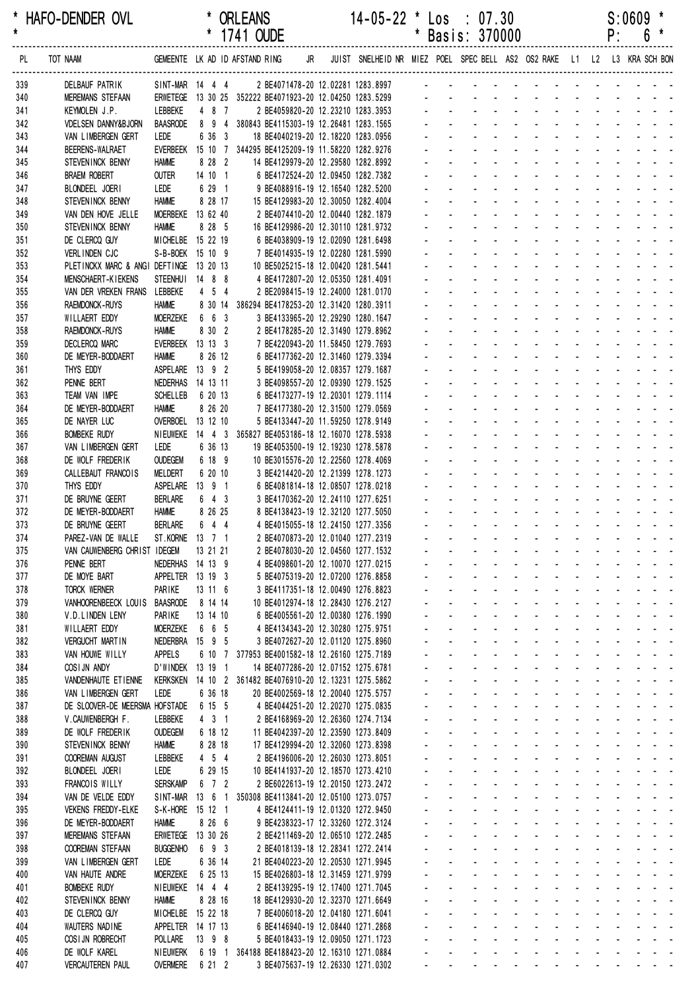|            |                                             |                                 |                                | 1/41 OUDE                                                                                   |                                                                         |              |              | Basis: 3/0000                                            |                                                                          |                                           |                                        |                                                 |                                                                        | ۲:                              | 0 |                                                                                                                |
|------------|---------------------------------------------|---------------------------------|--------------------------------|---------------------------------------------------------------------------------------------|-------------------------------------------------------------------------|--------------|--------------|----------------------------------------------------------|--------------------------------------------------------------------------|-------------------------------------------|----------------------------------------|-------------------------------------------------|------------------------------------------------------------------------|---------------------------------|---|----------------------------------------------------------------------------------------------------------------|
| PL         | TOT NAAM                                    |                                 |                                | GEMEENTE LK AD ID AFSTAND RING JR                                                           | JUIST SNELHEID NR MIEZ POEL SPEC BELL AS2 OS2 RAKE L1 L2 L3 KRA SCH BON |              |              |                                                          |                                                                          |                                           |                                        |                                                 |                                                                        |                                 |   |                                                                                                                |
| 339        | DELBAUF PATRIK                              |                                 | SINT-MAR 14 4 4                | 2 BE4071478-20 12.02281 1283.8997 - - - - - -                                               |                                                                         |              |              |                                                          |                                                                          |                                           |                                        |                                                 |                                                                        |                                 |   |                                                                                                                |
| 340        | <b>MEREMANS STEFAAN</b>                     |                                 |                                | ERWETEGE 13 30 25 352222 BE4071923-20 12.04250 1283.5299                                    |                                                                         |              |              |                                                          |                                                                          |                                           |                                        |                                                 |                                                                        |                                 |   |                                                                                                                |
| 341        | KEYMOLEN J.P.                               | LEBBEKE                         | 4 8 7                          | 2 BE4059820-20 12.23210 1283.3953                                                           |                                                                         |              |              |                                                          |                                                                          |                                           |                                        |                                                 |                                                                        |                                 |   |                                                                                                                |
| 342        | <b>VDELSEN DANNY&amp;BJORN</b>              | <b>BAASRODE</b>                 |                                | 8 9 4 380843 BE4115303-19 12.26481 1283.1565                                                |                                                                         |              |              |                                                          |                                                                          |                                           |                                        |                                                 |                                                                        |                                 |   |                                                                                                                |
| 343<br>344 | VAN LIMBERGEN GERT<br>BEERENS-WALRAET       | LEDE<br>EVERBEEK                | 6 36 3                         | 18 BE4040219-20 12.18220 1283.0956<br>15 10 7 344295 BE4125209-19 11.58220 1282.9276        |                                                                         |              |              |                                                          |                                                                          |                                           |                                        |                                                 |                                                                        |                                 |   |                                                                                                                |
| 345        | STEVENINCK BENNY                            | <b>HAMME</b>                    | 8 28 2                         | 14 BE4129979-20 12.29580 1282.8992                                                          |                                                                         |              |              |                                                          |                                                                          |                                           |                                        |                                                 |                                                                        |                                 |   |                                                                                                                |
| 346        | <b>BRAEM ROBERT</b>                         | <b>OUTER</b>                    | 14 10 1                        | 6 BE4172524-20 12.09450 1282.7382                                                           |                                                                         |              |              |                                                          |                                                                          |                                           |                                        |                                                 |                                                                        |                                 |   |                                                                                                                |
| 347        | BLONDEEL JOERI                              | LEDE                            | 6 29 1                         | 9 BE4088916-19 12.16540 1282.5200                                                           |                                                                         |              |              |                                                          |                                                                          |                                           |                                        |                                                 |                                                                        |                                 |   |                                                                                                                |
| 348        | STEVENINCK BENNY                            | <b>HAMME</b>                    | 8 28 17                        | 15 BE4129983-20 12.30050 1282.4004                                                          |                                                                         |              |              |                                                          |                                                                          |                                           |                                        |                                                 |                                                                        |                                 |   |                                                                                                                |
| 349        | VAN DEN HOVE JELLE                          |                                 | MOERBEKE 13 62 40              | 2 BE4074410-20 12.00440 1282.1879                                                           |                                                                         |              |              |                                                          |                                                                          |                                           |                                        |                                                 |                                                                        |                                 |   |                                                                                                                |
| 350        | STEVENINCK BENNY<br>DE CLERCQ GUY           | <b>HAMME</b>                    | 8 28 5<br>MICHELBE 15 22 19    | 16 BE4129986-20 12.30110 1281.9732<br>6 BE4038909-19 12.02090 1281.6498                     |                                                                         |              |              |                                                          |                                                                          |                                           |                                        |                                                 |                                                                        |                                 |   |                                                                                                                |
| 351<br>352 | VERLINDEN CJC                               |                                 | S-B-BOEK 15 10 9               | 7 BE4014935-19 12.02280 1281.5990                                                           |                                                                         |              |              |                                                          |                                                                          |                                           |                                        |                                                 |                                                                        |                                 |   |                                                                                                                |
| 353        | PLETINCKX MARC & ANGI DEFTINGE 13 20 13     |                                 |                                | 10 BE5025215-18 12.00420 1281.5441                                                          |                                                                         |              |              |                                                          |                                                                          |                                           |                                        |                                                 |                                                                        |                                 |   |                                                                                                                |
| 354        | MENSCHAERT-KIEKENS                          |                                 | STEENHUI 14 8 8                | 4 BE4172807-20 12.05350 1281.4091                                                           |                                                                         |              |              |                                                          |                                                                          |                                           |                                        |                                                 |                                                                        |                                 |   |                                                                                                                |
| 355        | VAN DER VREKEN FRANS                        | LEBBEKE                         | 4 5 4                          | 2 BE2098415-19 12.24000 1281.0170                                                           |                                                                         |              |              |                                                          |                                                                          |                                           |                                        |                                                 |                                                                        |                                 |   |                                                                                                                |
| 356        | <b>RAEMDONCK-RUYS</b>                       | <b>HAMME</b>                    |                                | 8 30 14 386294 BE4178253-20 12.31420 1280.3911                                              |                                                                         |              |              |                                                          |                                                                          |                                           |                                        |                                                 |                                                                        |                                 |   |                                                                                                                |
| 357        | WILLAERT EDDY                               | <b>MOERZEKE</b><br><b>HAMME</b> | 6 6 3<br>8 30 2                | 3 BE4133965-20 12.29290 1280.1647<br>2 BE4178285-20 12.31490 1279.8962                      |                                                                         |              |              |                                                          |                                                                          |                                           |                                        |                                                 |                                                                        |                                 |   |                                                                                                                |
| 358<br>359 | RAEMDONCK-RUYS<br>DECLERCQ MARC             |                                 | EVERBEEK 13 13 3               | 7 BE4220943-20 11.58450 1279.7693                                                           |                                                                         |              |              |                                                          |                                                                          |                                           |                                        |                                                 |                                                                        |                                 |   |                                                                                                                |
| 360        | DE MEYER-BODDAERT                           | <b>HAMME</b>                    | 8 26 12                        | 6 BE4177362-20 12.31460 1279.3394                                                           |                                                                         |              |              |                                                          |                                                                          |                                           |                                        |                                                 |                                                                        |                                 |   |                                                                                                                |
| 361        | THYS EDDY                                   |                                 | ASPELARE 13 9 2                | 5 BE4199058-20 12.08357 1279.1687                                                           |                                                                         |              |              |                                                          |                                                                          |                                           |                                        |                                                 |                                                                        |                                 |   |                                                                                                                |
| 362        | PENNE BERT                                  |                                 | NEDERHAS 14 13 11              | 3 BE4098557-20 12.09390 1279.1525                                                           |                                                                         |              |              |                                                          |                                                                          |                                           |                                        |                                                 |                                                                        |                                 |   |                                                                                                                |
| 363        | TEAM VAN IMPE                               | <b>SCHELLEB</b>                 | 6 20 13                        | 6 BE4173277-19 12.20301 1279.1114                                                           |                                                                         |              |              |                                                          |                                                                          |                                           |                                        |                                                 |                                                                        |                                 |   |                                                                                                                |
| 364        | DE MEYER-BODDAERT                           | <b>HAMME</b>                    | 8 26 20<br>OVERBOEL 13 12 10   | 7 BE4177380-20 12.31500 1279.0569                                                           |                                                                         |              |              |                                                          |                                                                          |                                           |                                        |                                                 |                                                                        |                                 |   |                                                                                                                |
| 365<br>366 | DE NAYER LUC<br><b>BOMBEKE RUDY</b>         |                                 |                                | 5 BE4133447-20 11.59250 1278.9149<br>NIEUWEKE 14 4 3 365827 BE4053186-18 12.16070 1278.5938 |                                                                         |              |              |                                                          |                                                                          |                                           |                                        |                                                 |                                                                        |                                 |   |                                                                                                                |
| 367        | VAN LIMBERGEN GERT                          | LEDE                            | 6 36 13                        | 19 BE4053500-19 12.19230 1278.5878                                                          |                                                                         |              |              |                                                          |                                                                          |                                           |                                        |                                                 |                                                                        |                                 |   |                                                                                                                |
| 368        | DE WOLF FREDERIK                            | <b>OUDEGEM</b>                  | 6 18 9                         | 10 BE3015576-20 12.22560 1278.4069                                                          |                                                                         |              |              |                                                          |                                                                          |                                           |                                        |                                                 |                                                                        |                                 |   |                                                                                                                |
| 369        | CALLEBAUT FRANCOIS                          | <b>MELDERT</b>                  | 6 20 10                        | 3 BE4214420-20 12.21399 1278.1273                                                           |                                                                         |              |              |                                                          |                                                                          |                                           |                                        |                                                 |                                                                        |                                 |   |                                                                                                                |
| 370        | THYS EDDY                                   | ASPELARE                        | 13 9 1                         | 6 BE4081814-18 12.08507 1278.0218                                                           |                                                                         |              |              |                                                          |                                                                          |                                           |                                        |                                                 |                                                                        |                                 |   |                                                                                                                |
| 371<br>372 | DE BRUYNE GEERT                             | <b>BERLARE</b><br><b>HAMME</b>  | $6 \quad 4 \quad 3$<br>8 26 25 | 3 BE4170362-20 12.24110 1277.6251                                                           |                                                                         |              |              |                                                          |                                                                          |                                           |                                        | $\overline{a}$                                  | $\sim$                                                                 | $\sim$                          |   |                                                                                                                |
| 373        | DE MEYER-BODDAERT<br>DE BRUYNE GEERT        | <b>BERLARE</b>                  | 6 4 4                          | 8 BE4138423-19 12.32120 1277.5050<br>4 BE4015055-18 12.24150 1277.3356                      |                                                                         |              |              |                                                          |                                                                          |                                           |                                        |                                                 |                                                                        |                                 |   |                                                                                                                |
| 374        | PAREZ-VAN DE WALLE                          |                                 | ST. KORNE 13 7 1               | 2 BE4070873-20 12.01040 1277.2319                                                           |                                                                         |              |              |                                                          |                                                                          |                                           |                                        |                                                 |                                                                        |                                 |   |                                                                                                                |
| 375        | VAN CAUWENBERG CHRIST IDEGEM                |                                 | 13 21 21                       | 2 BE4078030-20 12.04560 1277.1532                                                           |                                                                         |              |              | $\sim$                                                   |                                                                          |                                           | $\sim$                                 |                                                 |                                                                        |                                 |   |                                                                                                                |
| 376        | PENNE BERT                                  |                                 | NEDERHAS 14 13 9               | 4 BE4098601-20 12.10070 1277.0215                                                           |                                                                         |              |              |                                                          | $\sim 100$                                                               | $\sim$ $\sim$                             | <b>Contractor</b>                      | $\sim$                                          |                                                                        |                                 |   |                                                                                                                |
| 377        | DE MOYE BART                                |                                 | APPELTER 13 19 3               | 5 BE4075319-20 12.07200 1276.8858                                                           |                                                                         |              |              |                                                          |                                                                          |                                           |                                        |                                                 |                                                                        |                                 |   |                                                                                                                |
| 378<br>379 | <b>TORCK WERNER</b><br>VANHOORENBEECK LOUIS | PARIKE<br><b>BAASRODE</b>       | 13 11 6<br>8 14 14             | 3 BE4117351-18 12.00490 1276.8823<br>10 BE4012974-18 12.28430 1276.2127                     |                                                                         |              |              |                                                          | $\sim$                                                                   | $\sim$<br>and the state of the state of   | $\sim 100$                             |                                                 | $\mathbf{L} = \mathbf{L}$<br>$\omega_{\rm{max}}$ , $\omega_{\rm{max}}$ | $\Delta \sim 100$               |   |                                                                                                                |
| 380        | V.D.LINDEN LENY                             | PARIKE                          | 13 14 10                       | 6 BE4005561-20 12.00380 1276.1990                                                           |                                                                         |              |              | $\mathcal{L}^{\text{max}}$                               | $\omega_{\rm{max}}$<br>$\Delta \sim 100$                                 |                                           | and a state                            | $\mathcal{L}^{\text{max}}$                      |                                                                        |                                 |   |                                                                                                                |
| 381        | WILLAERT EDDY                               | <b>MOERZEKE</b>                 | 6 6 5                          | 4 BE4134343-20 12.30280 1275.9751                                                           |                                                                         |              |              | $\mathbf{r}$                                             | $\sim$                                                                   | $\blacksquare$                            | $\sim 100$                             |                                                 |                                                                        |                                 |   |                                                                                                                |
| 382        | <b>VERGUCHT MARTIN</b>                      |                                 | NEDERBRA 15 9 5                | 3 BE4072627-20 12.01120 1275.8960                                                           |                                                                         |              |              |                                                          |                                                                          | $\omega$                                  |                                        |                                                 |                                                                        |                                 |   |                                                                                                                |
| 383        | VAN HOUWE WILLY                             | APPELS                          |                                | 6 10 7 377953 BE4001582-18 12.26160 1275.7189                                               |                                                                         |              |              | $\mathcal{L}^{\text{max}}$                               |                                                                          | $\mathbf{r}$                              |                                        | $\mathcal{L}^{\pm}$                             |                                                                        |                                 |   | $\omega_{\rm{eff}}=0.01$ and $\omega_{\rm{eff}}=0.01$                                                          |
| 384        | COSIJN ANDY                                 |                                 | D'WINDEK 13 19 1               | 14 BE4077286-20 12.07152 1275.6781                                                          |                                                                         |              | $\mathbf{r}$ | $\overline{a}$<br>$\mathbf{r}$                           | $\sim$                                                                   | $\mathcal{L}$<br><b>Contract Contract</b> | $\sim$                                 |                                                 | $\omega_{\rm{max}}$ , $\omega_{\rm{max}}$                              | $\sim$                          |   | $\Delta \phi = \Delta \phi = 0.1$<br>and a strain and a                                                        |
| 385<br>386 | VANDENHAUTE ETIENNE<br>VAN LIMBERGEN GERT   | Kerksken<br>LEDE                | 6 36 18                        | 14 10 2 361482 BE4076910-20 12.13231 1275.5862<br>20 BE4002569-18 12.20040 1275.5757        |                                                                         | ÷.           |              | $\mathbf{L}^{\text{max}}$<br>$\mathcal{L}^{\text{max}}$  | $\mathbf{L}^{\text{max}}$<br>$\Delta \sim 100$                           | $\omega_{\rm{max}}$                       | <b>Contract Contract</b><br>$\sim 100$ | $\omega_{\rm{max}}$                             | $\Delta \sim 100$                                                      | $\Delta \sim 10^{-1}$           |   | $\omega_{\rm{max}}$ and $\omega_{\rm{max}}$                                                                    |
| 387        | DE SLOOVER-DE MEERSMA HOFSTADE              |                                 | 6 15 5                         | 4 BE4044251-20 12.20270 1275.0835                                                           |                                                                         |              | $\mathbf{r}$ | $\mathbf{r}$                                             | $\sim$                                                                   | $\blacksquare$                            | $\sim$                                 |                                                 |                                                                        | $\sim 100$                      |   | $\omega_{\rm{eff}}=0.01$ and $\omega_{\rm{eff}}=0.01$                                                          |
| 388        | V.CAUWENBERGH F.                            | LEBBEKE                         | $4 \quad 3 \quad 1$            | 2 BE4168969-20 12.26360 1274.7134                                                           |                                                                         |              |              |                                                          | $\sim$                                                                   |                                           |                                        |                                                 |                                                                        |                                 |   | $\mathcal{L} = \{ \mathcal{L} \}$ . The $\mathcal{L}$                                                          |
| 389        | DE WOLF FREDERIK                            | <b>OUDEGEM</b>                  | 6 18 12                        | 11 BE4042397-20 12.23590 1273.8409                                                          |                                                                         |              |              |                                                          | $\sim$                                                                   | $\mathbf{r}$                              |                                        | ¥.                                              |                                                                        |                                 |   | $\sim 10$                                                                                                      |
| 390        | STEVENINCK BENNY                            | <b>HAMME</b>                    | 8 28 18                        | 17 BE4129994-20 12.32060 1273.8398                                                          |                                                                         |              |              |                                                          | $\sim$                                                                   | $\mathcal{L}^{\mathcal{A}}$               |                                        |                                                 | $\omega_{\rm{max}}$ , $\omega_{\rm{max}}$                              | $\sim$                          |   |                                                                                                                |
| 391        | COOREMAN AUGUST                             | LEBBEKE<br>LEDE                 | $4\quad 5\quad 4$<br>6 29 15   | 2 BE4196006-20 12.26030 1273.8051                                                           |                                                                         |              |              | $\sim 100$<br>$\mathcal{L}^{\text{max}}$                 | $\Delta \sim 10^4$<br>$\Delta \sim 10^{-1}$<br>$\mathbf{L}^{\text{max}}$ | $\sim$                                    | $\sim 100$<br><b>All Service</b>       | $\Delta \sim 100$<br>$\mathcal{L}^{\text{max}}$ |                                                                        |                                 |   |                                                                                                                |
| 392<br>393 | BLONDEEL JOERI<br>FRANCOIS WILLY            | <b>SERSKAMP</b>                 | $6$ 7 2                        | 10 BE4141937-20 12.18570 1273.4210<br>2 BE6022613-19 12.20150 1273.2472                     |                                                                         |              | $\sim$       | $\mathbf{r}$                                             | $\sim$ $-$                                                               | $\Delta \sim 100$                         | $\sim$                                 |                                                 |                                                                        |                                 |   | $\sim 100$ km s $^{-1}$<br>$\sim$ $ \sim$                                                                      |
| 394        | VAN DE VELDE EDDY                           | SINT-MAR                        | 13 6 1                         | 350308 BE4113841-20 12.05100 1273.0757                                                      |                                                                         |              |              |                                                          | $\sim$                                                                   | $\mathbf{r}$                              |                                        |                                                 |                                                                        |                                 |   |                                                                                                                |
| 395        | VEKENS FREDDY-ELKE                          |                                 | S-K-HORE 15 12 1               | 4 BE4124411-19 12.01320 1272.9450                                                           |                                                                         |              |              | $\mathcal{L}^{\text{max}}$                               |                                                                          | $\mathbf{r}$                              |                                        | $\mathcal{L}^{\pm}$                             |                                                                        |                                 |   | $\omega_{\rm{eff}}=0.01$ and $\omega_{\rm{eff}}=0.01$                                                          |
| 396        | DE MEYER-BODDAERT                           | <b>HAMME</b>                    | 8 26 6                         | 9 BE4238323-17 12.33260 1272.3124                                                           |                                                                         |              |              |                                                          | $\sim$                                                                   | $\mathcal{L}$                             |                                        |                                                 | $\omega_{\rm{max}}$ , $\omega_{\rm{max}}$                              | $\sim$                          |   | $\omega_{\rm{eff}}$ , $\omega_{\rm{eff}}$ , $\omega_{\rm{eff}}$                                                |
| 397        | MEREMANS STEFAAN                            | <b>ERWETEGE</b>                 | 13 30 26                       | 2 BE4211469-20 12.06510 1272.2485                                                           |                                                                         |              |              |                                                          | $\Delta \sim 100$                                                        | ÷.                                        | $\sim$                                 |                                                 |                                                                        |                                 |   |                                                                                                                |
| 398        | <b>COOREMAN STEFAAN</b>                     | <b>BUGGENHO</b>                 | 6 9 3                          | 2 BE4018139-18 12.28341 1272.2414                                                           |                                                                         | $\mathbf{r}$ | $\mathbf{r}$ | $\sim 100$<br>$\mathcal{L}^{\text{max}}$<br>$\mathbf{r}$ | $\mathbf{L}^{\text{max}}$<br>$\Delta \sim 100$                           | $\Delta \sim 100$                         | $\sim 100$                             | $\mathcal{L}^{\text{max}}$                      | $\omega_{\rm{max}}$                                                    | $\Delta \sim 100$<br>$\sim 100$ |   | $\omega_{\rm{max}}$ and $\omega_{\rm{max}}$                                                                    |
| 399<br>400 | VAN LIMBERGEN GERT<br>VAN HAUTE ANDRE       | LEDE<br><b>MOERZEKE</b>         | 6 36 14<br>6 25 13             | 21 BE4040223-20 12.20530 1271.9945<br>15 BE4026803-18 12.31459 1271.9799                    |                                                                         |              |              |                                                          | $\sim$<br>$\sim$                                                         | $\blacksquare$                            | $\sim$                                 |                                                 |                                                                        |                                 |   | $\omega_{\rm{eff}}=0.01$ and $\omega_{\rm{eff}}=0.01$<br>$\mathcal{L} = \{ \mathcal{L} \}$ . The $\mathcal{L}$ |
| 401        | <b>BOMBEKE RUDY</b>                         |                                 | NIEUWEKE 14 4 4                | 2 BE4139295-19 12.17400 1271.7045                                                           |                                                                         |              |              |                                                          | $\sim$                                                                   | $\mathbf{r}$                              |                                        | $\mathbf{r}$                                    |                                                                        |                                 |   | $\sim 100$                                                                                                     |
| 402        | STEVENINCK BENNY                            | <b>HAMME</b>                    | 8 28 16                        | 18 BE4129930-20 12.32370 1271.6649                                                          |                                                                         |              |              |                                                          | $\sim$                                                                   | $\mathcal{L}$                             |                                        | a.                                              |                                                                        |                                 |   |                                                                                                                |
| 403        | DE CLERCQ GUY                               |                                 | MICHELBE 15 22 18              | 7 BE4006018-20 12.04180 1271.6041                                                           |                                                                         |              |              |                                                          | $\sim$                                                                   | $\mathbf{r}$                              | $\sim$                                 |                                                 |                                                                        |                                 |   |                                                                                                                |
| 404        | WAUTERS NADINE                              |                                 | APPELTER 14 17 13              | 6 BE4146940-19 12.08440 1271.2868                                                           |                                                                         |              |              | $\mathcal{L}^{\text{max}}$<br>$\mathcal{L}^{\text{max}}$ | $\Delta \sim 10^{-1}$<br>$\mathbf{L}^{\text{max}}$                       | $\Delta \sim 100$                         | $\sim 100$                             | $\sim$                                          |                                                                        |                                 |   |                                                                                                                |
| 405<br>406 | COSI JN ROBRECHT<br>DE WOLF KAREL           | POLLARE<br><b>NIEUWERK</b>      | $13$ $9$ $8$                   | 5 BE4018433-19 12.09050 1271.1723<br>6 19 1 364188 BE4188423-20 12.16310 1271.0884          |                                                                         |              |              |                                                          | $\omega_{\rm{max}}$<br>$\sim$                                            | $\Delta \sim 10^{-1}$                     | $\sim$                                 |                                                 |                                                                        |                                 |   |                                                                                                                |
| 407        | <b>VERCAUTEREN PAUL</b>                     | <b>OVERMERE</b>                 | 6 21 2                         | 3 BE4075637-19 12.26330 1271.0302                                                           |                                                                         |              |              | والمناول والمتناول والمتناول والمتناول والمتناول         |                                                                          |                                           |                                        |                                                 |                                                                        |                                 |   |                                                                                                                |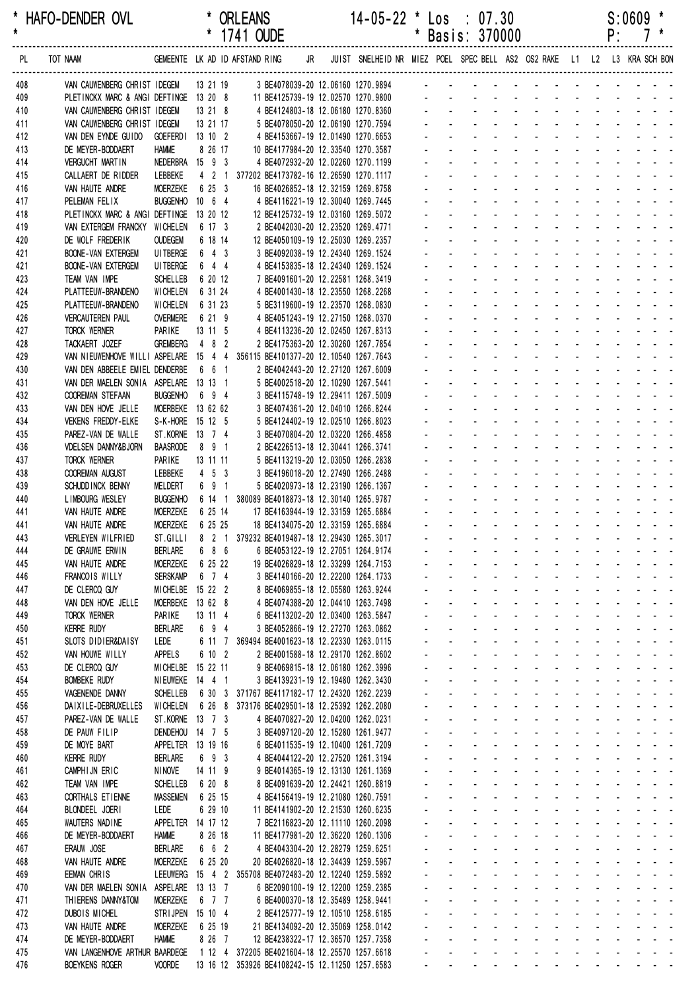\* HAFO-DENDER OVL \* ORLEANS 14-05-22 \* Los : 07.30 S:0609 \*

|            |                                                                                                 |                                      |                               |                                                                                                     |  |                      |                                             | Basis: 3/0000                                                |                                        |                                                                                                                |                            |                            |                   | ۲.                 |                     |                                                                               |  |
|------------|-------------------------------------------------------------------------------------------------|--------------------------------------|-------------------------------|-----------------------------------------------------------------------------------------------------|--|----------------------|---------------------------------------------|--------------------------------------------------------------|----------------------------------------|----------------------------------------------------------------------------------------------------------------|----------------------------|----------------------------|-------------------|--------------------|---------------------|-------------------------------------------------------------------------------|--|
| PL         | TOT NAAM                                                                                        |                                      |                               | GEMEENTE LKAD IDAFSTANDRING JR JUIST SNELHEIDNR MIEZ POEL SPECBELL AS2 OS2 RAKE L1 L2 L3 KRA SCHBON |  |                      |                                             |                                                              |                                        |                                                                                                                |                            |                            |                   |                    |                     |                                                                               |  |
| 408        | VAN CAUWENBERG CHRIST IDEGEM 13 21 19 3 BE4078039-20 12.06160 1270.9894 - - - - - - - - - - - - |                                      |                               |                                                                                                     |  |                      |                                             |                                                              |                                        |                                                                                                                |                            |                            |                   |                    |                     |                                                                               |  |
| 409        | PLETINCKX MARC & ANGI DEFTINGE 13 20 8                                                          |                                      |                               | 11 BE4125739-19 12.02570 1270.9800                                                                  |  |                      |                                             |                                                              |                                        |                                                                                                                |                            |                            |                   |                    |                     |                                                                               |  |
| 410        | VAN CAUWENBERG CHRIST IDEGEM                                                                    |                                      | 13 21 8                       | 4 BE4124803-18 12.06180 1270.8360                                                                   |  |                      |                                             | design and a state of the state of                           |                                        |                                                                                                                |                            |                            |                   |                    |                     |                                                                               |  |
| 411        | VAN CAUWENBERG CHRIST IDEGEM                                                                    |                                      | 13 21 17                      | 5 BE4078050-20 12.06190 1270.7594                                                                   |  |                      |                                             |                                                              |                                        | $\mathbf{r}$ , and $\mathbf{r}$ , and $\mathbf{r}$ , and $\mathbf{r}$                                          |                            |                            |                   |                    |                     |                                                                               |  |
| 412<br>413 | VAN DEN EYNDE GUIDO<br>DE MEYER-BODDAERT                                                        | GOEFERDI 13 10 2<br><b>HAMME</b>     | 8 26 17                       | 4 BE4153667-19 12.01490 1270.6653<br>10 BE4177984-20 12.33540 1270.3587                             |  |                      |                                             |                                                              |                                        |                                                                                                                |                            |                            |                   |                    |                     |                                                                               |  |
| 414        | <b>VERGUCHT MARTIN</b>                                                                          | NEDERBRA 15 9 3                      |                               | 4 BE4072932-20 12.02260 1270.1199                                                                   |  |                      |                                             |                                                              |                                        |                                                                                                                |                            |                            |                   |                    |                     |                                                                               |  |
| 415        | CALLAERT DE RIDDER                                                                              | LEBBEKE                              |                               | 4 2 1 377202 BE4173782-16 12.26590 1270.1117                                                        |  |                      |                                             |                                                              |                                        |                                                                                                                |                            |                            |                   |                    |                     |                                                                               |  |
| 416        | VAN HAUTE ANDRE                                                                                 | <b>MOERZEKE</b>                      | 6 25 3                        | 16 BE4026852-18 12.32159 1269.8758                                                                  |  |                      |                                             |                                                              |                                        |                                                                                                                |                            |                            |                   |                    |                     |                                                                               |  |
| 417        | PELEMAN FELIX                                                                                   | BUGGENHO 10 6 4                      |                               | 4 BE4116221-19 12.30040 1269.7445                                                                   |  |                      |                                             |                                                              |                                        |                                                                                                                | $\overline{a}$             |                            |                   |                    |                     |                                                                               |  |
| 418        | PLETINCKX MARC & ANGI DEFTINGE 13 20 12                                                         |                                      |                               | 12 BE4125732-19 12.03160 1269.5072                                                                  |  |                      |                                             |                                                              |                                        |                                                                                                                |                            |                            |                   |                    |                     |                                                                               |  |
| 419        | VAN EXTERGEM FRANCKY WICHELEN                                                                   |                                      | 6 17 3                        | 2 BE4042030-20 12.23520 1269.4771                                                                   |  |                      |                                             |                                                              |                                        |                                                                                                                |                            |                            |                   |                    |                     |                                                                               |  |
| 420<br>421 | DE WOLF FREDERIK<br><b>BOONE-VAN EXTERGEM</b>                                                   | <b>OUDEGEM</b><br>UI TBERGE          | 6 18 14<br>6 4 3              | 12 BE4050109-19 12.25030 1269.2357<br>3 BE4092038-19 12.24340 1269.1524                             |  |                      |                                             |                                                              |                                        |                                                                                                                |                            |                            |                   |                    |                     |                                                                               |  |
| 421        | <b>BOONE-VAN EXTERGEM</b>                                                                       | <b>UI TBERGE</b>                     | 6 4 4                         | 4 BE4153835-18 12.24340 1269.1524                                                                   |  |                      |                                             |                                                              |                                        |                                                                                                                |                            |                            |                   |                    |                     |                                                                               |  |
| 423        | TEAM VAN IMPE                                                                                   | <b>SCHELLEB</b>                      | 6 20 12                       | 7 BE4091601-20 12.22581 1268.3419                                                                   |  |                      |                                             |                                                              |                                        |                                                                                                                | $\mathbf{r}$               |                            |                   |                    |                     |                                                                               |  |
| 424        | PLATTEEUW-BRANDENO                                                                              | WICHELEN                             | 6 31 24                       | 4 BE4001430-18 12.23550 1268.2268                                                                   |  |                      |                                             |                                                              |                                        |                                                                                                                |                            |                            |                   |                    |                     |                                                                               |  |
| 425        | PLATTEEUW-BRANDENO                                                                              | WICHELEN                             | 6 31 23                       | 5 BE3119600-19 12.23570 1268.0830                                                                   |  |                      |                                             |                                                              |                                        |                                                                                                                |                            |                            |                   |                    |                     |                                                                               |  |
| 426        | <b>VERCAUTEREN PAUL</b>                                                                         | <b>OVERMERE</b>                      | 6 21 9                        | 4 BE4051243-19 12.27150 1268.0370                                                                   |  |                      |                                             |                                                              |                                        |                                                                                                                |                            |                            |                   |                    |                     |                                                                               |  |
| 427        | TORCK WERNER                                                                                    | PARIKE                               | $13 \t11 \t5$                 | 4 BE4113236-20 12.02450 1267.8313                                                                   |  |                      |                                             |                                                              |                                        |                                                                                                                |                            |                            |                   |                    |                     |                                                                               |  |
| 428        | TACKAERT JOZEF<br>VAN NIEUWENHOVE WILLI ASPELARE 15 4 4 356115 BE4101377-20 12.10540 1267.7643  | <b>GREMBERG</b>                      | 4 8 2                         | 2 BE4175363-20 12.30260 1267.7854                                                                   |  |                      |                                             |                                                              |                                        |                                                                                                                | $\overline{a}$             | $\sim$                     |                   |                    |                     |                                                                               |  |
| 429<br>430 | VAN DEN ABBEELE EMIEL DENDERBE                                                                  |                                      | 6 6 1                         | 2 BE4042443-20 12.27120 1267.6009                                                                   |  |                      |                                             |                                                              |                                        |                                                                                                                |                            |                            |                   |                    |                     |                                                                               |  |
| 431        | VAN DER MAELEN SONIA ASPELARE 13 13 1                                                           |                                      |                               | 5 BE4002518-20 12.10290 1267.5441                                                                   |  |                      |                                             |                                                              |                                        |                                                                                                                |                            |                            |                   |                    |                     |                                                                               |  |
| 432        | <b>COOREMAN STEFAAN</b>                                                                         | <b>BUGGENHO</b>                      | 6 9 4                         | 3 BE4115748-19 12.29411 1267.5009                                                                   |  |                      |                                             |                                                              |                                        |                                                                                                                |                            |                            |                   |                    |                     |                                                                               |  |
| 433        | VAN DEN HOVE JELLE                                                                              | MOERBEKE 13 62 62                    |                               | 3 BE4074361-20 12.04010 1266.8244                                                                   |  |                      |                                             |                                                              |                                        |                                                                                                                |                            |                            |                   |                    |                     |                                                                               |  |
| 434        | VEKENS FREDDY-ELKE                                                                              | S-K-HORE 15 12 5                     |                               | 5 BE4124402-19 12.02510 1266.8023                                                                   |  |                      |                                             |                                                              |                                        |                                                                                                                |                            |                            |                   |                    |                     |                                                                               |  |
| 435        | PAREZ-VAN DE WALLE                                                                              | ST.KORNE 13 7 4                      |                               | 3 BE4070804-20 12.03220 1266.4858                                                                   |  |                      |                                             |                                                              |                                        |                                                                                                                | $\overline{a}$             |                            |                   |                    |                     |                                                                               |  |
| 436        | <b>VDELSEN DANNY&amp;BJORN</b>                                                                  | <b>BAASRODE</b>                      | 8 9 1                         | 2 BE4226513-18 12.30441 1266.3741                                                                   |  |                      |                                             |                                                              |                                        |                                                                                                                |                            |                            |                   |                    |                     |                                                                               |  |
| 437<br>438 | <b>TORCK WERNER</b><br>COOREMAN AUGUST                                                          | PARIKE<br>LEBBEKE                    | 13 11 11<br>$4\quad 5\quad 3$ | 5 BE4113219-20 12.03050 1266.2838<br>3 BE4196018-20 12.27490 1266.2488                              |  |                      |                                             |                                                              |                                        |                                                                                                                |                            |                            |                   |                    |                     |                                                                               |  |
| 439        | SCHUDD INCK BENNY                                                                               | MELDERT                              | 691                           | 5 BE4020973-18 12.23190 1266.1367                                                                   |  |                      |                                             |                                                              |                                        |                                                                                                                |                            |                            |                   |                    |                     |                                                                               |  |
| 440        | LIMBOURG WESLEY                                                                                 | <b>BUGGENHO</b>                      | 6 14 1                        | 380089 BE4018873-18 12.30140 1265.9787                                                              |  |                      |                                             |                                                              |                                        |                                                                                                                | $\sim 100$                 |                            |                   |                    |                     |                                                                               |  |
| 441        | VAN HAUTE ANDRE                                                                                 | <b>MOERZEKE</b>                      | 6 25 14                       | 17 BE4163944-19 12.33159 1265.6884                                                                  |  |                      |                                             |                                                              |                                        | $\sim 100$                                                                                                     | $\mathcal{L}$              | $\sim 100$                 |                   |                    |                     | in the state of the state of the state of the                                 |  |
| 441        | VAN HAUTE ANDRE                                                                                 | <b>MOERZEKE</b>                      | 6 25 25                       | 18 BE4134075-20 12.33159 1265.6884                                                                  |  |                      |                                             |                                                              |                                        |                                                                                                                |                            |                            |                   | and a straight and |                     |                                                                               |  |
| 443        | VERLEYEN WILFRIED                                                                               | ST.GILLI                             |                               | 8 2 1 379232 BE4019487-18 12.29430 1265.3017                                                        |  |                      |                                             |                                                              |                                        |                                                                                                                | $\mathcal{L}^{\text{max}}$ | $\Delta \sim 100$          | $\Delta \sim 100$ |                    | $\Delta \phi = 0.1$ |                                                                               |  |
| 444        | DE GRAUWE ERWIN                                                                                 | <b>BERLARE</b>                       | 6 8 6                         | 6 BE4053122-19 12.27051 1264.9174                                                                   |  | $\mathbf{r}$         | $\mathbf{r}$                                | $\sim$                                                       |                                        | the companies of the companies of the companies of                                                             |                            |                            |                   |                    |                     |                                                                               |  |
| 445<br>446 | VAN HAUTE ANDRE<br><b>FRANCOIS WILLY</b>                                                        | <b>MOERZEKE</b><br><b>SERSKAMP</b>   | 6 25 22<br>6 7 4              | 19 BE4026829-18 12.33299 1264.7153<br>3 BE4140166-20 12.22200 1264.1733                             |  |                      |                                             |                                                              |                                        | $\mathcal{L}_{\text{max}}$ , and $\mathcal{L}_{\text{max}}$<br>and a straight                                  |                            | and the state of the state |                   |                    |                     |                                                                               |  |
| 447        | DE CLERCQ GUY                                                                                   | MICHELBE 15 22 2                     |                               | 8 BE4069855-18 12.05580 1263.9244                                                                   |  |                      | $\sim$                                      | $\sim$                                                       |                                        | and a series of the series of the                                                                              |                            |                            |                   |                    |                     |                                                                               |  |
| 448        | VAN DEN HOVE JELLE                                                                              | MOERBEKE 13 62 8                     |                               | 4 BE4074388-20 12.04410 1263.7498                                                                   |  | ä,                   | ä,                                          | $\mathcal{L}^{\mathcal{A}}$                                  | $\mathbf{L}^{\text{max}}$              | and a series of the series of the series of the series of the series of the series of the series of the series |                            |                            |                   |                    |                     |                                                                               |  |
| 449        | <b>TORCK WERNER</b>                                                                             | PARIKE                               | 13 11 4                       | 6 BE4113202-20 12.03400 1263.5847                                                                   |  |                      | $\mathcal{L}^{\pm}$                         | $\omega_{\rm{max}}$                                          | $\sim 100$                             | and a straight of                                                                                              |                            | $\Delta \sim 100$          | $\Delta \sim 100$ |                    |                     | $\mathbf{z} = \mathbf{z} + \mathbf{z} + \mathbf{z}$                           |  |
| 450        | <b>KERRE RUDY</b>                                                                               | <b>BERLARE</b>                       | 6 9 4                         | 3 BE4052866-19 12.27270 1263.0862                                                                   |  | $\blacksquare$       | $\mathbf{r}$                                | $\mathbf{r}$<br>$\sim$                                       |                                        | <b>All Cards</b>                                                                                               |                            | <b>All Service</b>         | $\Delta \sim 100$ |                    |                     |                                                                               |  |
| 451        | SLOTS DIDIER&DAISY                                                                              | LEDE                                 |                               | 6 11 7 369494 BE4001623-18 12.22330 1263.0115                                                       |  |                      |                                             |                                                              | $\omega$<br>$\Delta \sim 100$          | $\sim$                                                                                                         | $\omega_{\rm{max}}$        |                            |                   |                    |                     |                                                                               |  |
| 452        | VAN HOUWE WILLY                                                                                 | APPELS                               | 6 10 2                        | 2 BE4001588-18 12.29170 1262.8602                                                                   |  |                      | ÷.                                          | ÷.<br>$\sim$                                                 | $\mathcal{L}$                          |                                                                                                                | $\blacksquare$             |                            |                   |                    |                     | and a strain and a                                                            |  |
| 453        | DE CLERCQ GUY                                                                                   | MICHELBE 15 22 11<br>NIEUWEKE 14 4 1 |                               | 9 BE4069815-18 12.06180 1262.3996                                                                   |  | $\blacksquare$<br>ä, | $\mathbf{r}$<br>÷.                          | ÷.<br>$\sim$<br>÷.                                           | $\mathbf{r}$                           | $\sim 100$<br>the company of the company of the company of                                                     | $\mathcal{L}$              |                            |                   |                    |                     | $\mathbf{r} = \mathbf{r} + \mathbf{r} + \mathbf{r} + \mathbf{r} + \mathbf{r}$ |  |
| 454<br>455 | <b>BOMBEKE RUDY</b><br>VAGENENDE DANNY                                                          | <b>SCHELLEB</b>                      | 6 30 3                        | 3 BE4139231-19 12.19480 1262.3430<br>371767 BE4117182-17 12.24320 1262.2239                         |  | $\mathbf{r}$         |                                             | $\omega_{\rm{max}}$<br>and a state                           |                                        | and a series of the series of the                                                                              |                            |                            |                   |                    |                     |                                                                               |  |
| 456        | DAIXILE-DEBRUXELLES                                                                             | WICHELEN                             |                               | 6 26 8 373176 BE4029501-18 12.25392 1262.2080                                                       |  | $\mathbf{r}$         | $\mathcal{L}^{\pm}$                         | $\omega_{\rm{max}}$                                          | $\Delta \sim 100$<br>$\sim 100$        | $\Delta \sim 10^4$                                                                                             |                            | <b>All Cards</b>           |                   |                    |                     | and a straight and                                                            |  |
| 457        | PAREZ-VAN DE WALLE                                                                              | ST. KORNE 13 7 3                     |                               | 4 BE4070827-20 12.04200 1262.0231                                                                   |  |                      |                                             |                                                              |                                        | $\Delta\phi$ and $\Delta\phi$                                                                                  |                            |                            |                   |                    |                     |                                                                               |  |
| 458        | DE PAUW FILIP                                                                                   | DENDEHOU 14 7 5                      |                               | 3 BE4097120-20 12.15280 1261.9477                                                                   |  |                      | ÷.                                          |                                                              |                                        | and a straight                                                                                                 |                            |                            |                   |                    |                     | and a straight and a straight                                                 |  |
| 459        | DE MOYE BART                                                                                    | APPELTER 13 19 16                    |                               | 6 BE4011535-19 12.10400 1261.7209                                                                   |  |                      | $\mathcal{L}_{\mathcal{A}}$                 | $\mathbf{r}$<br>$\sim$                                       |                                        | and a state                                                                                                    |                            |                            |                   |                    |                     | and a straight and a straight                                                 |  |
| 460        | <b>KERRE RUDY</b>                                                                               | BERLARE                              | 6 9 3                         | 4 BE4044122-20 12.27520 1261.3194                                                                   |  | $\mathbf{r}$         | ÷.                                          | ÷.                                                           | $\Delta \sim 100$                      | and a series of the series of the series of the series of the series of the series of the series of the series |                            |                            |                   |                    |                     |                                                                               |  |
| 461        | CAMPHIJN ERIC                                                                                   | NINOVE                               | 14 11 9                       | 9 BE4014365-19 12.13130 1261.1369                                                                   |  |                      | $\omega_{\rm{max}}$                         | $\omega_{\rm{max}}$<br>$\omega_{\rm{max}}$                   | $\Delta \sim 100$                      | and a straightful and state<br>$\mathcal{L}^{\text{max}}$                                                      |                            |                            |                   |                    |                     | and a state of                                                                |  |
| 462<br>463 | TEAM VAN IMPE<br>CORTHALS ET IENNE                                                              | <b>SCHELLEB</b><br><b>MASSEMEN</b>   | 6 20 8<br>6 25 15             | 8 BE4091639-20 12.24421 1260.8819<br>4 BE4156419-19 12.21080 1260.7591                              |  | $\blacksquare$       |                                             | $\omega_{\rm{max}}$<br>$\omega_{\rm{max}}$<br>$\sim$         | $\sim 100$<br>$\Delta \sim 100$        | $\omega_{\rm{max}}=0.5$                                                                                        | $\omega$ .                 | <b>All Service</b>         | $\Delta \sim 100$ |                    |                     | $\mathbf{z} = \mathbf{z} + \mathbf{z} + \mathbf{z} + \mathbf{z}$              |  |
| 464        | BLONDEEL JOERI                                                                                  | LEDE                                 | 6 29 10                       | 11 BE4141902-20 12.21530 1260.6235                                                                  |  |                      | ÷.                                          | ÷.                                                           | $\mathcal{L}$                          |                                                                                                                | $\blacksquare$             |                            |                   |                    |                     | and a straight and a straight                                                 |  |
| 465        | WAUTERS NADINE                                                                                  | APPELTER 14 17 12                    |                               | 7 BE2116823-20 12.11110 1260.2098                                                                   |  |                      | ÷.                                          | $\mathbf{r}$<br>$\sim$                                       | $\omega$ .                             | $\sim$                                                                                                         | $\mathcal{L}$              |                            |                   |                    |                     | and a straight and a straight                                                 |  |
| 466        | DE MEYER-BODDAERT                                                                               | <b>HAMME</b>                         | 8 26 18                       | 11 BE4177981-20 12.36220 1260.1306                                                                  |  | $\blacksquare$       | $\mathcal{L}^{\mathcal{A}}$                 | ÷.                                                           | $\Delta \sim 100$                      | and a state                                                                                                    | $\Delta \sim 100$          |                            |                   |                    |                     | and a strain and a                                                            |  |
| 467        | ERAUW JOSE                                                                                      | BERLARE                              | 6 6 2                         | 4 BE4043304-20 12.28279 1259.6251                                                                   |  | $\mathbf{r}$         |                                             | $\omega_{\rm{max}}$<br>$\omega_{\rm{max}}$                   | $\sim 100$                             | $\Delta\phi$ and $\Delta\phi$ and $\Delta\phi$                                                                 | $\Delta \sim 100$          |                            |                   |                    |                     | and a straight and a straight                                                 |  |
| 468        | VAN HAUTE ANDRE                                                                                 | <b>MOERZEKE</b>                      | 6 25 20                       | 20 BE4026820-18 12.34439 1259.5967                                                                  |  | $\blacksquare$       | ¥.                                          | $\omega_{\rm{max}}$                                          | $\Delta \sim 100$<br>$\Delta \sim 100$ | $\sim$                                                                                                         | $\omega_{\rm{max}}$        |                            |                   |                    |                     | and a straight and                                                            |  |
| 469        | <b>EEMAN CHRIS</b>                                                                              | <b>LEEUWERG</b>                      |                               | 15 4 2 355708 BE4072483-20 12.12240 1259.5892                                                       |  |                      |                                             | $\sim$                                                       | $\omega$                               | $\sim 100$                                                                                                     |                            |                            |                   |                    |                     |                                                                               |  |
| 470<br>471 | VAN DER MAELEN SONIA<br>THIERENS DANNY&TOM                                                      | ASPELARE 13 13 7<br><b>MOERZEKE</b>  | 6 7 7                         | 6 BE2090100-19 12.12200 1259.2385<br>6 BE4000370-18 12.35489 1258.9441                              |  |                      | $\mathbf{r}$<br>$\mathcal{L}^{\mathcal{A}}$ | ÷.                                                           |                                        | and a straight<br>and a state                                                                                  | $\Delta \sim 100$          |                            |                   |                    |                     | and a straight and a straight<br>and a straight and a straight                |  |
| 472        | DUBOIS MICHEL                                                                                   | STRIJPEN 15 10 4                     |                               | 2 BE4125777-19 12.10510 1258.6185                                                                   |  | $\mathbf{r}$         | $\mathcal{L}^{\mathcal{A}}$                 | $\mathcal{L}^{\mathcal{A}}$<br>$\mathbb{Z}^+$                |                                        | and a straight and a straight                                                                                  |                            |                            |                   |                    |                     | $\omega_{\rm{eff}}=2.0\pm0.02$                                                |  |
| 473        | VAN HAUTE ANDRE                                                                                 | <b>MOERZEKE</b>                      | 6 25 19                       | 21 BE4134092-20 12.35069 1258.0142                                                                  |  |                      | $\omega_{\rm{max}}$                         | $\omega_{\rm{max}}$<br><b>All States</b>                     |                                        | and a straight and                                                                                             |                            |                            | $\Delta \sim 100$ |                    |                     | and a strain and                                                              |  |
| 474        | DE MEYER-BODDAERT                                                                               | <b>HAMME</b>                         | 8 26 7                        | 12 BE4238322-17 12.36570 1257.7358                                                                  |  |                      | $\mathbf{L}^{\text{max}}$                   | $\Delta \sim 100$<br>and a straightful contract and straight |                                        |                                                                                                                |                            |                            |                   |                    |                     | $\mathbf{z} = \mathbf{z} + \mathbf{z} + \mathbf{z} + \mathbf{z}$              |  |
| 475        | VAN LANGENHOVE ARTHUR BAARDEGE                                                                  |                                      |                               | 1 12 4 372205 BE4021604-18 12.25570 1257.6618                                                       |  |                      |                                             |                                                              |                                        |                                                                                                                |                            |                            |                   |                    |                     |                                                                               |  |
| 476        | <b>BOEYKENS ROGER</b>                                                                           | <b>VOORDE</b>                        |                               | 13 16 12 353926 BE4108242-15 12.11250 1257.6583                                                     |  |                      |                                             | and a series of the contract of the series of                |                                        |                                                                                                                |                            |                            |                   |                    |                     |                                                                               |  |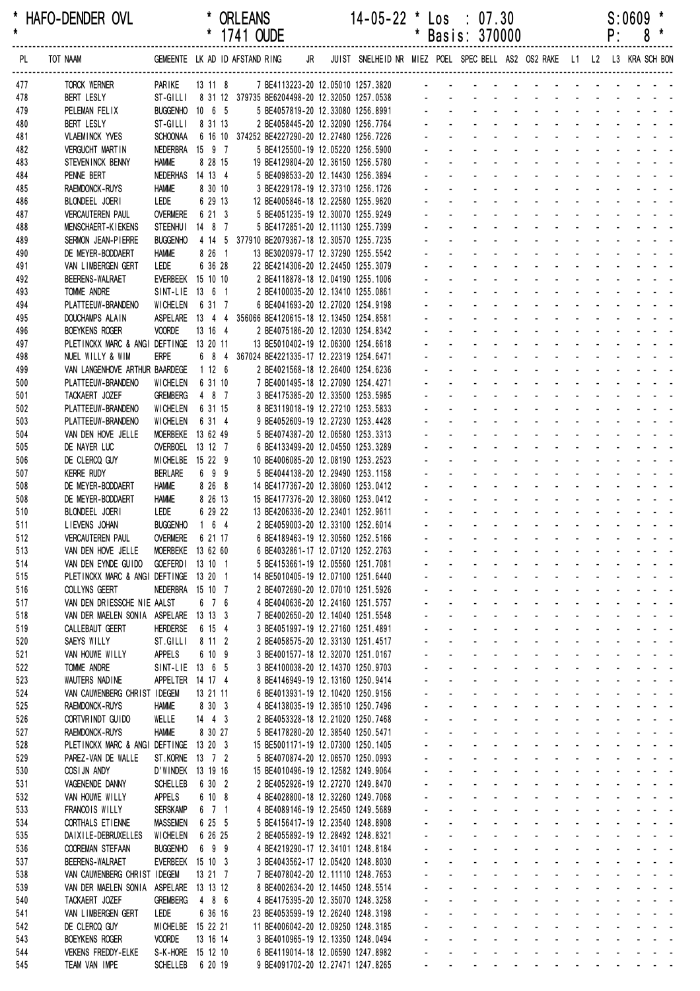\* HAFO-DENDER OVL \* ORLEANS 14-05-22 \* Los : 07.30 S:0609 \*

|            |                                                                      |                                    |                                 | 1/41 OUDE                                               |                                                                          |                                                                            |                                  |                                   | Basis: 3/0000                                                |                                                  |                                                         |                                                |                             |                          | ۲:                                  | ŏ                                                             |
|------------|----------------------------------------------------------------------|------------------------------------|---------------------------------|---------------------------------------------------------|--------------------------------------------------------------------------|----------------------------------------------------------------------------|----------------------------------|-----------------------------------|--------------------------------------------------------------|--------------------------------------------------|---------------------------------------------------------|------------------------------------------------|-----------------------------|--------------------------|-------------------------------------|---------------------------------------------------------------|
| PL         | TOT NAAM                                                             |                                    |                                 | GEMEENTE LK AD ID AFSTAND RING                          |                                                                          | JR JUIST SNELHEID NR MIEZ POEL SPEC BELL AS2 OS2 RAKE L1 L2 L3 KRA SCH BON |                                  |                                   |                                                              |                                                  |                                                         |                                                |                             |                          |                                     |                                                               |
| 477        | TORCK WERNER                                                         | PARIKE                             | 13 11 8                         |                                                         |                                                                          | 7 BE4113223-20 12.05010 1257.3820                                          |                                  |                                   |                                                              |                                                  |                                                         |                                                |                             |                          |                                     |                                                               |
| 478        | <b>BERT LESLY</b>                                                    |                                    |                                 | ST-GILLI 8 31 12 379735 BE6204498-20 12.32050 1257.0538 |                                                                          |                                                                            |                                  |                                   |                                                              |                                                  |                                                         |                                                |                             |                          |                                     |                                                               |
| 479        | PELEMAN FELIX                                                        | BUGGENHO 10 6 5                    |                                 |                                                         | 5 BE4057819-20 12.33080 1256.8991                                        |                                                                            |                                  |                                   |                                                              |                                                  |                                                         |                                                |                             |                          |                                     |                                                               |
| 480        | <b>BERT LESLY</b>                                                    | ST-GILLI                           | 8 31 13                         |                                                         | 2 BE4058445-20 12.32090 1256.7764                                        |                                                                            |                                  |                                   |                                                              |                                                  |                                                         |                                                |                             |                          |                                     |                                                               |
| 481        | <b>VLAEMINCK YVES</b>                                                | <b>SCHOONAA</b>                    |                                 | 6 16 10 374252 BE4227290-20 12.27480 1256.7226          |                                                                          |                                                                            |                                  |                                   |                                                              |                                                  |                                                         |                                                |                             |                          |                                     |                                                               |
| 482        | <b>VERGUCHT MARTIN</b>                                               | NEDERBRA 15 9 7<br><b>HAMME</b>    |                                 |                                                         | 5 BE4125500-19 12.05220 1256.5900                                        |                                                                            |                                  |                                   |                                                              |                                                  |                                                         |                                                |                             |                          |                                     |                                                               |
| 483<br>484 | STEVEN INCK BENNY<br>PENNE BERT                                      | <b>NEDERHAS</b>                    | 8 28 15<br>14 13 4              |                                                         | 19 BE4129804-20 12.36150 1256.5780<br>5 BE4098533-20 12.14430 1256.3894  |                                                                            |                                  |                                   |                                                              |                                                  |                                                         |                                                |                             |                          |                                     |                                                               |
| 485        | RAEMDONCK-RUYS                                                       | <b>HAMME</b>                       | 8 30 10                         |                                                         | 3 BE4229178-19 12.37310 1256.1726                                        |                                                                            |                                  |                                   |                                                              |                                                  |                                                         |                                                |                             |                          |                                     |                                                               |
| 486        | BLONDEEL JOERI                                                       | LEDE                               | 6 29 13                         |                                                         | 12 BE4005846-18 12.22580 1255.9620                                       |                                                                            |                                  |                                   |                                                              |                                                  |                                                         |                                                |                             |                          |                                     |                                                               |
| 487        | <b>VERCAUTEREN PAUL</b>                                              | <b>OVERMERE</b>                    | 6 21 3                          |                                                         | 5 BE4051235-19 12.30070 1255.9249                                        |                                                                            |                                  |                                   |                                                              |                                                  |                                                         |                                                |                             |                          |                                     |                                                               |
| 488        | MENSCHAERT-KIEKENS                                                   | <b>STEENHUI</b>                    | 14 8 7                          |                                                         | 5 BE4172851-20 12.11130 1255.7399                                        |                                                                            |                                  |                                   |                                                              |                                                  |                                                         |                                                |                             |                          |                                     |                                                               |
| 489        | SERMON JEAN-PIERRE                                                   | <b>BUGGENHO</b>                    |                                 | 4 14 5 377910 BE2079367-18 12.30570 1255.7235           |                                                                          |                                                                            |                                  |                                   |                                                              |                                                  |                                                         |                                                |                             |                          |                                     |                                                               |
| 490        | DE MEYER-BODDAERT                                                    | <b>HAMME</b>                       | 8 26 1                          |                                                         | 13 BE3020979-17 12.37290 1255.5542                                       |                                                                            |                                  |                                   |                                                              |                                                  |                                                         |                                                |                             |                          |                                     |                                                               |
| 491<br>492 | VAN LIMBERGEN GERT<br><b>BEERENS-WALRAET</b>                         | LEDE<br>EVERBEEK 15 10 10          | 6 36 28                         |                                                         | 22 BE4214306-20 12.24450 1255.3079<br>2 BE4118878-18 12.04190 1255.1006  |                                                                            |                                  |                                   |                                                              |                                                  |                                                         |                                                |                             |                          |                                     |                                                               |
| 493        | <b>TOMME ANDRE</b>                                                   | SINT-LIE 13 6 1                    |                                 |                                                         | 2 BE4100035-20 12.13410 1255.0861                                        |                                                                            |                                  |                                   |                                                              |                                                  |                                                         |                                                |                             |                          |                                     |                                                               |
| 494        | PLATTEEUW-BRANDENO                                                   | WICHELEN                           | 6 31 7                          |                                                         | 6 BE4041693-20 12.27020 1254.9198                                        |                                                                            |                                  |                                   |                                                              |                                                  |                                                         |                                                |                             |                          |                                     |                                                               |
| 495        | DOUCHAMPS ALAIN                                                      |                                    |                                 | ASPELARE 13 4 4 356066 BE4120615-18 12.13450 1254.8581  |                                                                          |                                                                            |                                  |                                   |                                                              |                                                  |                                                         |                                                |                             |                          |                                     |                                                               |
| 496        | <b>BOEYKENS ROGER</b>                                                | <b>VOORDE</b>                      | 13 16 4                         |                                                         | 2 BE4075186-20 12.12030 1254.8342                                        |                                                                            |                                  |                                   |                                                              |                                                  |                                                         |                                                |                             |                          |                                     |                                                               |
| 497        | PLETINCKX MARC & ANGI DEFTINGE 13 20 11                              |                                    |                                 |                                                         | 13 BE5010402-19 12.06300 1254.6618                                       |                                                                            |                                  |                                   |                                                              |                                                  |                                                         |                                                |                             |                          |                                     |                                                               |
| 498        | NUEL WILLY & WIM                                                     | <b>ERPE</b>                        |                                 | 6 8 4 367024 BE4221335-17 12.22319 1254.6471            |                                                                          |                                                                            |                                  |                                   |                                                              |                                                  |                                                         | $\overline{a}$                                 |                             |                          |                                     |                                                               |
| 499        | VAN LANGENHOVE ARTHUR BAARDEGE                                       |                                    | 1126                            |                                                         | 2 BE4021568-18 12.26400 1254.6236                                        |                                                                            |                                  |                                   |                                                              |                                                  |                                                         |                                                |                             |                          |                                     |                                                               |
| 500<br>501 | PLATTEEUW-BRANDENO<br>TACKAERT JOZEF                                 | WICHELEN<br><b>GREMBERG</b>        | 6 31 10<br>4 8 7                |                                                         | 7 BE4001495-18 12.27090 1254.4271<br>3 BE4175385-20 12.33500 1253.5985   |                                                                            |                                  |                                   |                                                              |                                                  |                                                         |                                                |                             |                          |                                     |                                                               |
| 502        | PLATTEEUW-BRANDENO                                                   | <b>WICHELEN</b>                    | 6 31 15                         |                                                         | 8 BE3119018-19 12.27210 1253.5833                                        |                                                                            |                                  |                                   |                                                              |                                                  |                                                         |                                                |                             |                          |                                     |                                                               |
| 503        | PLATTEEUW-BRANDENO                                                   | <b>WICHELEN</b>                    | 6 31 4                          |                                                         | 9 BE4052609-19 12.27230 1253.4428                                        |                                                                            |                                  |                                   |                                                              |                                                  |                                                         |                                                |                             |                          |                                     |                                                               |
| 504        | VAN DEN HOVE JELLE                                                   | MOERBEKE 13 62 49                  |                                 |                                                         | 5 BE4074387-20 12.06580 1253.3313                                        |                                                                            |                                  |                                   |                                                              |                                                  |                                                         |                                                |                             |                          |                                     |                                                               |
| 505        | DE NAYER LUC                                                         | OVERBOEL 13 12 7                   |                                 |                                                         | 6 BE4133499-20 12.04550 1253.3289                                        |                                                                            |                                  |                                   |                                                              |                                                  |                                                         |                                                |                             |                          |                                     |                                                               |
| 506        | DE CLERCQ GUY                                                        | MICHELBE 15 22 9                   |                                 |                                                         | 10 BE4006085-20 12.08190 1253.2523                                       |                                                                            |                                  |                                   |                                                              |                                                  |                                                         |                                                |                             |                          |                                     |                                                               |
| 507        | <b>KERRE RUDY</b>                                                    | <b>BERLARE</b>                     | 6 9 9                           |                                                         | 5 BE4044138-20 12.29490 1253.1158                                        |                                                                            |                                  |                                   |                                                              |                                                  |                                                         |                                                |                             |                          |                                     |                                                               |
| 508        | DE MEYER-BODDAERT                                                    | <b>HAMME</b>                       | 8 26 8                          |                                                         | 14 BE4177367-20 12.38060 1253.0412                                       |                                                                            |                                  |                                   |                                                              |                                                  |                                                         |                                                |                             |                          |                                     |                                                               |
| 508<br>510 | DE MEYER-BODDAERT<br>BLONDEEL JOERI                                  | <b>HAMME</b><br>LEDE               | 8 26 13<br>6 29 22              |                                                         | 15 BE4177376-20 12.38060 1253.0412<br>13 BE4206336-20 12.23401 1252.9611 |                                                                            |                                  |                                   |                                                              |                                                  | $\sim$                                                  | $\overline{a}$                                 | $\sim$                      | $\sim 100$               | $\sim$                              |                                                               |
| 511        | LIEVENS JOHAN                                                        | <b>BUGGENHO</b>                    | $164$                           |                                                         | 2 BE4059003-20 12.33100 1252.6014                                        |                                                                            |                                  |                                   |                                                              |                                                  |                                                         |                                                |                             |                          |                                     |                                                               |
| 512        | <b>VERCAUTEREN PAUL</b>                                              | <b>OVERMERE</b>                    | 6 21 17                         |                                                         | 6 BE4189463-19 12.30560 1252.5166                                        |                                                                            |                                  |                                   |                                                              |                                                  |                                                         | ÷.                                             |                             |                          |                                     |                                                               |
| 513        | VAN DEN HOVE JELLE                                                   | MOERBEKE 13 62 60                  |                                 |                                                         | 6 BE4032861-17 12.07120 1252.2763                                        |                                                                            |                                  |                                   |                                                              |                                                  |                                                         | $\mathcal{L}^{\text{max}}$                     | $\sim$                      | $\sim$                   |                                     |                                                               |
| 514        | VAN DEN EYNDE GUIDO                                                  | GOEFERDI 13 10 1                   |                                 |                                                         | 5 BE4153661-19 12.05560 1251.7081                                        |                                                                            |                                  |                                   |                                                              |                                                  | $\sim$ 100 $\sim$ 100 $\sim$                            | <b>Contract Contract</b>                       |                             |                          |                                     | <b>Service</b> Service                                        |
| 515        | PLETINCKX MARC & ANGI DEFTINGE 13 20 1                               |                                    |                                 |                                                         | 14 BE5010405-19 12.07100 1251.6440                                       |                                                                            |                                  |                                   |                                                              |                                                  |                                                         | $\blacksquare$                                 |                             |                          |                                     |                                                               |
| 516        | COLLYNS GEERT                                                        | NEDERBRA 15 10 7                   |                                 |                                                         | 2 BE4072690-20 12.07010 1251.5926                                        |                                                                            |                                  |                                   |                                                              |                                                  | $\omega_{\rm{max}}=0.1$                                 | $\mathbf{r}$                                   | $\mathbf{r}$                | <b>Contract Contract</b> |                                     | <b>Contractor</b>                                             |
| 517<br>518 | VAN DEN DRIESSCHE NIE AALST<br>VAN DER MAELEN SONIA ASPELARE 13 13 3 |                                    | 6 7 6                           |                                                         | 4 BE4040636-20 12.24160 1251.5757                                        |                                                                            | ä,<br>ä,                         | ÷.<br>$\sim$                      | $\mathbf{r}$<br>$\mathbf{r}$<br>$\mathbf{r}$<br>$\mathbf{r}$ |                                                  | and a state<br>$\Delta \sim 100$<br>$\omega_{\rm{max}}$ | $\Delta \sim 100$<br>$\mathbf{L}^{\text{max}}$ | $\mathcal{L}^{\text{max}}$  | $\Delta \sim 10^4$       | and a strategic and<br>$\mathbf{r}$ |                                                               |
| 519        | CALLEBAUT GEERT                                                      | <b>HERDERSE</b>                    | 6 15 4                          |                                                         | 7 BE4002650-20 12.14040 1251.5548<br>3 BE4051997-19 12.27160 1251.4891   |                                                                            | $\blacksquare$                   | $\mathbf{r}$                      | $\blacksquare$<br>$\blacksquare$                             |                                                  | $\omega_{\rm{max}}$<br>$\sim$                           | $\omega_{\rm{max}}$                            | $\mathbf{r}$                |                          |                                     |                                                               |
| 520        | SAEYS WILLY                                                          | ST.GILLI                           | 8 11 2                          |                                                         | 2 BE4058575-20 12.33130 1251.4517                                        |                                                                            |                                  |                                   |                                                              | $\mathcal{L}_{\mathcal{A}}$                      |                                                         |                                                |                             |                          |                                     |                                                               |
| 521        | VAN HOUWE WILLY                                                      | <b>APPELS</b>                      | 6 10 9                          |                                                         | 3 BE4001577-18 12.32070 1251.0167                                        |                                                                            |                                  |                                   |                                                              | $\blacksquare$                                   |                                                         | $\blacksquare$                                 |                             |                          | and the company                     | $\omega_{\rm{max}}$                                           |
| 522        | <b>TOMME ANDRE</b>                                                   | SINT-LIE 13 6 5                    |                                 |                                                         | 3 BE4100038-20 12.14370 1250.9703                                        |                                                                            |                                  | $\mathbf{r}$                      | $\mathcal{L}^{\mathcal{A}}$<br>$\mathbf{r}$                  | $\mathbf{r}$                                     | $\sim 100$                                              | $\mathbf{r}$                                   | $\mathbf{r}$                |                          |                                     | and the state of the state of                                 |
| 523        | <b>WAUTERS NADINE</b>                                                | APPELTER 14 17 4                   |                                 |                                                         | 8 BE4146949-19 12.13160 1250.9414                                        |                                                                            | ä,                               | $\mathcal{L}^{\pm}$               | $\mathbf{r}$<br>$\sim$                                       |                                                  | and a state                                             | $\mathbb{Z}^2$                                 |                             |                          |                                     | and a strain and a                                            |
| 524        | VAN CAUWENBERG CHRIST IDEGEM                                         |                                    | 13 21 11                        |                                                         | 6 BE4013931-19 12.10420 1250.9156                                        |                                                                            | $\blacksquare$                   |                                   | $\Delta \sim 100$<br>$\omega_{\rm{max}}$                     | $\omega_{\rm{max}}$<br>$\mathbf{L}^{\text{max}}$ | $\Delta \sim 100$                                       | $\omega_{\rm{max}}$                            |                             |                          |                                     | and a strain and a                                            |
| 525        | RAEMDONCK-RUYS                                                       | <b>HAMME</b>                       | 8 30 3                          |                                                         | 4 BE4138035-19 12.38510 1250.7496                                        |                                                                            | $\blacksquare$                   | $\mathbf{r}$                      | $\omega_{\rm{max}}$<br>$\mathbf{r}$                          | $\mathcal{L}_{\mathrm{max}}$                     |                                                         |                                                |                             | $\sim$                   |                                     |                                                               |
| 526<br>527 | CORTVRINDT GUIDO<br>RAEMDONCK-RUYS                                   | WELLE<br><b>HAMME</b>              | $14 \quad 4 \quad 3$<br>8 30 27 |                                                         | 2 BE4053328-18 12.21020 1250.7468<br>5 BE4178280-20 12.38540 1250.5471   |                                                                            |                                  |                                   |                                                              | $\blacksquare$                                   | $\sim$                                                  | $\blacksquare$                                 |                             |                          | $\sim$                              | and the state of the                                          |
| 528        | PLETINCKX MARC & ANGI DEFTINGE 13 20 3                               |                                    |                                 |                                                         | 15 BE5001171-19 12.07300 1250.1405                                       |                                                                            | ÷.                               | $\sim$                            | ÷.                                                           |                                                  | $\omega_{\rm{max}}$ and $\omega_{\rm{max}}$             | $\sim$                                         | $\mathcal{L}^{\mathcal{A}}$ |                          |                                     | and the state of the state of the                             |
| 529        | PAREZ-VAN DE WALLE                                                   | ST.KORNE 13 7 2                    |                                 |                                                         | 5 BE4070874-20 12.06570 1250.0993                                        |                                                                            | ä,                               | $\mathcal{L}^{\mathcal{L}}$       | ÷.<br>$\mathbf{r}$                                           |                                                  | and a state                                             | ÷.                                             | ÷.                          | <b>College</b>           |                                     | and a state                                                   |
| 530        | COSIJN ANDY                                                          | D'WINDEK 13 19 16                  |                                 |                                                         | 15 BE4010496-19 12.12582 1249.9064                                       |                                                                            | ÷.                               |                                   | $\Delta \sim 100$<br>$\omega_{\rm{max}}$<br>$\omega$         |                                                  | and a state                                             | $\omega_{\rm{max}}$                            | $\mathcal{L}^{\text{max}}$  | $\Delta \sim 10^4$       | $\sim 100$                          |                                                               |
| 531        | VAGENENDE DANNY                                                      | <b>SCHELLEB</b>                    | 6 30 2                          |                                                         | 2 BE4052926-19 12.27270 1249.8470                                        |                                                                            | $\blacksquare$                   | $\mathcal{L}_{\mathrm{max}}$      | $\omega_{\rm{max}}$<br>$\mathbf{r}$                          | $\mathcal{L}^{\text{max}}$                       | $\sim$                                                  | $\mathbf{a}$                                   | $\omega_{\rm{max}}$         | $\Delta \sim 10^4$       |                                     |                                                               |
| 532        | VAN HOUWE WILLY                                                      | <b>APPELS</b>                      | 6 10 8                          |                                                         | 4 BE4028800-18 12.32260 1249.7068                                        |                                                                            |                                  | $\omega$                          | $\omega$<br>$\blacksquare$                                   | $\blacksquare$                                   |                                                         |                                                |                             |                          |                                     |                                                               |
| 533        | FRANCOIS WILLY                                                       | <b>SERSKAMP</b>                    | $6$ 7 1                         |                                                         | 4 BE4089146-19 12.25450 1249.5689                                        |                                                                            |                                  |                                   |                                                              | ä,                                               |                                                         | ä,                                             |                             |                          | and the company                     | $\omega_{\rm{max}}$                                           |
| 534        | CORTHALS ET IENNE                                                    | <b>MASSEMEN</b>                    | 6 25 5<br>6 26 25               |                                                         | 5 BE4156417-19 12.23540 1248.8908                                        |                                                                            | ÷.                               | $\mathcal{L}^{\mathcal{A}}$<br>¥. | $\mathcal{L}^{\mathcal{A}}$<br>÷.                            | ä,                                               | $\sim$<br>$\sim 100$                                    | $\mathbf{r}$<br>L.                             | $\mathcal{L}^{\mathcal{A}}$ |                          |                                     | and the state of the state of<br>and the contract of the con- |
| 535<br>536 | DAIXILE-DEBRUXELLES<br>COOREMAN STEFAAN                              | WICHELEN<br><b>BUGGENHO</b>        | 699                             |                                                         | 2 BE4055892-19 12.28492 1248.8321<br>4 BE4219290-17 12.34101 1248.8184   |                                                                            | $\blacksquare$<br>$\blacksquare$ | $\mathcal{L}^{\pm}$               | $\omega_{\rm{max}}$                                          | $\mathbf{L}^{\text{max}}$                        | $\omega_{\rm{max}}$<br>$\Delta \sim 10^{-1}$            | $\omega_{\rm{max}}$                            | $\mathbf{L}^{\text{max}}$   |                          |                                     | and a straight and                                            |
| 537        | <b>BEERENS-WALRAET</b>                                               | EVERBEEK 15 10 3                   |                                 |                                                         | 3 BE4043562-17 12.05420 1248.8030                                        |                                                                            | $\blacksquare$                   | $\omega$                          | $\omega_{\rm{max}}$<br>$\blacksquare$                        | $\blacksquare$                                   |                                                         |                                                |                             | $\Delta \sim 10^4$       |                                     | and a state of                                                |
| 538        | VAN CAUWENBERG CHRIST IDEGEM                                         |                                    | 13 21 7                         |                                                         | 7 BE4078042-20 12.11110 1248.7653                                        |                                                                            |                                  |                                   |                                                              |                                                  |                                                         |                                                |                             |                          |                                     |                                                               |
| 539        | VAN DER MAELEN SONIA                                                 | ASPELARE                           | 13 13 12                        |                                                         | 8 BE4002634-20 12.14450 1248.5514                                        |                                                                            |                                  |                                   |                                                              | $\blacksquare$                                   | $\sim$                                                  | $\blacksquare$                                 |                             | $\sim$                   | $\sim$                              | $\mathcal{L} = \mathcal{L} \mathcal{L}$                       |
| 540        | TACKAERT JOZEF                                                       | <b>GREMBERG</b>                    | 4 8 6                           |                                                         | 4 BE4175395-20 12.35070 1248.3258                                        |                                                                            |                                  |                                   |                                                              |                                                  | $\sim$                                                  | $\mathbf{r}$                                   |                             | $\Delta \sim 100$        |                                     | and a state of                                                |
| 541        | VAN LIMBERGEN GERT                                                   | LEDE                               | 6 36 16                         |                                                         | 23 BE4053599-19 12.26240 1248.3198                                       |                                                                            |                                  | $\mathbf{r}$                      | $\mathcal{L}^{\mathcal{A}}$<br>$\mathbf{r}$                  | ä,                                               | $\sim 100$                                              | $\mathbf{r}$                                   | $\mathcal{L}^{\mathcal{A}}$ | <b>Contractor</b>        | ÷.                                  |                                                               |
| 542        | DE CLERCQ GUY                                                        | MICHELBE 15 22 21                  |                                 |                                                         | 11 BE4006042-20 12.09250 1248.3185                                       |                                                                            | $\mathbf{L}^{\text{max}}$        |                                   | $\Delta \sim 100$<br>$\sim 100$                              | $\Delta \sim 100$                                | and a state                                             | $\Delta \sim 100$                              | $\mathcal{L}^{\text{max}}$  | $\Delta \sim 10^4$       |                                     | and a state of                                                |
| 543<br>544 | <b>BOEYKENS ROGER</b><br><b>VEKENS FREDDY-ELKE</b>                   | <b>VOORDE</b><br>S-K-HORE 15 12 10 | 13 16 14                        |                                                         | 3 BE4010965-19 12.13350 1248.0494<br>6 BE4119014-18 12.06590 1247.8982   |                                                                            |                                  | $\omega_{\rm{max}}$               | $\omega_{\rm{max}}$<br><b>All Service</b>                    |                                                  | $\omega_{\rm{max}}$<br>$\sim 100$                       | $\Delta \sim 100$                              | $\mathcal{L}^{\text{max}}$  | $\sim$ $-$               |                                     | and a strain and                                              |
| 545        | TEAM VAN IMPE                                                        | <b>SCHELLEB</b>                    | 6 20 19                         |                                                         | 9 BE4091702-20 12.27471 1247.8265                                        |                                                                            |                                  |                                   |                                                              |                                                  |                                                         |                                                |                             |                          |                                     | and a strain and a strain and a strain                        |
|            |                                                                      |                                    |                                 |                                                         |                                                                          |                                                                            |                                  |                                   |                                                              |                                                  |                                                         |                                                |                             |                          |                                     |                                                               |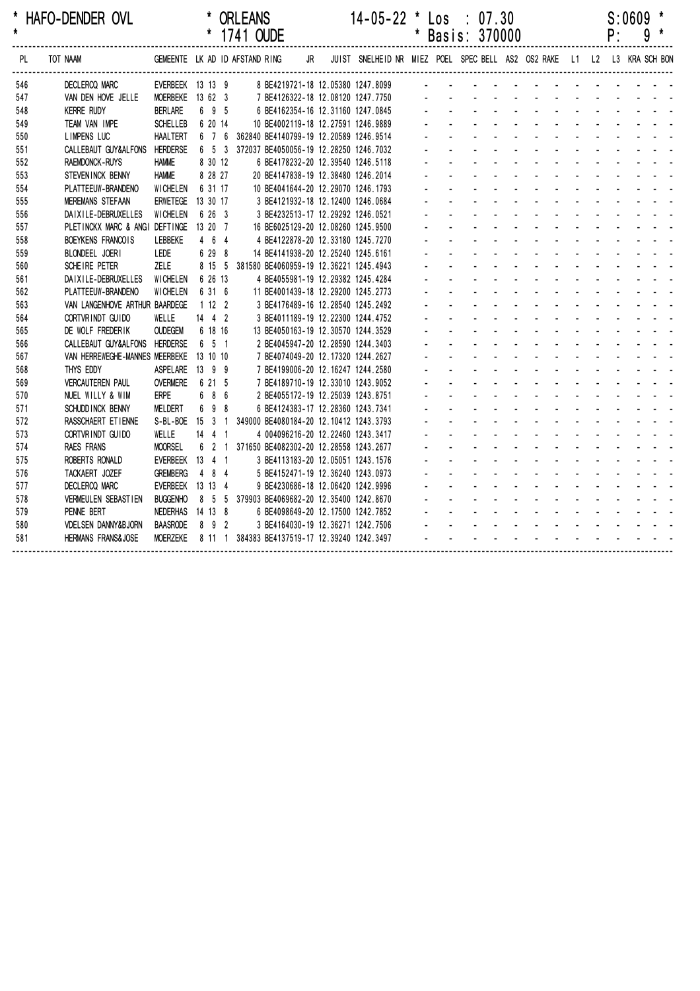| $\star$ | HAFO-DENDER OVL                |                                |          |                      | * ORLEANS<br>* 1741 OUDE |  |    | $14-05-22$ * Los : 07.30                                                | Basis: 370000 |  |  |  |  | P: | S:0609 | 9 |  |
|---------|--------------------------------|--------------------------------|----------|----------------------|--------------------------|--|----|-------------------------------------------------------------------------|---------------|--|--|--|--|----|--------|---|--|
| PL      | TOT NAAM                       | GEMEENTE LK AD ID AFSTAND RING |          |                      |                          |  | JR | JUIST SNELHEID NR MIEZ POEL SPEC BELL AS2 OS2 RAKE L1 L2 L3 KRA SCH BON |               |  |  |  |  |    |        |   |  |
| 546     | DECLERCQ MARC                  | EVERBEEK 13 13 9               |          |                      |                          |  |    | 8 BE4219721-18 12.05380 1247.8099                                       |               |  |  |  |  |    |        |   |  |
| 547     | VAN DEN HOVE JELLE             | MOERBEKE 13 62 3               |          |                      |                          |  |    | 7 BE4126322-18 12.08120 1247.7750                                       |               |  |  |  |  |    |        |   |  |
| 548     | <b>KERRE RUDY</b>              | <b>BERLARE</b>                 |          | 6 9 5                |                          |  |    | 6 BE4162354-16 12.31160 1247.0845                                       |               |  |  |  |  |    |        |   |  |
| 549     | TEAM VAN IMPE                  | <b>SCHELLEB</b>                |          | 6 20 14              |                          |  |    | 10 BE4002119-18 12.27591 1246.9889                                      |               |  |  |  |  |    |        |   |  |
| 550     | <b>LIMPENS LUC</b>             | <b>HAALTERT</b>                |          |                      |                          |  |    | 6 7 6 362840 BE4140799-19 12.20589 1246.9514                            |               |  |  |  |  |    |        |   |  |
| 551     | CALLEBAUT GUY&ALFONS HERDERSE  |                                |          |                      |                          |  |    | 6 5 3 372037 BE4050056-19 12.28250 1246.7032                            |               |  |  |  |  |    |        |   |  |
| 552     | <b>RAEMDONCK-RUYS</b>          | <b>HAMME</b>                   |          | 8 30 12              |                          |  |    | 6 BE4178232-20 12.39540 1246.5118                                       |               |  |  |  |  |    |        |   |  |
| 553     | STEVENINCK BENNY               | <b>HAMME</b>                   |          | 8 28 27              |                          |  |    | 20 BE4147838-19 12.38480 1246.2014                                      |               |  |  |  |  |    |        |   |  |
| 554     | PLATTEEUW-BRANDENO             | <b>WICHELEN</b>                |          | 6 31 17              |                          |  |    | 10 BE4041644-20 12.29070 1246.1793                                      |               |  |  |  |  |    |        |   |  |
| 555     | <b>MEREMANS STEFAAN</b>        | ERWETEGE 13 30 17              |          |                      |                          |  |    | 3 BE4121932-18 12.12400 1246.0684                                       |               |  |  |  |  |    |        |   |  |
| 556     | DAIXILE-DEBRUXELLES            | <b>WICHELEN</b>                |          | 6 26 3               |                          |  |    | 3 BE4232513-17 12.29292 1246.0521                                       |               |  |  |  |  |    |        |   |  |
| 557     | PLETINCKX MARC & ANGI DEFTINGE |                                | 13 20 7  |                      |                          |  |    | 16 BE6025129-20 12.08260 1245.9500                                      |               |  |  |  |  |    |        |   |  |
| 558     | BOEYKENS FRANCOIS              | LEBBEKE                        |          | 464                  |                          |  |    | 4 BE4122878-20 12.33180 1245.7270                                       |               |  |  |  |  |    |        |   |  |
| 559     | BLONDEEL JOERI                 | LEDE                           |          | 6 29 8               |                          |  |    | 14 BE4141938-20 12.25240 1245.6161                                      |               |  |  |  |  |    |        |   |  |
| 560     | SCHEIRE PETER                  | <b>ZELE</b>                    |          | 8 15 5               |                          |  |    | 381580 BE4060959-19 12.36221 1245.4943                                  |               |  |  |  |  |    |        |   |  |
| 561     | DAIXILE-DEBRUXELLES            | <b>WICHELEN</b>                |          | 6 26 13              |                          |  |    | 4 BE4055981-19 12.29382 1245.4284                                       |               |  |  |  |  |    |        |   |  |
| 562     | PLATTEEUW-BRANDENO             | WICHELEN                       |          | 6 31 6               |                          |  |    | 11 BE4001439-18 12.29200 1245.2773                                      |               |  |  |  |  |    |        |   |  |
| 563     | VAN LANGENHOVE ARTHUR BAARDEGE |                                | 1122     |                      |                          |  |    | 3 BE4176489-16 12.28540 1245.2492                                       |               |  |  |  |  |    |        |   |  |
| 564     | CORTVRINDT GUIDO               | WELLE                          |          | $14 \quad 4 \quad 2$ |                          |  |    | 3 BE4011189-19 12.22300 1244.4752                                       |               |  |  |  |  |    |        |   |  |
| 565     | DE WOLF FREDERIK               | <b>OUDEGEM</b>                 |          | 6 18 16              |                          |  |    | 13 BE4050163-19 12.30570 1244.3529                                      |               |  |  |  |  |    |        |   |  |
| 566     | CALLEBAUT GUY&ALFONS HERDERSE  |                                |          | 6 5 1                |                          |  |    | 2 BE4045947-20 12.28590 1244.3403                                       |               |  |  |  |  |    |        |   |  |
| 567     | VAN HERREWEGHE-MANNES MEERBEKE |                                | 13 10 10 |                      |                          |  |    | 7 BE4074049-20 12.17320 1244.2627                                       |               |  |  |  |  |    |        |   |  |
| 568     | THYS EDDY                      | ASPELARE                       | 13 9 9   |                      |                          |  |    | 7 BE4199006-20 12.16247 1244.2580                                       |               |  |  |  |  |    |        |   |  |
| 569     | <b>VERCAUTEREN PAUL</b>        | <b>OVERMERE</b>                |          | 6 21 5               |                          |  |    | 7 BE4189710-19 12.33010 1243.9052                                       |               |  |  |  |  |    |        |   |  |
| 570     | NUEL WILLY & WIM               | <b>ERPE</b>                    |          | 6 8 6                |                          |  |    | 2 BE4055172-19 12.25039 1243.8751                                       |               |  |  |  |  |    |        |   |  |
| 571     | SCHUDD INCK BENNY              | MELDERT                        |          | 6 9 8                |                          |  |    | 6 BE4124383-17 12.28360 1243.7341                                       |               |  |  |  |  |    |        |   |  |
| 572     | RASSCHAERT ET IENNE            | S-BL-BOE 15 3 1                |          |                      |                          |  |    | 349000 BE4080184-20 12.10412 1243.3793                                  |               |  |  |  |  |    |        |   |  |
| 573     | CORTVRINDT GUIDO               | WELLE                          |          | $14$ 4 1             |                          |  |    | 4 004096216-20 12.22460 1243.3417                                       |               |  |  |  |  |    |        |   |  |
| 574     | <b>RAES FRANS</b>              | <b>MOORSEL</b>                 |          | $6 \quad 2 \quad 1$  |                          |  |    | 371650 BE4082302-20 12.28558 1243.2677                                  |               |  |  |  |  |    |        |   |  |
| 575     | ROBERTS RONALD                 | EVERBEEK 13 4 1                |          |                      |                          |  |    | 3 BE4113183-20 12.05051 1243.1576                                       |               |  |  |  |  |    |        |   |  |
| 576     | TACKAERT JOZEF                 | <b>GREMBERG</b>                |          | 484                  |                          |  |    | 5 BE4152471-19 12.36240 1243.0973                                       |               |  |  |  |  |    |        |   |  |
| 577     | <b>DECLERCQ MARC</b>           | EVERBEEK 13 13 4               |          |                      |                          |  |    | 9 BE4230686-18 12.06420 1242.9996                                       |               |  |  |  |  |    |        |   |  |
| 578     | <b>VERMEULEN SEBASTIEN</b>     | <b>BUGGENHO</b>                |          |                      |                          |  |    | 8 5 5 379903 BE4069682-20 12.35400 1242.8670                            |               |  |  |  |  |    |        |   |  |
| 579     | PENNE BERT                     | NEDERHAS                       | 14 13 8  |                      |                          |  |    | 6 BE4098649-20 12.17500 1242.7852                                       |               |  |  |  |  |    |        |   |  |
| 580     | <b>VDELSEN DANNY&amp;BJORN</b> | <b>BAASRODE</b>                |          | 8 9 2                |                          |  |    | 3 BE4164030-19 12.36271 1242.7506                                       |               |  |  |  |  |    |        |   |  |
| 581     | <b>HERMANS FRANS&amp;JOSE</b>  | <b>MOERZEKE</b>                |          |                      |                          |  |    | 8 11 1 384383 BE4137519-17 12.39240 1242.3497                           |               |  |  |  |  |    |        |   |  |
|         |                                |                                |          |                      |                          |  |    |                                                                         |               |  |  |  |  |    |        |   |  |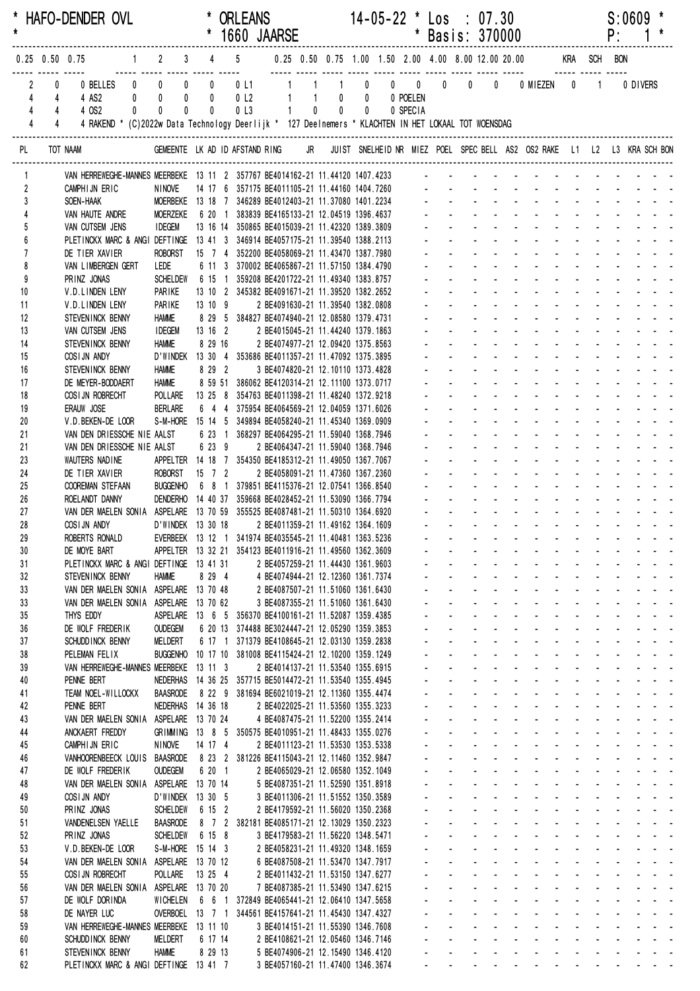| $\star$             |                                                                       | * HAFO-DENDER OVL                                                                                              |                                                                               |                           |                             | <b>ORLEANS</b><br>* 1660 JAARSE                                                                           |       |                                                                        |       | $14 - 05 - 22$ * $\text{Los}$ : 07.30 | * Basis: 370000                   |                                                |                                                                        |                                                           |                                                                                                                                                                                                                                                                                |                             |                                                                                                                 | P: | S:0609                                                                                                                                                                                                                                                                                                                                                                                                                            |  |
|---------------------|-----------------------------------------------------------------------|----------------------------------------------------------------------------------------------------------------|-------------------------------------------------------------------------------|---------------------------|-----------------------------|-----------------------------------------------------------------------------------------------------------|-------|------------------------------------------------------------------------|-------|---------------------------------------|-----------------------------------|------------------------------------------------|------------------------------------------------------------------------|-----------------------------------------------------------|--------------------------------------------------------------------------------------------------------------------------------------------------------------------------------------------------------------------------------------------------------------------------------|-----------------------------|-----------------------------------------------------------------------------------------------------------------|----|-----------------------------------------------------------------------------------------------------------------------------------------------------------------------------------------------------------------------------------------------------------------------------------------------------------------------------------------------------------------------------------------------------------------------------------|--|
|                     |                                                                       | 0.25 0.50 0.75      1   2   3   4   5    0.25 0.50 0.75 1.00 1.50 2.00 4.00 8.00 12.00 20.00     KRA  SCH  BON |                                                                               |                           |                             |                                                                                                           |       |                                                                        |       |                                       |                                   |                                                |                                                                        |                                                           |                                                                                                                                                                                                                                                                                |                             |                                                                                                                 |    |                                                                                                                                                                                                                                                                                                                                                                                                                                   |  |
| 4                   | $\overline{2}$<br>$^{\circ}$<br>4<br>$\overline{4}$<br>$\overline{4}$ | 0 BELLES 0 0<br>4 AS2<br>4 OS2<br>$\mathbf{0}$                                                                 | $0$ 0<br>$\mathbf 0$                                                          | $0$ 0<br>$\mathbf 0$<br>0 | $\mathbf 0$<br>$\mathbf{0}$ | 0 L1 1 1<br>0 <sub>l</sub> 2<br>0 <sub>l</sub> 3                                                          | $1 -$ | $\overline{0}$                                                         | $0$ 0 | 1 0 0 0 0 0<br>0 POELEN<br>0 SPECIA   |                                   |                                                |                                                                        |                                                           |                                                                                                                                                                                                                                                                                |                             |                                                                                                                 |    | 0 DIVERS                                                                                                                                                                                                                                                                                                                                                                                                                          |  |
| $\overline{4}$      | $\overline{4}$                                                        | 4 RAKEND * (C)2022w Data Technology Deerlijk * 127 Deelnemers * KLACHTEN IN HET LOKAAL TOT WOENSDAG            |                                                                               |                           |                             |                                                                                                           |       |                                                                        |       |                                       |                                   |                                                |                                                                        |                                                           |                                                                                                                                                                                                                                                                                |                             |                                                                                                                 |    |                                                                                                                                                                                                                                                                                                                                                                                                                                   |  |
| PL.                 |                                                                       | TOT NAAM                                                                                                       |                                                                               |                           |                             |                                                                                                           |       |                                                                        |       |                                       |                                   |                                                |                                                                        |                                                           | GEMEENTE LK AD ID AFSTAND RING JR JUIST SNELHEID NR MIEZ POEL SPEC BELL AS2 OS2 RAKE L1 L2 L3 KRA SCH BON                                                                                                                                                                      |                             |                                                                                                                 |    |                                                                                                                                                                                                                                                                                                                                                                                                                                   |  |
|                     |                                                                       | VAN HERREWEGHE-MANNES MEERBEKE 13 11 2 357767 BE4014162-21 11.44120 1407.4233 - - - - - - -                    |                                                                               |                           |                             |                                                                                                           |       |                                                                        |       |                                       |                                   |                                                |                                                                        |                                                           |                                                                                                                                                                                                                                                                                |                             |                                                                                                                 |    |                                                                                                                                                                                                                                                                                                                                                                                                                                   |  |
| $\overline{2}$      |                                                                       | CAMPHIJN ERIC                                                                                                  | NINOVE<br>MOERBEKE 13 18 7 346289 BE4012403-21 11.37080 1401.2234 - - - - - - |                           |                             | 14 17 6 357175 BE4011105-21 11.44160 1404.7260 - - - - -                                                  |       |                                                                        |       |                                       |                                   |                                                |                                                                        |                                                           |                                                                                                                                                                                                                                                                                |                             |                                                                                                                 |    |                                                                                                                                                                                                                                                                                                                                                                                                                                   |  |
| 3<br>$\overline{4}$ |                                                                       | SOEN-HAAK<br>VAN HAUTE ANDRE                                                                                   | MOERZEKE                                                                      |                           |                             | 6 20 1 383839 BE4165133-21 12.04519 1396.4637                                                             |       |                                                                        |       |                                       |                                   |                                                |                                                                        |                                                           |                                                                                                                                                                                                                                                                                |                             |                                                                                                                 |    |                                                                                                                                                                                                                                                                                                                                                                                                                                   |  |
| 5                   |                                                                       | VAN CUTSEM JENS                                                                                                | <b>IDEGEM</b>                                                                 |                           |                             | 13 16 14 350865 BE4015039-21 11.42320 1389.3809                                                           |       |                                                                        |       |                                       |                                   |                                                |                                                                        |                                                           |                                                                                                                                                                                                                                                                                |                             |                                                                                                                 |    |                                                                                                                                                                                                                                                                                                                                                                                                                                   |  |
|                     |                                                                       | PLETINCKX MARC & ANGI DEFTINGE 13 41 3 346914 BE4057175-21 11.39540 1388.2113                                  |                                                                               |                           |                             |                                                                                                           |       |                                                                        |       |                                       |                                   |                                                |                                                                        |                                                           |                                                                                                                                                                                                                                                                                |                             |                                                                                                                 |    |                                                                                                                                                                                                                                                                                                                                                                                                                                   |  |
| $\overline{7}$<br>8 |                                                                       | DE TIER XAVIER<br>VAN LIMBERGEN GERT                                                                           | <b>ROBORST</b><br>LEDE                                                        |                           |                             | 15 7 4 352200 BE4058069-21 11.43470 1387.7980<br>6 11 3 370002 BE4065867-21 11.57150 1384.4790            |       |                                                                        |       |                                       |                                   |                                                |                                                                        |                                                           |                                                                                                                                                                                                                                                                                |                             |                                                                                                                 |    |                                                                                                                                                                                                                                                                                                                                                                                                                                   |  |
| 9                   |                                                                       | PRINZ JONAS                                                                                                    |                                                                               |                           |                             | SCHELDEW   6  15  1  359208 BE4201722-21  11.49340  1383.8757                                             |       |                                                                        |       |                                       |                                   |                                                |                                                                        |                                                           |                                                                                                                                                                                                                                                                                |                             |                                                                                                                 |    |                                                                                                                                                                                                                                                                                                                                                                                                                                   |  |
| 10                  |                                                                       | V.D.LINDEN LENY                                                                                                | PARIKE                                                                        |                           |                             | 13 10 2 345382 BE4091671-21 11.39520 1382.2652                                                            |       |                                                                        |       |                                       |                                   |                                                |                                                                        |                                                           |                                                                                                                                                                                                                                                                                |                             |                                                                                                                 |    |                                                                                                                                                                                                                                                                                                                                                                                                                                   |  |
| 11                  |                                                                       | V.D.LINDEN LENY                                                                                                | PARIKE                                                                        |                           | 13 10 9                     |                                                                                                           |       | 2 BE4091630-21 11.39540 1382.0808                                      |       |                                       |                                   |                                                |                                                                        |                                                           |                                                                                                                                                                                                                                                                                |                             |                                                                                                                 |    |                                                                                                                                                                                                                                                                                                                                                                                                                                   |  |
| 12<br>13            |                                                                       | STEVENINCK BENNY<br>VAN CUTSEM JENS                                                                            | <b>HAMME</b><br><b>IDEGEM</b>                                                 |                           |                             | 8 29 5 384827 BE4074940-21 12.08580 1379.4731<br>13 16 2                                                  |       | 2 BE4015045-21 11.44240 1379.1863                                      |       |                                       |                                   |                                                |                                                                        |                                                           |                                                                                                                                                                                                                                                                                |                             |                                                                                                                 |    |                                                                                                                                                                                                                                                                                                                                                                                                                                   |  |
| 14                  |                                                                       | STEVENINCK BENNY                                                                                               | <b>HAMME</b>                                                                  |                           | 8 29 16                     |                                                                                                           |       | 2 BE4074977-21 12.09420 1375.8563                                      |       |                                       |                                   |                                                |                                                                        |                                                           |                                                                                                                                                                                                                                                                                |                             |                                                                                                                 |    |                                                                                                                                                                                                                                                                                                                                                                                                                                   |  |
| 15                  |                                                                       | COSIJN ANDY                                                                                                    |                                                                               |                           |                             | D'WINDEK 13 30 4 353686 BE4011357-21 11.47092 1375.3895                                                   |       |                                                                        |       |                                       |                                   |                                                |                                                                        |                                                           |                                                                                                                                                                                                                                                                                |                             |                                                                                                                 |    |                                                                                                                                                                                                                                                                                                                                                                                                                                   |  |
| 16                  |                                                                       | STEVENINCK BENNY                                                                                               | <b>HAMME</b>                                                                  |                           | 8 29 2                      |                                                                                                           |       | 3 BE4074820-21 12.10110 1373.4828                                      |       |                                       |                                   |                                                |                                                                        |                                                           |                                                                                                                                                                                                                                                                                |                             |                                                                                                                 |    |                                                                                                                                                                                                                                                                                                                                                                                                                                   |  |
| 17<br>18            |                                                                       | DE MEYER-BODDAERT<br>COSIJN ROBRECHT                                                                           | <b>HAMME</b><br>POLLARE                                                       |                           |                             | 8 59 51 386062 BE4120314-21 12.11100 1373.0717<br>13 25 8 354763 BE4011398-21 11.48240 1372.9218          |       |                                                                        |       |                                       |                                   |                                                |                                                                        |                                                           |                                                                                                                                                                                                                                                                                |                             |                                                                                                                 |    | and a straight and a straight and                                                                                                                                                                                                                                                                                                                                                                                                 |  |
| 19                  |                                                                       | ERAUW JOSE                                                                                                     | <b>BERLARE</b>                                                                |                           |                             | 6 4 4 375954 BE4064569-21 12.04059 1371.6026                                                              |       |                                                                        |       |                                       |                                   |                                                |                                                                        |                                                           |                                                                                                                                                                                                                                                                                |                             |                                                                                                                 |    | and a state of the state of the state of the state of the state of the state of the state of the state of the                                                                                                                                                                                                                                                                                                                     |  |
| 20                  |                                                                       | V.D.BEKEN-DE LOOR                                                                                              |                                                                               |                           |                             | S-M-HORE 15 14 5 349894 BE4058240-21 11.45340 1369.0909                                                   |       |                                                                        |       |                                       |                                   |                                                |                                                                        |                                                           |                                                                                                                                                                                                                                                                                |                             |                                                                                                                 |    | and a strain and a                                                                                                                                                                                                                                                                                                                                                                                                                |  |
| 21                  |                                                                       | VAN DEN DRIESSCHE NIE AALST                                                                                    |                                                                               |                           |                             | 6 23 1 368297 BE4064295-21 11.59040 1368.7946                                                             |       |                                                                        |       |                                       |                                   |                                                |                                                                        |                                                           |                                                                                                                                                                                                                                                                                |                             |                                                                                                                 |    |                                                                                                                                                                                                                                                                                                                                                                                                                                   |  |
| 21<br>23            |                                                                       | VAN DEN DRIESSCHE NIE AALST<br>WAUTERS NADINE                                                                  |                                                                               |                           | 6 23 9                      | APPELTER 14 18 7 354350 BE4185312-21 11.49050 1367.7067                                                   |       | 2 BE4064347-21 11.59040 1368.7946                                      |       |                                       |                                   |                                                |                                                                        |                                                           |                                                                                                                                                                                                                                                                                |                             |                                                                                                                 |    |                                                                                                                                                                                                                                                                                                                                                                                                                                   |  |
| 24                  |                                                                       | DE TIER XAVIER                                                                                                 | ROBORST 15 7 2                                                                |                           |                             |                                                                                                           |       | 2 BE4058091-21 11.47360 1367.2360                                      |       |                                       |                                   |                                                |                                                                        |                                                           |                                                                                                                                                                                                                                                                                |                             | in the second control of the second second and the second second second and second the second second and second |    |                                                                                                                                                                                                                                                                                                                                                                                                                                   |  |
| 25                  |                                                                       | COOREMAN STEFAAN                                                                                               | <b>BUGGENHO</b>                                                               |                           |                             | 6 8 1 379851 BE4115376-21 12.07541 1366.8540                                                              |       |                                                                        |       |                                       |                                   |                                                |                                                                        |                                                           |                                                                                                                                                                                                                                                                                |                             |                                                                                                                 |    | $\mathbf{L} = \mathbf{L} \mathbf{L} + \mathbf{L} \mathbf{L}$                                                                                                                                                                                                                                                                                                                                                                      |  |
| 26                  |                                                                       | ROELANDT DANNY                                                                                                 |                                                                               |                           |                             | DENDERHO 14 40 37 359668 BE4028452-21 11.53090 1366.7794                                                  |       |                                                                        |       |                                       |                                   |                                                |                                                                        |                                                           | and a state                                                                                                                                                                                                                                                                    | $\sim 100$                  | $\Delta \sim 10^4$                                                                                              |    |                                                                                                                                                                                                                                                                                                                                                                                                                                   |  |
| 27<br>28            |                                                                       | VAN DER MAELEN SONIA ASPELARE 13 70 59 355525 BE4087481-21 11.50310 1364.6920<br>COSIJN ANDY                   | D'WINDEK 13 30 18                                                             |                           |                             |                                                                                                           |       | 2 BE4011359-21 11.49162 1364.1609                                      |       |                                       |                                   |                                                |                                                                        |                                                           |                                                                                                                                                                                                                                                                                |                             |                                                                                                                 |    |                                                                                                                                                                                                                                                                                                                                                                                                                                   |  |
| 29                  |                                                                       | ROBERTS RONALD EVERBEEK 13 12 1 341974 BE4035545-21 11.40481 1363.5236                                         |                                                                               |                           |                             |                                                                                                           |       |                                                                        |       |                                       |                                   |                                                |                                                                        |                                                           |                                                                                                                                                                                                                                                                                |                             |                                                                                                                 |    | .                                                                                                                                                                                                                                                                                                                                                                                                                                 |  |
| 30                  |                                                                       | DE MOYE BART                                                                                                   |                                                                               |                           |                             | APPELTER 13 32 21 354123 BE4011916-21 11.49560 1362.3609                                                  |       |                                                                        |       |                                       |                                   |                                                |                                                                        |                                                           | and a straight and a straight                                                                                                                                                                                                                                                  |                             | $\sim 100$                                                                                                      |    |                                                                                                                                                                                                                                                                                                                                                                                                                                   |  |
| 31                  |                                                                       | PLETINCKX MARC & ANGI DEFTINGE 13 41 31                                                                        |                                                                               |                           |                             |                                                                                                           |       | 2 BE4057259-21 11.44430 1361.9603                                      |       |                                       |                                   |                                                | $\Delta \sim 100$                                                      |                                                           | $\mathbf{r} = \mathbf{r} + \mathbf{r} + \mathbf{r} + \mathbf{r} + \mathbf{r}$                                                                                                                                                                                                  |                             |                                                                                                                 |    | $\label{eq:2.1} \begin{array}{cccccccccc} \mathbf{1} & \mathbf{1} & \mathbf{1} & \mathbf{1} & \mathbf{1} & \mathbf{1} & \mathbf{1} & \mathbf{1} & \mathbf{1} & \mathbf{1} & \mathbf{1} & \mathbf{1} & \mathbf{1} & \mathbf{1} & \mathbf{1} & \mathbf{1} & \mathbf{1} & \mathbf{1} & \mathbf{1} & \mathbf{1} & \mathbf{1} & \mathbf{1} & \mathbf{1} & \mathbf{1} & \mathbf{1} & \mathbf{1} & \mathbf{1} & \mathbf{1} & \mathbf{1}$ |  |
| 32<br>33            |                                                                       | STEVENINCK BENNY<br>VAN DER MAELEN SONIA ASPELARE 13 70 48                                                     | <b>HAMME</b>                                                                  |                           | 8 29 4                      |                                                                                                           |       | 4 BE4074944-21 12.12360 1361.7374<br>2 BE4087507-21 11.51060 1361.6430 |       |                                       |                                   | $\mathbf{L}^{\text{max}}$                      | $\omega_{\rm{max}}$<br>$\sim 100$                                      | $\omega_{\rm{max}}$<br>$\sim 100$                         | and a straight and straight<br><b>All Cards</b><br>$\mathbf{u}$                                                                                                                                                                                                                |                             | $\Delta \sim 10^{-1}$                                                                                           |    |                                                                                                                                                                                                                                                                                                                                                                                                                                   |  |
| 33                  |                                                                       | VAN DER MAELEN SONIA ASPELARE 13 70 62                                                                         |                                                                               |                           |                             |                                                                                                           |       | 3 BE4087355-21 11.51060 1361.6430                                      |       |                                       |                                   |                                                |                                                                        | $\omega_{\rm{max}}$                                       |                                                                                                                                                                                                                                                                                |                             |                                                                                                                 |    |                                                                                                                                                                                                                                                                                                                                                                                                                                   |  |
| 35                  |                                                                       | THYS EDDY                                                                                                      |                                                                               |                           |                             | ASPELARE 13 6 5 356370 BE4100161-21 11.52087 1359.4385                                                    |       |                                                                        |       |                                       | $\mathbf{r}$                      |                                                |                                                                        | $\sim 100$                                                | $\sim$ $-$                                                                                                                                                                                                                                                                     | $\Delta \phi = 0.01$        |                                                                                                                 |    | $\label{eq:2.1} \begin{array}{cccccccccc} \mathbf{1} & \mathbf{1} & \mathbf{1} & \mathbf{1} & \mathbf{1} & \mathbf{1} & \mathbf{1} & \mathbf{1} & \mathbf{1} & \mathbf{1} & \mathbf{1} & \mathbf{1} & \mathbf{1} & \mathbf{1} & \mathbf{1} & \mathbf{1} & \mathbf{1} & \mathbf{1} & \mathbf{1} & \mathbf{1} & \mathbf{1} & \mathbf{1} & \mathbf{1} & \mathbf{1} & \mathbf{1} & \mathbf{1} & \mathbf{1} & \mathbf{1} & \mathbf{1}$ |  |
| 36                  |                                                                       | DE WOLF FREDERIK                                                                                               | <b>OUDEGEM</b>                                                                |                           |                             | 6 20 13 374488 BE3024447-21 12.05290 1359.3853                                                            |       |                                                                        |       |                                       | $\mathbf{r}$                      |                                                | $\Delta \sim 100$                                                      | $\Delta \sim 100$<br>$\sim$                               | <b>Contractor</b>                                                                                                                                                                                                                                                              | <b>Service Control</b>      |                                                                                                                 |    | and a strain and a                                                                                                                                                                                                                                                                                                                                                                                                                |  |
| 37<br>38            |                                                                       | SCHUDD INCK BENNY<br>PELEMAN FELIX                                                                             | MELDERT                                                                       |                           |                             | 6 17 1 371379 BE4108645-21 12.03130 1359.2838<br>BUGGENHO 10 17 10 381008 BE4115424-21 12.10200 1359.1249 |       |                                                                        |       |                                       | ä,<br>¥.                          | $\mathbf{L}^{\text{max}}$                      | $\omega_{\rm{max}}$<br>$\omega_{\rm{max}}$                             | $\mathbf{L}^{\text{max}}$                                 | a construction of the construction of the construction of the construction of the construction of the construction of the construction of the construction of the construction of the construction of the construction of the<br>$\Delta \phi = \Delta \phi$ and $\Delta \phi$ | <b>Service</b> State        | $\omega_{\rm{max}}$                                                                                             |    | and a state of                                                                                                                                                                                                                                                                                                                                                                                                                    |  |
| 39                  |                                                                       | VAN HERREWEGHE-MANNES MEERBEKE 13 11 3                                                                         |                                                                               |                           |                             |                                                                                                           |       | 2 BE4014137-21 11.53540 1355.6915                                      |       |                                       | $\blacksquare$                    |                                                | $\sim 100$                                                             | $\sim 100$<br>$\mathcal{L}^{\mathcal{L}}$                 | <b>Contractor</b>                                                                                                                                                                                                                                                              | $\Delta \phi = 0.01$        |                                                                                                                 |    | and a strain and a                                                                                                                                                                                                                                                                                                                                                                                                                |  |
| 40                  |                                                                       | PENNE BERT                                                                                                     | NEDERHAS                                                                      |                           |                             | 14 36 25 357715 BE5014472-21 11.53540 1355.4945                                                           |       |                                                                        |       |                                       |                                   |                                                | $\Delta \sim 100$                                                      | $\mathbf{z} = \mathbf{z}$                                 |                                                                                                                                                                                                                                                                                |                             |                                                                                                                 |    | $\omega_{\rm{eff}}=2.0\pm0.02$                                                                                                                                                                                                                                                                                                                                                                                                    |  |
| 41                  |                                                                       | TEAM NOEL-WILLOCKX                                                                                             | <b>BAASRODE</b>                                                               |                           |                             | 8 22 9 381694 BE6021019-21 12.11360 1355.4474                                                             |       |                                                                        |       |                                       | a.                                |                                                | and a state                                                            |                                                           | $\Delta \phi = 0.001$                                                                                                                                                                                                                                                          | $\sim 100$                  |                                                                                                                 |    | and a state of                                                                                                                                                                                                                                                                                                                                                                                                                    |  |
| 42<br>43            |                                                                       | PENNE BERT<br>VAN DER MAELEN SONIA ASPELARE 13 70 24                                                           | NEDERHAS 14 36 18                                                             |                           |                             |                                                                                                           |       | 2 BE4022025-21 11.53560 1355.3233<br>4 BE4087475-21 11.52200 1355.2414 |       |                                       | ä.<br>×.                          | $\mathcal{L}^{\text{max}}$                     | $\Delta \sim 100$                                                      |                                                           | and a straight and<br>and a straight and a straight                                                                                                                                                                                                                            | $\Delta \phi = \Delta \phi$ | $\Delta \sim 100$                                                                                               |    | $\mathbf{L}^{\text{max}} = \mathbf{L}^{\text{max}} = \mathbf{L}^{\text{max}}$<br>and a state of                                                                                                                                                                                                                                                                                                                                   |  |
| 44                  |                                                                       | ANCKAERT FREDDY                                                                                                |                                                                               |                           |                             | GRIMMING 13 8 5 350575 BE4010951-21 11.48433 1355.0276                                                    |       |                                                                        |       |                                       | $\omega_{\rm{max}}$               | $\omega_{\rm{max}}$                            |                                                                        |                                                           | and a straightful and a straight                                                                                                                                                                                                                                               |                             | $\omega_{\rm{max}}$                                                                                             |    | $\mathbf{1}^{\prime}$ , $\mathbf{1}^{\prime}$ , $\mathbf{1}^{\prime}$ , $\mathbf{1}^{\prime}$ , $\mathbf{1}^{\prime}$ , $\mathbf{1}^{\prime}$                                                                                                                                                                                                                                                                                     |  |
| 45                  |                                                                       | CAMPHIJN ERIC                                                                                                  | <b>NINOVE</b>                                                                 |                           | 14 17 4                     |                                                                                                           |       | 2 BE4011123-21 11.53530 1353.5338                                      |       |                                       |                                   | $\mathbf{L}^{\text{max}}$                      |                                                                        |                                                           | and a straight and                                                                                                                                                                                                                                                             | $\sim 100$                  |                                                                                                                 |    |                                                                                                                                                                                                                                                                                                                                                                                                                                   |  |
| 46                  |                                                                       | VANHOORENBEECK LOUIS BAASRODE                                                                                  |                                                                               |                           |                             | 8 23 2 381226 BE4115043-21 12.11460 1352.9847                                                             |       |                                                                        |       |                                       |                                   |                                                |                                                                        |                                                           | and the company of the company                                                                                                                                                                                                                                                 |                             |                                                                                                                 |    |                                                                                                                                                                                                                                                                                                                                                                                                                                   |  |
| 47<br>48            |                                                                       | DE WOLF FREDERIK<br>VAN DER MAELEN SONIA ASPELARE 13 70 14                                                     | <b>OUDEGEM</b>                                                                |                           | 6 20 1                      |                                                                                                           |       | 2 BE4065029-21 12.06580 1352.1049<br>5 BE4087351-21 11.52590 1351.8918 |       |                                       |                                   | $\mathbf{L}^{\text{max}}$<br>$\Delta \sim 100$ |                                                                        |                                                           | and a series of the series of the series of<br>and a state of the state of the state of                                                                                                                                                                                        |                             |                                                                                                                 |    |                                                                                                                                                                                                                                                                                                                                                                                                                                   |  |
| 49                  |                                                                       | COSIJN ANDY                                                                                                    | D'WINDEK 13 30 5                                                              |                           |                             |                                                                                                           |       | 3 BE4011306-21 11.51552 1350.3589                                      |       |                                       | ä.<br>$\mathcal{L}^{\mathcal{L}}$ |                                                |                                                                        |                                                           | and a state of the state of the state of the state of the state of the state of the state of the state of the                                                                                                                                                                  |                             |                                                                                                                 |    |                                                                                                                                                                                                                                                                                                                                                                                                                                   |  |
| 50                  |                                                                       | PRINZ JONAS                                                                                                    | <b>SCHELDEW</b>                                                               |                           | 6 15 2                      |                                                                                                           |       | 2 BE4179592-21 11.56020 1350.2368                                      |       |                                       | $\sim 100$                        | $\mathbf{L}^{\text{max}}$                      |                                                                        |                                                           | and a straight and straight                                                                                                                                                                                                                                                    |                             |                                                                                                                 |    | and a straight and a straight                                                                                                                                                                                                                                                                                                                                                                                                     |  |
| 51                  |                                                                       | VANDENELSEN YAELLE                                                                                             | <b>BAASRODE</b>                                                               |                           |                             | 8 7 2 382181 BE4085171-21 12.13029 1350.2323                                                              |       |                                                                        |       |                                       |                                   | $\mathbf{r} = \mathbf{r}$                      | <b>All States</b>                                                      |                                                           | All Card                                                                                                                                                                                                                                                                       |                             |                                                                                                                 |    | and a strain and a                                                                                                                                                                                                                                                                                                                                                                                                                |  |
| 52<br>53            |                                                                       | PRINZ JONAS<br>V.D.BEKEN-DE LOOR                                                                               | <b>SCHELDEW</b><br>S-M-HORE 15 14 3                                           |                           | 6 15 8                      |                                                                                                           |       | 3 BE4179583-21 11.56220 1348.5471<br>2 BE4058231-21 11.49320 1348.1659 |       |                                       |                                   | $\mathbf{L}^{\text{max}}$                      | <b>Service</b> State                                                   |                                                           | and a straightful and state                                                                                                                                                                                                                                                    |                             |                                                                                                                 |    | $\mathbf{z} = \mathbf{z} + \mathbf{z} + \mathbf{z}$<br>and a state of                                                                                                                                                                                                                                                                                                                                                             |  |
| 54                  |                                                                       | VAN DER MAELEN SONIA ASPELARE 13 70 12                                                                         |                                                                               |                           |                             |                                                                                                           |       | 6 BE4087508-21 11.53470 1347.7917                                      |       |                                       |                                   | $\mathcal{L}^{\text{max}}$                     |                                                                        |                                                           | and a straight and a straight                                                                                                                                                                                                                                                  |                             | $\sim$ 10 $\pm$                                                                                                 |    | $\mathbf{L}^{\text{max}} = \mathbf{L}^{\text{max}} = \mathbf{L}^{\text{max}}$                                                                                                                                                                                                                                                                                                                                                     |  |
| 55                  |                                                                       | COSI JN ROBRECHT                                                                                               | POLLARE                                                                       | 13 25 4                   |                             |                                                                                                           |       | 2 BE4011432-21 11.53150 1347.6277                                      |       |                                       | ä.<br>$\sim$                      |                                                | $\Delta \sim 100$                                                      |                                                           | and a strategic and a strategic                                                                                                                                                                                                                                                |                             |                                                                                                                 |    | and a state of                                                                                                                                                                                                                                                                                                                                                                                                                    |  |
| 56                  |                                                                       | VAN DER MAELEN SONIA ASPELARE 13 70 20                                                                         |                                                                               |                           |                             |                                                                                                           |       | 7 BE4087385-21 11.53490 1347.6215                                      |       |                                       |                                   | $\mathbf{L}^{\text{max}}$                      |                                                                        |                                                           | and a straightful and state                                                                                                                                                                                                                                                    |                             | $\Delta \sim 10^{-1}$<br>$\mathcal{L}^{\text{max}}$                                                             |    |                                                                                                                                                                                                                                                                                                                                                                                                                                   |  |
| 57<br>58            |                                                                       | DE WOLF DORINDA<br>DE NAYER LUC                                                                                | WICHELEN                                                                      |                           |                             | 6 6 1 372849 BE4065441-21 12.06410 1347.5658<br>OVERBOEL 13 7 1 344561 BE4157641-21 11.45430 1347.4327    |       |                                                                        |       |                                       |                                   | $\mathbf{L}^{\text{max}}$                      | $\Delta \phi = \Delta \phi$ and $\Delta \phi = 0$<br><b>All States</b> | $\omega$                                                  | <b>All Cards</b><br>and the control of the                                                                                                                                                                                                                                     | $\sim 100$                  |                                                                                                                 |    |                                                                                                                                                                                                                                                                                                                                                                                                                                   |  |
| 59                  |                                                                       | VAN HERREWEGHE-MANNES MEERBEKE 13 11 10                                                                        |                                                                               |                           |                             |                                                                                                           |       | 3 BE4014151-21 11.55390 1346.7608                                      |       |                                       |                                   | $\mathbf{L}^{\text{max}}$                      |                                                                        | $\mathcal{L}^{\text{max}}$<br>$\mathcal{L}_{\mathcal{A}}$ | and the state of the state of the state of                                                                                                                                                                                                                                     |                             |                                                                                                                 |    |                                                                                                                                                                                                                                                                                                                                                                                                                                   |  |
| 60                  |                                                                       | SCHUDD INCK BENNY                                                                                              | <b>MELDERT</b>                                                                |                           | 6 17 14                     |                                                                                                           |       | 2 BE4108621-21 12.05460 1346.7146                                      |       |                                       |                                   | $\mathbf{L}^{\text{max}}$                      | $\Delta \sim 100$                                                      | $\Delta \sim 100$                                         | and a state                                                                                                                                                                                                                                                                    |                             |                                                                                                                 |    | design and a state of the state of                                                                                                                                                                                                                                                                                                                                                                                                |  |
| 61                  |                                                                       | STEVENINCK BENNY                                                                                               | <b>HAMME</b>                                                                  |                           | 8 29 13                     |                                                                                                           |       | 5 BE4074906-21 12.15490 1346.4120                                      |       |                                       | $\mathbf{L}^{\text{max}}$         |                                                |                                                                        |                                                           | and a strain and a strain and a strain                                                                                                                                                                                                                                         |                             |                                                                                                                 |    |                                                                                                                                                                                                                                                                                                                                                                                                                                   |  |
| 62                  |                                                                       | PLETINCKX MARC & ANGI DEFTINGE 13 41 7                                                                         |                                                                               |                           |                             |                                                                                                           |       | 3 BE4057160-21 11.47400 1346.3674                                      |       |                                       | $\Delta \sim 100$                 |                                                |                                                                        |                                                           | and a series of the contract of the series of                                                                                                                                                                                                                                  |                             |                                                                                                                 |    |                                                                                                                                                                                                                                                                                                                                                                                                                                   |  |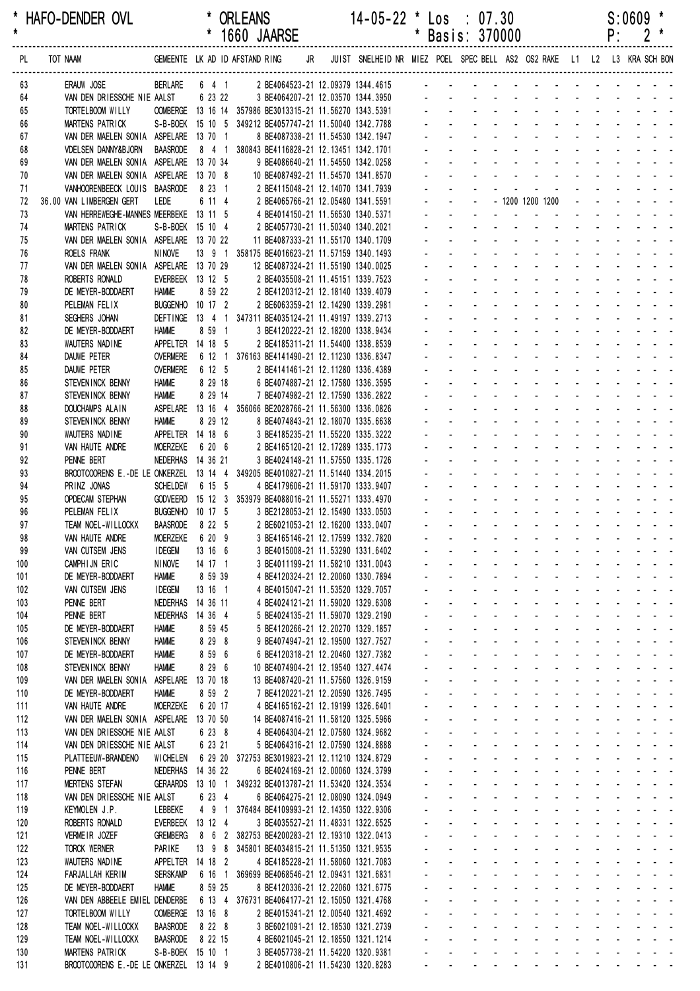| *<br>$\star$ |            | HAFO-DENDER OVL                                                    |                                      |                   | <b>ORLEANS</b> | 1660 JAARSE |    | $14 - 05 - 22$ * Los : 07.30                                                                                        |              | Basis: 370000        |                                 |                                         |                                                      |                                                                        |                                                     |                                                    |                    | P:                         | S:0609 |                                                                                       |
|--------------|------------|--------------------------------------------------------------------|--------------------------------------|-------------------|----------------|-------------|----|---------------------------------------------------------------------------------------------------------------------|--------------|----------------------|---------------------------------|-----------------------------------------|------------------------------------------------------|------------------------------------------------------------------------|-----------------------------------------------------|----------------------------------------------------|--------------------|----------------------------|--------|---------------------------------------------------------------------------------------|
|              | PL         | TOT NAAM                                                           | GEMEENTE LK AD ID AFSTAND RING       |                   |                |             | JR | JUIST SNELHEID NR MIEZ POEL SPEC BELL AS2 OS2 RAKE L1 L2 L3 KRA SCH BON                                             |              |                      |                                 |                                         |                                                      |                                                                        |                                                     |                                                    |                    |                            |        |                                                                                       |
|              | 63         | ERAUW JOSE                                                         | <b>BERLARE</b>                       | 6 4 1             |                |             |    | 2 BE4064523-21 12.09379 1344.4615                                                                                   |              |                      |                                 |                                         |                                                      |                                                                        |                                                     |                                                    |                    |                            |        |                                                                                       |
|              | 64         | VAN DEN DRIESSCHE NIE AALST                                        |                                      | 6 23 22           |                |             |    | 3 BE4064207-21 12.03570 1344.3950                                                                                   |              |                      |                                 |                                         |                                                      |                                                                        |                                                     |                                                    |                    |                            |        |                                                                                       |
|              | 65<br>66   | TORTELBOOM WILLY<br>MARTENS PATRICK                                |                                      |                   |                |             |    | OOMBERGE 13 16 14 357986 BE3013315-21 11.56270 1343.5391<br>S-B-BOEK 15 10 5 349212 BE4057747-21 11.50040 1342.7788 |              |                      |                                 |                                         |                                                      |                                                                        |                                                     |                                                    |                    |                            |        |                                                                                       |
|              | 67         | VAN DER MAELEN SONIA ASPELARE 13 70 1                              |                                      |                   |                |             |    | 8 BE4087338-21 11.54530 1342.1947                                                                                   |              |                      |                                 |                                         |                                                      |                                                                        |                                                     |                                                    |                    |                            |        |                                                                                       |
|              | 68         | <b>VDELSEN DANNY&amp;BJORN</b>                                     | <b>BAASRODE</b>                      |                   |                |             |    | 8 4 1 380843 BE4116828-21 12.13451 1342.1701                                                                        |              |                      |                                 |                                         |                                                      |                                                                        |                                                     |                                                    |                    |                            |        |                                                                                       |
|              | 69         | VAN DER MAELEN SONIA ASPELARE 13 70 34                             |                                      |                   |                |             |    | 9 BE4086640-21 11.54550 1342.0258                                                                                   |              |                      |                                 |                                         |                                                      |                                                                        |                                                     |                                                    |                    |                            |        |                                                                                       |
|              | 70         | VAN DER MAELEN SONIA ASPELARE                                      |                                      | 13 70 8           |                |             |    | 10 BE4087492-21 11.54570 1341.8570                                                                                  |              |                      |                                 |                                         |                                                      |                                                                        |                                                     |                                                    |                    |                            |        |                                                                                       |
|              | 71         | VANHOORENBEECK LOUIS BAASRODE                                      |                                      | 8 23 1            |                |             |    | 2 BE4115048-21 12.14070 1341.7939                                                                                   |              |                      |                                 |                                         |                                                      |                                                                        |                                                     |                                                    |                    |                            |        |                                                                                       |
|              | 72<br>73   | 36.00 VAN LIMBERGEN GERT<br>VAN HERREWEGHE-MANNES MEERBEKE 13 11 5 | LEDE                                 | 6 11 4            |                |             |    | 2 BE4065766-21 12.05480 1341.5591<br>4 BE4014150-21 11.56530 1340.5371                                              |              |                      |                                 |                                         |                                                      | $-1200$ 1200 1200                                                      |                                                     |                                                    |                    |                            |        |                                                                                       |
|              | 74         | MARTENS PATRICK                                                    | S-B-BOEK 15 10 4                     |                   |                |             |    | 2 BE4057730-21 11.50340 1340.2021                                                                                   |              |                      |                                 |                                         |                                                      |                                                                        |                                                     |                                                    |                    |                            |        |                                                                                       |
|              | 75         | VAN DER MAELEN SONIA ASPELARE 13 70 22                             |                                      |                   |                |             |    | 11 BE4087333-21 11.55170 1340.1709                                                                                  |              |                      |                                 |                                         |                                                      |                                                                        |                                                     |                                                    |                    |                            |        |                                                                                       |
|              | 76         | ROELS FRANK                                                        | <b>NINOVE</b>                        |                   |                |             |    | 13 9 1 358175 BE4016623-21 11.57159 1340.1493                                                                       |              |                      |                                 |                                         |                                                      |                                                                        |                                                     |                                                    |                    |                            |        |                                                                                       |
|              | 77         | VAN DER MAELEN SONIA ASPELARE 13 70 29                             |                                      |                   |                |             |    | 12 BE4087324-21 11.55190 1340.0025                                                                                  |              |                      |                                 |                                         |                                                      |                                                                        |                                                     |                                                    |                    |                            |        |                                                                                       |
|              | 78<br>79   | ROBERTS RONALD<br>DE MEYER-BODDAERT                                | EVERBEEK 13 12 5<br><b>HAMME</b>     | 8 59 22           |                |             |    | 2 BE4035508-21 11.45151 1339.7523<br>2 BE4120312-21 12.18140 1339.4079                                              |              |                      |                                 |                                         |                                                      |                                                                        |                                                     |                                                    |                    |                            |        |                                                                                       |
|              | 80         | PELEMAN FELIX                                                      | BUGGENHO 10 17 2                     |                   |                |             |    | 2 BE6063359-21 12.14290 1339.2981                                                                                   |              |                      |                                 |                                         |                                                      |                                                                        |                                                     |                                                    |                    |                            |        |                                                                                       |
|              | 81         | SEGHERS JOHAN                                                      |                                      |                   |                |             |    | DEFTINGE  13  4  1  347311 BE4035124-21  11.49197  1339.2713                                                        |              |                      |                                 |                                         |                                                      |                                                                        |                                                     |                                                    |                    |                            |        |                                                                                       |
|              | 82         | DE MEYER-BODDAERT                                                  | <b>HAMME</b>                         | 8 59 1            |                |             |    | 3 BE4120222-21 12.18200 1338.9434                                                                                   |              |                      |                                 |                                         |                                                      |                                                                        |                                                     |                                                    |                    |                            |        |                                                                                       |
|              | 83         | WAUTERS NADINE                                                     | APPELTER 14 18 5                     |                   |                |             |    | 2 BE4185311-21 11.54400 1338.8539                                                                                   |              |                      |                                 |                                         |                                                      |                                                                        |                                                     |                                                    |                    |                            |        |                                                                                       |
|              | 84         | DAUWE PETER                                                        | <b>OVERMERE</b>                      |                   |                |             |    | 6 12 1 376163 BE4141490-21 12.11230 1336.8347                                                                       |              |                      |                                 |                                         |                                                      |                                                                        |                                                     |                                                    |                    |                            |        |                                                                                       |
|              | 85<br>86   | DAUWE PETER<br>STEVENINCK BENNY                                    | <b>OVERMERE</b><br><b>HAMME</b>      | 6 12 5<br>8 29 18 |                |             |    | 2 BE4141461-21 12.11280 1336.4389<br>6 BE4074887-21 12.17580 1336.3595                                              |              |                      |                                 |                                         |                                                      |                                                                        |                                                     |                                                    |                    |                            |        |                                                                                       |
|              | 87         | STEVENINCK BENNY                                                   | <b>HAMME</b>                         | 8 29 14           |                |             |    | 7 BE4074982-21 12.17590 1336.2822                                                                                   |              |                      |                                 |                                         |                                                      |                                                                        |                                                     |                                                    |                    |                            |        |                                                                                       |
|              | 88         | DOUCHAMPS ALAIN                                                    | ASPELARE                             |                   |                |             |    | 13 16 4 356066 BE2028766-21 11.56300 1336.0826                                                                      |              |                      |                                 |                                         |                                                      |                                                                        |                                                     |                                                    |                    |                            |        |                                                                                       |
|              | 89         | STEVEN INCK BENNY                                                  | <b>HAMME</b>                         | 8 29 12           |                |             |    | 8 BE4074843-21 12.18070 1335.6638                                                                                   |              |                      |                                 |                                         |                                                      |                                                                        |                                                     |                                                    |                    |                            |        |                                                                                       |
|              | 90         | WAUTERS NAD INE                                                    | APPELTER 14 18 6                     |                   |                |             |    | 3 BE4185235-21 11.55220 1335.3222                                                                                   |              |                      |                                 |                                         |                                                      |                                                                        |                                                     |                                                    |                    |                            |        |                                                                                       |
|              | 91<br>92   | VAN HAUTE ANDRE<br>PENNE BERT                                      | <b>MOERZEKE</b><br>NEDERHAS 14 36 21 | 6 20 6            |                |             |    | 2 BE4165120-21 12.17289 1335.1773<br>3 BE4024148-21 11.57550 1335.1726                                              |              |                      |                                 |                                         |                                                      |                                                                        |                                                     |                                                    |                    |                            |        |                                                                                       |
|              | 93         | BROOTCOORENS E.-DE LE ONKERZEL 13 14 4                             |                                      |                   |                |             |    | 349205 BE4010827-21 11.51440 1334.2015                                                                              |              |                      |                                 |                                         |                                                      |                                                                        |                                                     |                                                    |                    |                            |        |                                                                                       |
|              | 94         | PRINZ JONAS                                                        | <b>SCHELDEW</b>                      | 6 15 5            |                |             |    | 4 BE4179606-21 11.59170 1333.9407                                                                                   |              |                      |                                 |                                         |                                                      |                                                                        |                                                     |                                                    |                    |                            |        |                                                                                       |
|              | 95         | <b>OPDECAM STEPHAN</b>                                             |                                      |                   |                |             |    | GODVEERD 15 12 3 353979 BE4088016-21 11.55271 1333.4970                                                             |              |                      |                                 |                                         |                                                      |                                                                        |                                                     |                                                    |                    |                            |        |                                                                                       |
|              | 96         | PELEMAN FELIX                                                      | BUGGENHO 10 17 5                     |                   |                |             |    | 3 BE2128053-21 12.15490 1333.0503                                                                                   |              |                      |                                 |                                         |                                                      |                                                                        |                                                     |                                                    |                    |                            |        |                                                                                       |
|              | 97         | TEAM NOEL-WILLOCKX                                                 | <b>BAASRODE</b><br><b>MOERZEKE</b>   | 8 2 2 5           |                |             |    | 2 BE6021053-21 12.16200 1333.0407<br>3 BE4165146-21 12.17599 1332.7820                                              |              |                      |                                 |                                         | $\Delta \sim 100$                                    | $\Delta \phi = 0.0000$ .                                               |                                                     |                                                    |                    |                            |        |                                                                                       |
|              | 98<br>99   | VAN HAUTE ANDRE<br>VAN CUTSEM JENS                                 | <b>IDEGEM</b>                        | 6 20 9<br>13 16 6 |                |             |    | 3 BE4015008-21 11.53290 1331.6402                                                                                   |              |                      |                                 |                                         | $\sim 100$<br>$\blacksquare$                         |                                                                        | $\sim 100$                                          |                                                    |                    |                            |        | $\sim$ 100 $\sim$ 100 $\sim$<br>$\omega_{\rm{eff}}=2.00\pm0.00$                       |
|              | 100        | CAMPHIJN ERIC                                                      | <b>NINOVE</b>                        | 14 17 1           |                |             |    | 3 BE4011199-21 11.58210 1331.0043                                                                                   |              |                      |                                 | <b>All Service</b>                      |                                                      |                                                                        |                                                     |                                                    |                    |                            |        |                                                                                       |
| 101          |            | DE MEYER-BODDAERT                                                  | <b>HAMME</b>                         | 8 59 39           |                |             |    | 4 BE4120324-21 12.20060 1330.7894                                                                                   |              | $\mathbf{r}$         |                                 |                                         | and a strategies                                     |                                                                        |                                                     |                                                    |                    |                            |        |                                                                                       |
|              | 102        | VAN CUTSEM JENS                                                    | <b>IDEGEM</b>                        | 13 16 1           |                |             |    | 4 BE4015047-21 11.53520 1329.7057                                                                                   |              |                      | $\sim$                          |                                         | $\mathbf{L}^{\text{max}}$<br>$\omega$                | $\sim$                                                                 | $\omega$                                            | $\Delta$                                           |                    |                            |        | $\sim 10^{-1}$ $\sim$                                                                 |
|              | 103        | PENNE BERT                                                         | NEDERHAS                             | 14 36 11          |                |             |    | 4 BE4024121-21 11.59020 1329.6308                                                                                   |              |                      |                                 |                                         | $\mathbf{L}^{\text{max}}$<br>$\sim$                  | All Card                                                               | $\Delta \sim 10^{-1}$<br>$\mathcal{L}^{\text{max}}$ |                                                    |                    |                            |        | $\sim$ $ \sim$                                                                        |
| 104          | 105        | PENNE BERT<br>DE MEYER-BODDAERT                                    | NEDERHAS 14 36 4<br><b>HAMME</b>     | 8 59 45           |                |             |    | 5 BE4024135-21 11.59070 1329.2190<br>5 BE4120266-21 12.20270 1329.1857                                              |              | $\mathbf{r}$         |                                 | $\Delta \sim 100$<br><b>All Service</b> | $\Delta \sim 100$<br>$\sim$                          | $\sim 100$ km s $^{-1}$                                                | $\sim$<br>$\blacksquare$                            |                                                    |                    |                            |        | $\sim$ $ \sim$                                                                        |
|              | 106        | STEVENINCK BENNY                                                   | <b>HAMME</b>                         | 8 29 8            |                |             |    | 9 BE4074947-21 12.19500 1327.7527                                                                                   |              |                      |                                 | $\Delta \phi = \Delta \phi = 0.01$      |                                                      |                                                                        |                                                     |                                                    |                    |                            |        |                                                                                       |
| 107          |            | DE MEYER-BODDAERT                                                  | <b>HAMME</b>                         | 8 59 6            |                |             |    | 6 BE4120318-21 12.20460 1327.7382                                                                                   |              | $\sim$               |                                 |                                         | and a strategies                                     |                                                                        |                                                     |                                                    |                    |                            |        |                                                                                       |
|              | 108        | STEVEN INCK BENNY                                                  | <b>HAMME</b>                         | 8 29 6            |                |             |    | 10 BE4074904-21 12.19540 1327.4474                                                                                  | $\mathbf{r}$ | $\blacksquare$       |                                 | $\mathbf{L}^{\text{max}}$               | $\omega_{\rm{max}}=0.1$                              | $\sim$                                                                 |                                                     | $\omega_{\rm{max}}=0.1$                            | $\mathcal{L}$      |                            |        | $\omega_{\rm{eff}}=0.01$ , and $\omega_{\rm{eff}}=0.01$                               |
|              | 109        | VAN DER MAELEN SONIA                                               | ASPELARE                             | 13 70 18          |                |             |    | 13 BE4087420-21 11.57560 1326.9159                                                                                  |              |                      |                                 |                                         | $\Delta \sim 100$                                    | $\Delta \sim 10^{-1}$                                                  | $\Delta \sim 100$                                   | $\omega_{\rm{max}}$<br>$\Delta \sim 10^4$          | $\Delta \sim 10^4$ |                            |        | $\omega_{\rm{eff}}$ , $\omega_{\rm{eff}}$ , $\omega_{\rm{eff}}$                       |
| 111          | 110        | DE MEYER-BODDAERT<br>VAN HAUTE ANDRE                               | <b>HAMME</b><br><b>MOERZEKE</b>      | 8 59 2<br>6 20 17 |                |             |    | 7 BE4120221-21 12.20590 1326.7495<br>4 BE4165162-21 12.19199 1326.6401                                              |              | ¥.<br>$\blacksquare$ | $\Delta \sim 100$<br>$\sim 100$ | $\mathcal{L}_{\mathrm{max}}$            | $\omega_{\rm{max}}$<br>$\blacksquare$                | $\Delta \sim 100$<br>$\Delta \sim 10^4$<br>$\mathcal{L}_{\mathcal{A}}$ | $\mathcal{L}^{\text{max}}$                          | $\mathbf{r}$                                       | $\sim$             | $\mathcal{L}^{\text{max}}$ |        | $\omega_{\rm{eff}}$ , $\omega_{\rm{eff}}$ , $\omega_{\rm{eff}}$<br>and a state of the |
| 112          |            | VAN DER MAELEN SONIA ASPELARE                                      |                                      | 13 70 50          |                |             |    | 14 BE4087416-21 11.58120 1325.5966                                                                                  |              |                      |                                 |                                         | $\Delta \sim 100$                                    |                                                                        |                                                     |                                                    |                    |                            |        | $\sim 10^{-1}$ and $\sim 10^{-1}$                                                     |
| 113          |            | VAN DEN DRIESSCHE NIE AALST                                        |                                      | 6 23 8            |                |             |    | 4 BE4064304-21 12.07580 1324.9682                                                                                   |              | $\mathbf{r}$         |                                 |                                         | $\sim 100$                                           |                                                                        |                                                     |                                                    |                    |                            |        | $\Delta \phi = \Delta \phi = 0.1$                                                     |
| 114          |            | VAN DEN DRIESSCHE NIE AALST                                        |                                      | 6 23 21           |                |             |    | 5 BE4064316-21 12.07590 1324.8888                                                                                   |              | ä,                   |                                 | $\sim 100$                              | $\omega_{\rm{max}}$ and $\omega_{\rm{max}}$          | $\sim$                                                                 |                                                     | $\Delta \sim 100$<br>$\mathbf{r}$                  |                    |                            |        | $\omega_{\rm{eff}}=2.00$ km $^{-1}$                                                   |
| 115          |            | PLATTEEUW-BRANDENO                                                 | WICHELEN                             |                   |                |             |    | 6 29 20 372753 BE3019823-21 12.11210 1324.8729                                                                      |              | L.                   |                                 |                                         | $\Delta \sim 10^{-1}$<br>$\mathbf{r}$                | $\sim$                                                                 | $\mathcal{L}$                                       |                                                    |                    |                            |        | $\sim 100$                                                                            |
| 116          |            | PENNE BERT                                                         | NEDERHAS 14 36 22                    |                   |                |             |    | 6 BE4024169-21 12.00060 1324.3799                                                                                   |              | $\sim$               | $\sim 100$                      |                                         | $\Delta \sim 100$                                    | $\Delta \sim 100$<br>$\sim 100$                                        | $\sim$                                              |                                                    |                    |                            |        | $\sim$ $ \sim$                                                                        |
| 117<br>118   |            | <b>MERTENS STEFAN</b><br>VAN DEN DRIESSCHE NIE AALST               |                                      | 6 23 4            |                |             |    | GERAARDS 13 10 1 349232 BE4013787-21 11.53420 1324.3534<br>6 BE4064275-21 12.08090 1324.0949                        |              | $\sim$               |                                 | $\sim 100$<br><b>Contractor</b>         | $\Delta \sim 100$                                    | $\sim 100$<br>$\sim$                                                   |                                                     |                                                    |                    |                            |        | $\sim$ 100 $\sim$ 100 $\sim$                                                          |
| 119          |            | KEYMOLEN J.P.                                                      | LEBBEKE                              |                   |                |             |    | 4 9 1 376484 BE4109993-21 12.14350 1322.9306                                                                        |              |                      |                                 |                                         | $\sim 100$                                           |                                                                        |                                                     |                                                    |                    |                            |        |                                                                                       |
| 120          |            | ROBERTS RONALD                                                     | EVERBEEK 13 12 4                     |                   |                |             |    | 3 BE4035527-21 11.48331 1322.6525                                                                                   |              | $\mathbf{r}$         |                                 | $\sim 100$                              | $\mathcal{L}$<br>$\mathcal{L}^{\text{max}}$          | $\sim$                                                                 |                                                     | $\omega_{\rm{max}}$ , $\omega_{\rm{max}}$          | $\mathcal{L}$      |                            |        | and a state of                                                                        |
|              | 121        | VERMEIR JOZEF                                                      | <b>GREMBERG</b>                      |                   |                |             |    | 8 6 2 382753 BE4200283-21 12.19310 1322.0413                                                                        |              |                      |                                 |                                         | $\Delta \sim 10^{-1}$<br>$\mathcal{L}^{\mathcal{L}}$ | $\sim$                                                                 |                                                     | $\omega_{\rm{max}}$<br>$\mathcal{L}^{\mathcal{A}}$ | $\mathbf{r}$       |                            |        | $\omega_{\rm{max}}$ and $\omega_{\rm{max}}$                                           |
| 122          |            | TORCK WERNER                                                       | PARIKE                               |                   |                |             |    | 13 9 8 345801 BE4034815-21 11.51350 1321.9535                                                                       |              | $\blacksquare$       | $\Delta \sim 100$               |                                         | $\omega_{\rm{max}}$                                  | $\sim 100$<br>$\mathcal{L}_{\mathcal{A}}$                              | $\mathcal{L}^{\text{max}}$                          | $\mathbf{r}$                                       | $\mathbf{r}$       | $\sim$                     |        | $\sim$ $ \sim$                                                                        |
|              | 123<br>124 | WAUTERS NADINE<br>FARJALLAH KERIM                                  | APPELTER 14 18 2<br><b>SERSKAMP</b>  | 6 16 1            |                |             |    | 4 BE4185228-21 11.58060 1321.7083<br>369699 BE4068546-21 12.09431 1321.6831                                         |              | $\blacksquare$       | $\sim 100$                      | $\sim 10$<br><b>All States</b>          | $\blacksquare$                                       | $\blacksquare$                                                         |                                                     |                                                    |                    |                            |        | and a state<br><b>Contract Contract</b>                                               |
| 125          |            | DE MEYER-BODDAERT                                                  | <b>HAMME</b>                         | 8 59 25           |                |             |    | 8 BE4120336-21 12.22060 1321.6775                                                                                   |              | $\mathbf{r}$         |                                 |                                         | and a strategies                                     |                                                                        |                                                     |                                                    |                    |                            |        |                                                                                       |
| 126          |            | VAN DEN ABBEELE EMIEL DENDERBE                                     |                                      |                   |                |             |    | 6 13 4 376731 BE4064177-21 12.15050 1321.4768                                                                       |              | ä,                   |                                 | $\Delta \sim 100$                       | $\omega_{\rm{max}}$ and $\omega_{\rm{max}}$          | $\sim$                                                                 | $\mathcal{L}$                                       | $\mathbf{r}$                                       |                    |                            |        |                                                                                       |
| 127          |            | TORTELBOOM WILLY                                                   | OOMBERGE 13 16 8                     |                   |                |             |    | 2 BE4015341-21 12.00540 1321.4692                                                                                   |              |                      |                                 |                                         | $\Delta \sim 100$<br>$\mathbf{r}$                    | $\sim$                                                                 | $\mathcal{L}$                                       |                                                    |                    |                            |        |                                                                                       |
|              | 128        | TEAM NOEL-WILLOCKX                                                 | <b>BAASRODE</b>                      | 8 2 2 8           |                |             |    | 3 BE6021091-21 12.18530 1321.2739                                                                                   |              | $\sim$               | $\sim 100$                      |                                         | $\sim 100$                                           | $\Delta \sim 10^4$<br>$\sim 100$                                       | $\sim$                                              |                                                    |                    |                            |        | $\sim$ $ \sim$                                                                        |
| 129          | 130        | TEAM NOEL-WILLOCKX<br>MARTENS PATRICK                              | <b>BAASRODE</b><br>S-B-BOEK 15 10 1  | 8 22 15           |                |             |    | 4 BE6021045-21 12.18550 1321.1214<br>3 BE4057738-21 11.54220 1320.9381                                              |              |                      | $\sim 100$<br>$\sim 100$        | $\sim$                                  |                                                      | $\sim 100$<br>$\sim$                                                   | $\sim 100$                                          |                                                    |                    |                            |        | $\omega_{\rm{eff}}=0.01$ and $\omega_{\rm{eff}}=0.01$                                 |
| 131          |            | BROOTCOORENS E.-DE LE ONKERZEL 13 14 9                             |                                      |                   |                |             |    | 2 BE4010806-21 11.54230 1320.8283                                                                                   |              |                      |                                 |                                         |                                                      | and a straight                                                         |                                                     | and a straight and                                 |                    |                            |        |                                                                                       |
|              |            |                                                                    |                                      |                   |                |             |    |                                                                                                                     |              |                      |                                 |                                         |                                                      |                                                                        |                                                     |                                                    |                    |                            |        |                                                                                       |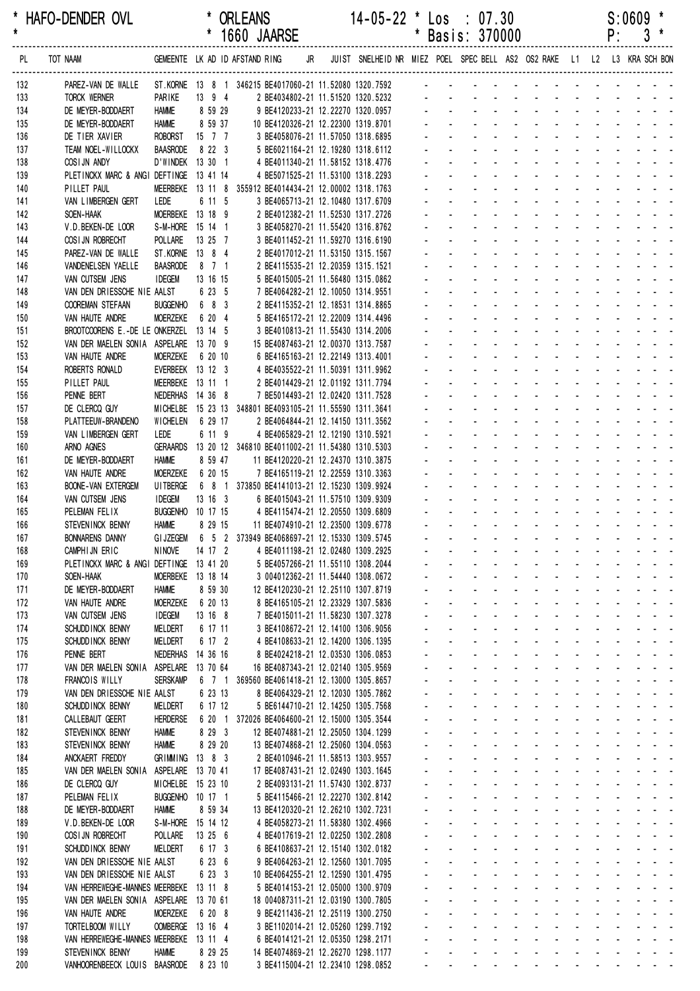| *<br>$\star$ | HAFO-DENDER OVL                                            |                                      |                         |        | <b>ORLEANS</b><br>1660 JAARSE                                                        |    | 14-05-22 * Los : 07.30                                                  | * | Basis: 370000       |                            |                                                            |                                                                                                                       |                                         |                            |                                                    |                              | P:                               | S:0609<br>3           |                                             |  |
|--------------|------------------------------------------------------------|--------------------------------------|-------------------------|--------|--------------------------------------------------------------------------------------|----|-------------------------------------------------------------------------|---|---------------------|----------------------------|------------------------------------------------------------|-----------------------------------------------------------------------------------------------------------------------|-----------------------------------------|----------------------------|----------------------------------------------------|------------------------------|----------------------------------|-----------------------|---------------------------------------------|--|
| PL.          | TOT NAAM                                                   |                                      |                         |        | GEMEENTE LK AD ID AFSTAND RING                                                       | JR | JUIST SNELHEID NR MIEZ POEL SPEC BELL AS2 OS2 RAKE L1 L2 L3 KRA SCH BON |   |                     |                            |                                                            |                                                                                                                       |                                         |                            |                                                    |                              |                                  |                       |                                             |  |
| 132          | PAREZ-VAN DE WALLE                                         |                                      |                         |        | ST.KORNE 13 8 1 346215 BE4017060-21 11.52080 1320.7592                               |    |                                                                         |   |                     |                            |                                                            |                                                                                                                       |                                         |                            |                                                    |                              |                                  |                       |                                             |  |
| 133          | <b>TORCK WERNER</b>                                        | PARIKE                               | 13 9 4                  |        | 2 BE4034802-21 11.51520 1320.5232                                                    |    |                                                                         |   |                     |                            |                                                            |                                                                                                                       |                                         |                            |                                                    |                              |                                  |                       |                                             |  |
| 134          | DE MEYER-BODDAERT                                          | <b>HAMME</b>                         | 8 59 29                 |        | 9 BE4120233-21 12.22270 1320.0957                                                    |    |                                                                         |   |                     |                            |                                                            |                                                                                                                       |                                         |                            |                                                    |                              |                                  |                       |                                             |  |
| 135<br>136   | DE MEYER-BODDAERT<br>DE TIER XAVIER                        | <b>HAMME</b><br><b>ROBORST</b>       | 8 59 37<br>$15 \t7 \t7$ |        | 10 BE4120326-21 12.22300 1319.8701<br>3 BE4058076-21 11.57050 1318.6895              |    |                                                                         |   |                     |                            |                                                            |                                                                                                                       |                                         |                            |                                                    |                              |                                  |                       |                                             |  |
| 137          | TEAM NOEL-WILLOCKX                                         | <b>BAASRODE</b>                      | 8 22 3                  |        | 5 BE6021164-21 12.19280 1318.6112                                                    |    |                                                                         |   |                     |                            |                                                            |                                                                                                                       |                                         |                            |                                                    |                              |                                  |                       |                                             |  |
| 138          | COSI JN ANDY                                               | D'WINDEK 13 30 1                     |                         |        | 4 BE4011340-21 11.58152 1318.4776                                                    |    |                                                                         |   |                     |                            |                                                            |                                                                                                                       |                                         |                            |                                                    |                              |                                  |                       |                                             |  |
| 139          | PLETINCKX MARC & ANGI DEFTINGE                             |                                      | 13 41 14                |        | 4 BE5071525-21 11.53100 1318.2293                                                    |    |                                                                         |   |                     |                            |                                                            |                                                                                                                       |                                         |                            |                                                    |                              |                                  |                       |                                             |  |
| 140          | PILLET PAUL                                                | MEERBEKE 13 11 8                     |                         |        | 355912 BE4014434-21 12.00002 1318.1763                                               |    |                                                                         |   |                     |                            |                                                            |                                                                                                                       |                                         |                            |                                                    |                              |                                  |                       |                                             |  |
| 141          | VAN LIMBERGEN GERT                                         | LEDE                                 | 6 11 5                  |        | 3 BE4065713-21 12.10480 1317.6709                                                    |    |                                                                         |   |                     |                            |                                                            |                                                                                                                       |                                         |                            |                                                    |                              |                                  |                       |                                             |  |
| 142          | SOEN-HAAK                                                  | MOERBEKE 13 18 9<br>S-M-HORE 15 14 1 |                         |        | 2 BE4012382-21 11.52530 1317.2726                                                    |    |                                                                         |   |                     |                            |                                                            |                                                                                                                       |                                         |                            |                                                    |                              |                                  |                       |                                             |  |
| 143<br>144   | V.D.BEKEN-DE LOOR<br>COSI JN ROBRECHT                      | <b>POLLARE</b>                       | 13 25 7                 |        | 3 BE4058270-21 11.55420 1316.8762<br>3 BE4011452-21 11.59270 1316.6190               |    |                                                                         |   |                     |                            |                                                            |                                                                                                                       |                                         |                            |                                                    |                              |                                  |                       |                                             |  |
| 145          | PAREZ-VAN DE WALLE                                         | ST.KORNE 13 8 4                      |                         |        | 2 BE4017012-21 11.53150 1315.1567                                                    |    |                                                                         |   |                     |                            |                                                            |                                                                                                                       |                                         |                            |                                                    |                              |                                  |                       |                                             |  |
| 146          | VANDENELSEN YAELLE                                         | <b>BAASRODE</b>                      | 8 7 1                   |        | 2 BE4115535-21 12.20359 1315.1521                                                    |    |                                                                         |   |                     |                            |                                                            |                                                                                                                       |                                         |                            |                                                    |                              |                                  |                       |                                             |  |
| 147          | VAN CUTSEM JENS                                            | <b>IDEGEM</b>                        | 13 16 15                |        | 5 BE4015005-21 11.56480 1315.0862                                                    |    |                                                                         |   |                     |                            |                                                            |                                                                                                                       |                                         |                            |                                                    |                              |                                  |                       |                                             |  |
| 148          | VAN DEN DRIESSCHE NIE AALST                                |                                      | 6 23 5                  |        | 7 BE4064282-21 12.10050 1314.9551                                                    |    |                                                                         |   |                     |                            |                                                            |                                                                                                                       |                                         |                            |                                                    |                              |                                  |                       |                                             |  |
| 149          | <b>COOREMAN STEFAAN</b>                                    | <b>BUGGENHO</b>                      | 6 8 3                   |        | 2 BE4115352-21 12.18531 1314.8865                                                    |    |                                                                         |   |                     |                            |                                                            |                                                                                                                       |                                         |                            |                                                    |                              |                                  |                       |                                             |  |
| 150<br>151   | VAN HAUTE ANDRE<br>BROOTCOORENS E.-DE LE ONKERZEL          | <b>MOERZEKE</b>                      | 6 20 4<br>13 14 5       |        | 5 BE4165172-21 12.22009 1314.4496<br>3 BE4010813-21 11.55430 1314.2006               |    |                                                                         |   |                     |                            |                                                            |                                                                                                                       |                                         |                            |                                                    |                              |                                  |                       |                                             |  |
| 152          | VAN DER MAELEN SONIA ASPELARE                              |                                      | 13 70 9                 |        | 15 BE4087463-21 12.00370 1313.7587                                                   |    |                                                                         |   |                     |                            |                                                            |                                                                                                                       |                                         |                            |                                                    |                              |                                  |                       |                                             |  |
| 153          | VAN HAUTE ANDRE                                            | <b>MOERZEKE</b>                      | 6 20 10                 |        | 6 BE4165163-21 12.22149 1313.4001                                                    |    |                                                                         |   |                     |                            |                                                            |                                                                                                                       |                                         |                            |                                                    |                              |                                  |                       |                                             |  |
| 154          | ROBERTS RONALD                                             | EVERBEEK 13 12 3                     |                         |        | 4 BE4035522-21 11.50391 1311.9962                                                    |    |                                                                         |   |                     |                            |                                                            |                                                                                                                       |                                         |                            |                                                    |                              |                                  |                       |                                             |  |
| 155          | PILLET PAUL                                                | MEERBEKE 13 11 1                     |                         |        | 2 BE4014429-21 12.01192 1311.7794                                                    |    |                                                                         |   |                     |                            |                                                            |                                                                                                                       |                                         |                            |                                                    |                              |                                  |                       |                                             |  |
| 156          | PENNE BERT                                                 | NEDERHAS 14 36 8                     |                         |        | 7 BE5014493-21 12.02420 1311.7528                                                    |    |                                                                         |   |                     |                            |                                                            |                                                                                                                       |                                         |                            |                                                    |                              |                                  |                       |                                             |  |
| 157<br>158   | DE CLERCQ GUY<br>PLATTEEUW-BRANDENO                        | <b>MICHELBE</b><br><b>WICHELEN</b>   | 6 29 17                 |        | 15 23 13 348801 BE4093105-21 11.55590 1311.3641<br>2 BE4064844-21 12.14150 1311.3562 |    |                                                                         |   |                     |                            |                                                            |                                                                                                                       |                                         |                            |                                                    |                              |                                  |                       |                                             |  |
| 159          | VAN LIMBERGEN GERT                                         | LEDE                                 | 6 11 9                  |        | 4 BE4065829-21 12.12190 1310.5921                                                    |    |                                                                         |   |                     |                            |                                                            |                                                                                                                       |                                         |                            |                                                    |                              |                                  |                       |                                             |  |
| 160          | ARNO AGNES                                                 | <b>GERAARDS</b>                      |                         |        | 13 20 12 346810 BE4011002-21 11.54380 1310.5303                                      |    |                                                                         |   |                     |                            |                                                            |                                                                                                                       |                                         |                            |                                                    |                              |                                  |                       |                                             |  |
| 161          | DE MEYER-BODDAERT                                          | <b>HAMME</b>                         | 8 59 47                 |        | 11 BE4120220-21 12.24370 1310.3875                                                   |    |                                                                         |   |                     |                            |                                                            |                                                                                                                       |                                         |                            |                                                    |                              |                                  |                       |                                             |  |
| 162          | VAN HAUTE ANDRE                                            | <b>MOERZEKE</b>                      | 6 20 15                 |        | 7 BE4165119-21 12.22559 1310.3363                                                    |    |                                                                         |   |                     |                            |                                                            |                                                                                                                       |                                         |                            |                                                    |                              |                                  |                       |                                             |  |
| 163          | <b>BOONE-VAN EXTERGEM</b>                                  | <b>UITBERGE</b>                      |                         |        | 6 8 1 373850 BE4141013-21 12.15230 1309.9924                                         |    |                                                                         |   |                     |                            |                                                            |                                                                                                                       |                                         |                            |                                                    |                              |                                  |                       |                                             |  |
| 164<br>165   | VAN CUTSEM JENS<br>PELEMAN FELIX                           | <b>IDEGEM</b><br><b>BUGGENHO</b>     | 13 16 3<br>10 17 15     |        | 6 BE4015043-21 11.57510 1309.9309<br>4 BE4115474-21 12.20550 1309.6809               |    |                                                                         |   |                     |                            |                                                            |                                                                                                                       |                                         |                            |                                                    |                              |                                  |                       |                                             |  |
| 166          | STEVEN INCK BENNY                                          | <b>HAMME</b>                         | 8 29 15                 |        | 11 BE4074910-21 12.23500 1309.6778                                                   |    |                                                                         |   |                     |                            |                                                            |                                                                                                                       |                                         |                            |                                                    |                              |                                  |                       |                                             |  |
| 167          | <b>BONNARENS DANNY</b>                                     | <b>GI JZEGEM</b>                     |                         |        | 6 5 2 373949 BE4068697-21 12.15330 1309.5745                                         |    |                                                                         |   |                     |                            |                                                            | <b>All Cards</b>                                                                                                      | $\sim 100$                              | $\sim 100$                 | $\sim$                                             |                              |                                  |                       |                                             |  |
| 168          | CAMPHIJN ERIC                                              | <b>NINOVE</b>                        | 14 17 2                 |        | 4 BE4011198-21 12.02480 1309.2925                                                    |    |                                                                         |   |                     |                            |                                                            | <b>All States</b>                                                                                                     | $\mathcal{L}_{\mathcal{A}}$             |                            |                                                    |                              |                                  |                       | $\sim$ $ \sim$                              |  |
| 169          | PLETINCKX MARC & ANGI DEFTINGE 13 41 20                    |                                      |                         |        | 5 BE4057266-21 11.55110 1308.2044                                                    |    |                                                                         |   |                     |                            |                                                            | $\mathbf{a}^{\prime}$ , $\mathbf{a}^{\prime}$ , $\mathbf{a}^{\prime}$ , $\mathbf{a}^{\prime}$ , $\mathbf{a}^{\prime}$ |                                         |                            |                                                    |                              |                                  |                       |                                             |  |
| 170          | SOEN-HAAK<br>DE MEYER-BODDAERT                             | MOERBEKE 13 18 14                    | 8 59 30                 |        | 3 004012362-21 11.54440 1308.0672<br>12 BE4120230-21 12.25110 1307.8719              |    |                                                                         |   | $\mathbf{r}$        | $\mathbf{r}$               | $\mathbf{r}$                                               | and a strategies<br><b>Contract Contract</b>                                                                          |                                         | $\sim 100$                 | $\mathbf{r}$                                       |                              |                                  |                       | $\sim$ $ \sim$                              |  |
| 171<br>172   | VAN HAUTE ANDRE                                            | <b>HAMME</b><br><b>MOERZEKE</b>      | 6 20 13                 |        | 8 BE4165105-21 12.23329 1307.5836                                                    |    |                                                                         |   |                     |                            | $\omega_{\rm{max}}$                                        | and a state                                                                                                           | $\Delta \sim 100$                       | $\Delta \sim 100$          | $\sim$                                             |                              |                                  |                       |                                             |  |
| 173          | VAN CUTSEM JENS                                            | <b>IDEGEM</b>                        | 13 16 8                 |        | 7 BE4015011-21 11.58230 1307.3278                                                    |    |                                                                         |   |                     | $\mathbf{L}^{\text{max}}$  | $\mathbf{L}^{\text{max}}$                                  | <b>All States</b>                                                                                                     |                                         | <b>Service</b> State       | $\sim$                                             |                              |                                  |                       | $\sim$ $ \sim$                              |  |
| 174          | SCHUDD INCK BENNY                                          | <b>MELDERT</b>                       | 6 17 11                 |        | 3 BE4108672-21 12.14100 1306.9056                                                    |    |                                                                         |   | $\blacksquare$      |                            | $\sim 100$                                                 | <b>All States</b>                                                                                                     | $\mathcal{L}_{\mathcal{A}}$             | $\sim 100$                 |                                                    |                              |                                  |                       |                                             |  |
| 175          | SCHUDD INCK BENNY                                          | <b>MELDERT</b>                       | 6 17 2                  |        | 4 BE4108633-21 12.14200 1306.1395                                                    |    |                                                                         |   |                     |                            |                                                            |                                                                                                                       | $\mathcal{L}_{\mathcal{A}}$             |                            |                                                    |                              |                                  |                       |                                             |  |
| 176          | PENNE BERT                                                 | NEDERHAS 14 36 16                    |                         |        | 8 BE4024218-21 12.03530 1306.0853                                                    |    |                                                                         |   |                     |                            |                                                            | $\sim 100$                                                                                                            | $\mathcal{L}$                           |                            |                                                    |                              |                                  |                       | $\omega_{\rm{max}}$                         |  |
| 177<br>178   | VAN DER MAELEN SONIA ASPELARE 13 70 64<br>FRANCOIS WILLY   | <b>SERSKAMP</b>                      | 6 7 1                   |        | 16 BE4087343-21 12.02140 1305.9569                                                   |    |                                                                         |   | $\mathbf{r}$        |                            | $\omega_{\rm{max}}$<br>$\mathbf{r}$<br>$\omega_{\rm{max}}$ | <b>Contractor</b><br>$\mathbf{L} = \mathbf{L} \mathbf{L}$                                                             | $\mathcal{L}$<br>$\mathcal{L}$          | $\sim$                     | $\mathbf{L}^{\text{max}}$<br>$\Delta \sim 10^{-1}$ | $\sim$<br>$\Delta \sim 10^4$ | $\sim 100$<br>$\Delta \sim 10^4$ | $\Delta \sim 10^{-1}$ | $\omega_{\rm{max}}$<br>$\omega_{\rm{max}}$  |  |
| 179          | VAN DEN DRIESSCHE NIE AALST                                |                                      | 6 23 13                 |        | 369560 BE4061418-21 12.13000 1305.8657<br>8 BE4064329-21 12.12030 1305.7862          |    |                                                                         |   | $\sim$              |                            | $\sim 100$                                                 | $\sim 100$<br>$\Delta \sim 10^4$                                                                                      | $\blacksquare$                          | $\mathcal{L}^{\text{max}}$ | $\sim$                                             | $\mathbf{r}$                 | $\sim$                           |                       | $\omega_{\rm{max}}$                         |  |
| 180          | SCHUDD INCK BENNY                                          | <b>MELDERT</b>                       | 6 17 12                 |        | 5 BE6144710-21 12.14250 1305.7568                                                    |    |                                                                         |   | $\blacksquare$      |                            | $\mathbf{L}^{\text{max}}$<br>$\sim$                        | $\sim$                                                                                                                | $\blacksquare$                          |                            | $\blacksquare$                                     |                              | $\sim$                           |                       | $\mathbf{z} = \mathbf{z} + \mathbf{z}$ .    |  |
| 181          | CALLEBAUT GEERT                                            | <b>HERDERSE</b>                      |                         | 6 20 1 | 372026 BE4064600-21 12.15000 1305.3544                                               |    |                                                                         |   |                     |                            |                                                            | $\sim$                                                                                                                | $\mathbf{r}$                            |                            |                                                    |                              |                                  |                       |                                             |  |
| 182          | STEVENINCK BENNY                                           | <b>HAMME</b>                         | 8 29 3                  |        | 12 BE4074881-21 12.25050 1304.1299                                                   |    |                                                                         |   |                     |                            |                                                            | $\sim 100$                                                                                                            | $\omega$                                |                            |                                                    |                              |                                  |                       | $\mathcal{L}^{\text{max}}$                  |  |
| 183          | STEVENINCK BENNY                                           | <b>HAMME</b>                         | 8 29 20                 |        | 13 BE4074868-21 12.25060 1304.0563                                                   |    |                                                                         |   | $\mathbf{r}$        | ÷.                         | $\mathbf{r}$                                               | <b>College</b>                                                                                                        | $\mathcal{L}$                           | $\mathbf{r}$               | $\sim$                                             | $\mathbf{r}$                 | $\sim$                           |                       |                                             |  |
| 184<br>185   | ANCKAERT FREDDY<br>VAN DER MAELEN SONIA                    | GRIMMING 13 8 3<br>ASPELARE 13 70 41 |                         |        | 2 BE4010946-21 11.58513 1303.9557<br>17 BE4087431-21 12.02490 1303.1645              |    |                                                                         |   | $\mathcal{L}^{\pm}$ |                            | ÷.<br>$\sim 100$                                           | $\Delta \sim 10^4$<br>$\omega_{\rm{max}}$<br>$\Delta \sim 10^4$                                                       | $\mathbf{r}$<br>$\omega_{\rm{max}}$     | $\sim 100$                 | $\sim$<br>$\sim$                                   |                              |                                  |                       | $\sim$ $ \sim$                              |  |
| 186          | DE CLERCQ GUY                                              | MICHELBE 15 23 10                    |                         |        | 2 BE4093131-21 11.57430 1302.8737                                                    |    |                                                                         |   | $\sim$              |                            | $\mathbf{L}^{\text{max}}$<br>$\sim$                        | $\sim$                                                                                                                | $\mathcal{L}_{\mathcal{A}}$             | $\sim 100$                 | $\sim$                                             |                              |                                  |                       | $\sim$ $ \sim$                              |  |
| 187          | PELEMAN FELIX                                              | BUGGENHO 10 17 1                     |                         |        | 5 BE4115466-21 12.22270 1302.8142                                                    |    |                                                                         |   |                     |                            |                                                            |                                                                                                                       | $\omega$                                |                            |                                                    |                              |                                  |                       |                                             |  |
| 188          | DE MEYER-BODDAERT                                          | <b>HAMME</b>                         | 8 59 34                 |        | 13 BE4120320-21 12.26210 1302.7231                                                   |    |                                                                         |   |                     |                            |                                                            | $\sim$                                                                                                                | $\mathbf{r}$                            |                            |                                                    |                              |                                  |                       | $\omega_{\rm{max}}$                         |  |
| 189          | V.D.BEKEN-DE LOOR                                          | S-M-HORE 15 14 12                    |                         |        | 4 BE4058273-21 11.58380 1302.4966                                                    |    |                                                                         |   | $\sim$              |                            | $\Delta \sim 100$<br>$\mathbf{r}$                          | <b>Contractor</b>                                                                                                     | $\sim$                                  | $\sim 100$                 | $\Delta \sim 100$                                  | $\mathcal{L}$                | <b>Contract Contract</b>         |                       | $\omega_{\rm{max}}$ and $\omega_{\rm{max}}$ |  |
| 190          | COSI JN ROBRECHT                                           | POLLARE                              | 13 25 6                 |        | 4 BE4017619-21 12.02250 1302.2808                                                    |    |                                                                         |   |                     |                            | $\omega_{\rm{max}}$<br>a.                                  | $\Delta \sim 10^4$                                                                                                    | ÷.                                      |                            | $\mathcal{L}^{\text{max}}$                         | ÷.                           | $\Delta \sim 10^4$               |                       |                                             |  |
| 191<br>192   | SCHUDD INCK BENNY<br>VAN DEN DRIESSCHE NIE AALST           | <b>MELDERT</b>                       | 6 17 3<br>6 23 6        |        | 6 BE4108637-21 12.15140 1302.0182<br>9 BE4064263-21 12.12560 1301.7095               |    |                                                                         |   | $\sim$<br>$\sim$    |                            | $\mathcal{L}^{\text{max}}$<br>$\sim 100$<br>$\Delta$       | $\sim 100$<br>$\sim$<br>$\sim$                                                                                        | $\omega$<br>$\mathcal{L}_{\mathcal{A}}$ | $\sim 100$<br>$\sim$       | $\sim$<br>$\mathbf{r}$                             |                              | $\sim 100$                       |                       | $\omega_{\rm{max}}$<br>المناسب المناسبات    |  |
| 193          | VAN DEN DRIESSCHE NIE AALST                                |                                      | 6 23 3                  |        | 10 BE4064255-21 12.12590 1301.4795                                                   |    |                                                                         |   |                     |                            |                                                            | $\sim 100$                                                                                                            | $\mathcal{L}_{\mathcal{A}}$             |                            |                                                    |                              |                                  |                       | $\omega_{\rm{max}}$                         |  |
| 194          | VAN HERREWEGHE-MANNES MEERBEKE 13 11 8                     |                                      |                         |        | 5 BE4014153-21 12.05000 1300.9709                                                    |    |                                                                         |   |                     |                            |                                                            | $\sim 100$                                                                                                            | $\sim$                                  |                            |                                                    |                              |                                  |                       |                                             |  |
| 195          | VAN DER MAELEN SONIA ASPELARE 13 70 61                     |                                      |                         |        | 18 004087311-21 12.03190 1300.7805                                                   |    |                                                                         |   | $\sim$              |                            | $\Delta \sim 100$<br>$\mathbf{r}$                          | <b>Contract Contract</b>                                                                                              | $\sim$                                  | $\sim$ 100 $\mu$           | $\mathcal{L}^{\mathcal{A}}$                        | $\mathcal{L}$                | $\mathbf{r}$                     |                       |                                             |  |
| 196          | VAN HAUTE ANDRE                                            | <b>MOERZEKE</b>                      | 6 20 8                  |        | 9 BE4211436-21 12.25119 1300.2750                                                    |    |                                                                         |   |                     |                            | $\omega_{\rm{max}}$<br>a.                                  | $\Delta \sim 100$                                                                                                     | $\mathcal{L}$                           |                            | $\sim$                                             |                              |                                  |                       |                                             |  |
| 197          | TORTELBOOM WILLY<br>VAN HERREWEGHE-MANNES MEERBEKE 13 11 4 | OOMBERGE 13 16 4                     |                         |        | 3 BE1102014-21 12.05260 1299.7192                                                    |    |                                                                         |   |                     | $\mathbf{L}^{\text{max}}$  | $\mathbf{L}^{\text{max}}$                                  | $\omega_{\rm{max}}$<br>$\sim 100$                                                                                     | $\Delta \sim 100$                       | $\sim 100$                 | $\mathbf{r}$                                       |                              |                                  |                       |                                             |  |
| 198<br>199   | STEVENINCK BENNY                                           | <b>HAMME</b>                         | 8 29 25                 |        | 6 BE4014121-21 12.05350 1298.2171<br>14 BE4074869-21 12.26270 1298.1177              |    |                                                                         |   |                     | $\Delta \sim 100$          | and a state                                                | $\sim$                                                                                                                |                                         | <b>All States</b>          | $\sim$                                             |                              |                                  |                       |                                             |  |
| 200          | VANHOORENBEECK LOUIS BAASRODE                              |                                      | 8 23 10                 |        | 3 BE4115004-21 12.23410 1298.0852                                                    |    |                                                                         |   |                     | $\mathcal{L}^{\text{max}}$ | and a strategies and                                       |                                                                                                                       |                                         |                            |                                                    |                              | and a straight                   |                       |                                             |  |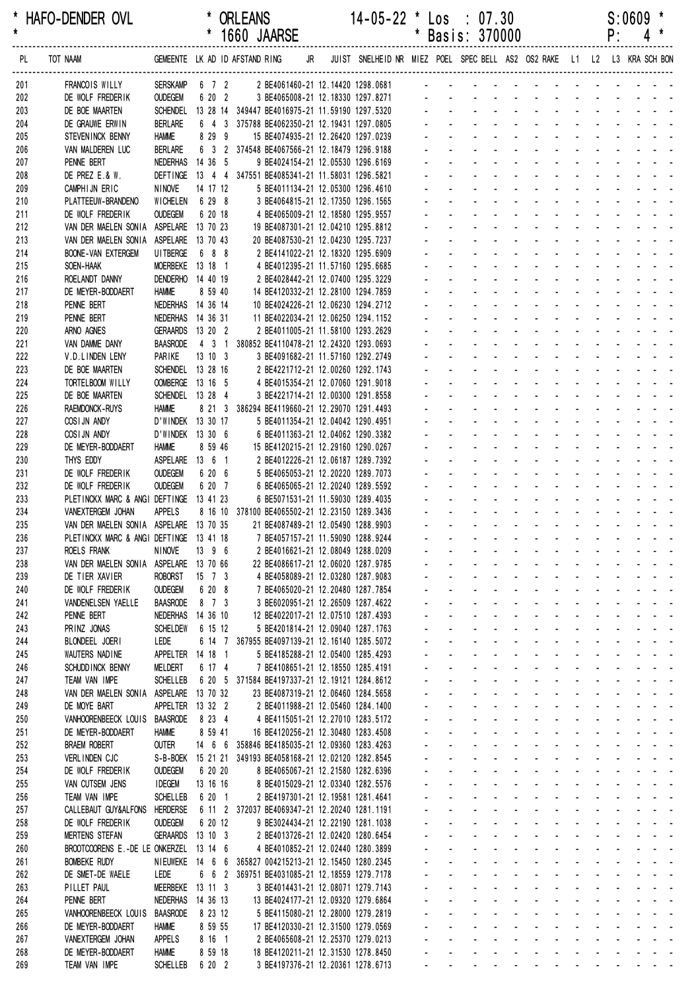\* HAFO-DENDER OVL \* ORLEANS 14-05-22 \* Los : 07.30 S:0609 \* \* 1660 JAARSE \* Basis: 370000 ------------------------------------------------------------------------------------------------------------------------------------------------------------------ PL TOT NAAM GEMEENTE LK AD ID AFSTAND RING JR JUIST SNELHEID NR MIEZ POEL SPEC BELL AS2 OS2 RAKE L1 L2 L3 KRA SCH BON ------------------------------------------------------------------------------------------------------------------------------------------------------------------ 201 FRANCOIS WILLY SERSKAMP 6 7 2 2 BE4061460-21 12.14420 1298.0681 202 DE WOLF FREDERIK OUDEGEM 6 20 2 3 BE4065008-21 12.18330 1297.8271 - - - - - - - -203 DE BOE MAARTEN SCHENDEL 13 28 14 349447 BE4016975-21 11.59190 1297.5320 204 DE GRAUWE ERWIN BERLARE 6 4 3 375788 BE4062350-21 12.19431 1297.0805 205 STEVENINCK BENNY HAMME 8 29 9 15 BE4074935-21 12.26420 1297.0239 206 VAN MALDEREN LUC BERLARE 6 3 2 374548 BE4067566-21 12.18479 1296.9188 207 PENNE BERT NEDERHAS 14 36 5 9 BE4024154-21 12.05530 1296.6169 208 DE PREZ E.& W. DEFTINGE 13 4 4 347551 BE4085341-21 11.58031 1296.5821 209 CAMPHIJN FRIC NINOVE 14 17 12 5 BF4011134-21 12 05300 1296 4610 210 PLATTEEUW-BRANDENO WICHELEN 6 29 8 3 BE4064815-21 12.17350 1296.1565 211 DE WOLF FREDERIK OUDEGEM 6 20 18 4 BE4065009-21 12.18580 1295.9557 212 VAN DER MAELEN SONIA ASPELARE 13 70 23 19 BE4087301-21 12.04210 1295.8812 213 VAN DER MAELEN SONIA ASPELARE 13 70 43 20 BE4087530-21 12.04230 1295.7237 214 BOONE-VAN EXTERGEM UITBERGE 6 8 8 2 BE4141022-21 12.18320 1295.6909 215 SOEN-HAAK MOERBEKE 13 18 1 4 BE4012395-21 11.57160 1295.6685 216 ROELANDT DANNY DENDERHO 14 40 19 2 BE4028442-21 12.07400 1295.3229 217 DE MEYER-BODDAERT HAMME 8 59 40 14 BE4120332-21 12 28100 1294 7859 218 PENNE BERT NEDERHAS 14 36 14 10 BE4024226-21 12.06230 1294.2712 219 PENNE BERT NEDERHAS 14 36 31 11 BE4022034-21 12.06250 1294.1152 220 ARNO AGNES GERAARDS 13 20 2 2 BE4011005-21 11.58100 1293.2629 221 VAN DAMME DANY BAASRODE 4 3 1 380852 BE4110478-21 12.24320 1293.0693 222 V.D.LINDEN LENY PARIKE 13 10 3 3 BE4091682-21 11.57160 1292.2749 223 DE BOE MAARTEN SCHENDEL 13 28 16 - 2 BE4221712-21 12 00260 1292 1743 224 TORTELBOOM WILLY OOMBERGE 13 16 5 4 BE4015354-21 12.07060 1291.9018 - - - - - - - - - - - - - 225 DE BOE MAARTEN SCHENDEL 13 28 4 3 BE4221714-21 12.00300 1291.8558 226 RAEMDONCK-RUYS HAMME 8 21 3 386294 BE4119660-21 12.29070 1291.4493 227 COSIJN ANDY D'WINDEK 13 30 17 5 BF4011354-21 12 04042 1290 4951 228 COSIJN ANDY D'WINDEK 13 30 6 6 BE4011363-21 12.04062 1290.3382 229 DE MEYER-BODDAERT HAMME 8 59 46 15 BE4120215-21 12 29160 1290.0267 230 THYS EDDY ASPELARE 13 6 1 2 BE4012226-21 12.06187 1289.7392 231 DE WOLF FREDERIK OUDEGEM 6 20 6 5 BE4065053-21 12 20220 1289 7073 232 DE WOLF FREDERIK OUDEGEM 6 20 7 6 BE4065065-21 12.20240 1289.5592 233 PLETINCKX MARC & ANGI DEFTINGE 13 41 23 6 BE5071531-21 11.59030 1289.4035 234 VANEXTERGEM JOHAN APPELS 8 16 10 378100 BE4065502-21 12.23150 1289.3436 235 VAN DER MAELEN SONIA ASPELARE 13 70 35 21 BE4087489-21 12 05490 1288 9903 236 PLETINCKX MARC & ANGI DEFTINGE 13 41 18 7 BE4057157-21 11.59090 1288.9244 237 ROELS FRANK NINOVE 13 9 6 2 BE4016621-21 12.08049 1288.0209 238 VAN DER MAELEN SONIA ASPELARE 13 70 66 22 BE4086617-21 12.06020 1287.9785 239 DE TIER XAVIER ROBORST 15 7 3 4 BE4058089-21 12.03280 1287.9083 240 DE WOLF FREDERIK OUDEGEM 6 20 8 7 BE4065020-21 12.20480 1287.7854 241 VANDENELSEN YAELLE BAASRODE 8 7 3 3 BE6020951-21 12.26509 1287.4622 242 PENNE BERT NEDERHAS 14 36 10 12 BE4022017-21 12.07510 1287.4393 243 PRINZ JONAS SCHELDEW 6 15 12 5 BE4201814-21 12.09040 1287.1763 244 BLONDEEL JOERI LEDE 6 14 7 367955 BE4097139-21 12.16140 1285.5072 245 WAUTERS NADINE APPELTER 14 18 1 5 BE4185288-21 12.05400 1285.4293 246 SCHUDDINCK BENNY MELDERT 6 17 4 7 BE4108651-21 12.18550 1285.4191 247 TEAM VAN IMPE SCHELLEB 6 20 5 371584 BE4197337-21 12.19121 1284.8612 248 VAN DER MAELEN SONIA ASPELARE 13 70 32 23 BE4087319-21 12.06460 1284.5658 249 DE MOYE BART APPELTER 13 32 2 2 BE4011988-21 12.05460 1284.1400 250 VANHOORENBEECK LOUIS BAASRODE 8 23 4 4 BE4115051-21 12.27010 1283.5172 251 DE MEYER-BODDAERT HAMME 8 59 41 16 BE4120256-21 12.30480 1283.4508 252 BRAEM ROBERT OUTER 14 6 6 358846 BE4185035-21 12 09360 1283 4263 253 VERLINDEN CJC S-B-BOEK 15 21 21 349193 BE4058168-21 12.02120 1282.8545 254 DE WOLF FREDERIK OUDEGEM 6 20 20 8 BE4065067-21 12 21580 1282 6396 255 VAN CUTSEM JENS IDEGEM 13 16 16 8 BE4015029-21 12 03340 1282 5576 256 TEAM VAN IMPE SCHELLEB 6 20 1 2 BE4197301-21 12 19581 1281 4641 257 CALLEBAUT GUY&ALFONS HERDERSE 6 11 2 372037 BE4069347-21 12.20240 1281.1191 258 DE WOLF FREDERIK OUDEGEM 6 20 12 9 BE3024434-21 12.22190 1281.1038 259 MERTENS STEFAN GERAARDS 13 10 3 2 BE4013726-21 12.02420 1280.6454 260 BROOTCOORENS E.-DE LE ONKERZEL 13 14 6 4 BE4010852-21 12 02440 1280.3899 261 BOMBEKE RUDY NIEUWEKE 14 6 6 365827 004215213-21 12.15450 1280.2345 262 DE SMET-DE WAELE LEDE 6 6 2 369751 BE4031085-21 12.18559 1279.7178 263 PILLET PAUL MEERBEKE 13 11 3 3 BE4014431-21 12.08071 1279.7143 264 PENNE BERT NEDERHAS 14 36 13 13 BE4024177-21 12.09320 1279.6864 265 VANHOORENBEECK LOUIS BAASRODE 8 23 12 5 BE4115080-21 12.28000 1279.2819 266 DE MEYER-BODDAERT HAMME 8 59 55 17 BE4120330-21 12 31500 1279 0569 267 VANEXTERGEM JOHAN APPELS 8 16 1 2 BE4065608-21 12.25370 1279.0213

268 DE MEYER-BODDAERT HAMME 8 59 18 18 BE4120211-21 12.31530 1278.8450 269 TEAM VAN IMPE SCHELLEB 6 20 2 3 BE4197376-21 12.20361 1278.6713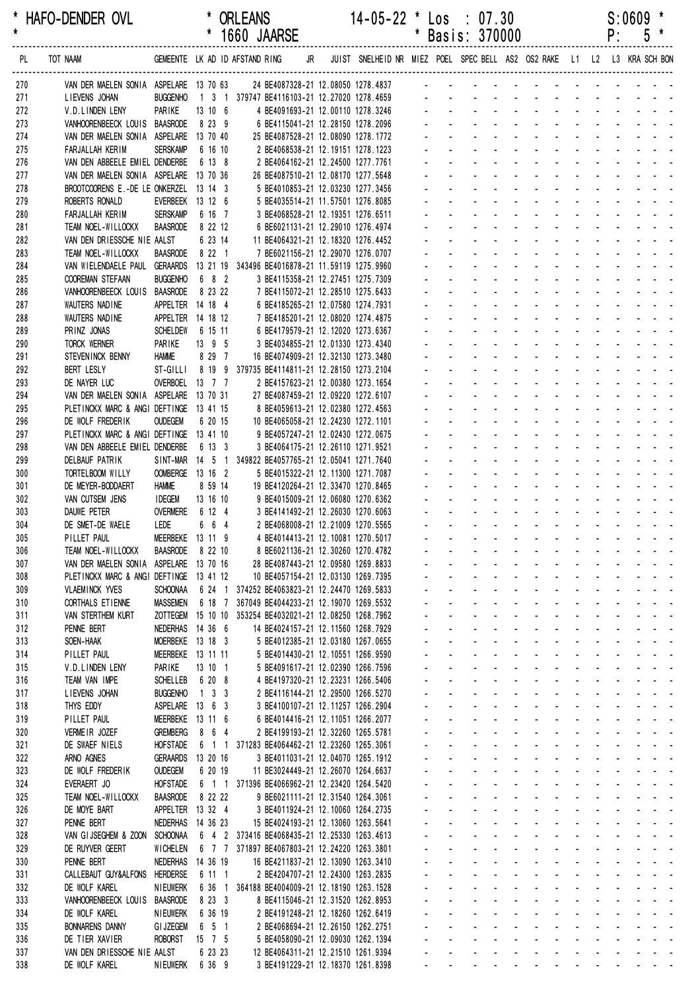| *<br>$\star$ | HAFO-DENDER OVL                                                           |                                    |                     | <b>ORLEANS</b><br>* 1660 JAARSE                                                                           |                                                                        | $14 - 05 - 22$ * Los : 07.30 |                             |                           | * Basis: 370000                                                  |                                                             |               |                | $S:0609$ *<br>P:<br>$5*$                                                                |
|--------------|---------------------------------------------------------------------------|------------------------------------|---------------------|-----------------------------------------------------------------------------------------------------------|------------------------------------------------------------------------|------------------------------|-----------------------------|---------------------------|------------------------------------------------------------------|-------------------------------------------------------------|---------------|----------------|-----------------------------------------------------------------------------------------|
| PL           | TOT NAAM                                                                  |                                    |                     | GEMEENTE LKAD IDAFSTANDRING JR JUIST SNELHEIDNR MIEZ POEL SPECBELL AS2 OS2RAKE L1 L2 L3 KRASCHBON         |                                                                        |                              |                             |                           |                                                                  |                                                             |               |                |                                                                                         |
| 270          | VAN DER MAELEN SONIA ASPELARE 13 70 63 24 BE4087328-21 12.08050 1278.4837 |                                    |                     |                                                                                                           |                                                                        |                              |                             |                           |                                                                  |                                                             |               |                |                                                                                         |
| 271          | LIEVENS JOHAN                                                             |                                    |                     | BUGGENHO  1  3  1  379747 BE4116103-21 12.27020 1278.4659                                                 |                                                                        |                              |                             |                           |                                                                  |                                                             |               |                |                                                                                         |
| 272<br>273   | V.D.LINDEN LENY<br>VANHOORENBEECK LOUIS BAASRODE                          | PARIKE                             | 13 10 6<br>8 23 9   |                                                                                                           | 4 BE4091693-21 12.00110 1278.3246<br>6 BE4115041-21 12.28150 1278.2096 |                              |                             |                           |                                                                  |                                                             |               |                |                                                                                         |
| 274          | VAN DER MAELEN SONIA ASPELARE 13 70 40                                    |                                    |                     |                                                                                                           | 25 BE4087528-21 12.08090 1278.1772                                     |                              |                             |                           |                                                                  |                                                             |               |                |                                                                                         |
| 275          | FARJALLAH KERIM                                                           | <b>SERSKAMP</b>                    | 6 16 10             |                                                                                                           | 2 BE4068538-21 12.19151 1278.1223                                      |                              |                             |                           |                                                                  |                                                             |               |                |                                                                                         |
| 276          | VAN DEN ABBEELE EMIEL DENDERBE                                            |                                    | 6 13 8              |                                                                                                           | 2 BE4064162-21 12.24500 1277.7761                                      |                              |                             |                           |                                                                  |                                                             |               |                |                                                                                         |
| 277          | VAN DER MAELEN SONIA ASPELARE 13 70 36                                    |                                    |                     |                                                                                                           | 26 BE4087510-21 12.08170 1277.5648                                     |                              |                             |                           |                                                                  |                                                             |               |                |                                                                                         |
| 278<br>279   | BROOTCOORENS E.-DE LE ONKERZEL 13 14 3<br>ROBERTS RONALD                  | EVERBEEK 13 12 6                   |                     |                                                                                                           | 5 BE4010853-21 12.03230 1277.3456<br>5 BE4035514-21 11.57501 1276.8085 |                              |                             |                           |                                                                  |                                                             |               |                |                                                                                         |
| 280          | FARJALLAH KERIM                                                           | <b>SERSKAMP</b>                    | 6 16 7              |                                                                                                           | 3 BE4068528-21 12.19351 1276.6511                                      |                              |                             |                           |                                                                  |                                                             |               |                |                                                                                         |
| 281          | TEAM NOEL-WILLOCKX                                                        | BAASRODE                           | 8 22 12             |                                                                                                           | 6 BE6021131-21 12.29010 1276.4974                                      |                              |                             |                           |                                                                  |                                                             |               |                |                                                                                         |
| 282          | VAN DEN DRIESSCHE NIE AALST                                               |                                    | 6 23 14             |                                                                                                           | 11 BE4064321-21 12.18320 1276.4452                                     |                              |                             |                           |                                                                  |                                                             |               |                |                                                                                         |
| 283          | TEAM NOEL-WILLOCKX                                                        | BAASRODE                           | 8 22 1              |                                                                                                           | 7 BE6021156-21 12.29070 1276.0707                                      |                              |                             |                           |                                                                  |                                                             |               |                |                                                                                         |
| 284<br>285   | VAN WIELENDAELE PAUL GERAARDS<br>COOREMAN STEFAAN                         | <b>BUGGENHO</b>                    | 6 8 2               | 13 21 19 343496 BE4016878-21 11.59119 1275.9960                                                           | 3 BE4115358-21 12.27451 1275.7309                                      |                              |                             |                           |                                                                  |                                                             |               |                |                                                                                         |
| 286          | VANHOORENBEECK LOUIS BAASRODE                                             |                                    | 8 23 22             |                                                                                                           | 7 BE4115072-21 12.28510 1275.6433                                      |                              |                             |                           |                                                                  |                                                             |               |                |                                                                                         |
| 287          | WAUTERS NADINE                                                            | APPELTER 14 18 4                   |                     |                                                                                                           | 6 BE4185265-21 12.07580 1274.7931                                      |                              |                             |                           |                                                                  |                                                             |               |                |                                                                                         |
| 288          | WAUTERS NADINE                                                            | APPELTER 14 18 12                  |                     |                                                                                                           | 7 BE4185201-21 12.08020 1274.4875                                      |                              |                             |                           |                                                                  |                                                             |               |                |                                                                                         |
| 289          | PRINZ JONAS                                                               | SCHELDEW 6 15 11                   |                     |                                                                                                           | 6 BE4179579-21 12.12020 1273.6367                                      |                              |                             |                           |                                                                  |                                                             |               |                |                                                                                         |
| 290          | <b>TORCK WERNER</b>                                                       | PARIKE<br>Hamme                    | 13 9 5<br>8 29 7    |                                                                                                           | 3 BE4034855-21 12.01330 1273.4340                                      |                              |                             |                           |                                                                  |                                                             |               |                |                                                                                         |
| 291<br>292   | STEVENINCK BENNY<br><b>BERT LESLY</b>                                     |                                    |                     | ST-GILLI 8 19 9 379735 BE4114811-21 12.28150 1273.2104                                                    | 16 BE4074909-21 12.32130 1273.3480                                     |                              |                             |                           |                                                                  |                                                             |               |                |                                                                                         |
| 293          | DE NAYER LUC                                                              | OVERBOEL 13 7 7                    |                     |                                                                                                           | 2 BE4157623-21 12.00380 1273.1654                                      |                              |                             |                           |                                                                  |                                                             |               |                |                                                                                         |
| 294          | VAN DER MAELEN SONIA ASPELARE 13 70 31                                    |                                    |                     |                                                                                                           | 27 BE4087459-21 12.09220 1272.6107                                     |                              |                             |                           |                                                                  |                                                             |               |                |                                                                                         |
| 295          | PLETINCKX MARC & ANGI DEFTINGE 13 41 15                                   |                                    |                     |                                                                                                           | 8 BE4059613-21 12.02380 1272.4563                                      |                              |                             |                           |                                                                  |                                                             |               |                |                                                                                         |
| 296          | DE WOLF FREDERIK                                                          | <b>OUDEGEM</b>                     | 6 20 15             |                                                                                                           | 10 BE4065058-21 12.24230 1272.1101                                     |                              |                             |                           |                                                                  |                                                             |               |                |                                                                                         |
| 297<br>298   | PLETINCKX MARC & ANGI DEFTINGE 13 41 10<br>VAN DEN ABBEELE EMIEL DENDERBE |                                    | 6 13 3              |                                                                                                           | 9 BE4057247-21 12.02430 1272.0675<br>3 BE4064175-21 12.26110 1271.9521 |                              |                             |                           |                                                                  |                                                             |               |                |                                                                                         |
| 299          | DELBAUF PATRIK                                                            |                                    |                     | SINT-MAR 14 5 1 349822 BE4057765-21 12.05041 1271.7640                                                    |                                                                        |                              |                             |                           |                                                                  |                                                             |               |                |                                                                                         |
| 300          | TORTELBOOM WILLY                                                          | OOMBERGE 13 16 2                   |                     |                                                                                                           | 5 BE4015322-21 12.11300 1271.7087                                      |                              |                             |                           |                                                                  |                                                             |               |                |                                                                                         |
| 301          | DE MEYER-BODDAERT                                                         | <b>HAMME</b>                       | 8 59 14             |                                                                                                           | 19 BE4120264-21 12.33470 1270.8465                                     |                              |                             |                           |                                                                  |                                                             |               |                |                                                                                         |
| 302          | VAN CUTSEM JENS                                                           | <b>IDEGEM</b>                      | 13 16 10            |                                                                                                           | 9 BE4015009-21 12.06080 1270.6362                                      |                              |                             |                           |                                                                  |                                                             |               |                |                                                                                         |
| 303          | DAUWE PETER                                                               | <b>OVERMERE</b>                    | 6 12 4              |                                                                                                           | 3 BE4141492-21 12.26030 1270.6063                                      |                              |                             |                           |                                                                  |                                                             |               |                |                                                                                         |
| 304<br>305   | DE SMET-DE WAELE<br>PILLET PAUL                                           | LEDE<br>MEERBEKE 13 11 9           | 6 6 4               |                                                                                                           | 2 BE4068008-21 12.21009 1270.5565<br>4 BE4014413-21 12.10081 1270.5017 |                              |                             |                           |                                                                  |                                                             |               |                |                                                                                         |
| 306          | TEAM NOEL-WILLOCKX                                                        | BAASRODE 8 22 10                   |                     |                                                                                                           | 8 BE6021136-21 12.30260 1270.4782                                      |                              |                             |                           | and the state of the state of the state of the                   |                                                             |               |                |                                                                                         |
| 307          | VAN DER MAELEN SONIA ASPELARE 13 70 16                                    |                                    |                     |                                                                                                           | 28 BE4087443-21 12.09580 1269.8833                                     |                              |                             |                           | and a series of the series of the                                |                                                             |               |                | $\sim$ 10 $\sim$ 10 $\sim$                                                              |
| 308          | PLETINCKX MARC & ANGI DEFTINGE 13 41 12                                   |                                    |                     |                                                                                                           | 10 BE4057154-21 12.03130 1269.7395                                     |                              |                             |                           | and the company of the company                                   |                                                             |               |                | والوالو الوالوا                                                                         |
| 309          | <b>VLAEMINCK YVES</b>                                                     | <b>SCHOONAA</b>                    |                     | 6 24 1 374252 BE4063823-21 12.24470 1269.5833                                                             |                                                                        |                              |                             |                           | and the company of the company                                   |                                                             |               |                |                                                                                         |
| 310<br>311   | CORTHALS ET IENNE<br>VAN STERTHEM KURT                                    | <b>MASSEMEN</b>                    |                     | 6 18 7 367049 BE4044233-21 12.19070 1269.5532<br>ZOTTEGEM 15 10 10 353254 BE4032021-21 12.08250 1268.7962 |                                                                        |                              | ÷.                          |                           | $\mathcal{L}^{\text{max}}$<br>$\Delta \sim 100$                  | and a straight and a straight                               | ÷.            |                | design and a state of the state of the<br>and the state of                              |
| 312          | PENNE BERT                                                                | NEDERHAS 14 36 6                   |                     |                                                                                                           | 14 BE4024157-21 12.11560 1268.7929                                     |                              |                             | $\mathbf{L}^{\text{max}}$ | $\Delta \sim 100$                                                |                                                             |               |                | and a series of the contract of the                                                     |
| 313          | SOEN-HAAK                                                                 | MOERBEKE 13 18 3                   |                     |                                                                                                           | 5 BE4012385-21 12.03180 1267.0655                                      |                              |                             |                           | and the company of the company                                   |                                                             |               |                | and a straightful and a                                                                 |
| 314          | PILLET PAUL                                                               | MEERBEKE 13 11 11                  |                     |                                                                                                           | 5 BE4014430-21 12.10551 1266.9590                                      |                              |                             |                           | and a straight and a straight                                    | $\sim$                                                      |               |                | والوالو الواليون                                                                        |
| 315          | V.D.LINDEN LENY                                                           | PARIKE                             | 13 10 1             |                                                                                                           | 5 BE4091617-21 12.02390 1266.7596                                      |                              |                             |                           | and a straight and a straight                                    |                                                             |               |                | and the state of the                                                                    |
| 316          | TEAM VAN IMPE                                                             | <b>SCHELLEB</b>                    | 6 20 8              |                                                                                                           | 4 BE4197320-21 12.23231 1266.5406                                      |                              | $\mathcal{L}^{\mathcal{L}}$ |                           | $\Delta \sim 100$<br>$\Delta \sim 100$                           | designed the state of the state<br>and a straight and start | $\mathcal{L}$ |                | and a state of<br>$\mathbf{L} = \mathbf{L} \times \mathbf{L} = \mathbf{L}$              |
| 317<br>318   | LIEVENS JOHAN<br>THYS EDDY                                                | <b>BUGGENHO</b><br>ASPELARE 13 6 3 | $1 \quad 3 \quad 3$ |                                                                                                           | 2 BE4116144-21 12.29500 1266.5270<br>3 BE4100107-21 12.11257 1266.2904 |                              |                             | $\Delta \sim 100$         | $\Delta \sim 100$                                                | and a straight and a straight                               | ä.            |                | $\mathbb{Z}^2$ , $\mathbb{Z}^2$ , $\mathbb{Z}^2$                                        |
| 319          | PILLET PAUL                                                               | MEERBEKE 13 11 6                   |                     |                                                                                                           | 6 BE4014416-21 12.11051 1266.2077                                      |                              |                             | $\mathbf{L}^{\text{max}}$ | and the company of the company                                   |                                                             |               |                | $\sim 100$<br>$\sim$ 10 $\sim$ 10 $\sim$                                                |
| 320          | VERMEIR JOZEF                                                             | <b>GREMBERG</b>                    | 8 6 4               |                                                                                                           | 2 BE4199193-21 12.32260 1265.5781                                      |                              |                             |                           | and the company of the company                                   |                                                             |               |                | والوالو الواليون                                                                        |
| 321          | DE SWAEF NIELS                                                            | <b>HOFSTADE</b>                    |                     | 6 1 1 371283 BE4064462-21 12.23260 1265.3061                                                              |                                                                        |                              |                             |                           | and a straightful and a straight                                 |                                                             |               |                | and the contract of                                                                     |
| 322          | ARNO AGNES                                                                | GERAARDS 13 20 16                  |                     |                                                                                                           | 3 BE4011031-21 12.04070 1265.1912                                      |                              |                             |                           |                                                                  |                                                             |               |                | <u>.</u>                                                                                |
| 323          | DE WOLF FREDERIK                                                          | <b>OUDEGEM</b>                     | 6 20 19             |                                                                                                           | 11 BE3024449-21 12.26070 1264.6637                                     |                              | ä.                          | $\mathbf{L}^{\text{max}}$ | and a straight and a straight                                    |                                                             |               |                | والمناور والمناور والمناور والمناور والمناور<br>and a state of the                      |
| 324<br>325   | EVERAERT JO<br>TEAM NOEL-WILLOCKX                                         | <b>HOFSTADE</b><br><b>BAASRODE</b> | 8 22 22             | 6 1 1 371396 BE4066962-21 12.23420 1264.5420                                                              | 9 BE6021111-21 12.31540 1264.3061                                      |                              |                             | $\mathbf{L}^{\text{max}}$ | and the company of the company                                   |                                                             |               | and a straight | $\omega_{\rm{eff}}$ , $\omega_{\rm{eff}}$ , $\omega_{\rm{eff}}$                         |
| 326          | DE MOYE BART                                                              | APPELTER 13 32 4                   |                     |                                                                                                           | 3 BE4011924-21 12.10060 1264.2735                                      |                              |                             |                           | and the company of the company                                   |                                                             | $\omega$      |                | and the second control                                                                  |
| 327          | PENNE BERT                                                                | NEDERHAS 14 36 23                  |                     |                                                                                                           | 15 BE4024193-21 12.13060 1263.5641                                     |                              |                             |                           | المتواصل والمتواطن والمتواطن                                     |                                                             |               |                | <b>Carl Carl Carl</b>                                                                   |
| 328          | VAN GIJSEGHEM & ZOON SCHOONAA                                             |                                    |                     | 6 4 2 373416 BE4068435-21 12.25330 1263.4613                                                              |                                                                        |                              |                             |                           | $\Delta \sim 100$                                                | and a straight and a straight                               |               |                | $\mathcal{L}^{\text{max}}(\mathcal{L}^{\text{max}})$ , where $\mathcal{L}^{\text{max}}$ |
| 329          | DE RUYVER GEERT                                                           | <b>WICHELEN</b>                    |                     | 6 7 7 371897 BE4067803-21 12.24220 1263.3801                                                              |                                                                        |                              | $\mathcal{L}^{\mathcal{L}}$ |                           | $\Delta \sim 100$                                                | and a straight and a straight                               | $\mathbf{r}$  |                | $\mathbf{L} = \mathbf{L} \times \mathbf{L} = \mathbf{L}$                                |
| 330          | PENNE BERT                                                                | NEDERHAS 14 36 19                  |                     |                                                                                                           | 16 BE4211837-21 12.13090 1263.3410                                     |                              |                             | $\Delta \sim 100$         | $\Delta \sim 100$                                                | and a straight and a straight                               |               |                | $\omega_{\rm{eff}}$ , $\omega_{\rm{eff}}$ , $\omega_{\rm{eff}}$                         |
| 331<br>332   | CALLEBAUT GUY&ALFONS<br>DE WOLF KAREL                                     | HERDERSE<br><b>NIEUWERK</b>        | 6 11 1              | 6 36 1 364188 BE4004009-21 12.18190 1263.1528                                                             | 2 BE4204707-21 12.24300 1263.2835                                      |                              |                             | $\mathbf{L}^{\text{max}}$ | and the company of the company<br>and the company of the company |                                                             |               |                | $\sim 100$<br>$\sim$ 10 $\sim$ 10 $\sim$<br>والوالو الواليون                            |
| 333          | VANHOORENBEECK LOUIS                                                      | <b>BAASRODE</b>                    | 8 2 3 3             |                                                                                                           | 8 BE4115046-21 12.31520 1262.8953                                      |                              |                             |                           | and the company of the company                                   |                                                             |               |                | and a strain and a                                                                      |
| 334          | DE WOLF KAREL                                                             | <b>NIEUWERK</b>                    | 6 36 19             |                                                                                                           | 2 BE4191248-21 12.18260 1262.6419                                      |                              |                             |                           |                                                                  |                                                             |               |                | <u>.</u>                                                                                |
| 335          | <b>BONNARENS DANNY</b>                                                    | <b>GI JZEGEM</b>                   | 6 5 1               |                                                                                                           | 2 BE4068694-21 12.26150 1262.2751                                      |                              |                             | $\omega_{\rm{max}}$       | $\Delta \sim 100$                                                | and a strain and a strain and                               |               |                | $\omega_{\rm{eff}}$ , $\omega_{\rm{eff}}$ , $\omega_{\rm{eff}}$                         |
| 336          | DE TIER XAVIER                                                            | <b>ROBORST</b>                     | $15 \t 7 \t 5$      |                                                                                                           | 5 BE4058090-21 12.09030 1262.1394                                      |                              |                             | $\omega_{\rm{max}}$       | and a straightful contract and a straight                        |                                                             |               |                | $\omega_{\rm{eff}}=2.0\pm0.05$                                                          |

 337 VAN DEN DRIESSCHE NIE AALST 6 23 23 12 BE4064311-21 12.21510 1261.9394 - - - - - - - - - - - - - 338 DE WOLF KAREL NIEUWERK 6 36 9 3 BE4191229-21 12.18370 1261.8398 - - - - - - - - - - - - -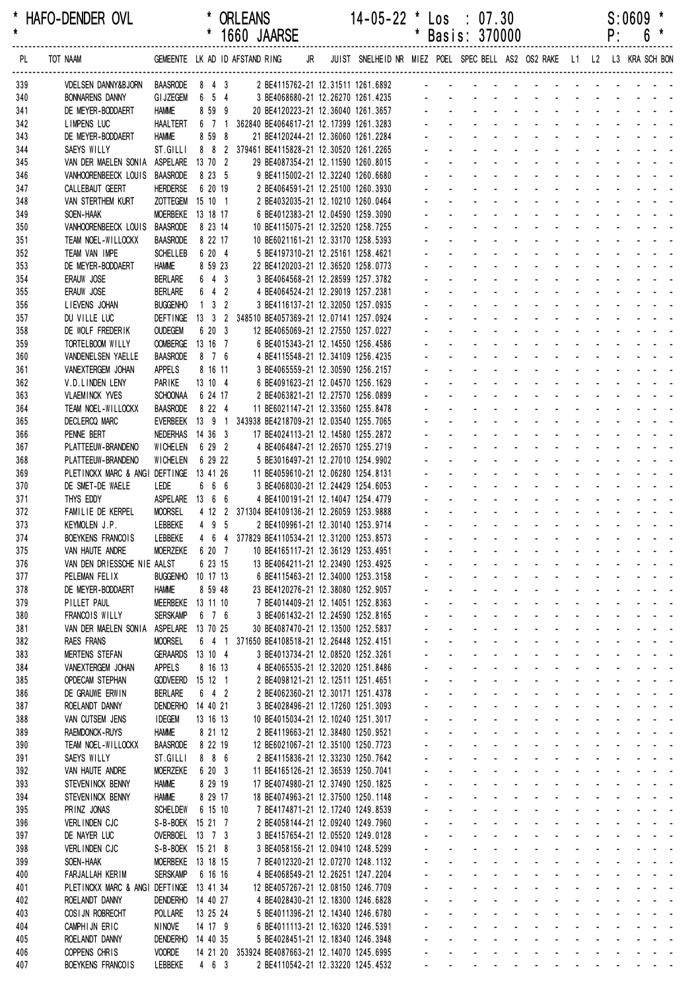| *<br>$\star$ |          | HAFO-DENDER OVL                                             |                                      | $\star$  |                     | <b>ORLEANS</b><br>1660 JAARSE  |                                                                                    | $14 - 05 - 22$ *                                                        | $\ast$                      |                                                  | Los : 07.30<br>Basis: 370000                                                                |                                                           |                                                                                            |                                    |                                               |                                     | P:                          | S:0609<br>6 | $\ast$                                                                                                                                                   |
|--------------|----------|-------------------------------------------------------------|--------------------------------------|----------|---------------------|--------------------------------|------------------------------------------------------------------------------------|-------------------------------------------------------------------------|-----------------------------|--------------------------------------------------|---------------------------------------------------------------------------------------------|-----------------------------------------------------------|--------------------------------------------------------------------------------------------|------------------------------------|-----------------------------------------------|-------------------------------------|-----------------------------|-------------|----------------------------------------------------------------------------------------------------------------------------------------------------------|
| PL           | TOT NAAM |                                                             |                                      |          |                     | GEMEENTE LK AD ID AFSTAND RING | JR                                                                                 | JUIST SNELHEID NR MIEZ POEL SPEC BELL AS2 OS2 RAKE L1 L2 L3 KRA SCH BON |                             |                                                  |                                                                                             |                                                           |                                                                                            |                                    |                                               |                                     |                             |             |                                                                                                                                                          |
| 339          |          | VDELSEN DANNY&BJORN                                         | <b>BAASRODE</b>                      |          | 8 4 3               |                                | 2 BE4115762-21 12.31511 1261.6892                                                  |                                                                         |                             |                                                  |                                                                                             |                                                           |                                                                                            |                                    |                                               |                                     |                             |             |                                                                                                                                                          |
| 340          |          | <b>BONNARENS DANNY</b>                                      | <b>GI JZEGEM</b>                     |          | 6 5 4               |                                | 3 BE4068680-21 12.26270 1261.4235                                                  |                                                                         |                             |                                                  |                                                                                             |                                                           |                                                                                            |                                    |                                               |                                     |                             |             |                                                                                                                                                          |
| 341          |          | DE MEYER-BODDAERT                                           | <b>HAMME</b>                         |          | 8 59 9              |                                | 20 BE4120223-21 12.36040 1261.3657                                                 |                                                                         |                             |                                                  |                                                                                             |                                                           |                                                                                            |                                    |                                               |                                     |                             |             |                                                                                                                                                          |
| 342<br>343   |          | <b>LIMPENS LUC</b><br>DE MEYER-BODDAERT                     | <b>HAALTERT</b><br><b>HAMME</b>      |          | 6 7 1<br>8 59 8     |                                | 362840 BE4064617-21 12.17399 1261.3283<br>21 BE4120244-21 12.36060 1261.2284       |                                                                         |                             |                                                  |                                                                                             |                                                           |                                                                                            |                                    |                                               |                                     |                             |             |                                                                                                                                                          |
| 344          |          | SAEYS WILLY                                                 | ST.GILLI                             |          |                     |                                | 8 8 2 379461 BE4115828-21 12.30520 1261.2265                                       |                                                                         |                             |                                                  |                                                                                             |                                                           |                                                                                            |                                    |                                               |                                     |                             |             |                                                                                                                                                          |
| 345          |          | VAN DER MAELEN SONIA ASPELARE 13 70 2                       |                                      |          |                     |                                | 29 BE4087354-21 12.11590 1260.8015                                                 |                                                                         |                             |                                                  |                                                                                             |                                                           |                                                                                            |                                    |                                               |                                     |                             |             |                                                                                                                                                          |
| 346          |          | VANHOORENBEECK LOUIS BAASRODE                               |                                      |          | 8 23 5              |                                | 9 BE4115002-21 12.32240 1260.6680                                                  |                                                                         |                             |                                                  |                                                                                             |                                                           |                                                                                            |                                    |                                               |                                     |                             |             |                                                                                                                                                          |
| 347          |          | CALLEBAUT GEERT                                             | <b>HERDERSE</b>                      |          | 6 20 19             |                                | 2 BE4064591-21 12.25100 1260.3930                                                  |                                                                         |                             |                                                  |                                                                                             |                                                           |                                                                                            |                                    |                                               |                                     |                             |             |                                                                                                                                                          |
| 348          |          | VAN STERTHEM KURT                                           | ZOTTEGEM 15 10 1                     |          |                     |                                | 2 BE4032035-21 12.10210 1260.0464                                                  |                                                                         |                             |                                                  |                                                                                             |                                                           |                                                                                            |                                    |                                               |                                     |                             |             |                                                                                                                                                          |
| 349<br>350   |          | SOEN-HAAK<br>VANHOORENBEECK LOUIS                           | MOERBEKE 13 18 17<br><b>BAASRODE</b> |          | 8 23 14             |                                | 6 BE4012383-21 12.04590 1259.3090<br>10 BE4115075-21 12.32520 1258.7255            |                                                                         |                             |                                                  |                                                                                             |                                                           |                                                                                            |                                    |                                               |                                     |                             |             |                                                                                                                                                          |
| 351          |          | TEAM NOEL-WILLOCKX                                          | <b>BAASRODE</b>                      |          | 8 22 17             |                                | 10 BE6021161-21 12.33170 1258.5393                                                 |                                                                         |                             |                                                  |                                                                                             |                                                           |                                                                                            |                                    |                                               |                                     |                             |             |                                                                                                                                                          |
| 352          |          | TEAM VAN IMPE                                               | <b>SCHELLEB</b>                      |          | 6 20 4              |                                | 5 BE4197310-21 12.25161 1258.4621                                                  |                                                                         |                             |                                                  |                                                                                             |                                                           |                                                                                            |                                    |                                               |                                     |                             |             |                                                                                                                                                          |
| 353          |          | DE MEYER-BODDAERT                                           | <b>HAMME</b>                         |          | 8 59 23             |                                | 22 BE4120203-21 12.36520 1258.0773                                                 |                                                                         |                             |                                                  |                                                                                             |                                                           |                                                                                            |                                    |                                               |                                     |                             |             |                                                                                                                                                          |
| 354          |          | ERAUW JOSE                                                  | <b>BERLARE</b>                       |          | 643                 |                                | 3 BE4064568-21 12.28599 1257.3782                                                  |                                                                         |                             |                                                  |                                                                                             |                                                           |                                                                                            |                                    |                                               |                                     |                             |             |                                                                                                                                                          |
| 355          |          | ERAUW JOSE                                                  | <b>BERLARE</b>                       |          | $6 \quad 4 \quad 2$ |                                | 4 BE4064524-21 12.29019 1257.2381                                                  |                                                                         |                             |                                                  |                                                                                             |                                                           |                                                                                            |                                    |                                               |                                     |                             |             |                                                                                                                                                          |
| 356<br>357   |          | LIEVENS JOHAN<br>DU VILLE LUC                               | <b>BUGGENHO</b><br><b>DEFTINGE</b>   |          | $1 \quad 3 \quad 2$ |                                | 3 BE4116137-21 12.32050 1257.0935<br>13 3 2 348510 BE4057369-21 12.07141 1257.0924 |                                                                         |                             |                                                  |                                                                                             |                                                           |                                                                                            |                                    |                                               |                                     |                             |             |                                                                                                                                                          |
| 358          |          | DE WOLF FREDERIK                                            | <b>OUDEGEM</b>                       |          | 6 20 3              |                                | 12 BE4065069-21 12.27550 1257.0227                                                 |                                                                         |                             |                                                  |                                                                                             |                                                           |                                                                                            |                                    |                                               |                                     |                             |             |                                                                                                                                                          |
| 359          |          | TORTELBOOM WILLY                                            | <b>OOMBERGE</b>                      | 13 16 7  |                     |                                | 6 BE4015343-21 12.14550 1256.4586                                                  |                                                                         |                             |                                                  |                                                                                             |                                                           |                                                                                            |                                    |                                               |                                     |                             |             |                                                                                                                                                          |
| 360          |          | VANDENELSEN YAELLE                                          | <b>BAASRODE</b>                      |          | 8 7 6               |                                | 4 BE4115548-21 12.34109 1256.4235                                                  |                                                                         |                             |                                                  |                                                                                             |                                                           |                                                                                            |                                    |                                               |                                     |                             |             |                                                                                                                                                          |
| 361          |          | VANEXTERGEM JOHAN                                           | <b>APPELS</b>                        |          | 8 16 11             |                                | 3 BE4065559-21 12.30590 1256.2157                                                  |                                                                         |                             |                                                  |                                                                                             |                                                           |                                                                                            |                                    |                                               |                                     |                             |             |                                                                                                                                                          |
| 362<br>363   |          | V.D.LINDEN LENY<br><b>VLAEMINCK YVES</b>                    | <b>PARIKE</b><br><b>SCHOONAA</b>     |          | 13 10 4<br>6 24 17  |                                | 6 BE4091623-21 12.04570 1256.1629<br>2 BE4063821-21 12.27570 1256.0899             |                                                                         |                             |                                                  |                                                                                             |                                                           |                                                                                            |                                    |                                               |                                     |                             |             |                                                                                                                                                          |
| 364          |          | TEAM NOEL-WILLOCKX                                          | <b>BAASRODE</b>                      |          | 8 2 2 4             |                                | 11 BE6021147-21 12.33560 1255.8478                                                 |                                                                         |                             |                                                  |                                                                                             |                                                           |                                                                                            |                                    |                                               |                                     |                             |             |                                                                                                                                                          |
| 365          |          | DECLERCQ MARC                                               | <b>EVERBEEK</b>                      |          |                     |                                | 13 9 1 343938 BE4218709-21 12.03540 1255.7065                                      |                                                                         |                             |                                                  |                                                                                             |                                                           |                                                                                            |                                    |                                               |                                     |                             |             |                                                                                                                                                          |
| 366          |          | PENNE BERT                                                  | NEDERHAS 14 36 3                     |          |                     |                                | 17 BE4024113-21 12.14580 1255.2872                                                 |                                                                         |                             |                                                  |                                                                                             |                                                           |                                                                                            |                                    |                                               |                                     |                             |             |                                                                                                                                                          |
| 367          |          | PLATTEEUW-BRANDENO                                          | <b>WICHELEN</b>                      |          | 6 29 2              |                                | 4 BE4064847-21 12.26570 1255.2719                                                  |                                                                         |                             |                                                  |                                                                                             |                                                           |                                                                                            |                                    |                                               |                                     |                             |             |                                                                                                                                                          |
| 368          |          | PLATTEEUW-BRANDENO                                          | <b>WICHELEN</b>                      |          | 6 29 22             |                                | 5 BE3016497-21 12.27010 1254.9902                                                  |                                                                         |                             |                                                  |                                                                                             |                                                           |                                                                                            |                                    |                                               |                                     |                             |             |                                                                                                                                                          |
| 369          |          | PLETINCKX MARC & ANGI DEFTINGE 13 41 26<br>DE SMET-DE WAELE | LEDE                                 |          | 6 6 6               |                                | 11 BE4059610-21 12.06280 1254.8131<br>3 BE4068030-21 12.24429 1254.6053            |                                                                         |                             |                                                  |                                                                                             |                                                           |                                                                                            |                                    |                                               |                                     |                             |             |                                                                                                                                                          |
| 370<br>371   |          | THYS EDDY                                                   | ASPELARE 13 6 6                      |          |                     |                                | 4 BE4100191-21 12.14047 1254.4779                                                  |                                                                         |                             |                                                  |                                                                                             |                                                           |                                                                                            |                                    |                                               |                                     |                             |             |                                                                                                                                                          |
| 372          |          | FAMILIE DE KERPEL                                           | <b>MOORSEL</b>                       |          |                     |                                | 4 12 2 371304 BE4109136-21 12.26059 1253.9888                                      |                                                                         |                             |                                                  |                                                                                             |                                                           |                                                                                            |                                    |                                               |                                     |                             |             |                                                                                                                                                          |
| 373          |          | KEYMOLEN J.P.                                               | LEBBEKE                              |          | 4 9 5               |                                | 2 BE4109961-21 12.30140 1253.9714                                                  |                                                                         |                             |                                                  |                                                                                             |                                                           |                                                                                            |                                    |                                               |                                     |                             |             |                                                                                                                                                          |
| 374          |          | BOEYKENS FRANCOIS                                           | LEBBEKE                              |          |                     |                                | 4 6 4 377829 BE4110534-21 12.31200 1253.8573                                       |                                                                         |                             |                                                  |                                                                                             |                                                           | and the company of the company                                                             |                                    |                                               |                                     |                             |             |                                                                                                                                                          |
| 375          |          | VAN HAUTE ANDRE                                             | <b>MOERZEKE</b>                      |          | 6 20 7              |                                | 10 BE4165117-21 12.36129 1253.4951                                                 |                                                                         |                             |                                                  |                                                                                             |                                                           | and a straight                                                                             |                                    |                                               |                                     |                             |             |                                                                                                                                                          |
| 376<br>377   |          | VAN DEN DRIESSCHE NIE AALST<br>PELEMAN FELIX                | BUGGENHO 10 17 13                    |          | 6 23 15             |                                | 13 BE4064211-21 12.23490 1253.4925<br>6 BE4115463-21 12.34000 1253.3158            |                                                                         |                             | $\mathcal{L}^{\pm}$                              | $\omega_{\rm{max}}$                                                                         |                                                           | and a straight<br>and a straight                                                           | $\sim$<br>$\Delta \sim 10^{-11}$   | $\sim 100$<br>$\sim$                          | $\mathbf{r}$<br>$\omega_{\rm{max}}$ | $\Delta \sim 10^{-1}$       |             | and the state of the state of                                                                                                                            |
| 378          |          | DE MEYER-BODDAERT                                           | <b>HAMME</b>                         |          | 8 59 48             |                                | 23 BE4120276-21 12.38080 1252.9057                                                 |                                                                         | $\blacksquare$              | $\blacksquare$                                   | $\sim 100$                                                                                  | $\mathcal{L}^{\text{max}}$                                | $\omega_{\rm{max}}$<br>$\sim 10$                                                           | $\blacksquare$                     |                                               |                                     |                             |             |                                                                                                                                                          |
| 379          |          | PILLET PAUL                                                 | MEERBEKE 13 11 10                    |          |                     |                                | 7 BE4014409-21 12.14051 1252.8363                                                  |                                                                         |                             | $\blacksquare$                                   | $\sim 100$                                                                                  | $\omega_{\rm{max}}=0.1$                                   | $\Delta \sim 100$                                                                          | $\blacksquare$                     |                                               |                                     |                             |             |                                                                                                                                                          |
| 380          |          | FRANCOIS WILLY                                              | <b>SERSKAMP</b>                      |          | 6 7 6               |                                | 3 BE4061432-21 12.24590 1252.8165                                                  |                                                                         |                             |                                                  |                                                                                             | $\mathbf{z} = \mathbf{z}$                                 | $\sim$<br>$\omega$                                                                         | $\sim 100$                         |                                               |                                     |                             |             |                                                                                                                                                          |
| 381          |          | VAN DER MAELEN SONIA ASPELARE 13 70 25                      |                                      |          |                     |                                | 30 BE4087470-21 12.13500 1252.5837                                                 |                                                                         |                             |                                                  |                                                                                             | $\omega_{\rm{max}}=0.1$                                   | $\sim$                                                                                     |                                    | $\omega_{\rm{max}}=2.5$                       | $\mathbf{r}$                        |                             |             | $\begin{array}{cccccccccccccc} \bullet & \bullet & \bullet & \bullet & \bullet & \bullet & \bullet \end{array}$                                          |
| 382          |          | <b>RAES FRANS</b>                                           | <b>MOORSEL</b>                       |          |                     |                                | 6 4 1 371650 BE4108518-21 12.26448 1252.4151                                       |                                                                         | ÷.                          | ä,<br>$\mathbf{r}$                               | $\mathbf{L}^{\text{max}}$<br>$\Delta \sim 10^4$                                             | <b>All Cards</b><br>$\omega_{\rm{max}}$                   | $\mathcal{L}^{\mathcal{A}}$<br>$\Delta \sim 10^4$<br>$\Delta \sim 10^4$                    | $\mathbf{r}$                       | <b>Contractor</b><br>and a state              | $\Delta \sim 10^4$                  | $\Delta \sim 100$           |             | and a strain and a<br>$\omega_{\rm{eff}}$ , $\omega_{\rm{eff}}$ , $\omega_{\rm{eff}}$                                                                    |
| 383<br>384   |          | <b>MERTENS STEFAN</b><br>VANEXTERGEM JOHAN                  | GERAARDS 13 10 4<br><b>APPELS</b>    |          | 8 16 13             |                                | 3 BE4013734-21 12.08520 1252.3261<br>4 BE4065535-21 12.32020 1251.8486             |                                                                         | $\blacksquare$              | $\mathbf{r}$                                     | $\sim 100$                                                                                  | $\sim 100$                                                | $\sim$<br>$\sim$                                                                           | $\mathbf{r}$                       | $\sim$                                        |                                     |                             |             | $\sim 100$ km s $^{-1}$                                                                                                                                  |
| 385          |          | <b>OPDECAM STEPHAN</b>                                      | GODVEERD 15 12 1                     |          |                     |                                | 2 BE4098121-21 12.12511 1251.4651                                                  |                                                                         |                             | $\omega$                                         | $\mathbf{L}^{\text{max}}$                                                                   | $\mathcal{L}^{\text{max}}$ and $\mathcal{L}^{\text{max}}$ | $\mathcal{L}_{\mathcal{A}}$                                                                | $\mathbf{r}$                       |                                               |                                     |                             |             | $\mathcal{L}^{\text{max}}(\mathcal{L}^{\text{max}})$ . The $\mathcal{L}^{\text{max}}$                                                                    |
| 386          |          | DE GRAUWE ERWIN                                             | <b>BERLARE</b>                       |          | $6 \quad 4 \quad 2$ |                                | 2 BE4062360-21 12.30171 1251.4378                                                  |                                                                         |                             |                                                  |                                                                                             | and a straight                                            | $\sim$ $\sim$                                                                              |                                    |                                               |                                     |                             |             |                                                                                                                                                          |
| 387          |          | ROELANDT DANNY                                              | DENDERHO 14 40 21                    |          |                     |                                | 3 BE4028496-21 12.17260 1251.3093                                                  |                                                                         |                             | $\mathcal{L}^{\pm}$                              |                                                                                             |                                                           | <b>All Card Card</b>                                                                       | $\sim 100$                         | $\sim$                                        |                                     |                             |             |                                                                                                                                                          |
| 388          |          | VAN CUTSEM JENS                                             | <b>IDEGEM</b>                        |          | 13 16 13            |                                | 10 BE4015034-21 12.10240 1251.3017                                                 |                                                                         |                             | $\mathbf{r}$                                     | $\Delta \sim 100$                                                                           |                                                           | $\Delta \phi = \Delta \phi = 0.01$ and                                                     | $\mathbf{r}$                       | $\sim 100$                                    | $\mathbf{r}$                        |                             |             | $\omega_{\rm{max}}$ , and $\omega_{\rm{max}}$                                                                                                            |
| 389          |          | RAEMDONCK-RUYS                                              | Hamme<br><b>BAASRODE</b>             |          | 8 21 12<br>8 22 19  |                                | 2 BE4119663-21 12.38480 1250.9521<br>12 BE6021067-21 12.35100 1250.7723            |                                                                         |                             | $\omega_{\rm{max}}$<br>$\mathbf{L}^{\text{max}}$ | $\mathbf{L}^{\text{max}}$<br>$\mathbf{L}^{\text{max}}$<br>$\omega_{\rm{max}}$<br>$\sim 100$ |                                                           | and a straight and a straight<br>and a straight and                                        |                                    | $\sim$                                        | $\mathcal{L}^{\mathcal{A}}$         |                             |             | $\mathcal{L} = \mathcal{L} \mathcal{L}$                                                                                                                  |
| 390<br>391   |          | TEAM NOEL-WILLOCKX<br>SAEYS WILLY                           | ST.GILLI                             |          | 8 8 6               |                                | 2 BE4115836-21 12.33230 1250.7642                                                  |                                                                         |                             | $\blacksquare$                                   |                                                                                             | and a straightful and state                               |                                                                                            |                                    |                                               |                                     |                             |             |                                                                                                                                                          |
| 392          |          | VAN HAUTE ANDRE                                             | MOERZEKE                             |          | 6 20 3              |                                | 11 BE4165126-21 12.36539 1250.7041                                                 |                                                                         |                             |                                                  |                                                                                             | $\Delta \phi = \Delta \phi = 0.01$ and                    |                                                                                            |                                    |                                               |                                     |                             |             |                                                                                                                                                          |
| 393          |          | STEVENINCK BENNY                                            | <b>HAMME</b>                         |          | 8 29 19             |                                | 17 BE4074980-21 12.37490 1250.1825                                                 |                                                                         |                             | $\mathcal{L}^{\pm}$                              | $\sim 100$                                                                                  | $\Delta\phi$ and $\Delta\phi$                             | $\mathcal{L}_{\mathcal{A}}$                                                                |                                    |                                               |                                     |                             |             |                                                                                                                                                          |
| 394          |          | STEVENINCK BENNY                                            | <b>HAMME</b>                         |          | 8 29 17             |                                | 18 BE4074963-21 12.37500 1250.1148                                                 |                                                                         |                             |                                                  | $\sim$                                                                                      | $\sim 100$<br>$\blacksquare$                              | $\sim$                                                                                     | $\mathbf{r}$                       | $\sim 100$                                    | $\mathbf{r}$                        | $\mathcal{L}_{\mathcal{A}}$ |             | <b>Contract Contract Contract</b>                                                                                                                        |
| 395          |          | PRINZ JONAS                                                 | <b>SCHELDEW</b>                      |          | 6 15 10             |                                | 7 BE4174871-21 12.17240 1249.8539                                                  |                                                                         |                             | ÷.                                               | $\mathbf{L}^{\text{max}}$                                                                   | and a state                                               | $\Delta \sim 100$                                                                          |                                    | $\Delta \phi = \Delta \phi$ and $\Delta \phi$ | $\omega_{\rm{max}}$                 | $\Delta \sim 100$           |             | $\omega_{\rm{eff}}$ , $\omega_{\rm{eff}}$ , $\omega_{\rm{eff}}$                                                                                          |
| 396<br>397   |          | <b>VERLINDEN CJC</b><br>DE NAYER LUC                        | S-B-BOEK 15 21 7<br>OVERBOEL 13 7 3  |          |                     |                                | 2 BE4058144-21 12.09240 1249.7960<br>3 BE4157654-21 12.05520 1249.0128             |                                                                         | $\blacksquare$              | $\sim$<br>$\blacksquare$                         | $\Delta \sim 100$<br>$\sim$                                                                 | $\omega_{\rm{max}}$<br>$\sim 100$                         | $\omega_{\rm{max}}$<br>$\Delta \sim 10^4$<br>$\blacksquare$<br>$\mathcal{L}_{\mathcal{A}}$ | $\Delta \sim 100$<br>$\mathbf{r}$  | $\sim$<br>$\mathbf{r}$                        | $\omega_{\rm{max}}$                 | $\Delta \sim 100$<br>$\sim$ |             | $\omega_{\rm{eff}}$ , $\omega_{\rm{eff}}$ , $\omega_{\rm{eff}}$<br>$\mathcal{L}^{\text{max}}(\mathcal{L}^{\text{max}})$ . The $\mathcal{L}^{\text{max}}$ |
| 398          |          | VERLINDEN CJC                                               | S-B-BOEK 15 21 8                     |          |                     |                                | 3 BE4058156-21 12.09410 1248.5299                                                  |                                                                         |                             | ä,                                               |                                                                                             | $\omega_{\rm{max}}$                                       | $\mathcal{L}^{\pm}$<br>$\mathbf{r}$                                                        | $\mathbf{r}$                       |                                               | $\mathbf{r}$                        |                             |             | $\Delta \phi = \Delta \phi = 0.1$                                                                                                                        |
| 399          |          | SOEN-HAAK                                                   | MOERBEKE 13 18 15                    |          |                     |                                | 7 BE4012320-21 12.07270 1248.1132                                                  |                                                                         |                             | ÷.                                               |                                                                                             | $\omega_{\rm{max}}$ , $\omega_{\rm{max}}$                 | $\mathbf{r}$                                                                               |                                    |                                               | $\mathbf{r}$                        |                             |             |                                                                                                                                                          |
| 400          |          | FARJALLAH KERIM                                             | <b>SERSKAMP</b>                      |          | 6 16 16             |                                | 4 BE4068549-21 12.26251 1247.2204                                                  |                                                                         |                             | ä,                                               | $\sim 100$                                                                                  | $\omega_{\rm{max}}=0.1$                                   | $\mathcal{L}$                                                                              | $\mathbf{r}$                       | $\sim 100$                                    | L.                                  |                             |             | $\omega_{\rm{max}}$                                                                                                                                      |
| 401          |          | PLETINCKX MARC & ANGI DEFTINGE 13 41 34                     |                                      |          |                     |                                | 12 BE4057267-21 12.08150 1246.7709                                                 |                                                                         |                             | ¥.                                               | $\mathbf{L}^{\text{max}}$                                                                   |                                                           | and a straight                                                                             | $\Delta \sim 10^{-11}$             | $\sim$                                        |                                     |                             |             | $\mathcal{L}^{\text{max}}$                                                                                                                               |
| 402          |          | ROELANDT DANNY                                              | DENDERHO 14 40 27                    |          |                     |                                | 4 BE4028430-21 12.18300 1246.6828                                                  |                                                                         | $\mathcal{L}^{\mathcal{L}}$ |                                                  | $\mathbf{L}^{\text{max}}$<br>$\sim 100$                                                     |                                                           | and a state of                                                                             | $\sim 100$                         |                                               |                                     |                             |             |                                                                                                                                                          |
| 403<br>404   |          | COSI JN ROBRECHT<br>CAMPHIJN ERIC                           | <b>POLLARE</b><br><b>NINOVE</b>      | 13 25 24 | 14 17 9             |                                | 5 BE4011396-21 12.14340 1246.6780<br>6 BE4011113-21 12.16320 1246.5391             |                                                                         |                             | $\blacksquare$                                   | $\Delta \sim 100$                                                                           | and a strategic<br>and a straight                         | <b>Contractor</b><br>$\mathcal{L}_{\mathcal{A}}$                                           | $\mathbf{r}$<br>$\Delta \sim 10^4$ |                                               |                                     |                             |             |                                                                                                                                                          |
| 405          |          | ROELANDT DANNY                                              | DENDERHO 14 40 35                    |          |                     |                                | 5 BE4028451-21 12.18340 1246.3948                                                  |                                                                         |                             |                                                  | $\Delta \sim 100$<br>$\Delta \sim 100$                                                      | $\sim 100$<br>$\sim$                                      | $\mathcal{L}_{\mathcal{A}}$                                                                |                                    | $\omega_{\rm{max}}$ , $\omega_{\rm{max}}$     | $\Delta \sim 10^4$                  |                             |             |                                                                                                                                                          |
| 406          |          | COPPENS CHRIS                                               | <b>VOORDE</b>                        |          |                     |                                | 14 21 20 353924 BE4087663-21 12.14070 1245.6995                                    |                                                                         |                             | $\mathbf{r}$                                     | $\sim 100$                                                                                  | and a state                                               | $\Delta \sim 100$                                                                          |                                    | and a state                                   |                                     | $\omega_{\rm{max}}=2.5$     |             | $\omega_{\rm{eff}}$ , $\omega_{\rm{eff}}$ , $\omega_{\rm{eff}}$                                                                                          |
| 407          |          | BOEYKENS FRANCOIS                                           | LEBBEKE                              |          | 463                 |                                | 2 BE4110542-21 12.33220 1245.4532                                                  |                                                                         |                             | $\omega_{\rm{max}}$                              | $\mathbf{L}^{\text{max}}$<br>$\sim 100$                                                     |                                                           | and a straight and a straight and                                                          |                                    |                                               |                                     |                             |             | $\omega_{\rm{eff}}$ , $\omega_{\rm{eff}}$ , $\omega_{\rm{eff}}$                                                                                          |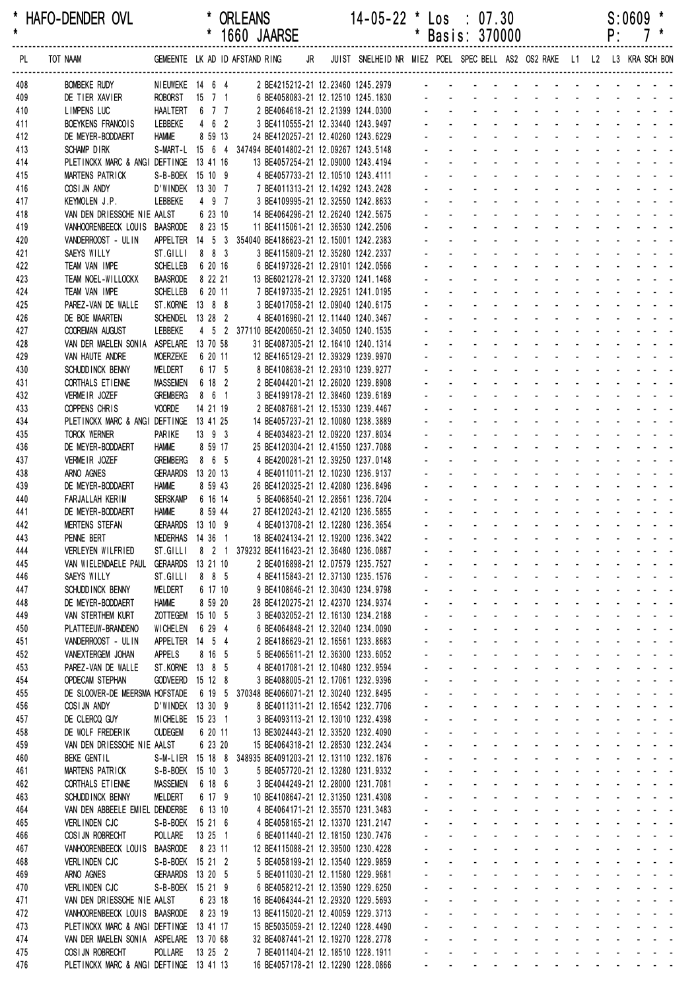| *<br>$\star$ | HAFO-DENDER OVL                                                                   |                                     |                    | <b>ORLEANS</b><br>* 1660 JAARSE                                          |    |  | $14-05-22$ * Los : 07.30                                                | *                           | Basis: 370000               |                                                        |                                                                |                                                     |                                                                |                                                                         |                                                                                               |                                   | P:                         | $S:0609$ * |                                                                                                                           |
|--------------|-----------------------------------------------------------------------------------|-------------------------------------|--------------------|--------------------------------------------------------------------------|----|--|-------------------------------------------------------------------------|-----------------------------|-----------------------------|--------------------------------------------------------|----------------------------------------------------------------|-----------------------------------------------------|----------------------------------------------------------------|-------------------------------------------------------------------------|-----------------------------------------------------------------------------------------------|-----------------------------------|----------------------------|------------|---------------------------------------------------------------------------------------------------------------------------|
| PL.          | TOT NAAM                                                                          |                                     |                    | GEMEENTE LK AD ID AFSTAND RING                                           | JR |  | JUIST SNELHEID NR MIEZ POEL SPEC BELL AS2 OS2 RAKE L1 L2 L3 KRA SCH BON |                             |                             |                                                        |                                                                |                                                     |                                                                |                                                                         |                                                                                               |                                   |                            |            |                                                                                                                           |
| 408          | <b>BOMBEKE RUDY</b>                                                               | NIEUWEKE 14 6 4                     |                    | 2 BE4215212-21 12.23460 1245.2979                                        |    |  |                                                                         |                             |                             |                                                        |                                                                |                                                     |                                                                |                                                                         |                                                                                               |                                   |                            |            |                                                                                                                           |
| 409          | DE TIER XAVIER                                                                    | ROBORST 15 7 1                      |                    |                                                                          |    |  | 6 BE4058083-21 12.12510 1245.1830                                       |                             |                             |                                                        |                                                                |                                                     |                                                                |                                                                         |                                                                                               |                                   |                            |            |                                                                                                                           |
| 410          | <b>LIMPENS LUC</b>                                                                | <b>HAALTERT</b>                     | 6 7 7              |                                                                          |    |  | 2 BE4064618-21 12.21399 1244.0300                                       |                             |                             |                                                        |                                                                |                                                     |                                                                |                                                                         |                                                                                               |                                   |                            |            |                                                                                                                           |
| 411<br>412   | BOEYKENS FRANCOIS<br>DE MEYER-BODDAERT                                            | LEBBEKE<br><b>HAMME</b>             | 462<br>8 59 13     | 3 BE4110555-21 12.33440 1243.9497<br>24 BE4120257-21 12.40260 1243.6229  |    |  |                                                                         |                             |                             |                                                        |                                                                |                                                     |                                                                |                                                                         |                                                                                               |                                   |                            |            |                                                                                                                           |
| 413          | SCHAMP DIRK                                                                       |                                     |                    | S-MART-L 15 6 4 347494 BE4014802-21 12.09267 1243.5148                   |    |  |                                                                         |                             |                             |                                                        |                                                                |                                                     |                                                                |                                                                         |                                                                                               |                                   |                            |            |                                                                                                                           |
| 414          | PLETINCKX MARC & ANGI DEFTINGE                                                    |                                     | 13 41 16           | 13 BE4057254-21 12.09000 1243.4194                                       |    |  |                                                                         |                             |                             |                                                        |                                                                |                                                     |                                                                |                                                                         |                                                                                               |                                   |                            |            |                                                                                                                           |
| 415          | MARTENS PATRICK                                                                   | S-B-BOEK 15 10 9                    |                    | 4 BE4057733-21 12.10510 1243.4111                                        |    |  |                                                                         |                             |                             |                                                        |                                                                |                                                     |                                                                |                                                                         |                                                                                               |                                   |                            |            |                                                                                                                           |
| 416          | COSIJN ANDY                                                                       | D'WINDEK 13 30 7                    |                    | 7 BE4011313-21 12.14292 1243.2428                                        |    |  |                                                                         |                             |                             |                                                        |                                                                |                                                     |                                                                |                                                                         |                                                                                               |                                   |                            |            |                                                                                                                           |
| 417          | KEYMOLEN J.P.                                                                     | LEBBEKE                             | 4 9 7              | 3 BE4109995-21 12.32550 1242.8633                                        |    |  |                                                                         |                             |                             |                                                        |                                                                |                                                     |                                                                |                                                                         |                                                                                               |                                   |                            |            |                                                                                                                           |
| 418<br>419   | VAN DEN DRIESSCHE NIE AALST<br>VANHOORENBEECK LOUIS BAASRODE                      |                                     | 6 23 10<br>8 23 15 | 14 BE4064296-21 12.26240 1242.5675<br>11 BE4115061-21 12.36530 1242.2506 |    |  |                                                                         |                             |                             |                                                        |                                                                |                                                     |                                                                |                                                                         |                                                                                               |                                   |                            |            |                                                                                                                           |
| 420          | VANDERROOST - UL IN                                                               |                                     |                    | APPELTER 14 5 3 354040 BE4186623-21 12.15001 1242.2383                   |    |  |                                                                         |                             |                             |                                                        |                                                                |                                                     |                                                                |                                                                         |                                                                                               |                                   |                            |            |                                                                                                                           |
| 421          | SAEYS WILLY                                                                       | ST.GILLI                            | 883                | 3 BE4115809-21 12.35280 1242.2337                                        |    |  |                                                                         |                             |                             |                                                        |                                                                |                                                     |                                                                |                                                                         |                                                                                               |                                   |                            |            |                                                                                                                           |
| 422          | TEAM VAN IMPE                                                                     | <b>SCHELLEB</b>                     | 6 20 16            | 6 BE4197326-21 12.29101 1242.0566                                        |    |  |                                                                         |                             |                             |                                                        |                                                                |                                                     |                                                                |                                                                         |                                                                                               |                                   |                            |            |                                                                                                                           |
| 423          | TEAM NOEL-WILLOCKX                                                                | <b>BAASRODE</b>                     | 8 22 21            | 13 BE6021278-21 12.37320 1241.1468                                       |    |  |                                                                         |                             |                             |                                                        |                                                                |                                                     |                                                                |                                                                         |                                                                                               |                                   |                            |            |                                                                                                                           |
| 424          | TEAM VAN IMPE                                                                     | <b>SCHELLEB</b>                     | 6 20 11            | 7 BE4197335-21 12.29251 1241.0195                                        |    |  |                                                                         |                             |                             |                                                        |                                                                |                                                     |                                                                |                                                                         |                                                                                               |                                   |                            |            |                                                                                                                           |
| 425<br>426   | PAREZ-VAN DE WALLE<br>DE BOE MAARTEN                                              | ST. KORNE 13 8 8<br><b>SCHENDEL</b> | 13 28 2            | 3 BE4017058-21 12.09040 1240.6175                                        |    |  | 4 BE4016960-21 12.11440 1240.3467                                       |                             |                             |                                                        |                                                                |                                                     |                                                                |                                                                         |                                                                                               |                                   |                            |            |                                                                                                                           |
| 427          | COOREMAN AUGUST                                                                   | LEBBEKE                             |                    | 4 5 2 377110 BE4200650-21 12.34050 1240.1535                             |    |  |                                                                         |                             |                             |                                                        |                                                                |                                                     |                                                                |                                                                         |                                                                                               |                                   |                            |            |                                                                                                                           |
| 428          | VAN DER MAELEN SONIA ASPELARE 13 70 58                                            |                                     |                    | 31 BE4087305-21 12.16410 1240.1314                                       |    |  |                                                                         |                             |                             |                                                        |                                                                |                                                     |                                                                |                                                                         |                                                                                               |                                   |                            |            |                                                                                                                           |
| 429          | VAN HAUTE ANDRE                                                                   | <b>MOERZEKE</b>                     | 6 20 11            | 12 BE4165129-21 12.39329 1239.9970                                       |    |  |                                                                         |                             |                             |                                                        |                                                                |                                                     |                                                                |                                                                         |                                                                                               |                                   |                            |            |                                                                                                                           |
| 430          | SCHUDD INCK BENNY                                                                 | MELDERT                             | 6 17 5             | 8 BE4108638-21 12.29310 1239.9277                                        |    |  |                                                                         |                             |                             |                                                        |                                                                |                                                     |                                                                |                                                                         |                                                                                               |                                   |                            |            |                                                                                                                           |
| 431          | CORTHALS ET IENNE                                                                 | <b>MASSEMEN</b>                     | 6 18 2             | 2 BE4044201-21 12.26020 1239.8908                                        |    |  |                                                                         |                             |                             |                                                        |                                                                |                                                     |                                                                |                                                                         |                                                                                               |                                   |                            |            |                                                                                                                           |
| 432<br>433   | VERMEIR JOZEF<br>COPPENS CHRIS                                                    | <b>GREMBERG</b><br><b>VOORDE</b>    | 8 6 1<br>14 21 19  | 3 BE4199178-21 12.38460 1239.6189<br>2 BE4087681-21 12.15330 1239.4467   |    |  |                                                                         |                             |                             |                                                        |                                                                |                                                     |                                                                |                                                                         |                                                                                               |                                   |                            |            |                                                                                                                           |
| 434          | PLETINCKX MARC & ANGI DEFTINGE 13 41 25                                           |                                     |                    | 14 BE4057237-21 12.10080 1238.3889                                       |    |  |                                                                         |                             |                             |                                                        |                                                                |                                                     |                                                                |                                                                         |                                                                                               |                                   |                            |            |                                                                                                                           |
| 435          | <b>TORCK WERNER</b>                                                               | <b>PARIKE</b>                       | $13$ $9$ $3$       | 4 BE4034823-21 12.09220 1237.8034                                        |    |  |                                                                         |                             |                             |                                                        |                                                                |                                                     |                                                                |                                                                         |                                                                                               |                                   |                            |            |                                                                                                                           |
| 436          | DE MEYER-BODDAERT                                                                 | <b>HAMME</b>                        | 8 59 17            | 25 BE4120304-21 12.41550 1237.7088                                       |    |  |                                                                         |                             |                             |                                                        |                                                                |                                                     |                                                                |                                                                         |                                                                                               |                                   |                            |            |                                                                                                                           |
| 437          | VERMEIR JOZEF                                                                     | <b>GREMBERG</b>                     | 8 6 5              | 4 BE4200281-21 12.39250 1237.0148                                        |    |  |                                                                         |                             |                             |                                                        |                                                                |                                                     |                                                                |                                                                         |                                                                                               |                                   |                            |            |                                                                                                                           |
| 438          | ARNO AGNES                                                                        | <b>GERAARDS</b>                     | 13 20 13           | 4 BE4011011-21 12.10230 1236.9137                                        |    |  |                                                                         |                             |                             |                                                        |                                                                |                                                     |                                                                |                                                                         |                                                                                               |                                   |                            |            |                                                                                                                           |
| 439<br>440   | DE MEYER-BODDAERT<br>FARJALLAH KERIM                                              | <b>HAMME</b><br><b>SERSKAMP</b>     | 8 59 43<br>6 16 14 | 26 BE4120325-21 12.42080 1236.8496<br>5 BE4068540-21 12.28561 1236.7204  |    |  |                                                                         |                             |                             |                                                        |                                                                |                                                     |                                                                |                                                                         |                                                                                               |                                   |                            |            |                                                                                                                           |
| 441          | DE MEYER-BODDAERT                                                                 | <b>HAMME</b>                        | 8 59 44            | 27 BE4120243-21 12.42120 1236.5855                                       |    |  |                                                                         |                             |                             |                                                        |                                                                |                                                     |                                                                |                                                                         |                                                                                               |                                   |                            |            |                                                                                                                           |
| 442          | <b>MERTENS STEFAN</b>                                                             | GERAARDS 13 10 9                    |                    | 4 BE4013708-21 12.12280 1236.3654                                        |    |  |                                                                         |                             |                             |                                                        |                                                                |                                                     |                                                                |                                                                         |                                                                                               |                                   |                            |            |                                                                                                                           |
| 443          | PENNE BERT                                                                        | NEDERHAS 14 36 1                    |                    | 18 BE4024134-21 12.19200 1236.3422                                       |    |  |                                                                         |                             |                             |                                                        | $\sim$                                                         | $\blacksquare$                                      | $\sim 100$ km s $^{-1}$                                        | $\mathcal{L}_{\mathrm{max}}$                                            |                                                                                               |                                   |                            |            | $\omega_{\rm{eff}}$ , $\omega_{\rm{eff}}$ , $\omega_{\rm{eff}}$                                                           |
| 444          | VERLEYEN WILFRIED                                                                 | ST.GILLI                            |                    | 8 2 1 379232 BE4116423-21 12.36480 1236.0887                             |    |  |                                                                         |                             |                             |                                                        |                                                                |                                                     |                                                                |                                                                         |                                                                                               |                                   |                            |            | فالمستحدث                                                                                                                 |
| 445<br>446   | VAN WIELENDAELE PAUL<br>SAEYS WILLY                                               | GERAARDS 13 21 10<br>ST.GILLI       | 8 8 5              |                                                                          |    |  | 2 BE4016898-21 12.07579 1235.7527                                       |                             | ÷.<br>$\mathbf{r}$          |                                                        | $\sim 100$<br>$\Delta \sim 100$                                | $\mathcal{L}_{\mathcal{A}}$<br>$\Delta \phi = 0.01$ | $\sim$ $-$<br><b>Contractor</b>                                | $\mathcal{L}^{\text{max}}$<br>$\omega_{\rm{max}}$ , $\omega_{\rm{max}}$ | $\mathbf{r}$                                                                                  | $\sim$                            |                            |            | $\mathbf{1}^{\prime}$ , and $\mathbf{1}^{\prime}$ , and $\mathbf{1}^{\prime}$                                             |
| 447          | SCHUDD INCK BENNY                                                                 | MELDERT                             | 6 17 10            |                                                                          |    |  | 4 BE4115843-21 12.37130 1235.1576<br>9 BE4108646-21 12.30430 1234.9798  |                             | L.                          |                                                        | $\Delta \sim 100$                                              |                                                     | and a state of                                                 | $\Delta \sim 10^{-1}$                                                   | ÷.                                                                                            |                                   |                            |            | $\omega_{\rm{eff}}=2.00$ km $^{-1}$                                                                                       |
| 448          | DE MEYER-BODDAERT                                                                 | <b>HAMME</b>                        | 8 59 20            | 28 BE4120275-21 12.42370 1234.9374                                       |    |  |                                                                         |                             |                             | $\omega_{\rm{max}}$                                    |                                                                |                                                     | and a straightful and state                                    |                                                                         | $\Delta \sim 10^{-11}$                                                                        | $\mathbf{r}$                      | $\Delta \sim 10^{-1}$      |            | $\sim$ 10 $\sim$ 10 $\sim$                                                                                                |
| 449          | VAN STERTHEM KURT                                                                 | ZOTTEGEM 15 10 5                    |                    |                                                                          |    |  | 3 BE4032052-21 12.16130 1234.2188                                       |                             |                             | $\mathbf{L}^{\text{max}}$                              |                                                                |                                                     | designed the state of the state                                |                                                                         |                                                                                               |                                   |                            |            | $\mathbf{u} = \mathbf{u} + \mathbf{u} + \mathbf{u} + \mathbf{u}$                                                          |
| 450          | PLATTEEUW-BRANDENO                                                                | WICHELEN                            | 6 29 4             |                                                                          |    |  | 6 BE4064848-21 12.32040 1234.0090                                       |                             |                             |                                                        | <b>All Service</b>                                             | $\mathbf{u}$                                        |                                                                |                                                                         |                                                                                               |                                   |                            |            |                                                                                                                           |
| 451          | VANDERROOST - UL IN                                                               | APPELTER 14 5 4                     |                    | 2 BE4186629-21 12.16561 1233.8683                                        |    |  |                                                                         |                             | $\mathcal{L}^{\mathcal{A}}$ |                                                        | and a strategies                                               |                                                     | $\Delta \sim 100$                                              | $\mathcal{L}^{\text{max}}$ and $\mathcal{L}^{\text{max}}$               |                                                                                               | $\sim$                            |                            |            | $\mathbf{z} = \mathbf{z} + \mathbf{z} + \mathbf{z}$                                                                       |
| 452<br>453   | VANEXTERGEM JOHAN<br>PAREZ-VAN DE WALLE                                           | <b>APPELS</b><br>ST.KORNE 13 8 5    | 8 16 5             |                                                                          |    |  | 5 BE4065611-21 12.36300 1233.6052                                       |                             | $\mathbf{r}$<br>ä,          |                                                        | $\Delta \sim 100$<br>$\omega_{\rm{max}}$                       | $\omega_{\rm{max}}$ , $\omega_{\rm{max}}$           | <b>Contract Contract</b>                                       | $\mathbf{L} = \mathbf{L}$                                               |                                                                                               |                                   |                            |            | and a strain and a<br>والمتعاط المتعاط المتعاط المتعاط                                                                    |
| 454          | <b>OPDECAM STEPHAN</b>                                                            | GODVEERD 15 12 8                    |                    | 4 BE4017081-21 12.10480 1232.9594                                        |    |  | 3 BE4088005-21 12.17061 1232.9396                                       |                             | ÷.                          |                                                        | $\mathbf{L}^{\text{max}}$<br>$\omega_{\rm{max}}$               |                                                     | and a state                                                    | $\omega_{\rm{max}}$                                                     | $\omega_{\rm{max}}$                                                                           | $\Delta \sim 10^4$                |                            |            | $\omega_{\rm{eff}}=2.0\pm0.05$                                                                                            |
| 455          | DE SLOOVER-DE MEERSMA HOFSTADE                                                    |                                     |                    | 6 19 5 370348 BE4066071-21 12.30240 1232.8495                            |    |  |                                                                         |                             | $\blacksquare$              |                                                        | $\omega_{\rm{max}}$<br>$\Delta \sim 100$                       | $\mathcal{L}_{\mathcal{A}}$                         | $\sim$                                                         | $\omega_{\rm{max}}$                                                     | $\blacksquare$                                                                                | $\sim$                            |                            |            | $\mathbf{z} = \mathbf{z} + \mathbf{z} + \mathbf{z}$                                                                       |
| 456          | COSIJN ANDY                                                                       | D'WINDEK 13 30 9                    |                    |                                                                          |    |  | 8 BE4011311-21 12.16542 1232.7706                                       |                             |                             |                                                        | and a strategies                                               |                                                     | $\sim 100$                                                     |                                                                         | $\omega_{\rm{max}}$                                                                           |                                   |                            |            | $\mathcal{L}^{\mathcal{A}}$ . The set of the set of $\mathcal{A}$                                                         |
| 457          | DE CLERCQ GUY                                                                     | MICHELBE 15 23 1                    |                    |                                                                          |    |  | 3 BE4093113-21 12.13010 1232.4398                                       |                             | ÷.                          |                                                        | and a strategies                                               |                                                     | $\sim$                                                         | $\mathcal{L}^{\text{max}}$                                              |                                                                                               |                                   |                            |            | and a state of                                                                                                            |
| 458          | DE WOLF FREDERIK                                                                  | <b>OUDEGEM</b>                      | 6 20 11            | 13 BE3024443-21 12.33520 1232.4090                                       |    |  |                                                                         | $\mathbf{r}$                | $\mathcal{L}^{\mathcal{A}}$ |                                                        | $\Delta\phi$ and $\Delta\phi$ and $\Delta\phi$                 |                                                     | <b>Contract Contract</b>                                       |                                                                         |                                                                                               | $\mathcal{L}$                     |                            |            | and a state of                                                                                                            |
| 459          | VAN DEN DRIESSCHE NIE AALST                                                       |                                     | 6 23 20            | 15 BE4064318-21 12.28530 1232.2434                                       |    |  |                                                                         | $\mathcal{L}^{\mathcal{A}}$ | ÷.<br>$\omega_{\rm{max}}$   | $\omega_{\rm{max}}$                                    |                                                                |                                                     | and a straight and a straight<br>and a straight and a straight |                                                                         | $\Delta \sim 10^{-11}$                                                                        | ÷.<br>$\mathcal{L}^{\mathcal{A}}$ | $\mathcal{L}^{\text{max}}$ |            | $\omega_{\rm{max}}$ , and $\omega_{\rm{max}}$                                                                             |
| 460<br>461   | <b>BEKE GENTIL</b><br>MARTENS PATRICK                                             | S-B-BOEK 15 10 3                    |                    | S-M-LIER 15 18 8 348935 BE4091203-21 12.13110 1232.1876                  |    |  | 5 BE4057720-21 12.13280 1231.9332                                       |                             |                             | $\mathbf{L}^{\text{max}}$                              |                                                                |                                                     | and a straight and state                                       | $\sim 100$                                                              |                                                                                               | $\sim$                            |                            |            | $\omega_{\rm{eff}}=0.01$ and $\omega_{\rm{eff}}=0.01$<br>$\mathbf{z} = \mathbf{z} + \mathbf{z} + \mathbf{z} + \mathbf{z}$ |
| 462          | CORTHALS ET IENNE                                                                 | MASSEMEN                            | 6 18 6             | 3 BE4044249-21 12.28000 1231.7081                                        |    |  |                                                                         |                             |                             |                                                        |                                                                |                                                     | and a straight and                                             | $\Delta \sim 100$                                                       |                                                                                               |                                   |                            |            | $\omega_{\rm{eff}}=2.0\pm0.05$                                                                                            |
| 463          | SCHUDD INCK BENNY                                                                 | MELDERT                             | 6 17 9             | 10 BE4108647-21 12.31350 1231.4308                                       |    |  |                                                                         |                             | a.                          |                                                        | <b>All Cards</b>                                               | $\mathbf{u}$                                        | $\Delta \sim 100$                                              |                                                                         | $\mathbf{a}^{\prime}$ , $\mathbf{a}^{\prime}$ , $\mathbf{a}^{\prime}$ , $\mathbf{a}^{\prime}$ | $\sim$                            |                            |            | $\mathbf{z} = \mathbf{z} + \mathbf{z} + \mathbf{z}$                                                                       |
| 464          | VAN DEN ABBEELE EMIEL DENDERBE                                                    |                                     | 6 13 10            |                                                                          |    |  | 4 BE4064171-21 12.35570 1231.3483                                       |                             | $\mathbf{r}$                |                                                        | and a strategies                                               |                                                     |                                                                |                                                                         |                                                                                               |                                   |                            |            | and the state of the state of the state of the                                                                            |
| 465          | <b>VERLINDEN CJC</b>                                                              | S-B-BOEK 15 21 6                    |                    |                                                                          |    |  | 4 BE4058165-21 12.13370 1231.2147                                       | ä.                          | ä,                          |                                                        |                                                                |                                                     |                                                                |                                                                         |                                                                                               |                                   |                            |            | and the contract of the contract of                                                                                       |
| 466          | COSI JN ROBRECHT                                                                  | POLLARE                             | 13 25 1            |                                                                          |    |  | 6 BE4011440-21 12.18150 1230.7476                                       | a.                          |                             | $\omega_{\rm{max}}$                                    | $\Delta \sim 10^4$<br>$\Delta \sim 100$                        |                                                     | $\Delta \phi = \Delta \phi = 0.01$                             | $\omega_{\rm{max}}$                                                     | $\mathcal{L}^{\text{max}}$                                                                    | $\Delta \sim 10^4$                |                            |            | $\omega_{\rm{eff}}=2.0\pm0.00$ km $^{-1}$                                                                                 |
| 467<br>468   | VANHOORENBEECK LOUIS<br>VERLINDEN CJC                                             | <b>BAASRODE</b><br>S-B-BOEK 15 21 2 | 8 23 11            | 12 BE4115088-21 12.39500 1230.4228                                       |    |  | 5 BE4058199-21 12.13540 1229.9859                                       |                             | $\mathbf{r}$                |                                                        | $\sim 100$<br>$\Delta \sim 100$<br>and a state                 | $\sim$                                              | $\sim$<br><b>Contractor</b>                                    | $\omega_{\rm{max}}$<br>$\omega_{\rm{max}}$                              |                                                                                               | $\sim$                            |                            |            | $\mathbf{z} = \mathbf{z} + \mathbf{z} + \mathbf{z}$<br>and the contract of                                                |
| 469          | ARNO AGNES                                                                        | GERAARDS 13 20 5                    |                    |                                                                          |    |  | 5 BE4011030-21 12.11580 1229.9681                                       |                             | ÷.                          |                                                        | and a straight                                                 |                                                     | $\sim$                                                         | $\sim$                                                                  |                                                                                               |                                   |                            |            | $\mathcal{L} = \mathcal{L} \times \mathcal{L}$                                                                            |
| 470          | VERLINDEN CJC                                                                     | S-B-BOEK 15 21 9                    |                    |                                                                          |    |  | 6 BE4058212-21 12.13590 1229.6250                                       |                             | $\mathbf{r}$                |                                                        | and a strategies                                               |                                                     | <b>Contractor</b>                                              | $\omega_{\rm{max}}=0.1$                                                 |                                                                                               | $\mathbf{r}$                      | $\mathcal{L}$              |            | and a state of                                                                                                            |
| 471          | VAN DEN DRIESSCHE NIE AALST                                                       |                                     | 6 23 18            | 16 BE4064344-21 12.29320 1229.5693                                       |    |  |                                                                         |                             | L.                          |                                                        | $\omega_{\rm{max}}$                                            |                                                     | and a straight                                                 | $\omega_{\rm{max}}$                                                     | ÷.                                                                                            | $\mathcal{L}$                     | ÷.                         |            | $\omega_{\rm{max}}$ and $\omega_{\rm{max}}$                                                                               |
| 472          | VANHOORENBEECK LOUIS BAASRODE                                                     |                                     | 8 23 19            | 13 BE4115020-21 12.40059 1229.3713                                       |    |  |                                                                         |                             |                             | $\mathcal{L}_{\text{max}}$                             | $\Delta \sim 100$<br>$\omega_{\rm{max}}$                       | $\Delta \sim 100$                                   | $\Delta \sim 10^4$                                             | $\mathbf{L}^{\text{max}}$                                               | ¥.                                                                                            | $\mathbf{r}$                      | $\mathcal{L}^{\text{max}}$ |            | $\sim 100$                                                                                                                |
| 473          | PLETINCKX MARC & ANGI DEFTINGE 13 41 17<br>VAN DER MAELEN SONIA ASPELARE 13 70 68 |                                     |                    | 15 BE5035059-21 12.12240 1228.4490<br>32 BE4087441-21 12.19270 1228.2778 |    |  |                                                                         |                             |                             | $\mathbf{L}^{\text{max}}$<br>$\mathbf{L}^{\text{max}}$ | $\Delta \sim 100$<br>$\Delta \sim 100$<br><b>Service</b> State |                                                     | <b>All Cards</b><br>All Card                                   | $\omega_{\rm{max}}$                                                     | $\mathbf{r}$<br>and a state of                                                                | $\sim$                            |                            |            | $\mathcal{L}^{\text{max}}(\mathcal{L}^{\text{max}})$ , where $\mathcal{L}^{\text{max}}$<br>$\omega_{\rm{eff}}=2.0\pm0.00$ |
| 474<br>475   | COSI JN ROBRECHT                                                                  | POLLARE                             | $13 \t25 \t2$      | 7 BE4011404-21 12.18510 1228.1911                                        |    |  |                                                                         |                             |                             |                                                        | $\mathcal{L}^{\text{max}}$                                     |                                                     |                                                                | $\sim 100$                                                              |                                                                                               |                                   |                            |            |                                                                                                                           |
| 476          | PLETINCKX MARC & ANGI DEFTINGE 13 41 13                                           |                                     |                    | 16 BE4057178-21 12.12290 1228.0866                                       |    |  |                                                                         |                             | $\Delta \sim 100$           | and the                                                |                                                                |                                                     |                                                                |                                                                         |                                                                                               |                                   |                            |            | design and a state of the state of the state                                                                              |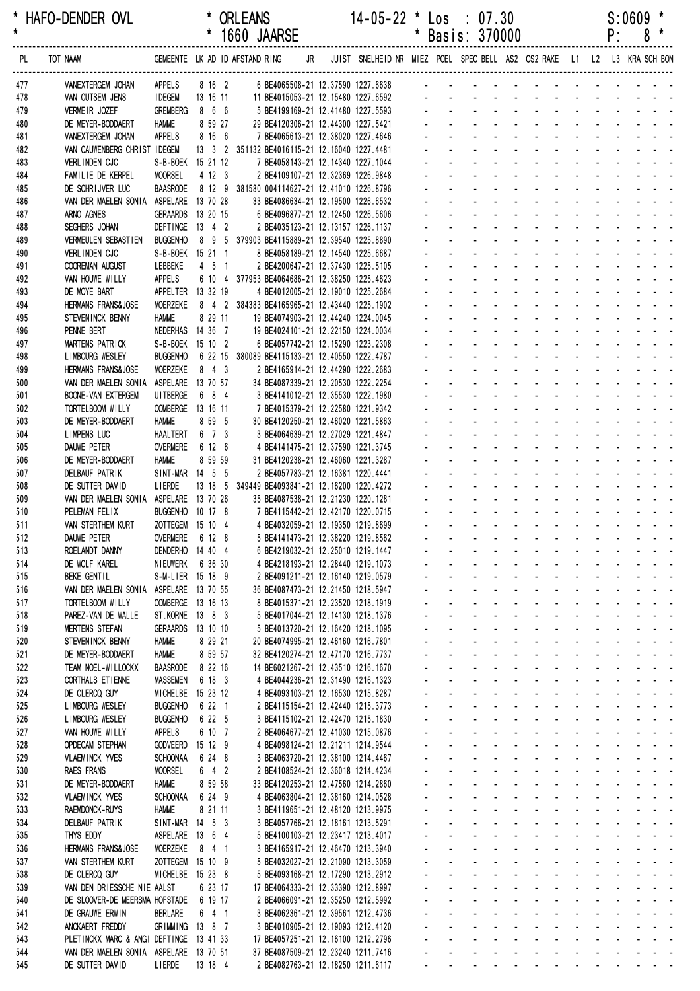| *<br>$\star$ | HAFO-DENDER OVL                                            |                                      |                    |                                | <b>ORLEANS</b><br>1660 JAARSE                  |    |  | $14 - 05 - 22$ *                                                        | * | Los<br>Basis: 370000      |                           | $\div$ 07.30                                                 |                                                            |                                                                    |                                                          |                                           |                       | P:             | S:0609 | 8                                                                                                                     |
|--------------|------------------------------------------------------------|--------------------------------------|--------------------|--------------------------------|------------------------------------------------|----|--|-------------------------------------------------------------------------|---|---------------------------|---------------------------|--------------------------------------------------------------|------------------------------------------------------------|--------------------------------------------------------------------|----------------------------------------------------------|-------------------------------------------|-----------------------|----------------|--------|-----------------------------------------------------------------------------------------------------------------------|
| PL           | TOT NAAM                                                   |                                      |                    |                                | GEMEENTE LK AD ID AFSTAND RING                 | JR |  | JUIST SNELHEID NR MIEZ POEL SPEC BELL AS2 OS2 RAKE L1 L2 L3 KRA SCH BON |   |                           |                           |                                                              |                                                            |                                                                    |                                                          |                                           |                       |                |        |                                                                                                                       |
| 477          | VANEXTERGEM JOHAN                                          | APPELS                               |                    | 8 16 2                         |                                                |    |  | 6 BE4065508-21 12.37590 1227.6638                                       |   |                           |                           |                                                              |                                                            |                                                                    |                                                          |                                           |                       |                |        |                                                                                                                       |
| 478          | VAN CUTSEM JENS                                            | <b>IDEGEM</b>                        | 13 16 11           |                                |                                                |    |  | 11 BE4015053-21 12.15480 1227.6592                                      |   |                           |                           |                                                              |                                                            |                                                                    |                                                          |                                           |                       |                |        |                                                                                                                       |
| 479          | VERMEIR JOZEF                                              | <b>GREMBERG</b>                      | 8 6 6              |                                |                                                |    |  | 5 BE4199169-21 12.41480 1227.5593                                       |   |                           |                           |                                                              |                                                            |                                                                    |                                                          |                                           |                       |                |        |                                                                                                                       |
| 480<br>481   | DE MEYER-BODDAERT<br>VANEXTERGEM JOHAN                     | <b>HAMME</b><br><b>APPELS</b>        | 8 16 6             | 8 59 27                        |                                                |    |  | 29 BE4120306-21 12.44300 1227.5421<br>7 BE4065613-21 12.38020 1227.4646 |   |                           |                           |                                                              |                                                            |                                                                    |                                                          |                                           |                       |                |        |                                                                                                                       |
| 482          | VAN CAUWENBERG CHRIST IDEGEM                               |                                      |                    |                                | 13 3 2 351132 BE4016115-21 12.16040 1227.4481  |    |  |                                                                         |   |                           |                           |                                                              |                                                            |                                                                    |                                                          |                                           |                       |                |        |                                                                                                                       |
| 483          | <b>VERLINDEN CJC</b>                                       | S-B-BOEK 15 21 12                    |                    |                                |                                                |    |  | 7 BE4058143-21 12.14340 1227.1044                                       |   |                           |                           |                                                              |                                                            |                                                                    |                                                          |                                           |                       |                |        |                                                                                                                       |
| 484          | FAMILIE DE KERPEL                                          | <b>MOORSEL</b>                       | 4 12 3             |                                |                                                |    |  | 2 BE4109107-21 12.32369 1226.9848                                       |   |                           |                           |                                                              |                                                            |                                                                    |                                                          |                                           |                       |                |        |                                                                                                                       |
| 485          | DE SCHRIJVER LUC                                           | <b>BAASRODE</b>                      |                    |                                | 8 12 9 381580 004114627-21 12.41010 1226.8796  |    |  |                                                                         |   |                           |                           |                                                              |                                                            |                                                                    |                                                          |                                           |                       |                |        |                                                                                                                       |
| 486          | VAN DER MAELEN SONIA ASPELARE                              | <b>GERAARDS</b>                      | 13 70 28           |                                |                                                |    |  | 33 BE4086634-21 12.19500 1226.6532                                      |   |                           |                           |                                                              |                                                            |                                                                    |                                                          |                                           |                       |                |        |                                                                                                                       |
| 487<br>488   | ARNO AGNES<br>SEGHERS JOHAN                                | DEFTINGE 13 4 2                      | 13 20 15           |                                |                                                |    |  | 6 BE4096877-21 12.12450 1226.5606<br>2 BE4035123-21 12.13157 1226.1137  |   |                           |                           |                                                              |                                                            |                                                                    |                                                          |                                           |                       |                |        |                                                                                                                       |
| 489          | VERMEULEN SEBASTIEN                                        | <b>BUGGENHO</b>                      |                    |                                | 8 9 5 379903 BE4115889-21 12.39540 1225.8890   |    |  |                                                                         |   |                           |                           |                                                              |                                                            |                                                                    |                                                          |                                           |                       |                |        |                                                                                                                       |
| 490          | <b>VERLINDEN CJC</b>                                       | S-B-BOEK 15 21 1                     |                    |                                |                                                |    |  | 8 BE4058189-21 12.14540 1225.6687                                       |   |                           |                           |                                                              |                                                            |                                                                    |                                                          |                                           |                       |                |        |                                                                                                                       |
| 491          | COOREMAN AUGUST                                            | LEBBEKE                              | $4\quad 5\quad 1$  |                                |                                                |    |  | 2 BE4200647-21 12.37430 1225.5105                                       |   |                           |                           |                                                              |                                                            |                                                                    |                                                          |                                           |                       |                |        |                                                                                                                       |
| 492          | VAN HOUWE WILLY                                            | <b>APPELS</b>                        |                    |                                | 6 10 4 377953 BE4064686-21 12.38250 1225.4623  |    |  |                                                                         |   |                           |                           |                                                              |                                                            |                                                                    |                                                          |                                           |                       |                |        |                                                                                                                       |
| 493          | DE MOYE BART                                               | APPELTER                             | 13 32 19           |                                |                                                |    |  | 4 BE4012005-21 12.19010 1225.2684                                       |   |                           |                           |                                                              |                                                            |                                                                    |                                                          |                                           |                       |                |        |                                                                                                                       |
| 494<br>495   | HERMANS FRANS&JOSE<br>STEVENINCK BENNY                     | <b>MOERZEKE</b><br><b>HAMME</b>      |                    | 8 29 11                        | 8 4 2 384383 BE4165965-21 12.43440 1225.1902   |    |  | 19 BE4074903-21 12.44240 1224.0045                                      |   |                           |                           |                                                              |                                                            |                                                                    |                                                          |                                           |                       |                |        |                                                                                                                       |
| 496          | PENNE BERT                                                 | NEDERHAS                             | 14 36 7            |                                |                                                |    |  | 19 BE4024101-21 12.22150 1224.0034                                      |   |                           |                           |                                                              |                                                            |                                                                    |                                                          |                                           |                       |                |        |                                                                                                                       |
| 497          | MARTENS PATRICK                                            | S-B-BOEK                             | 15 10 2            |                                |                                                |    |  | 6 BE4057742-21 12.15290 1223.2308                                       |   |                           |                           |                                                              |                                                            |                                                                    |                                                          |                                           |                       |                |        |                                                                                                                       |
| 498          | LIMBOURG WESLEY                                            | <b>BUGGENHO</b>                      |                    |                                | 6 22 15 380089 BE4115133-21 12.40550 1222.4787 |    |  |                                                                         |   |                           |                           |                                                              |                                                            |                                                                    |                                                          |                                           |                       |                |        |                                                                                                                       |
| 499          | <b>HERMANS FRANS&amp;JOSE</b>                              | <b>MOERZEKE</b>                      | 8 4 3              |                                |                                                |    |  | 2 BE4165914-21 12.44290 1222.2683                                       |   |                           |                           |                                                              |                                                            |                                                                    |                                                          |                                           |                       |                |        |                                                                                                                       |
| 500          | VAN DER MAELEN SONIA                                       | ASPELARE                             | 13 70 57           |                                |                                                |    |  | 34 BE4087339-21 12.20530 1222.2254                                      |   |                           |                           |                                                              |                                                            |                                                                    |                                                          |                                           |                       |                |        |                                                                                                                       |
| 501          | <b>BOONE-VAN EXTERGEM</b>                                  | <b>UITBERGE</b>                      | 6 8 4              |                                |                                                |    |  | 3 BE4141012-21 12.35530 1222.1980                                       |   |                           |                           |                                                              |                                                            |                                                                    |                                                          |                                           |                       |                |        |                                                                                                                       |
| 502<br>503   | TORTELBOOM WILLY<br>DE MEYER-BODDAERT                      | OOMBERGE 13 16 11<br><b>HAMME</b>    |                    | 8 59 5                         |                                                |    |  | 7 BE4015379-21 12.22580 1221.9342<br>30 BE4120250-21 12.46020 1221.5863 |   |                           |                           |                                                              |                                                            |                                                                    |                                                          |                                           |                       |                |        |                                                                                                                       |
| 504          | <b>LIMPENS LUC</b>                                         | <b>HAALTERT</b>                      | 6 7 3              |                                |                                                |    |  | 3 BE4064639-21 12.27029 1221.4847                                       |   |                           |                           |                                                              |                                                            |                                                                    |                                                          |                                           |                       |                |        |                                                                                                                       |
| 505          | <b>DAUWE PETER</b>                                         | <b>OVERMERE</b>                      | 6 12 6             |                                |                                                |    |  | 4 BE4141475-21 12.37590 1221.3745                                       |   |                           |                           |                                                              |                                                            |                                                                    |                                                          |                                           |                       |                |        |                                                                                                                       |
| 506          | DE MEYER-BODDAERT                                          | <b>HAMME</b>                         | 8 59 59            |                                |                                                |    |  | 31 BE4120238-21 12.46060 1221.3287                                      |   |                           |                           |                                                              |                                                            |                                                                    |                                                          |                                           |                       |                |        |                                                                                                                       |
| 507          | DELBAUF PATRIK                                             | SINT-MAR 14 5 5                      |                    |                                |                                                |    |  | 2 BE4057783-21 12.16381 1220.4441                                       |   |                           |                           |                                                              |                                                            |                                                                    |                                                          |                                           |                       |                |        |                                                                                                                       |
| 508          | DE SUTTER DAVID                                            | <b>LIERDE</b>                        | 13 18 5            |                                | 349449 BE4093841-21 12.16200 1220.4272         |    |  |                                                                         |   |                           |                           |                                                              |                                                            |                                                                    |                                                          |                                           |                       |                |        |                                                                                                                       |
| 509<br>510   | VAN DER MAELEN SONIA ASPELARE<br>PELEMAN FELIX             | BUGGENHO 10 17 8                     | 13 70 26           |                                |                                                |    |  | 35 BE4087538-21 12.21230 1220.1281<br>7 BE4115442-21 12.42170 1220.0715 |   |                           |                           |                                                              |                                                            |                                                                    |                                                          |                                           |                       |                |        |                                                                                                                       |
| 511          | VAN STERTHEM KURT                                          | ZOTTEGEM 15 10 4                     |                    |                                |                                                |    |  | 4 BE4032059-21 12.19350 1219.8699                                       |   |                           |                           |                                                              |                                                            |                                                                    |                                                          |                                           |                       |                |        |                                                                                                                       |
| 512          | DAUWE PETER                                                | OVERMERE                             | 6 12 8             |                                |                                                |    |  | 5 BE4141473-21 12.38220 1219.8562                                       |   |                           |                           |                                                              |                                                            | And American State                                                 |                                                          |                                           |                       |                |        |                                                                                                                       |
| 513          | ROELANDT DANNY                                             | DENDERHO 14 40 4                     |                    |                                |                                                |    |  | 6 BE4219032-21 12.25010 1219.1447                                       |   |                           |                           |                                                              |                                                            |                                                                    |                                                          |                                           |                       |                |        |                                                                                                                       |
| 514          | DE WOLF KAREL                                              | <b>NIEUWERK</b>                      | 6 36 30            |                                |                                                |    |  | 4 BE4218193-21 12.28440 1219.1073                                       |   | $\mathbf{r}$              |                           |                                                              |                                                            | and a strain and a strain                                          |                                                          |                                           |                       |                |        | $\mathbf{1}^{\prime}$ , $\mathbf{1}^{\prime}$ , $\mathbf{1}^{\prime}$ , $\mathbf{1}^{\prime}$ , $\mathbf{1}^{\prime}$ |
| 515          | BEKE GENTIL                                                | S-M-LIER 15 18 9                     |                    |                                |                                                |    |  | 2 BE4091211-21 12.16140 1219.0579                                       |   | ÷.                        |                           |                                                              | $\Delta \sim 100$                                          | $\Delta \phi = \Delta \phi = 0.01$                                 | $\omega_{\rm{max}}$                                      | ÷.                                        |                       |                |        |                                                                                                                       |
| 516<br>517   | VAN DER MAELEN SONIA ASPELARE 13 70 55<br>TORTELBOOM WILLY | OOMBERGE 13 16 13                    |                    |                                |                                                |    |  | 36 BE4087473-21 12.21450 1218.5947<br>8 BE4015371-21 12.23520 1218.1919 |   | $\mathcal{L}^{\pm}$       |                           | $\Delta \sim 100$<br>$\Delta \sim 100$                       | $\Delta \sim 100$<br>$\Delta \sim 100$                     | $\Delta\phi$ and $\Delta\phi$ and $\Delta\phi$<br><b>All Cards</b> | $\mathcal{L}^{\text{max}}$<br>$\mathcal{L}^{\text{max}}$ |                                           |                       |                |        | $\sim 100$ $\sim$<br>$\sim$ 100 $\sim$ 100 $\sim$                                                                     |
| 518          | PAREZ-VAN DE WALLE                                         | ST.KORNE 13 8 3                      |                    |                                |                                                |    |  | 5 BE4017044-21 12.14130 1218.1376                                       |   |                           |                           | and a state                                                  | $\mathbf{u}$                                               |                                                                    |                                                          |                                           |                       |                |        |                                                                                                                       |
| 519          | <b>MERTENS STEFAN</b>                                      | GERAARDS 13 10 10                    |                    |                                |                                                |    |  | 5 BE4013720-21 12.16420 1218.1095                                       |   |                           |                           | $\mathbf{L} = \mathbf{L} \mathbf{L} + \mathbf{L} \mathbf{L}$ |                                                            |                                                                    |                                                          |                                           |                       |                |        |                                                                                                                       |
| 520          | STEVEN INCK BENNY                                          | <b>HAMME</b>                         | 8 29 21            |                                |                                                |    |  | 20 BE4074995-21 12.46160 1216.7801                                      |   |                           | $\mathbf{L}^{\text{max}}$ | $\omega_{\rm{max}}$ , and $\omega_{\rm{max}}$                |                                                            | <b>Contract Contract</b>                                           |                                                          | $\omega_{\rm{max}}$ , $\omega_{\rm{max}}$ |                       |                |        |                                                                                                                       |
| 521          | DE MEYER-BODDAERT                                          | <b>HAMME</b>                         |                    | 8 59 57                        |                                                |    |  | 32 BE4120274-21 12.47170 1216.7737                                      |   | ÷.                        |                           | $\Delta \sim 100$                                            | $\Delta \sim 100$                                          | $\Delta \phi = \Delta \phi = 0.01$                                 |                                                          | $\omega_{\rm{max}}$ , $\omega_{\rm{max}}$ | $\Delta \sim 10^4$    |                |        | and a state of                                                                                                        |
| 522          | TEAM NOEL-WILLOCKX                                         | <b>BAASRODE</b>                      | 8 22 16            |                                |                                                |    |  | 14 BE6021267-21 12.43510 1216.1670                                      |   |                           | $\mathbf{L}^{\text{max}}$ | $\Delta \sim 100$                                            | $\omega_{\rm{max}}$<br>$\sim 100$                          | $\sim 100$                                                         | $\mathbf{a} = \mathbf{0}$                                | $\mathcal{L}^{\text{max}}$                | $\sim 100$            |                |        | $\mathbf{z} = \mathbf{z} + \mathbf{z} + \mathbf{z}$                                                                   |
| 523<br>524   | CORTHALS ET IENNE<br>DE CLERCQ GUY                         | <b>MASSEMEN</b><br><b>MICHELBE</b>   | 6 18 3<br>15 23 12 |                                |                                                |    |  | 4 BE4044236-21 12.31490 1216.1323<br>4 BE4093103-21 12.16530 1215.8287  |   |                           |                           | $\sim 100$<br>$\sim$<br>$\sim$                               | $\mathbf{u}$                                               | $\sim$                                                             |                                                          |                                           |                       |                |        | $\mathcal{L} = \{ \mathcal{L} \}$ . The $\mathcal{L}$<br>$\sim$ 100 $\sim$ 100 $\sim$                                 |
| 525          | LIMBOURG WESLEY                                            | <b>BUGGENHO</b>                      | 6 22 1             |                                |                                                |    |  | 2 BE4115154-21 12.42440 1215.3773                                       |   | $\overline{a}$            |                           | $\sim$                                                       | $\mathbf{r}$                                               |                                                                    | $\mathcal{L}_{\mathcal{A}}$                              |                                           |                       |                |        | $\mathcal{L} = \mathcal{L} \times \mathcal{L}$                                                                        |
| 526          | LIMBOURG WESLEY                                            | <b>BUGGENHO</b>                      | 6 22 5             |                                |                                                |    |  | 3 BE4115102-21 12.42470 1215.1830                                       |   | $\mathbf{r}$              |                           | $\Delta \sim 100$                                            | $\omega_{\rm{max}}=0.1$                                    | $\sim 100$                                                         | $\mathcal{L}^{\text{max}}$                               | $\mathcal{L}$                             |                       |                |        | and a state of the                                                                                                    |
| 527          | VAN HOUWE WILLY                                            | APPELS                               |                    | 6 10 7                         |                                                |    |  | 2 BE4064677-21 12.41030 1215.0876                                       |   | L.                        |                           | $\Delta \sim 10^4$                                           | $\Delta \sim 100$                                          | All Card                                                           | $\omega_{\rm{max}}$                                      | ÷.                                        |                       |                |        | $\sim 100$                                                                                                            |
| 528          | <b>OPDECAM STEPHAN</b>                                     | <b>GODVEERD</b>                      | 15 12 9            |                                |                                                |    |  | 4 BE4098124-21 12.21211 1214.9544                                       |   |                           | $\omega_{\rm{max}}$       | $\Delta \sim 100$                                            | $\mathbf{a} = \mathbf{0}$                                  | $\Delta \phi = 0.0000$ .                                           | $\Delta \sim 100$                                        | ÷.                                        |                       |                |        | $\sim 100$ $\sim$                                                                                                     |
| 529          | <b>VLAEMINCK YVES</b>                                      | <b>SCHOONAA</b>                      | 6 24 8             |                                |                                                |    |  | 3 BE4063720-21 12.38100 1214.4467                                       |   |                           | $\mathbf{L}^{\text{max}}$ | <b>Service</b> State                                         |                                                            | <b>All Cards</b>                                                   | $\Delta \sim 100$                                        |                                           |                       |                |        | and the contract of                                                                                                   |
| 530<br>531   | <b>RAES FRANS</b><br>DE MEYER-BODDAERT                     | <b>MOORSEL</b><br><b>HAMME</b>       |                    | $6 \quad 4 \quad 2$<br>8 59 58 |                                                |    |  | 2 BE4108524-21 12.36018 1214.4234<br>33 BE4120253-21 12.47560 1214.2860 |   | $\mathcal{L}^{\pm}$       |                           | and a state<br>and a strategies                              |                                                            | $\sim$                                                             | $\sim 100$                                               |                                           |                       |                |        | $\mathbf{1}^{\prime}$ , $\mathbf{1}^{\prime}$ , $\mathbf{1}^{\prime}$ , $\mathbf{1}^{\prime}$ , $\mathbf{1}^{\prime}$ |
| 532          | <b>VLAEMINCK YVES</b>                                      | <b>SCHOONAA</b>                      | 6 24 9             |                                |                                                |    |  | 4 BE4063804-21 12.38160 1214.0528                                       |   | $\mathbf{r}$              |                           | $\Delta \sim 100$                                            | $\omega_{\rm{max}}$ , $\omega_{\rm{max}}$                  | $\sim 100$                                                         |                                                          | $\omega_{\rm{max}}$ , $\omega_{\rm{max}}$ | $\sim$                |                |        | $\mathbf{1}^{\prime}$ , $\mathbf{1}^{\prime}$ , $\mathbf{1}^{\prime}$ , $\mathbf{1}^{\prime}$ , $\mathbf{1}^{\prime}$ |
| 533          | RAEMDONCK-RUYS                                             | <b>HAMME</b>                         |                    | 8 21 11                        |                                                |    |  | 3 BE4119651-21 12.48120 1213.9975                                       |   |                           |                           | $\Delta \sim 100$                                            | $\Delta \sim 10^4$                                         | and a state                                                        |                                                          | $\omega_{\rm{max}}$ , $\omega_{\rm{max}}$ | $\Delta \sim 10^4$    |                |        | $\omega_{\rm{eff}}$ , $\omega_{\rm{eff}}$ , $\omega_{\rm{eff}}$                                                       |
| 534          | <b>DELBAUF PATRIK</b>                                      | SINT-MAR 14 5 3                      |                    |                                |                                                |    |  | 3 BE4057766-21 12.18161 1213.5291                                       |   | ¥.                        |                           | $\mathbf{L}^{\text{max}}$                                    | $\mathcal{L}^{\text{max}}$<br>$\Delta \sim 100$            | $\sim 100$                                                         | $\omega_{\rm{max}}$                                      | $\omega_{\rm{max}}$                       | $\Delta \sim 10^{-1}$ |                |        | $\mathcal{L}^{\text{max}}$ , and $\mathcal{L}^{\text{max}}$ , and                                                     |
| 535          | THYS EDDY                                                  | ASPELARE 13 6 4                      |                    |                                |                                                |    |  | 5 BE4100103-21 12.23417 1213.4017                                       |   | $\omega$                  |                           | $\Delta \sim 100$<br>$\sim$                                  | $\mathbf{r}$                                               | $\sim$                                                             | $\mathbf{r}$                                             |                                           | $\sim$                | $\blacksquare$ |        | $\omega_{\rm{eff}}=2.00$ km $^{-1}$                                                                                   |
| 536          | <b>HERMANS FRANS&amp;JOSE</b>                              | MOERZEKE                             | 8 4 1              |                                |                                                |    |  | 3 BE4165917-21 12.46470 1213.3940                                       |   |                           |                           | $\omega_{\rm{max}}$ and $\omega_{\rm{max}}$                  | $\mathbf{u}$                                               |                                                                    |                                                          |                                           |                       |                |        | $\omega_{\rm{eff}}=2.0\pm0.00$ km $^{-1}$                                                                             |
| 537<br>538   | VAN STERTHEM KURT<br>DE CLERCQ GUY                         | ZOTTEGEM 15 10 9<br>MICHELBE 15 23 8 |                    |                                |                                                |    |  | 5 BE4032027-21 12.21090 1213.3059<br>5 BE4093168-21 12.17290 1213.2912  |   | ä,<br>$\mathbf{r}$        |                           | $\sim$<br>$\mathbf{L}^{\text{max}}$                          | $\mathcal{L}$<br>$\omega_{\rm{max}}$ , $\omega_{\rm{max}}$ | $\sim 100$                                                         | $\sim$                                                   | $\mathbf{L} = \mathbf{L}$                 | $\mathbf{r}$          | $\blacksquare$ |        | $\mathcal{L} = \mathcal{L} \times \mathcal{L}$<br>and a state of the                                                  |
| 539          | VAN DEN DRIESSCHE NIE AALST                                |                                      |                    | 6 23 17                        |                                                |    |  | 17 BE4064333-21 12.33390 1212.8997                                      |   | L.                        |                           | $\Delta \sim 100$                                            | $\Delta \sim 100$                                          | and a state                                                        | $\mathcal{L}^{\text{max}}$                               | ÷.                                        |                       |                |        |                                                                                                                       |
| 540          | DE SLOOVER-DE MEERSMA HOFSTADE                             |                                      | 6 19 17            |                                |                                                |    |  | 2 BE4066091-21 12.35250 1212.5992                                       |   |                           | $\omega_{\rm{max}}$       | $\Delta \sim 100$                                            | $\sim 100$                                                 | All Card                                                           | $\mathcal{L}^{\text{max}}$                               |                                           |                       |                |        | $\sim 100$ $\sim$                                                                                                     |
| 541          | DE GRAUWE ERWIN                                            | <b>BERLARE</b>                       |                    | $6 \quad 4 \quad 1$            |                                                |    |  | 3 BE4062361-21 12.39561 1212.4736                                       |   |                           | $\mathbf{L}^{\text{max}}$ | $\sim 100$                                                   | $\Delta \sim 100$                                          | $\Delta \phi = 0.01$                                               | $\blacksquare$                                           |                                           |                       |                |        | $\mathcal{L} = \{ \mathcal{L} \}$ . The $\mathcal{L}$                                                                 |
| 542          | ANCKAERT FREDDY                                            | GRIMMING 13 8 7                      |                    |                                |                                                |    |  | 3 BE4010905-21 12.19093 1212.4120                                       |   |                           |                           | $\sim 100$                                                   | $\mathbf{u}$                                               |                                                                    |                                                          |                                           |                       |                |        |                                                                                                                       |
| 543          | PLETINCKX MARC & ANGI DEFTINGE 13 41 33                    |                                      |                    |                                |                                                |    |  | 17 BE4057251-21 12.16100 1212.2796                                      |   | ÷.                        |                           | $\sim$                                                       | $\mathcal{L}$                                              |                                                                    | $\mathcal{L}^{\pm}$                                      |                                           |                       |                |        |                                                                                                                       |
| 544<br>545   | VAN DER MAELEN SONIA ASPELARE 13 70 51<br>DE SUTTER DAVID  | <b>LIERDE</b>                        | 13 18 4            |                                |                                                |    |  | 37 BE4087509-21 12.23240 1211.7416<br>2 BE4082763-21 12.18250 1211.6117 |   | $\mathbf{L}^{\text{max}}$ |                           | $\sim$                                                       | $\omega$                                                   |                                                                    |                                                          | $\omega_{\rm{max}}$ , $\omega_{\rm{max}}$ |                       |                |        | والمناور والوالوا والوالو والوالوالي                                                                                  |
|              |                                                            |                                      |                    |                                |                                                |    |  |                                                                         |   |                           |                           |                                                              |                                                            |                                                                    |                                                          |                                           |                       |                |        |                                                                                                                       |